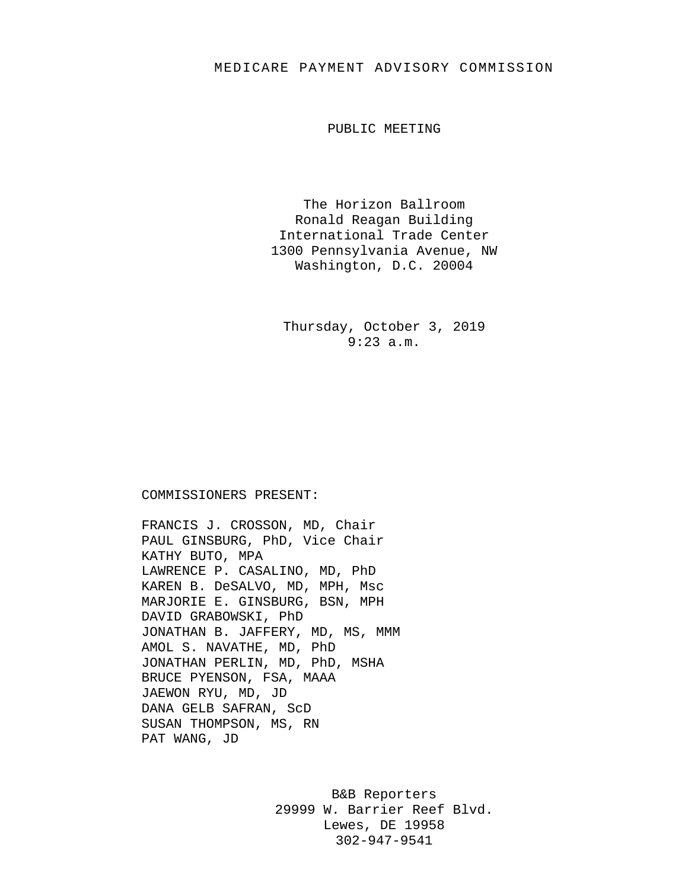## MEDICARE PAYMENT ADVISORY COMMISSION

PUBLIC MEETING

The Horizon Ballroom Ronald Reagan Building International Trade Center 1300 Pennsylvania Avenue, NW Washington, D.C. 20004

Thursday, October 3, 2019 9:23 a.m.

COMMISSIONERS PRESENT:

FRANCIS J. CROSSON, MD, Chair PAUL GINSBURG, PhD, Vice Chair KATHY BUTO, MPA LAWRENCE P. CASALINO, MD, PhD KAREN B. DeSALVO, MD, MPH, Msc MARJORIE E. GINSBURG, BSN, MPH DAVID GRABOWSKI, PhD JONATHAN B. JAFFERY, MD, MS, MMM AMOL S. NAVATHE, MD, PhD JONATHAN PERLIN, MD, PhD, MSHA BRUCE PYENSON, FSA, MAAA JAEWON RYU, MD, JD DANA GELB SAFRAN, ScD SUSAN THOMPSON, MS, RN PAT WANG, JD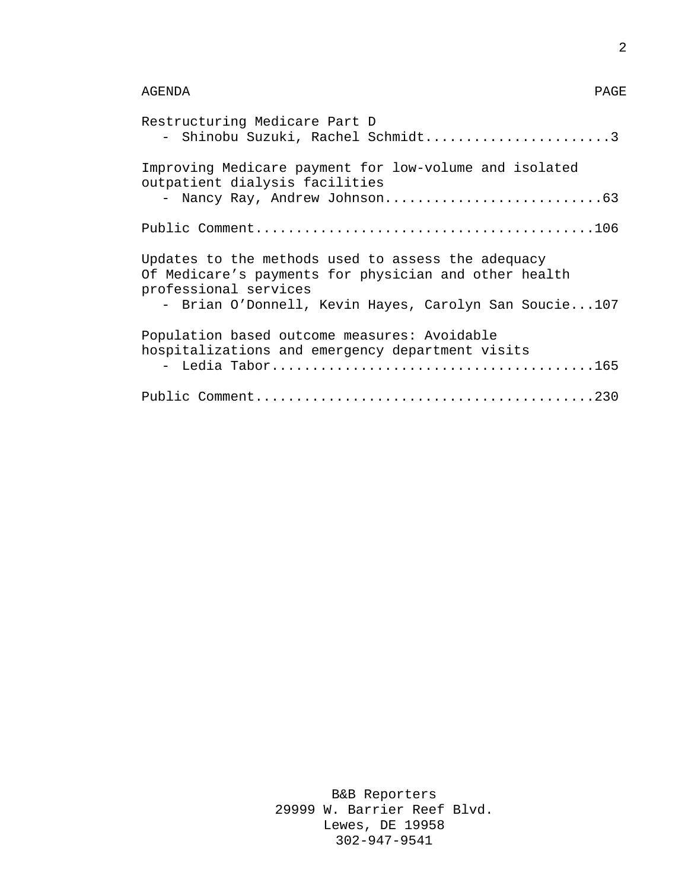| Restructuring Medicare Part D<br>- Shinobu Suzuki, Rachel Schmidt3                                                                                                                            |
|-----------------------------------------------------------------------------------------------------------------------------------------------------------------------------------------------|
| Improving Medicare payment for low-volume and isolated<br>outpatient dialysis facilities                                                                                                      |
|                                                                                                                                                                                               |
| Updates to the methods used to assess the adequacy<br>Of Medicare's payments for physician and other health<br>professional services<br>- Brian O'Donnell, Kevin Hayes, Carolyn San Soucie107 |
| Population based outcome measures: Avoidable<br>hospitalizations and emergency department visits                                                                                              |
|                                                                                                                                                                                               |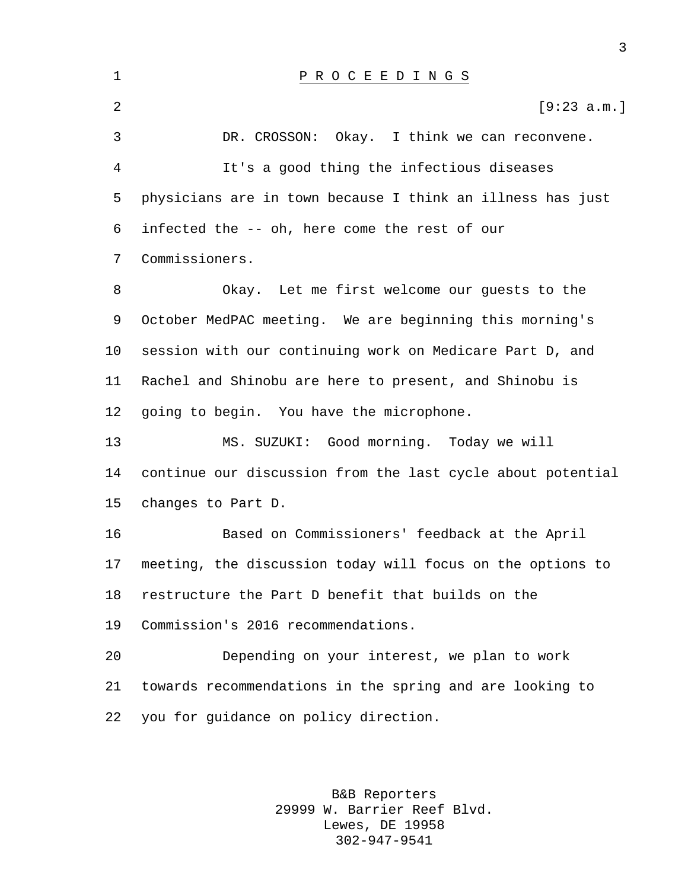| $\mathbf 1$ | P R O C E E D I N G S                                       |
|-------------|-------------------------------------------------------------|
| 2           | [9:23 a.m.]                                                 |
| 3           | DR. CROSSON:<br>Okay. I think we can reconvene.             |
| 4           | It's a good thing the infectious diseases                   |
| 5           | physicians are in town because I think an illness has just  |
| 6           | infected the -- oh, here come the rest of our               |
| 7           | Commissioners.                                              |
| 8           | Okay. Let me first welcome our guests to the                |
| 9           | October MedPAC meeting. We are beginning this morning's     |
| 10          | session with our continuing work on Medicare Part D, and    |
| 11          | Rachel and Shinobu are here to present, and Shinobu is      |
| 12          | going to begin. You have the microphone.                    |
| 13          | MS. SUZUKI: Good morning. Today we will                     |
| 14          | continue our discussion from the last cycle about potential |
| 15          | changes to Part D.                                          |
| 16          | Based on Commissioners' feedback at the April               |
| 17          | meeting, the discussion today will focus on the options to  |
| 18          | restructure the Part D benefit that builds on the           |
| 19          | Commission's 2016 recommendations.                          |
| 20          | Depending on your interest, we plan to work                 |
| 21          | towards recommendations in the spring and are looking to    |
| 22          | you for guidance on policy direction.                       |
|             |                                                             |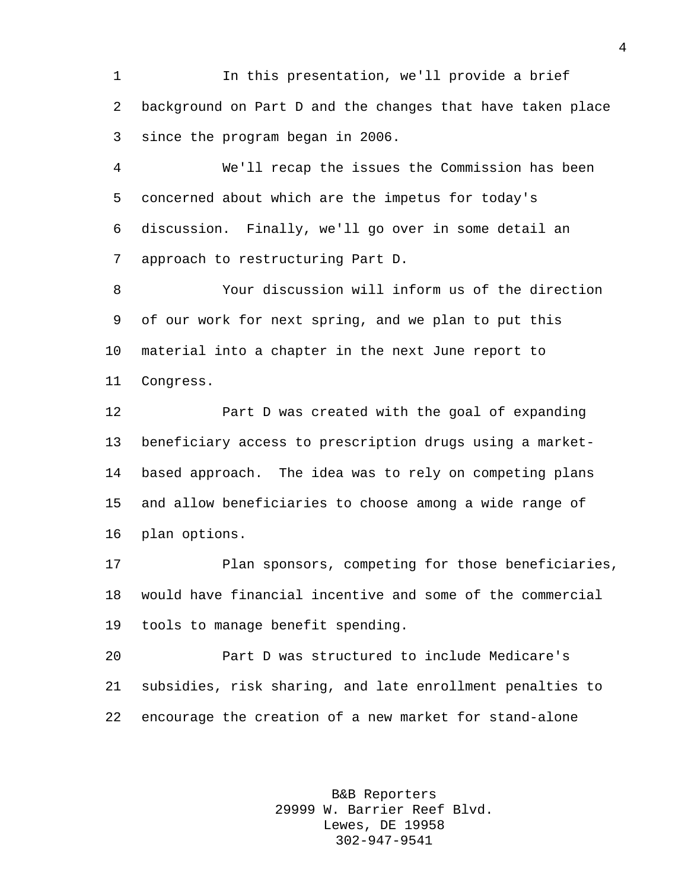In this presentation, we'll provide a brief background on Part D and the changes that have taken place since the program began in 2006.

 We'll recap the issues the Commission has been concerned about which are the impetus for today's discussion. Finally, we'll go over in some detail an approach to restructuring Part D.

 Your discussion will inform us of the direction of our work for next spring, and we plan to put this material into a chapter in the next June report to Congress.

 Part D was created with the goal of expanding beneficiary access to prescription drugs using a market- based approach. The idea was to rely on competing plans and allow beneficiaries to choose among a wide range of plan options.

 Plan sponsors, competing for those beneficiaries, would have financial incentive and some of the commercial tools to manage benefit spending.

 Part D was structured to include Medicare's subsidies, risk sharing, and late enrollment penalties to encourage the creation of a new market for stand-alone

> B&B Reporters 29999 W. Barrier Reef Blvd. Lewes, DE 19958 302-947-9541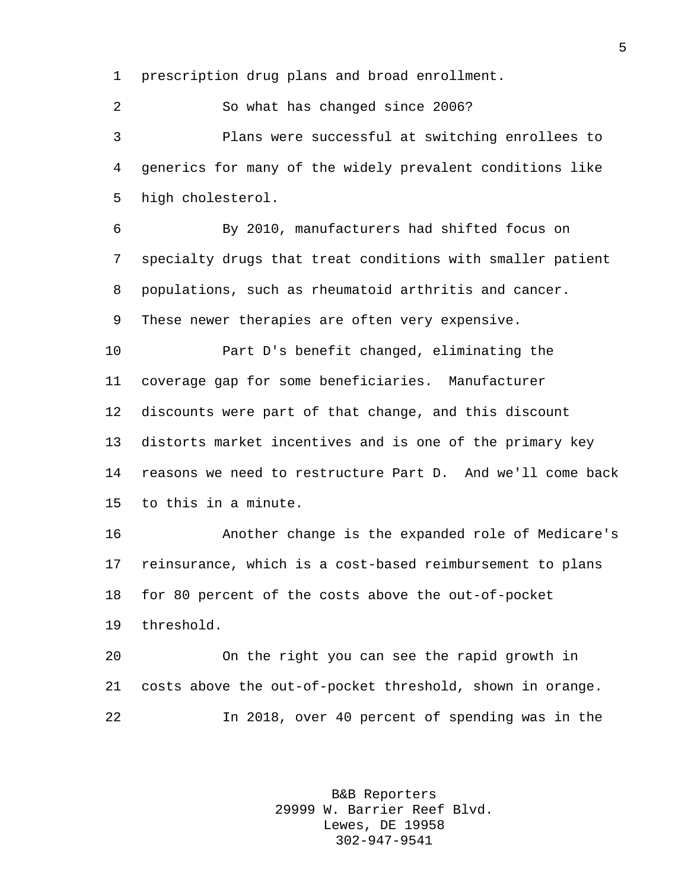prescription drug plans and broad enrollment.

 So what has changed since 2006? Plans were successful at switching enrollees to generics for many of the widely prevalent conditions like high cholesterol.

 By 2010, manufacturers had shifted focus on specialty drugs that treat conditions with smaller patient populations, such as rheumatoid arthritis and cancer. These newer therapies are often very expensive.

 Part D's benefit changed, eliminating the coverage gap for some beneficiaries. Manufacturer discounts were part of that change, and this discount distorts market incentives and is one of the primary key reasons we need to restructure Part D. And we'll come back to this in a minute.

 Another change is the expanded role of Medicare's reinsurance, which is a cost-based reimbursement to plans for 80 percent of the costs above the out-of-pocket threshold.

 On the right you can see the rapid growth in costs above the out-of-pocket threshold, shown in orange. In 2018, over 40 percent of spending was in the

> B&B Reporters 29999 W. Barrier Reef Blvd. Lewes, DE 19958 302-947-9541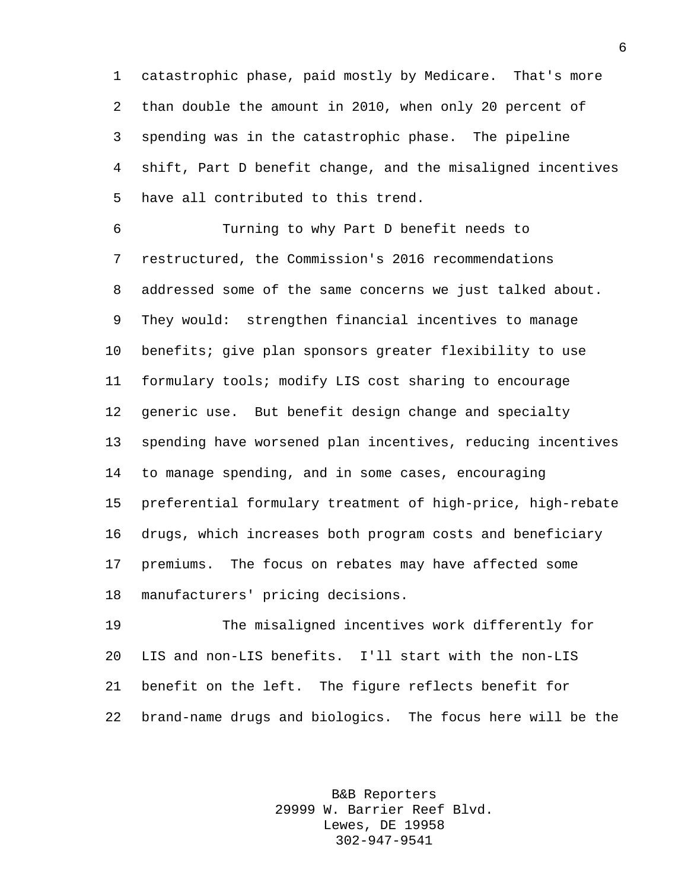catastrophic phase, paid mostly by Medicare. That's more than double the amount in 2010, when only 20 percent of spending was in the catastrophic phase. The pipeline shift, Part D benefit change, and the misaligned incentives have all contributed to this trend.

 Turning to why Part D benefit needs to restructured, the Commission's 2016 recommendations addressed some of the same concerns we just talked about. They would: strengthen financial incentives to manage benefits; give plan sponsors greater flexibility to use formulary tools; modify LIS cost sharing to encourage generic use. But benefit design change and specialty spending have worsened plan incentives, reducing incentives to manage spending, and in some cases, encouraging preferential formulary treatment of high-price, high-rebate drugs, which increases both program costs and beneficiary premiums. The focus on rebates may have affected some manufacturers' pricing decisions.

 The misaligned incentives work differently for LIS and non-LIS benefits. I'll start with the non-LIS benefit on the left. The figure reflects benefit for brand-name drugs and biologics. The focus here will be the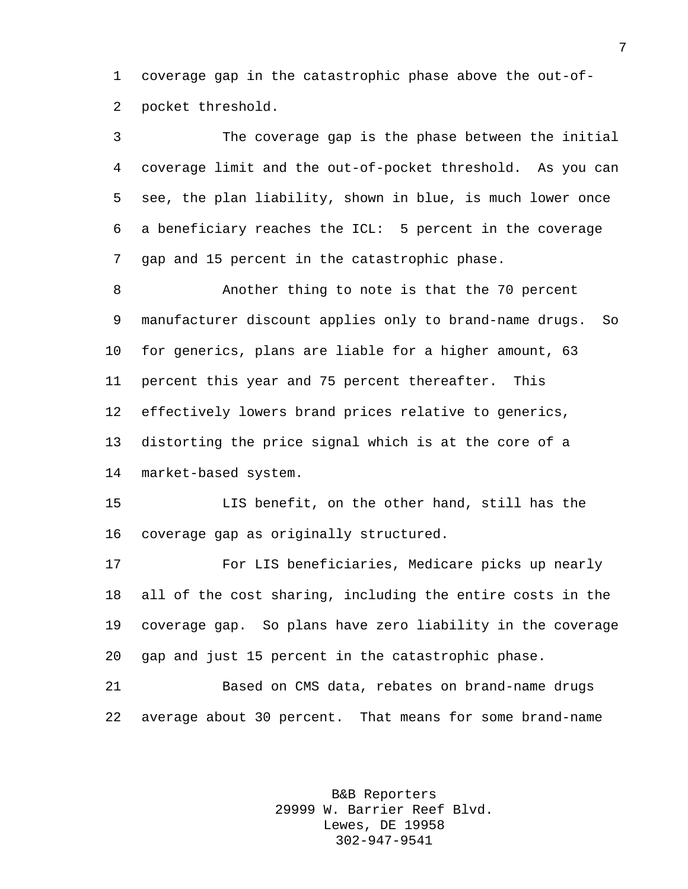coverage gap in the catastrophic phase above the out-of-pocket threshold.

 The coverage gap is the phase between the initial coverage limit and the out-of-pocket threshold. As you can see, the plan liability, shown in blue, is much lower once a beneficiary reaches the ICL: 5 percent in the coverage gap and 15 percent in the catastrophic phase.

 Another thing to note is that the 70 percent manufacturer discount applies only to brand-name drugs. So for generics, plans are liable for a higher amount, 63 percent this year and 75 percent thereafter. This effectively lowers brand prices relative to generics, distorting the price signal which is at the core of a market-based system.

 LIS benefit, on the other hand, still has the coverage gap as originally structured.

 For LIS beneficiaries, Medicare picks up nearly all of the cost sharing, including the entire costs in the coverage gap. So plans have zero liability in the coverage gap and just 15 percent in the catastrophic phase.

 Based on CMS data, rebates on brand-name drugs average about 30 percent. That means for some brand-name

> B&B Reporters 29999 W. Barrier Reef Blvd. Lewes, DE 19958 302-947-9541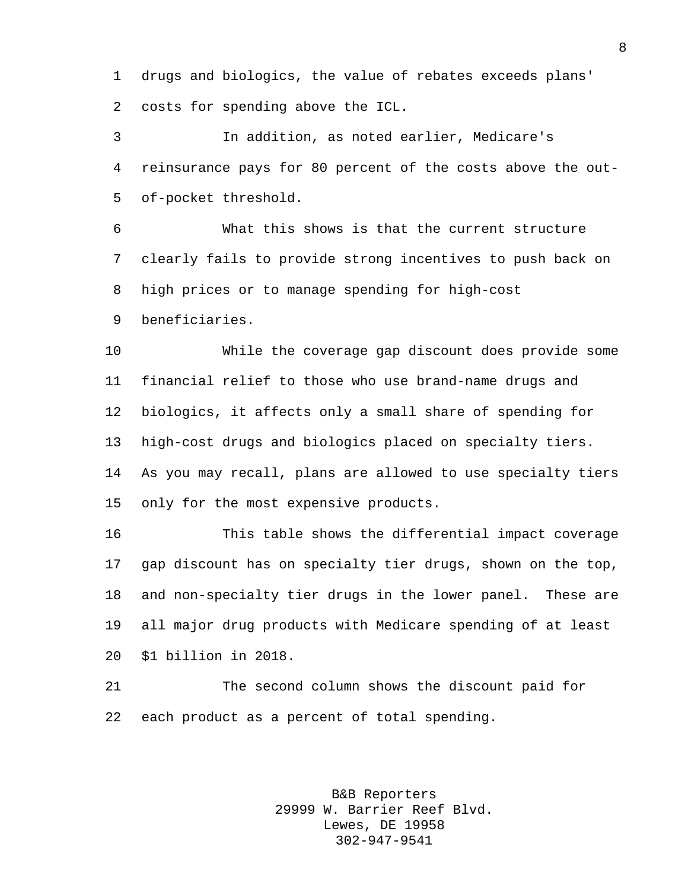drugs and biologics, the value of rebates exceeds plans' costs for spending above the ICL.

 In addition, as noted earlier, Medicare's reinsurance pays for 80 percent of the costs above the out-of-pocket threshold.

 What this shows is that the current structure clearly fails to provide strong incentives to push back on high prices or to manage spending for high-cost

beneficiaries.

 While the coverage gap discount does provide some financial relief to those who use brand-name drugs and biologics, it affects only a small share of spending for high-cost drugs and biologics placed on specialty tiers. As you may recall, plans are allowed to use specialty tiers only for the most expensive products.

 This table shows the differential impact coverage gap discount has on specialty tier drugs, shown on the top, and non-specialty tier drugs in the lower panel. These are all major drug products with Medicare spending of at least \$1 billion in 2018.

 The second column shows the discount paid for each product as a percent of total spending.

> B&B Reporters 29999 W. Barrier Reef Blvd. Lewes, DE 19958 302-947-9541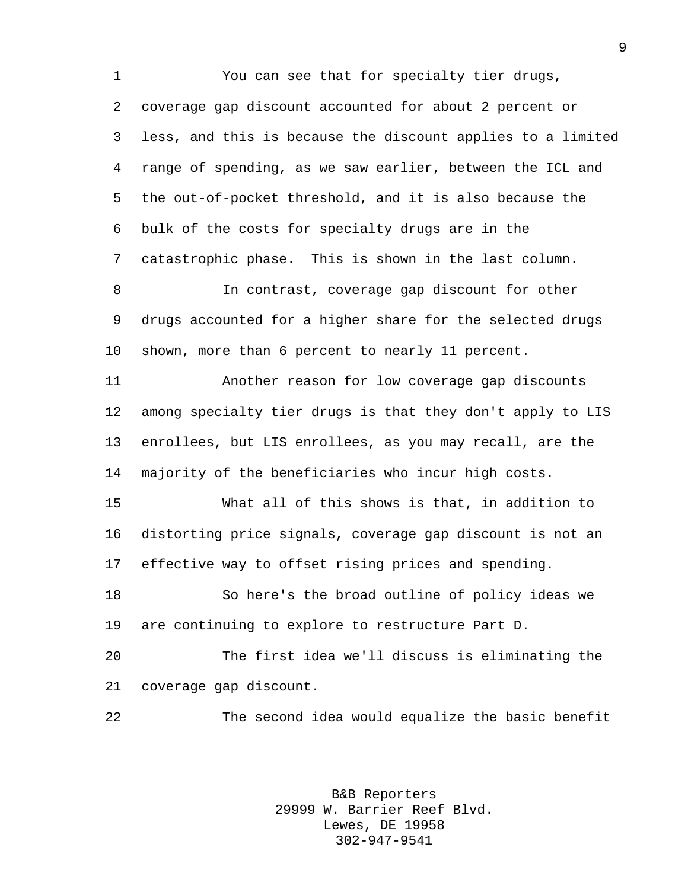You can see that for specialty tier drugs, coverage gap discount accounted for about 2 percent or less, and this is because the discount applies to a limited range of spending, as we saw earlier, between the ICL and the out-of-pocket threshold, and it is also because the bulk of the costs for specialty drugs are in the catastrophic phase. This is shown in the last column. In contrast, coverage gap discount for other drugs accounted for a higher share for the selected drugs shown, more than 6 percent to nearly 11 percent. Another reason for low coverage gap discounts among specialty tier drugs is that they don't apply to LIS enrollees, but LIS enrollees, as you may recall, are the majority of the beneficiaries who incur high costs. What all of this shows is that, in addition to distorting price signals, coverage gap discount is not an effective way to offset rising prices and spending. So here's the broad outline of policy ideas we are continuing to explore to restructure Part D. The first idea we'll discuss is eliminating the coverage gap discount. The second idea would equalize the basic benefit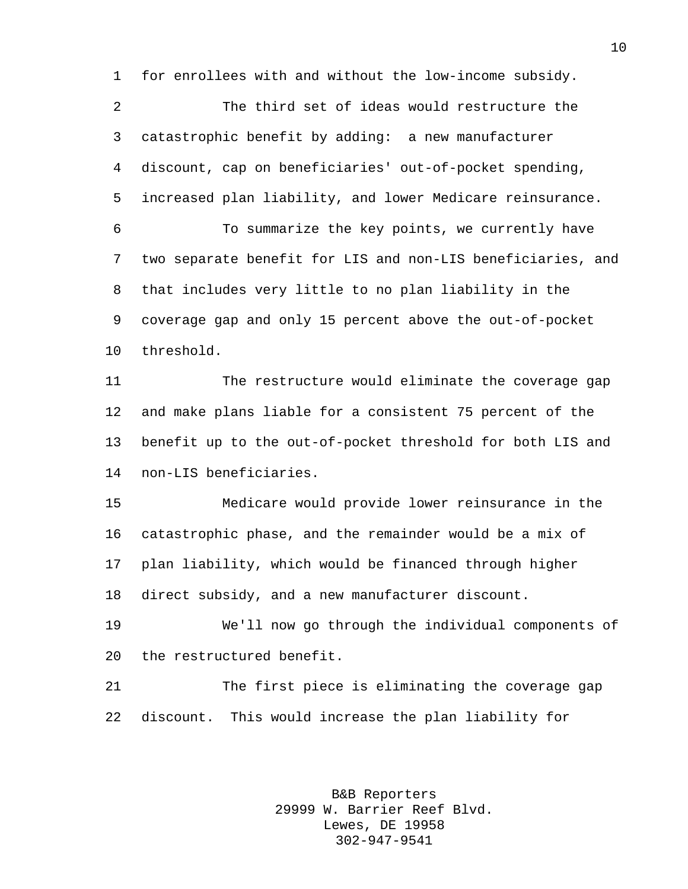for enrollees with and without the low-income subsidy.

 The third set of ideas would restructure the catastrophic benefit by adding: a new manufacturer discount, cap on beneficiaries' out-of-pocket spending, increased plan liability, and lower Medicare reinsurance.

 To summarize the key points, we currently have two separate benefit for LIS and non-LIS beneficiaries, and that includes very little to no plan liability in the coverage gap and only 15 percent above the out-of-pocket threshold.

 The restructure would eliminate the coverage gap and make plans liable for a consistent 75 percent of the benefit up to the out-of-pocket threshold for both LIS and non-LIS beneficiaries.

 Medicare would provide lower reinsurance in the catastrophic phase, and the remainder would be a mix of plan liability, which would be financed through higher direct subsidy, and a new manufacturer discount.

 We'll now go through the individual components of the restructured benefit.

 The first piece is eliminating the coverage gap discount. This would increase the plan liability for

> B&B Reporters 29999 W. Barrier Reef Blvd. Lewes, DE 19958 302-947-9541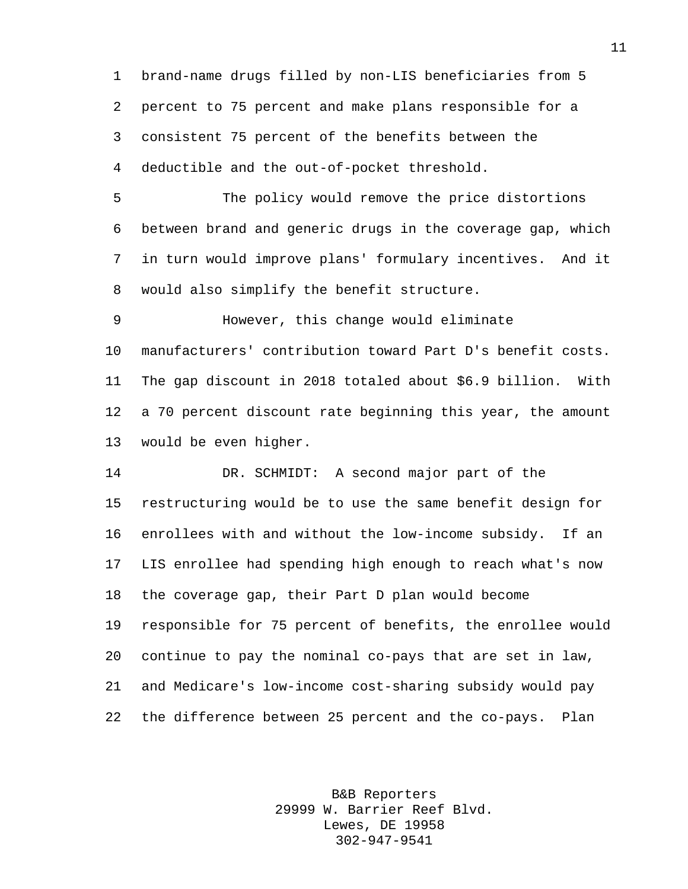brand-name drugs filled by non-LIS beneficiaries from 5 percent to 75 percent and make plans responsible for a consistent 75 percent of the benefits between the deductible and the out-of-pocket threshold.

 The policy would remove the price distortions between brand and generic drugs in the coverage gap, which in turn would improve plans' formulary incentives. And it would also simplify the benefit structure.

 However, this change would eliminate manufacturers' contribution toward Part D's benefit costs. The gap discount in 2018 totaled about \$6.9 billion. With a 70 percent discount rate beginning this year, the amount would be even higher.

 DR. SCHMIDT: A second major part of the restructuring would be to use the same benefit design for enrollees with and without the low-income subsidy. If an LIS enrollee had spending high enough to reach what's now the coverage gap, their Part D plan would become responsible for 75 percent of benefits, the enrollee would continue to pay the nominal co-pays that are set in law, and Medicare's low-income cost-sharing subsidy would pay the difference between 25 percent and the co-pays. Plan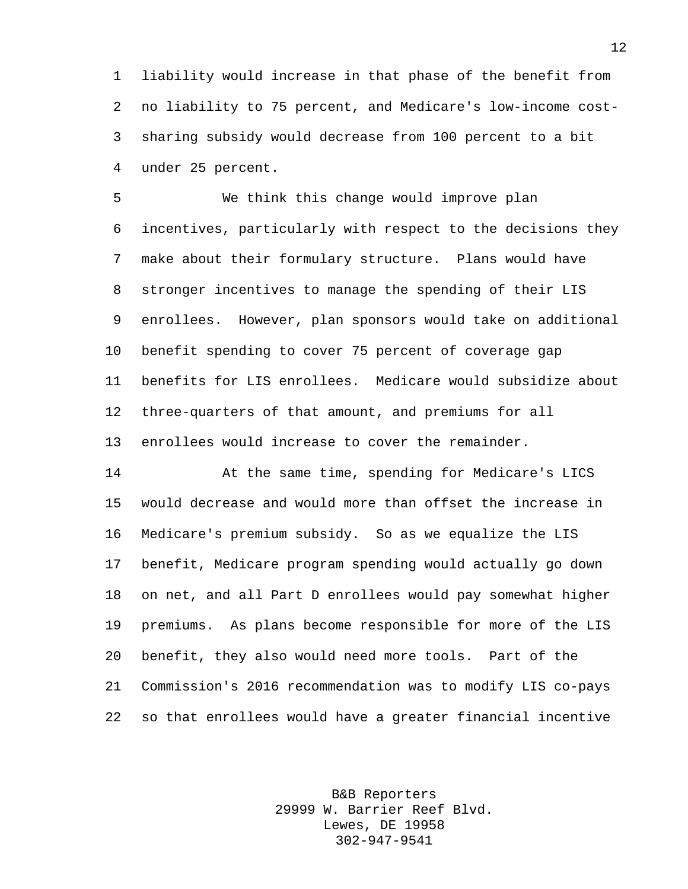liability would increase in that phase of the benefit from no liability to 75 percent, and Medicare's low-income cost- sharing subsidy would decrease from 100 percent to a bit under 25 percent.

 We think this change would improve plan incentives, particularly with respect to the decisions they make about their formulary structure. Plans would have stronger incentives to manage the spending of their LIS enrollees. However, plan sponsors would take on additional benefit spending to cover 75 percent of coverage gap benefits for LIS enrollees. Medicare would subsidize about three-quarters of that amount, and premiums for all enrollees would increase to cover the remainder.

 At the same time, spending for Medicare's LICS would decrease and would more than offset the increase in Medicare's premium subsidy. So as we equalize the LIS benefit, Medicare program spending would actually go down on net, and all Part D enrollees would pay somewhat higher premiums. As plans become responsible for more of the LIS benefit, they also would need more tools. Part of the Commission's 2016 recommendation was to modify LIS co-pays so that enrollees would have a greater financial incentive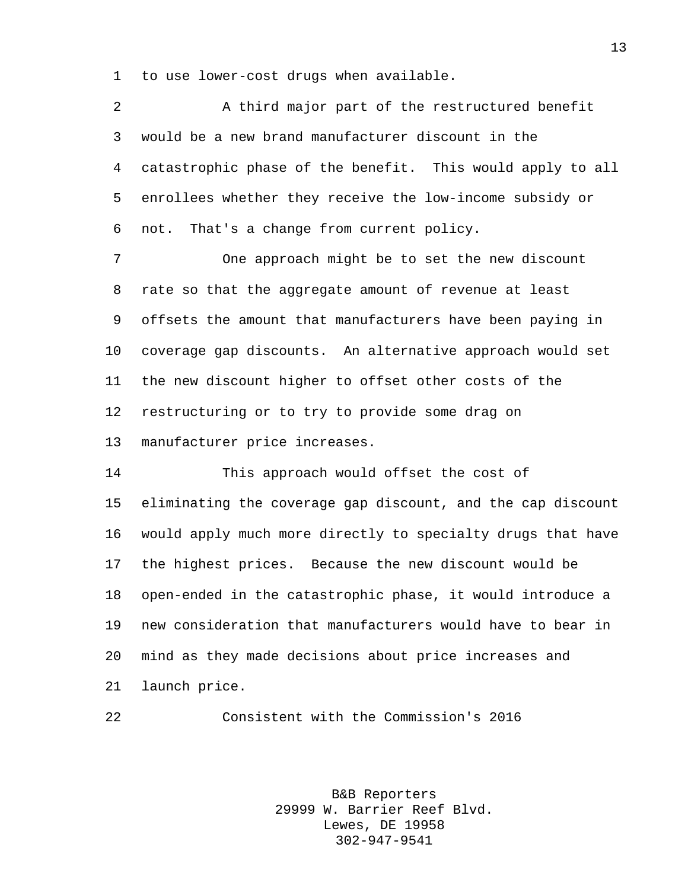to use lower-cost drugs when available.

| $\overline{2}$ | A third major part of the restructured benefit              |
|----------------|-------------------------------------------------------------|
| 3              | would be a new brand manufacturer discount in the           |
| 4              | catastrophic phase of the benefit. This would apply to all  |
| 5              | enrollees whether they receive the low-income subsidy or    |
| 6              | That's a change from current policy.<br>not.                |
| 7              | One approach might be to set the new discount               |
| 8              | rate so that the aggregate amount of revenue at least       |
| 9              | offsets the amount that manufacturers have been paying in   |
| $10 \,$        | coverage gap discounts. An alternative approach would set   |
| 11             | the new discount higher to offset other costs of the        |
| 12             | restructuring or to try to provide some drag on             |
| 13             | manufacturer price increases.                               |
| 14             | This approach would offset the cost of                      |
| 15             | eliminating the coverage gap discount, and the cap discount |
| 16             | would apply much more directly to specialty drugs that have |
| 17             | the highest prices. Because the new discount would be       |
| 18             | open-ended in the catastrophic phase, it would introduce a  |
| 19             | new consideration that manufacturers would have to bear in  |
| 20             | mind as they made decisions about price increases and       |
| 21             | launch price.                                               |

Consistent with the Commission's 2016

B&B Reporters 29999 W. Barrier Reef Blvd. Lewes, DE 19958 302-947-9541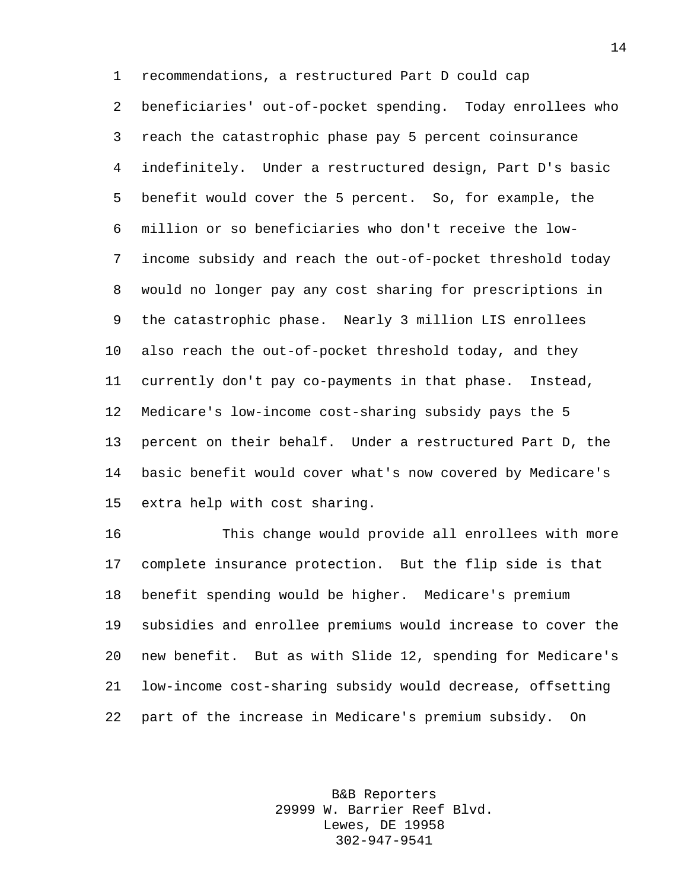recommendations, a restructured Part D could cap beneficiaries' out-of-pocket spending. Today enrollees who reach the catastrophic phase pay 5 percent coinsurance indefinitely. Under a restructured design, Part D's basic benefit would cover the 5 percent. So, for example, the million or so beneficiaries who don't receive the low- income subsidy and reach the out-of-pocket threshold today would no longer pay any cost sharing for prescriptions in the catastrophic phase. Nearly 3 million LIS enrollees also reach the out-of-pocket threshold today, and they currently don't pay co-payments in that phase. Instead, Medicare's low-income cost-sharing subsidy pays the 5 percent on their behalf. Under a restructured Part D, the basic benefit would cover what's now covered by Medicare's extra help with cost sharing.

 This change would provide all enrollees with more complete insurance protection. But the flip side is that benefit spending would be higher. Medicare's premium subsidies and enrollee premiums would increase to cover the new benefit. But as with Slide 12, spending for Medicare's low-income cost-sharing subsidy would decrease, offsetting part of the increase in Medicare's premium subsidy. On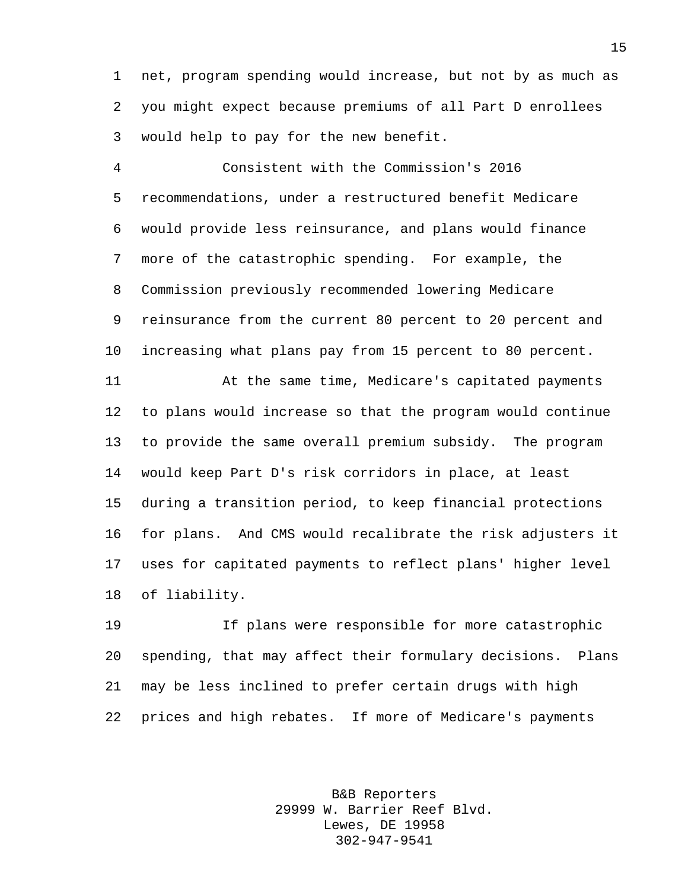net, program spending would increase, but not by as much as you might expect because premiums of all Part D enrollees would help to pay for the new benefit.

 Consistent with the Commission's 2016 recommendations, under a restructured benefit Medicare would provide less reinsurance, and plans would finance more of the catastrophic spending. For example, the Commission previously recommended lowering Medicare reinsurance from the current 80 percent to 20 percent and increasing what plans pay from 15 percent to 80 percent.

 At the same time, Medicare's capitated payments to plans would increase so that the program would continue to provide the same overall premium subsidy. The program would keep Part D's risk corridors in place, at least during a transition period, to keep financial protections for plans. And CMS would recalibrate the risk adjusters it uses for capitated payments to reflect plans' higher level of liability.

 If plans were responsible for more catastrophic spending, that may affect their formulary decisions. Plans may be less inclined to prefer certain drugs with high prices and high rebates. If more of Medicare's payments

> B&B Reporters 29999 W. Barrier Reef Blvd. Lewes, DE 19958 302-947-9541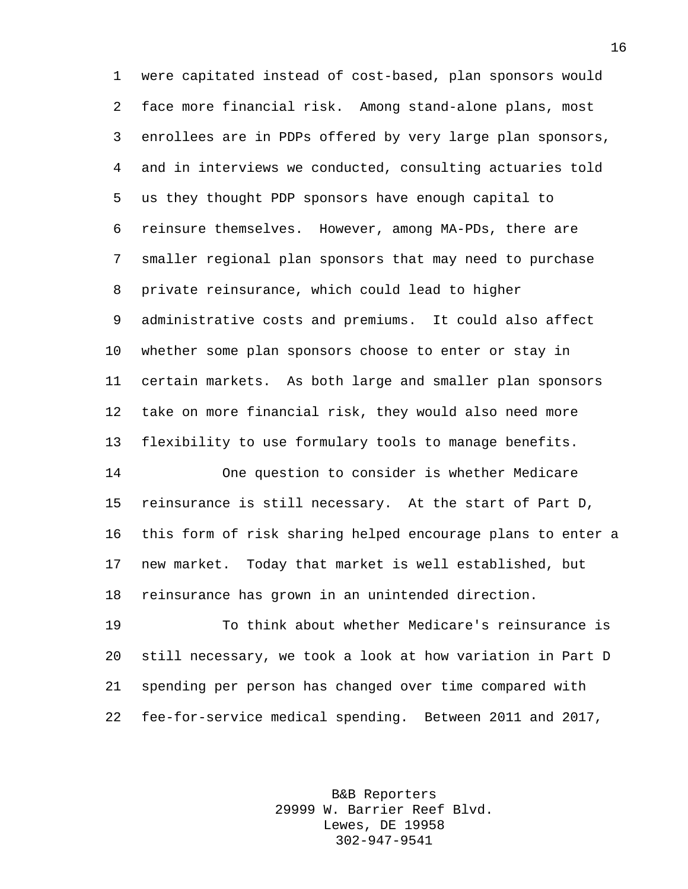were capitated instead of cost-based, plan sponsors would face more financial risk. Among stand-alone plans, most enrollees are in PDPs offered by very large plan sponsors, and in interviews we conducted, consulting actuaries told us they thought PDP sponsors have enough capital to reinsure themselves. However, among MA-PDs, there are smaller regional plan sponsors that may need to purchase private reinsurance, which could lead to higher administrative costs and premiums. It could also affect whether some plan sponsors choose to enter or stay in certain markets. As both large and smaller plan sponsors take on more financial risk, they would also need more flexibility to use formulary tools to manage benefits. One question to consider is whether Medicare

 reinsurance is still necessary. At the start of Part D, this form of risk sharing helped encourage plans to enter a new market. Today that market is well established, but reinsurance has grown in an unintended direction.

 To think about whether Medicare's reinsurance is still necessary, we took a look at how variation in Part D spending per person has changed over time compared with fee-for-service medical spending. Between 2011 and 2017,

> B&B Reporters 29999 W. Barrier Reef Blvd. Lewes, DE 19958 302-947-9541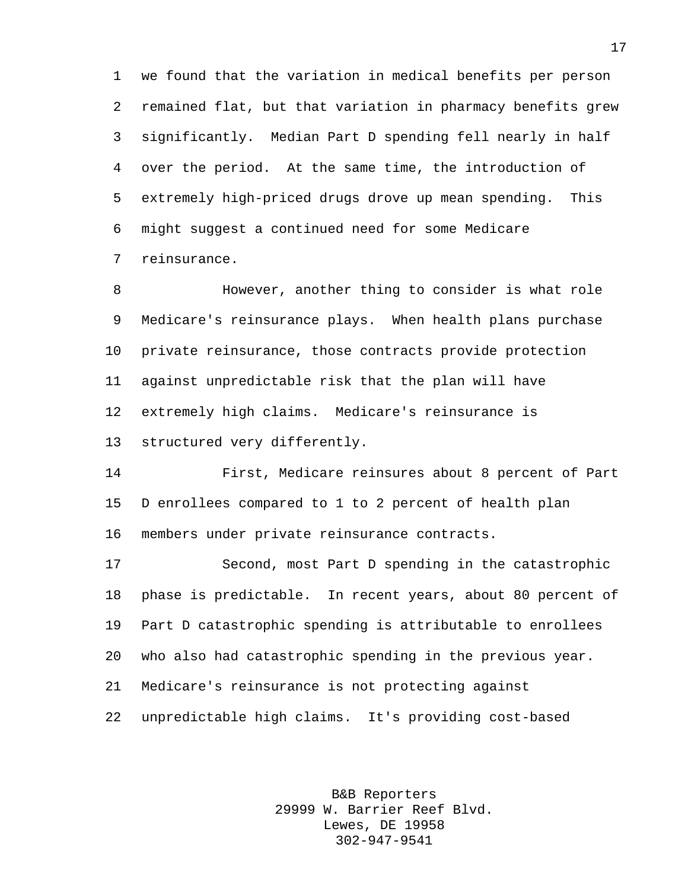we found that the variation in medical benefits per person remained flat, but that variation in pharmacy benefits grew significantly. Median Part D spending fell nearly in half over the period. At the same time, the introduction of extremely high-priced drugs drove up mean spending. This might suggest a continued need for some Medicare reinsurance.

 However, another thing to consider is what role Medicare's reinsurance plays. When health plans purchase private reinsurance, those contracts provide protection against unpredictable risk that the plan will have extremely high claims. Medicare's reinsurance is structured very differently.

 First, Medicare reinsures about 8 percent of Part D enrollees compared to 1 to 2 percent of health plan members under private reinsurance contracts.

 Second, most Part D spending in the catastrophic phase is predictable. In recent years, about 80 percent of Part D catastrophic spending is attributable to enrollees who also had catastrophic spending in the previous year. Medicare's reinsurance is not protecting against unpredictable high claims. It's providing cost-based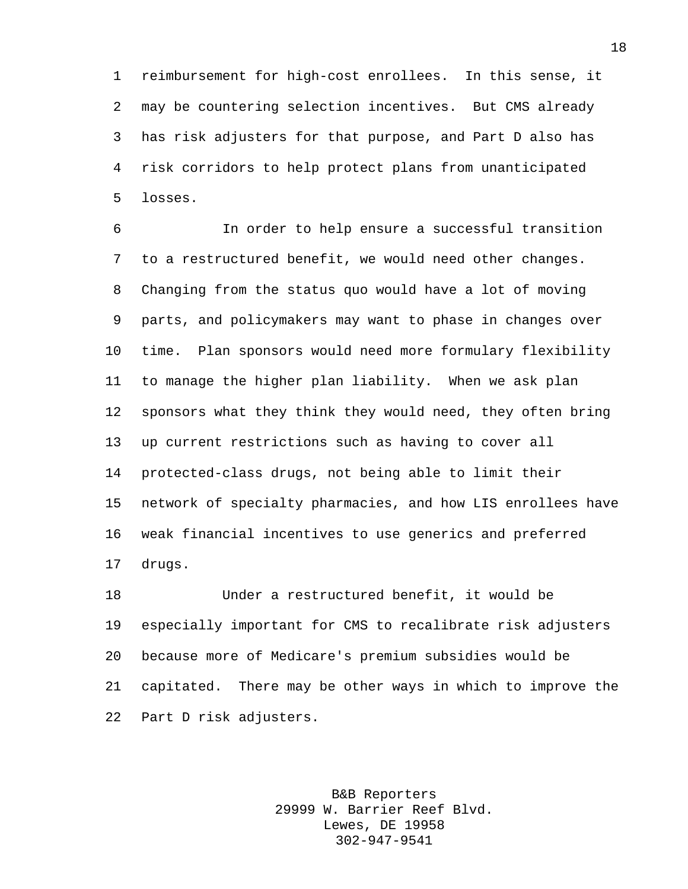reimbursement for high-cost enrollees. In this sense, it may be countering selection incentives. But CMS already has risk adjusters for that purpose, and Part D also has risk corridors to help protect plans from unanticipated losses.

 In order to help ensure a successful transition to a restructured benefit, we would need other changes. Changing from the status quo would have a lot of moving parts, and policymakers may want to phase in changes over time. Plan sponsors would need more formulary flexibility to manage the higher plan liability. When we ask plan sponsors what they think they would need, they often bring up current restrictions such as having to cover all protected-class drugs, not being able to limit their network of specialty pharmacies, and how LIS enrollees have weak financial incentives to use generics and preferred drugs.

 Under a restructured benefit, it would be especially important for CMS to recalibrate risk adjusters because more of Medicare's premium subsidies would be capitated. There may be other ways in which to improve the Part D risk adjusters.

> B&B Reporters 29999 W. Barrier Reef Blvd. Lewes, DE 19958 302-947-9541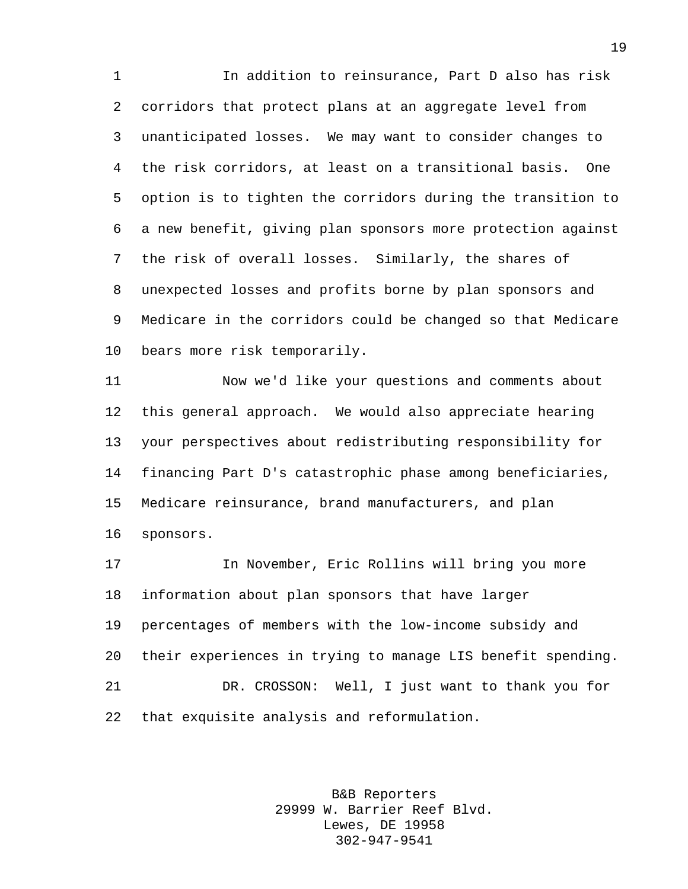In addition to reinsurance, Part D also has risk corridors that protect plans at an aggregate level from unanticipated losses. We may want to consider changes to the risk corridors, at least on a transitional basis. One option is to tighten the corridors during the transition to a new benefit, giving plan sponsors more protection against the risk of overall losses. Similarly, the shares of unexpected losses and profits borne by plan sponsors and Medicare in the corridors could be changed so that Medicare bears more risk temporarily.

 Now we'd like your questions and comments about this general approach. We would also appreciate hearing your perspectives about redistributing responsibility for financing Part D's catastrophic phase among beneficiaries, Medicare reinsurance, brand manufacturers, and plan sponsors.

 In November, Eric Rollins will bring you more information about plan sponsors that have larger percentages of members with the low-income subsidy and their experiences in trying to manage LIS benefit spending. DR. CROSSON: Well, I just want to thank you for that exquisite analysis and reformulation.

> B&B Reporters 29999 W. Barrier Reef Blvd. Lewes, DE 19958 302-947-9541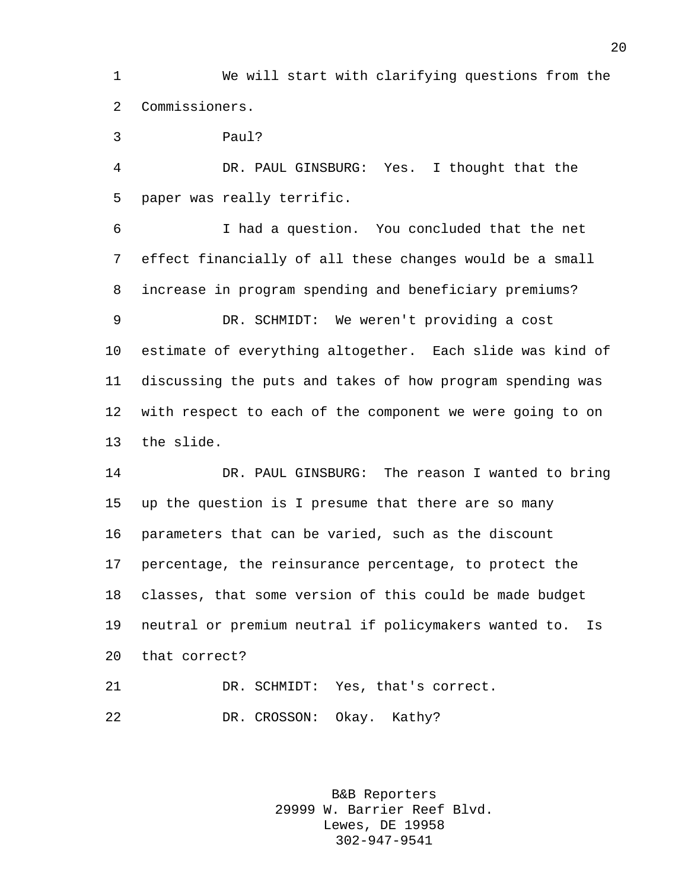We will start with clarifying questions from the Commissioners.

Paul?

 DR. PAUL GINSBURG: Yes. I thought that the paper was really terrific.

 I had a question. You concluded that the net effect financially of all these changes would be a small increase in program spending and beneficiary premiums? DR. SCHMIDT: We weren't providing a cost estimate of everything altogether. Each slide was kind of discussing the puts and takes of how program spending was with respect to each of the component we were going to on the slide.

 DR. PAUL GINSBURG: The reason I wanted to bring up the question is I presume that there are so many parameters that can be varied, such as the discount percentage, the reinsurance percentage, to protect the classes, that some version of this could be made budget neutral or premium neutral if policymakers wanted to. Is that correct?

 DR. SCHMIDT: Yes, that's correct. DR. CROSSON: Okay. Kathy?

> B&B Reporters 29999 W. Barrier Reef Blvd. Lewes, DE 19958 302-947-9541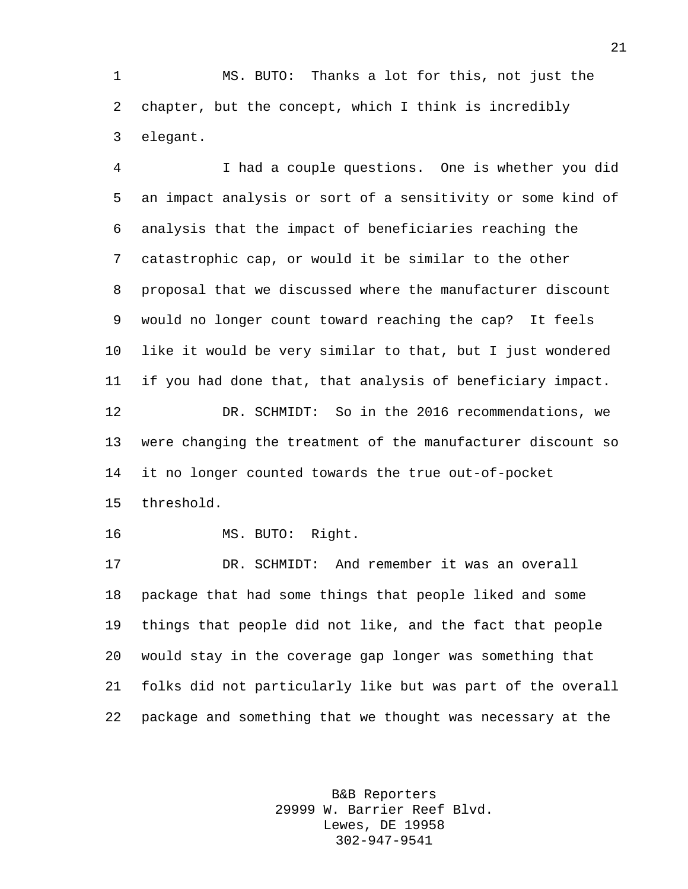MS. BUTO: Thanks a lot for this, not just the chapter, but the concept, which I think is incredibly elegant.

 I had a couple questions. One is whether you did an impact analysis or sort of a sensitivity or some kind of analysis that the impact of beneficiaries reaching the catastrophic cap, or would it be similar to the other proposal that we discussed where the manufacturer discount would no longer count toward reaching the cap? It feels like it would be very similar to that, but I just wondered if you had done that, that analysis of beneficiary impact. DR. SCHMIDT: So in the 2016 recommendations, we were changing the treatment of the manufacturer discount so it no longer counted towards the true out-of-pocket threshold. MS. BUTO: Right.

 DR. SCHMIDT: And remember it was an overall package that had some things that people liked and some things that people did not like, and the fact that people would stay in the coverage gap longer was something that folks did not particularly like but was part of the overall package and something that we thought was necessary at the

> B&B Reporters 29999 W. Barrier Reef Blvd. Lewes, DE 19958 302-947-9541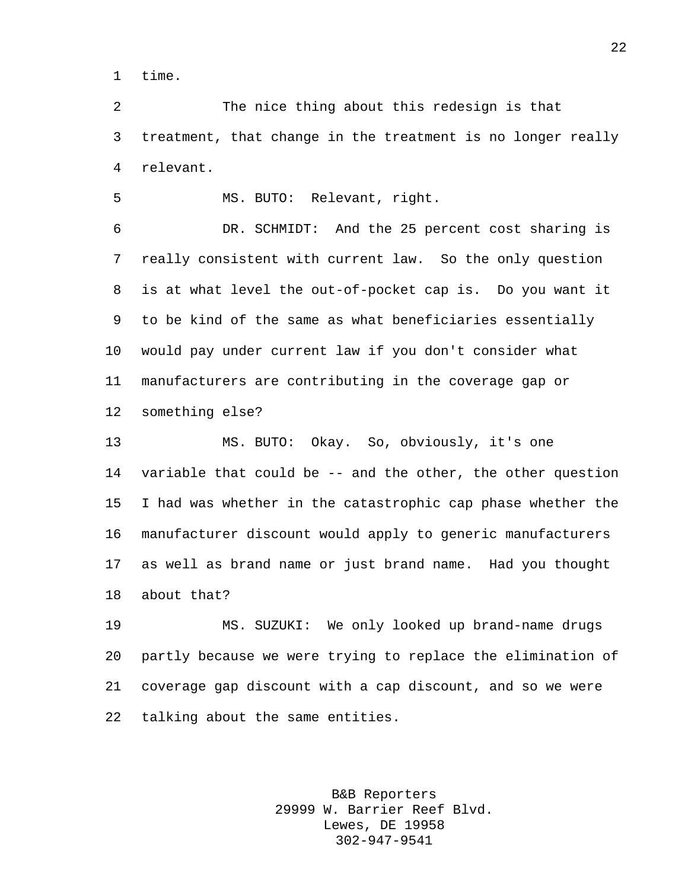time.

 The nice thing about this redesign is that treatment, that change in the treatment is no longer really relevant.

MS. BUTO: Relevant, right.

 DR. SCHMIDT: And the 25 percent cost sharing is really consistent with current law. So the only question is at what level the out-of-pocket cap is. Do you want it to be kind of the same as what beneficiaries essentially would pay under current law if you don't consider what manufacturers are contributing in the coverage gap or something else?

 MS. BUTO: Okay. So, obviously, it's one variable that could be -- and the other, the other question I had was whether in the catastrophic cap phase whether the manufacturer discount would apply to generic manufacturers as well as brand name or just brand name. Had you thought about that?

 MS. SUZUKI: We only looked up brand-name drugs partly because we were trying to replace the elimination of coverage gap discount with a cap discount, and so we were talking about the same entities.

> B&B Reporters 29999 W. Barrier Reef Blvd. Lewes, DE 19958 302-947-9541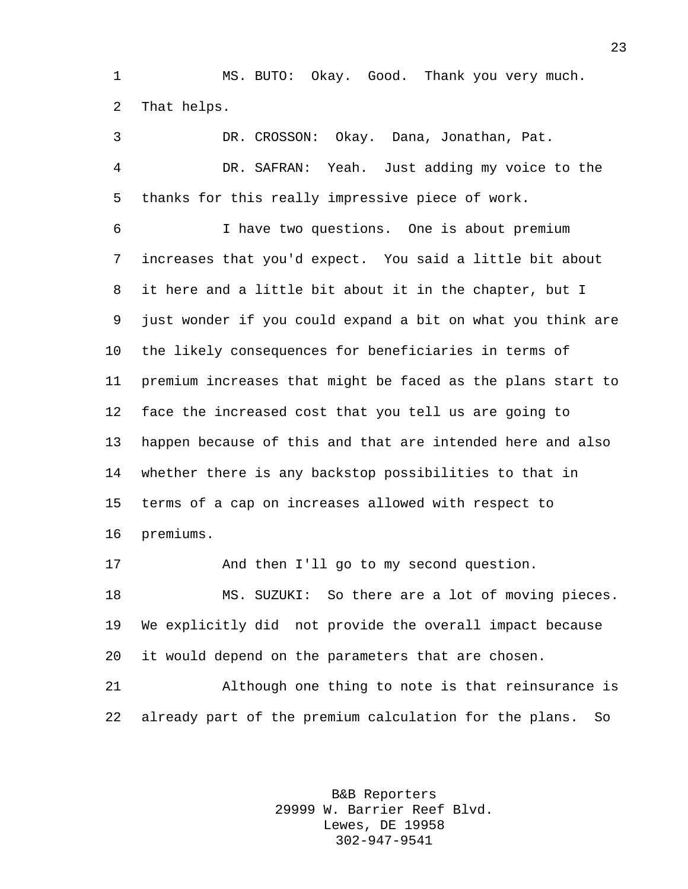MS. BUTO: Okay. Good. Thank you very much. That helps.

 DR. CROSSON: Okay. Dana, Jonathan, Pat. DR. SAFRAN: Yeah. Just adding my voice to the thanks for this really impressive piece of work. I have two questions. One is about premium increases that you'd expect. You said a little bit about it here and a little bit about it in the chapter, but I just wonder if you could expand a bit on what you think are the likely consequences for beneficiaries in terms of premium increases that might be faced as the plans start to face the increased cost that you tell us are going to happen because of this and that are intended here and also whether there is any backstop possibilities to that in terms of a cap on increases allowed with respect to premiums.

 And then I'll go to my second question. MS. SUZUKI: So there are a lot of moving pieces. We explicitly did not provide the overall impact because it would depend on the parameters that are chosen.

 Although one thing to note is that reinsurance is already part of the premium calculation for the plans. So

> B&B Reporters 29999 W. Barrier Reef Blvd. Lewes, DE 19958 302-947-9541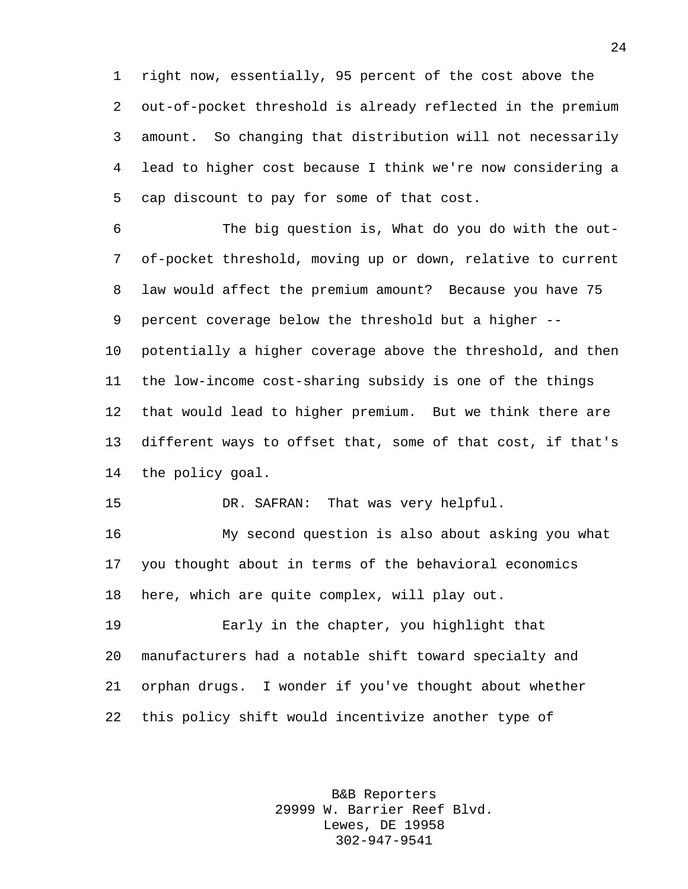right now, essentially, 95 percent of the cost above the out-of-pocket threshold is already reflected in the premium amount. So changing that distribution will not necessarily lead to higher cost because I think we're now considering a cap discount to pay for some of that cost.

 The big question is, What do you do with the out- of-pocket threshold, moving up or down, relative to current law would affect the premium amount? Because you have 75 percent coverage below the threshold but a higher -- potentially a higher coverage above the threshold, and then the low-income cost-sharing subsidy is one of the things that would lead to higher premium. But we think there are different ways to offset that, some of that cost, if that's the policy goal.

DR. SAFRAN: That was very helpful.

 My second question is also about asking you what you thought about in terms of the behavioral economics here, which are quite complex, will play out.

 Early in the chapter, you highlight that manufacturers had a notable shift toward specialty and orphan drugs. I wonder if you've thought about whether this policy shift would incentivize another type of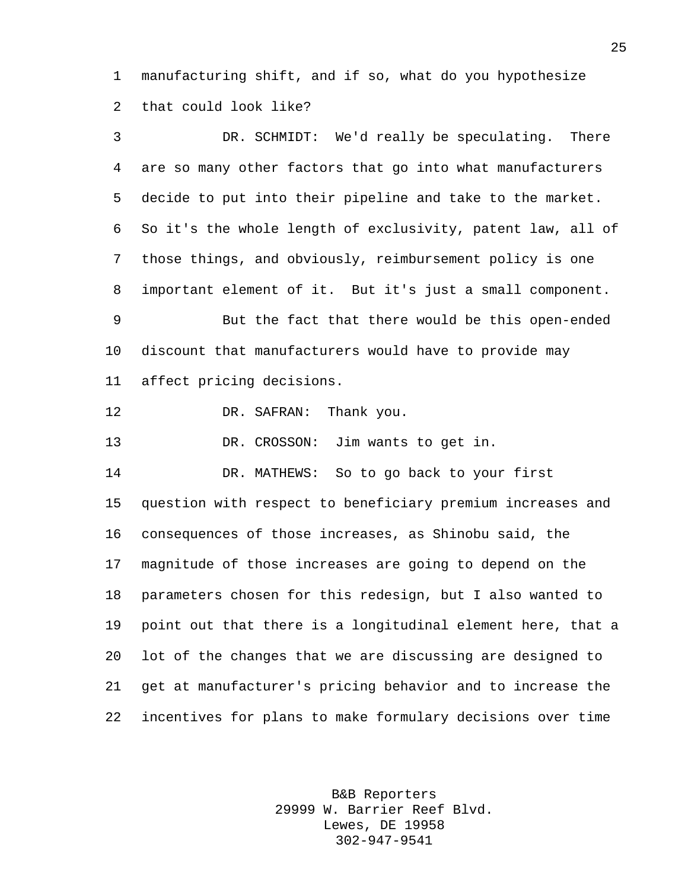manufacturing shift, and if so, what do you hypothesize that could look like?

 DR. SCHMIDT: We'd really be speculating. There are so many other factors that go into what manufacturers decide to put into their pipeline and take to the market. So it's the whole length of exclusivity, patent law, all of those things, and obviously, reimbursement policy is one important element of it. But it's just a small component. But the fact that there would be this open-ended discount that manufacturers would have to provide may affect pricing decisions. 12 DR. SAFRAN: Thank you. DR. CROSSON: Jim wants to get in. DR. MATHEWS: So to go back to your first question with respect to beneficiary premium increases and consequences of those increases, as Shinobu said, the magnitude of those increases are going to depend on the parameters chosen for this redesign, but I also wanted to point out that there is a longitudinal element here, that a lot of the changes that we are discussing are designed to get at manufacturer's pricing behavior and to increase the incentives for plans to make formulary decisions over time

> B&B Reporters 29999 W. Barrier Reef Blvd. Lewes, DE 19958 302-947-9541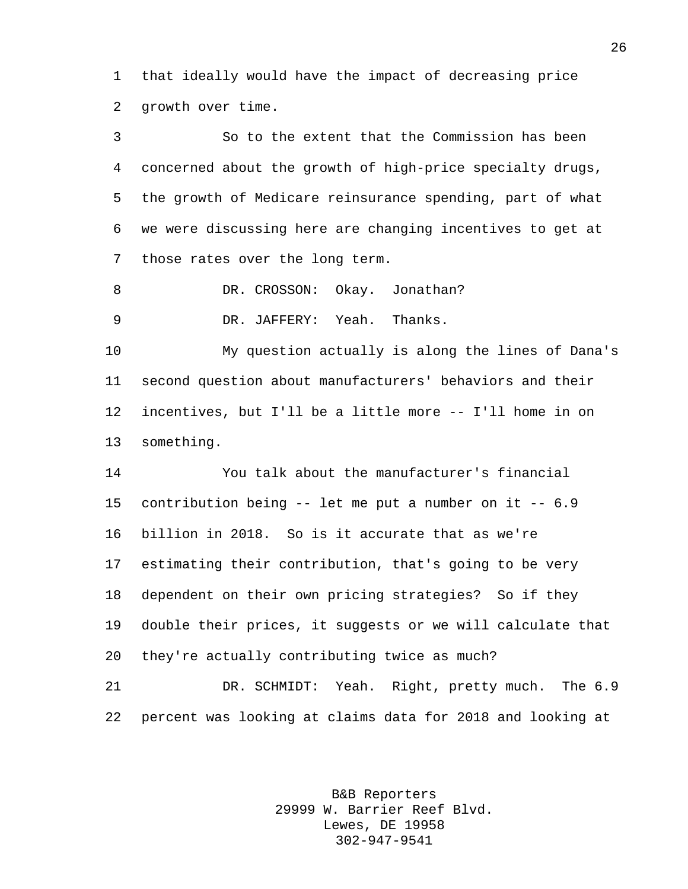that ideally would have the impact of decreasing price growth over time.

 So to the extent that the Commission has been concerned about the growth of high-price specialty drugs, the growth of Medicare reinsurance spending, part of what we were discussing here are changing incentives to get at those rates over the long term.

8 DR. CROSSON: Okay. Jonathan?

DR. JAFFERY: Yeah. Thanks.

 My question actually is along the lines of Dana's second question about manufacturers' behaviors and their incentives, but I'll be a little more -- I'll home in on something.

 You talk about the manufacturer's financial contribution being -- let me put a number on it -- 6.9 billion in 2018. So is it accurate that as we're estimating their contribution, that's going to be very dependent on their own pricing strategies? So if they double their prices, it suggests or we will calculate that they're actually contributing twice as much?

 DR. SCHMIDT: Yeah. Right, pretty much. The 6.9 percent was looking at claims data for 2018 and looking at

> B&B Reporters 29999 W. Barrier Reef Blvd. Lewes, DE 19958 302-947-9541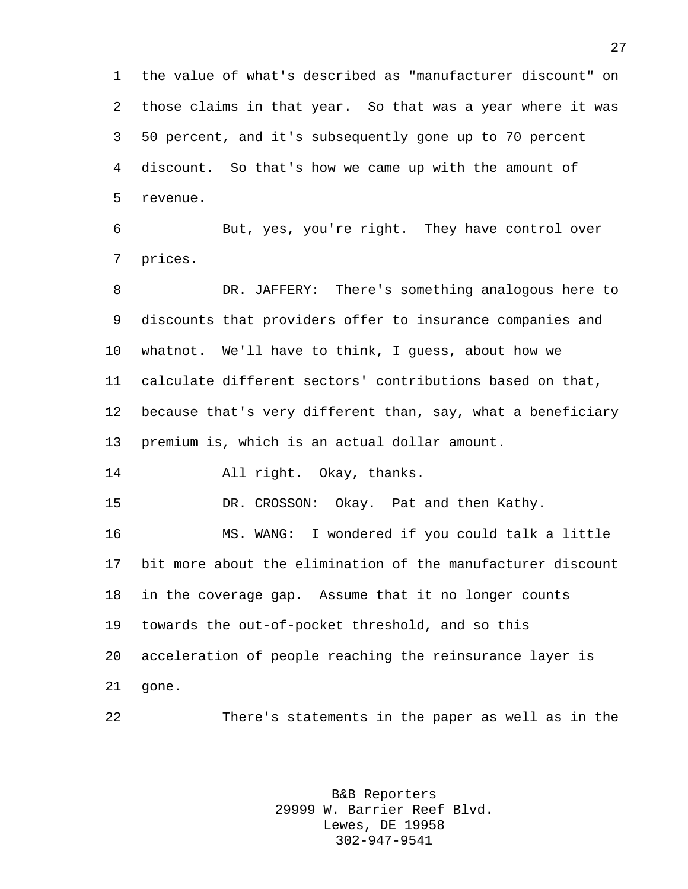the value of what's described as "manufacturer discount" on those claims in that year. So that was a year where it was 50 percent, and it's subsequently gone up to 70 percent discount. So that's how we came up with the amount of revenue.

 But, yes, you're right. They have control over prices.

 DR. JAFFERY: There's something analogous here to discounts that providers offer to insurance companies and whatnot. We'll have to think, I guess, about how we calculate different sectors' contributions based on that, because that's very different than, say, what a beneficiary premium is, which is an actual dollar amount.

All right. Okay, thanks.

DR. CROSSON: Okay. Pat and then Kathy.

 MS. WANG: I wondered if you could talk a little bit more about the elimination of the manufacturer discount in the coverage gap. Assume that it no longer counts towards the out-of-pocket threshold, and so this acceleration of people reaching the reinsurance layer is gone.

There's statements in the paper as well as in the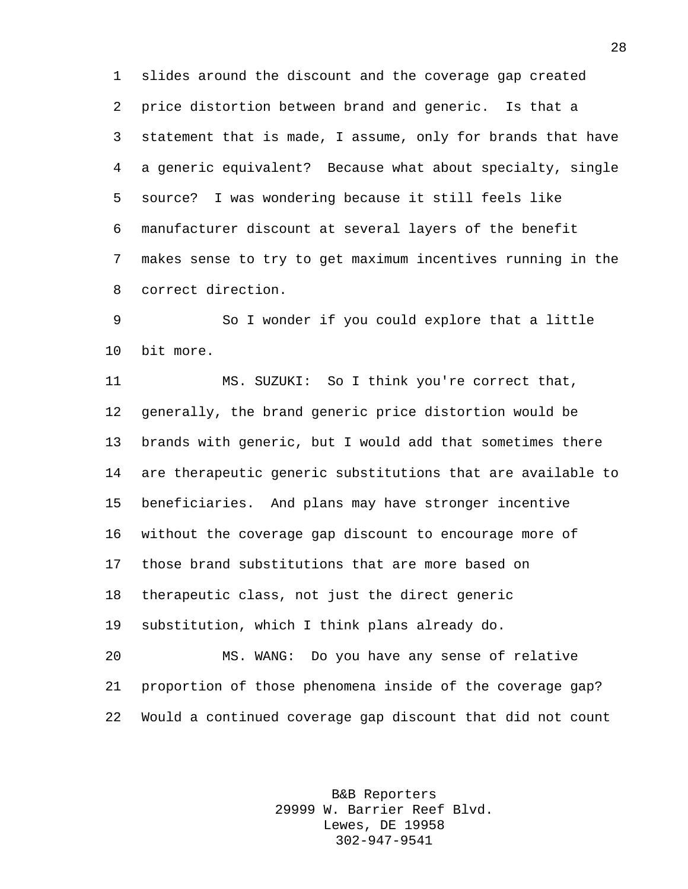slides around the discount and the coverage gap created price distortion between brand and generic. Is that a statement that is made, I assume, only for brands that have a generic equivalent? Because what about specialty, single source? I was wondering because it still feels like manufacturer discount at several layers of the benefit makes sense to try to get maximum incentives running in the correct direction.

 So I wonder if you could explore that a little bit more.

 MS. SUZUKI: So I think you're correct that, generally, the brand generic price distortion would be brands with generic, but I would add that sometimes there are therapeutic generic substitutions that are available to beneficiaries. And plans may have stronger incentive without the coverage gap discount to encourage more of those brand substitutions that are more based on therapeutic class, not just the direct generic substitution, which I think plans already do. MS. WANG: Do you have any sense of relative proportion of those phenomena inside of the coverage gap?

Would a continued coverage gap discount that did not count

B&B Reporters 29999 W. Barrier Reef Blvd. Lewes, DE 19958 302-947-9541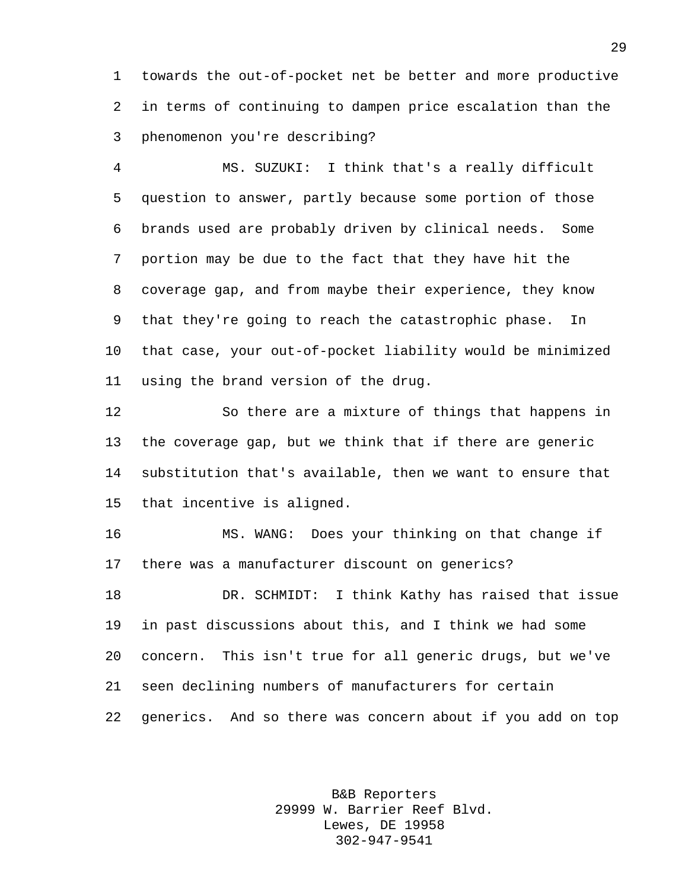towards the out-of-pocket net be better and more productive in terms of continuing to dampen price escalation than the phenomenon you're describing?

 MS. SUZUKI: I think that's a really difficult question to answer, partly because some portion of those brands used are probably driven by clinical needs. Some portion may be due to the fact that they have hit the coverage gap, and from maybe their experience, they know that they're going to reach the catastrophic phase. In that case, your out-of-pocket liability would be minimized using the brand version of the drug.

 So there are a mixture of things that happens in the coverage gap, but we think that if there are generic substitution that's available, then we want to ensure that that incentive is aligned.

 MS. WANG: Does your thinking on that change if there was a manufacturer discount on generics? DR. SCHMIDT: I think Kathy has raised that issue in past discussions about this, and I think we had some concern. This isn't true for all generic drugs, but we've seen declining numbers of manufacturers for certain

generics. And so there was concern about if you add on top

B&B Reporters 29999 W. Barrier Reef Blvd. Lewes, DE 19958 302-947-9541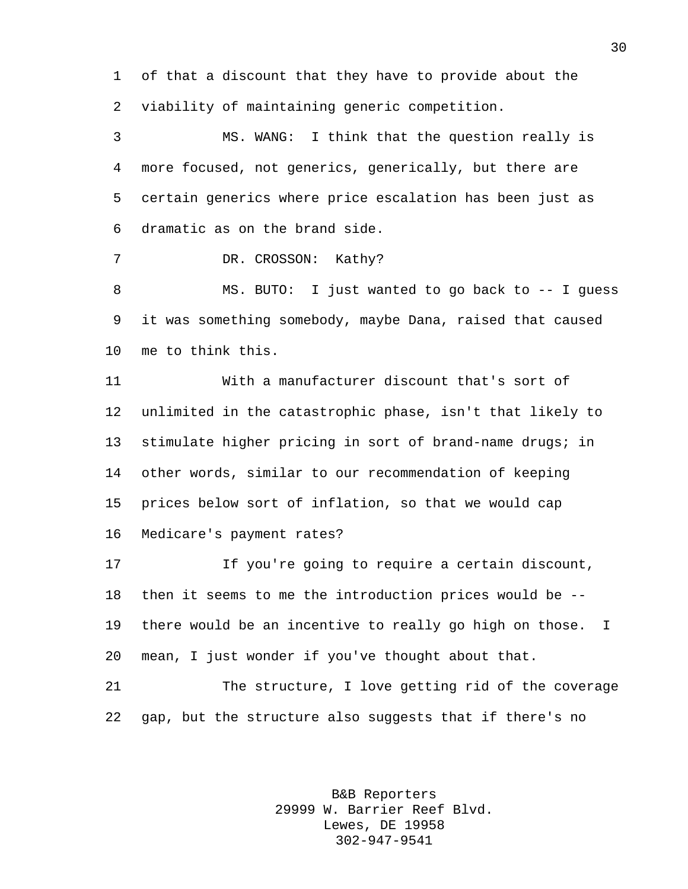of that a discount that they have to provide about the viability of maintaining generic competition.

 MS. WANG: I think that the question really is more focused, not generics, generically, but there are certain generics where price escalation has been just as dramatic as on the brand side.

7 DR. CROSSON: Kathy?

 MS. BUTO: I just wanted to go back to -- I guess it was something somebody, maybe Dana, raised that caused me to think this.

 With a manufacturer discount that's sort of unlimited in the catastrophic phase, isn't that likely to stimulate higher pricing in sort of brand-name drugs; in other words, similar to our recommendation of keeping prices below sort of inflation, so that we would cap Medicare's payment rates?

 If you're going to require a certain discount, then it seems to me the introduction prices would be -- there would be an incentive to really go high on those. I mean, I just wonder if you've thought about that.

 The structure, I love getting rid of the coverage gap, but the structure also suggests that if there's no

> B&B Reporters 29999 W. Barrier Reef Blvd. Lewes, DE 19958 302-947-9541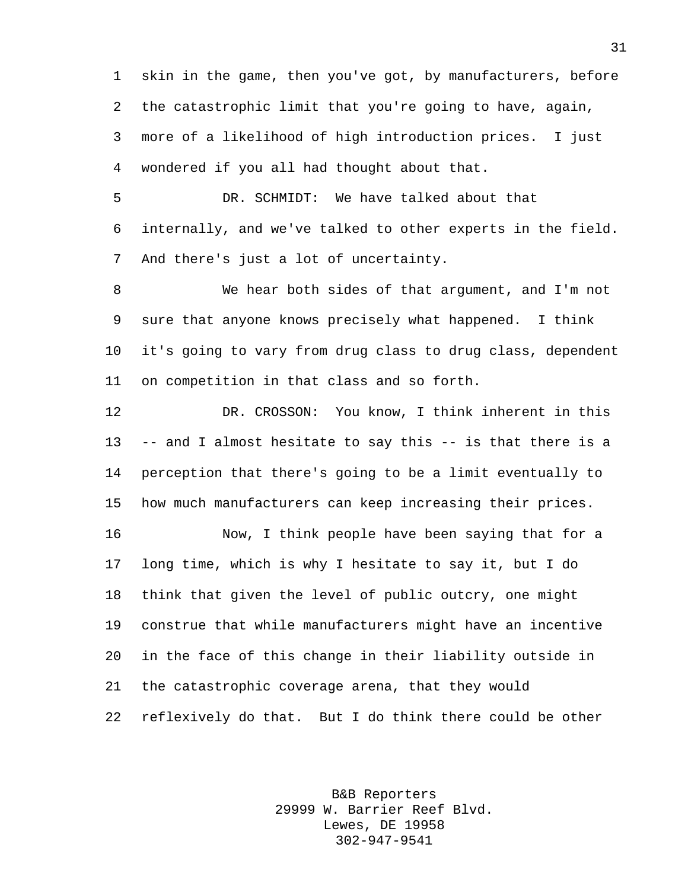skin in the game, then you've got, by manufacturers, before the catastrophic limit that you're going to have, again, more of a likelihood of high introduction prices. I just wondered if you all had thought about that.

 DR. SCHMIDT: We have talked about that internally, and we've talked to other experts in the field. And there's just a lot of uncertainty.

 We hear both sides of that argument, and I'm not sure that anyone knows precisely what happened. I think it's going to vary from drug class to drug class, dependent on competition in that class and so forth.

 DR. CROSSON: You know, I think inherent in this -- and I almost hesitate to say this -- is that there is a perception that there's going to be a limit eventually to how much manufacturers can keep increasing their prices.

 Now, I think people have been saying that for a long time, which is why I hesitate to say it, but I do think that given the level of public outcry, one might construe that while manufacturers might have an incentive in the face of this change in their liability outside in the catastrophic coverage arena, that they would reflexively do that. But I do think there could be other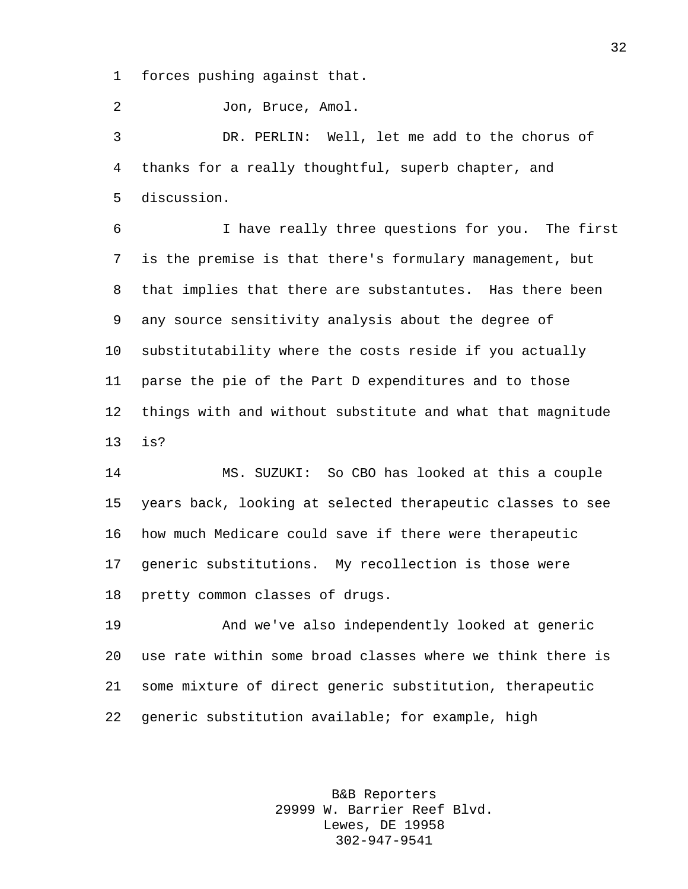forces pushing against that.

Jon, Bruce, Amol.

 DR. PERLIN: Well, let me add to the chorus of thanks for a really thoughtful, superb chapter, and discussion.

 I have really three questions for you. The first is the premise is that there's formulary management, but that implies that there are substantutes. Has there been any source sensitivity analysis about the degree of substitutability where the costs reside if you actually parse the pie of the Part D expenditures and to those things with and without substitute and what that magnitude is?

 MS. SUZUKI: So CBO has looked at this a couple years back, looking at selected therapeutic classes to see how much Medicare could save if there were therapeutic generic substitutions. My recollection is those were pretty common classes of drugs.

 And we've also independently looked at generic use rate within some broad classes where we think there is some mixture of direct generic substitution, therapeutic generic substitution available; for example, high

> B&B Reporters 29999 W. Barrier Reef Blvd. Lewes, DE 19958 302-947-9541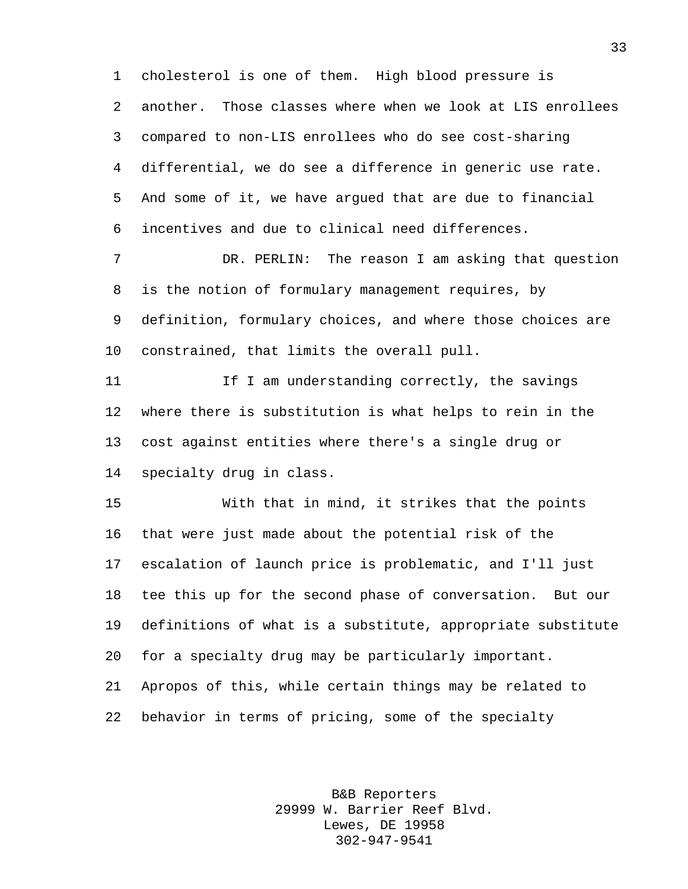cholesterol is one of them. High blood pressure is another. Those classes where when we look at LIS enrollees compared to non-LIS enrollees who do see cost-sharing differential, we do see a difference in generic use rate. And some of it, we have argued that are due to financial incentives and due to clinical need differences.

 DR. PERLIN: The reason I am asking that question is the notion of formulary management requires, by definition, formulary choices, and where those choices are constrained, that limits the overall pull.

11 11 If I am understanding correctly, the savings where there is substitution is what helps to rein in the cost against entities where there's a single drug or specialty drug in class.

 With that in mind, it strikes that the points that were just made about the potential risk of the escalation of launch price is problematic, and I'll just tee this up for the second phase of conversation. But our definitions of what is a substitute, appropriate substitute for a specialty drug may be particularly important. Apropos of this, while certain things may be related to behavior in terms of pricing, some of the specialty

> B&B Reporters 29999 W. Barrier Reef Blvd. Lewes, DE 19958 302-947-9541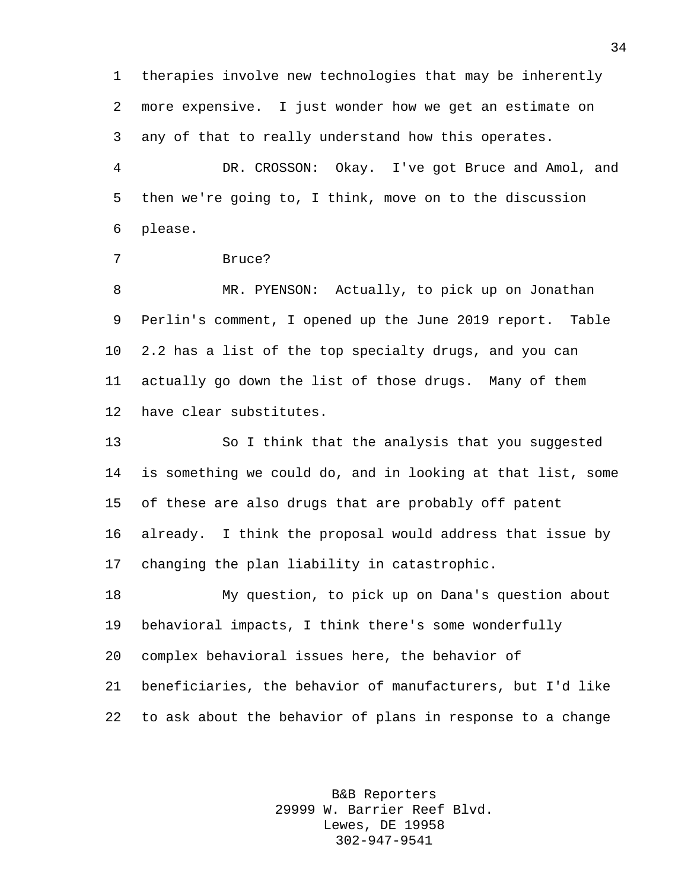therapies involve new technologies that may be inherently more expensive. I just wonder how we get an estimate on any of that to really understand how this operates.

 DR. CROSSON: Okay. I've got Bruce and Amol, and then we're going to, I think, move on to the discussion please.

```
7 Bruce?
```
 MR. PYENSON: Actually, to pick up on Jonathan Perlin's comment, I opened up the June 2019 report. Table 2.2 has a list of the top specialty drugs, and you can actually go down the list of those drugs. Many of them have clear substitutes.

 So I think that the analysis that you suggested is something we could do, and in looking at that list, some of these are also drugs that are probably off patent already. I think the proposal would address that issue by changing the plan liability in catastrophic.

 My question, to pick up on Dana's question about behavioral impacts, I think there's some wonderfully complex behavioral issues here, the behavior of beneficiaries, the behavior of manufacturers, but I'd like to ask about the behavior of plans in response to a change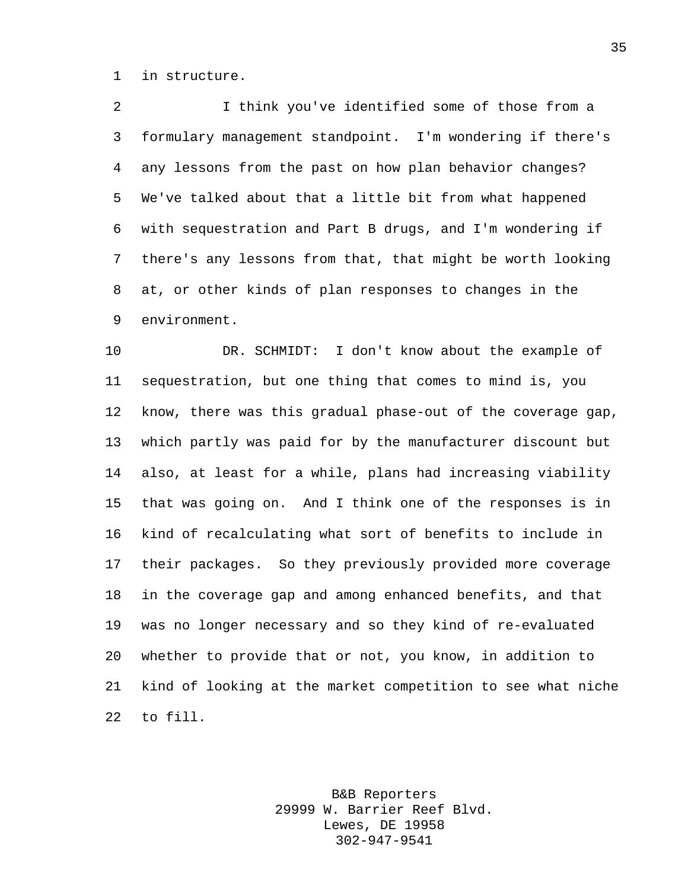in structure.

 I think you've identified some of those from a formulary management standpoint. I'm wondering if there's any lessons from the past on how plan behavior changes? We've talked about that a little bit from what happened with sequestration and Part B drugs, and I'm wondering if there's any lessons from that, that might be worth looking at, or other kinds of plan responses to changes in the environment.

 DR. SCHMIDT: I don't know about the example of sequestration, but one thing that comes to mind is, you know, there was this gradual phase-out of the coverage gap, which partly was paid for by the manufacturer discount but also, at least for a while, plans had increasing viability that was going on. And I think one of the responses is in kind of recalculating what sort of benefits to include in their packages. So they previously provided more coverage in the coverage gap and among enhanced benefits, and that was no longer necessary and so they kind of re-evaluated whether to provide that or not, you know, in addition to kind of looking at the market competition to see what niche to fill.

> B&B Reporters 29999 W. Barrier Reef Blvd. Lewes, DE 19958 302-947-9541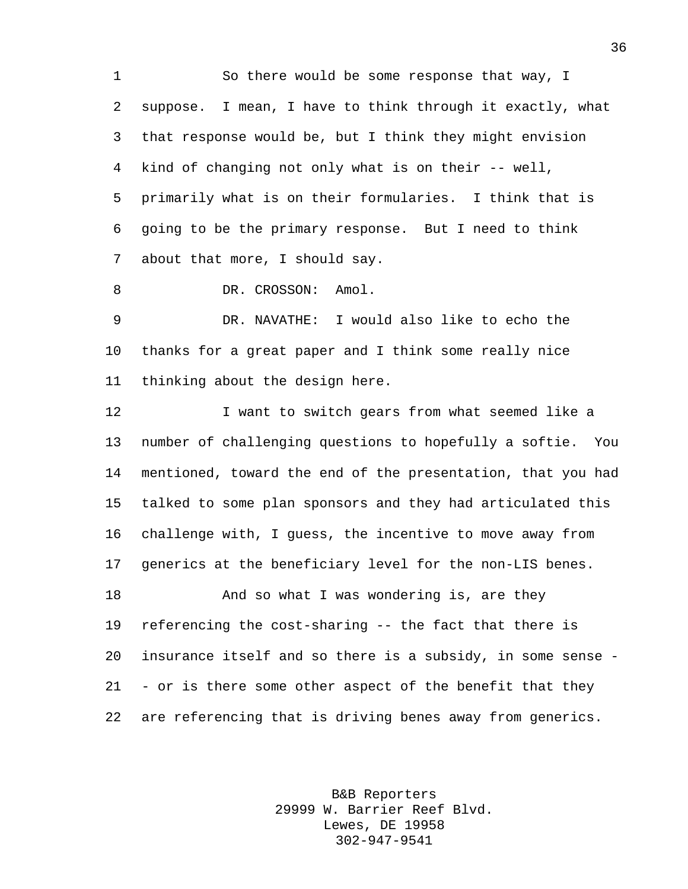So there would be some response that way, I suppose. I mean, I have to think through it exactly, what that response would be, but I think they might envision kind of changing not only what is on their -- well, primarily what is on their formularies. I think that is going to be the primary response. But I need to think about that more, I should say.

8 DR. CROSSON: Amol.

 DR. NAVATHE: I would also like to echo the thanks for a great paper and I think some really nice thinking about the design here.

12 12 I want to switch gears from what seemed like a number of challenging questions to hopefully a softie. You mentioned, toward the end of the presentation, that you had talked to some plan sponsors and they had articulated this challenge with, I guess, the incentive to move away from generics at the beneficiary level for the non-LIS benes. **And so what I was wondering is, are they**  referencing the cost-sharing -- the fact that there is insurance itself and so there is a subsidy, in some sense - - or is there some other aspect of the benefit that they are referencing that is driving benes away from generics.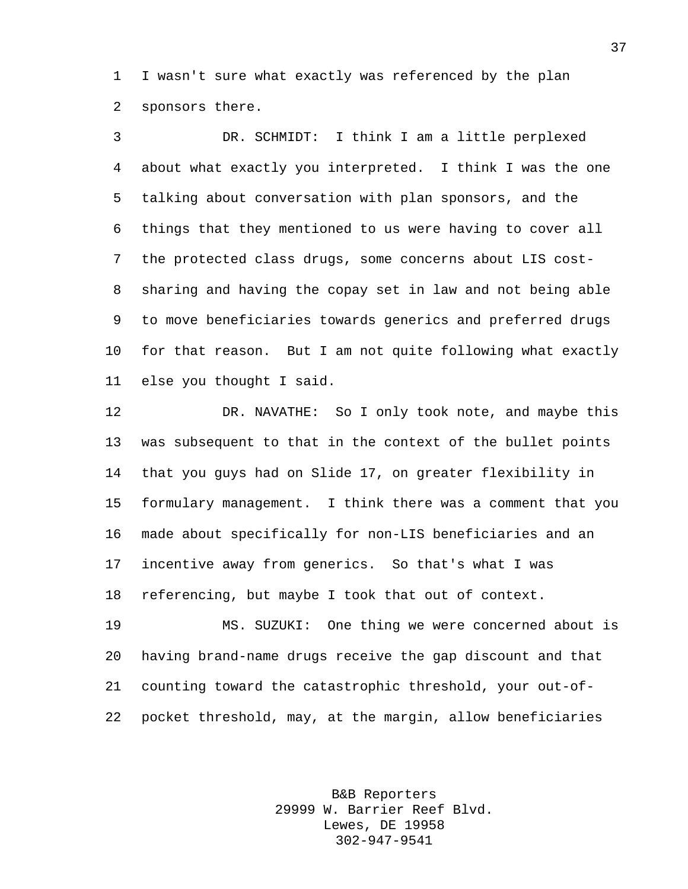I wasn't sure what exactly was referenced by the plan sponsors there.

 DR. SCHMIDT: I think I am a little perplexed about what exactly you interpreted. I think I was the one talking about conversation with plan sponsors, and the things that they mentioned to us were having to cover all the protected class drugs, some concerns about LIS cost- sharing and having the copay set in law and not being able to move beneficiaries towards generics and preferred drugs for that reason. But I am not quite following what exactly else you thought I said.

 DR. NAVATHE: So I only took note, and maybe this was subsequent to that in the context of the bullet points that you guys had on Slide 17, on greater flexibility in formulary management. I think there was a comment that you made about specifically for non-LIS beneficiaries and an incentive away from generics. So that's what I was referencing, but maybe I took that out of context.

 MS. SUZUKI: One thing we were concerned about is having brand-name drugs receive the gap discount and that counting toward the catastrophic threshold, your out-of-pocket threshold, may, at the margin, allow beneficiaries

> B&B Reporters 29999 W. Barrier Reef Blvd. Lewes, DE 19958 302-947-9541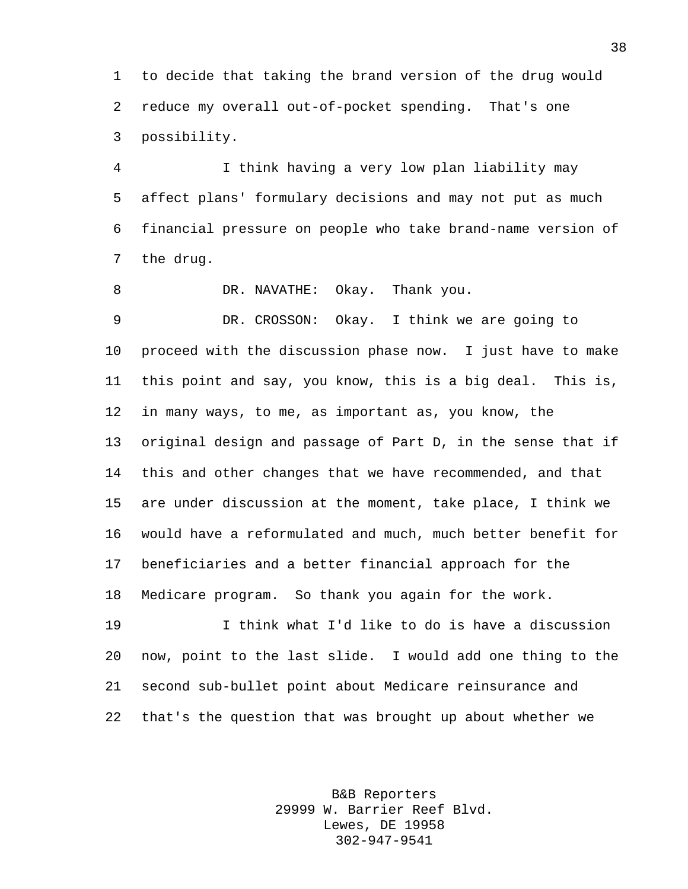to decide that taking the brand version of the drug would reduce my overall out-of-pocket spending. That's one possibility.

 I think having a very low plan liability may affect plans' formulary decisions and may not put as much financial pressure on people who take brand-name version of the drug.

8 DR. NAVATHE: Okay. Thank you.

 DR. CROSSON: Okay. I think we are going to proceed with the discussion phase now. I just have to make this point and say, you know, this is a big deal. This is, in many ways, to me, as important as, you know, the original design and passage of Part D, in the sense that if this and other changes that we have recommended, and that are under discussion at the moment, take place, I think we would have a reformulated and much, much better benefit for beneficiaries and a better financial approach for the Medicare program. So thank you again for the work.

 I think what I'd like to do is have a discussion now, point to the last slide. I would add one thing to the second sub-bullet point about Medicare reinsurance and that's the question that was brought up about whether we

> B&B Reporters 29999 W. Barrier Reef Blvd. Lewes, DE 19958 302-947-9541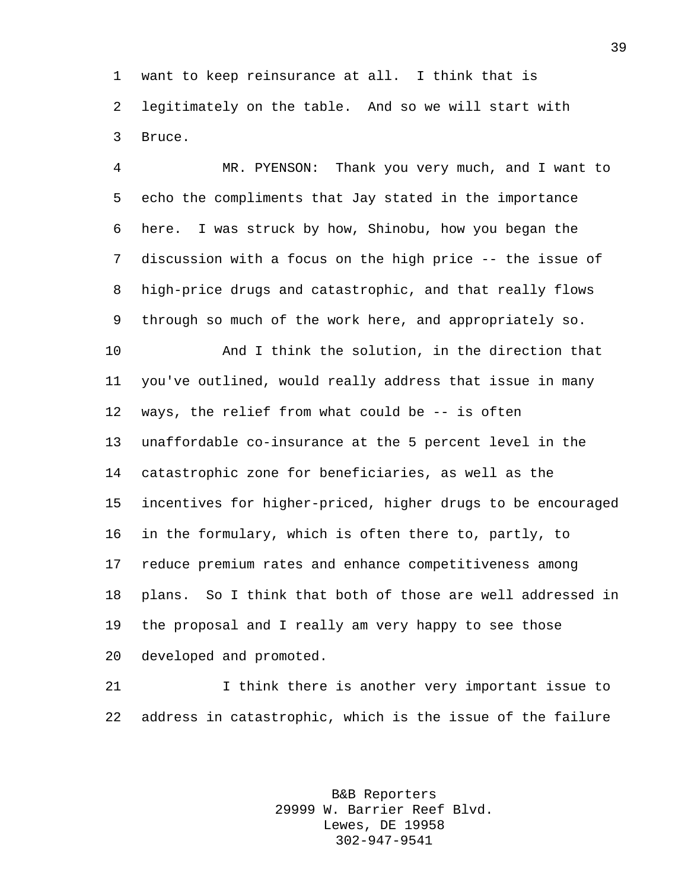want to keep reinsurance at all. I think that is legitimately on the table. And so we will start with Bruce.

 MR. PYENSON: Thank you very much, and I want to echo the compliments that Jay stated in the importance here. I was struck by how, Shinobu, how you began the discussion with a focus on the high price -- the issue of high-price drugs and catastrophic, and that really flows through so much of the work here, and appropriately so.

 And I think the solution, in the direction that you've outlined, would really address that issue in many ways, the relief from what could be -- is often unaffordable co-insurance at the 5 percent level in the catastrophic zone for beneficiaries, as well as the incentives for higher-priced, higher drugs to be encouraged in the formulary, which is often there to, partly, to reduce premium rates and enhance competitiveness among plans. So I think that both of those are well addressed in the proposal and I really am very happy to see those developed and promoted.

 I think there is another very important issue to address in catastrophic, which is the issue of the failure

> B&B Reporters 29999 W. Barrier Reef Blvd. Lewes, DE 19958 302-947-9541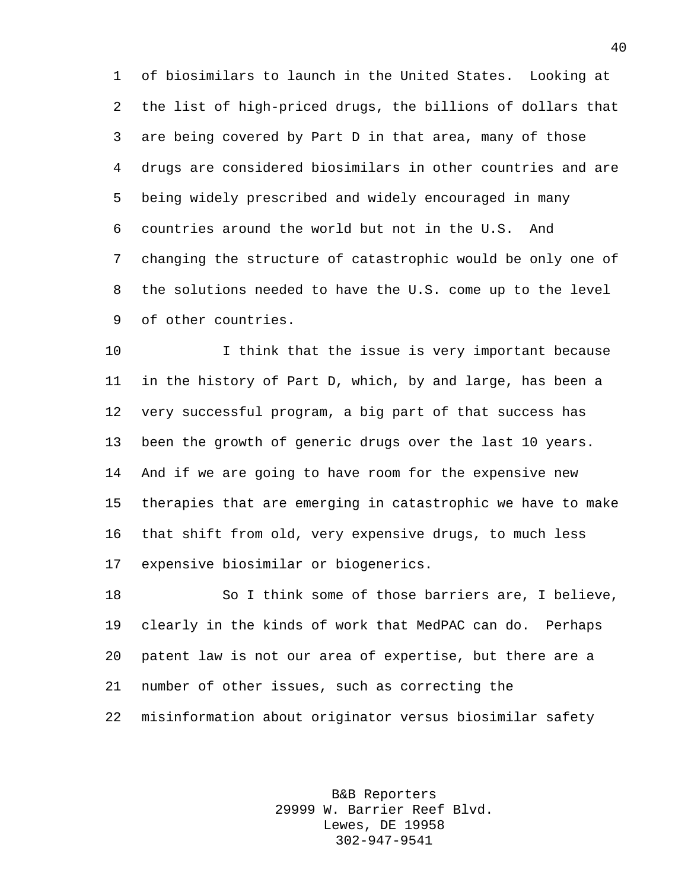of biosimilars to launch in the United States. Looking at the list of high-priced drugs, the billions of dollars that are being covered by Part D in that area, many of those drugs are considered biosimilars in other countries and are being widely prescribed and widely encouraged in many countries around the world but not in the U.S. And changing the structure of catastrophic would be only one of the solutions needed to have the U.S. come up to the level of other countries.

10 10 I think that the issue is very important because in the history of Part D, which, by and large, has been a very successful program, a big part of that success has been the growth of generic drugs over the last 10 years. And if we are going to have room for the expensive new therapies that are emerging in catastrophic we have to make that shift from old, very expensive drugs, to much less expensive biosimilar or biogenerics.

 So I think some of those barriers are, I believe, clearly in the kinds of work that MedPAC can do. Perhaps patent law is not our area of expertise, but there are a number of other issues, such as correcting the misinformation about originator versus biosimilar safety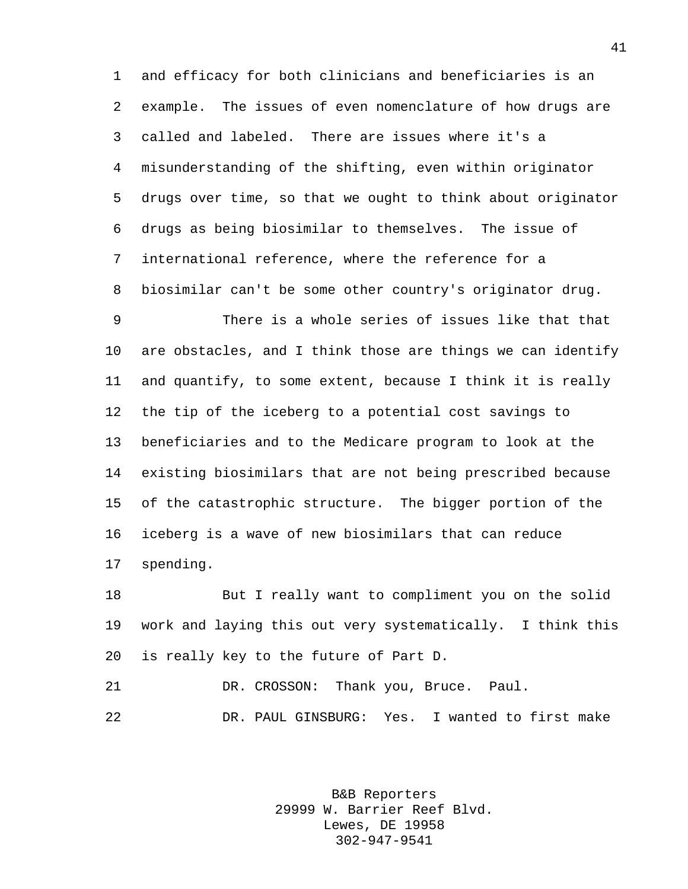and efficacy for both clinicians and beneficiaries is an example. The issues of even nomenclature of how drugs are called and labeled. There are issues where it's a misunderstanding of the shifting, even within originator drugs over time, so that we ought to think about originator drugs as being biosimilar to themselves. The issue of international reference, where the reference for a biosimilar can't be some other country's originator drug.

 There is a whole series of issues like that that are obstacles, and I think those are things we can identify and quantify, to some extent, because I think it is really the tip of the iceberg to a potential cost savings to beneficiaries and to the Medicare program to look at the existing biosimilars that are not being prescribed because of the catastrophic structure. The bigger portion of the iceberg is a wave of new biosimilars that can reduce spending.

 But I really want to compliment you on the solid work and laying this out very systematically. I think this is really key to the future of Part D.

 DR. CROSSON: Thank you, Bruce. Paul. DR. PAUL GINSBURG: Yes. I wanted to first make

> B&B Reporters 29999 W. Barrier Reef Blvd. Lewes, DE 19958 302-947-9541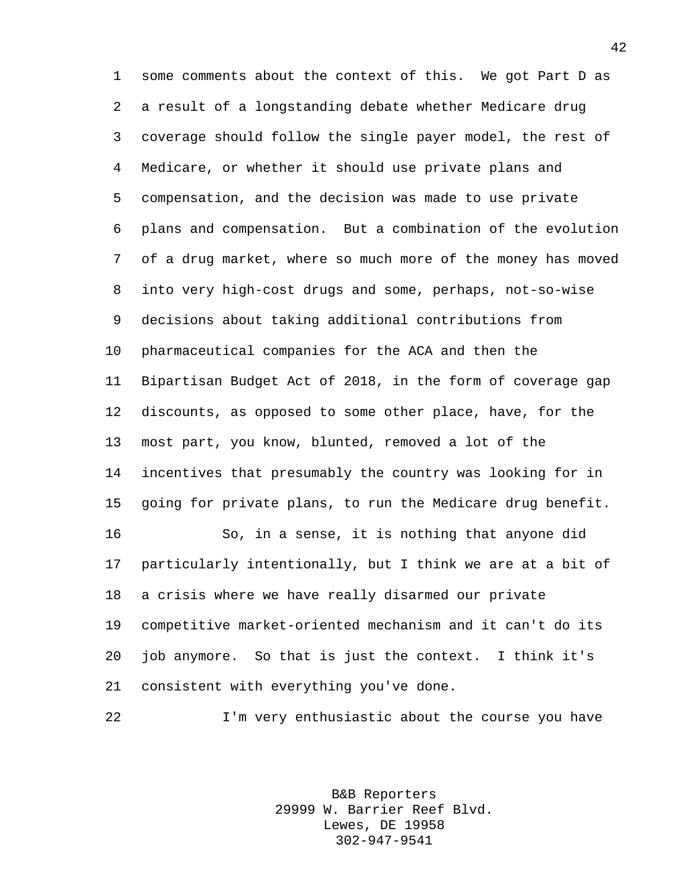some comments about the context of this. We got Part D as a result of a longstanding debate whether Medicare drug coverage should follow the single payer model, the rest of Medicare, or whether it should use private plans and compensation, and the decision was made to use private plans and compensation. But a combination of the evolution of a drug market, where so much more of the money has moved into very high-cost drugs and some, perhaps, not-so-wise decisions about taking additional contributions from pharmaceutical companies for the ACA and then the Bipartisan Budget Act of 2018, in the form of coverage gap discounts, as opposed to some other place, have, for the most part, you know, blunted, removed a lot of the incentives that presumably the country was looking for in going for private plans, to run the Medicare drug benefit. So, in a sense, it is nothing that anyone did particularly intentionally, but I think we are at a bit of a crisis where we have really disarmed our private competitive market-oriented mechanism and it can't do its job anymore. So that is just the context. I think it's consistent with everything you've done.

I'm very enthusiastic about the course you have

B&B Reporters 29999 W. Barrier Reef Blvd. Lewes, DE 19958 302-947-9541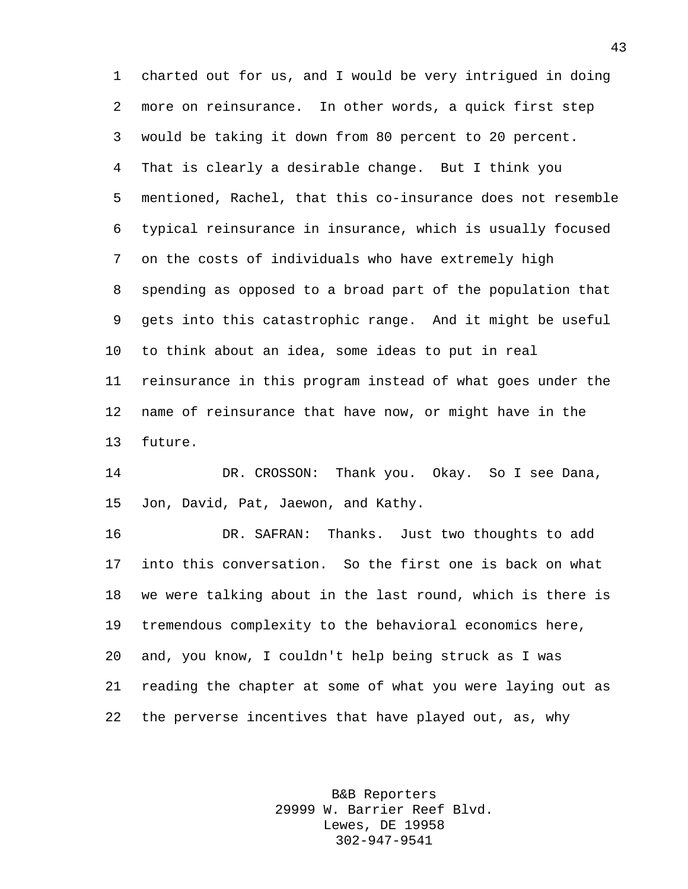charted out for us, and I would be very intrigued in doing more on reinsurance. In other words, a quick first step would be taking it down from 80 percent to 20 percent. That is clearly a desirable change. But I think you mentioned, Rachel, that this co-insurance does not resemble typical reinsurance in insurance, which is usually focused on the costs of individuals who have extremely high spending as opposed to a broad part of the population that gets into this catastrophic range. And it might be useful to think about an idea, some ideas to put in real reinsurance in this program instead of what goes under the name of reinsurance that have now, or might have in the future.

 DR. CROSSON: Thank you. Okay. So I see Dana, Jon, David, Pat, Jaewon, and Kathy.

 DR. SAFRAN: Thanks. Just two thoughts to add into this conversation. So the first one is back on what we were talking about in the last round, which is there is tremendous complexity to the behavioral economics here, and, you know, I couldn't help being struck as I was reading the chapter at some of what you were laying out as the perverse incentives that have played out, as, why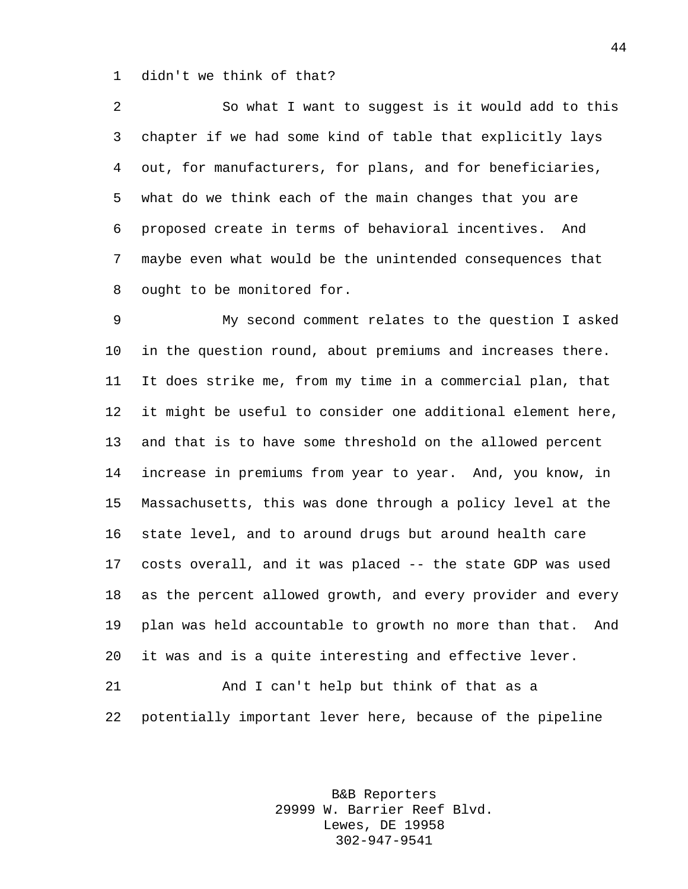didn't we think of that?

 So what I want to suggest is it would add to this chapter if we had some kind of table that explicitly lays out, for manufacturers, for plans, and for beneficiaries, what do we think each of the main changes that you are proposed create in terms of behavioral incentives. And maybe even what would be the unintended consequences that ought to be monitored for.

 My second comment relates to the question I asked in the question round, about premiums and increases there. It does strike me, from my time in a commercial plan, that it might be useful to consider one additional element here, and that is to have some threshold on the allowed percent increase in premiums from year to year. And, you know, in Massachusetts, this was done through a policy level at the state level, and to around drugs but around health care costs overall, and it was placed -- the state GDP was used as the percent allowed growth, and every provider and every plan was held accountable to growth no more than that. And it was and is a quite interesting and effective lever.

 And I can't help but think of that as a potentially important lever here, because of the pipeline

> B&B Reporters 29999 W. Barrier Reef Blvd. Lewes, DE 19958 302-947-9541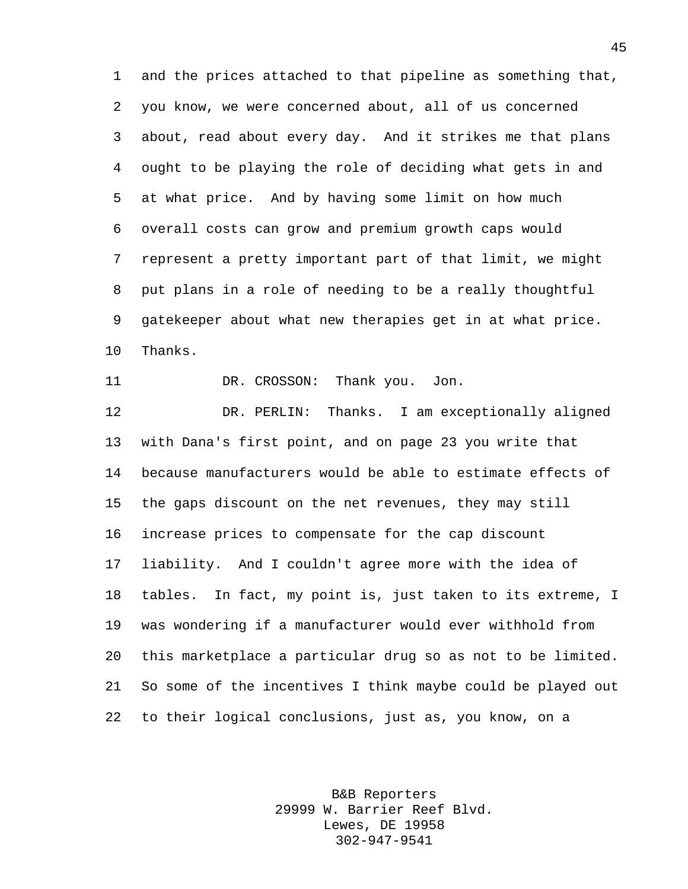and the prices attached to that pipeline as something that, you know, we were concerned about, all of us concerned about, read about every day. And it strikes me that plans ought to be playing the role of deciding what gets in and at what price. And by having some limit on how much overall costs can grow and premium growth caps would represent a pretty important part of that limit, we might put plans in a role of needing to be a really thoughtful gatekeeper about what new therapies get in at what price. Thanks.

11 DR. CROSSON: Thank you. Jon.

 DR. PERLIN: Thanks. I am exceptionally aligned with Dana's first point, and on page 23 you write that because manufacturers would be able to estimate effects of the gaps discount on the net revenues, they may still increase prices to compensate for the cap discount liability. And I couldn't agree more with the idea of tables. In fact, my point is, just taken to its extreme, I was wondering if a manufacturer would ever withhold from this marketplace a particular drug so as not to be limited. So some of the incentives I think maybe could be played out to their logical conclusions, just as, you know, on a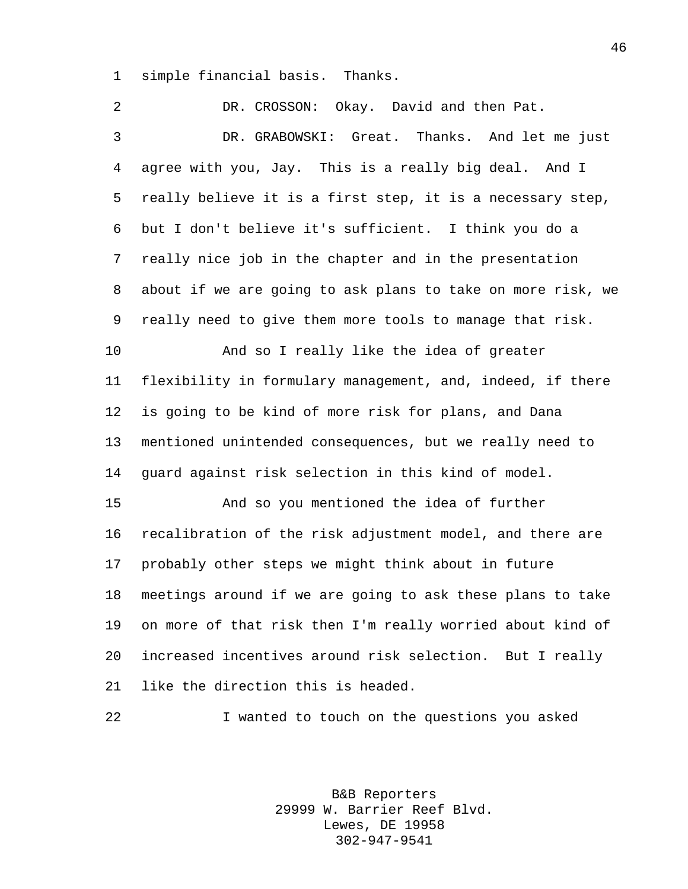simple financial basis. Thanks.

 DR. CROSSON: Okay. David and then Pat. DR. GRABOWSKI: Great. Thanks. And let me just agree with you, Jay. This is a really big deal. And I really believe it is a first step, it is a necessary step, but I don't believe it's sufficient. I think you do a really nice job in the chapter and in the presentation about if we are going to ask plans to take on more risk, we really need to give them more tools to manage that risk. And so I really like the idea of greater flexibility in formulary management, and, indeed, if there is going to be kind of more risk for plans, and Dana mentioned unintended consequences, but we really need to guard against risk selection in this kind of model. And so you mentioned the idea of further recalibration of the risk adjustment model, and there are probably other steps we might think about in future meetings around if we are going to ask these plans to take on more of that risk then I'm really worried about kind of increased incentives around risk selection. But I really like the direction this is headed.

> B&B Reporters 29999 W. Barrier Reef Blvd. Lewes, DE 19958 302-947-9541

I wanted to touch on the questions you asked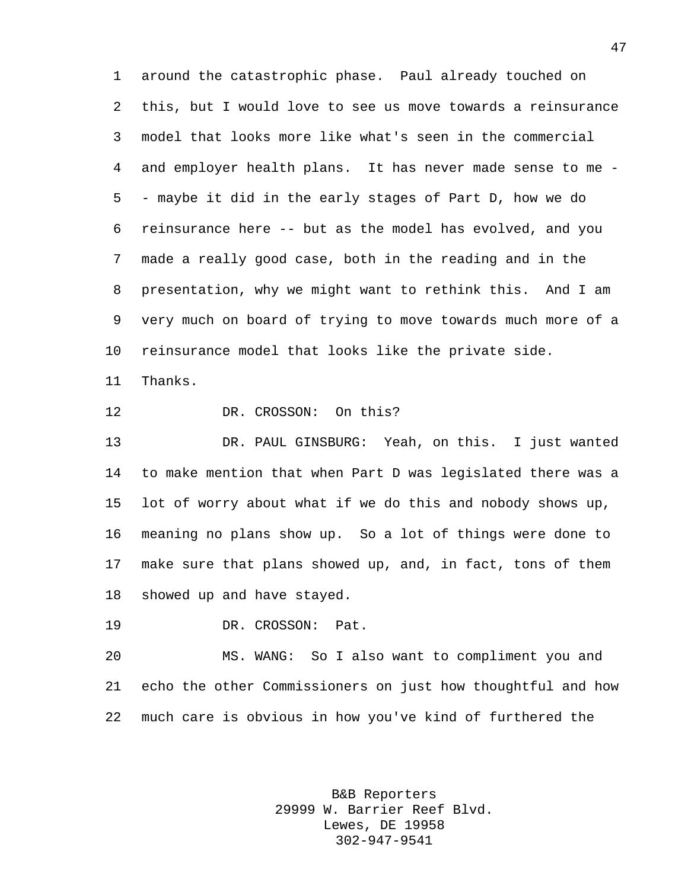around the catastrophic phase. Paul already touched on this, but I would love to see us move towards a reinsurance model that looks more like what's seen in the commercial and employer health plans. It has never made sense to me - - maybe it did in the early stages of Part D, how we do reinsurance here -- but as the model has evolved, and you made a really good case, both in the reading and in the presentation, why we might want to rethink this. And I am very much on board of trying to move towards much more of a reinsurance model that looks like the private side.

Thanks.

12 DR. CROSSON: On this?

 DR. PAUL GINSBURG: Yeah, on this. I just wanted to make mention that when Part D was legislated there was a lot of worry about what if we do this and nobody shows up, meaning no plans show up. So a lot of things were done to make sure that plans showed up, and, in fact, tons of them showed up and have stayed.

DR. CROSSON: Pat.

 MS. WANG: So I also want to compliment you and echo the other Commissioners on just how thoughtful and how much care is obvious in how you've kind of furthered the

> B&B Reporters 29999 W. Barrier Reef Blvd. Lewes, DE 19958 302-947-9541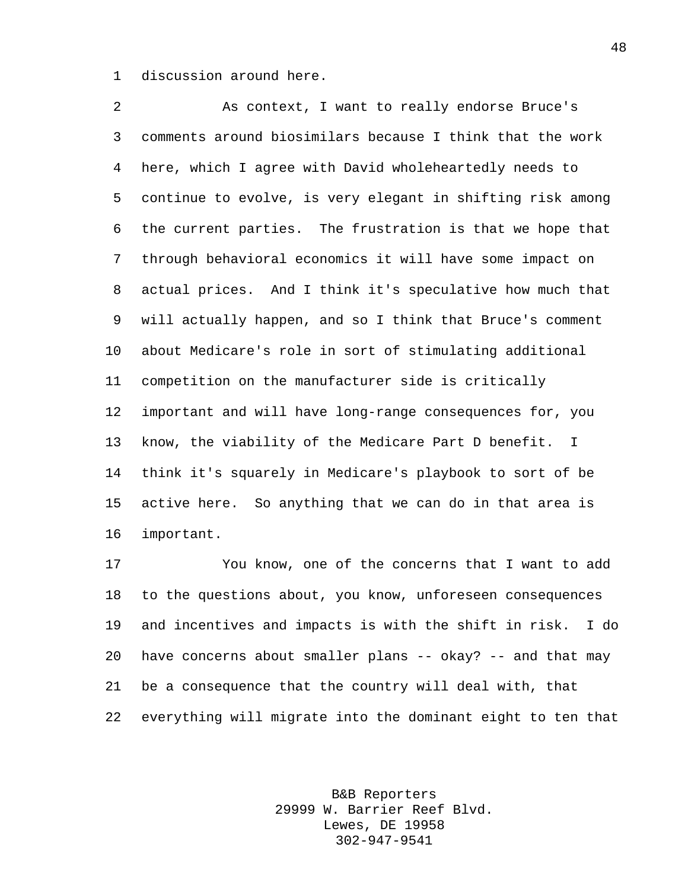discussion around here.

 As context, I want to really endorse Bruce's comments around biosimilars because I think that the work here, which I agree with David wholeheartedly needs to continue to evolve, is very elegant in shifting risk among the current parties. The frustration is that we hope that through behavioral economics it will have some impact on actual prices. And I think it's speculative how much that will actually happen, and so I think that Bruce's comment about Medicare's role in sort of stimulating additional competition on the manufacturer side is critically important and will have long-range consequences for, you know, the viability of the Medicare Part D benefit. I think it's squarely in Medicare's playbook to sort of be active here. So anything that we can do in that area is important.

 You know, one of the concerns that I want to add to the questions about, you know, unforeseen consequences and incentives and impacts is with the shift in risk. I do have concerns about smaller plans -- okay? -- and that may be a consequence that the country will deal with, that everything will migrate into the dominant eight to ten that

> B&B Reporters 29999 W. Barrier Reef Blvd. Lewes, DE 19958 302-947-9541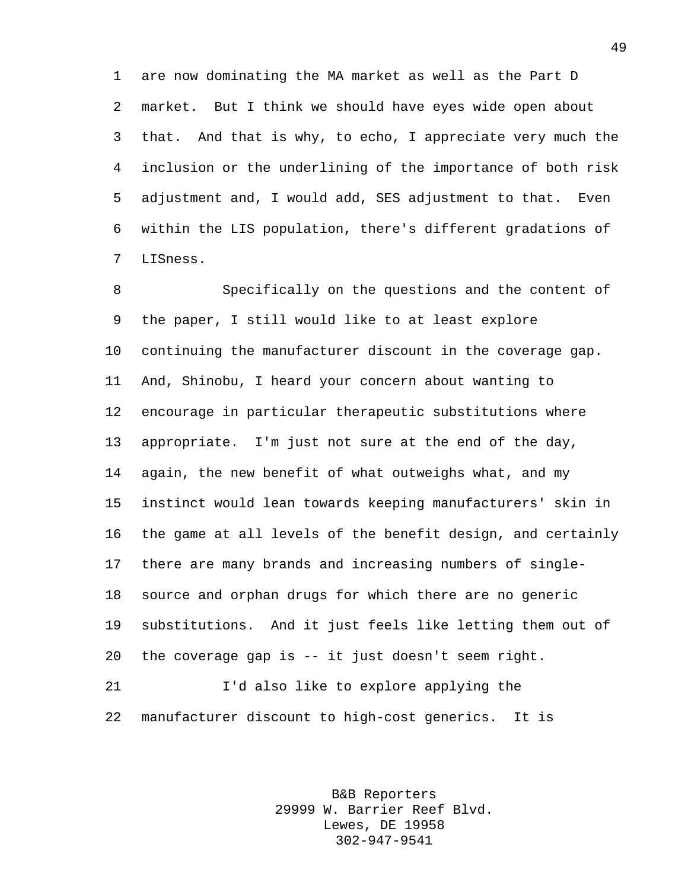are now dominating the MA market as well as the Part D market. But I think we should have eyes wide open about that. And that is why, to echo, I appreciate very much the inclusion or the underlining of the importance of both risk adjustment and, I would add, SES adjustment to that. Even within the LIS population, there's different gradations of LISness.

 Specifically on the questions and the content of the paper, I still would like to at least explore continuing the manufacturer discount in the coverage gap. And, Shinobu, I heard your concern about wanting to encourage in particular therapeutic substitutions where appropriate. I'm just not sure at the end of the day, again, the new benefit of what outweighs what, and my instinct would lean towards keeping manufacturers' skin in the game at all levels of the benefit design, and certainly there are many brands and increasing numbers of single- source and orphan drugs for which there are no generic substitutions. And it just feels like letting them out of the coverage gap is -- it just doesn't seem right. I'd also like to explore applying the

manufacturer discount to high-cost generics. It is

B&B Reporters 29999 W. Barrier Reef Blvd. Lewes, DE 19958 302-947-9541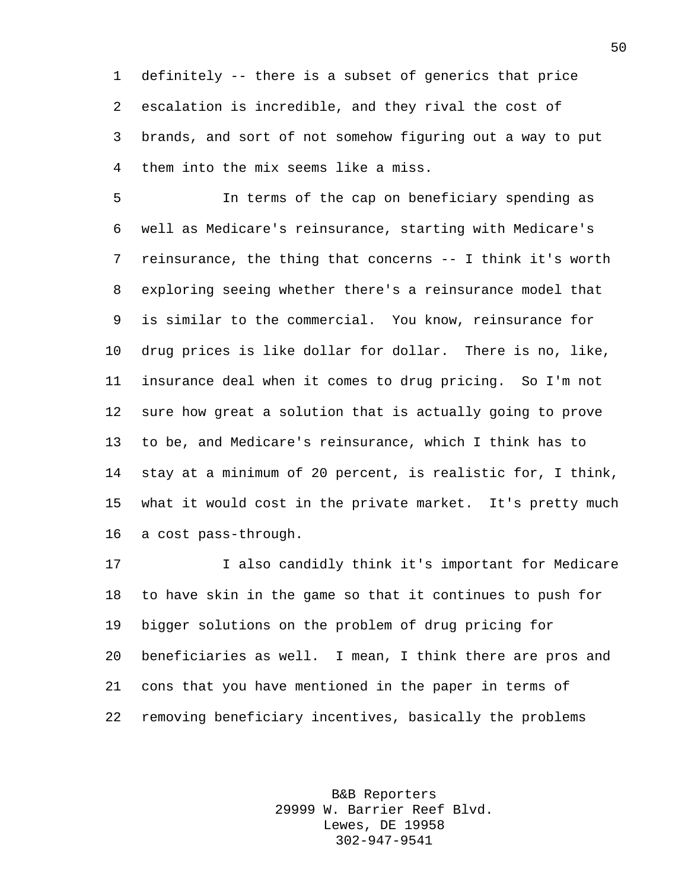definitely -- there is a subset of generics that price escalation is incredible, and they rival the cost of brands, and sort of not somehow figuring out a way to put them into the mix seems like a miss.

 In terms of the cap on beneficiary spending as well as Medicare's reinsurance, starting with Medicare's reinsurance, the thing that concerns -- I think it's worth exploring seeing whether there's a reinsurance model that is similar to the commercial. You know, reinsurance for drug prices is like dollar for dollar. There is no, like, insurance deal when it comes to drug pricing. So I'm not sure how great a solution that is actually going to prove to be, and Medicare's reinsurance, which I think has to stay at a minimum of 20 percent, is realistic for, I think, what it would cost in the private market. It's pretty much a cost pass-through.

 I also candidly think it's important for Medicare to have skin in the game so that it continues to push for bigger solutions on the problem of drug pricing for beneficiaries as well. I mean, I think there are pros and cons that you have mentioned in the paper in terms of removing beneficiary incentives, basically the problems

> B&B Reporters 29999 W. Barrier Reef Blvd. Lewes, DE 19958 302-947-9541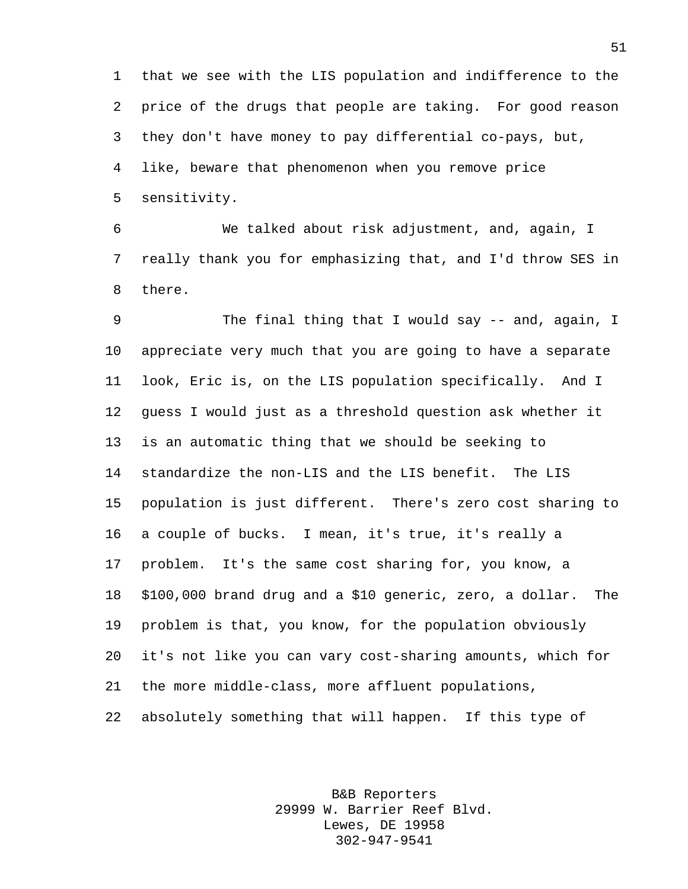that we see with the LIS population and indifference to the price of the drugs that people are taking. For good reason they don't have money to pay differential co-pays, but, like, beware that phenomenon when you remove price sensitivity.

 We talked about risk adjustment, and, again, I really thank you for emphasizing that, and I'd throw SES in there.

9 The final thing that I would say -- and, again, I appreciate very much that you are going to have a separate look, Eric is, on the LIS population specifically. And I guess I would just as a threshold question ask whether it is an automatic thing that we should be seeking to standardize the non-LIS and the LIS benefit. The LIS population is just different. There's zero cost sharing to a couple of bucks. I mean, it's true, it's really a problem. It's the same cost sharing for, you know, a \$100,000 brand drug and a \$10 generic, zero, a dollar. The problem is that, you know, for the population obviously it's not like you can vary cost-sharing amounts, which for the more middle-class, more affluent populations, absolutely something that will happen. If this type of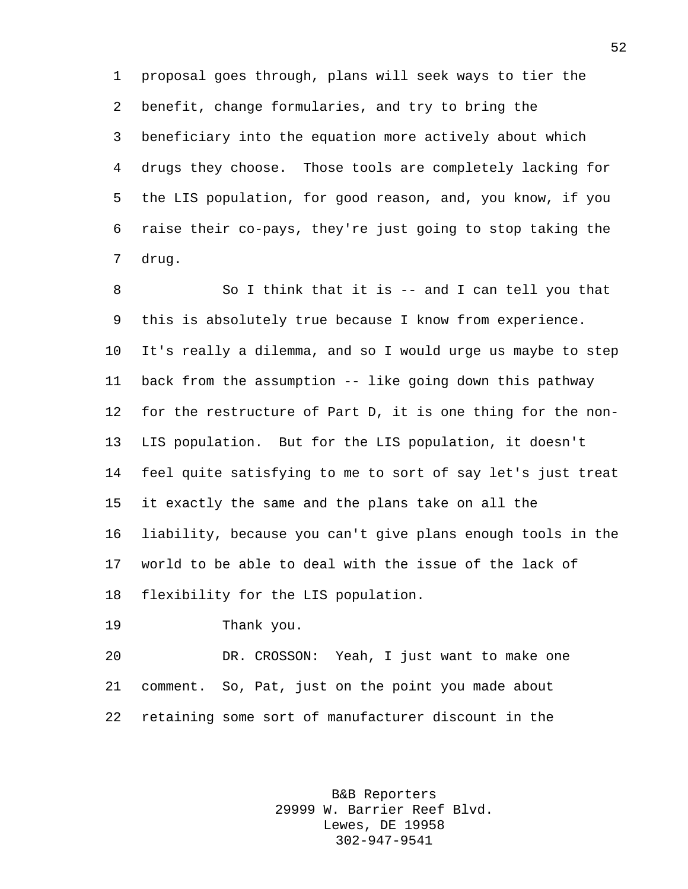proposal goes through, plans will seek ways to tier the benefit, change formularies, and try to bring the beneficiary into the equation more actively about which drugs they choose. Those tools are completely lacking for the LIS population, for good reason, and, you know, if you raise their co-pays, they're just going to stop taking the drug.

 So I think that it is -- and I can tell you that this is absolutely true because I know from experience. It's really a dilemma, and so I would urge us maybe to step back from the assumption -- like going down this pathway for the restructure of Part D, it is one thing for the non- LIS population. But for the LIS population, it doesn't feel quite satisfying to me to sort of say let's just treat it exactly the same and the plans take on all the liability, because you can't give plans enough tools in the world to be able to deal with the issue of the lack of flexibility for the LIS population.

Thank you.

 DR. CROSSON: Yeah, I just want to make one comment. So, Pat, just on the point you made about retaining some sort of manufacturer discount in the

> B&B Reporters 29999 W. Barrier Reef Blvd. Lewes, DE 19958 302-947-9541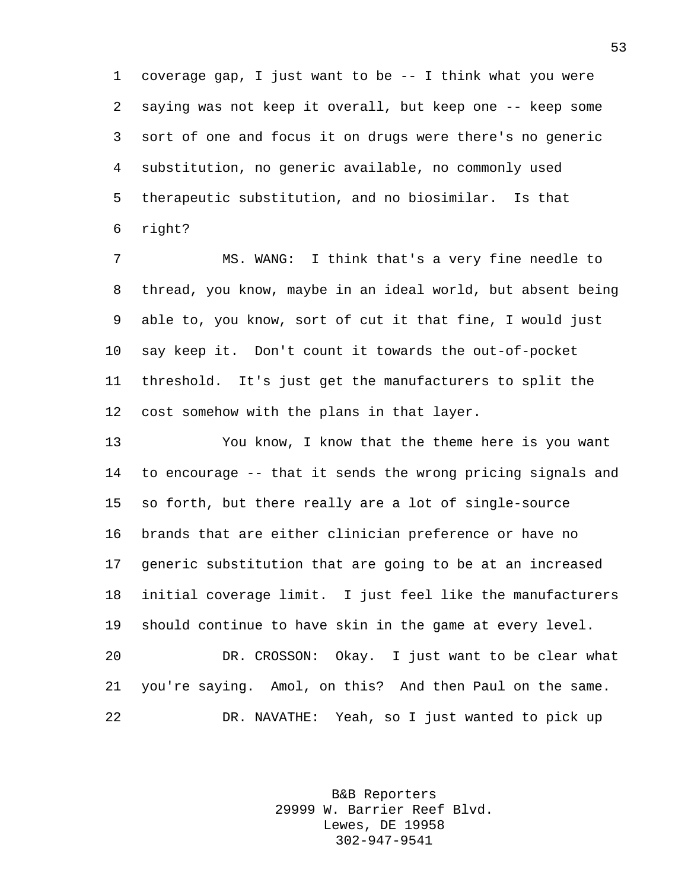coverage gap, I just want to be -- I think what you were saying was not keep it overall, but keep one -- keep some sort of one and focus it on drugs were there's no generic substitution, no generic available, no commonly used therapeutic substitution, and no biosimilar. Is that right?

 MS. WANG: I think that's a very fine needle to thread, you know, maybe in an ideal world, but absent being able to, you know, sort of cut it that fine, I would just say keep it. Don't count it towards the out-of-pocket threshold. It's just get the manufacturers to split the cost somehow with the plans in that layer.

 You know, I know that the theme here is you want to encourage -- that it sends the wrong pricing signals and so forth, but there really are a lot of single-source brands that are either clinician preference or have no generic substitution that are going to be at an increased initial coverage limit. I just feel like the manufacturers should continue to have skin in the game at every level. DR. CROSSON: Okay. I just want to be clear what you're saying. Amol, on this? And then Paul on the same. DR. NAVATHE: Yeah, so I just wanted to pick up

> B&B Reporters 29999 W. Barrier Reef Blvd. Lewes, DE 19958 302-947-9541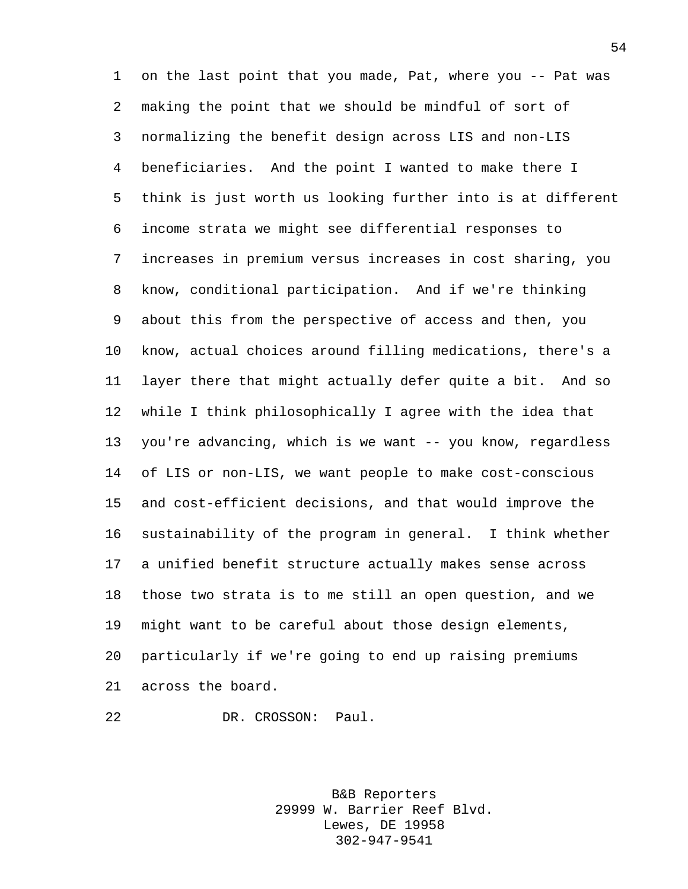on the last point that you made, Pat, where you -- Pat was making the point that we should be mindful of sort of normalizing the benefit design across LIS and non-LIS beneficiaries. And the point I wanted to make there I think is just worth us looking further into is at different income strata we might see differential responses to increases in premium versus increases in cost sharing, you know, conditional participation. And if we're thinking about this from the perspective of access and then, you know, actual choices around filling medications, there's a layer there that might actually defer quite a bit. And so while I think philosophically I agree with the idea that you're advancing, which is we want -- you know, regardless of LIS or non-LIS, we want people to make cost-conscious and cost-efficient decisions, and that would improve the sustainability of the program in general. I think whether a unified benefit structure actually makes sense across those two strata is to me still an open question, and we might want to be careful about those design elements, particularly if we're going to end up raising premiums across the board.

DR. CROSSON: Paul.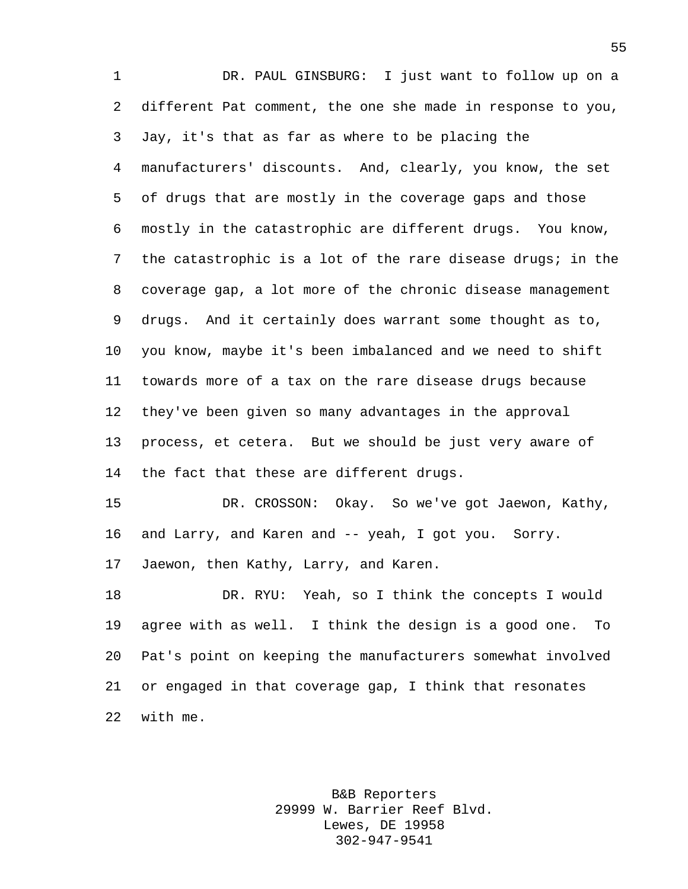DR. PAUL GINSBURG: I just want to follow up on a different Pat comment, the one she made in response to you, Jay, it's that as far as where to be placing the manufacturers' discounts. And, clearly, you know, the set of drugs that are mostly in the coverage gaps and those mostly in the catastrophic are different drugs. You know, the catastrophic is a lot of the rare disease drugs; in the coverage gap, a lot more of the chronic disease management drugs. And it certainly does warrant some thought as to, you know, maybe it's been imbalanced and we need to shift towards more of a tax on the rare disease drugs because they've been given so many advantages in the approval process, et cetera. But we should be just very aware of 14 the fact that these are different drugs. DR. CROSSON: Okay. So we've got Jaewon, Kathy, and Larry, and Karen and -- yeah, I got you. Sorry. Jaewon, then Kathy, Larry, and Karen. DR. RYU: Yeah, so I think the concepts I would agree with as well. I think the design is a good one. To

 Pat's point on keeping the manufacturers somewhat involved or engaged in that coverage gap, I think that resonates with me.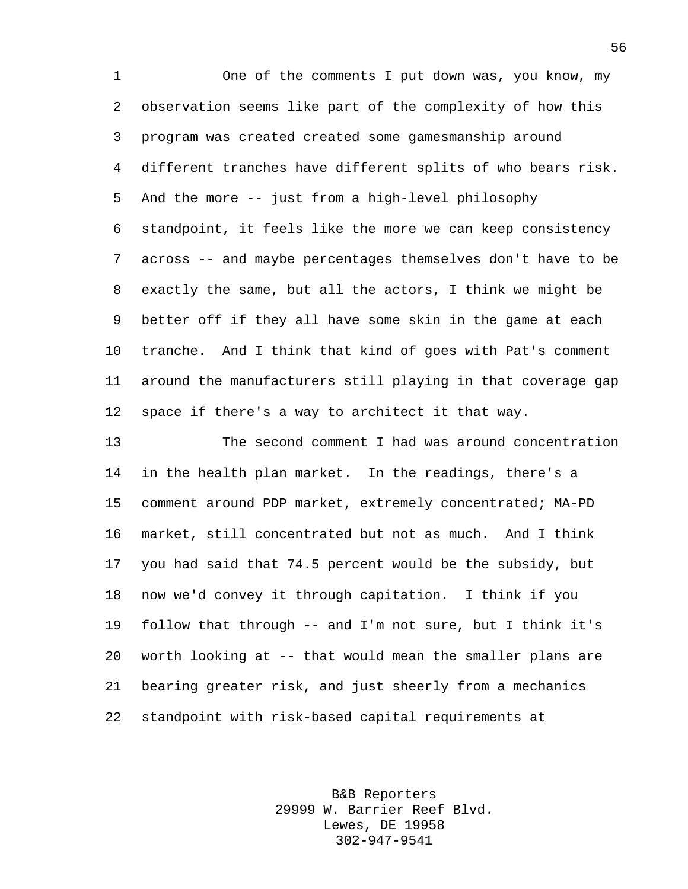One of the comments I put down was, you know, my observation seems like part of the complexity of how this program was created created some gamesmanship around different tranches have different splits of who bears risk. And the more -- just from a high-level philosophy standpoint, it feels like the more we can keep consistency across -- and maybe percentages themselves don't have to be exactly the same, but all the actors, I think we might be better off if they all have some skin in the game at each tranche. And I think that kind of goes with Pat's comment around the manufacturers still playing in that coverage gap space if there's a way to architect it that way.

 The second comment I had was around concentration in the health plan market. In the readings, there's a comment around PDP market, extremely concentrated; MA-PD market, still concentrated but not as much. And I think you had said that 74.5 percent would be the subsidy, but now we'd convey it through capitation. I think if you follow that through -- and I'm not sure, but I think it's worth looking at -- that would mean the smaller plans are bearing greater risk, and just sheerly from a mechanics standpoint with risk-based capital requirements at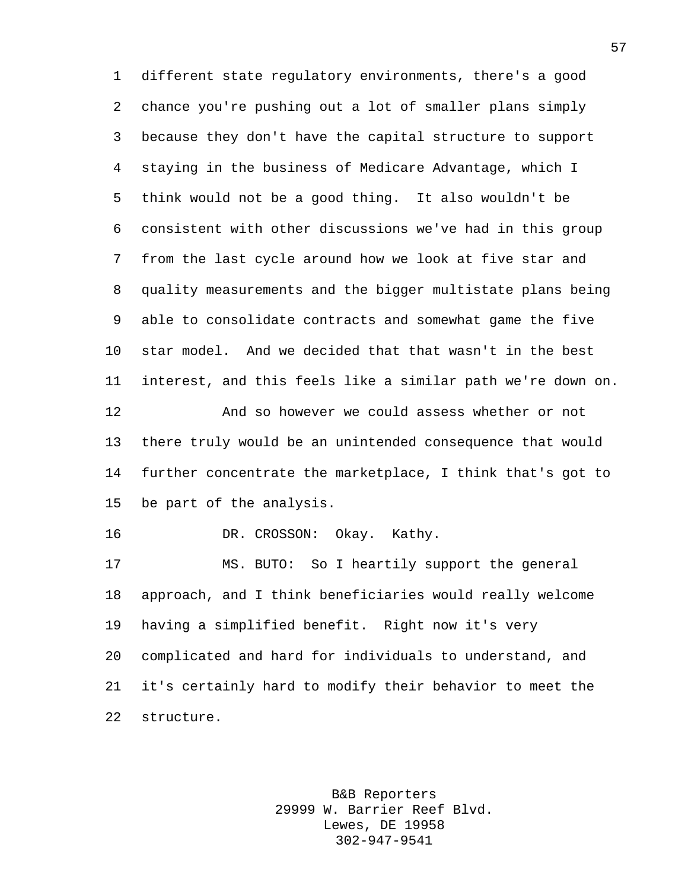different state regulatory environments, there's a good chance you're pushing out a lot of smaller plans simply because they don't have the capital structure to support staying in the business of Medicare Advantage, which I think would not be a good thing. It also wouldn't be consistent with other discussions we've had in this group from the last cycle around how we look at five star and quality measurements and the bigger multistate plans being able to consolidate contracts and somewhat game the five star model. And we decided that that wasn't in the best interest, and this feels like a similar path we're down on. And so however we could assess whether or not there truly would be an unintended consequence that would further concentrate the marketplace, I think that's got to be part of the analysis. DR. CROSSON: Okay. Kathy. MS. BUTO: So I heartily support the general approach, and I think beneficiaries would really welcome having a simplified benefit. Right now it's very complicated and hard for individuals to understand, and it's certainly hard to modify their behavior to meet the

structure.

B&B Reporters 29999 W. Barrier Reef Blvd. Lewes, DE 19958 302-947-9541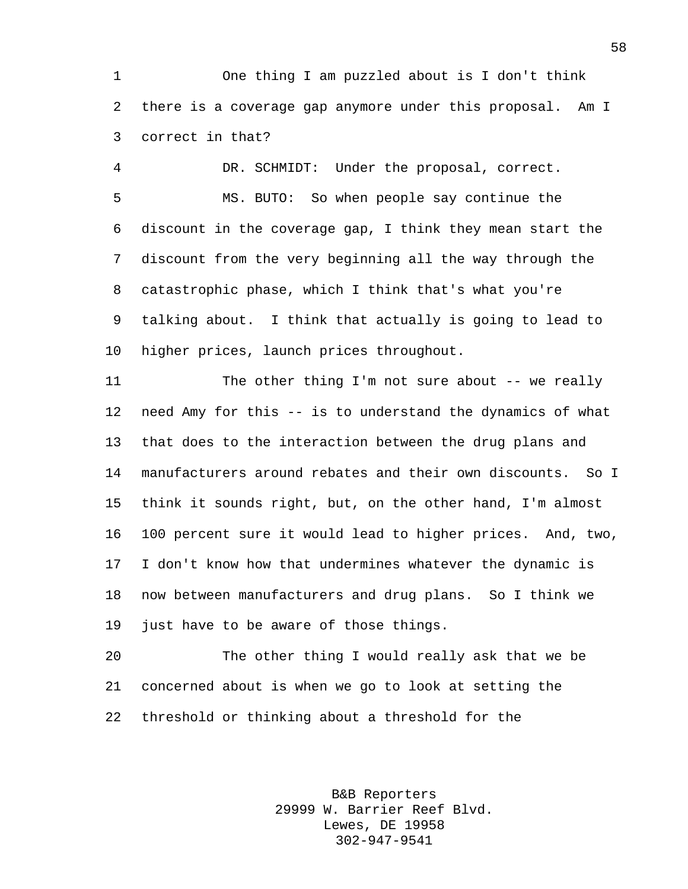One thing I am puzzled about is I don't think there is a coverage gap anymore under this proposal. Am I correct in that?

 DR. SCHMIDT: Under the proposal, correct. MS. BUTO: So when people say continue the discount in the coverage gap, I think they mean start the discount from the very beginning all the way through the catastrophic phase, which I think that's what you're talking about. I think that actually is going to lead to higher prices, launch prices throughout.

11 The other thing I'm not sure about -- we really need Amy for this -- is to understand the dynamics of what that does to the interaction between the drug plans and manufacturers around rebates and their own discounts. So I think it sounds right, but, on the other hand, I'm almost 100 percent sure it would lead to higher prices. And, two, I don't know how that undermines whatever the dynamic is now between manufacturers and drug plans. So I think we just have to be aware of those things.

 The other thing I would really ask that we be concerned about is when we go to look at setting the threshold or thinking about a threshold for the

> B&B Reporters 29999 W. Barrier Reef Blvd. Lewes, DE 19958 302-947-9541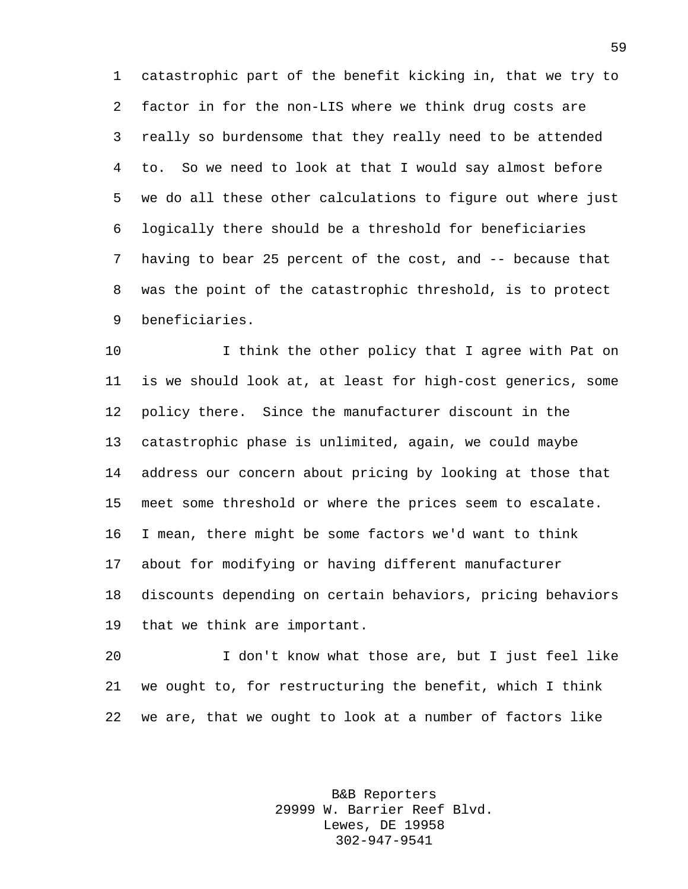catastrophic part of the benefit kicking in, that we try to factor in for the non-LIS where we think drug costs are really so burdensome that they really need to be attended to. So we need to look at that I would say almost before we do all these other calculations to figure out where just logically there should be a threshold for beneficiaries having to bear 25 percent of the cost, and -- because that was the point of the catastrophic threshold, is to protect beneficiaries.

10 10 I think the other policy that I agree with Pat on is we should look at, at least for high-cost generics, some policy there. Since the manufacturer discount in the catastrophic phase is unlimited, again, we could maybe address our concern about pricing by looking at those that meet some threshold or where the prices seem to escalate. I mean, there might be some factors we'd want to think about for modifying or having different manufacturer discounts depending on certain behaviors, pricing behaviors that we think are important.

 I don't know what those are, but I just feel like we ought to, for restructuring the benefit, which I think we are, that we ought to look at a number of factors like

> B&B Reporters 29999 W. Barrier Reef Blvd. Lewes, DE 19958 302-947-9541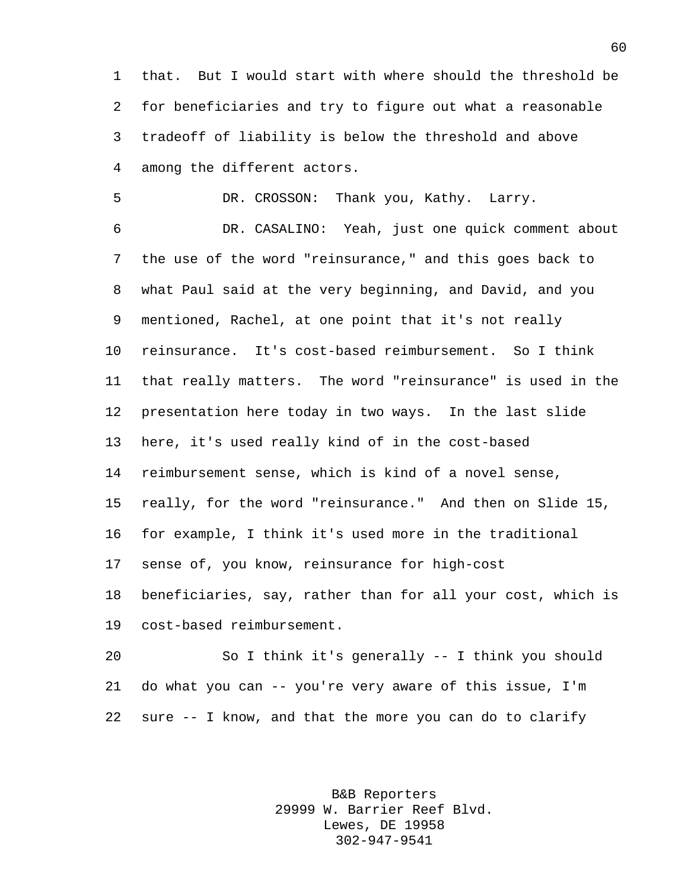that. But I would start with where should the threshold be for beneficiaries and try to figure out what a reasonable tradeoff of liability is below the threshold and above among the different actors.

DR. CROSSON: Thank you, Kathy. Larry.

 DR. CASALINO: Yeah, just one quick comment about the use of the word "reinsurance," and this goes back to what Paul said at the very beginning, and David, and you mentioned, Rachel, at one point that it's not really reinsurance. It's cost-based reimbursement. So I think that really matters. The word "reinsurance" is used in the presentation here today in two ways. In the last slide here, it's used really kind of in the cost-based reimbursement sense, which is kind of a novel sense, really, for the word "reinsurance." And then on Slide 15, for example, I think it's used more in the traditional sense of, you know, reinsurance for high-cost beneficiaries, say, rather than for all your cost, which is cost-based reimbursement.

 So I think it's generally -- I think you should do what you can -- you're very aware of this issue, I'm sure -- I know, and that the more you can do to clarify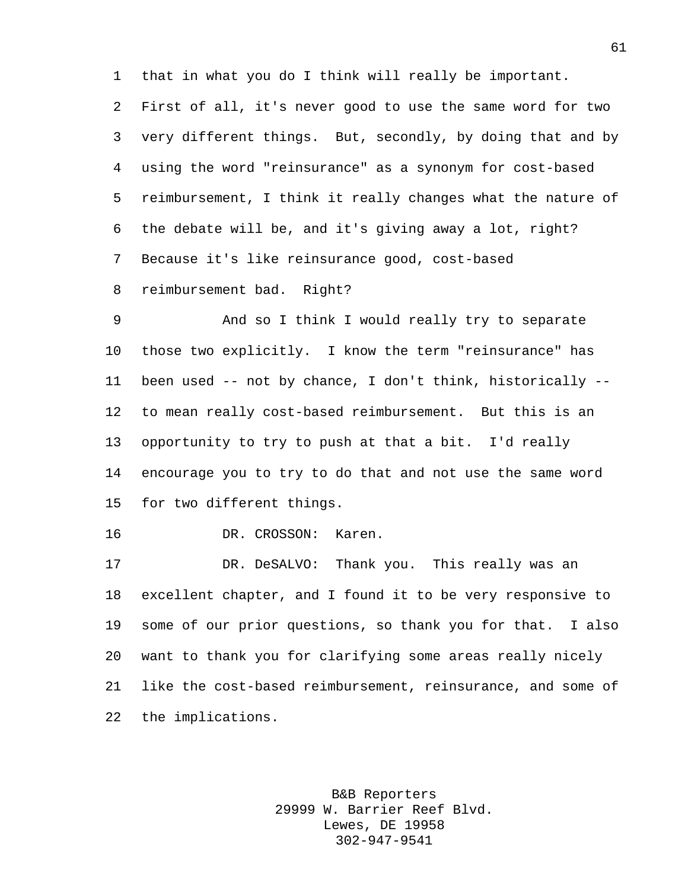that in what you do I think will really be important.

 First of all, it's never good to use the same word for two very different things. But, secondly, by doing that and by using the word "reinsurance" as a synonym for cost-based reimbursement, I think it really changes what the nature of the debate will be, and it's giving away a lot, right? Because it's like reinsurance good, cost-based reimbursement bad. Right?

 And so I think I would really try to separate those two explicitly. I know the term "reinsurance" has been used -- not by chance, I don't think, historically -- to mean really cost-based reimbursement. But this is an opportunity to try to push at that a bit. I'd really encourage you to try to do that and not use the same word for two different things.

DR. CROSSON: Karen.

 DR. DeSALVO: Thank you. This really was an excellent chapter, and I found it to be very responsive to some of our prior questions, so thank you for that. I also want to thank you for clarifying some areas really nicely like the cost-based reimbursement, reinsurance, and some of the implications.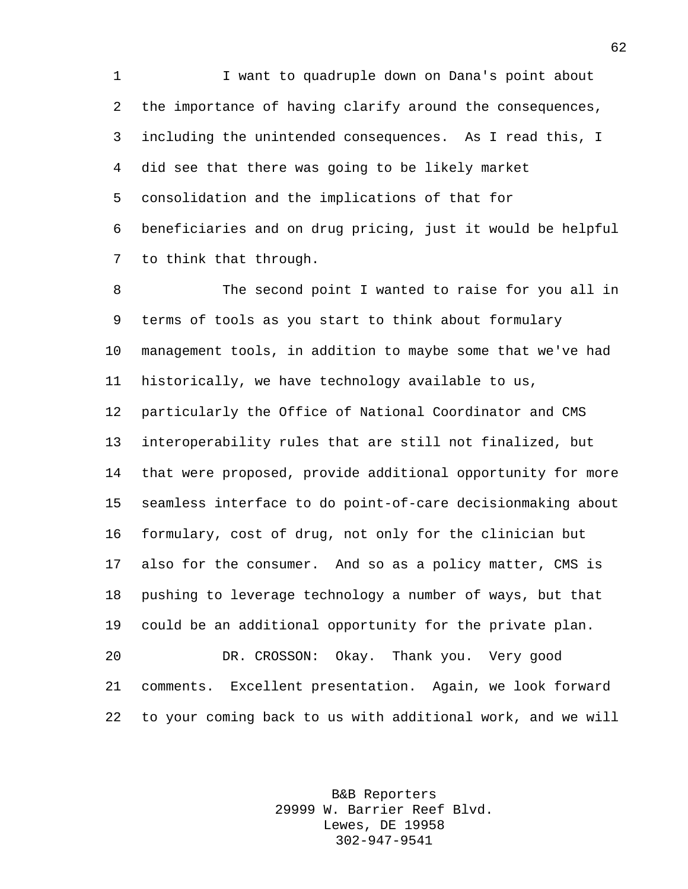I want to quadruple down on Dana's point about the importance of having clarify around the consequences, including the unintended consequences. As I read this, I did see that there was going to be likely market consolidation and the implications of that for beneficiaries and on drug pricing, just it would be helpful to think that through.

 The second point I wanted to raise for you all in terms of tools as you start to think about formulary management tools, in addition to maybe some that we've had historically, we have technology available to us, particularly the Office of National Coordinator and CMS interoperability rules that are still not finalized, but that were proposed, provide additional opportunity for more seamless interface to do point-of-care decisionmaking about formulary, cost of drug, not only for the clinician but also for the consumer. And so as a policy matter, CMS is pushing to leverage technology a number of ways, but that could be an additional opportunity for the private plan. DR. CROSSON: Okay. Thank you. Very good comments. Excellent presentation. Again, we look forward to your coming back to us with additional work, and we will

> B&B Reporters 29999 W. Barrier Reef Blvd. Lewes, DE 19958 302-947-9541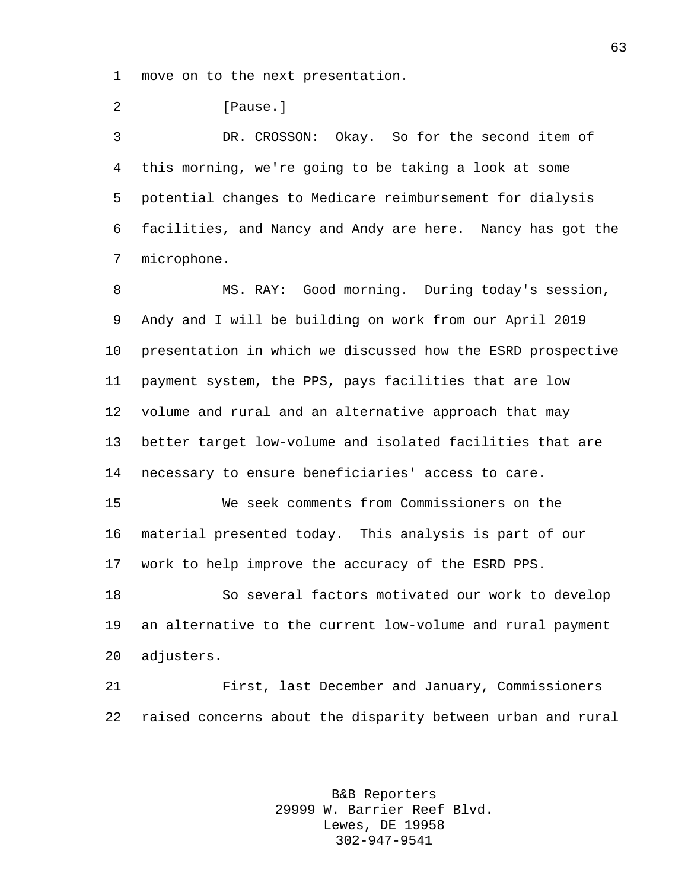move on to the next presentation.

**[Pause.]** 

 DR. CROSSON: Okay. So for the second item of this morning, we're going to be taking a look at some potential changes to Medicare reimbursement for dialysis facilities, and Nancy and Andy are here. Nancy has got the microphone.

 MS. RAY: Good morning. During today's session, Andy and I will be building on work from our April 2019 presentation in which we discussed how the ESRD prospective payment system, the PPS, pays facilities that are low volume and rural and an alternative approach that may better target low-volume and isolated facilities that are necessary to ensure beneficiaries' access to care.

 We seek comments from Commissioners on the material presented today. This analysis is part of our work to help improve the accuracy of the ESRD PPS.

 So several factors motivated our work to develop an alternative to the current low-volume and rural payment adjusters.

 First, last December and January, Commissioners raised concerns about the disparity between urban and rural

> B&B Reporters 29999 W. Barrier Reef Blvd. Lewes, DE 19958 302-947-9541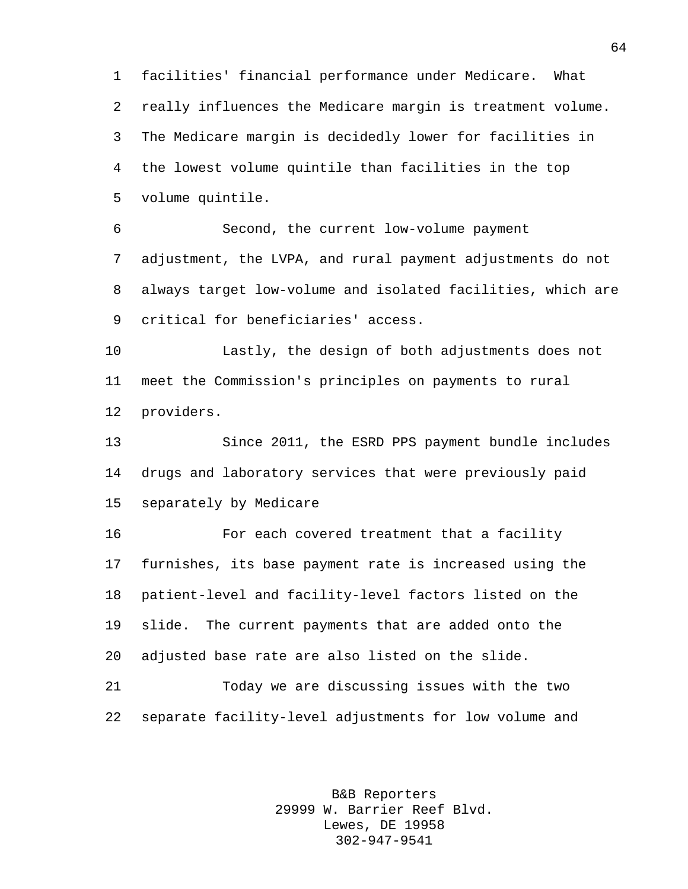facilities' financial performance under Medicare. What really influences the Medicare margin is treatment volume. The Medicare margin is decidedly lower for facilities in the lowest volume quintile than facilities in the top volume quintile.

 Second, the current low-volume payment adjustment, the LVPA, and rural payment adjustments do not always target low-volume and isolated facilities, which are critical for beneficiaries' access.

 Lastly, the design of both adjustments does not meet the Commission's principles on payments to rural providers.

 Since 2011, the ESRD PPS payment bundle includes drugs and laboratory services that were previously paid separately by Medicare

 For each covered treatment that a facility furnishes, its base payment rate is increased using the patient-level and facility-level factors listed on the slide. The current payments that are added onto the adjusted base rate are also listed on the slide.

 Today we are discussing issues with the two separate facility-level adjustments for low volume and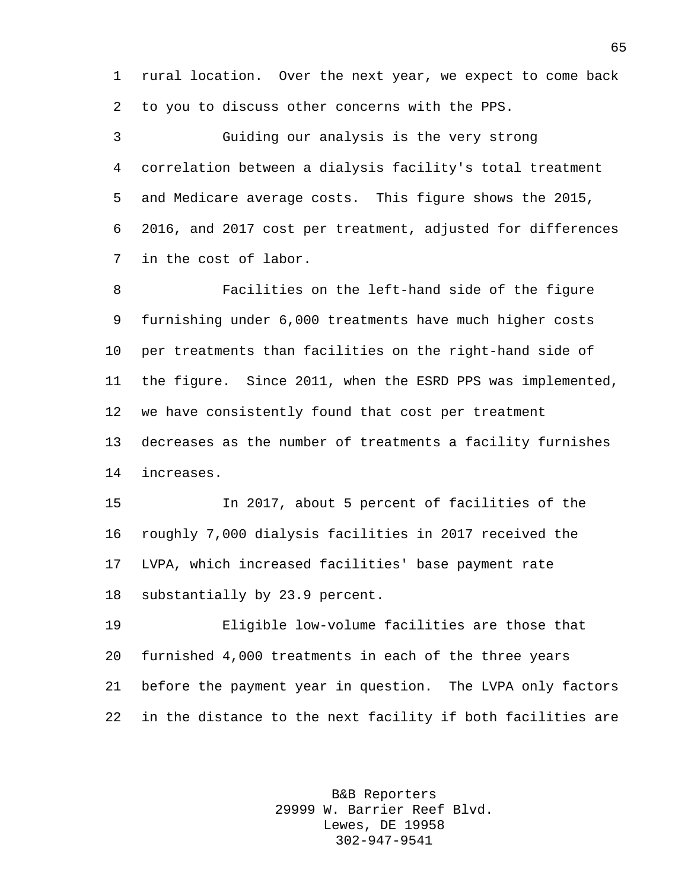rural location. Over the next year, we expect to come back to you to discuss other concerns with the PPS.

 Guiding our analysis is the very strong correlation between a dialysis facility's total treatment and Medicare average costs. This figure shows the 2015, 2016, and 2017 cost per treatment, adjusted for differences in the cost of labor.

 Facilities on the left-hand side of the figure furnishing under 6,000 treatments have much higher costs per treatments than facilities on the right-hand side of the figure. Since 2011, when the ESRD PPS was implemented, we have consistently found that cost per treatment decreases as the number of treatments a facility furnishes increases.

 In 2017, about 5 percent of facilities of the roughly 7,000 dialysis facilities in 2017 received the LVPA, which increased facilities' base payment rate substantially by 23.9 percent.

 Eligible low-volume facilities are those that furnished 4,000 treatments in each of the three years before the payment year in question. The LVPA only factors in the distance to the next facility if both facilities are

> B&B Reporters 29999 W. Barrier Reef Blvd. Lewes, DE 19958 302-947-9541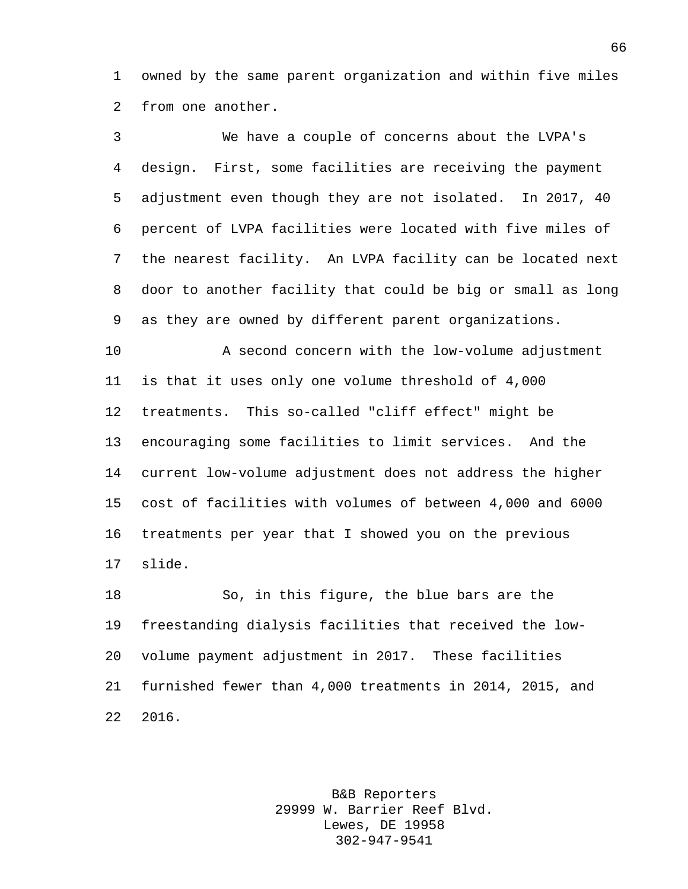owned by the same parent organization and within five miles from one another.

 We have a couple of concerns about the LVPA's design. First, some facilities are receiving the payment adjustment even though they are not isolated. In 2017, 40 percent of LVPA facilities were located with five miles of the nearest facility. An LVPA facility can be located next door to another facility that could be big or small as long as they are owned by different parent organizations.

 A second concern with the low-volume adjustment is that it uses only one volume threshold of 4,000 treatments. This so-called "cliff effect" might be encouraging some facilities to limit services. And the current low-volume adjustment does not address the higher cost of facilities with volumes of between 4,000 and 6000 treatments per year that I showed you on the previous slide.

 So, in this figure, the blue bars are the freestanding dialysis facilities that received the low- volume payment adjustment in 2017. These facilities furnished fewer than 4,000 treatments in 2014, 2015, and 2016.

> B&B Reporters 29999 W. Barrier Reef Blvd. Lewes, DE 19958 302-947-9541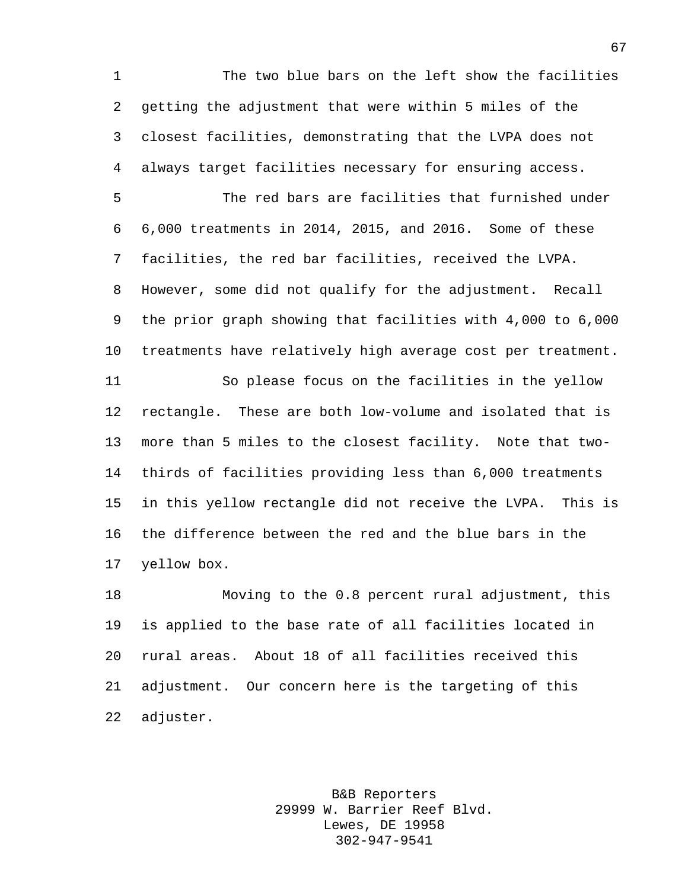The two blue bars on the left show the facilities getting the adjustment that were within 5 miles of the closest facilities, demonstrating that the LVPA does not always target facilities necessary for ensuring access.

 The red bars are facilities that furnished under 6,000 treatments in 2014, 2015, and 2016. Some of these facilities, the red bar facilities, received the LVPA. However, some did not qualify for the adjustment. Recall the prior graph showing that facilities with 4,000 to 6,000 treatments have relatively high average cost per treatment.

 So please focus on the facilities in the yellow rectangle. These are both low-volume and isolated that is more than 5 miles to the closest facility. Note that two- thirds of facilities providing less than 6,000 treatments in this yellow rectangle did not receive the LVPA. This is the difference between the red and the blue bars in the yellow box.

 Moving to the 0.8 percent rural adjustment, this is applied to the base rate of all facilities located in rural areas. About 18 of all facilities received this adjustment. Our concern here is the targeting of this adjuster.

> B&B Reporters 29999 W. Barrier Reef Blvd. Lewes, DE 19958 302-947-9541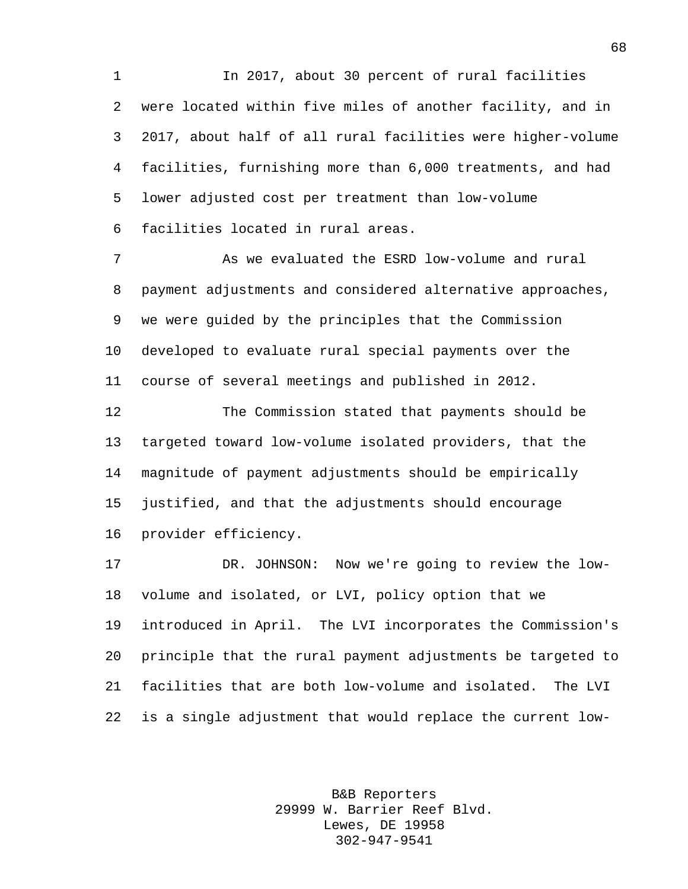In 2017, about 30 percent of rural facilities were located within five miles of another facility, and in 2017, about half of all rural facilities were higher-volume facilities, furnishing more than 6,000 treatments, and had lower adjusted cost per treatment than low-volume facilities located in rural areas.

 As we evaluated the ESRD low-volume and rural payment adjustments and considered alternative approaches, we were guided by the principles that the Commission developed to evaluate rural special payments over the course of several meetings and published in 2012.

 The Commission stated that payments should be targeted toward low-volume isolated providers, that the magnitude of payment adjustments should be empirically justified, and that the adjustments should encourage provider efficiency.

 DR. JOHNSON: Now we're going to review the low- volume and isolated, or LVI, policy option that we introduced in April. The LVI incorporates the Commission's principle that the rural payment adjustments be targeted to facilities that are both low-volume and isolated. The LVI is a single adjustment that would replace the current low-

> B&B Reporters 29999 W. Barrier Reef Blvd. Lewes, DE 19958 302-947-9541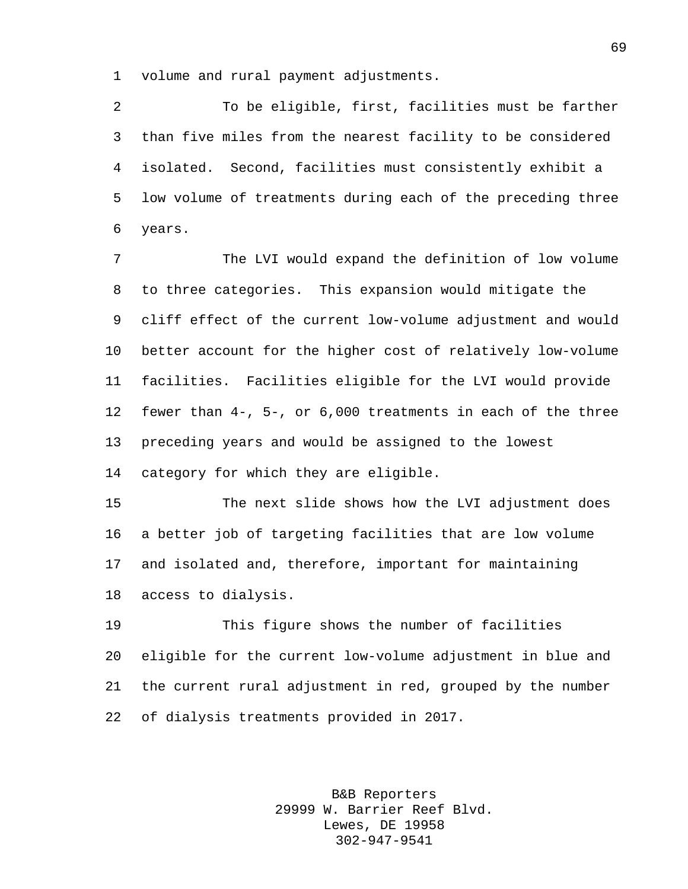volume and rural payment adjustments.

 To be eligible, first, facilities must be farther than five miles from the nearest facility to be considered isolated. Second, facilities must consistently exhibit a low volume of treatments during each of the preceding three years.

 The LVI would expand the definition of low volume to three categories. This expansion would mitigate the cliff effect of the current low-volume adjustment and would better account for the higher cost of relatively low-volume facilities. Facilities eligible for the LVI would provide fewer than 4-, 5-, or 6,000 treatments in each of the three preceding years and would be assigned to the lowest category for which they are eligible.

 The next slide shows how the LVI adjustment does a better job of targeting facilities that are low volume and isolated and, therefore, important for maintaining access to dialysis.

 This figure shows the number of facilities eligible for the current low-volume adjustment in blue and the current rural adjustment in red, grouped by the number of dialysis treatments provided in 2017.

> B&B Reporters 29999 W. Barrier Reef Blvd. Lewes, DE 19958 302-947-9541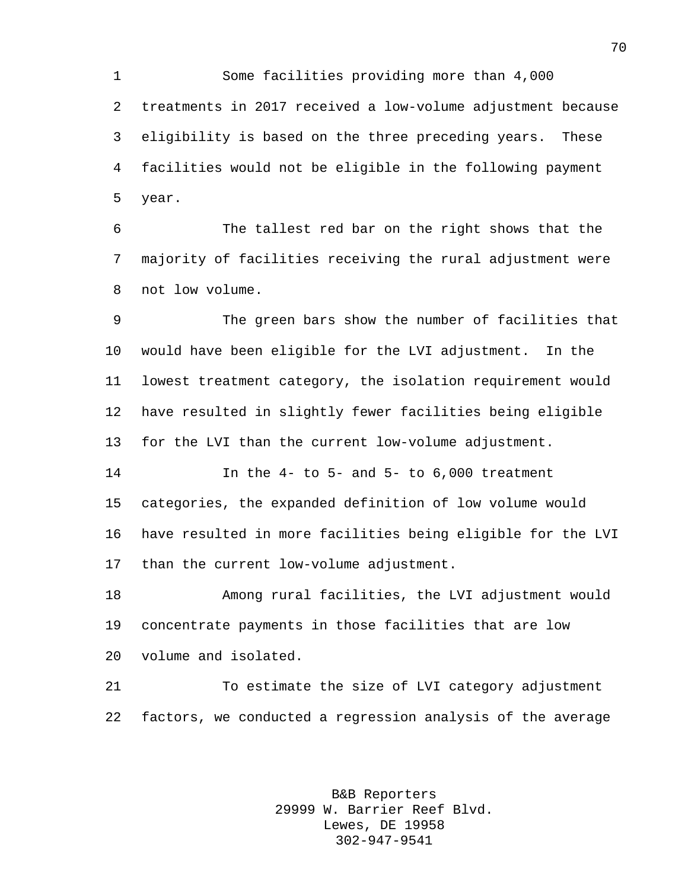Some facilities providing more than 4,000 treatments in 2017 received a low-volume adjustment because eligibility is based on the three preceding years. These facilities would not be eligible in the following payment year.

 The tallest red bar on the right shows that the majority of facilities receiving the rural adjustment were not low volume.

 The green bars show the number of facilities that would have been eligible for the LVI adjustment. In the lowest treatment category, the isolation requirement would have resulted in slightly fewer facilities being eligible for the LVI than the current low-volume adjustment.

 In the 4- to 5- and 5- to 6,000 treatment categories, the expanded definition of low volume would have resulted in more facilities being eligible for the LVI than the current low-volume adjustment.

 Among rural facilities, the LVI adjustment would concentrate payments in those facilities that are low volume and isolated.

 To estimate the size of LVI category adjustment factors, we conducted a regression analysis of the average

> B&B Reporters 29999 W. Barrier Reef Blvd. Lewes, DE 19958 302-947-9541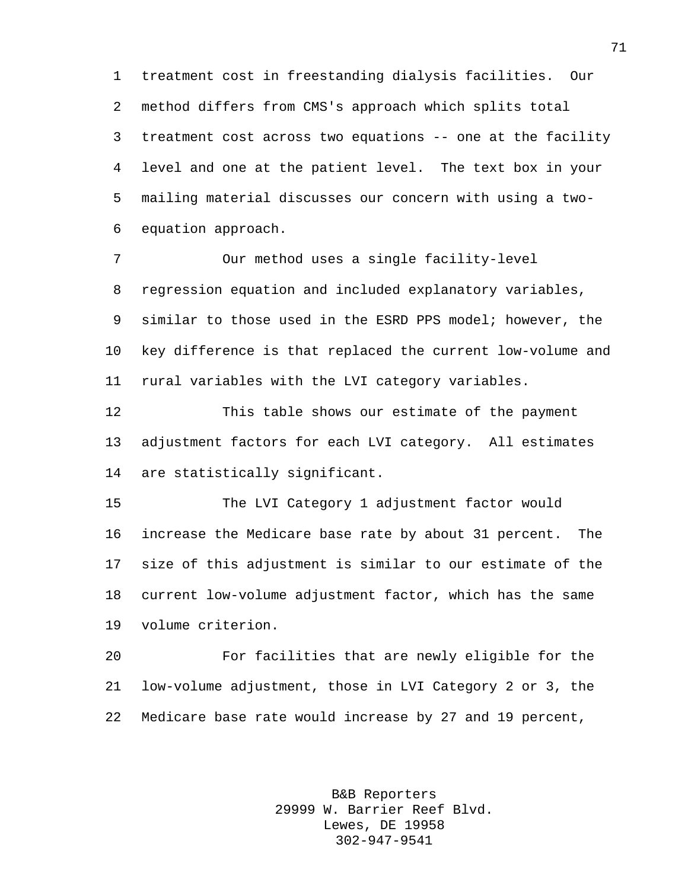treatment cost in freestanding dialysis facilities. Our method differs from CMS's approach which splits total treatment cost across two equations -- one at the facility level and one at the patient level. The text box in your mailing material discusses our concern with using a two-equation approach.

 Our method uses a single facility-level regression equation and included explanatory variables, similar to those used in the ESRD PPS model; however, the key difference is that replaced the current low-volume and rural variables with the LVI category variables.

 This table shows our estimate of the payment adjustment factors for each LVI category. All estimates are statistically significant.

 The LVI Category 1 adjustment factor would increase the Medicare base rate by about 31 percent. The size of this adjustment is similar to our estimate of the current low-volume adjustment factor, which has the same volume criterion.

 For facilities that are newly eligible for the low-volume adjustment, those in LVI Category 2 or 3, the Medicare base rate would increase by 27 and 19 percent,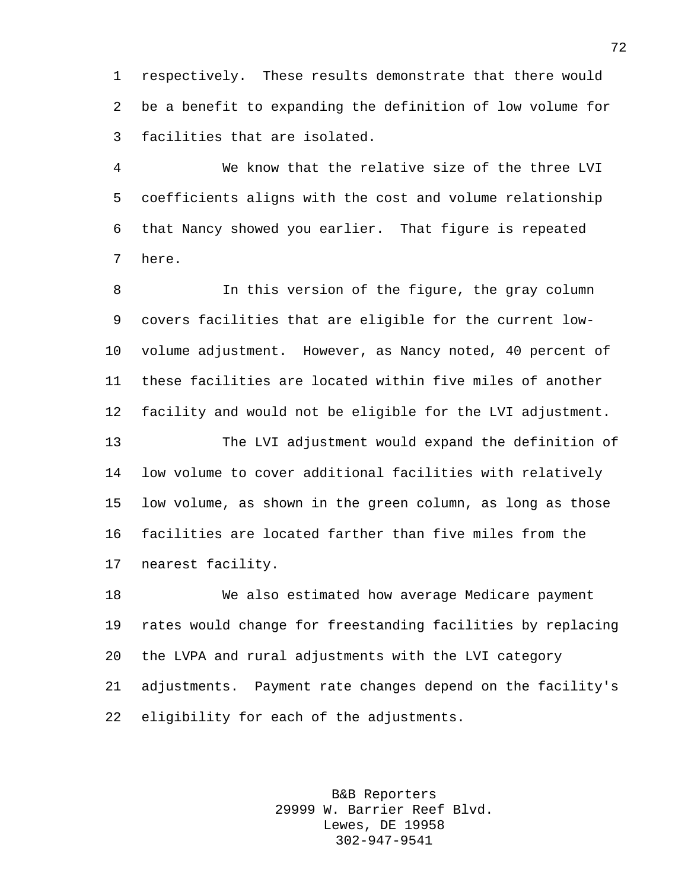respectively. These results demonstrate that there would be a benefit to expanding the definition of low volume for facilities that are isolated.

 We know that the relative size of the three LVI coefficients aligns with the cost and volume relationship that Nancy showed you earlier. That figure is repeated here.

 In this version of the figure, the gray column covers facilities that are eligible for the current low- volume adjustment. However, as Nancy noted, 40 percent of these facilities are located within five miles of another facility and would not be eligible for the LVI adjustment.

 The LVI adjustment would expand the definition of low volume to cover additional facilities with relatively low volume, as shown in the green column, as long as those facilities are located farther than five miles from the nearest facility.

 We also estimated how average Medicare payment rates would change for freestanding facilities by replacing the LVPA and rural adjustments with the LVI category adjustments. Payment rate changes depend on the facility's eligibility for each of the adjustments.

> B&B Reporters 29999 W. Barrier Reef Blvd. Lewes, DE 19958 302-947-9541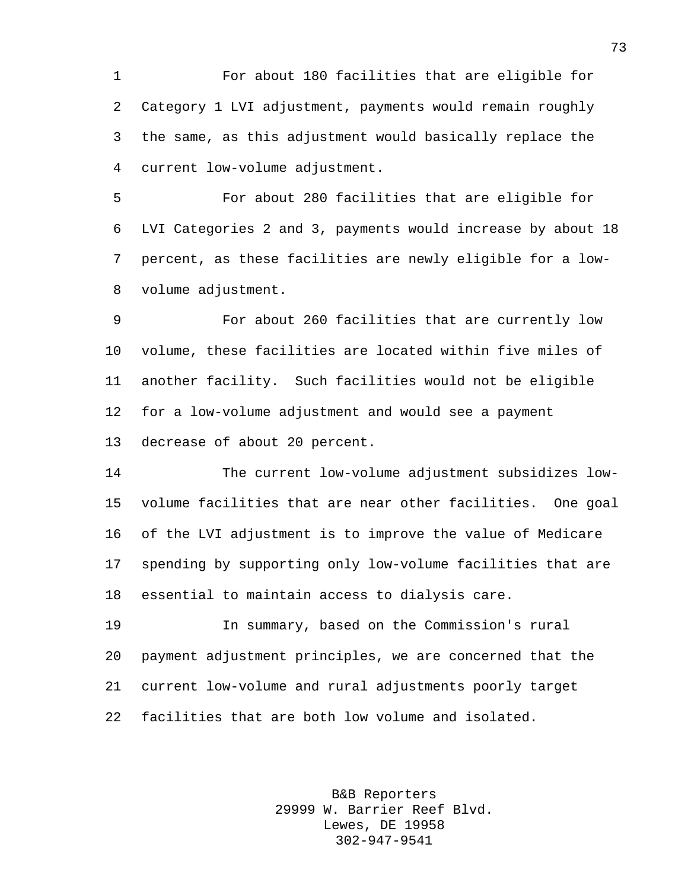For about 180 facilities that are eligible for Category 1 LVI adjustment, payments would remain roughly the same, as this adjustment would basically replace the current low-volume adjustment.

 For about 280 facilities that are eligible for LVI Categories 2 and 3, payments would increase by about 18 percent, as these facilities are newly eligible for a low-volume adjustment.

 For about 260 facilities that are currently low volume, these facilities are located within five miles of another facility. Such facilities would not be eligible for a low-volume adjustment and would see a payment decrease of about 20 percent.

 The current low-volume adjustment subsidizes low- volume facilities that are near other facilities. One goal of the LVI adjustment is to improve the value of Medicare spending by supporting only low-volume facilities that are essential to maintain access to dialysis care.

 In summary, based on the Commission's rural payment adjustment principles, we are concerned that the current low-volume and rural adjustments poorly target facilities that are both low volume and isolated.

> B&B Reporters 29999 W. Barrier Reef Blvd. Lewes, DE 19958 302-947-9541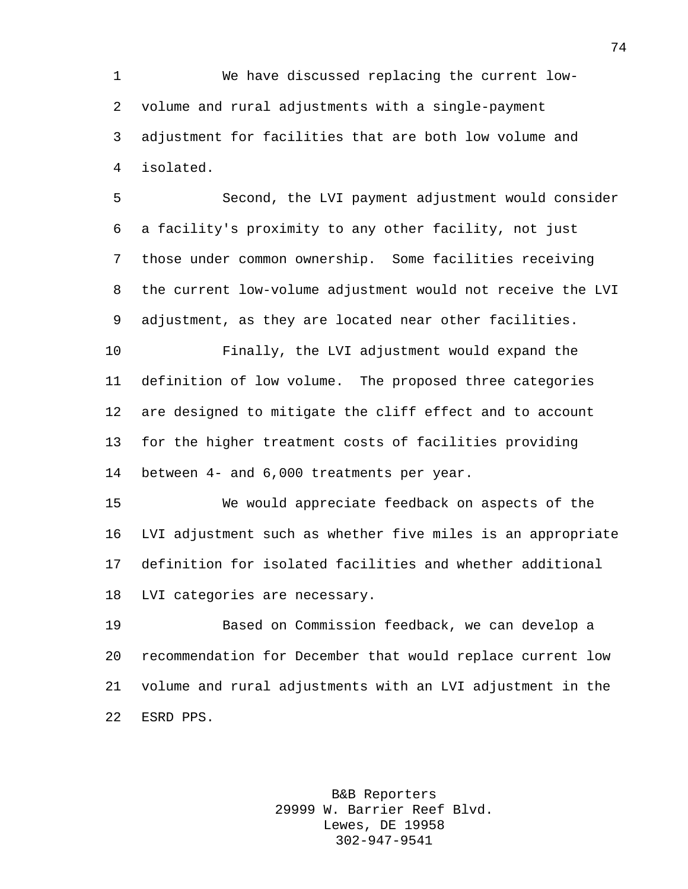We have discussed replacing the current low- volume and rural adjustments with a single-payment adjustment for facilities that are both low volume and isolated.

 Second, the LVI payment adjustment would consider a facility's proximity to any other facility, not just those under common ownership. Some facilities receiving the current low-volume adjustment would not receive the LVI adjustment, as they are located near other facilities.

 Finally, the LVI adjustment would expand the definition of low volume. The proposed three categories are designed to mitigate the cliff effect and to account for the higher treatment costs of facilities providing between 4- and 6,000 treatments per year.

 We would appreciate feedback on aspects of the LVI adjustment such as whether five miles is an appropriate definition for isolated facilities and whether additional LVI categories are necessary.

 Based on Commission feedback, we can develop a recommendation for December that would replace current low volume and rural adjustments with an LVI adjustment in the ESRD PPS.

> B&B Reporters 29999 W. Barrier Reef Blvd. Lewes, DE 19958 302-947-9541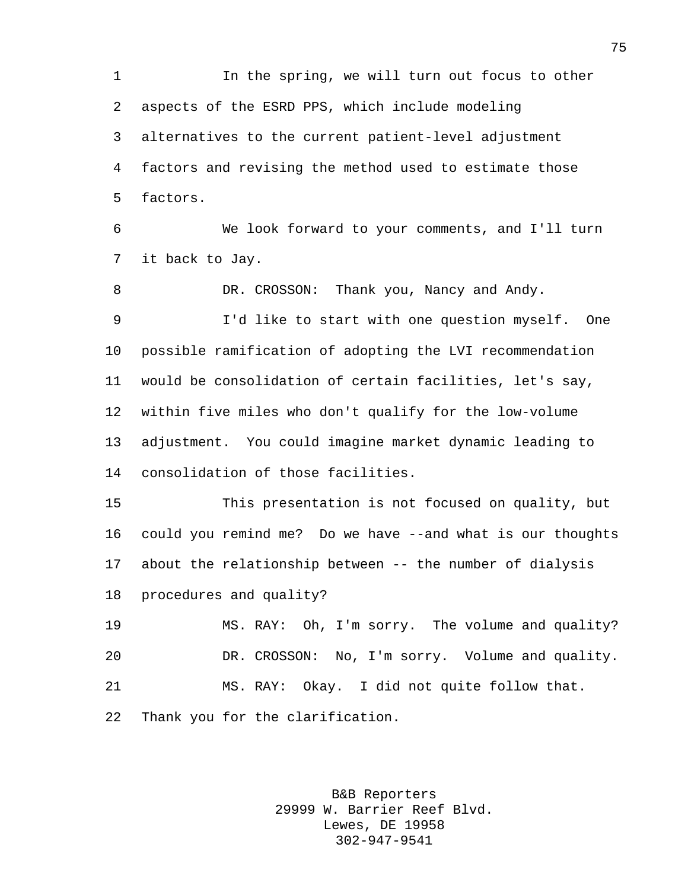1 1 In the spring, we will turn out focus to other aspects of the ESRD PPS, which include modeling alternatives to the current patient-level adjustment factors and revising the method used to estimate those factors.

 We look forward to your comments, and I'll turn it back to Jay.

 DR. CROSSON: Thank you, Nancy and Andy. I'd like to start with one question myself. One possible ramification of adopting the LVI recommendation would be consolidation of certain facilities, let's say, within five miles who don't qualify for the low-volume adjustment. You could imagine market dynamic leading to consolidation of those facilities.

 This presentation is not focused on quality, but could you remind me? Do we have --and what is our thoughts about the relationship between -- the number of dialysis procedures and quality?

 MS. RAY: Oh, I'm sorry. The volume and quality? DR. CROSSON: No, I'm sorry. Volume and quality. MS. RAY: Okay. I did not quite follow that. Thank you for the clarification.

> B&B Reporters 29999 W. Barrier Reef Blvd. Lewes, DE 19958 302-947-9541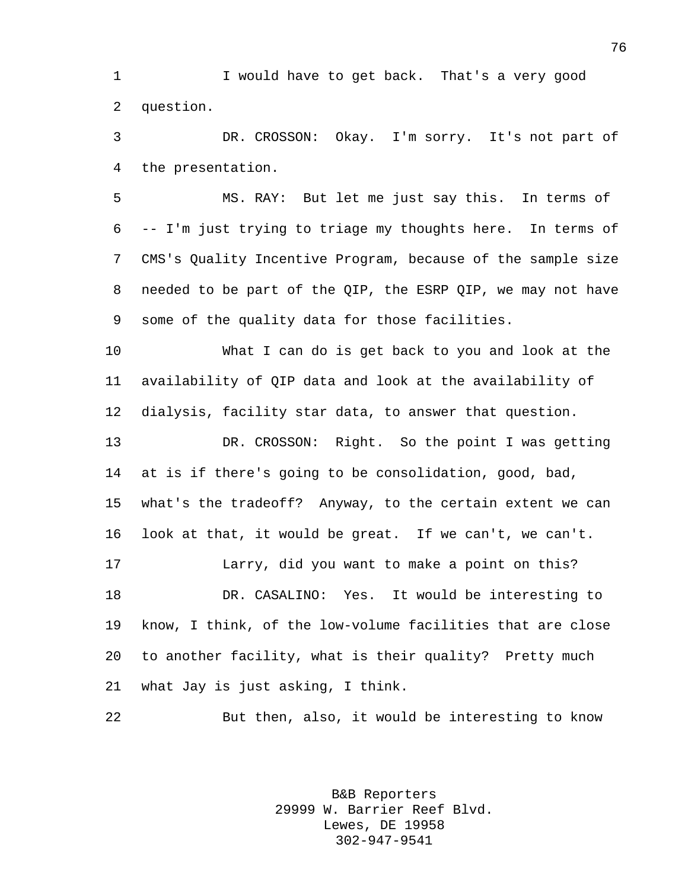I would have to get back. That's a very good question.

 DR. CROSSON: Okay. I'm sorry. It's not part of the presentation.

 MS. RAY: But let me just say this. In terms of -- I'm just trying to triage my thoughts here. In terms of CMS's Quality Incentive Program, because of the sample size needed to be part of the QIP, the ESRP QIP, we may not have some of the quality data for those facilities.

 What I can do is get back to you and look at the availability of QIP data and look at the availability of dialysis, facility star data, to answer that question.

 DR. CROSSON: Right. So the point I was getting at is if there's going to be consolidation, good, bad, what's the tradeoff? Anyway, to the certain extent we can look at that, it would be great. If we can't, we can't.

 Larry, did you want to make a point on this? DR. CASALINO: Yes. It would be interesting to know, I think, of the low-volume facilities that are close to another facility, what is their quality? Pretty much what Jay is just asking, I think.

But then, also, it would be interesting to know

B&B Reporters 29999 W. Barrier Reef Blvd. Lewes, DE 19958 302-947-9541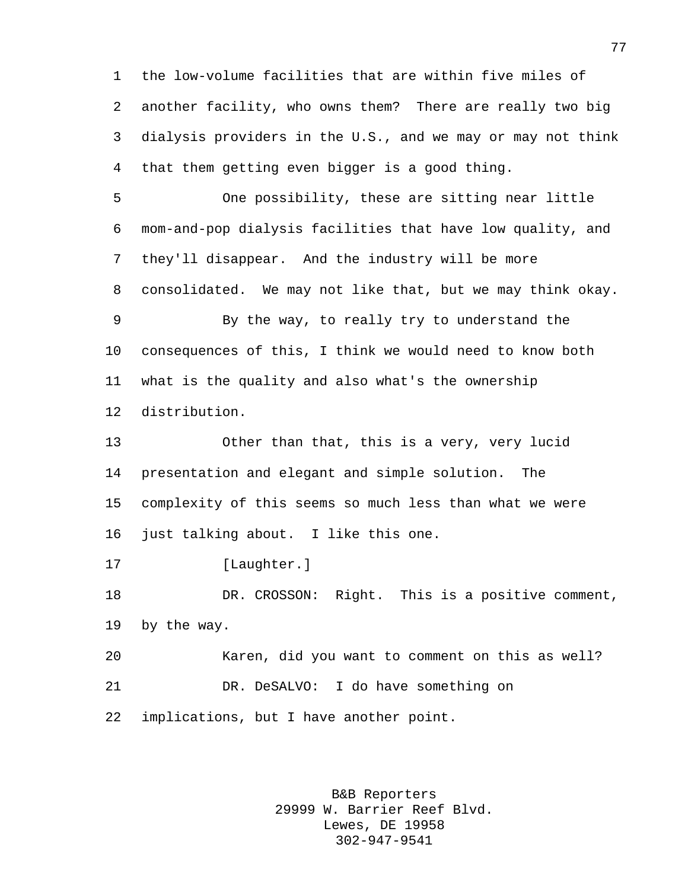the low-volume facilities that are within five miles of another facility, who owns them? There are really two big dialysis providers in the U.S., and we may or may not think that them getting even bigger is a good thing.

 One possibility, these are sitting near little mom-and-pop dialysis facilities that have low quality, and they'll disappear. And the industry will be more consolidated. We may not like that, but we may think okay. By the way, to really try to understand the

 consequences of this, I think we would need to know both what is the quality and also what's the ownership distribution.

 Other than that, this is a very, very lucid presentation and elegant and simple solution. The complexity of this seems so much less than what we were 16 just talking about. I like this one.

17 [Laughter.]

 DR. CROSSON: Right. This is a positive comment, by the way.

 Karen, did you want to comment on this as well? DR. DeSALVO: I do have something on implications, but I have another point.

> B&B Reporters 29999 W. Barrier Reef Blvd. Lewes, DE 19958 302-947-9541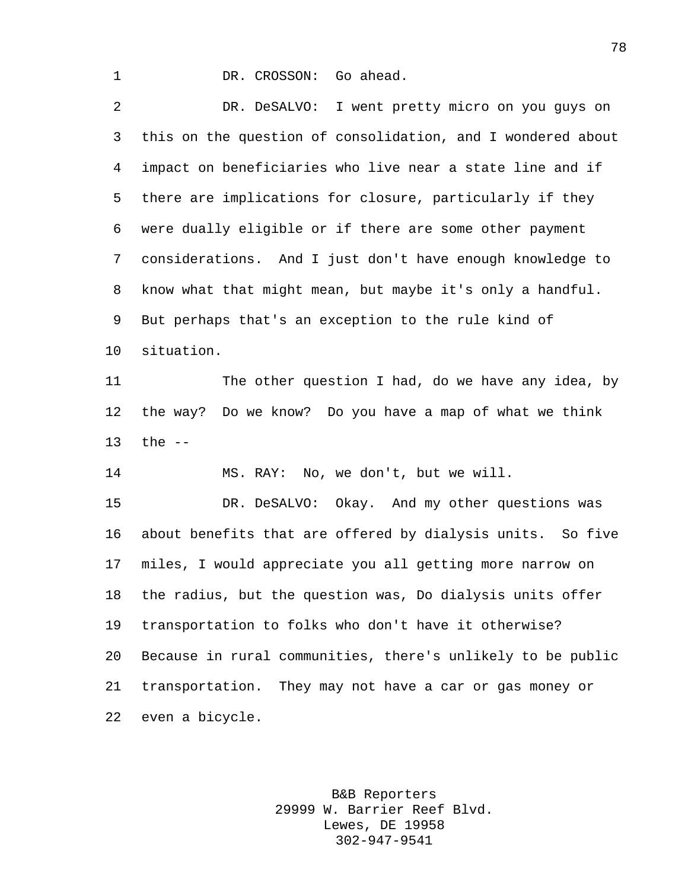1 DR. CROSSON: Go ahead.

 DR. DeSALVO: I went pretty micro on you guys on this on the question of consolidation, and I wondered about impact on beneficiaries who live near a state line and if there are implications for closure, particularly if they were dually eligible or if there are some other payment considerations. And I just don't have enough knowledge to know what that might mean, but maybe it's only a handful. But perhaps that's an exception to the rule kind of situation. The other question I had, do we have any idea, by the way? Do we know? Do you have a map of what we think the -- MS. RAY: No, we don't, but we will. DR. DeSALVO: Okay. And my other questions was about benefits that are offered by dialysis units. So five miles, I would appreciate you all getting more narrow on the radius, but the question was, Do dialysis units offer transportation to folks who don't have it otherwise? Because in rural communities, there's unlikely to be public transportation. They may not have a car or gas money or even a bicycle.

> B&B Reporters 29999 W. Barrier Reef Blvd. Lewes, DE 19958 302-947-9541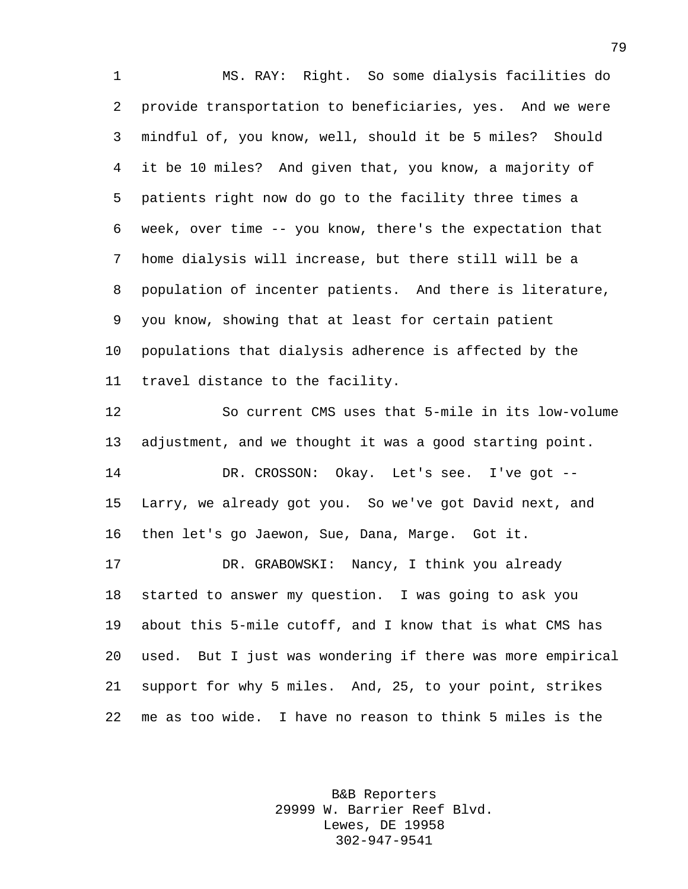MS. RAY: Right. So some dialysis facilities do provide transportation to beneficiaries, yes. And we were mindful of, you know, well, should it be 5 miles? Should it be 10 miles? And given that, you know, a majority of patients right now do go to the facility three times a week, over time -- you know, there's the expectation that home dialysis will increase, but there still will be a population of incenter patients. And there is literature, you know, showing that at least for certain patient populations that dialysis adherence is affected by the travel distance to the facility.

 So current CMS uses that 5-mile in its low-volume adjustment, and we thought it was a good starting point. DR. CROSSON: Okay. Let's see. I've got -- Larry, we already got you. So we've got David next, and then let's go Jaewon, Sue, Dana, Marge. Got it. DR. GRABOWSKI: Nancy, I think you already started to answer my question. I was going to ask you about this 5-mile cutoff, and I know that is what CMS has used. But I just was wondering if there was more empirical support for why 5 miles. And, 25, to your point, strikes me as too wide. I have no reason to think 5 miles is the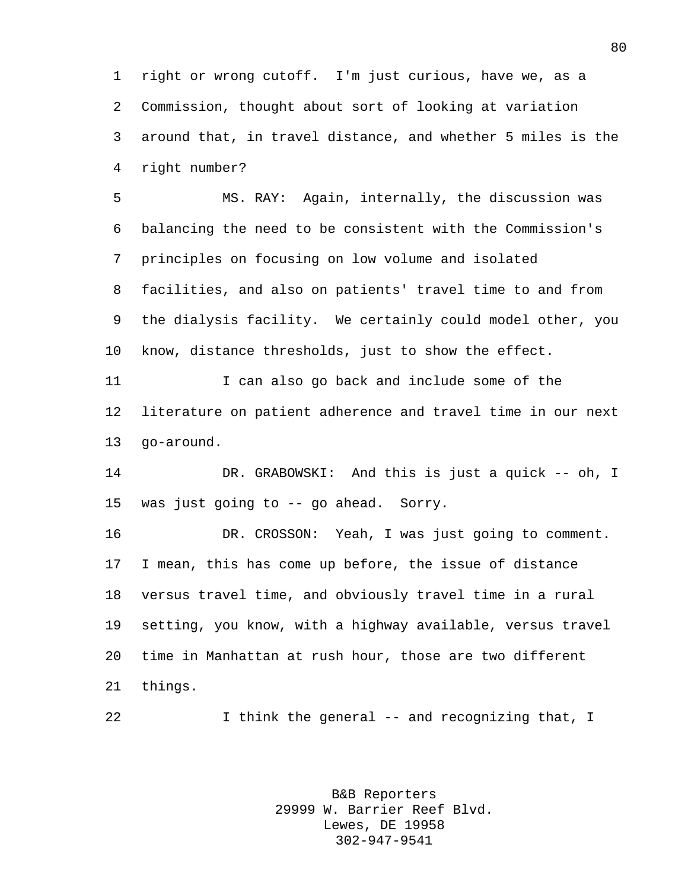right or wrong cutoff. I'm just curious, have we, as a Commission, thought about sort of looking at variation around that, in travel distance, and whether 5 miles is the right number?

 MS. RAY: Again, internally, the discussion was balancing the need to be consistent with the Commission's principles on focusing on low volume and isolated facilities, and also on patients' travel time to and from the dialysis facility. We certainly could model other, you know, distance thresholds, just to show the effect.

 I can also go back and include some of the literature on patient adherence and travel time in our next go-around.

 DR. GRABOWSKI: And this is just a quick -- oh, I was just going to -- go ahead. Sorry.

 DR. CROSSON: Yeah, I was just going to comment. I mean, this has come up before, the issue of distance versus travel time, and obviously travel time in a rural setting, you know, with a highway available, versus travel time in Manhattan at rush hour, those are two different things.

I think the general -- and recognizing that, I

B&B Reporters 29999 W. Barrier Reef Blvd. Lewes, DE 19958 302-947-9541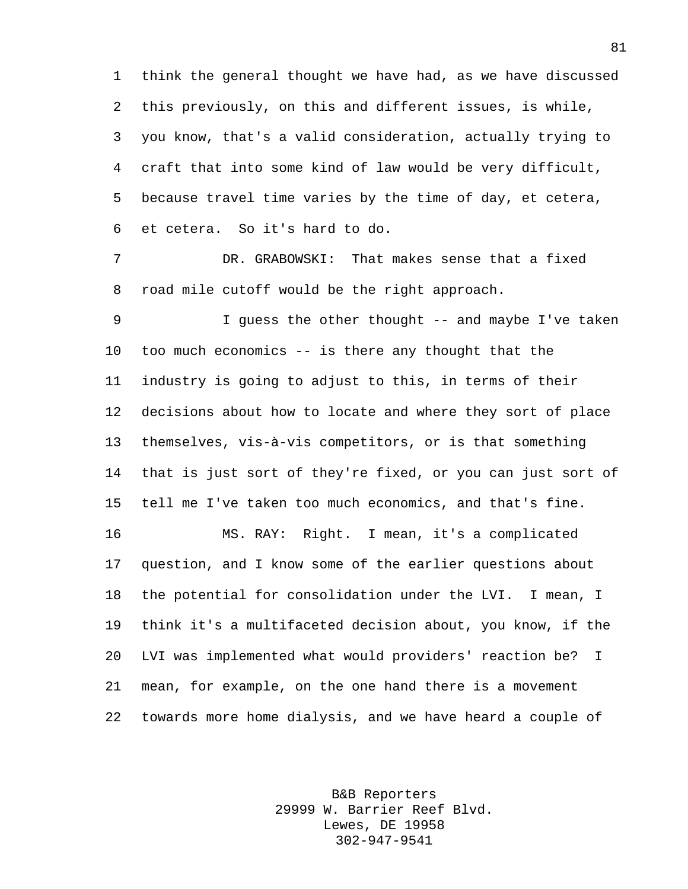think the general thought we have had, as we have discussed this previously, on this and different issues, is while, you know, that's a valid consideration, actually trying to craft that into some kind of law would be very difficult, because travel time varies by the time of day, et cetera, et cetera. So it's hard to do.

 DR. GRABOWSKI: That makes sense that a fixed road mile cutoff would be the right approach.

9 1 J guess the other thought -- and maybe I've taken too much economics -- is there any thought that the industry is going to adjust to this, in terms of their decisions about how to locate and where they sort of place themselves, vis-à-vis competitors, or is that something that is just sort of they're fixed, or you can just sort of tell me I've taken too much economics, and that's fine.

 MS. RAY: Right. I mean, it's a complicated question, and I know some of the earlier questions about the potential for consolidation under the LVI. I mean, I think it's a multifaceted decision about, you know, if the LVI was implemented what would providers' reaction be? I mean, for example, on the one hand there is a movement towards more home dialysis, and we have heard a couple of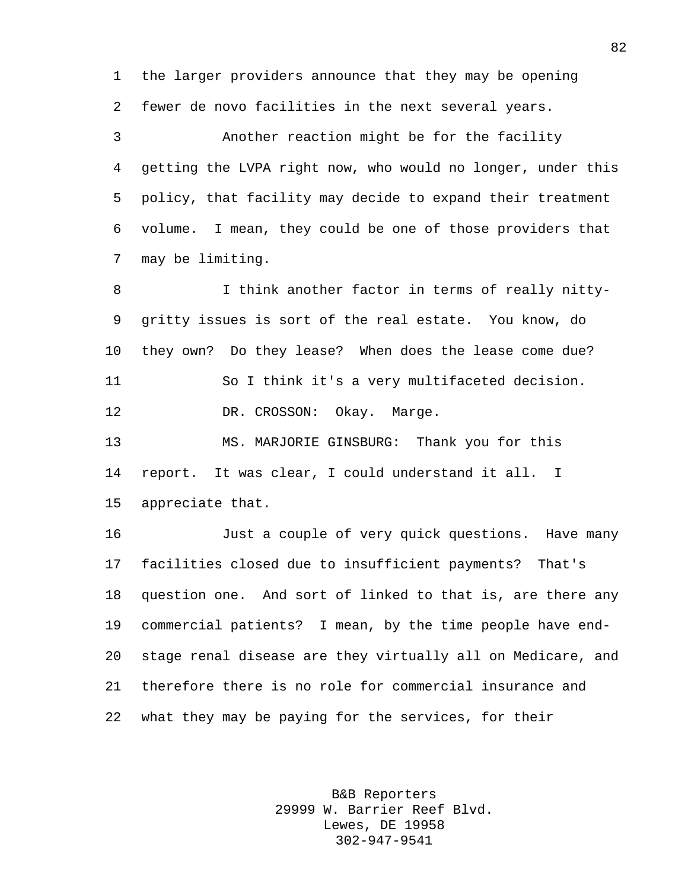the larger providers announce that they may be opening fewer de novo facilities in the next several years.

 Another reaction might be for the facility getting the LVPA right now, who would no longer, under this policy, that facility may decide to expand their treatment volume. I mean, they could be one of those providers that may be limiting.

8 I think another factor in terms of really nitty- gritty issues is sort of the real estate. You know, do they own? Do they lease? When does the lease come due? So I think it's a very multifaceted decision. 12 DR. CROSSON: Okay. Marge. MS. MARJORIE GINSBURG: Thank you for this

 report. It was clear, I could understand it all. I appreciate that.

 Just a couple of very quick questions. Have many facilities closed due to insufficient payments? That's question one. And sort of linked to that is, are there any commercial patients? I mean, by the time people have end- stage renal disease are they virtually all on Medicare, and therefore there is no role for commercial insurance and what they may be paying for the services, for their

> B&B Reporters 29999 W. Barrier Reef Blvd. Lewes, DE 19958 302-947-9541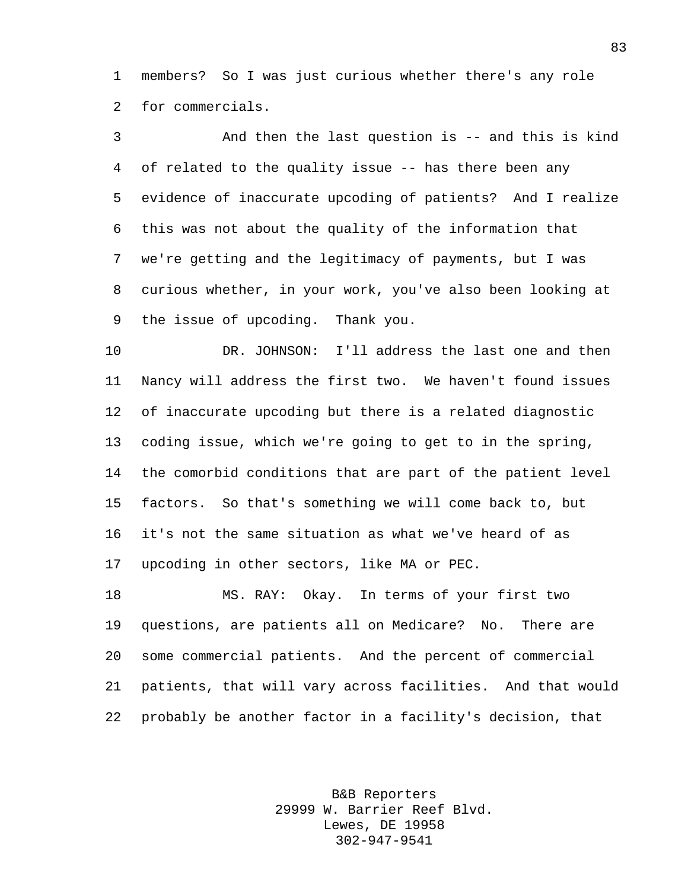members? So I was just curious whether there's any role for commercials.

 And then the last question is -- and this is kind of related to the quality issue -- has there been any evidence of inaccurate upcoding of patients? And I realize this was not about the quality of the information that we're getting and the legitimacy of payments, but I was curious whether, in your work, you've also been looking at the issue of upcoding. Thank you.

 DR. JOHNSON: I'll address the last one and then Nancy will address the first two. We haven't found issues of inaccurate upcoding but there is a related diagnostic coding issue, which we're going to get to in the spring, the comorbid conditions that are part of the patient level factors. So that's something we will come back to, but it's not the same situation as what we've heard of as upcoding in other sectors, like MA or PEC.

 MS. RAY: Okay. In terms of your first two questions, are patients all on Medicare? No. There are some commercial patients. And the percent of commercial patients, that will vary across facilities. And that would probably be another factor in a facility's decision, that

> B&B Reporters 29999 W. Barrier Reef Blvd. Lewes, DE 19958 302-947-9541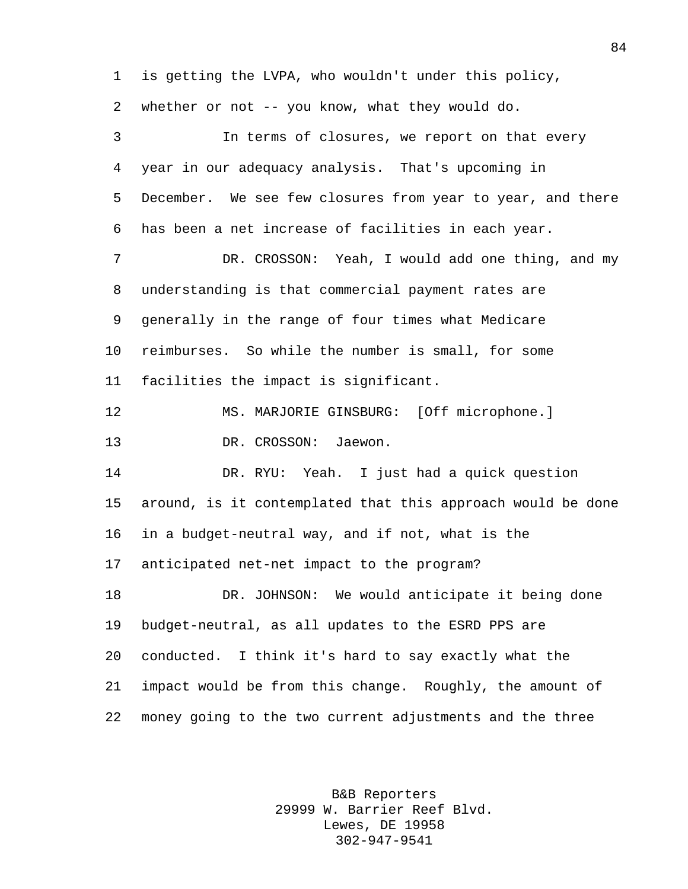is getting the LVPA, who wouldn't under this policy, whether or not -- you know, what they would do. In terms of closures, we report on that every year in our adequacy analysis. That's upcoming in December. We see few closures from year to year, and there has been a net increase of facilities in each year. DR. CROSSON: Yeah, I would add one thing, and my understanding is that commercial payment rates are generally in the range of four times what Medicare reimburses. So while the number is small, for some facilities the impact is significant. MS. MARJORIE GINSBURG: [Off microphone.] DR. CROSSON: Jaewon. DR. RYU: Yeah. I just had a quick question around, is it contemplated that this approach would be done in a budget-neutral way, and if not, what is the anticipated net-net impact to the program? DR. JOHNSON: We would anticipate it being done budget-neutral, as all updates to the ESRD PPS are conducted. I think it's hard to say exactly what the impact would be from this change. Roughly, the amount of money going to the two current adjustments and the three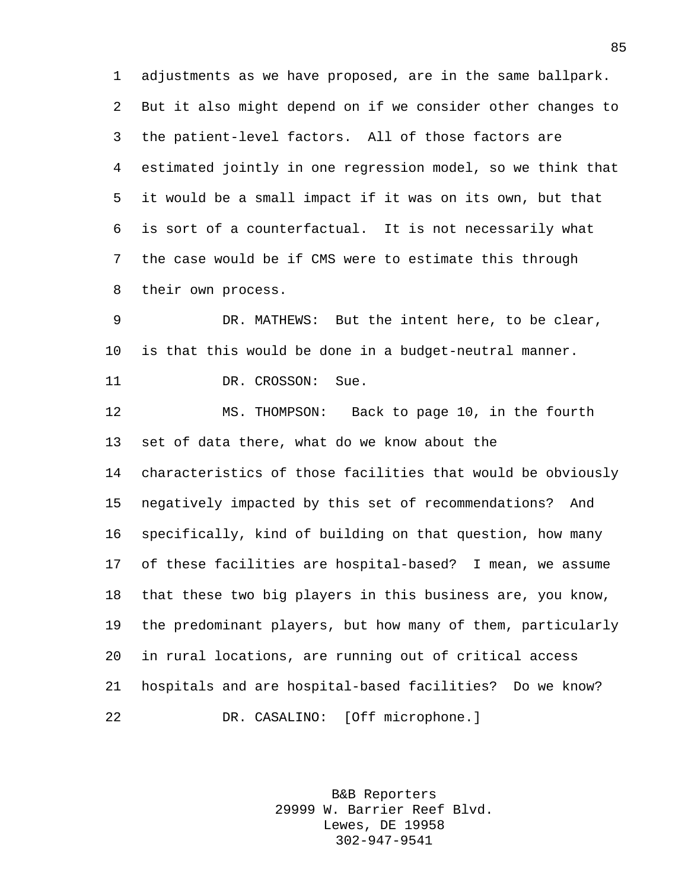adjustments as we have proposed, are in the same ballpark. But it also might depend on if we consider other changes to the patient-level factors. All of those factors are estimated jointly in one regression model, so we think that it would be a small impact if it was on its own, but that is sort of a counterfactual. It is not necessarily what the case would be if CMS were to estimate this through their own process.

 DR. MATHEWS: But the intent here, to be clear, is that this would be done in a budget-neutral manner. 11 DR. CROSSON: Sue.

 MS. THOMPSON: Back to page 10, in the fourth set of data there, what do we know about the characteristics of those facilities that would be obviously negatively impacted by this set of recommendations? And specifically, kind of building on that question, how many of these facilities are hospital-based? I mean, we assume that these two big players in this business are, you know, the predominant players, but how many of them, particularly in rural locations, are running out of critical access hospitals and are hospital-based facilities? Do we know? DR. CASALINO: [Off microphone.]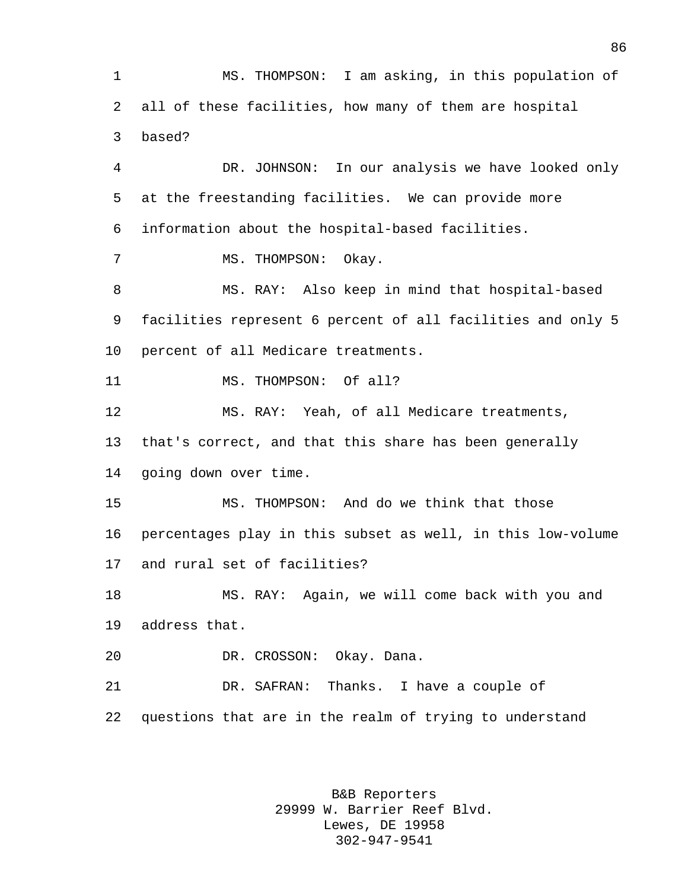MS. THOMPSON: I am asking, in this population of all of these facilities, how many of them are hospital based? DR. JOHNSON: In our analysis we have looked only at the freestanding facilities. We can provide more information about the hospital-based facilities. 7 MS. THOMPSON: Okay. MS. RAY: Also keep in mind that hospital-based facilities represent 6 percent of all facilities and only 5 percent of all Medicare treatments. 11 MS. THOMPSON: Of all? MS. RAY: Yeah, of all Medicare treatments, that's correct, and that this share has been generally going down over time. MS. THOMPSON: And do we think that those percentages play in this subset as well, in this low-volume and rural set of facilities? MS. RAY: Again, we will come back with you and address that. DR. CROSSON: Okay. Dana. DR. SAFRAN: Thanks. I have a couple of questions that are in the realm of trying to understand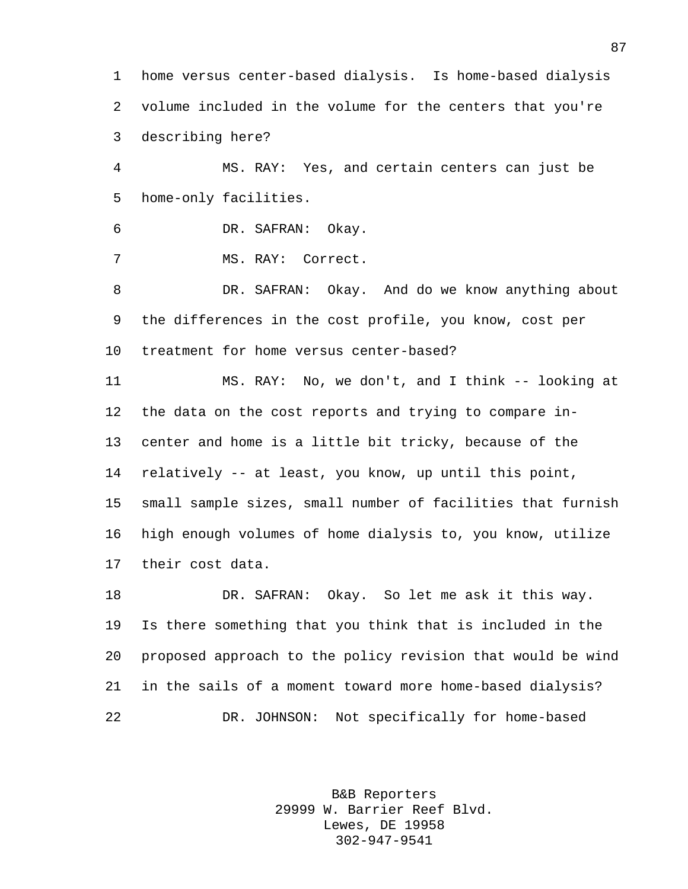home versus center-based dialysis. Is home-based dialysis volume included in the volume for the centers that you're describing here?

 MS. RAY: Yes, and certain centers can just be home-only facilities.

DR. SAFRAN: Okay.

MS. RAY: Correct.

 DR. SAFRAN: Okay. And do we know anything about the differences in the cost profile, you know, cost per treatment for home versus center-based?

 MS. RAY: No, we don't, and I think -- looking at the data on the cost reports and trying to compare in- center and home is a little bit tricky, because of the relatively -- at least, you know, up until this point, small sample sizes, small number of facilities that furnish high enough volumes of home dialysis to, you know, utilize their cost data.

 DR. SAFRAN: Okay. So let me ask it this way. Is there something that you think that is included in the proposed approach to the policy revision that would be wind in the sails of a moment toward more home-based dialysis? DR. JOHNSON: Not specifically for home-based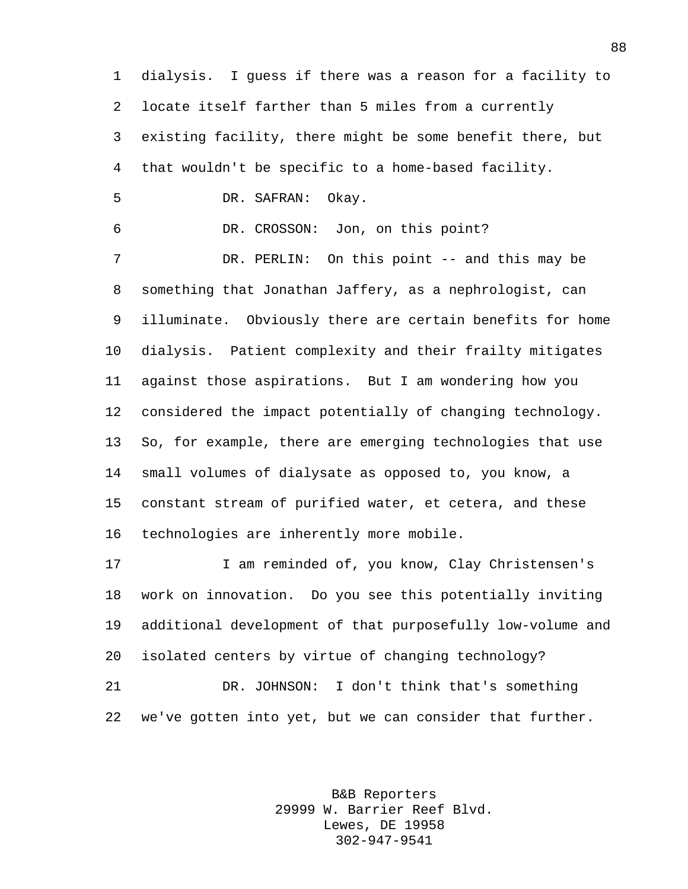dialysis. I guess if there was a reason for a facility to locate itself farther than 5 miles from a currently existing facility, there might be some benefit there, but that wouldn't be specific to a home-based facility. DR. SAFRAN: Okay. DR. CROSSON: Jon, on this point? 7 DR. PERLIN: On this point -- and this may be something that Jonathan Jaffery, as a nephrologist, can illuminate. Obviously there are certain benefits for home dialysis. Patient complexity and their frailty mitigates against those aspirations. But I am wondering how you considered the impact potentially of changing technology. So, for example, there are emerging technologies that use small volumes of dialysate as opposed to, you know, a constant stream of purified water, et cetera, and these technologies are inherently more mobile. I am reminded of, you know, Clay Christensen's work on innovation. Do you see this potentially inviting additional development of that purposefully low-volume and isolated centers by virtue of changing technology? DR. JOHNSON: I don't think that's something we've gotten into yet, but we can consider that further.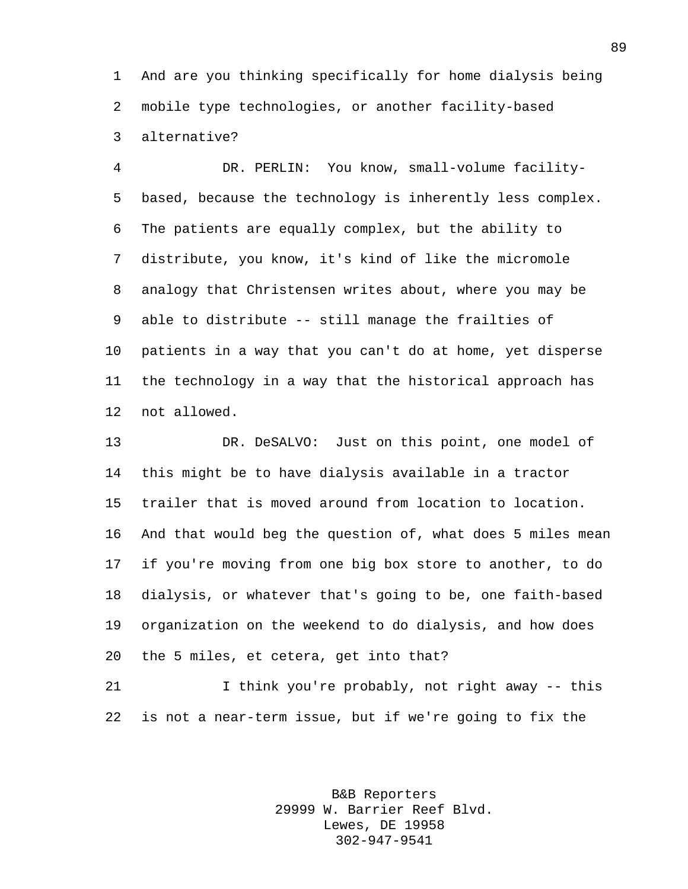And are you thinking specifically for home dialysis being mobile type technologies, or another facility-based alternative?

 DR. PERLIN: You know, small-volume facility- based, because the technology is inherently less complex. The patients are equally complex, but the ability to distribute, you know, it's kind of like the micromole analogy that Christensen writes about, where you may be able to distribute -- still manage the frailties of patients in a way that you can't do at home, yet disperse the technology in a way that the historical approach has not allowed.

 DR. DeSALVO: Just on this point, one model of this might be to have dialysis available in a tractor trailer that is moved around from location to location. And that would beg the question of, what does 5 miles mean if you're moving from one big box store to another, to do dialysis, or whatever that's going to be, one faith-based organization on the weekend to do dialysis, and how does the 5 miles, et cetera, get into that?

 I think you're probably, not right away -- this is not a near-term issue, but if we're going to fix the

> B&B Reporters 29999 W. Barrier Reef Blvd. Lewes, DE 19958 302-947-9541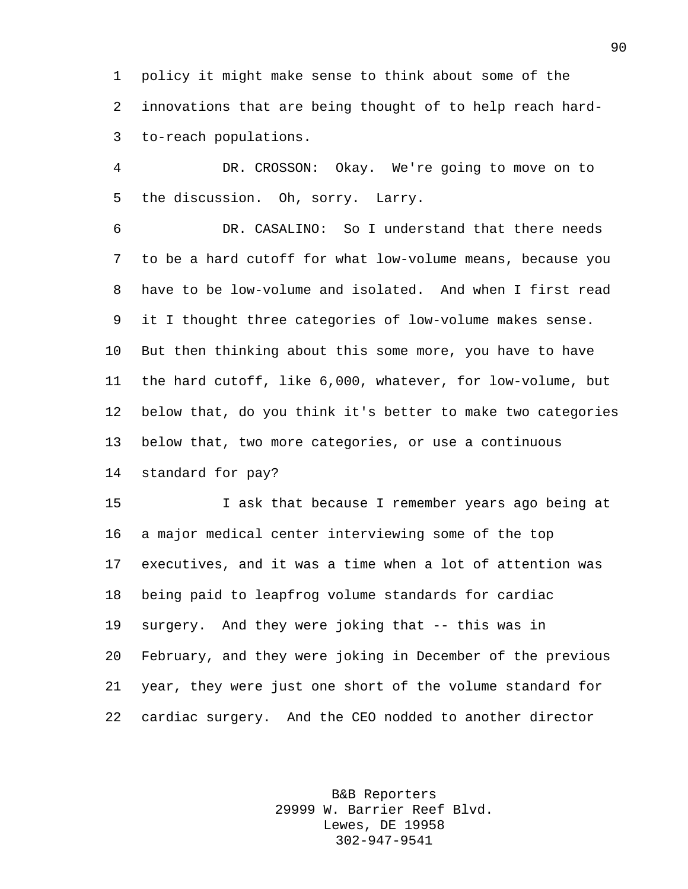policy it might make sense to think about some of the innovations that are being thought of to help reach hard-to-reach populations.

 DR. CROSSON: Okay. We're going to move on to the discussion. Oh, sorry. Larry.

 DR. CASALINO: So I understand that there needs to be a hard cutoff for what low-volume means, because you have to be low-volume and isolated. And when I first read it I thought three categories of low-volume makes sense. But then thinking about this some more, you have to have the hard cutoff, like 6,000, whatever, for low-volume, but below that, do you think it's better to make two categories below that, two more categories, or use a continuous standard for pay?

 I ask that because I remember years ago being at a major medical center interviewing some of the top executives, and it was a time when a lot of attention was being paid to leapfrog volume standards for cardiac surgery. And they were joking that -- this was in February, and they were joking in December of the previous year, they were just one short of the volume standard for cardiac surgery. And the CEO nodded to another director

> B&B Reporters 29999 W. Barrier Reef Blvd. Lewes, DE 19958 302-947-9541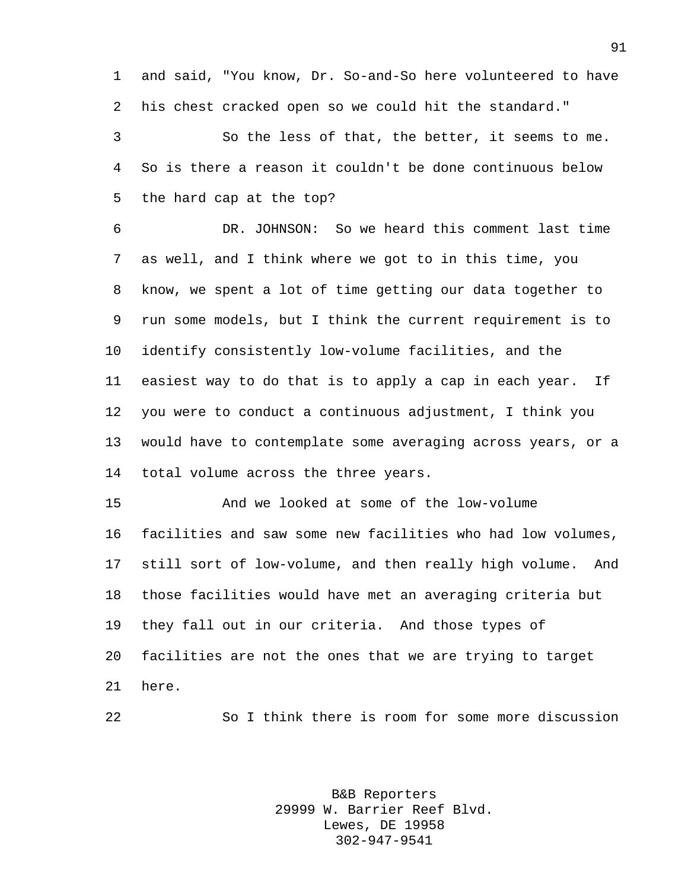and said, "You know, Dr. So-and-So here volunteered to have his chest cracked open so we could hit the standard."

 So the less of that, the better, it seems to me. So is there a reason it couldn't be done continuous below the hard cap at the top?

 DR. JOHNSON: So we heard this comment last time as well, and I think where we got to in this time, you know, we spent a lot of time getting our data together to run some models, but I think the current requirement is to identify consistently low-volume facilities, and the easiest way to do that is to apply a cap in each year. If you were to conduct a continuous adjustment, I think you would have to contemplate some averaging across years, or a total volume across the three years.

 And we looked at some of the low-volume facilities and saw some new facilities who had low volumes, still sort of low-volume, and then really high volume. And those facilities would have met an averaging criteria but they fall out in our criteria. And those types of facilities are not the ones that we are trying to target here.

So I think there is room for some more discussion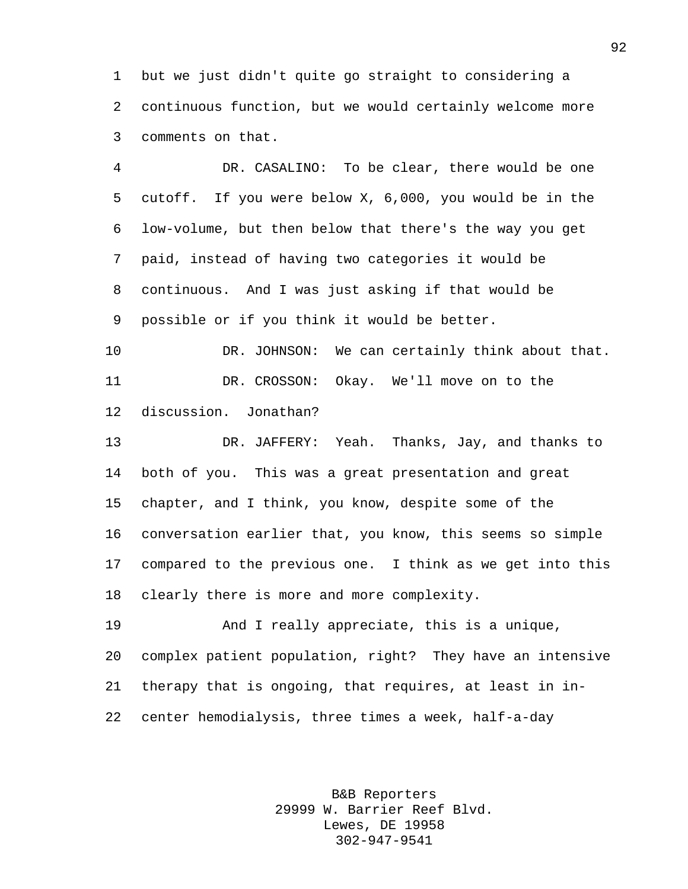but we just didn't quite go straight to considering a continuous function, but we would certainly welcome more comments on that.

 DR. CASALINO: To be clear, there would be one cutoff. If you were below X, 6,000, you would be in the low-volume, but then below that there's the way you get paid, instead of having two categories it would be continuous. And I was just asking if that would be possible or if you think it would be better.

10 DR. JOHNSON: We can certainly think about that. DR. CROSSON: Okay. We'll move on to the discussion. Jonathan?

 DR. JAFFERY: Yeah. Thanks, Jay, and thanks to both of you. This was a great presentation and great chapter, and I think, you know, despite some of the conversation earlier that, you know, this seems so simple compared to the previous one. I think as we get into this clearly there is more and more complexity.

 And I really appreciate, this is a unique, complex patient population, right? They have an intensive therapy that is ongoing, that requires, at least in in-center hemodialysis, three times a week, half-a-day

> B&B Reporters 29999 W. Barrier Reef Blvd. Lewes, DE 19958 302-947-9541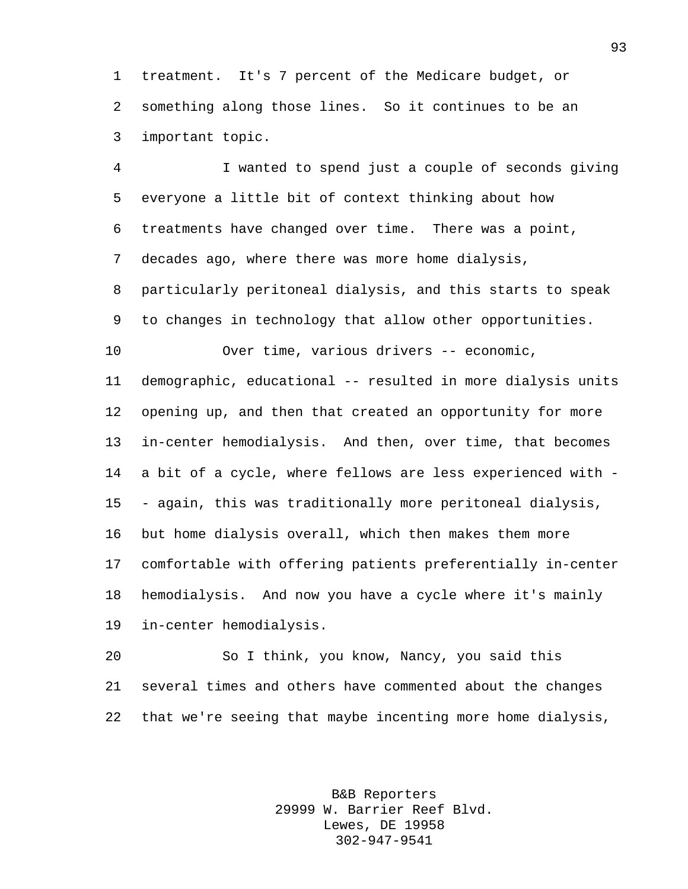treatment. It's 7 percent of the Medicare budget, or something along those lines. So it continues to be an important topic.

 I wanted to spend just a couple of seconds giving everyone a little bit of context thinking about how treatments have changed over time. There was a point, decades ago, where there was more home dialysis, particularly peritoneal dialysis, and this starts to speak to changes in technology that allow other opportunities. Over time, various drivers -- economic, demographic, educational -- resulted in more dialysis units opening up, and then that created an opportunity for more in-center hemodialysis. And then, over time, that becomes

 a bit of a cycle, where fellows are less experienced with - - again, this was traditionally more peritoneal dialysis,

 but home dialysis overall, which then makes them more comfortable with offering patients preferentially in-center hemodialysis. And now you have a cycle where it's mainly in-center hemodialysis.

 So I think, you know, Nancy, you said this several times and others have commented about the changes that we're seeing that maybe incenting more home dialysis,

> B&B Reporters 29999 W. Barrier Reef Blvd. Lewes, DE 19958 302-947-9541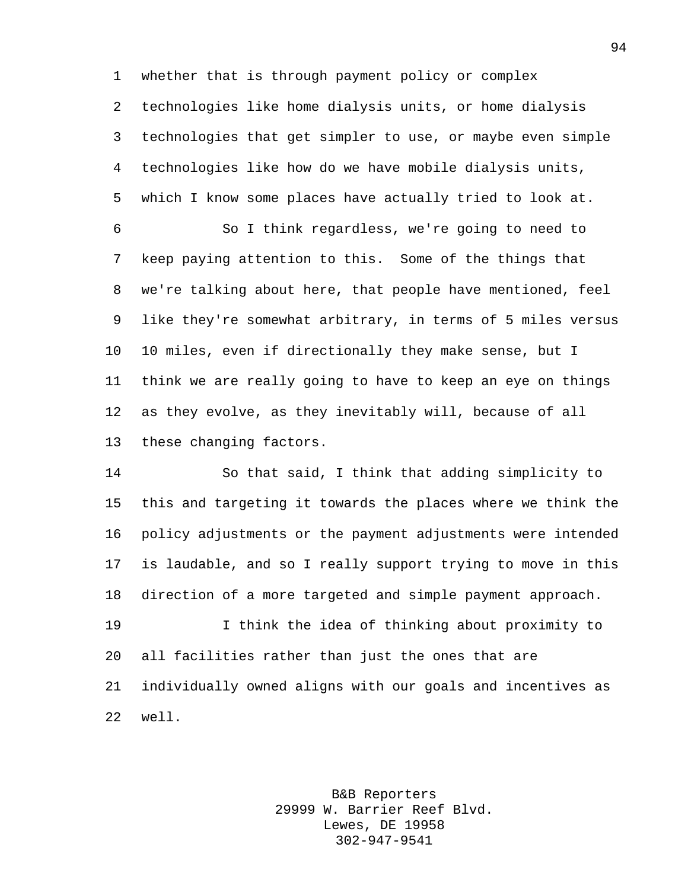whether that is through payment policy or complex technologies like home dialysis units, or home dialysis technologies that get simpler to use, or maybe even simple technologies like how do we have mobile dialysis units, which I know some places have actually tried to look at.

 So I think regardless, we're going to need to keep paying attention to this. Some of the things that we're talking about here, that people have mentioned, feel like they're somewhat arbitrary, in terms of 5 miles versus 10 miles, even if directionally they make sense, but I think we are really going to have to keep an eye on things as they evolve, as they inevitably will, because of all these changing factors.

 So that said, I think that adding simplicity to this and targeting it towards the places where we think the policy adjustments or the payment adjustments were intended is laudable, and so I really support trying to move in this direction of a more targeted and simple payment approach.

 I think the idea of thinking about proximity to all facilities rather than just the ones that are individually owned aligns with our goals and incentives as well.

> B&B Reporters 29999 W. Barrier Reef Blvd. Lewes, DE 19958 302-947-9541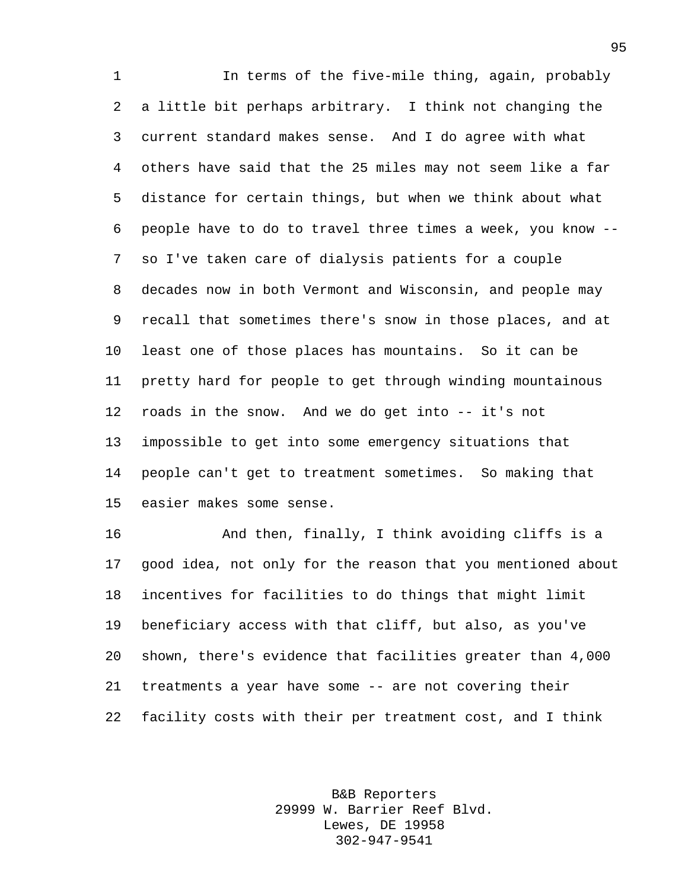In terms of the five-mile thing, again, probably a little bit perhaps arbitrary. I think not changing the current standard makes sense. And I do agree with what others have said that the 25 miles may not seem like a far distance for certain things, but when we think about what people have to do to travel three times a week, you know -- so I've taken care of dialysis patients for a couple decades now in both Vermont and Wisconsin, and people may recall that sometimes there's snow in those places, and at least one of those places has mountains. So it can be pretty hard for people to get through winding mountainous roads in the snow. And we do get into -- it's not impossible to get into some emergency situations that people can't get to treatment sometimes. So making that easier makes some sense.

 And then, finally, I think avoiding cliffs is a good idea, not only for the reason that you mentioned about incentives for facilities to do things that might limit beneficiary access with that cliff, but also, as you've shown, there's evidence that facilities greater than 4,000 treatments a year have some -- are not covering their facility costs with their per treatment cost, and I think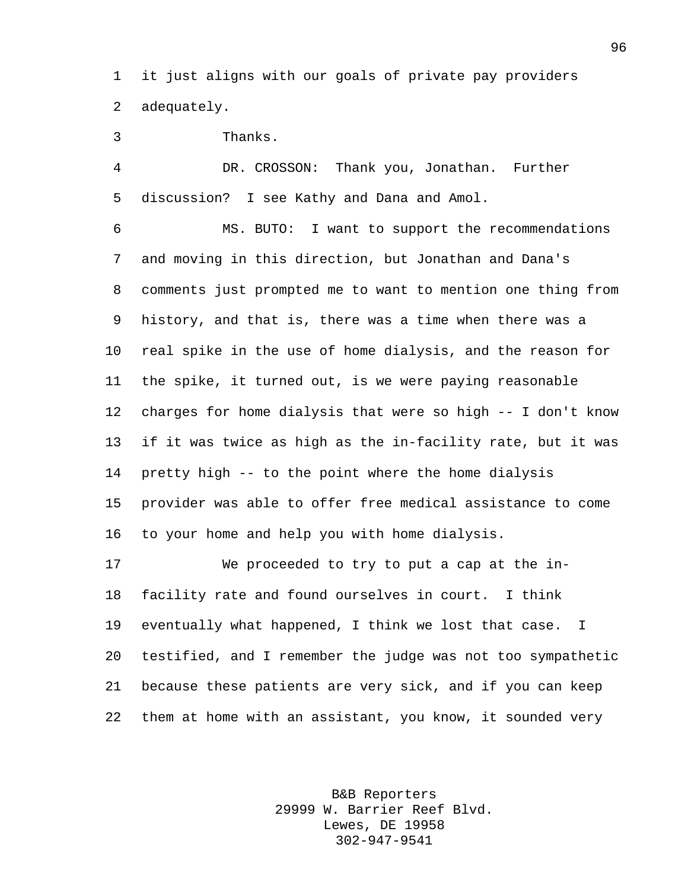it just aligns with our goals of private pay providers adequately.

Thanks.

 DR. CROSSON: Thank you, Jonathan. Further discussion? I see Kathy and Dana and Amol.

 MS. BUTO: I want to support the recommendations and moving in this direction, but Jonathan and Dana's comments just prompted me to want to mention one thing from history, and that is, there was a time when there was a real spike in the use of home dialysis, and the reason for the spike, it turned out, is we were paying reasonable charges for home dialysis that were so high -- I don't know if it was twice as high as the in-facility rate, but it was pretty high -- to the point where the home dialysis provider was able to offer free medical assistance to come to your home and help you with home dialysis.

 We proceeded to try to put a cap at the in- facility rate and found ourselves in court. I think eventually what happened, I think we lost that case. I testified, and I remember the judge was not too sympathetic because these patients are very sick, and if you can keep them at home with an assistant, you know, it sounded very

> B&B Reporters 29999 W. Barrier Reef Blvd. Lewes, DE 19958 302-947-9541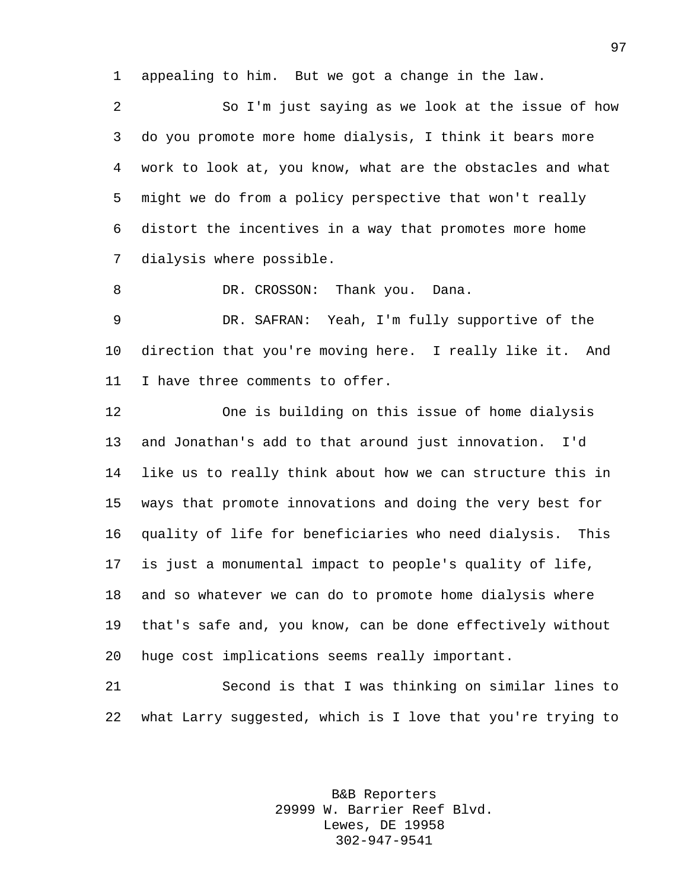appealing to him. But we got a change in the law.

 So I'm just saying as we look at the issue of how do you promote more home dialysis, I think it bears more work to look at, you know, what are the obstacles and what might we do from a policy perspective that won't really distort the incentives in a way that promotes more home dialysis where possible.

8 DR. CROSSON: Thank you. Dana.

 DR. SAFRAN: Yeah, I'm fully supportive of the direction that you're moving here. I really like it. And I have three comments to offer.

 One is building on this issue of home dialysis and Jonathan's add to that around just innovation. I'd like us to really think about how we can structure this in ways that promote innovations and doing the very best for quality of life for beneficiaries who need dialysis. This is just a monumental impact to people's quality of life, and so whatever we can do to promote home dialysis where that's safe and, you know, can be done effectively without huge cost implications seems really important.

 Second is that I was thinking on similar lines to what Larry suggested, which is I love that you're trying to

> B&B Reporters 29999 W. Barrier Reef Blvd. Lewes, DE 19958 302-947-9541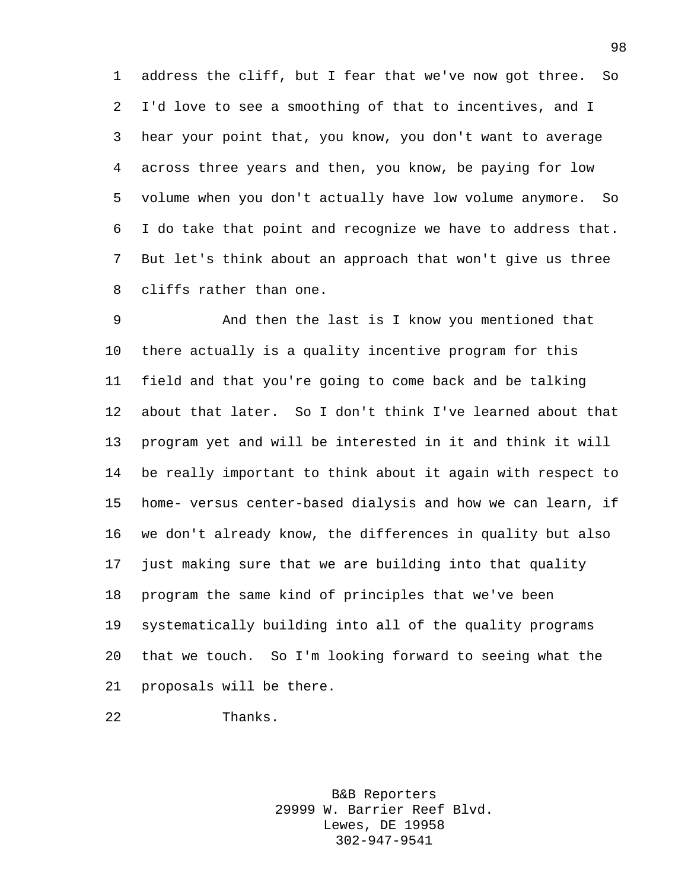address the cliff, but I fear that we've now got three. So I'd love to see a smoothing of that to incentives, and I hear your point that, you know, you don't want to average across three years and then, you know, be paying for low volume when you don't actually have low volume anymore. So I do take that point and recognize we have to address that. But let's think about an approach that won't give us three cliffs rather than one.

 And then the last is I know you mentioned that there actually is a quality incentive program for this field and that you're going to come back and be talking about that later. So I don't think I've learned about that program yet and will be interested in it and think it will be really important to think about it again with respect to home- versus center-based dialysis and how we can learn, if we don't already know, the differences in quality but also just making sure that we are building into that quality program the same kind of principles that we've been systematically building into all of the quality programs that we touch. So I'm looking forward to seeing what the proposals will be there.

```
22 Thanks.
```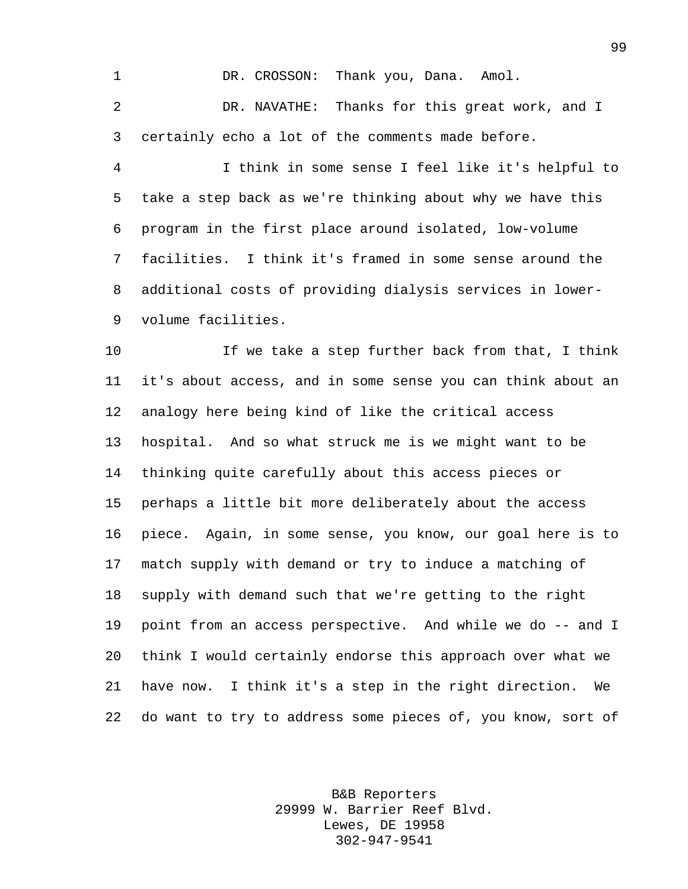1 DR. CROSSON: Thank you, Dana. Amol. DR. NAVATHE: Thanks for this great work, and I certainly echo a lot of the comments made before.

 I think in some sense I feel like it's helpful to take a step back as we're thinking about why we have this program in the first place around isolated, low-volume facilities. I think it's framed in some sense around the additional costs of providing dialysis services in lower-volume facilities.

 If we take a step further back from that, I think it's about access, and in some sense you can think about an analogy here being kind of like the critical access hospital. And so what struck me is we might want to be thinking quite carefully about this access pieces or perhaps a little bit more deliberately about the access piece. Again, in some sense, you know, our goal here is to match supply with demand or try to induce a matching of supply with demand such that we're getting to the right point from an access perspective. And while we do -- and I think I would certainly endorse this approach over what we have now. I think it's a step in the right direction. We do want to try to address some pieces of, you know, sort of

> B&B Reporters 29999 W. Barrier Reef Blvd. Lewes, DE 19958 302-947-9541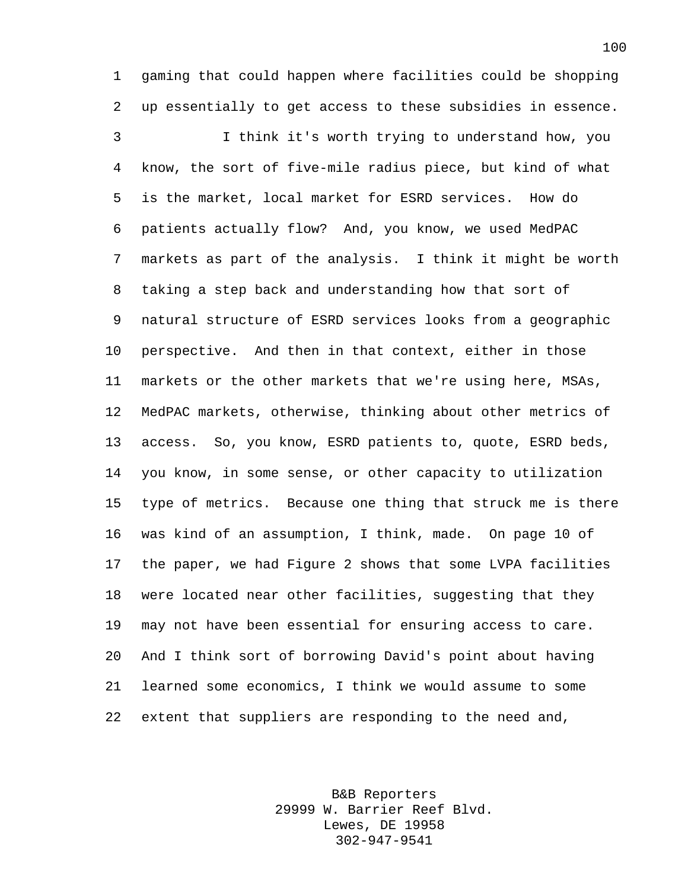gaming that could happen where facilities could be shopping up essentially to get access to these subsidies in essence.

 I think it's worth trying to understand how, you know, the sort of five-mile radius piece, but kind of what is the market, local market for ESRD services. How do patients actually flow? And, you know, we used MedPAC markets as part of the analysis. I think it might be worth taking a step back and understanding how that sort of natural structure of ESRD services looks from a geographic perspective. And then in that context, either in those markets or the other markets that we're using here, MSAs, MedPAC markets, otherwise, thinking about other metrics of access. So, you know, ESRD patients to, quote, ESRD beds, you know, in some sense, or other capacity to utilization type of metrics. Because one thing that struck me is there was kind of an assumption, I think, made. On page 10 of the paper, we had Figure 2 shows that some LVPA facilities were located near other facilities, suggesting that they may not have been essential for ensuring access to care. And I think sort of borrowing David's point about having learned some economics, I think we would assume to some extent that suppliers are responding to the need and,

> B&B Reporters 29999 W. Barrier Reef Blvd. Lewes, DE 19958 302-947-9541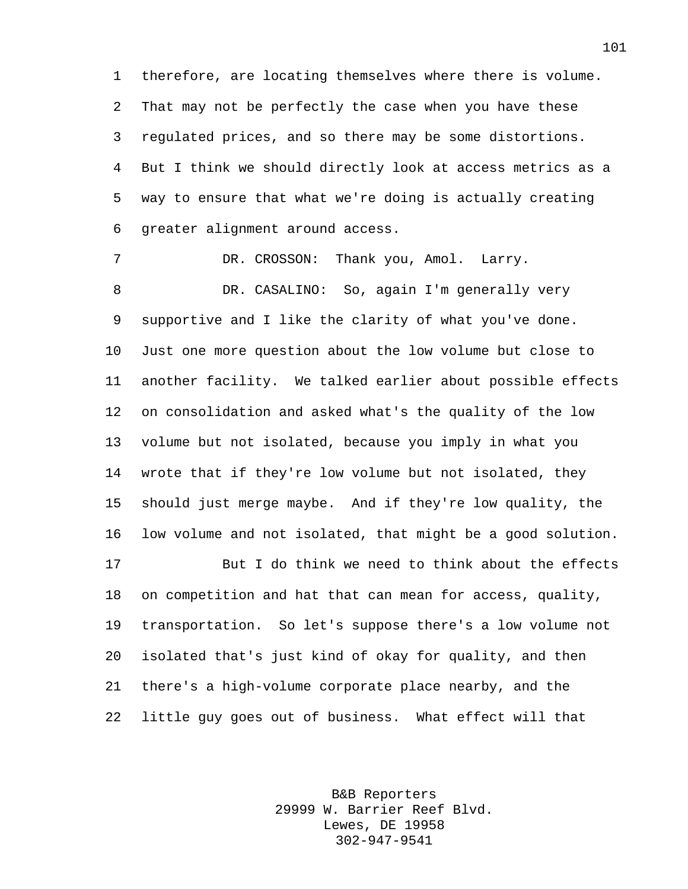therefore, are locating themselves where there is volume. That may not be perfectly the case when you have these regulated prices, and so there may be some distortions. But I think we should directly look at access metrics as a way to ensure that what we're doing is actually creating greater alignment around access.

 DR. CROSSON: Thank you, Amol. Larry. DR. CASALINO: So, again I'm generally very supportive and I like the clarity of what you've done. Just one more question about the low volume but close to another facility. We talked earlier about possible effects on consolidation and asked what's the quality of the low volume but not isolated, because you imply in what you wrote that if they're low volume but not isolated, they should just merge maybe. And if they're low quality, the low volume and not isolated, that might be a good solution. But I do think we need to think about the effects on competition and hat that can mean for access, quality, transportation. So let's suppose there's a low volume not isolated that's just kind of okay for quality, and then there's a high-volume corporate place nearby, and the

little guy goes out of business. What effect will that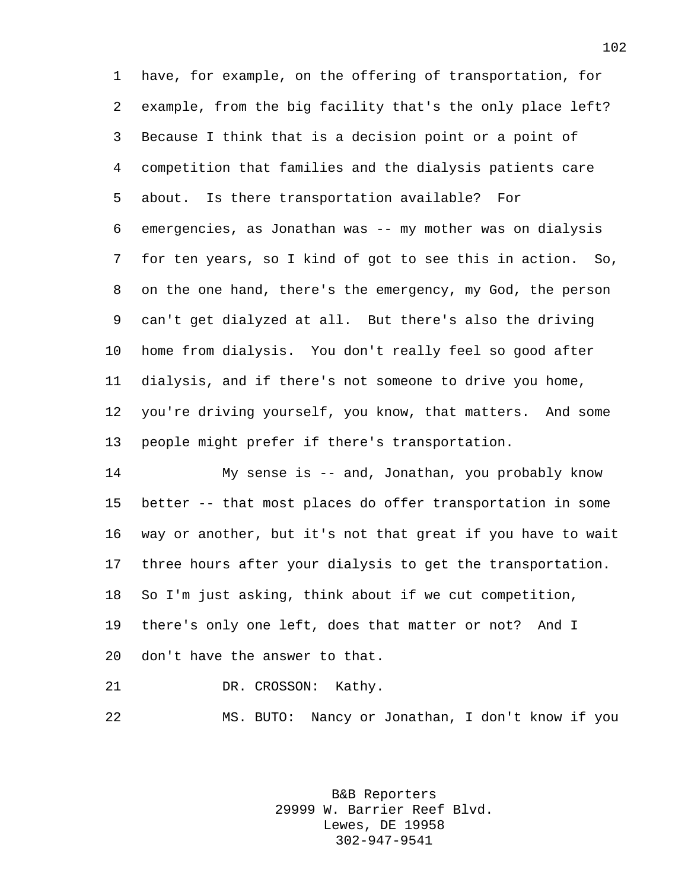have, for example, on the offering of transportation, for example, from the big facility that's the only place left? Because I think that is a decision point or a point of competition that families and the dialysis patients care about. Is there transportation available? For emergencies, as Jonathan was -- my mother was on dialysis for ten years, so I kind of got to see this in action. So, on the one hand, there's the emergency, my God, the person can't get dialyzed at all. But there's also the driving home from dialysis. You don't really feel so good after dialysis, and if there's not someone to drive you home, you're driving yourself, you know, that matters. And some people might prefer if there's transportation.

 My sense is -- and, Jonathan, you probably know better -- that most places do offer transportation in some way or another, but it's not that great if you have to wait three hours after your dialysis to get the transportation. So I'm just asking, think about if we cut competition, there's only one left, does that matter or not? And I don't have the answer to that.

DR. CROSSON: Kathy.

MS. BUTO: Nancy or Jonathan, I don't know if you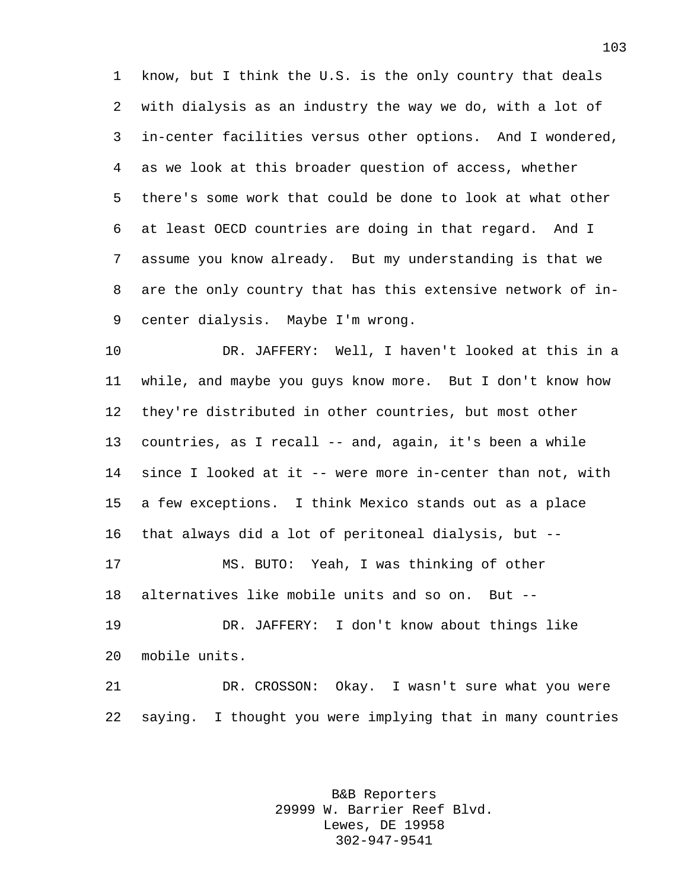know, but I think the U.S. is the only country that deals with dialysis as an industry the way we do, with a lot of in-center facilities versus other options. And I wondered, as we look at this broader question of access, whether there's some work that could be done to look at what other at least OECD countries are doing in that regard. And I assume you know already. But my understanding is that we are the only country that has this extensive network of in-center dialysis. Maybe I'm wrong.

 DR. JAFFERY: Well, I haven't looked at this in a while, and maybe you guys know more. But I don't know how they're distributed in other countries, but most other countries, as I recall -- and, again, it's been a while since I looked at it -- were more in-center than not, with a few exceptions. I think Mexico stands out as a place that always did a lot of peritoneal dialysis, but -- MS. BUTO: Yeah, I was thinking of other alternatives like mobile units and so on. But -- DR. JAFFERY: I don't know about things like

 DR. CROSSON: Okay. I wasn't sure what you were saying. I thought you were implying that in many countries

mobile units.

B&B Reporters 29999 W. Barrier Reef Blvd. Lewes, DE 19958 302-947-9541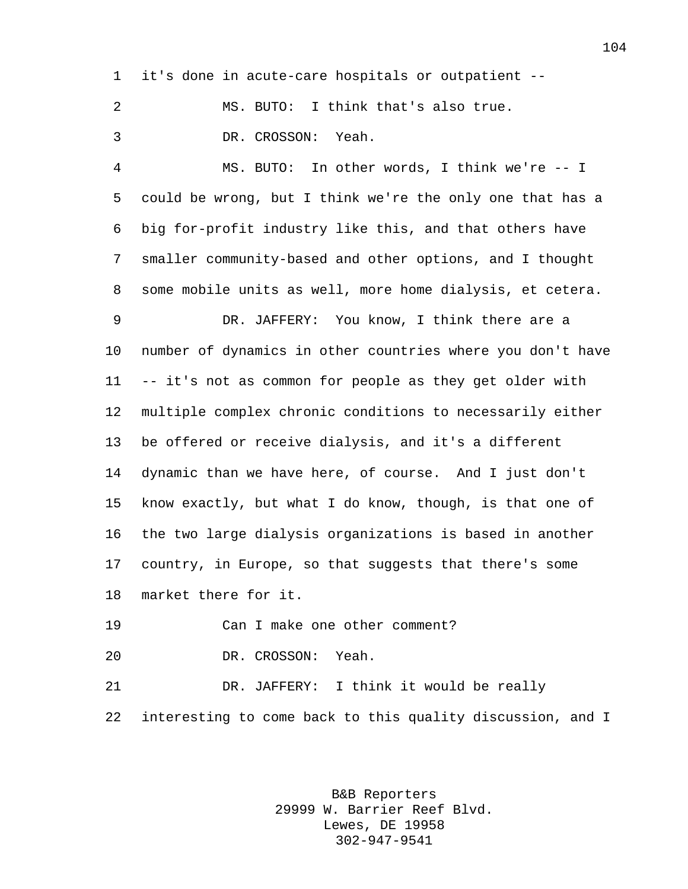it's done in acute-care hospitals or outpatient --

 MS. BUTO: I think that's also true. DR. CROSSON: Yeah.

 MS. BUTO: In other words, I think we're -- I could be wrong, but I think we're the only one that has a big for-profit industry like this, and that others have smaller community-based and other options, and I thought some mobile units as well, more home dialysis, et cetera.

 DR. JAFFERY: You know, I think there are a number of dynamics in other countries where you don't have -- it's not as common for people as they get older with multiple complex chronic conditions to necessarily either be offered or receive dialysis, and it's a different dynamic than we have here, of course. And I just don't know exactly, but what I do know, though, is that one of the two large dialysis organizations is based in another country, in Europe, so that suggests that there's some market there for it.

Can I make one other comment?

DR. CROSSON: Yeah.

 DR. JAFFERY: I think it would be really interesting to come back to this quality discussion, and I

> B&B Reporters 29999 W. Barrier Reef Blvd. Lewes, DE 19958 302-947-9541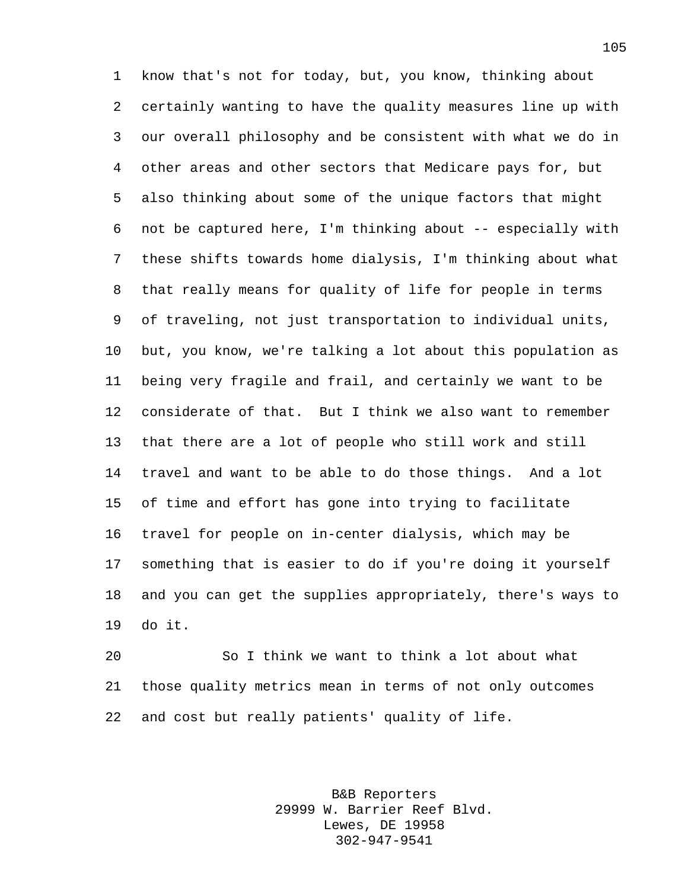know that's not for today, but, you know, thinking about certainly wanting to have the quality measures line up with our overall philosophy and be consistent with what we do in other areas and other sectors that Medicare pays for, but also thinking about some of the unique factors that might not be captured here, I'm thinking about -- especially with these shifts towards home dialysis, I'm thinking about what that really means for quality of life for people in terms of traveling, not just transportation to individual units, but, you know, we're talking a lot about this population as being very fragile and frail, and certainly we want to be considerate of that. But I think we also want to remember that there are a lot of people who still work and still travel and want to be able to do those things. And a lot of time and effort has gone into trying to facilitate travel for people on in-center dialysis, which may be something that is easier to do if you're doing it yourself and you can get the supplies appropriately, there's ways to do it.

 So I think we want to think a lot about what those quality metrics mean in terms of not only outcomes and cost but really patients' quality of life.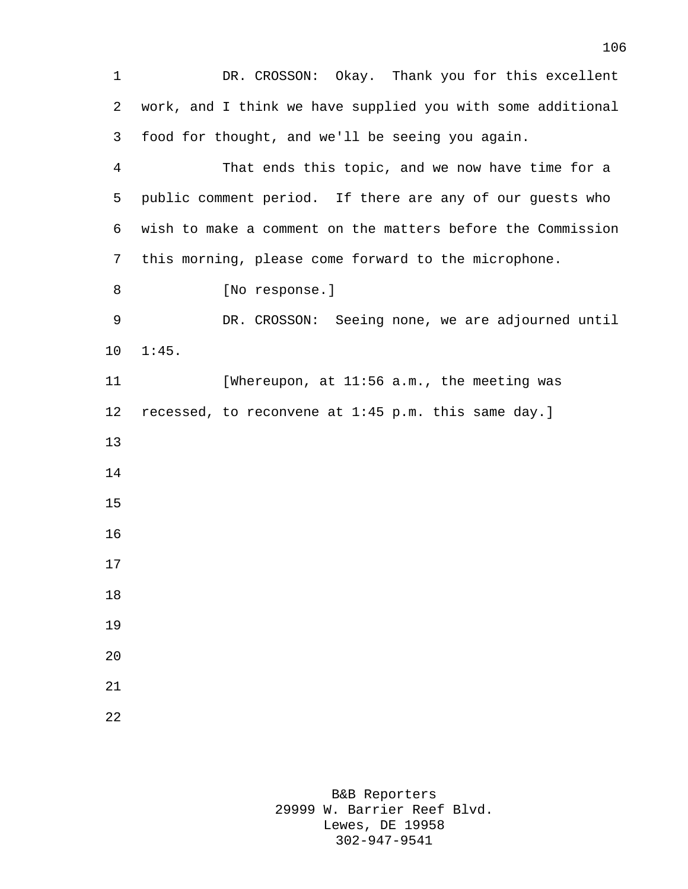1 DR. CROSSON: Okay. Thank you for this excellent work, and I think we have supplied you with some additional food for thought, and we'll be seeing you again. That ends this topic, and we now have time for a public comment period. If there are any of our guests who wish to make a comment on the matters before the Commission this morning, please come forward to the microphone. 8 [No response.] DR. CROSSON: Seeing none, we are adjourned until 1:45. 11 [Whereupon, at 11:56 a.m., the meeting was recessed, to reconvene at 1:45 p.m. this same day.]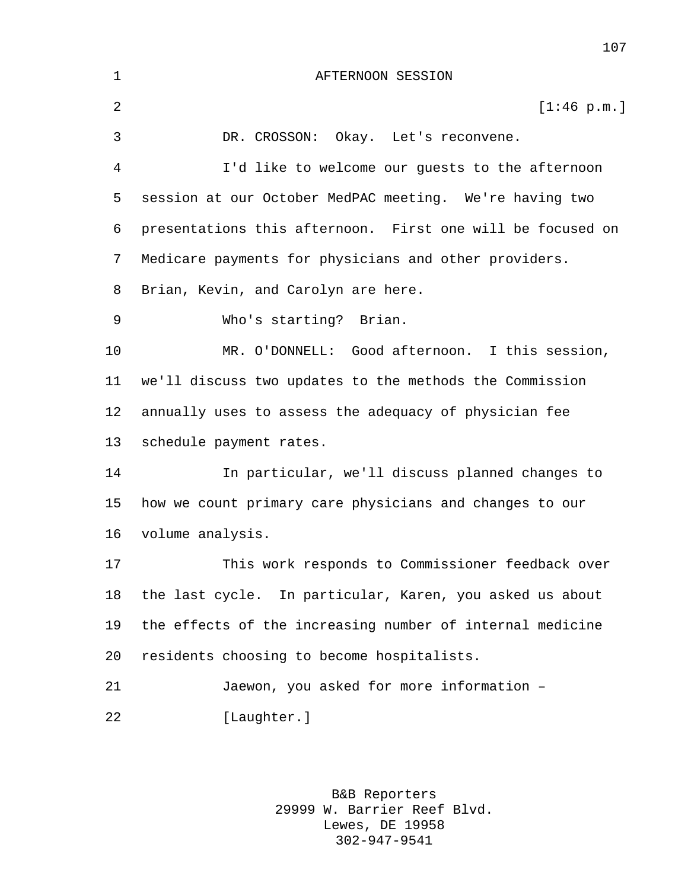| 1  | AFTERNOON SESSION                                          |
|----|------------------------------------------------------------|
| 2  | [1:46 p.m.]                                                |
| 3  | DR. CROSSON: Okay. Let's reconvene.                        |
| 4  | I'd like to welcome our guests to the afternoon            |
| 5  | session at our October MedPAC meeting. We're having two    |
| 6  | presentations this afternoon. First one will be focused on |
| 7  | Medicare payments for physicians and other providers.      |
| 8  | Brian, Kevin, and Carolyn are here.                        |
| 9  | Who's starting? Brian.                                     |
| 10 | MR. O'DONNELL: Good afternoon. I this session,             |
| 11 | we'll discuss two updates to the methods the Commission    |
| 12 | annually uses to assess the adequacy of physician fee      |
| 13 | schedule payment rates.                                    |
| 14 | In particular, we'll discuss planned changes to            |
| 15 | how we count primary care physicians and changes to our    |
| 16 | volume analysis.                                           |
| 17 | This work responds to Commissioner feedback over           |
| 18 | the last cycle. In particular, Karen, you asked us about   |
| 19 | the effects of the increasing number of internal medicine  |
| 20 | residents choosing to become hospitalists.                 |
| 21 | Jaewon, you asked for more information -                   |
| 22 | [Laughter.]                                                |
|    |                                                            |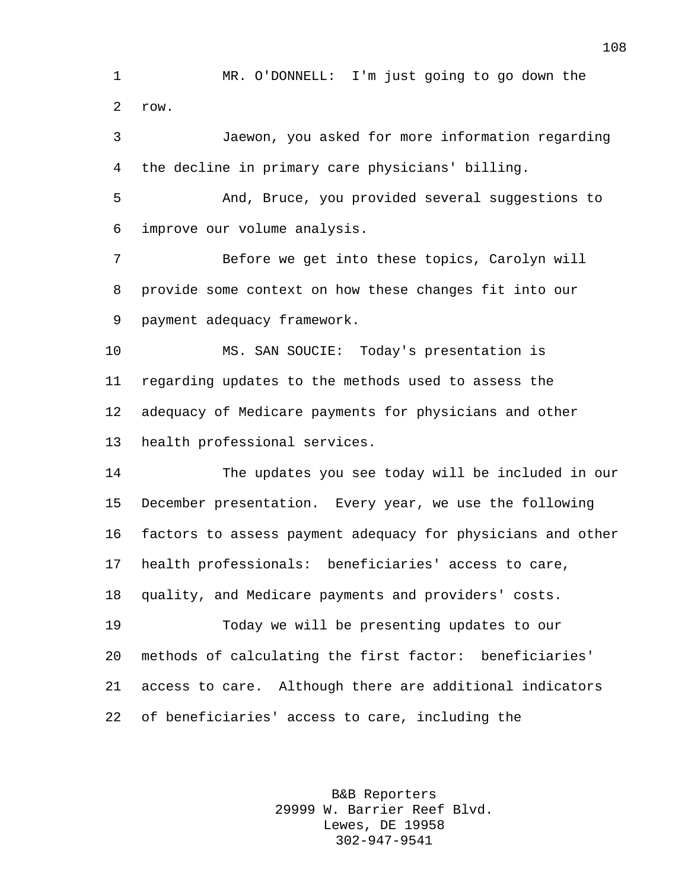MR. O'DONNELL: I'm just going to go down the row.

 Jaewon, you asked for more information regarding the decline in primary care physicians' billing.

 And, Bruce, you provided several suggestions to improve our volume analysis.

 Before we get into these topics, Carolyn will provide some context on how these changes fit into our payment adequacy framework.

 MS. SAN SOUCIE: Today's presentation is regarding updates to the methods used to assess the adequacy of Medicare payments for physicians and other health professional services.

 The updates you see today will be included in our December presentation. Every year, we use the following factors to assess payment adequacy for physicians and other health professionals: beneficiaries' access to care, quality, and Medicare payments and providers' costs. Today we will be presenting updates to our methods of calculating the first factor: beneficiaries'

 access to care. Although there are additional indicators of beneficiaries' access to care, including the

> B&B Reporters 29999 W. Barrier Reef Blvd. Lewes, DE 19958 302-947-9541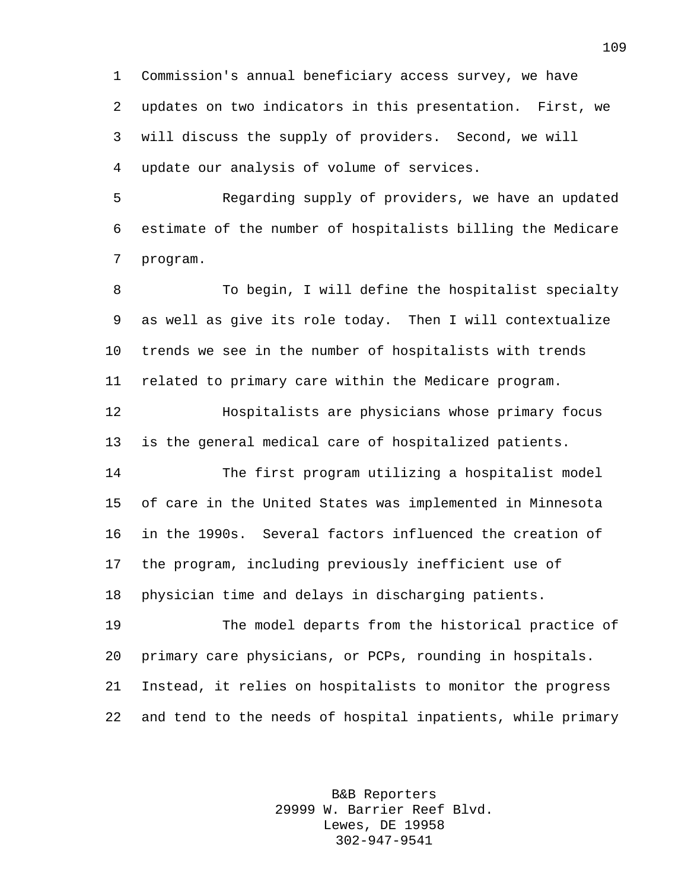Commission's annual beneficiary access survey, we have updates on two indicators in this presentation. First, we will discuss the supply of providers. Second, we will update our analysis of volume of services.

 Regarding supply of providers, we have an updated estimate of the number of hospitalists billing the Medicare program.

8 To begin, I will define the hospitalist specialty as well as give its role today. Then I will contextualize trends we see in the number of hospitalists with trends related to primary care within the Medicare program.

 Hospitalists are physicians whose primary focus is the general medical care of hospitalized patients.

 The first program utilizing a hospitalist model of care in the United States was implemented in Minnesota in the 1990s. Several factors influenced the creation of the program, including previously inefficient use of physician time and delays in discharging patients.

 The model departs from the historical practice of primary care physicians, or PCPs, rounding in hospitals. Instead, it relies on hospitalists to monitor the progress and tend to the needs of hospital inpatients, while primary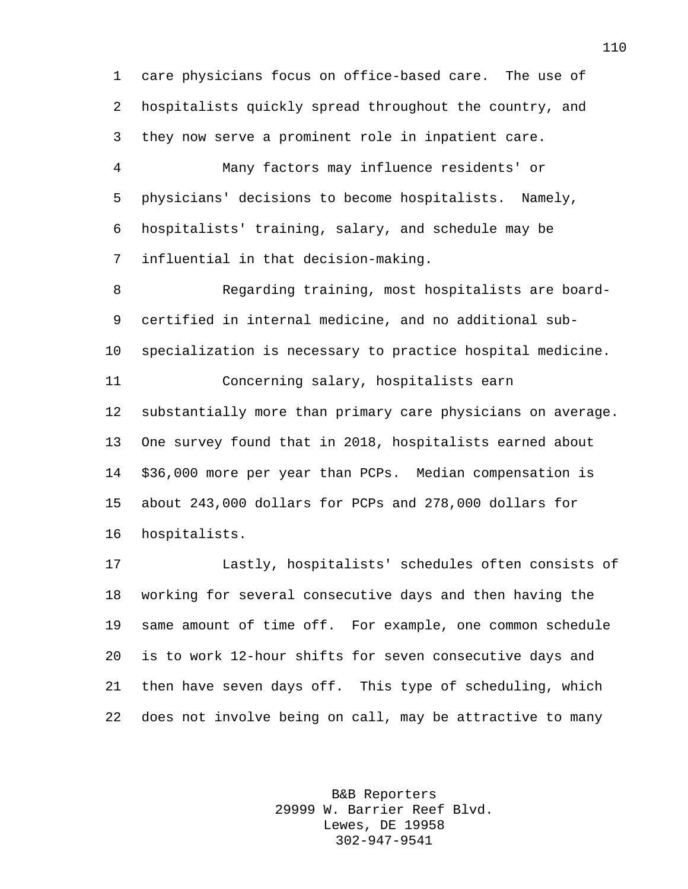care physicians focus on office-based care. The use of hospitalists quickly spread throughout the country, and they now serve a prominent role in inpatient care.

 Many factors may influence residents' or physicians' decisions to become hospitalists. Namely, hospitalists' training, salary, and schedule may be influential in that decision-making.

 Regarding training, most hospitalists are board- certified in internal medicine, and no additional sub- specialization is necessary to practice hospital medicine. Concerning salary, hospitalists earn substantially more than primary care physicians on average. One survey found that in 2018, hospitalists earned about \$36,000 more per year than PCPs. Median compensation is about 243,000 dollars for PCPs and 278,000 dollars for hospitalists.

 Lastly, hospitalists' schedules often consists of working for several consecutive days and then having the same amount of time off. For example, one common schedule is to work 12-hour shifts for seven consecutive days and then have seven days off. This type of scheduling, which does not involve being on call, may be attractive to many

> B&B Reporters 29999 W. Barrier Reef Blvd. Lewes, DE 19958 302-947-9541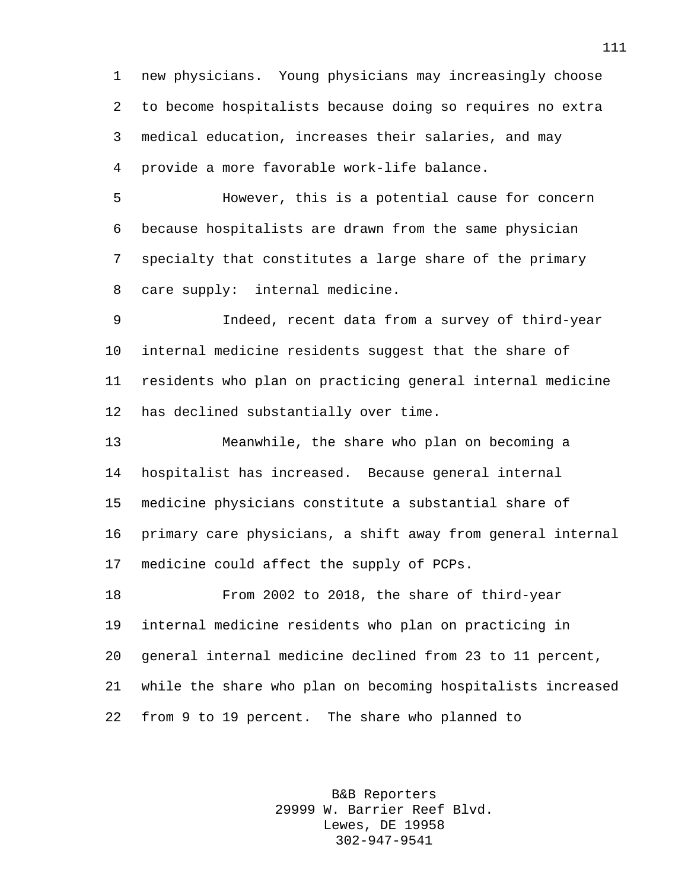new physicians. Young physicians may increasingly choose to become hospitalists because doing so requires no extra medical education, increases their salaries, and may provide a more favorable work-life balance.

 However, this is a potential cause for concern because hospitalists are drawn from the same physician specialty that constitutes a large share of the primary care supply: internal medicine.

 Indeed, recent data from a survey of third-year internal medicine residents suggest that the share of residents who plan on practicing general internal medicine has declined substantially over time.

 Meanwhile, the share who plan on becoming a hospitalist has increased. Because general internal medicine physicians constitute a substantial share of primary care physicians, a shift away from general internal medicine could affect the supply of PCPs.

 From 2002 to 2018, the share of third-year internal medicine residents who plan on practicing in general internal medicine declined from 23 to 11 percent, while the share who plan on becoming hospitalists increased from 9 to 19 percent. The share who planned to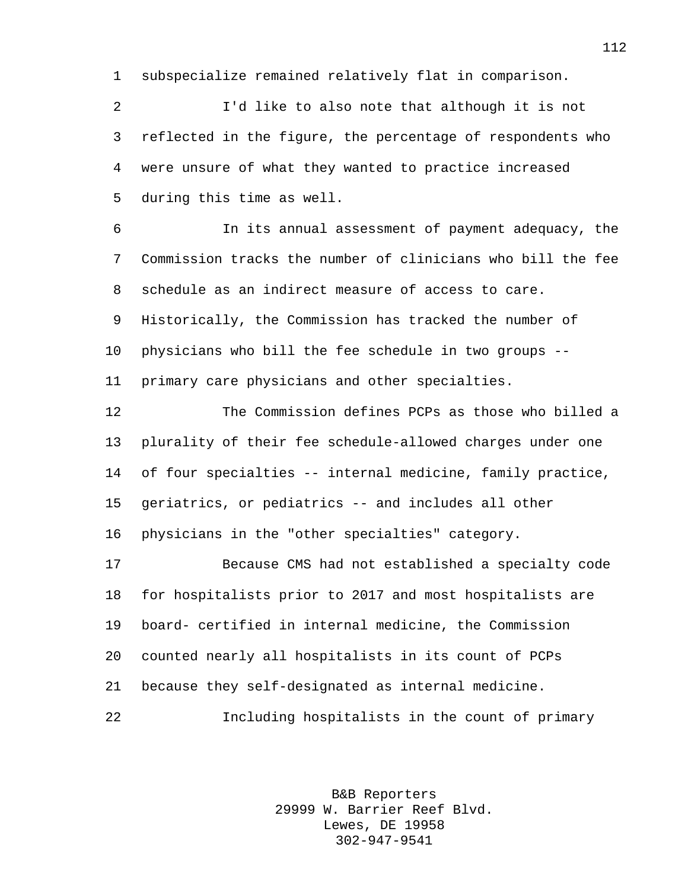subspecialize remained relatively flat in comparison.

 I'd like to also note that although it is not reflected in the figure, the percentage of respondents who were unsure of what they wanted to practice increased during this time as well.

 In its annual assessment of payment adequacy, the Commission tracks the number of clinicians who bill the fee schedule as an indirect measure of access to care. Historically, the Commission has tracked the number of physicians who bill the fee schedule in two groups -- primary care physicians and other specialties.

 The Commission defines PCPs as those who billed a plurality of their fee schedule-allowed charges under one of four specialties -- internal medicine, family practice, geriatrics, or pediatrics -- and includes all other physicians in the "other specialties" category.

 Because CMS had not established a specialty code for hospitalists prior to 2017 and most hospitalists are board- certified in internal medicine, the Commission counted nearly all hospitalists in its count of PCPs because they self-designated as internal medicine. Including hospitalists in the count of primary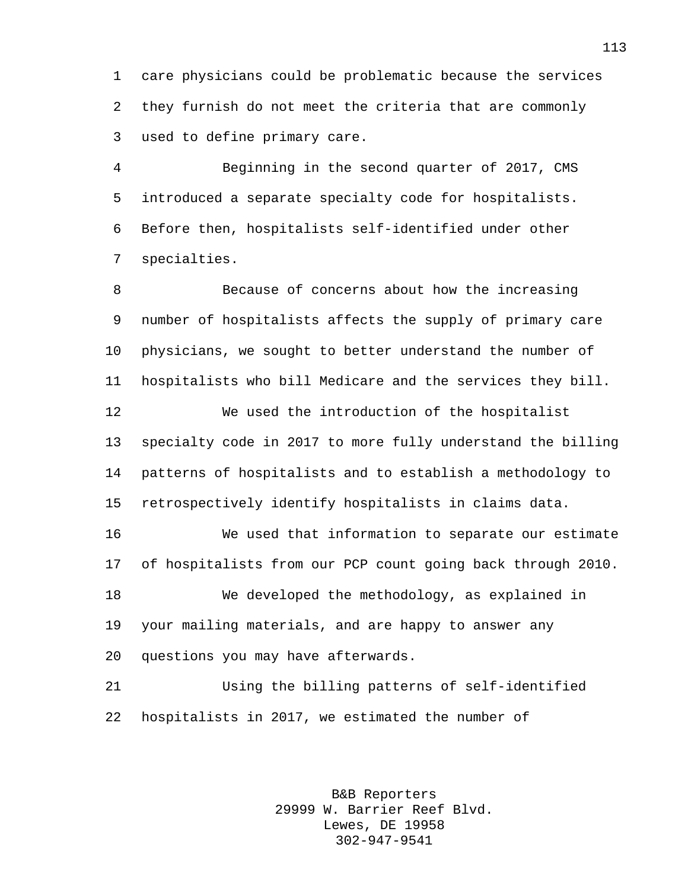care physicians could be problematic because the services they furnish do not meet the criteria that are commonly used to define primary care.

 Beginning in the second quarter of 2017, CMS introduced a separate specialty code for hospitalists. Before then, hospitalists self-identified under other specialties.

 Because of concerns about how the increasing number of hospitalists affects the supply of primary care physicians, we sought to better understand the number of hospitalists who bill Medicare and the services they bill. We used the introduction of the hospitalist

 specialty code in 2017 to more fully understand the billing patterns of hospitalists and to establish a methodology to retrospectively identify hospitalists in claims data.

 We used that information to separate our estimate of hospitalists from our PCP count going back through 2010. We developed the methodology, as explained in your mailing materials, and are happy to answer any questions you may have afterwards.

 Using the billing patterns of self-identified hospitalists in 2017, we estimated the number of

> B&B Reporters 29999 W. Barrier Reef Blvd. Lewes, DE 19958 302-947-9541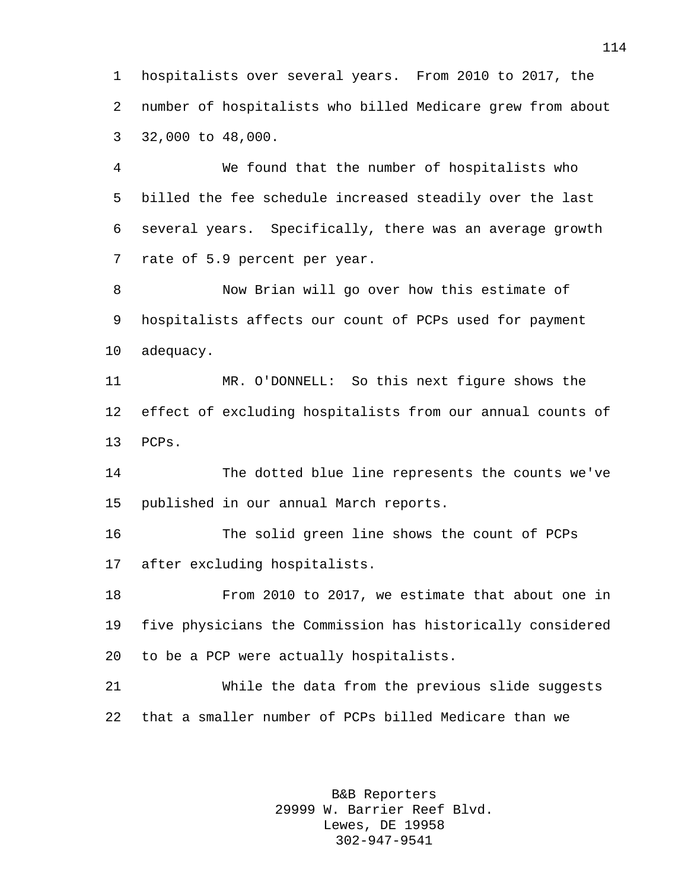hospitalists over several years. From 2010 to 2017, the number of hospitalists who billed Medicare grew from about 32,000 to 48,000.

 We found that the number of hospitalists who billed the fee schedule increased steadily over the last several years. Specifically, there was an average growth rate of 5.9 percent per year.

 Now Brian will go over how this estimate of hospitalists affects our count of PCPs used for payment adequacy.

 MR. O'DONNELL: So this next figure shows the effect of excluding hospitalists from our annual counts of PCPs.

 The dotted blue line represents the counts we've published in our annual March reports.

 The solid green line shows the count of PCPs after excluding hospitalists.

 From 2010 to 2017, we estimate that about one in five physicians the Commission has historically considered to be a PCP were actually hospitalists.

 While the data from the previous slide suggests that a smaller number of PCPs billed Medicare than we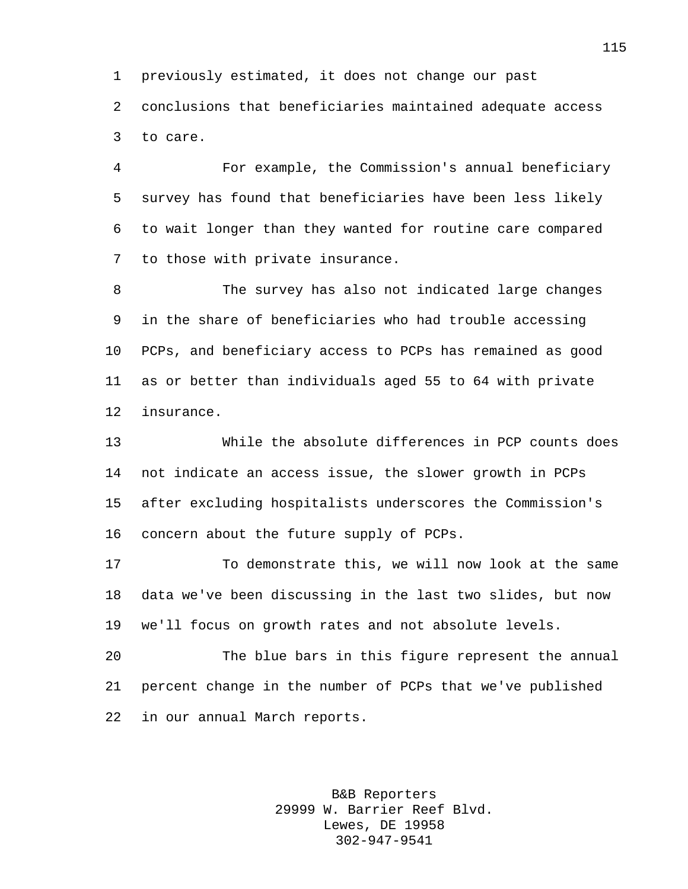previously estimated, it does not change our past conclusions that beneficiaries maintained adequate access to care.

 For example, the Commission's annual beneficiary survey has found that beneficiaries have been less likely to wait longer than they wanted for routine care compared to those with private insurance.

 The survey has also not indicated large changes in the share of beneficiaries who had trouble accessing PCPs, and beneficiary access to PCPs has remained as good as or better than individuals aged 55 to 64 with private insurance.

 While the absolute differences in PCP counts does not indicate an access issue, the slower growth in PCPs after excluding hospitalists underscores the Commission's concern about the future supply of PCPs.

 To demonstrate this, we will now look at the same data we've been discussing in the last two slides, but now we'll focus on growth rates and not absolute levels.

 The blue bars in this figure represent the annual percent change in the number of PCPs that we've published in our annual March reports.

> B&B Reporters 29999 W. Barrier Reef Blvd. Lewes, DE 19958 302-947-9541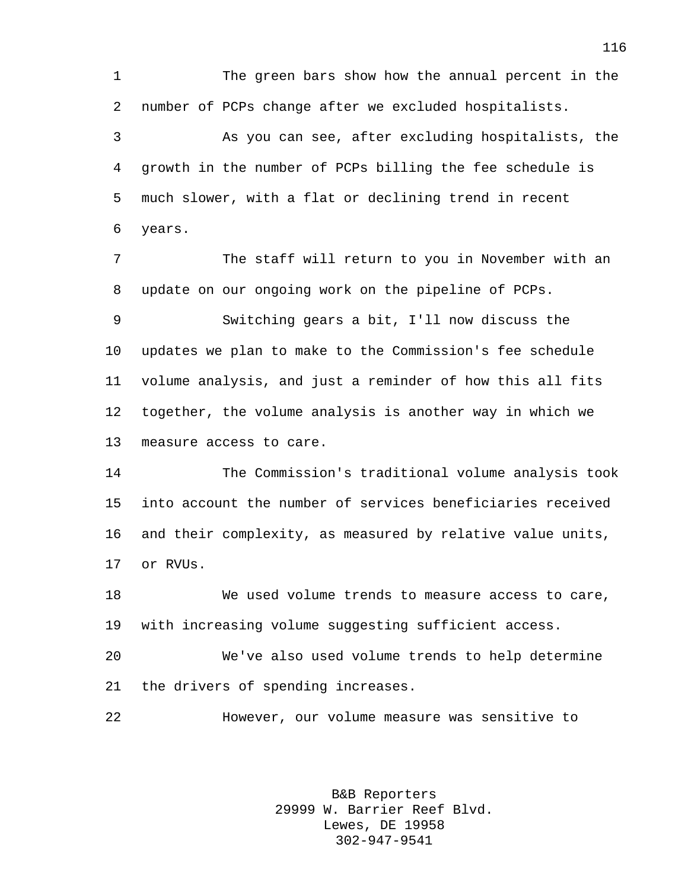The green bars show how the annual percent in the number of PCPs change after we excluded hospitalists. As you can see, after excluding hospitalists, the

 growth in the number of PCPs billing the fee schedule is much slower, with a flat or declining trend in recent years.

 The staff will return to you in November with an update on our ongoing work on the pipeline of PCPs.

 Switching gears a bit, I'll now discuss the updates we plan to make to the Commission's fee schedule volume analysis, and just a reminder of how this all fits together, the volume analysis is another way in which we measure access to care.

 The Commission's traditional volume analysis took into account the number of services beneficiaries received and their complexity, as measured by relative value units, or RVUs.

 We used volume trends to measure access to care, with increasing volume suggesting sufficient access.

 We've also used volume trends to help determine the drivers of spending increases.

However, our volume measure was sensitive to

B&B Reporters 29999 W. Barrier Reef Blvd. Lewes, DE 19958 302-947-9541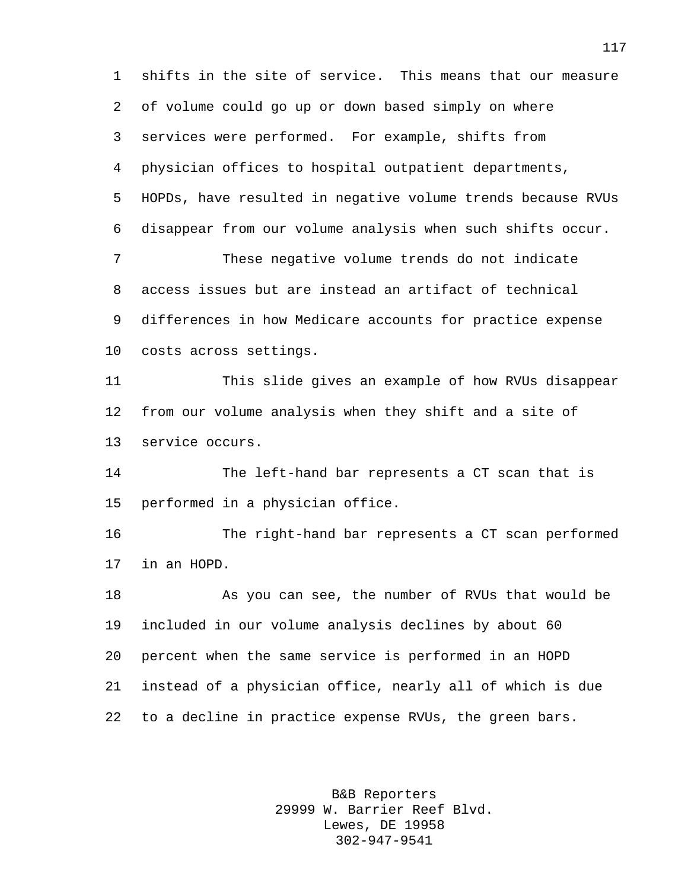shifts in the site of service. This means that our measure of volume could go up or down based simply on where services were performed. For example, shifts from physician offices to hospital outpatient departments, HOPDs, have resulted in negative volume trends because RVUs disappear from our volume analysis when such shifts occur. These negative volume trends do not indicate access issues but are instead an artifact of technical differences in how Medicare accounts for practice expense costs across settings. This slide gives an example of how RVUs disappear from our volume analysis when they shift and a site of service occurs. The left-hand bar represents a CT scan that is performed in a physician office. The right-hand bar represents a CT scan performed in an HOPD. As you can see, the number of RVUs that would be included in our volume analysis declines by about 60 percent when the same service is performed in an HOPD instead of a physician office, nearly all of which is due to a decline in practice expense RVUs, the green bars.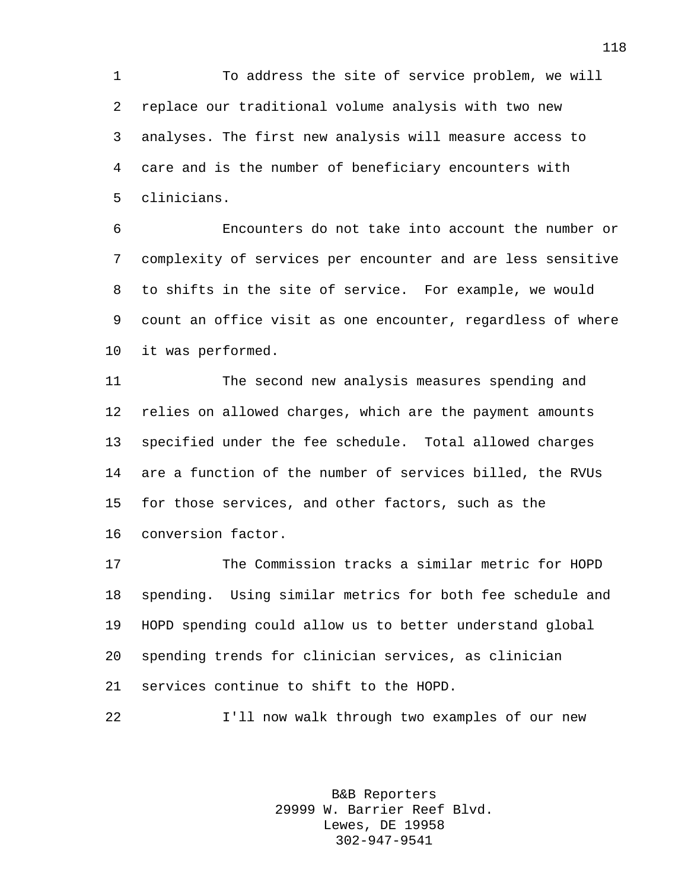To address the site of service problem, we will replace our traditional volume analysis with two new analyses. The first new analysis will measure access to care and is the number of beneficiary encounters with clinicians.

 Encounters do not take into account the number or complexity of services per encounter and are less sensitive to shifts in the site of service. For example, we would count an office visit as one encounter, regardless of where it was performed.

 The second new analysis measures spending and relies on allowed charges, which are the payment amounts specified under the fee schedule. Total allowed charges are a function of the number of services billed, the RVUs for those services, and other factors, such as the conversion factor.

 The Commission tracks a similar metric for HOPD spending. Using similar metrics for both fee schedule and HOPD spending could allow us to better understand global spending trends for clinician services, as clinician services continue to shift to the HOPD.

I'll now walk through two examples of our new

B&B Reporters 29999 W. Barrier Reef Blvd. Lewes, DE 19958 302-947-9541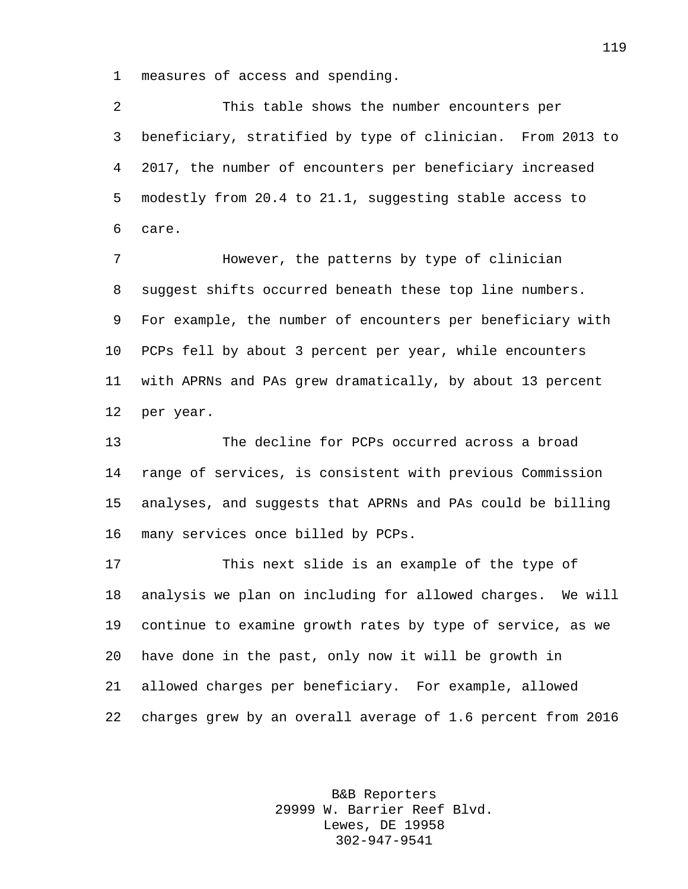measures of access and spending.

 This table shows the number encounters per beneficiary, stratified by type of clinician. From 2013 to 2017, the number of encounters per beneficiary increased modestly from 20.4 to 21.1, suggesting stable access to care.

 However, the patterns by type of clinician suggest shifts occurred beneath these top line numbers. For example, the number of encounters per beneficiary with PCPs fell by about 3 percent per year, while encounters with APRNs and PAs grew dramatically, by about 13 percent per year.

 The decline for PCPs occurred across a broad range of services, is consistent with previous Commission analyses, and suggests that APRNs and PAs could be billing many services once billed by PCPs.

 This next slide is an example of the type of analysis we plan on including for allowed charges. We will continue to examine growth rates by type of service, as we have done in the past, only now it will be growth in allowed charges per beneficiary. For example, allowed charges grew by an overall average of 1.6 percent from 2016

> B&B Reporters 29999 W. Barrier Reef Blvd. Lewes, DE 19958 302-947-9541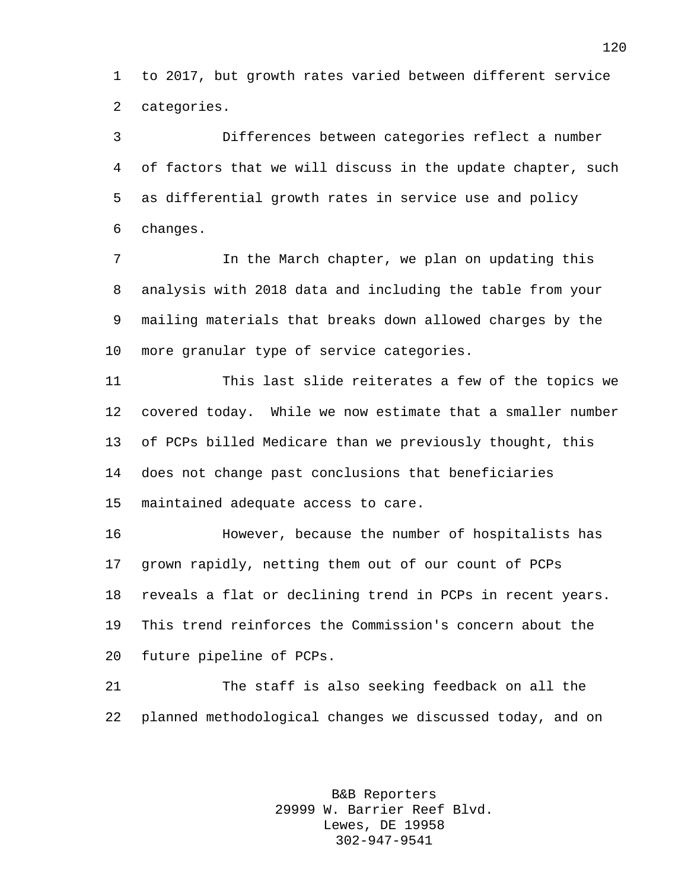to 2017, but growth rates varied between different service categories.

 Differences between categories reflect a number of factors that we will discuss in the update chapter, such as differential growth rates in service use and policy changes.

 In the March chapter, we plan on updating this analysis with 2018 data and including the table from your mailing materials that breaks down allowed charges by the more granular type of service categories.

 This last slide reiterates a few of the topics we covered today. While we now estimate that a smaller number of PCPs billed Medicare than we previously thought, this does not change past conclusions that beneficiaries maintained adequate access to care.

 However, because the number of hospitalists has grown rapidly, netting them out of our count of PCPs reveals a flat or declining trend in PCPs in recent years. This trend reinforces the Commission's concern about the future pipeline of PCPs.

 The staff is also seeking feedback on all the planned methodological changes we discussed today, and on

> B&B Reporters 29999 W. Barrier Reef Blvd. Lewes, DE 19958 302-947-9541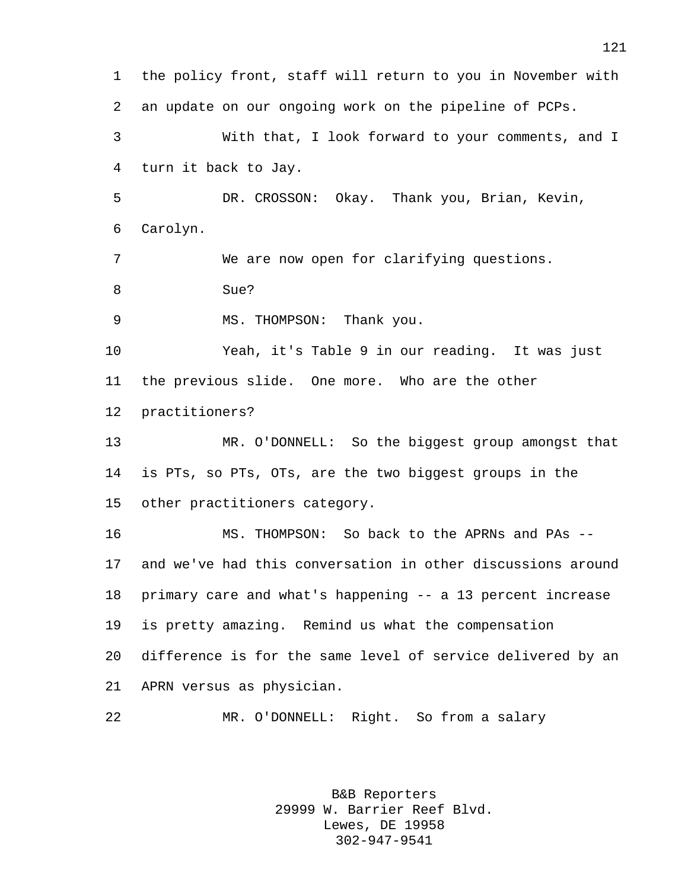the policy front, staff will return to you in November with an update on our ongoing work on the pipeline of PCPs. With that, I look forward to your comments, and I turn it back to Jay. DR. CROSSON: Okay. Thank you, Brian, Kevin, Carolyn. We are now open for clarifying questions. Sue? 9 MS. THOMPSON: Thank you. Yeah, it's Table 9 in our reading. It was just the previous slide. One more. Who are the other practitioners? MR. O'DONNELL: So the biggest group amongst that is PTs, so PTs, OTs, are the two biggest groups in the other practitioners category. MS. THOMPSON: So back to the APRNs and PAs -- and we've had this conversation in other discussions around primary care and what's happening -- a 13 percent increase is pretty amazing. Remind us what the compensation difference is for the same level of service delivered by an APRN versus as physician. MR. O'DONNELL: Right. So from a salary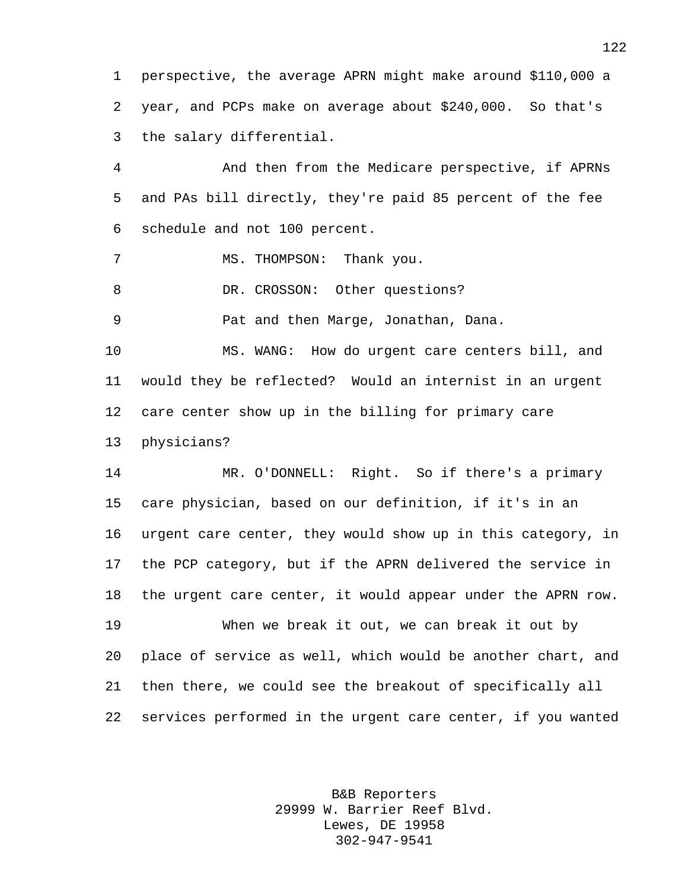perspective, the average APRN might make around \$110,000 a year, and PCPs make on average about \$240,000. So that's the salary differential.

 And then from the Medicare perspective, if APRNs and PAs bill directly, they're paid 85 percent of the fee schedule and not 100 percent.

MS. THOMPSON: Thank you.

8 DR. CROSSON: Other questions?

Pat and then Marge, Jonathan, Dana.

 MS. WANG: How do urgent care centers bill, and would they be reflected? Would an internist in an urgent care center show up in the billing for primary care physicians?

 MR. O'DONNELL: Right. So if there's a primary care physician, based on our definition, if it's in an urgent care center, they would show up in this category, in the PCP category, but if the APRN delivered the service in the urgent care center, it would appear under the APRN row.

 When we break it out, we can break it out by place of service as well, which would be another chart, and then there, we could see the breakout of specifically all services performed in the urgent care center, if you wanted

> B&B Reporters 29999 W. Barrier Reef Blvd. Lewes, DE 19958 302-947-9541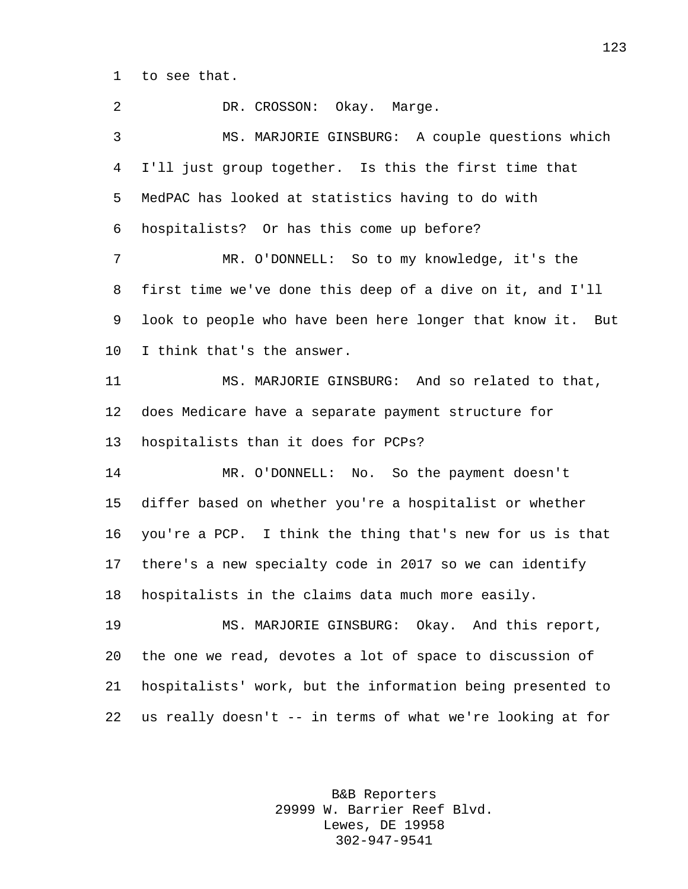to see that.

| 2  | DR. CROSSON: Okay. Marge.                                  |
|----|------------------------------------------------------------|
| 3  | MS. MARJORIE GINSBURG: A couple questions which            |
| 4  | I'll just group together. Is this the first time that      |
| 5  | MedPAC has looked at statistics having to do with          |
| 6  | hospitalists? Or has this come up before?                  |
| 7  | MR. O'DONNELL: So to my knowledge, it's the                |
| 8  | first time we've done this deep of a dive on it, and I'll  |
| 9  | look to people who have been here longer that know it. But |
| 10 | I think that's the answer.                                 |
| 11 | MS. MARJORIE GINSBURG: And so related to that,             |
| 12 | does Medicare have a separate payment structure for        |
| 13 | hospitalists than it does for PCPs?                        |
| 14 | MR. O'DONNELL: No. So the payment doesn't                  |
| 15 | differ based on whether you're a hospitalist or whether    |
| 16 | you're a PCP. I think the thing that's new for us is that  |
| 17 | there's a new specialty code in 2017 so we can identify    |
| 18 | hospitalists in the claims data much more easily.          |
| 19 | MS. MARJORIE GINSBURG: Okay. And this report,              |
| 20 | the one we read, devotes a lot of space to discussion of   |
| 21 | hospitalists' work, but the information being presented to |
| 22 | us really doesn't -- in terms of what we're looking at for |
|    |                                                            |

B&B Reporters 29999 W. Barrier Reef Blvd. Lewes, DE 19958 302-947-9541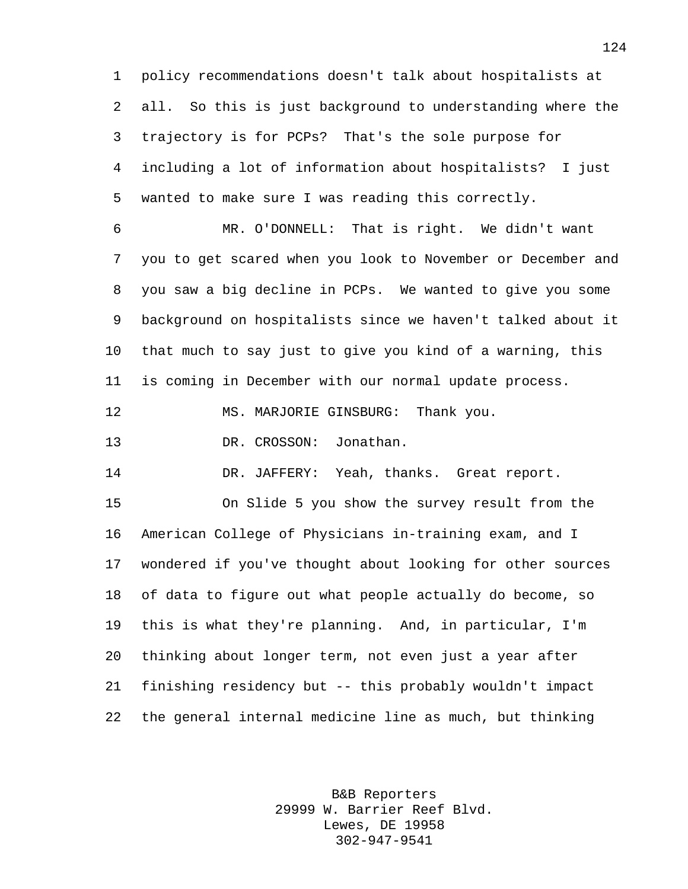policy recommendations doesn't talk about hospitalists at all. So this is just background to understanding where the trajectory is for PCPs? That's the sole purpose for including a lot of information about hospitalists? I just wanted to make sure I was reading this correctly.

 MR. O'DONNELL: That is right. We didn't want you to get scared when you look to November or December and you saw a big decline in PCPs. We wanted to give you some background on hospitalists since we haven't talked about it that much to say just to give you kind of a warning, this is coming in December with our normal update process.

12 MS. MARJORIE GINSBURG: Thank you.

DR. CROSSON: Jonathan.

DR. JAFFERY: Yeah, thanks. Great report.

 On Slide 5 you show the survey result from the American College of Physicians in-training exam, and I wondered if you've thought about looking for other sources of data to figure out what people actually do become, so this is what they're planning. And, in particular, I'm thinking about longer term, not even just a year after finishing residency but -- this probably wouldn't impact the general internal medicine line as much, but thinking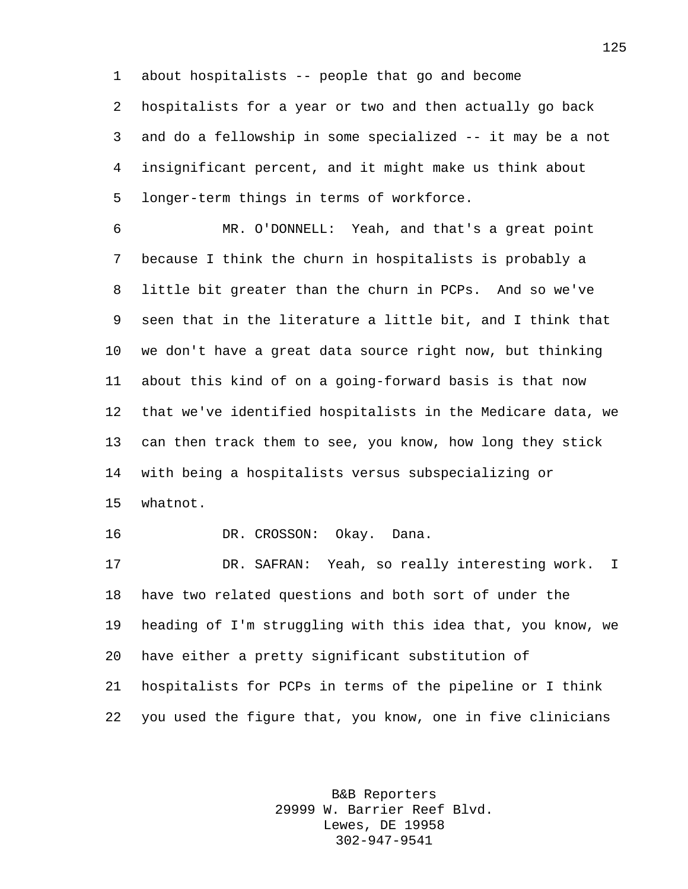about hospitalists -- people that go and become hospitalists for a year or two and then actually go back and do a fellowship in some specialized -- it may be a not insignificant percent, and it might make us think about longer-term things in terms of workforce.

 MR. O'DONNELL: Yeah, and that's a great point because I think the churn in hospitalists is probably a little bit greater than the churn in PCPs. And so we've seen that in the literature a little bit, and I think that we don't have a great data source right now, but thinking about this kind of on a going-forward basis is that now that we've identified hospitalists in the Medicare data, we can then track them to see, you know, how long they stick with being a hospitalists versus subspecializing or whatnot. DR. CROSSON: Okay. Dana. DR. SAFRAN: Yeah, so really interesting work. I have two related questions and both sort of under the

 heading of I'm struggling with this idea that, you know, we have either a pretty significant substitution of hospitalists for PCPs in terms of the pipeline or I think you used the figure that, you know, one in five clinicians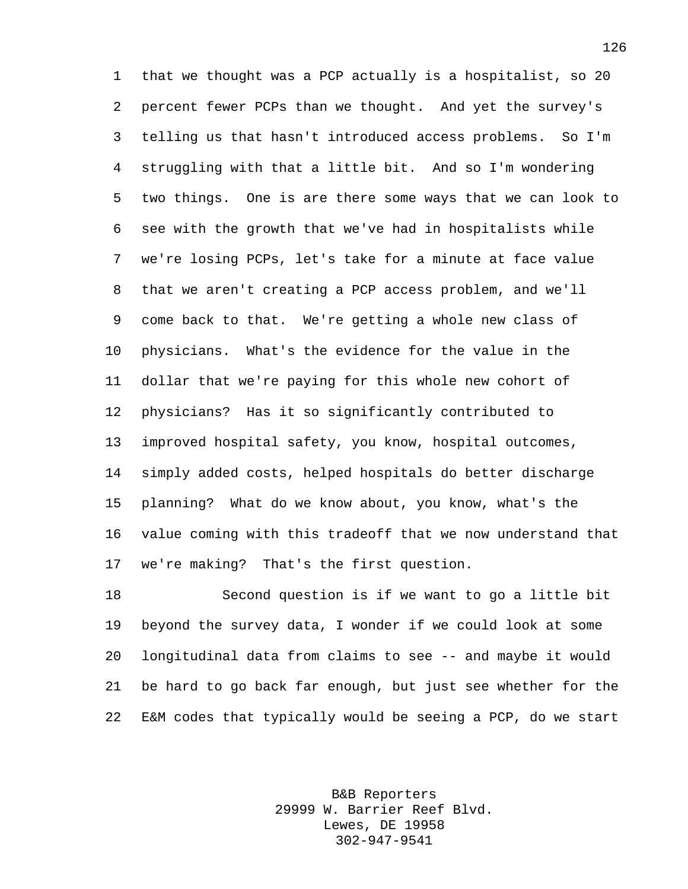that we thought was a PCP actually is a hospitalist, so 20 percent fewer PCPs than we thought. And yet the survey's telling us that hasn't introduced access problems. So I'm struggling with that a little bit. And so I'm wondering two things. One is are there some ways that we can look to see with the growth that we've had in hospitalists while we're losing PCPs, let's take for a minute at face value that we aren't creating a PCP access problem, and we'll come back to that. We're getting a whole new class of physicians. What's the evidence for the value in the dollar that we're paying for this whole new cohort of physicians? Has it so significantly contributed to improved hospital safety, you know, hospital outcomes, simply added costs, helped hospitals do better discharge planning? What do we know about, you know, what's the value coming with this tradeoff that we now understand that we're making? That's the first question.

 Second question is if we want to go a little bit beyond the survey data, I wonder if we could look at some longitudinal data from claims to see -- and maybe it would be hard to go back far enough, but just see whether for the E&M codes that typically would be seeing a PCP, do we start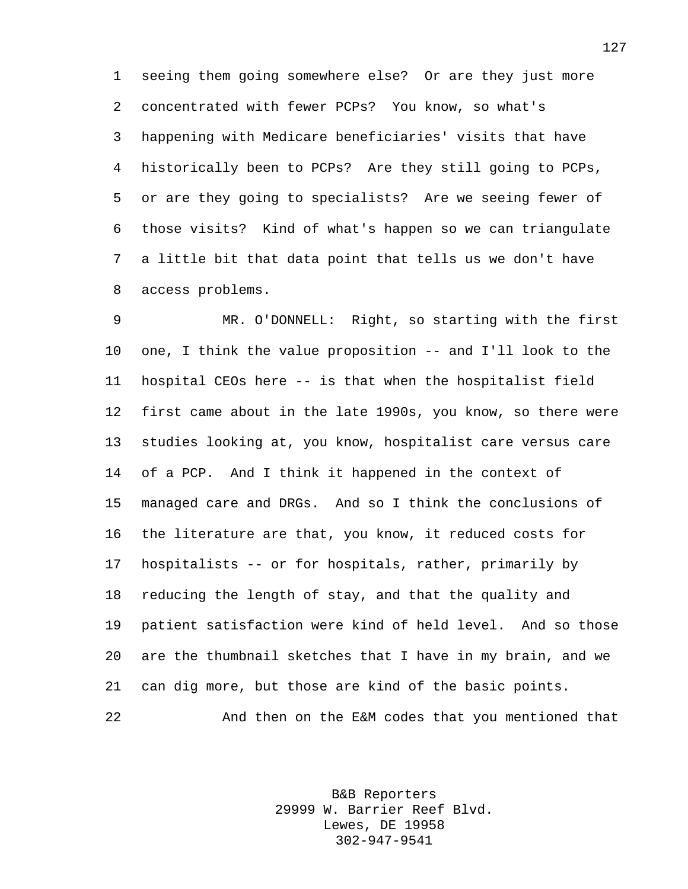seeing them going somewhere else? Or are they just more concentrated with fewer PCPs? You know, so what's happening with Medicare beneficiaries' visits that have historically been to PCPs? Are they still going to PCPs, or are they going to specialists? Are we seeing fewer of those visits? Kind of what's happen so we can triangulate a little bit that data point that tells us we don't have access problems.

 MR. O'DONNELL: Right, so starting with the first one, I think the value proposition -- and I'll look to the hospital CEOs here -- is that when the hospitalist field first came about in the late 1990s, you know, so there were studies looking at, you know, hospitalist care versus care of a PCP. And I think it happened in the context of managed care and DRGs. And so I think the conclusions of the literature are that, you know, it reduced costs for hospitalists -- or for hospitals, rather, primarily by reducing the length of stay, and that the quality and patient satisfaction were kind of held level. And so those are the thumbnail sketches that I have in my brain, and we can dig more, but those are kind of the basic points. And then on the E&M codes that you mentioned that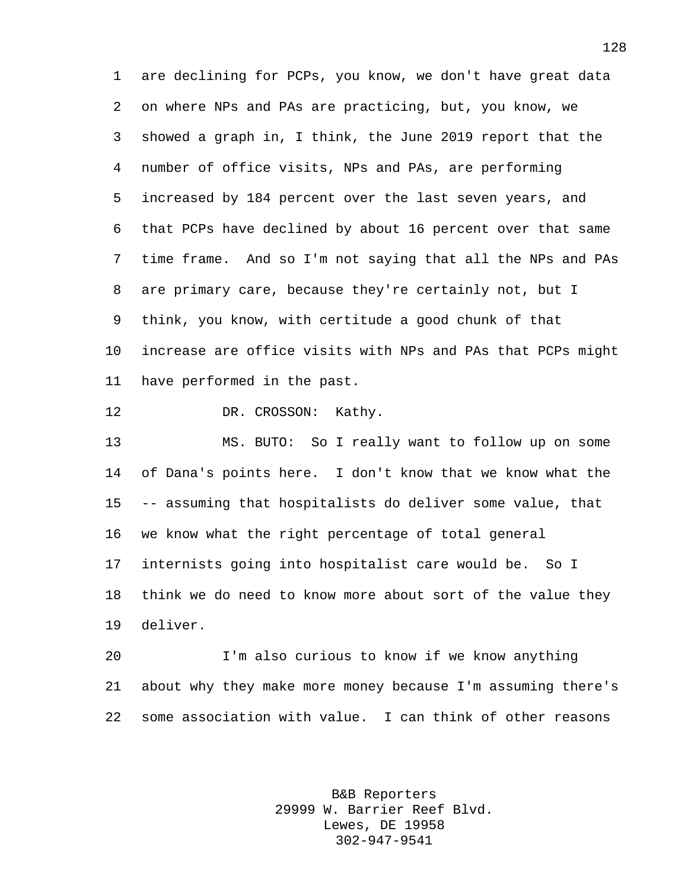are declining for PCPs, you know, we don't have great data on where NPs and PAs are practicing, but, you know, we showed a graph in, I think, the June 2019 report that the number of office visits, NPs and PAs, are performing increased by 184 percent over the last seven years, and that PCPs have declined by about 16 percent over that same time frame. And so I'm not saying that all the NPs and PAs are primary care, because they're certainly not, but I think, you know, with certitude a good chunk of that increase are office visits with NPs and PAs that PCPs might have performed in the past.

12 DR. CROSSON: Kathy.

 MS. BUTO: So I really want to follow up on some of Dana's points here. I don't know that we know what the -- assuming that hospitalists do deliver some value, that we know what the right percentage of total general internists going into hospitalist care would be. So I think we do need to know more about sort of the value they deliver.

 I'm also curious to know if we know anything about why they make more money because I'm assuming there's some association with value. I can think of other reasons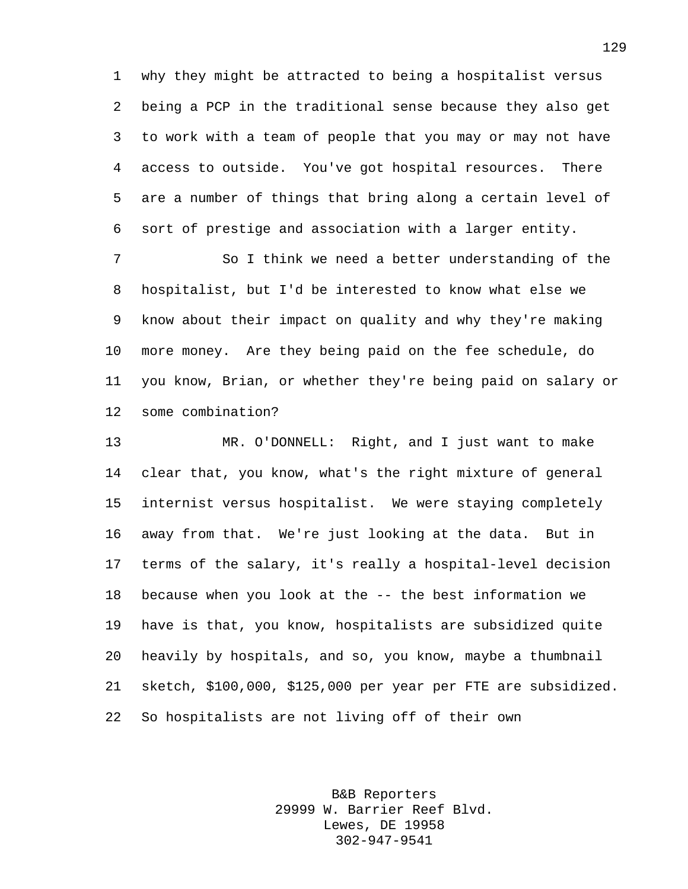why they might be attracted to being a hospitalist versus being a PCP in the traditional sense because they also get to work with a team of people that you may or may not have access to outside. You've got hospital resources. There are a number of things that bring along a certain level of sort of prestige and association with a larger entity.

 So I think we need a better understanding of the hospitalist, but I'd be interested to know what else we know about their impact on quality and why they're making more money. Are they being paid on the fee schedule, do you know, Brian, or whether they're being paid on salary or some combination?

 MR. O'DONNELL: Right, and I just want to make clear that, you know, what's the right mixture of general internist versus hospitalist. We were staying completely away from that. We're just looking at the data. But in terms of the salary, it's really a hospital-level decision because when you look at the -- the best information we have is that, you know, hospitalists are subsidized quite heavily by hospitals, and so, you know, maybe a thumbnail sketch, \$100,000, \$125,000 per year per FTE are subsidized. So hospitalists are not living off of their own

> B&B Reporters 29999 W. Barrier Reef Blvd. Lewes, DE 19958 302-947-9541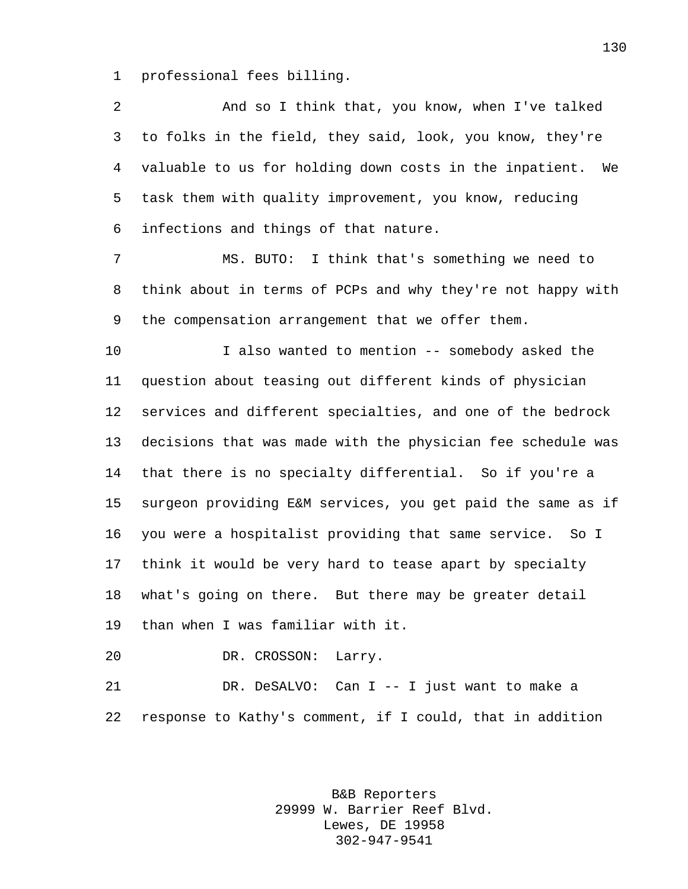professional fees billing.

| $\overline{2}$ | And so I think that, you know, when I've talked             |
|----------------|-------------------------------------------------------------|
| 3              | to folks in the field, they said, look, you know, they're   |
| 4              | valuable to us for holding down costs in the inpatient. We  |
| 5              | task them with quality improvement, you know, reducing      |
| 6              | infections and things of that nature.                       |
| 7              | I think that's something we need to<br>MS. BUTO:            |
| 8              | think about in terms of PCPs and why they're not happy with |
| 9              | the compensation arrangement that we offer them.            |
| 10             | I also wanted to mention -- somebody asked the              |
| 11             | question about teasing out different kinds of physician     |
| 12             | services and different specialties, and one of the bedrock  |
| 13             | decisions that was made with the physician fee schedule was |
| 14             | that there is no specialty differential. So if you're a     |
| 15             | surgeon providing E&M services, you get paid the same as if |
| 16             | you were a hospitalist providing that same service. So I    |
| 17             | think it would be very hard to tease apart by specialty     |
| 18             | what's going on there. But there may be greater detail      |
| 19             | than when I was familiar with it.                           |
| 20             | DR. CROSSON:<br>Larry.                                      |
| 21             | DR. DeSALVO:<br>Can I -- I just want to make a              |

response to Kathy's comment, if I could, that in addition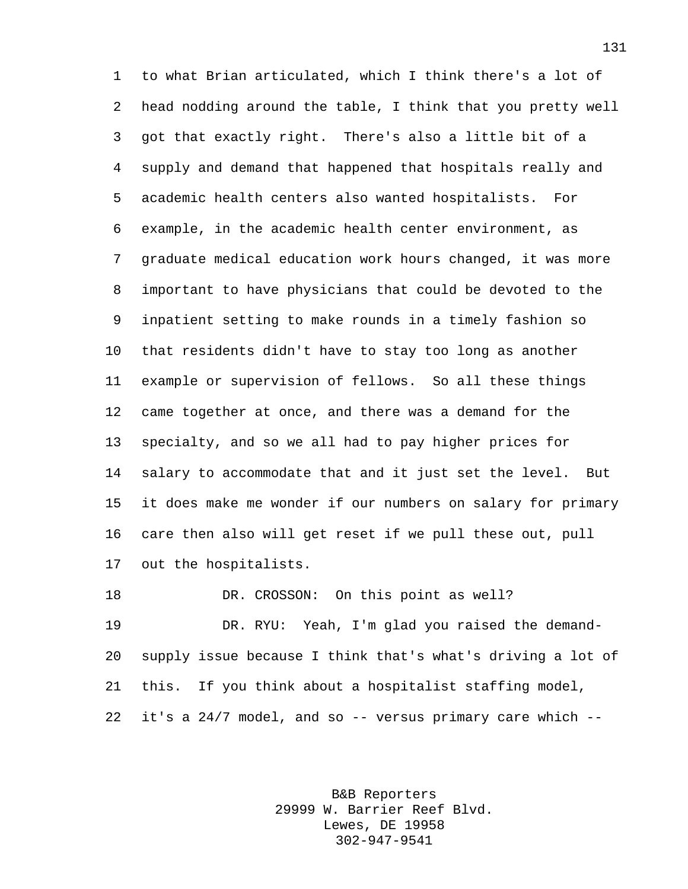to what Brian articulated, which I think there's a lot of head nodding around the table, I think that you pretty well got that exactly right. There's also a little bit of a supply and demand that happened that hospitals really and academic health centers also wanted hospitalists. For example, in the academic health center environment, as graduate medical education work hours changed, it was more important to have physicians that could be devoted to the inpatient setting to make rounds in a timely fashion so that residents didn't have to stay too long as another example or supervision of fellows. So all these things came together at once, and there was a demand for the specialty, and so we all had to pay higher prices for salary to accommodate that and it just set the level. But it does make me wonder if our numbers on salary for primary care then also will get reset if we pull these out, pull out the hospitalists.

18 DR. CROSSON: On this point as well? DR. RYU: Yeah, I'm glad you raised the demand- supply issue because I think that's what's driving a lot of this. If you think about a hospitalist staffing model, it's a 24/7 model, and so -- versus primary care which --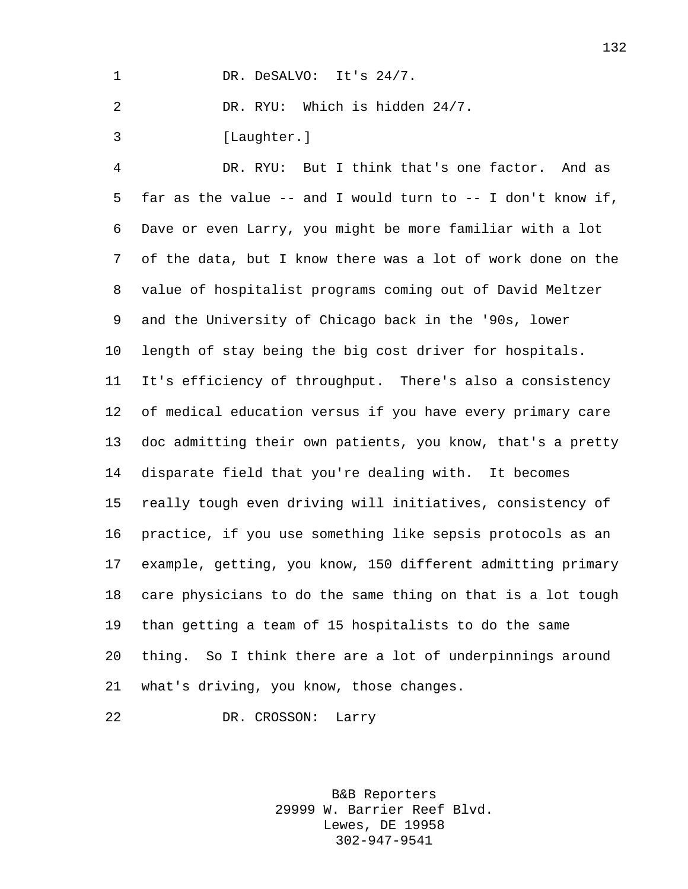1 DR. DeSALVO: It's 24/7.

DR. RYU: Which is hidden 24/7.

[Laughter.]

 DR. RYU: But I think that's one factor. And as far as the value -- and I would turn to -- I don't know if, Dave or even Larry, you might be more familiar with a lot of the data, but I know there was a lot of work done on the value of hospitalist programs coming out of David Meltzer and the University of Chicago back in the '90s, lower length of stay being the big cost driver for hospitals. It's efficiency of throughput. There's also a consistency of medical education versus if you have every primary care doc admitting their own patients, you know, that's a pretty disparate field that you're dealing with. It becomes really tough even driving will initiatives, consistency of practice, if you use something like sepsis protocols as an example, getting, you know, 150 different admitting primary care physicians to do the same thing on that is a lot tough than getting a team of 15 hospitalists to do the same thing. So I think there are a lot of underpinnings around what's driving, you know, those changes.

DR. CROSSON: Larry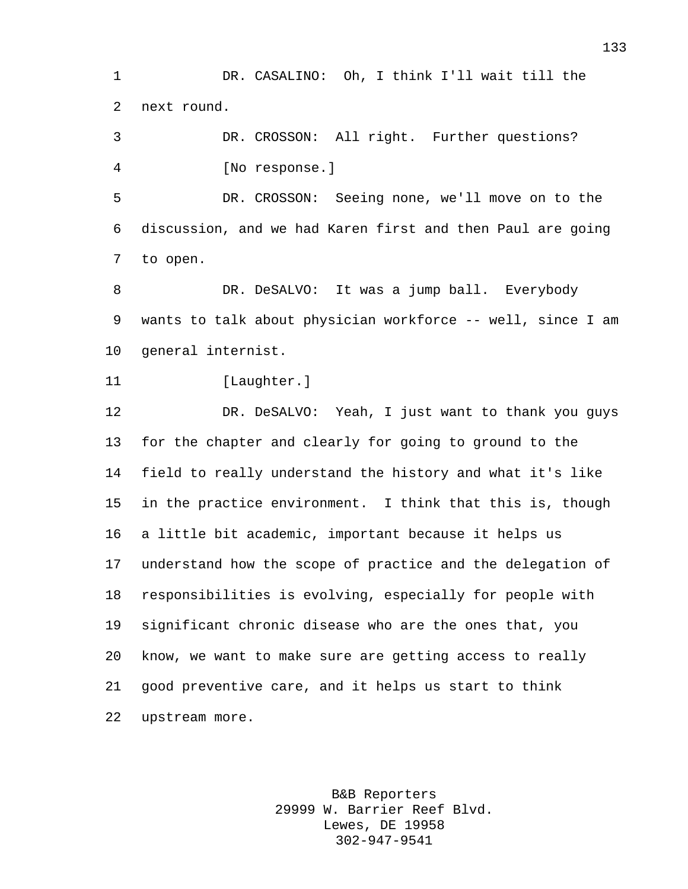DR. CASALINO: Oh, I think I'll wait till the next round.

 DR. CROSSON: All right. Further questions? [No response.]

 DR. CROSSON: Seeing none, we'll move on to the discussion, and we had Karen first and then Paul are going to open.

 DR. DeSALVO: It was a jump ball. Everybody wants to talk about physician workforce -- well, since I am general internist.

```
11 [Laughter.]
```
 DR. DeSALVO: Yeah, I just want to thank you guys for the chapter and clearly for going to ground to the field to really understand the history and what it's like in the practice environment. I think that this is, though a little bit academic, important because it helps us understand how the scope of practice and the delegation of responsibilities is evolving, especially for people with significant chronic disease who are the ones that, you know, we want to make sure are getting access to really good preventive care, and it helps us start to think upstream more.

> B&B Reporters 29999 W. Barrier Reef Blvd. Lewes, DE 19958 302-947-9541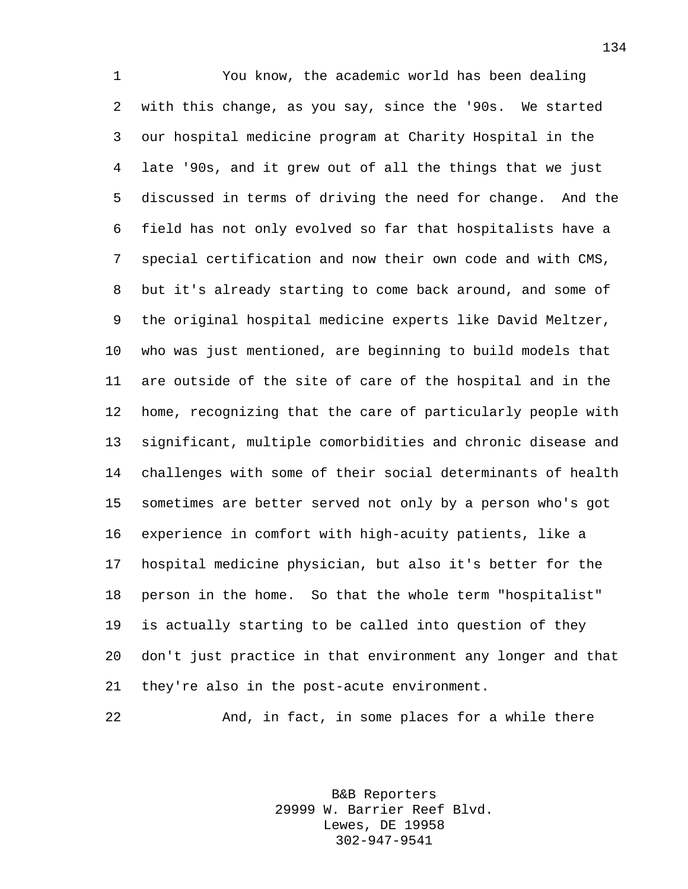You know, the academic world has been dealing with this change, as you say, since the '90s. We started our hospital medicine program at Charity Hospital in the late '90s, and it grew out of all the things that we just discussed in terms of driving the need for change. And the field has not only evolved so far that hospitalists have a special certification and now their own code and with CMS, but it's already starting to come back around, and some of the original hospital medicine experts like David Meltzer, who was just mentioned, are beginning to build models that are outside of the site of care of the hospital and in the home, recognizing that the care of particularly people with significant, multiple comorbidities and chronic disease and challenges with some of their social determinants of health sometimes are better served not only by a person who's got experience in comfort with high-acuity patients, like a hospital medicine physician, but also it's better for the person in the home. So that the whole term "hospitalist" is actually starting to be called into question of they don't just practice in that environment any longer and that they're also in the post-acute environment.

And, in fact, in some places for a while there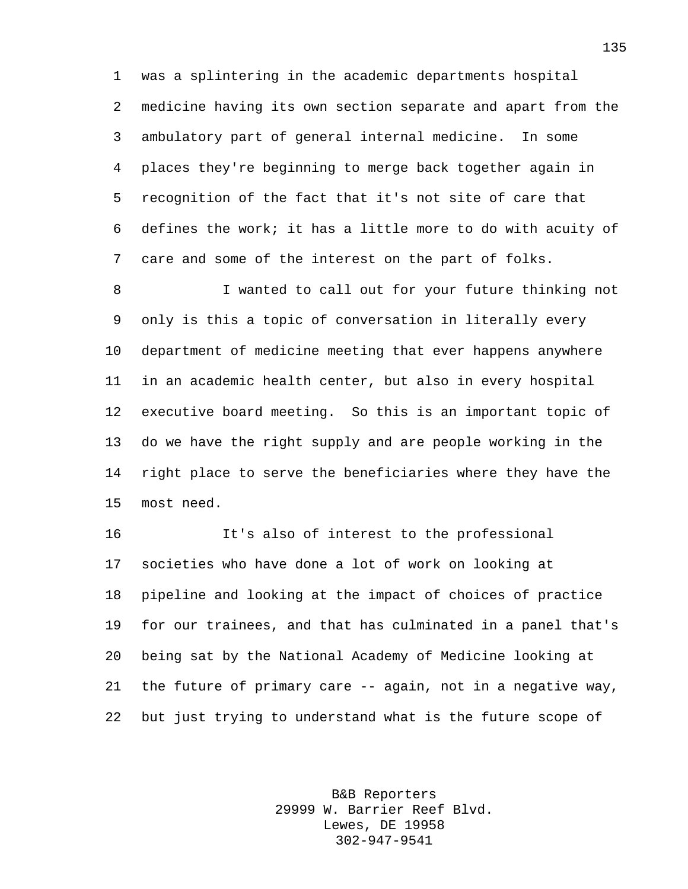was a splintering in the academic departments hospital medicine having its own section separate and apart from the ambulatory part of general internal medicine. In some places they're beginning to merge back together again in recognition of the fact that it's not site of care that defines the work; it has a little more to do with acuity of care and some of the interest on the part of folks.

 I wanted to call out for your future thinking not only is this a topic of conversation in literally every department of medicine meeting that ever happens anywhere in an academic health center, but also in every hospital executive board meeting. So this is an important topic of do we have the right supply and are people working in the right place to serve the beneficiaries where they have the most need.

 It's also of interest to the professional societies who have done a lot of work on looking at pipeline and looking at the impact of choices of practice for our trainees, and that has culminated in a panel that's being sat by the National Academy of Medicine looking at the future of primary care -- again, not in a negative way, but just trying to understand what is the future scope of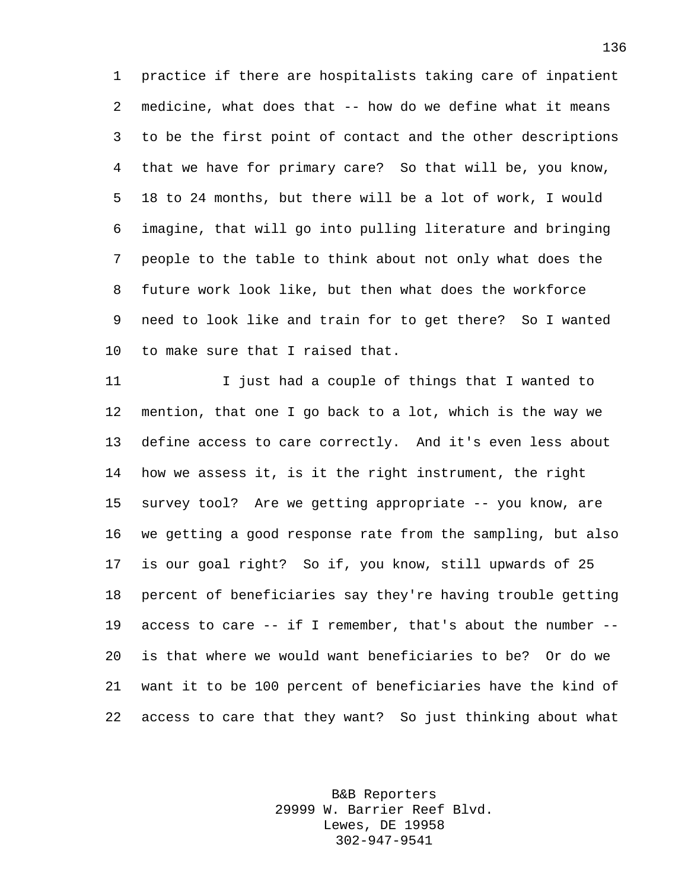practice if there are hospitalists taking care of inpatient medicine, what does that -- how do we define what it means to be the first point of contact and the other descriptions that we have for primary care? So that will be, you know, 18 to 24 months, but there will be a lot of work, I would imagine, that will go into pulling literature and bringing people to the table to think about not only what does the future work look like, but then what does the workforce need to look like and train for to get there? So I wanted to make sure that I raised that.

11 I just had a couple of things that I wanted to mention, that one I go back to a lot, which is the way we define access to care correctly. And it's even less about how we assess it, is it the right instrument, the right survey tool? Are we getting appropriate -- you know, are we getting a good response rate from the sampling, but also is our goal right? So if, you know, still upwards of 25 percent of beneficiaries say they're having trouble getting access to care -- if I remember, that's about the number -- is that where we would want beneficiaries to be? Or do we want it to be 100 percent of beneficiaries have the kind of access to care that they want? So just thinking about what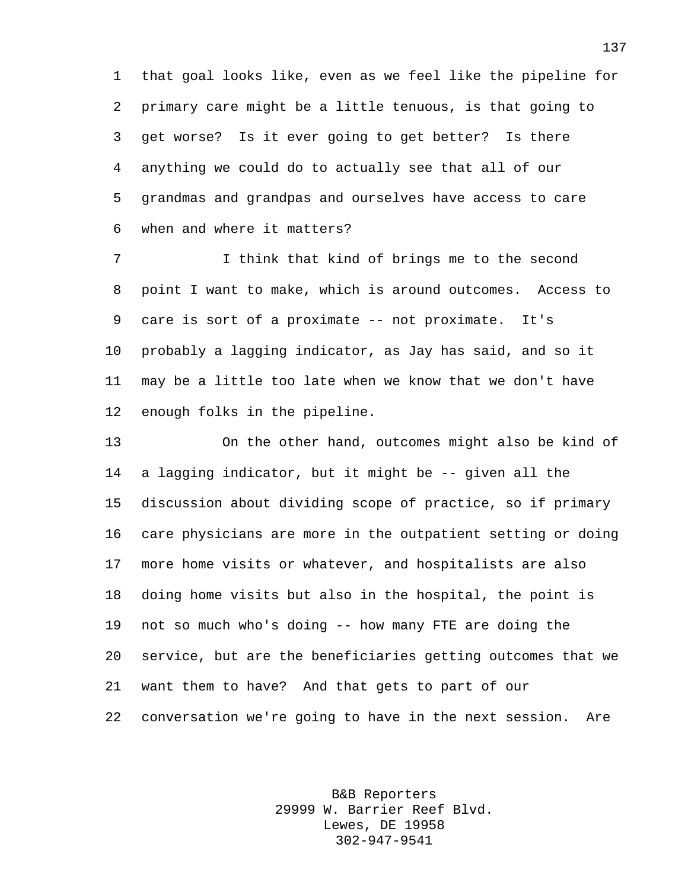that goal looks like, even as we feel like the pipeline for primary care might be a little tenuous, is that going to get worse? Is it ever going to get better? Is there anything we could do to actually see that all of our grandmas and grandpas and ourselves have access to care when and where it matters?

 I think that kind of brings me to the second point I want to make, which is around outcomes. Access to care is sort of a proximate -- not proximate. It's probably a lagging indicator, as Jay has said, and so it may be a little too late when we know that we don't have enough folks in the pipeline.

 On the other hand, outcomes might also be kind of a lagging indicator, but it might be -- given all the discussion about dividing scope of practice, so if primary care physicians are more in the outpatient setting or doing more home visits or whatever, and hospitalists are also doing home visits but also in the hospital, the point is not so much who's doing -- how many FTE are doing the service, but are the beneficiaries getting outcomes that we want them to have? And that gets to part of our conversation we're going to have in the next session. Are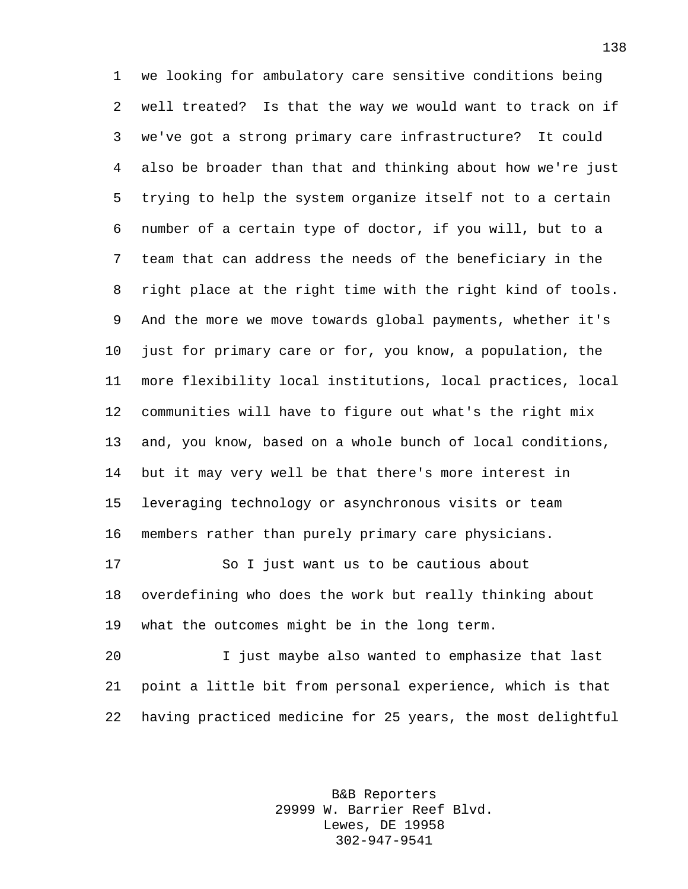we looking for ambulatory care sensitive conditions being well treated? Is that the way we would want to track on if we've got a strong primary care infrastructure? It could also be broader than that and thinking about how we're just trying to help the system organize itself not to a certain number of a certain type of doctor, if you will, but to a team that can address the needs of the beneficiary in the right place at the right time with the right kind of tools. And the more we move towards global payments, whether it's just for primary care or for, you know, a population, the more flexibility local institutions, local practices, local communities will have to figure out what's the right mix and, you know, based on a whole bunch of local conditions, but it may very well be that there's more interest in leveraging technology or asynchronous visits or team members rather than purely primary care physicians. So I just want us to be cautious about overdefining who does the work but really thinking about

what the outcomes might be in the long term.

 I just maybe also wanted to emphasize that last point a little bit from personal experience, which is that having practiced medicine for 25 years, the most delightful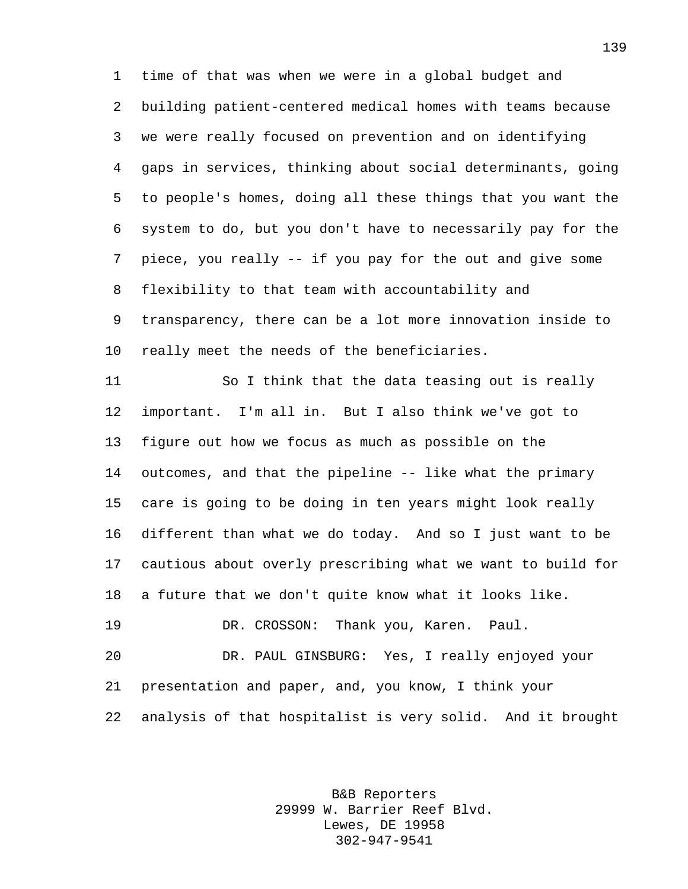time of that was when we were in a global budget and building patient-centered medical homes with teams because we were really focused on prevention and on identifying gaps in services, thinking about social determinants, going to people's homes, doing all these things that you want the system to do, but you don't have to necessarily pay for the piece, you really -- if you pay for the out and give some flexibility to that team with accountability and transparency, there can be a lot more innovation inside to really meet the needs of the beneficiaries.

 So I think that the data teasing out is really important. I'm all in. But I also think we've got to figure out how we focus as much as possible on the outcomes, and that the pipeline -- like what the primary care is going to be doing in ten years might look really different than what we do today. And so I just want to be cautious about overly prescribing what we want to build for a future that we don't quite know what it looks like. DR. CROSSON: Thank you, Karen. Paul. DR. PAUL GINSBURG: Yes, I really enjoyed your presentation and paper, and, you know, I think your

analysis of that hospitalist is very solid. And it brought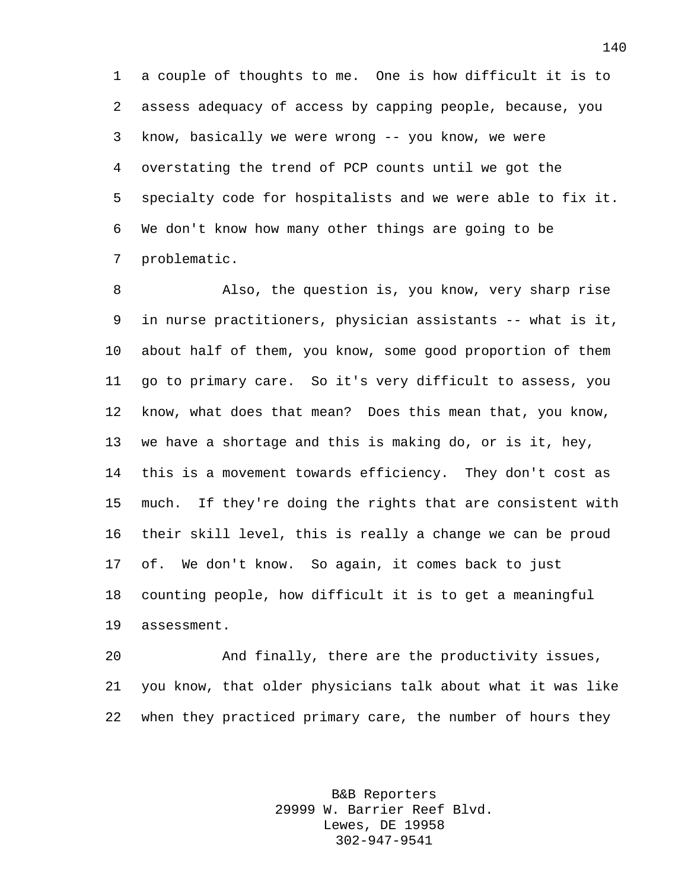a couple of thoughts to me. One is how difficult it is to assess adequacy of access by capping people, because, you know, basically we were wrong -- you know, we were overstating the trend of PCP counts until we got the specialty code for hospitalists and we were able to fix it. We don't know how many other things are going to be problematic.

 Also, the question is, you know, very sharp rise in nurse practitioners, physician assistants -- what is it, about half of them, you know, some good proportion of them go to primary care. So it's very difficult to assess, you know, what does that mean? Does this mean that, you know, we have a shortage and this is making do, or is it, hey, this is a movement towards efficiency. They don't cost as much. If they're doing the rights that are consistent with their skill level, this is really a change we can be proud of. We don't know. So again, it comes back to just counting people, how difficult it is to get a meaningful assessment.

 And finally, there are the productivity issues, you know, that older physicians talk about what it was like when they practiced primary care, the number of hours they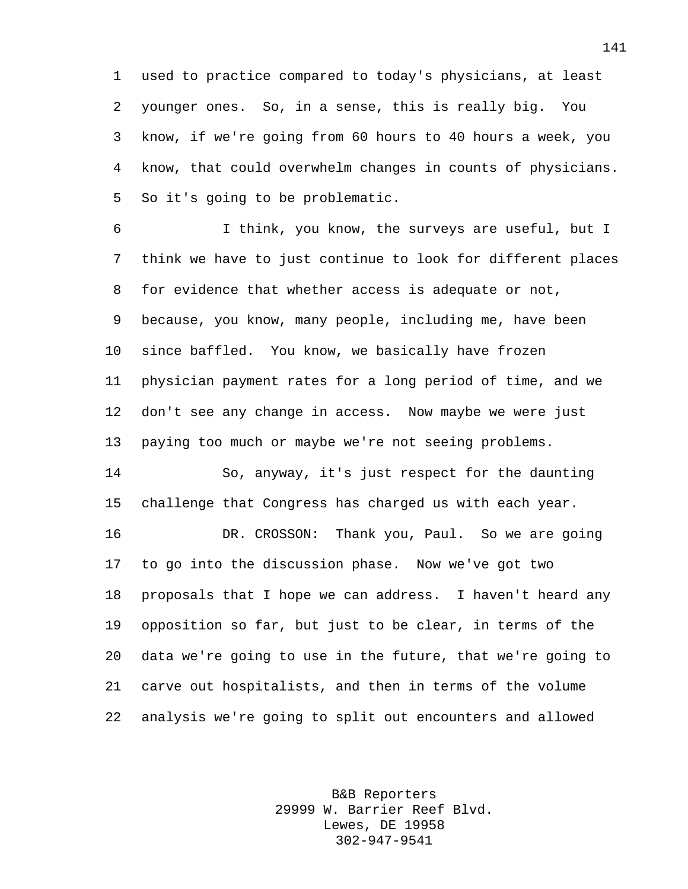used to practice compared to today's physicians, at least younger ones. So, in a sense, this is really big. You know, if we're going from 60 hours to 40 hours a week, you know, that could overwhelm changes in counts of physicians. So it's going to be problematic.

 I think, you know, the surveys are useful, but I think we have to just continue to look for different places for evidence that whether access is adequate or not, because, you know, many people, including me, have been since baffled. You know, we basically have frozen physician payment rates for a long period of time, and we don't see any change in access. Now maybe we were just paying too much or maybe we're not seeing problems. So, anyway, it's just respect for the daunting

challenge that Congress has charged us with each year.

 DR. CROSSON: Thank you, Paul. So we are going to go into the discussion phase. Now we've got two proposals that I hope we can address. I haven't heard any opposition so far, but just to be clear, in terms of the data we're going to use in the future, that we're going to carve out hospitalists, and then in terms of the volume analysis we're going to split out encounters and allowed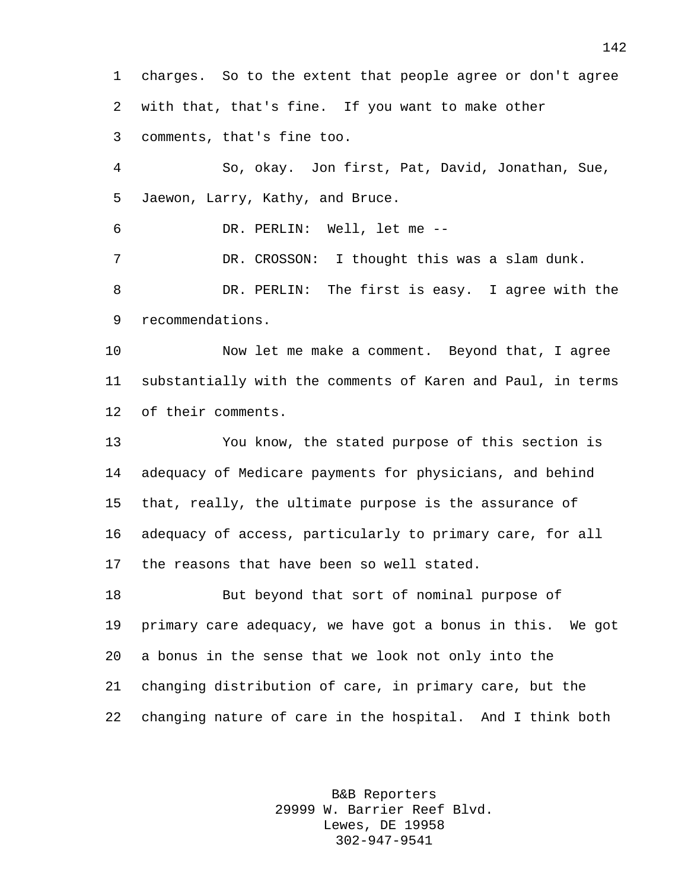charges. So to the extent that people agree or don't agree with that, that's fine. If you want to make other comments, that's fine too. So, okay. Jon first, Pat, David, Jonathan, Sue, Jaewon, Larry, Kathy, and Bruce. DR. PERLIN: Well, let me -- DR. CROSSON: I thought this was a slam dunk. DR. PERLIN: The first is easy. I agree with the recommendations. Now let me make a comment. Beyond that, I agree substantially with the comments of Karen and Paul, in terms of their comments. You know, the stated purpose of this section is adequacy of Medicare payments for physicians, and behind that, really, the ultimate purpose is the assurance of adequacy of access, particularly to primary care, for all the reasons that have been so well stated. But beyond that sort of nominal purpose of primary care adequacy, we have got a bonus in this. We got a bonus in the sense that we look not only into the changing distribution of care, in primary care, but the changing nature of care in the hospital. And I think both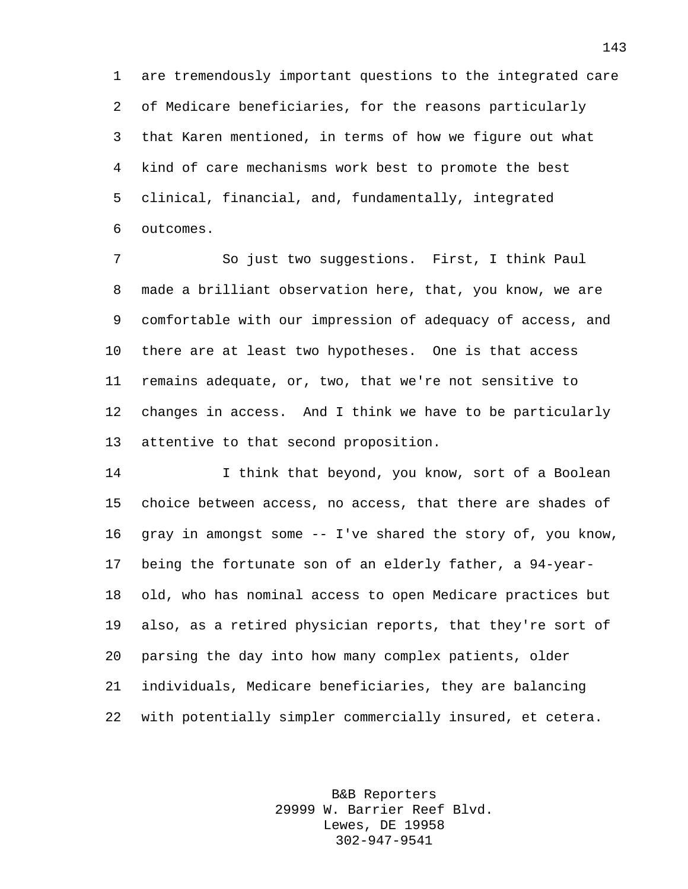are tremendously important questions to the integrated care of Medicare beneficiaries, for the reasons particularly that Karen mentioned, in terms of how we figure out what kind of care mechanisms work best to promote the best clinical, financial, and, fundamentally, integrated outcomes.

 So just two suggestions. First, I think Paul made a brilliant observation here, that, you know, we are comfortable with our impression of adequacy of access, and there are at least two hypotheses. One is that access remains adequate, or, two, that we're not sensitive to changes in access. And I think we have to be particularly attentive to that second proposition.

 I think that beyond, you know, sort of a Boolean choice between access, no access, that there are shades of gray in amongst some -- I've shared the story of, you know, being the fortunate son of an elderly father, a 94-year- old, who has nominal access to open Medicare practices but also, as a retired physician reports, that they're sort of parsing the day into how many complex patients, older individuals, Medicare beneficiaries, they are balancing with potentially simpler commercially insured, et cetera.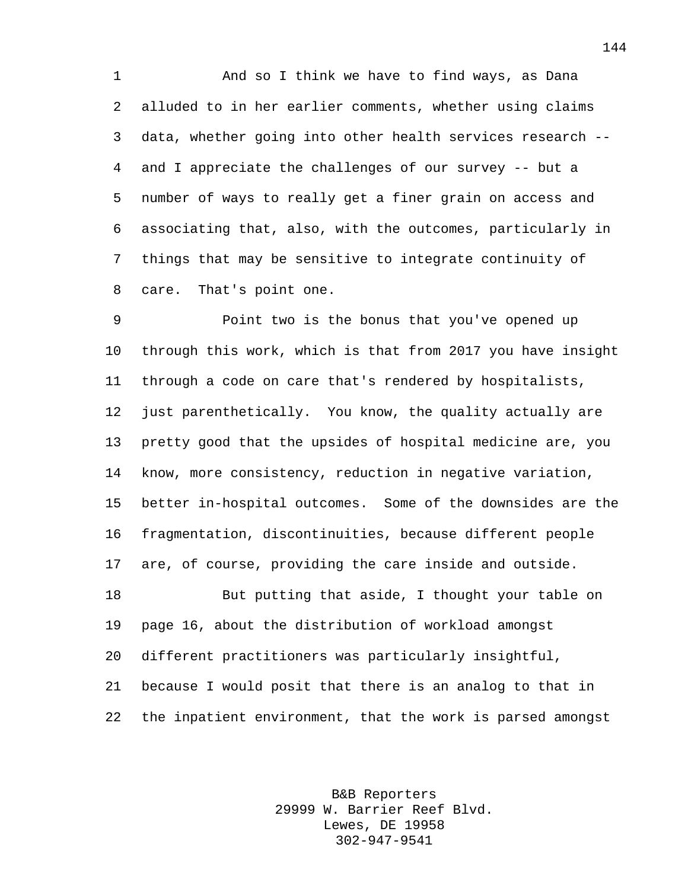And so I think we have to find ways, as Dana alluded to in her earlier comments, whether using claims data, whether going into other health services research -- and I appreciate the challenges of our survey -- but a number of ways to really get a finer grain on access and associating that, also, with the outcomes, particularly in things that may be sensitive to integrate continuity of care. That's point one.

 Point two is the bonus that you've opened up through this work, which is that from 2017 you have insight through a code on care that's rendered by hospitalists, just parenthetically. You know, the quality actually are pretty good that the upsides of hospital medicine are, you know, more consistency, reduction in negative variation, better in-hospital outcomes. Some of the downsides are the fragmentation, discontinuities, because different people are, of course, providing the care inside and outside. But putting that aside, I thought your table on page 16, about the distribution of workload amongst different practitioners was particularly insightful, because I would posit that there is an analog to that in the inpatient environment, that the work is parsed amongst

> B&B Reporters 29999 W. Barrier Reef Blvd. Lewes, DE 19958 302-947-9541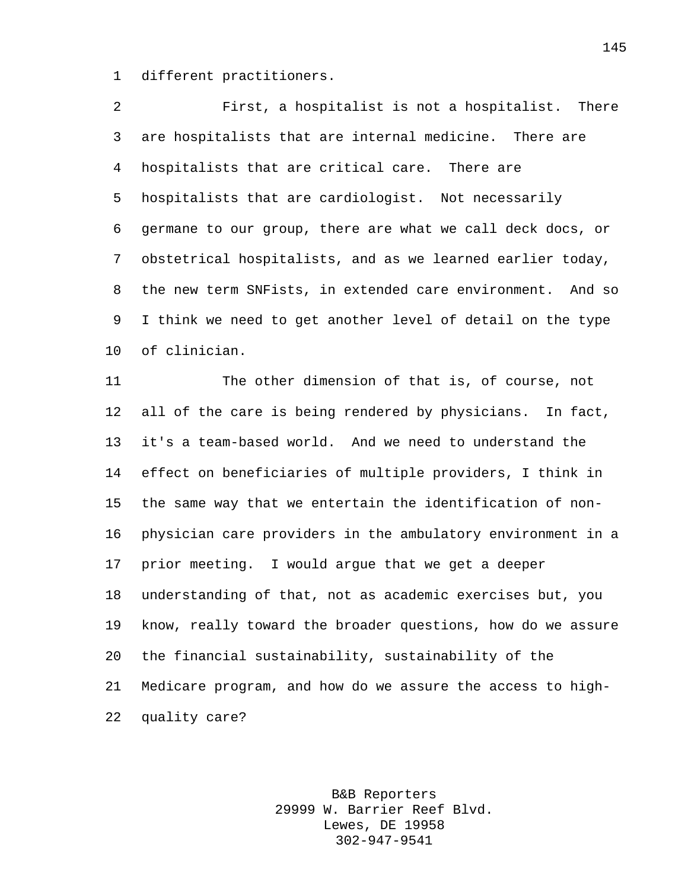different practitioners.

 First, a hospitalist is not a hospitalist. There are hospitalists that are internal medicine. There are hospitalists that are critical care. There are hospitalists that are cardiologist. Not necessarily germane to our group, there are what we call deck docs, or obstetrical hospitalists, and as we learned earlier today, the new term SNFists, in extended care environment. And so I think we need to get another level of detail on the type of clinician.

 The other dimension of that is, of course, not all of the care is being rendered by physicians. In fact, it's a team-based world. And we need to understand the effect on beneficiaries of multiple providers, I think in the same way that we entertain the identification of non- physician care providers in the ambulatory environment in a prior meeting. I would argue that we get a deeper understanding of that, not as academic exercises but, you know, really toward the broader questions, how do we assure the financial sustainability, sustainability of the Medicare program, and how do we assure the access to high-quality care?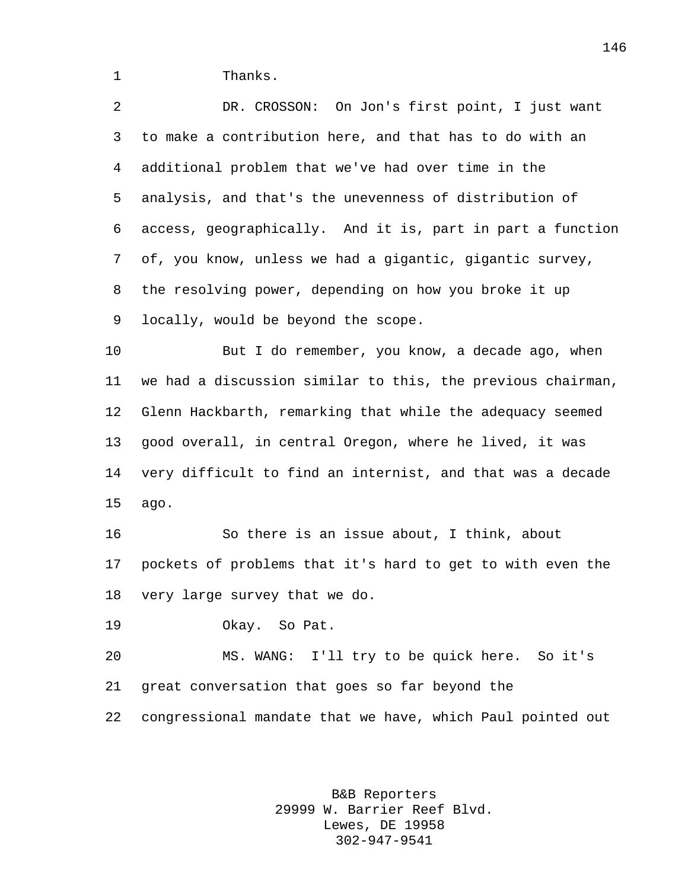1 Thanks.

 DR. CROSSON: On Jon's first point, I just want to make a contribution here, and that has to do with an additional problem that we've had over time in the analysis, and that's the unevenness of distribution of access, geographically. And it is, part in part a function of, you know, unless we had a gigantic, gigantic survey, the resolving power, depending on how you broke it up locally, would be beyond the scope. But I do remember, you know, a decade ago, when

 we had a discussion similar to this, the previous chairman, Glenn Hackbarth, remarking that while the adequacy seemed good overall, in central Oregon, where he lived, it was very difficult to find an internist, and that was a decade ago.

 So there is an issue about, I think, about pockets of problems that it's hard to get to with even the very large survey that we do.

Okay. So Pat.

 MS. WANG: I'll try to be quick here. So it's great conversation that goes so far beyond the congressional mandate that we have, which Paul pointed out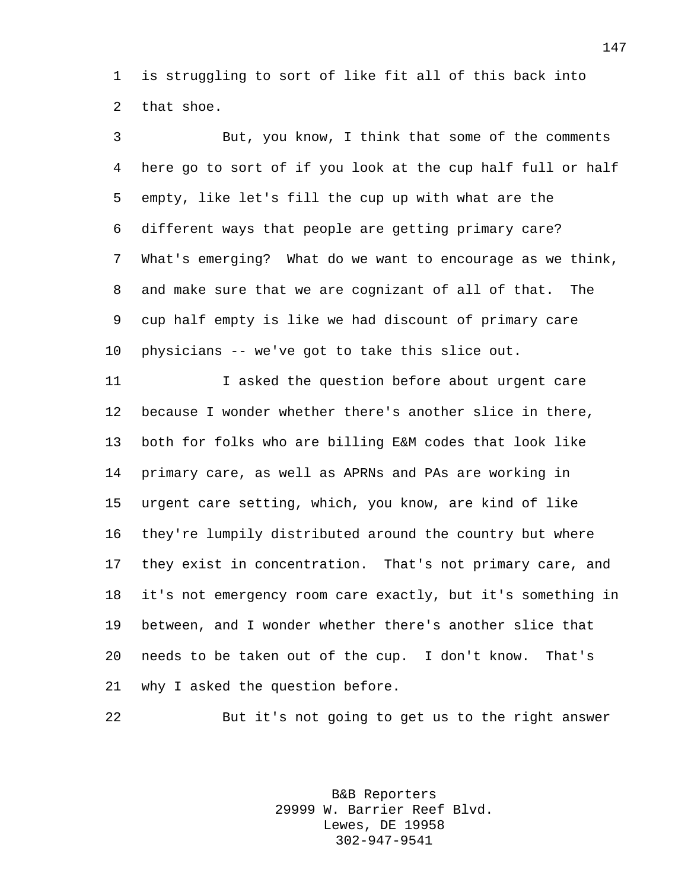is struggling to sort of like fit all of this back into that shoe.

 But, you know, I think that some of the comments here go to sort of if you look at the cup half full or half empty, like let's fill the cup up with what are the different ways that people are getting primary care? What's emerging? What do we want to encourage as we think, and make sure that we are cognizant of all of that. The cup half empty is like we had discount of primary care physicians -- we've got to take this slice out.

 I asked the question before about urgent care because I wonder whether there's another slice in there, both for folks who are billing E&M codes that look like primary care, as well as APRNs and PAs are working in urgent care setting, which, you know, are kind of like they're lumpily distributed around the country but where they exist in concentration. That's not primary care, and it's not emergency room care exactly, but it's something in between, and I wonder whether there's another slice that needs to be taken out of the cup. I don't know. That's why I asked the question before.

But it's not going to get us to the right answer

B&B Reporters 29999 W. Barrier Reef Blvd. Lewes, DE 19958 302-947-9541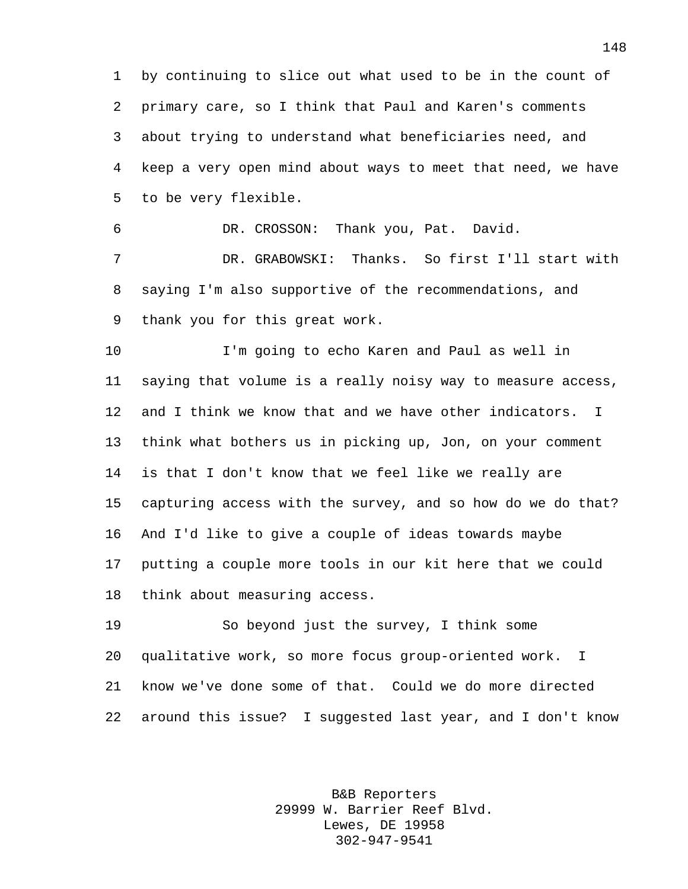by continuing to slice out what used to be in the count of primary care, so I think that Paul and Karen's comments about trying to understand what beneficiaries need, and keep a very open mind about ways to meet that need, we have to be very flexible.

DR. CROSSON: Thank you, Pat. David.

 DR. GRABOWSKI: Thanks. So first I'll start with saying I'm also supportive of the recommendations, and thank you for this great work.

 I'm going to echo Karen and Paul as well in saying that volume is a really noisy way to measure access, and I think we know that and we have other indicators. I think what bothers us in picking up, Jon, on your comment is that I don't know that we feel like we really are capturing access with the survey, and so how do we do that? And I'd like to give a couple of ideas towards maybe putting a couple more tools in our kit here that we could think about measuring access.

 So beyond just the survey, I think some qualitative work, so more focus group-oriented work. I know we've done some of that. Could we do more directed around this issue? I suggested last year, and I don't know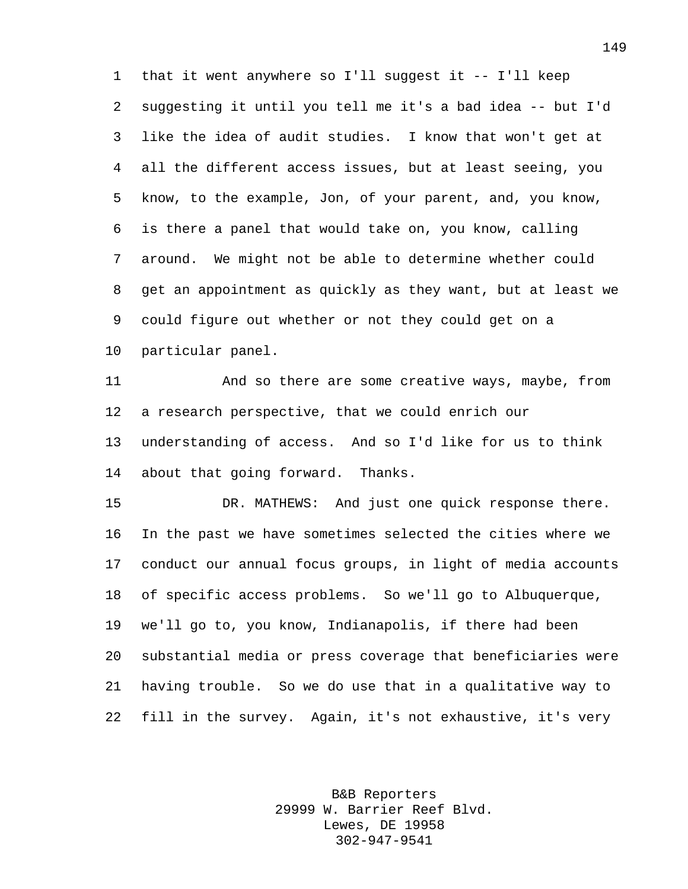that it went anywhere so I'll suggest it -- I'll keep suggesting it until you tell me it's a bad idea -- but I'd like the idea of audit studies. I know that won't get at all the different access issues, but at least seeing, you know, to the example, Jon, of your parent, and, you know, is there a panel that would take on, you know, calling around. We might not be able to determine whether could get an appointment as quickly as they want, but at least we could figure out whether or not they could get on a particular panel.

 And so there are some creative ways, maybe, from a research perspective, that we could enrich our understanding of access. And so I'd like for us to think about that going forward. Thanks.

 DR. MATHEWS: And just one quick response there. In the past we have sometimes selected the cities where we conduct our annual focus groups, in light of media accounts of specific access problems. So we'll go to Albuquerque, we'll go to, you know, Indianapolis, if there had been substantial media or press coverage that beneficiaries were having trouble. So we do use that in a qualitative way to fill in the survey. Again, it's not exhaustive, it's very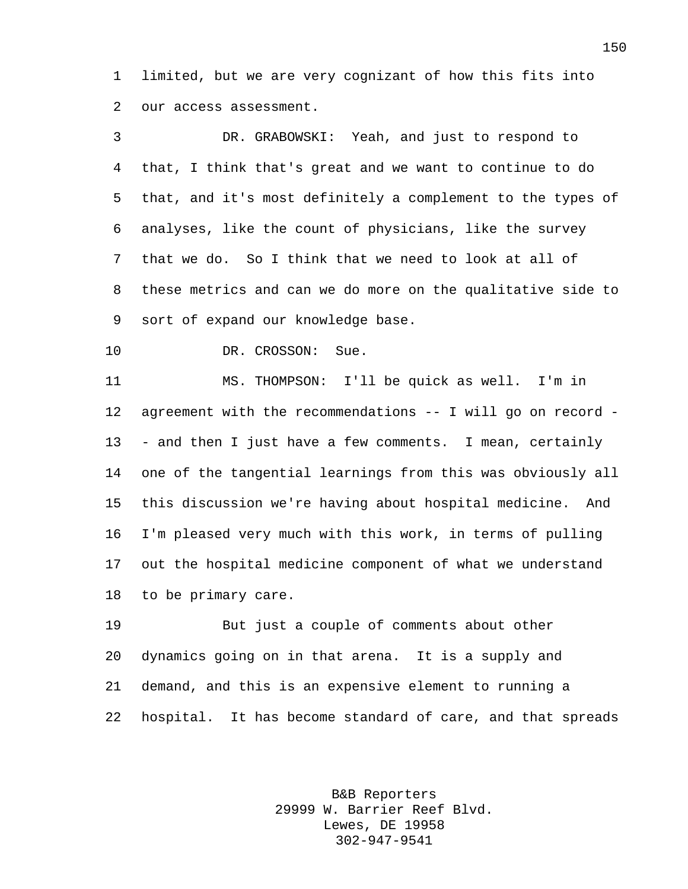limited, but we are very cognizant of how this fits into our access assessment.

 DR. GRABOWSKI: Yeah, and just to respond to that, I think that's great and we want to continue to do that, and it's most definitely a complement to the types of analyses, like the count of physicians, like the survey that we do. So I think that we need to look at all of these metrics and can we do more on the qualitative side to sort of expand our knowledge base.

10 DR. CROSSON: Sue.

 MS. THOMPSON: I'll be quick as well. I'm in agreement with the recommendations -- I will go on record - - and then I just have a few comments. I mean, certainly one of the tangential learnings from this was obviously all this discussion we're having about hospital medicine. And I'm pleased very much with this work, in terms of pulling out the hospital medicine component of what we understand to be primary care.

 But just a couple of comments about other dynamics going on in that arena. It is a supply and demand, and this is an expensive element to running a hospital. It has become standard of care, and that spreads

> B&B Reporters 29999 W. Barrier Reef Blvd. Lewes, DE 19958 302-947-9541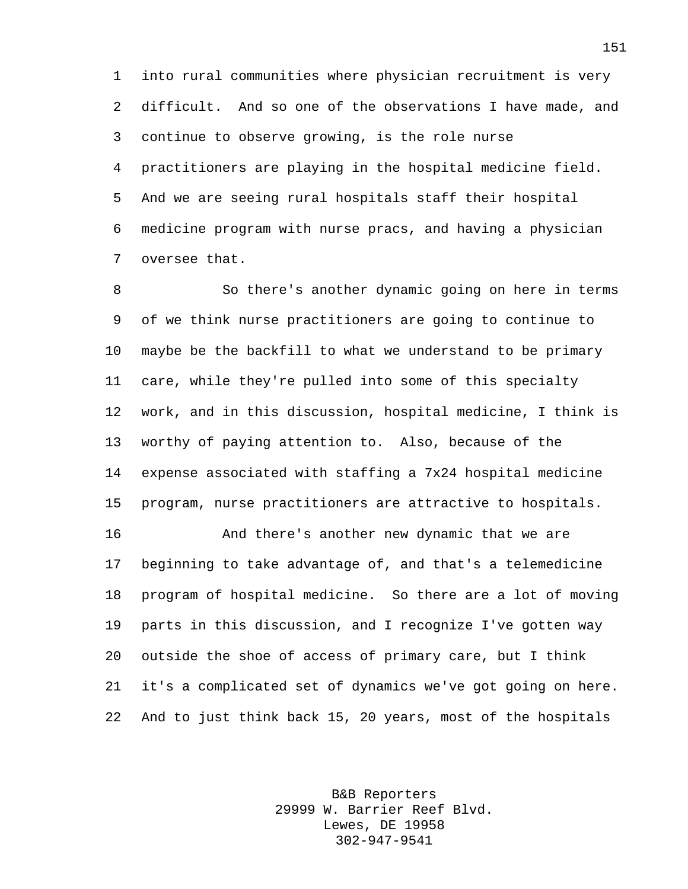into rural communities where physician recruitment is very difficult. And so one of the observations I have made, and continue to observe growing, is the role nurse practitioners are playing in the hospital medicine field. And we are seeing rural hospitals staff their hospital medicine program with nurse pracs, and having a physician oversee that.

 So there's another dynamic going on here in terms of we think nurse practitioners are going to continue to maybe be the backfill to what we understand to be primary care, while they're pulled into some of this specialty work, and in this discussion, hospital medicine, I think is worthy of paying attention to. Also, because of the expense associated with staffing a 7x24 hospital medicine program, nurse practitioners are attractive to hospitals.

 And there's another new dynamic that we are beginning to take advantage of, and that's a telemedicine program of hospital medicine. So there are a lot of moving parts in this discussion, and I recognize I've gotten way outside the shoe of access of primary care, but I think it's a complicated set of dynamics we've got going on here. And to just think back 15, 20 years, most of the hospitals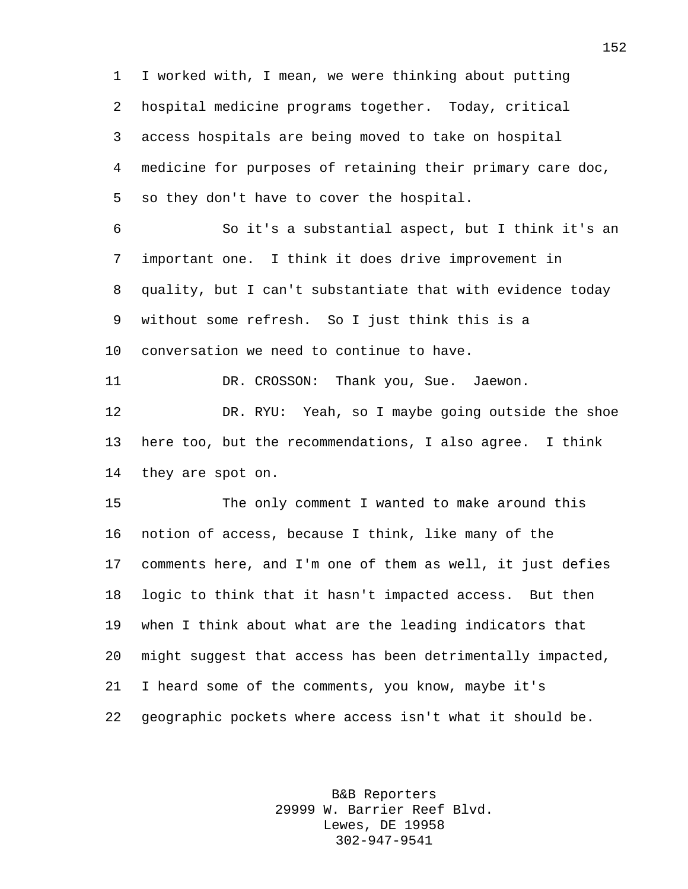I worked with, I mean, we were thinking about putting hospital medicine programs together. Today, critical access hospitals are being moved to take on hospital medicine for purposes of retaining their primary care doc, so they don't have to cover the hospital. So it's a substantial aspect, but I think it's an important one. I think it does drive improvement in quality, but I can't substantiate that with evidence today without some refresh. So I just think this is a conversation we need to continue to have. DR. CROSSON: Thank you, Sue. Jaewon. DR. RYU: Yeah, so I maybe going outside the shoe here too, but the recommendations, I also agree. I think they are spot on. The only comment I wanted to make around this notion of access, because I think, like many of the comments here, and I'm one of them as well, it just defies logic to think that it hasn't impacted access. But then when I think about what are the leading indicators that might suggest that access has been detrimentally impacted, I heard some of the comments, you know, maybe it's geographic pockets where access isn't what it should be.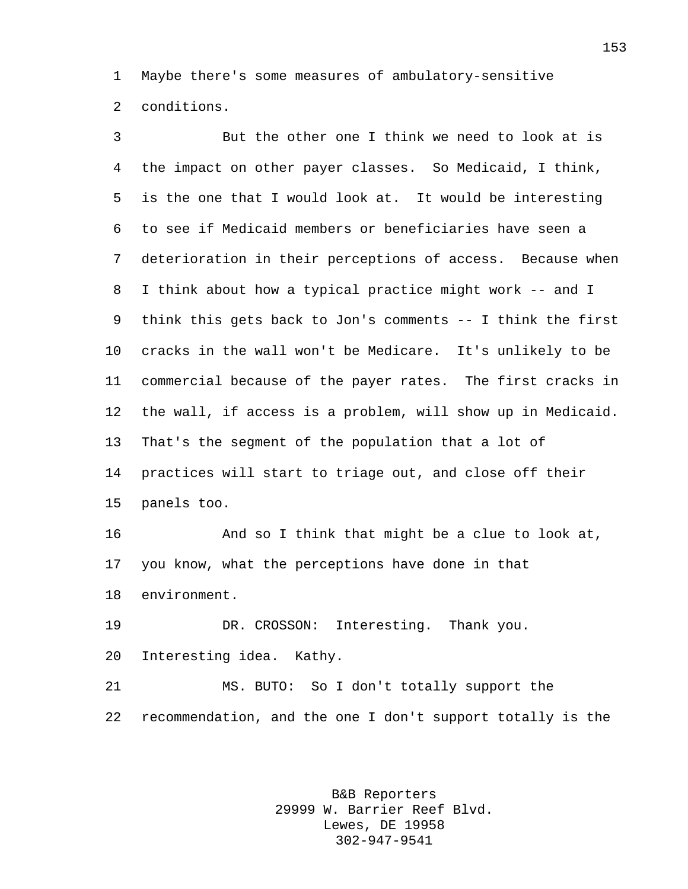Maybe there's some measures of ambulatory-sensitive conditions.

 But the other one I think we need to look at is the impact on other payer classes. So Medicaid, I think, is the one that I would look at. It would be interesting to see if Medicaid members or beneficiaries have seen a deterioration in their perceptions of access. Because when I think about how a typical practice might work -- and I think this gets back to Jon's comments -- I think the first cracks in the wall won't be Medicare. It's unlikely to be commercial because of the payer rates. The first cracks in the wall, if access is a problem, will show up in Medicaid. That's the segment of the population that a lot of practices will start to triage out, and close off their panels too. And so I think that might be a clue to look at, you know, what the perceptions have done in that environment. DR. CROSSON: Interesting. Thank you. Interesting idea. Kathy. MS. BUTO: So I don't totally support the recommendation, and the one I don't support totally is the

> B&B Reporters 29999 W. Barrier Reef Blvd. Lewes, DE 19958 302-947-9541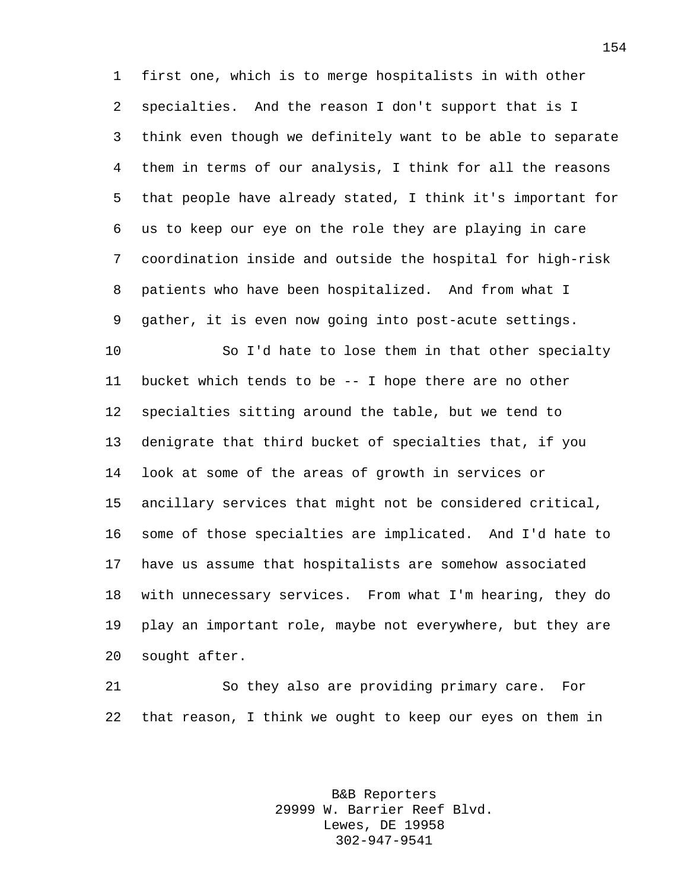first one, which is to merge hospitalists in with other specialties. And the reason I don't support that is I think even though we definitely want to be able to separate them in terms of our analysis, I think for all the reasons that people have already stated, I think it's important for us to keep our eye on the role they are playing in care coordination inside and outside the hospital for high-risk patients who have been hospitalized. And from what I gather, it is even now going into post-acute settings.

 So I'd hate to lose them in that other specialty bucket which tends to be -- I hope there are no other specialties sitting around the table, but we tend to denigrate that third bucket of specialties that, if you look at some of the areas of growth in services or ancillary services that might not be considered critical, some of those specialties are implicated. And I'd hate to have us assume that hospitalists are somehow associated with unnecessary services. From what I'm hearing, they do play an important role, maybe not everywhere, but they are sought after.

 So they also are providing primary care. For that reason, I think we ought to keep our eyes on them in

> B&B Reporters 29999 W. Barrier Reef Blvd. Lewes, DE 19958 302-947-9541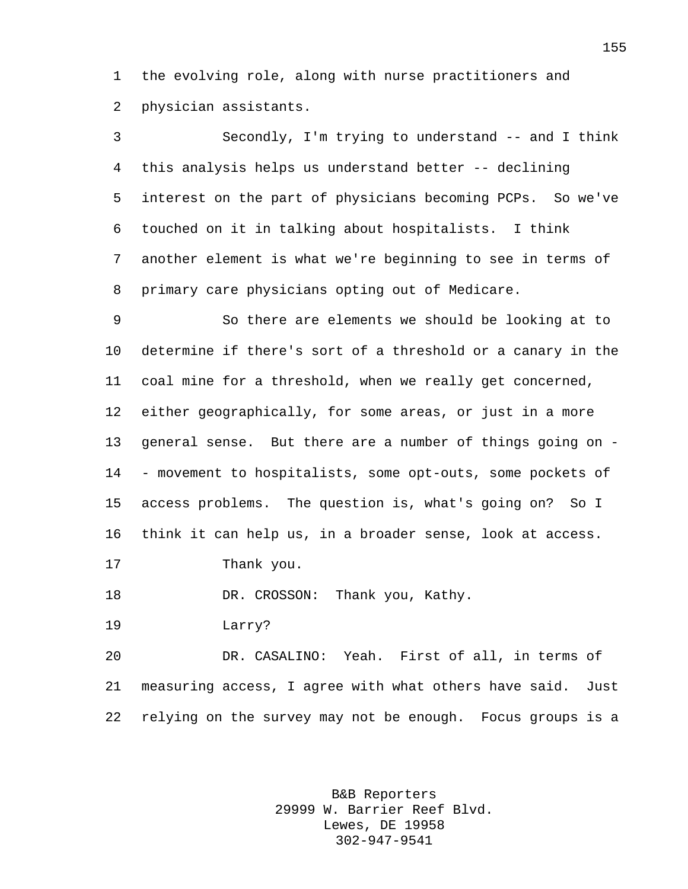the evolving role, along with nurse practitioners and physician assistants.

 Secondly, I'm trying to understand -- and I think this analysis helps us understand better -- declining interest on the part of physicians becoming PCPs. So we've touched on it in talking about hospitalists. I think another element is what we're beginning to see in terms of primary care physicians opting out of Medicare.

 So there are elements we should be looking at to determine if there's sort of a threshold or a canary in the coal mine for a threshold, when we really get concerned, either geographically, for some areas, or just in a more general sense. But there are a number of things going on - - movement to hospitalists, some opt-outs, some pockets of access problems. The question is, what's going on? So I think it can help us, in a broader sense, look at access. Thank you.

18 DR. CROSSON: Thank you, Kathy.

Larry?

 DR. CASALINO: Yeah. First of all, in terms of measuring access, I agree with what others have said. Just relying on the survey may not be enough. Focus groups is a

> B&B Reporters 29999 W. Barrier Reef Blvd. Lewes, DE 19958 302-947-9541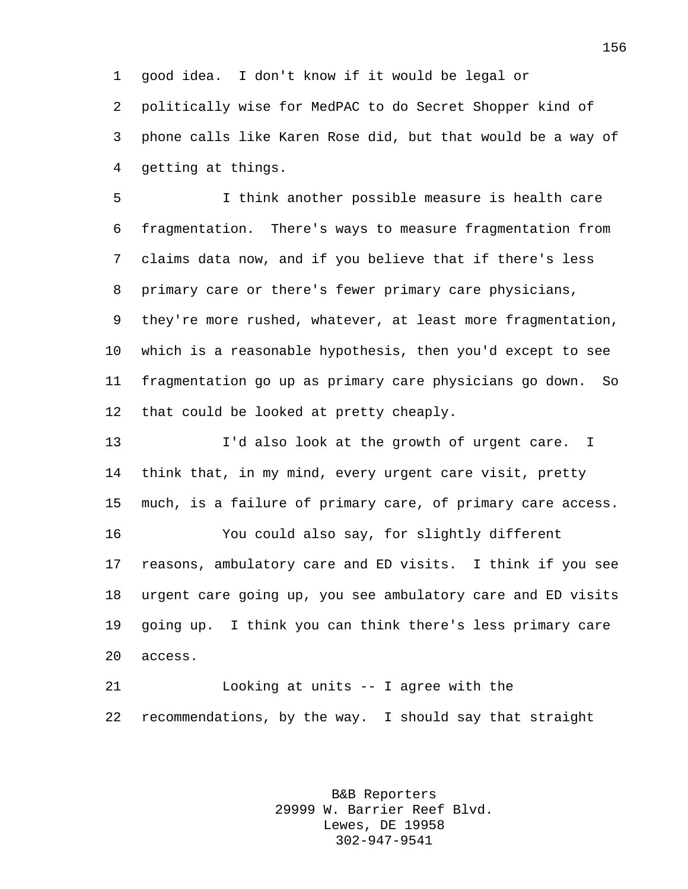good idea. I don't know if it would be legal or politically wise for MedPAC to do Secret Shopper kind of phone calls like Karen Rose did, but that would be a way of getting at things.

 I think another possible measure is health care fragmentation. There's ways to measure fragmentation from claims data now, and if you believe that if there's less primary care or there's fewer primary care physicians, they're more rushed, whatever, at least more fragmentation, which is a reasonable hypothesis, then you'd except to see fragmentation go up as primary care physicians go down. So that could be looked at pretty cheaply.

 I'd also look at the growth of urgent care. I think that, in my mind, every urgent care visit, pretty much, is a failure of primary care, of primary care access. You could also say, for slightly different reasons, ambulatory care and ED visits. I think if you see urgent care going up, you see ambulatory care and ED visits going up. I think you can think there's less primary care access.

 Looking at units -- I agree with the recommendations, by the way. I should say that straight

> B&B Reporters 29999 W. Barrier Reef Blvd. Lewes, DE 19958 302-947-9541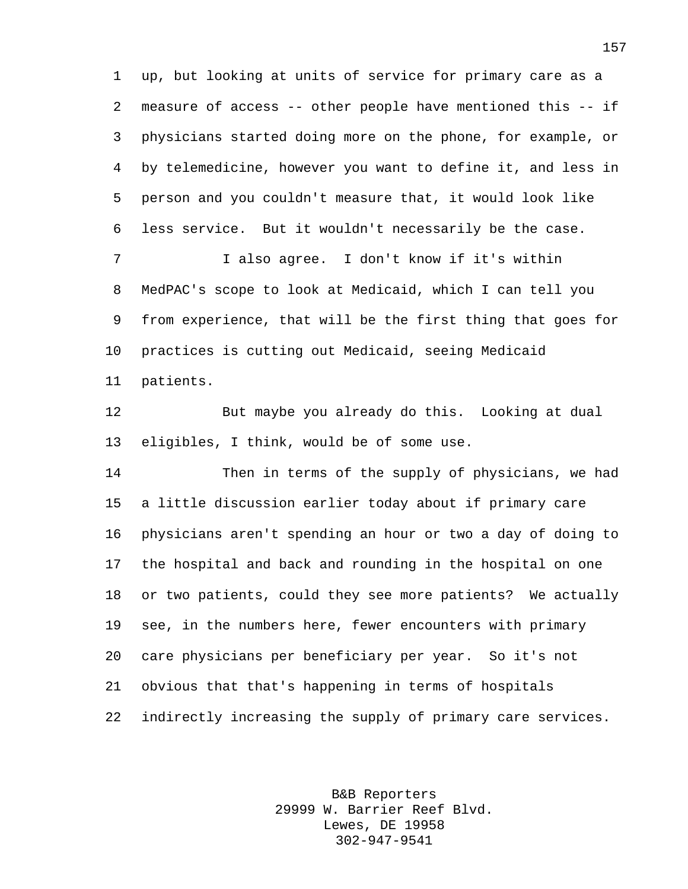up, but looking at units of service for primary care as a measure of access -- other people have mentioned this -- if physicians started doing more on the phone, for example, or by telemedicine, however you want to define it, and less in person and you couldn't measure that, it would look like less service. But it wouldn't necessarily be the case.

 I also agree. I don't know if it's within MedPAC's scope to look at Medicaid, which I can tell you from experience, that will be the first thing that goes for practices is cutting out Medicaid, seeing Medicaid patients.

 But maybe you already do this. Looking at dual eligibles, I think, would be of some use.

 Then in terms of the supply of physicians, we had a little discussion earlier today about if primary care physicians aren't spending an hour or two a day of doing to the hospital and back and rounding in the hospital on one or two patients, could they see more patients? We actually see, in the numbers here, fewer encounters with primary care physicians per beneficiary per year. So it's not obvious that that's happening in terms of hospitals indirectly increasing the supply of primary care services.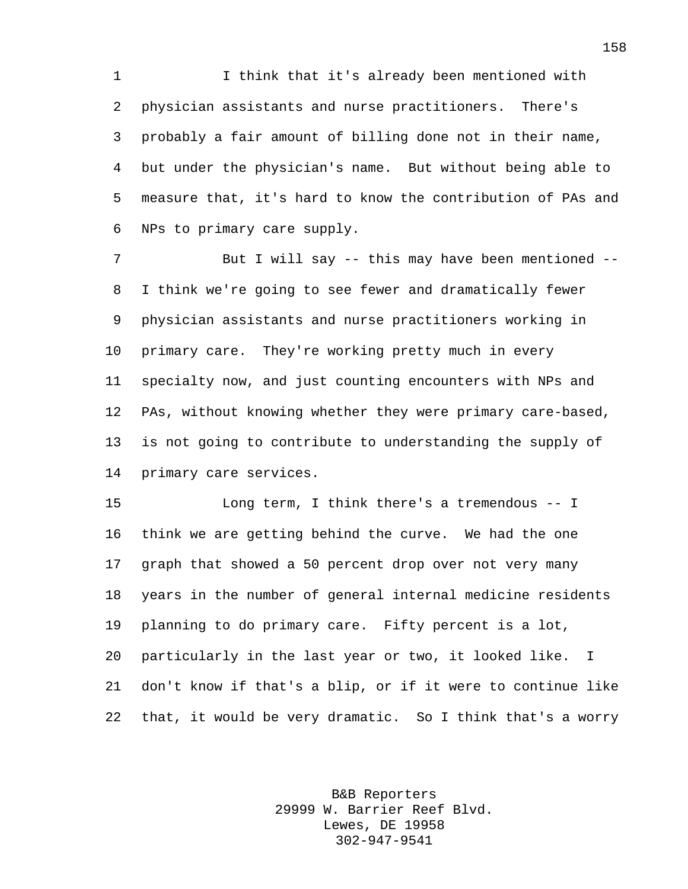I think that it's already been mentioned with physician assistants and nurse practitioners. There's probably a fair amount of billing done not in their name, but under the physician's name. But without being able to measure that, it's hard to know the contribution of PAs and NPs to primary care supply.

7 But I will say -- this may have been mentioned -- I think we're going to see fewer and dramatically fewer physician assistants and nurse practitioners working in primary care. They're working pretty much in every specialty now, and just counting encounters with NPs and PAs, without knowing whether they were primary care-based, is not going to contribute to understanding the supply of primary care services.

 Long term, I think there's a tremendous -- I think we are getting behind the curve. We had the one graph that showed a 50 percent drop over not very many years in the number of general internal medicine residents planning to do primary care. Fifty percent is a lot, particularly in the last year or two, it looked like. I don't know if that's a blip, or if it were to continue like that, it would be very dramatic. So I think that's a worry

> B&B Reporters 29999 W. Barrier Reef Blvd. Lewes, DE 19958 302-947-9541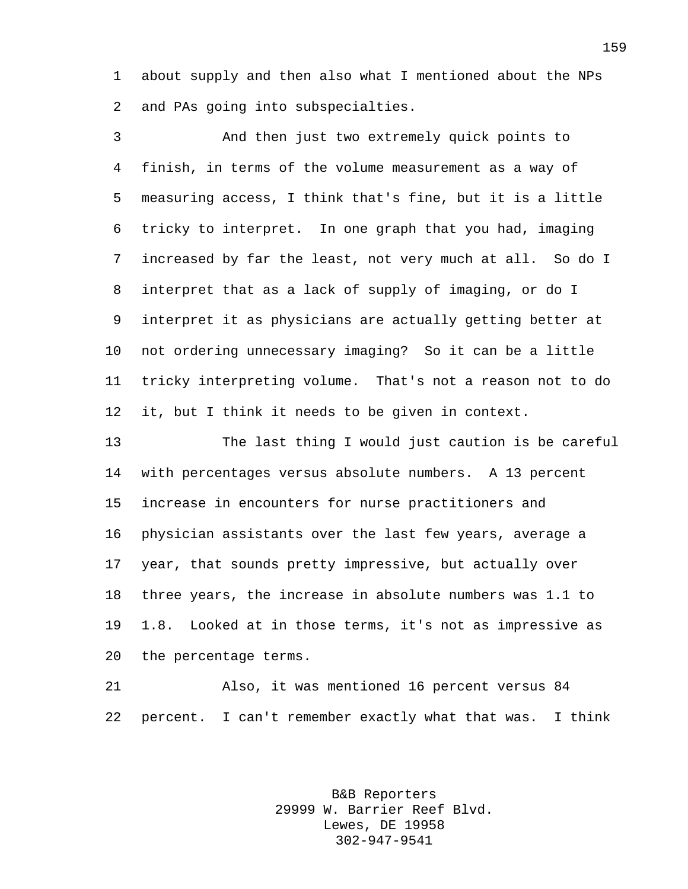about supply and then also what I mentioned about the NPs and PAs going into subspecialties.

 And then just two extremely quick points to finish, in terms of the volume measurement as a way of measuring access, I think that's fine, but it is a little tricky to interpret. In one graph that you had, imaging increased by far the least, not very much at all. So do I interpret that as a lack of supply of imaging, or do I interpret it as physicians are actually getting better at not ordering unnecessary imaging? So it can be a little tricky interpreting volume. That's not a reason not to do it, but I think it needs to be given in context.

 The last thing I would just caution is be careful with percentages versus absolute numbers. A 13 percent increase in encounters for nurse practitioners and physician assistants over the last few years, average a year, that sounds pretty impressive, but actually over three years, the increase in absolute numbers was 1.1 to 1.8. Looked at in those terms, it's not as impressive as the percentage terms.

 Also, it was mentioned 16 percent versus 84 percent. I can't remember exactly what that was. I think

> B&B Reporters 29999 W. Barrier Reef Blvd. Lewes, DE 19958 302-947-9541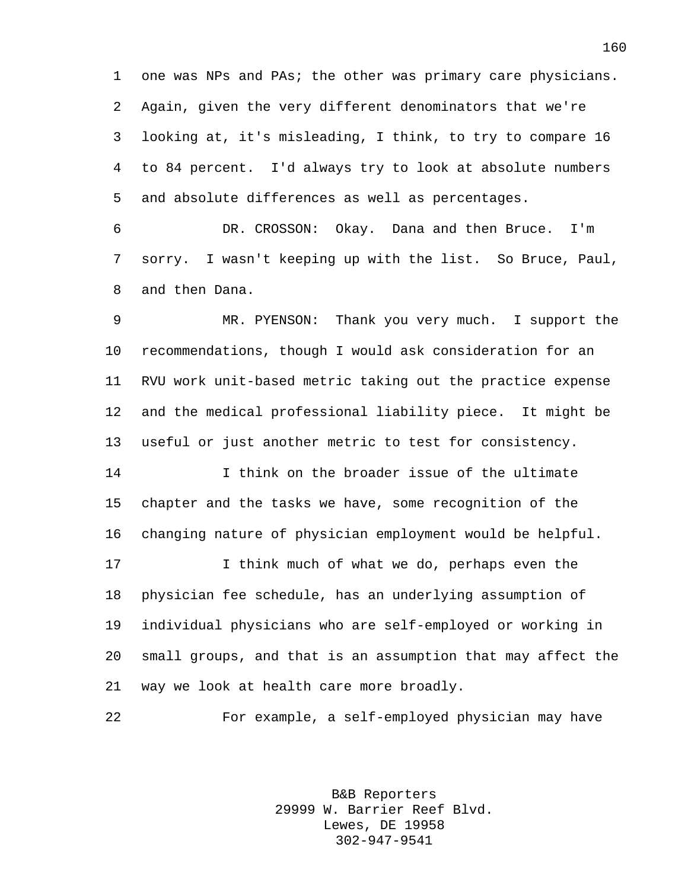one was NPs and PAs; the other was primary care physicians. Again, given the very different denominators that we're looking at, it's misleading, I think, to try to compare 16 to 84 percent. I'd always try to look at absolute numbers and absolute differences as well as percentages.

 DR. CROSSON: Okay. Dana and then Bruce. I'm sorry. I wasn't keeping up with the list. So Bruce, Paul, and then Dana.

 MR. PYENSON: Thank you very much. I support the recommendations, though I would ask consideration for an RVU work unit-based metric taking out the practice expense and the medical professional liability piece. It might be useful or just another metric to test for consistency.

 I think on the broader issue of the ultimate chapter and the tasks we have, some recognition of the changing nature of physician employment would be helpful.

 I think much of what we do, perhaps even the physician fee schedule, has an underlying assumption of individual physicians who are self-employed or working in small groups, and that is an assumption that may affect the way we look at health care more broadly.

For example, a self-employed physician may have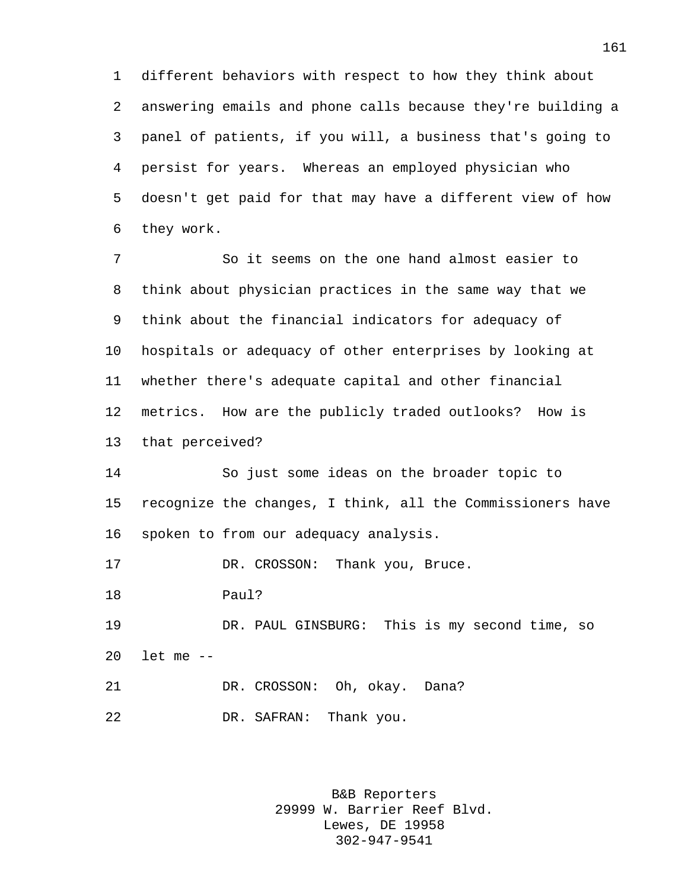different behaviors with respect to how they think about answering emails and phone calls because they're building a panel of patients, if you will, a business that's going to persist for years. Whereas an employed physician who doesn't get paid for that may have a different view of how they work.

 So it seems on the one hand almost easier to think about physician practices in the same way that we think about the financial indicators for adequacy of hospitals or adequacy of other enterprises by looking at whether there's adequate capital and other financial metrics. How are the publicly traded outlooks? How is that perceived?

 So just some ideas on the broader topic to recognize the changes, I think, all the Commissioners have spoken to from our adequacy analysis.

17 DR. CROSSON: Thank you, Bruce.

Paul?

 DR. PAUL GINSBURG: This is my second time, so let me --

21 DR. CROSSON: Oh, okay. Dana? DR. SAFRAN: Thank you.

> B&B Reporters 29999 W. Barrier Reef Blvd. Lewes, DE 19958 302-947-9541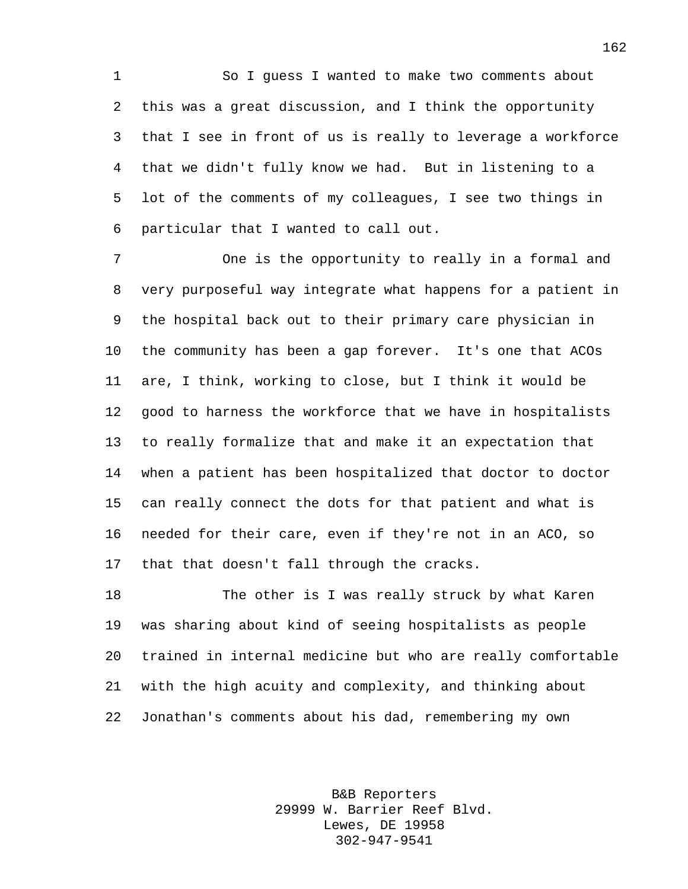So I guess I wanted to make two comments about this was a great discussion, and I think the opportunity that I see in front of us is really to leverage a workforce that we didn't fully know we had. But in listening to a lot of the comments of my colleagues, I see two things in particular that I wanted to call out.

 One is the opportunity to really in a formal and very purposeful way integrate what happens for a patient in the hospital back out to their primary care physician in the community has been a gap forever. It's one that ACOs are, I think, working to close, but I think it would be good to harness the workforce that we have in hospitalists to really formalize that and make it an expectation that when a patient has been hospitalized that doctor to doctor can really connect the dots for that patient and what is needed for their care, even if they're not in an ACO, so that that doesn't fall through the cracks.

 The other is I was really struck by what Karen was sharing about kind of seeing hospitalists as people trained in internal medicine but who are really comfortable with the high acuity and complexity, and thinking about Jonathan's comments about his dad, remembering my own

> B&B Reporters 29999 W. Barrier Reef Blvd. Lewes, DE 19958 302-947-9541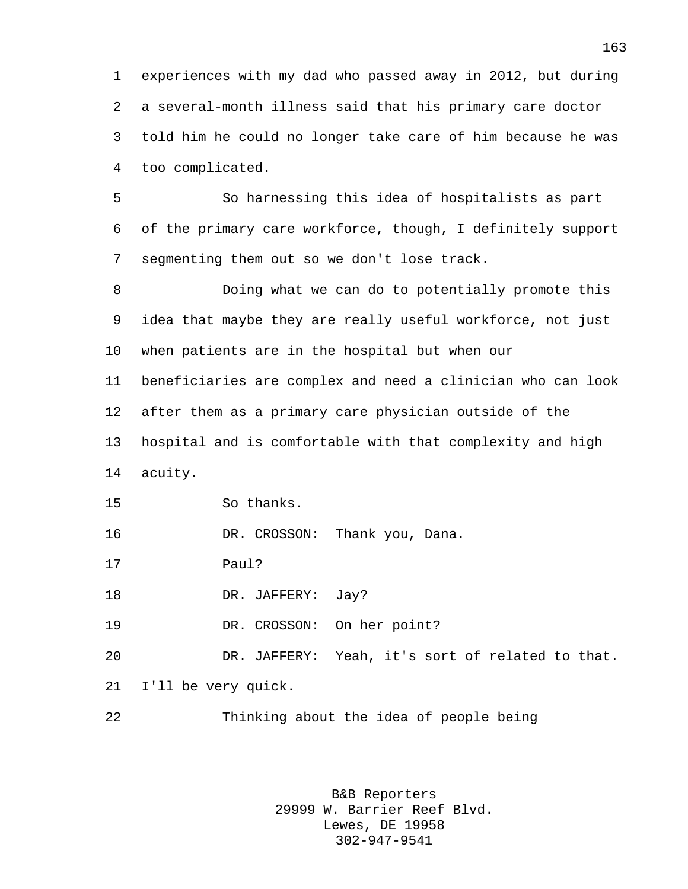experiences with my dad who passed away in 2012, but during a several-month illness said that his primary care doctor told him he could no longer take care of him because he was too complicated.

 So harnessing this idea of hospitalists as part of the primary care workforce, though, I definitely support segmenting them out so we don't lose track.

 Doing what we can do to potentially promote this idea that maybe they are really useful workforce, not just when patients are in the hospital but when our beneficiaries are complex and need a clinician who can look after them as a primary care physician outside of the hospital and is comfortable with that complexity and high acuity.

So thanks.

DR. CROSSON: Thank you, Dana.

Paul?

18 DR. JAFFERY: Jay?

19 DR. CROSSON: On her point?

 DR. JAFFERY: Yeah, it's sort of related to that. I'll be very quick.

Thinking about the idea of people being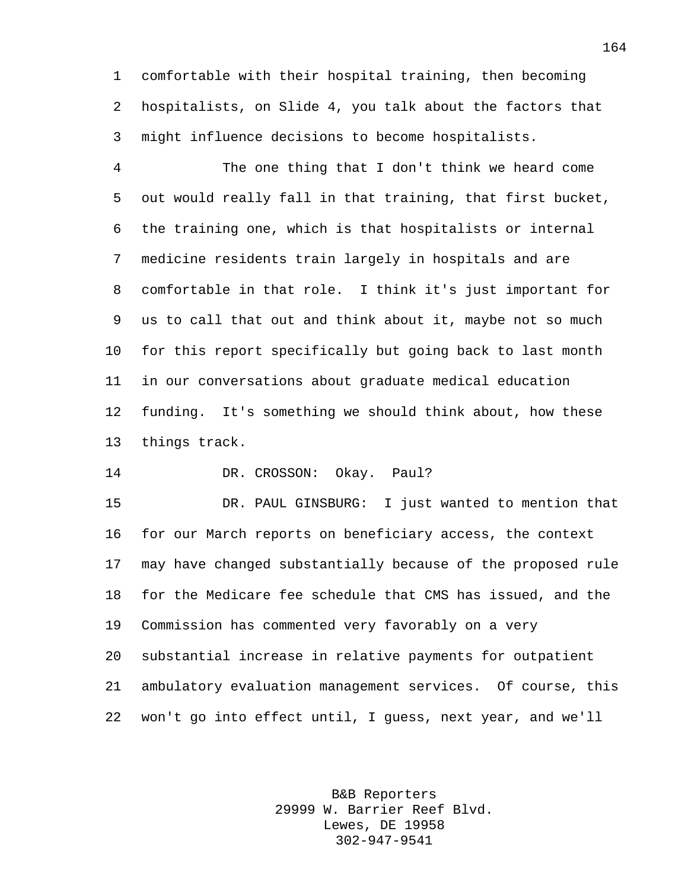comfortable with their hospital training, then becoming hospitalists, on Slide 4, you talk about the factors that might influence decisions to become hospitalists.

 The one thing that I don't think we heard come out would really fall in that training, that first bucket, the training one, which is that hospitalists or internal medicine residents train largely in hospitals and are comfortable in that role. I think it's just important for us to call that out and think about it, maybe not so much for this report specifically but going back to last month in our conversations about graduate medical education funding. It's something we should think about, how these things track.

DR. CROSSON: Okay. Paul?

 DR. PAUL GINSBURG: I just wanted to mention that for our March reports on beneficiary access, the context may have changed substantially because of the proposed rule for the Medicare fee schedule that CMS has issued, and the Commission has commented very favorably on a very substantial increase in relative payments for outpatient ambulatory evaluation management services. Of course, this won't go into effect until, I guess, next year, and we'll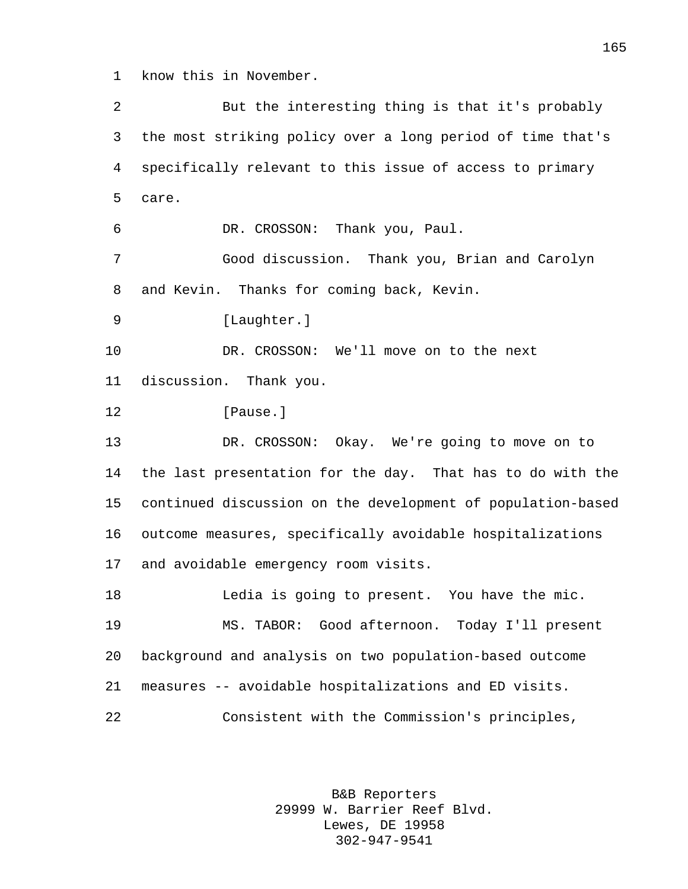know this in November.

 But the interesting thing is that it's probably the most striking policy over a long period of time that's specifically relevant to this issue of access to primary care. DR. CROSSON: Thank you, Paul. Good discussion. Thank you, Brian and Carolyn and Kevin. Thanks for coming back, Kevin. 9 [Laughter.] DR. CROSSON: We'll move on to the next discussion. Thank you. **I**Pause. DR. CROSSON: Okay. We're going to move on to the last presentation for the day. That has to do with the continued discussion on the development of population-based outcome measures, specifically avoidable hospitalizations and avoidable emergency room visits. Ledia is going to present. You have the mic. MS. TABOR: Good afternoon. Today I'll present background and analysis on two population-based outcome measures -- avoidable hospitalizations and ED visits. Consistent with the Commission's principles,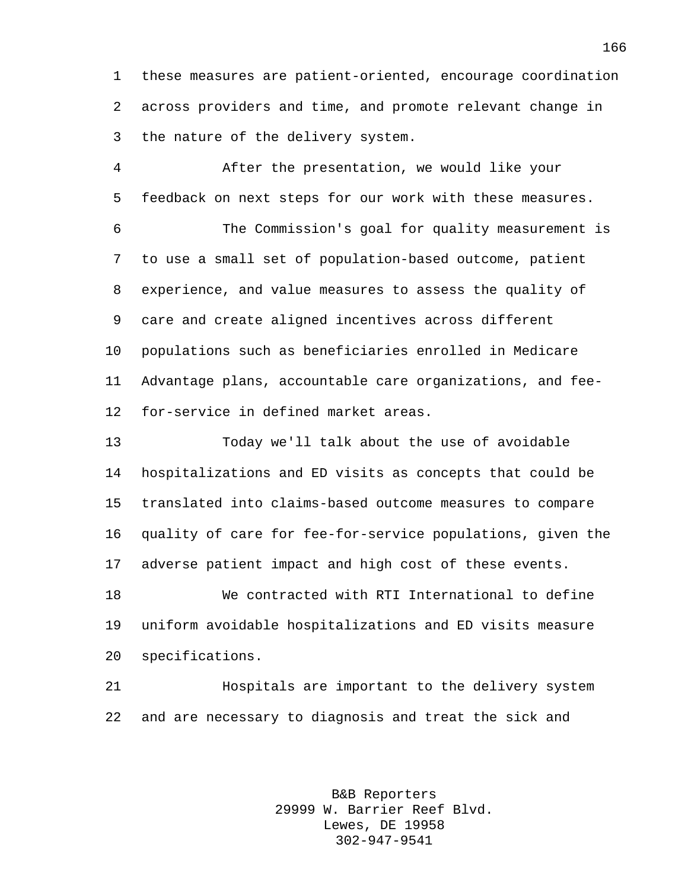these measures are patient-oriented, encourage coordination across providers and time, and promote relevant change in the nature of the delivery system.

 After the presentation, we would like your feedback on next steps for our work with these measures.

 The Commission's goal for quality measurement is to use a small set of population-based outcome, patient experience, and value measures to assess the quality of care and create aligned incentives across different populations such as beneficiaries enrolled in Medicare Advantage plans, accountable care organizations, and fee-for-service in defined market areas.

 Today we'll talk about the use of avoidable hospitalizations and ED visits as concepts that could be translated into claims-based outcome measures to compare quality of care for fee-for-service populations, given the adverse patient impact and high cost of these events.

 We contracted with RTI International to define uniform avoidable hospitalizations and ED visits measure specifications.

 Hospitals are important to the delivery system and are necessary to diagnosis and treat the sick and

> B&B Reporters 29999 W. Barrier Reef Blvd. Lewes, DE 19958 302-947-9541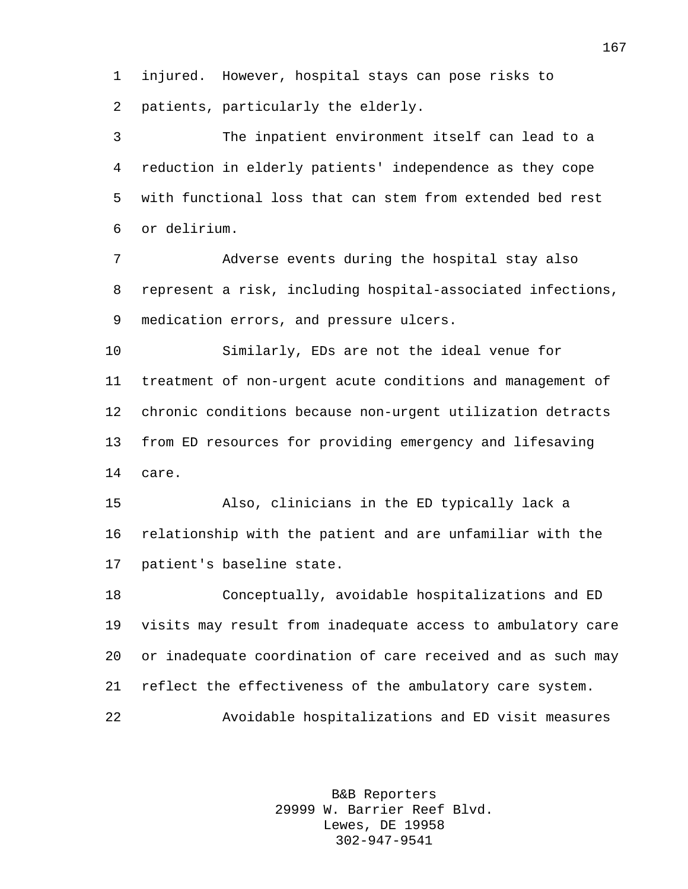injured. However, hospital stays can pose risks to patients, particularly the elderly.

 The inpatient environment itself can lead to a reduction in elderly patients' independence as they cope with functional loss that can stem from extended bed rest or delirium.

 Adverse events during the hospital stay also represent a risk, including hospital-associated infections, medication errors, and pressure ulcers.

 Similarly, EDs are not the ideal venue for treatment of non-urgent acute conditions and management of chronic conditions because non-urgent utilization detracts from ED resources for providing emergency and lifesaving care.

 Also, clinicians in the ED typically lack a relationship with the patient and are unfamiliar with the patient's baseline state.

 Conceptually, avoidable hospitalizations and ED visits may result from inadequate access to ambulatory care or inadequate coordination of care received and as such may reflect the effectiveness of the ambulatory care system. Avoidable hospitalizations and ED visit measures

> B&B Reporters 29999 W. Barrier Reef Blvd. Lewes, DE 19958 302-947-9541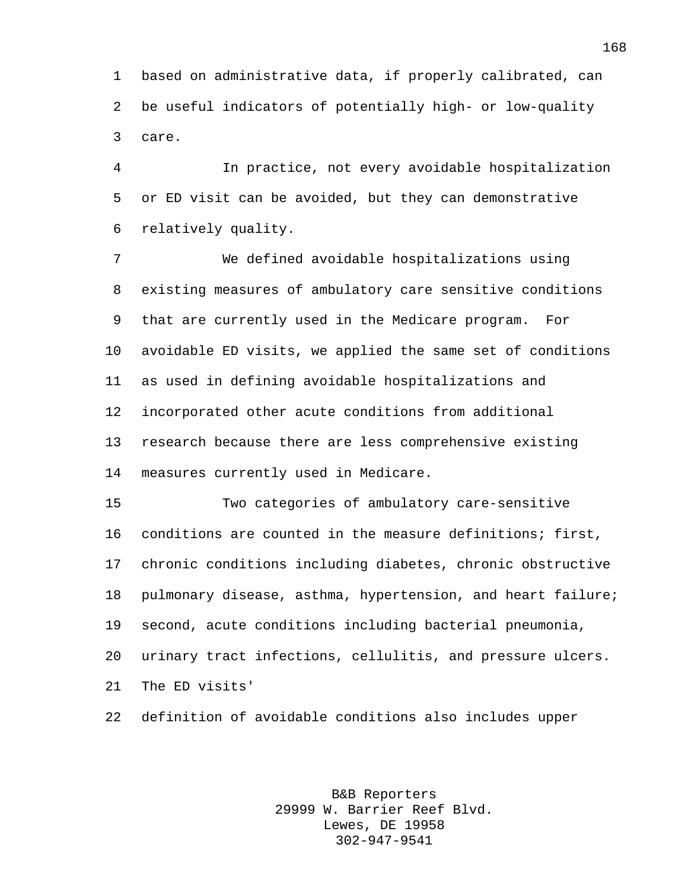based on administrative data, if properly calibrated, can be useful indicators of potentially high- or low-quality care.

 In practice, not every avoidable hospitalization or ED visit can be avoided, but they can demonstrative relatively quality.

 We defined avoidable hospitalizations using existing measures of ambulatory care sensitive conditions that are currently used in the Medicare program. For avoidable ED visits, we applied the same set of conditions as used in defining avoidable hospitalizations and incorporated other acute conditions from additional research because there are less comprehensive existing measures currently used in Medicare.

 Two categories of ambulatory care-sensitive conditions are counted in the measure definitions; first, chronic conditions including diabetes, chronic obstructive pulmonary disease, asthma, hypertension, and heart failure; second, acute conditions including bacterial pneumonia, urinary tract infections, cellulitis, and pressure ulcers. The ED visits'

definition of avoidable conditions also includes upper

B&B Reporters 29999 W. Barrier Reef Blvd. Lewes, DE 19958 302-947-9541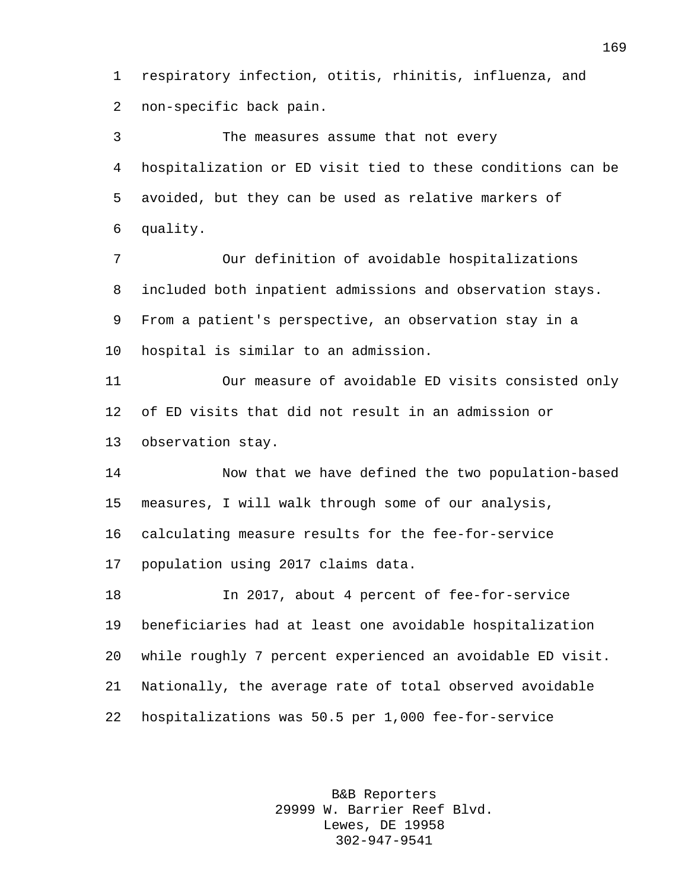respiratory infection, otitis, rhinitis, influenza, and non-specific back pain.

 The measures assume that not every hospitalization or ED visit tied to these conditions can be avoided, but they can be used as relative markers of quality.

 Our definition of avoidable hospitalizations included both inpatient admissions and observation stays. From a patient's perspective, an observation stay in a hospital is similar to an admission.

 Our measure of avoidable ED visits consisted only of ED visits that did not result in an admission or observation stay.

 Now that we have defined the two population-based measures, I will walk through some of our analysis, calculating measure results for the fee-for-service population using 2017 claims data.

 In 2017, about 4 percent of fee-for-service beneficiaries had at least one avoidable hospitalization while roughly 7 percent experienced an avoidable ED visit. Nationally, the average rate of total observed avoidable hospitalizations was 50.5 per 1,000 fee-for-service

> B&B Reporters 29999 W. Barrier Reef Blvd. Lewes, DE 19958 302-947-9541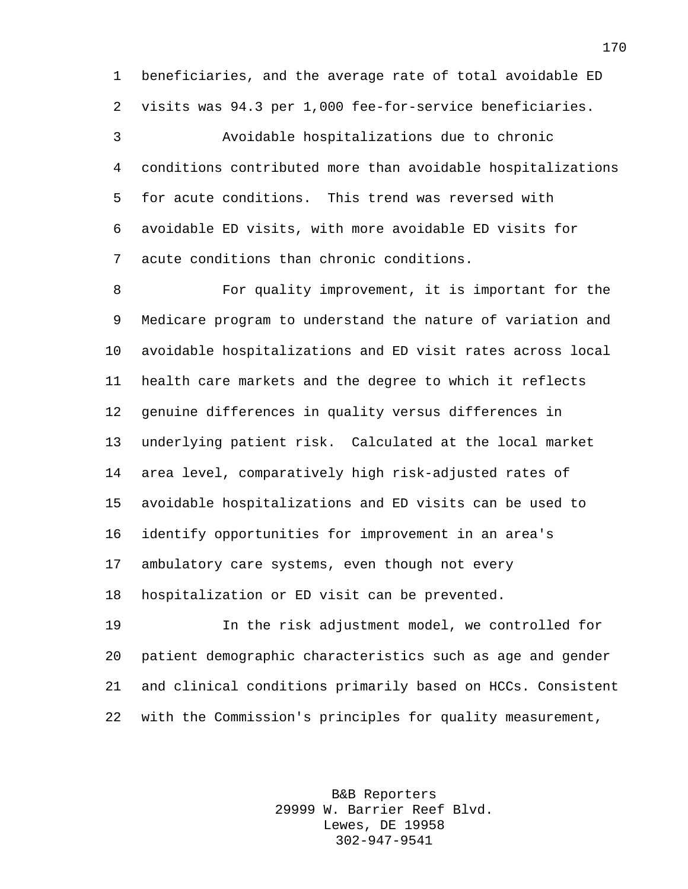beneficiaries, and the average rate of total avoidable ED visits was 94.3 per 1,000 fee-for-service beneficiaries.

 Avoidable hospitalizations due to chronic conditions contributed more than avoidable hospitalizations for acute conditions. This trend was reversed with avoidable ED visits, with more avoidable ED visits for acute conditions than chronic conditions.

 For quality improvement, it is important for the Medicare program to understand the nature of variation and avoidable hospitalizations and ED visit rates across local health care markets and the degree to which it reflects genuine differences in quality versus differences in underlying patient risk. Calculated at the local market area level, comparatively high risk-adjusted rates of avoidable hospitalizations and ED visits can be used to identify opportunities for improvement in an area's ambulatory care systems, even though not every hospitalization or ED visit can be prevented.

 In the risk adjustment model, we controlled for patient demographic characteristics such as age and gender and clinical conditions primarily based on HCCs. Consistent with the Commission's principles for quality measurement,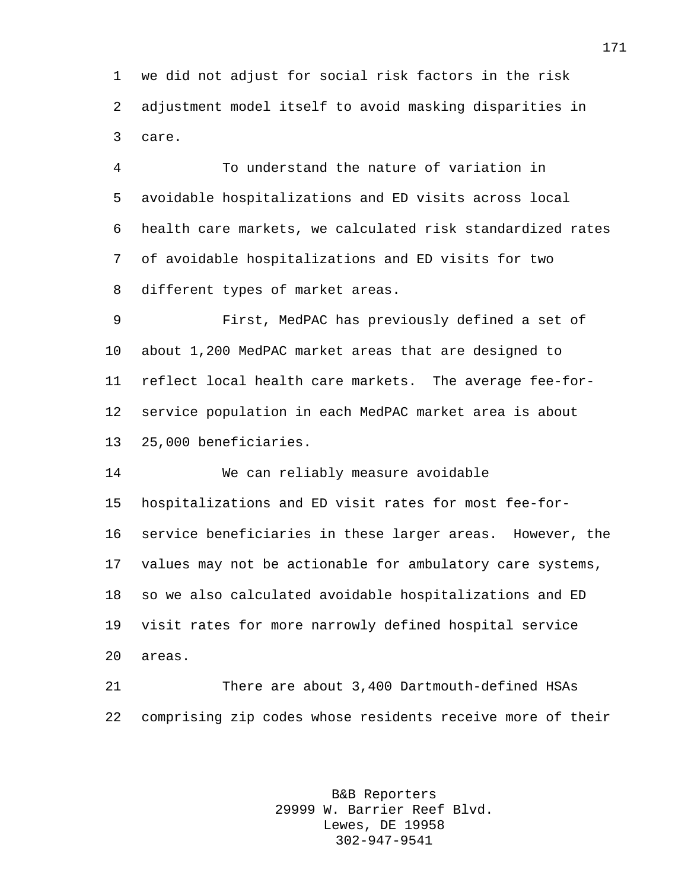we did not adjust for social risk factors in the risk adjustment model itself to avoid masking disparities in care.

 To understand the nature of variation in avoidable hospitalizations and ED visits across local health care markets, we calculated risk standardized rates of avoidable hospitalizations and ED visits for two different types of market areas.

 First, MedPAC has previously defined a set of about 1,200 MedPAC market areas that are designed to reflect local health care markets. The average fee-for- service population in each MedPAC market area is about 25,000 beneficiaries.

 We can reliably measure avoidable hospitalizations and ED visit rates for most fee-for- service beneficiaries in these larger areas. However, the values may not be actionable for ambulatory care systems, so we also calculated avoidable hospitalizations and ED visit rates for more narrowly defined hospital service areas.

 There are about 3,400 Dartmouth-defined HSAs comprising zip codes whose residents receive more of their

> B&B Reporters 29999 W. Barrier Reef Blvd. Lewes, DE 19958 302-947-9541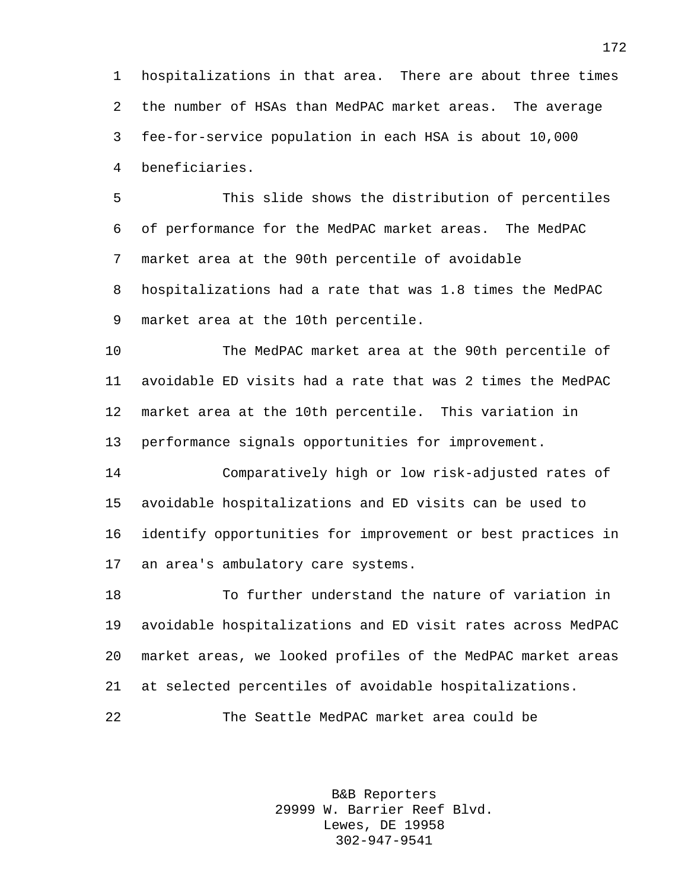hospitalizations in that area. There are about three times the number of HSAs than MedPAC market areas. The average fee-for-service population in each HSA is about 10,000 beneficiaries.

 This slide shows the distribution of percentiles of performance for the MedPAC market areas. The MedPAC market area at the 90th percentile of avoidable hospitalizations had a rate that was 1.8 times the MedPAC market area at the 10th percentile.

 The MedPAC market area at the 90th percentile of avoidable ED visits had a rate that was 2 times the MedPAC market area at the 10th percentile. This variation in performance signals opportunities for improvement.

 Comparatively high or low risk-adjusted rates of avoidable hospitalizations and ED visits can be used to identify opportunities for improvement or best practices in an area's ambulatory care systems.

 To further understand the nature of variation in avoidable hospitalizations and ED visit rates across MedPAC market areas, we looked profiles of the MedPAC market areas at selected percentiles of avoidable hospitalizations.

The Seattle MedPAC market area could be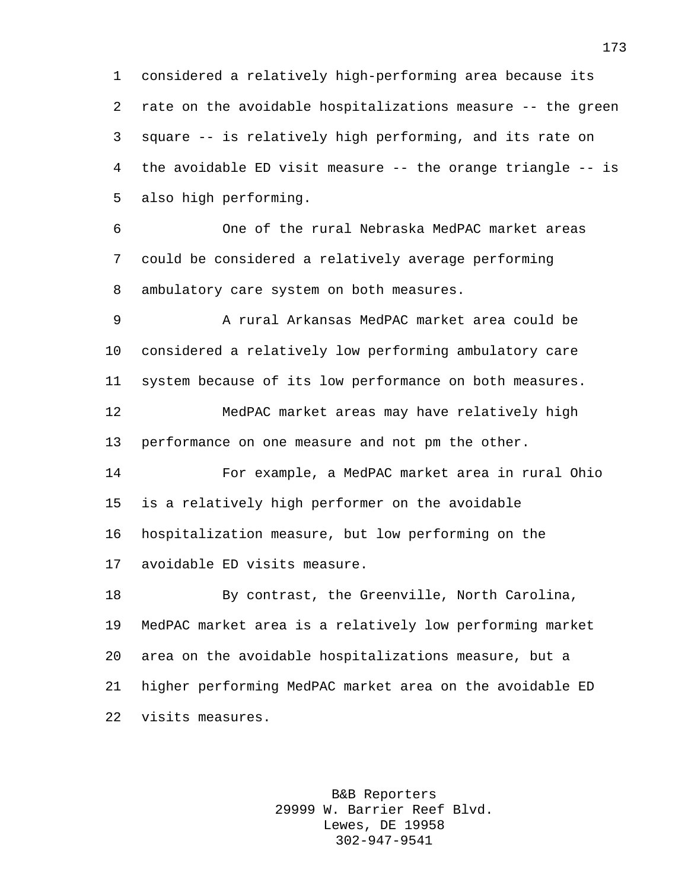considered a relatively high-performing area because its rate on the avoidable hospitalizations measure -- the green square -- is relatively high performing, and its rate on the avoidable ED visit measure -- the orange triangle -- is also high performing.

 One of the rural Nebraska MedPAC market areas could be considered a relatively average performing ambulatory care system on both measures.

 A rural Arkansas MedPAC market area could be considered a relatively low performing ambulatory care system because of its low performance on both measures. MedPAC market areas may have relatively high performance on one measure and not pm the other.

 For example, a MedPAC market area in rural Ohio is a relatively high performer on the avoidable hospitalization measure, but low performing on the avoidable ED visits measure.

 By contrast, the Greenville, North Carolina, MedPAC market area is a relatively low performing market area on the avoidable hospitalizations measure, but a higher performing MedPAC market area on the avoidable ED visits measures.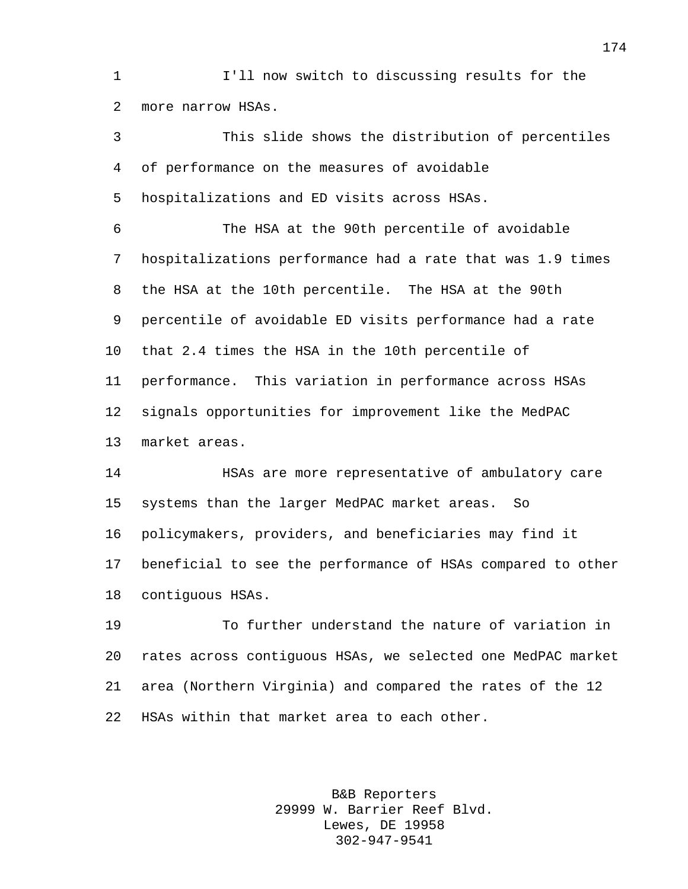I'll now switch to discussing results for the more narrow HSAs.

 This slide shows the distribution of percentiles of performance on the measures of avoidable hospitalizations and ED visits across HSAs. The HSA at the 90th percentile of avoidable hospitalizations performance had a rate that was 1.9 times the HSA at the 10th percentile. The HSA at the 90th percentile of avoidable ED visits performance had a rate that 2.4 times the HSA in the 10th percentile of performance. This variation in performance across HSAs signals opportunities for improvement like the MedPAC market areas. HSAs are more representative of ambulatory care systems than the larger MedPAC market areas. So policymakers, providers, and beneficiaries may find it beneficial to see the performance of HSAs compared to other contiguous HSAs. To further understand the nature of variation in

 rates across contiguous HSAs, we selected one MedPAC market area (Northern Virginia) and compared the rates of the 12 HSAs within that market area to each other.

> B&B Reporters 29999 W. Barrier Reef Blvd. Lewes, DE 19958 302-947-9541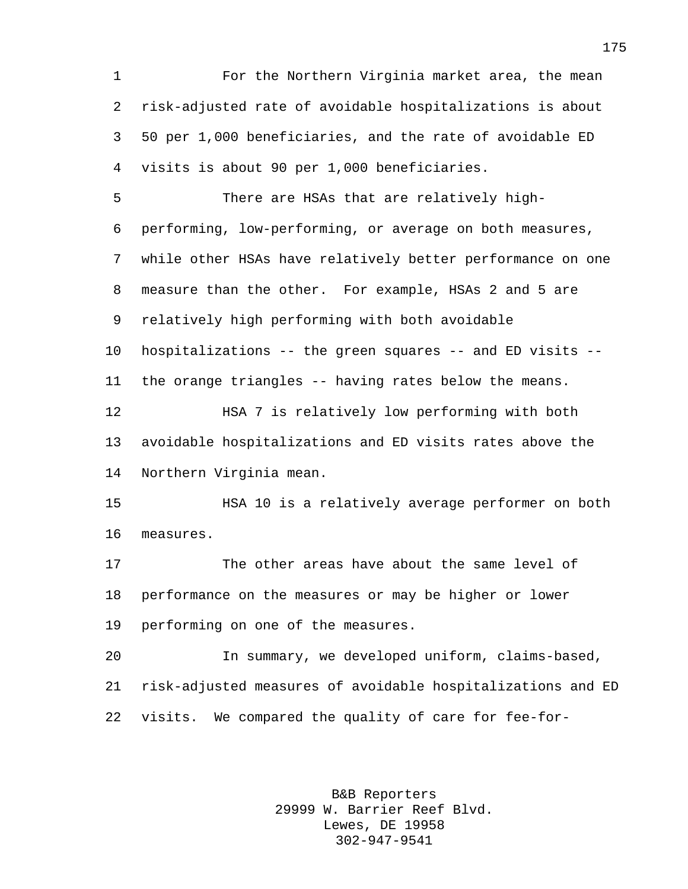For the Northern Virginia market area, the mean risk-adjusted rate of avoidable hospitalizations is about 50 per 1,000 beneficiaries, and the rate of avoidable ED visits is about 90 per 1,000 beneficiaries. There are HSAs that are relatively high- performing, low-performing, or average on both measures, while other HSAs have relatively better performance on one measure than the other. For example, HSAs 2 and 5 are relatively high performing with both avoidable hospitalizations -- the green squares -- and ED visits -- the orange triangles -- having rates below the means. HSA 7 is relatively low performing with both avoidable hospitalizations and ED visits rates above the Northern Virginia mean. HSA 10 is a relatively average performer on both measures. The other areas have about the same level of performance on the measures or may be higher or lower performing on one of the measures. In summary, we developed uniform, claims-based, risk-adjusted measures of avoidable hospitalizations and ED visits. We compared the quality of care for fee-for-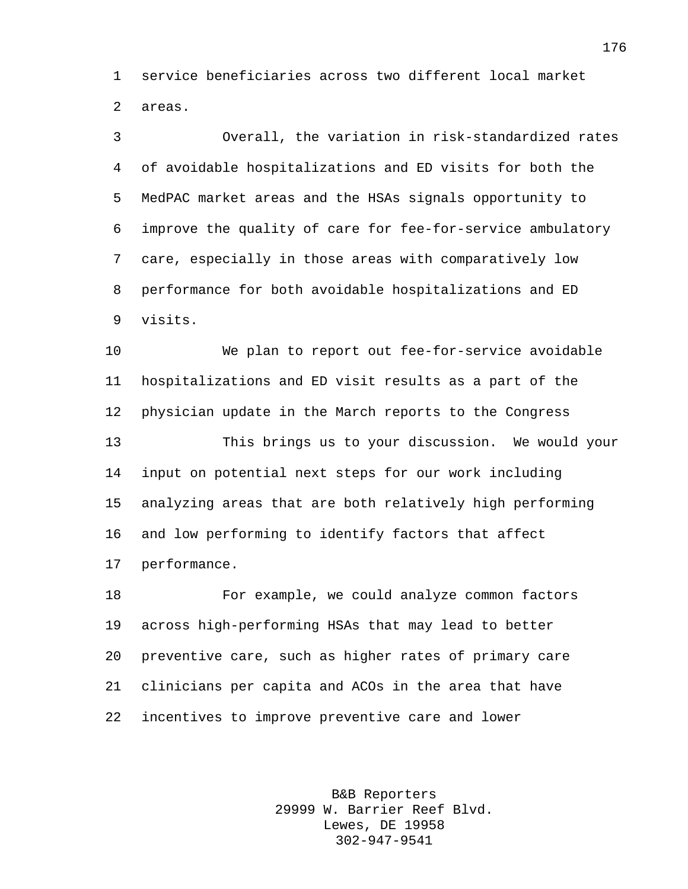service beneficiaries across two different local market areas.

 Overall, the variation in risk-standardized rates of avoidable hospitalizations and ED visits for both the MedPAC market areas and the HSAs signals opportunity to improve the quality of care for fee-for-service ambulatory care, especially in those areas with comparatively low performance for both avoidable hospitalizations and ED visits.

 We plan to report out fee-for-service avoidable hospitalizations and ED visit results as a part of the physician update in the March reports to the Congress This brings us to your discussion. We would your input on potential next steps for our work including analyzing areas that are both relatively high performing and low performing to identify factors that affect performance.

 For example, we could analyze common factors across high-performing HSAs that may lead to better preventive care, such as higher rates of primary care clinicians per capita and ACOs in the area that have incentives to improve preventive care and lower

> B&B Reporters 29999 W. Barrier Reef Blvd. Lewes, DE 19958 302-947-9541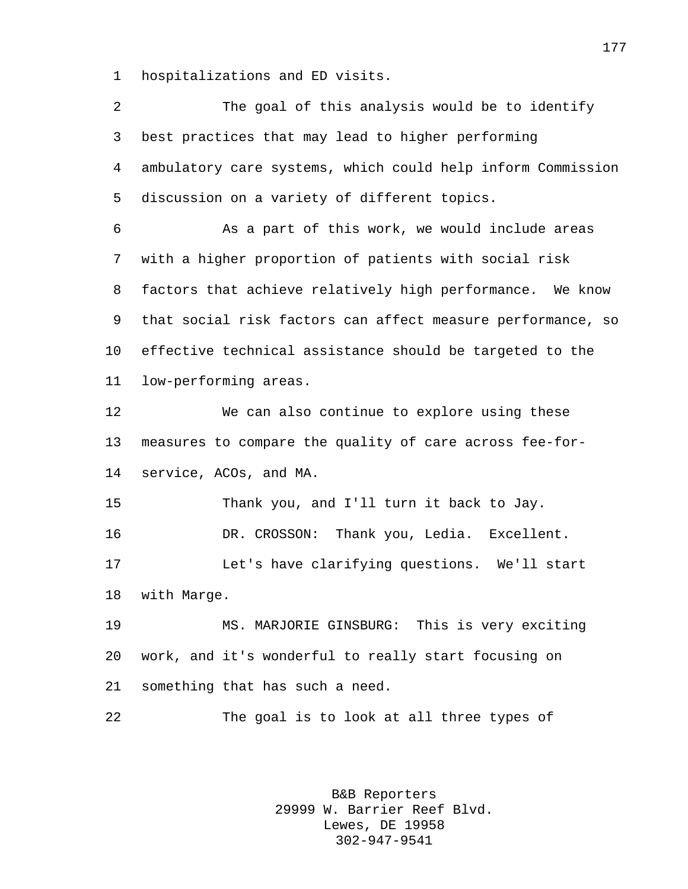hospitalizations and ED visits.

| 2       | The goal of this analysis would be to identify              |
|---------|-------------------------------------------------------------|
| 3       | best practices that may lead to higher performing           |
| 4       | ambulatory care systems, which could help inform Commission |
| 5       | discussion on a variety of different topics.                |
| 6       | As a part of this work, we would include areas              |
| 7       | with a higher proportion of patients with social risk       |
| 8       | factors that achieve relatively high performance. We know   |
| 9       | that social risk factors can affect measure performance, so |
| $10 \,$ | effective technical assistance should be targeted to the    |
| 11      | low-performing areas.                                       |
| 12      | We can also continue to explore using these                 |
| 13      | measures to compare the quality of care across fee-for-     |
| 14      | service, ACOs, and MA.                                      |
| 15      | Thank you, and I'll turn it back to Jay.                    |
| 16      | DR. CROSSON:<br>Thank you, Ledia. Excellent.                |
| 17      | Let's have clarifying questions. We'll start                |
| 18      | with Marge.                                                 |
| 19      | MS. MARJORIE GINSBURG: This is very exciting                |
| 20      | work, and it's wonderful to really start focusing on        |
| 21      | something that has such a need.                             |
| 22      | The goal is to look at all three types of                   |
|         |                                                             |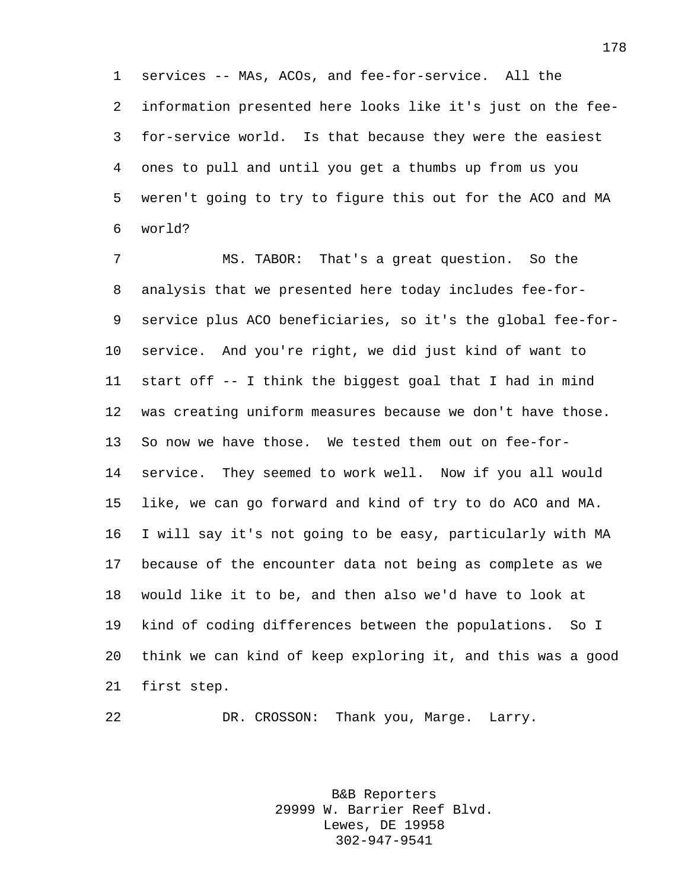services -- MAs, ACOs, and fee-for-service. All the information presented here looks like it's just on the fee- for-service world. Is that because they were the easiest ones to pull and until you get a thumbs up from us you weren't going to try to figure this out for the ACO and MA world?

 MS. TABOR: That's a great question. So the analysis that we presented here today includes fee-for- service plus ACO beneficiaries, so it's the global fee-for- service. And you're right, we did just kind of want to start off -- I think the biggest goal that I had in mind was creating uniform measures because we don't have those. So now we have those. We tested them out on fee-for- service. They seemed to work well. Now if you all would like, we can go forward and kind of try to do ACO and MA. I will say it's not going to be easy, particularly with MA because of the encounter data not being as complete as we would like it to be, and then also we'd have to look at kind of coding differences between the populations. So I think we can kind of keep exploring it, and this was a good first step.

DR. CROSSON: Thank you, Marge. Larry.

B&B Reporters 29999 W. Barrier Reef Blvd. Lewes, DE 19958 302-947-9541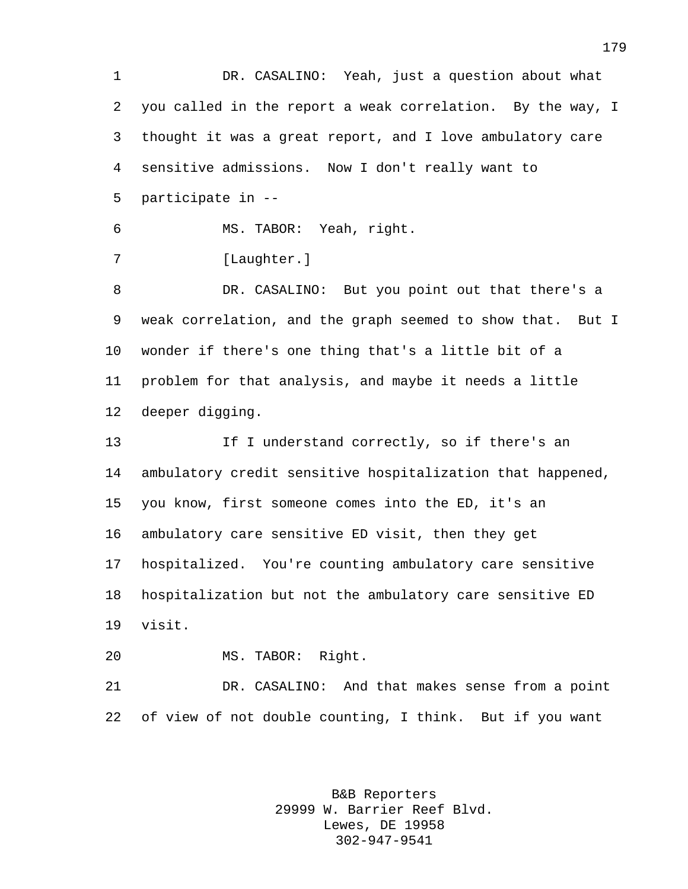DR. CASALINO: Yeah, just a question about what you called in the report a weak correlation. By the way, I thought it was a great report, and I love ambulatory care sensitive admissions. Now I don't really want to participate in -- MS. TABOR: Yeah, right. 7 [Laughter.] DR. CASALINO: But you point out that there's a weak correlation, and the graph seemed to show that. But I wonder if there's one thing that's a little bit of a problem for that analysis, and maybe it needs a little deeper digging. If I understand correctly, so if there's an ambulatory credit sensitive hospitalization that happened, you know, first someone comes into the ED, it's an ambulatory care sensitive ED visit, then they get hospitalized. You're counting ambulatory care sensitive hospitalization but not the ambulatory care sensitive ED visit. MS. TABOR: Right. DR. CASALINO: And that makes sense from a point of view of not double counting, I think. But if you want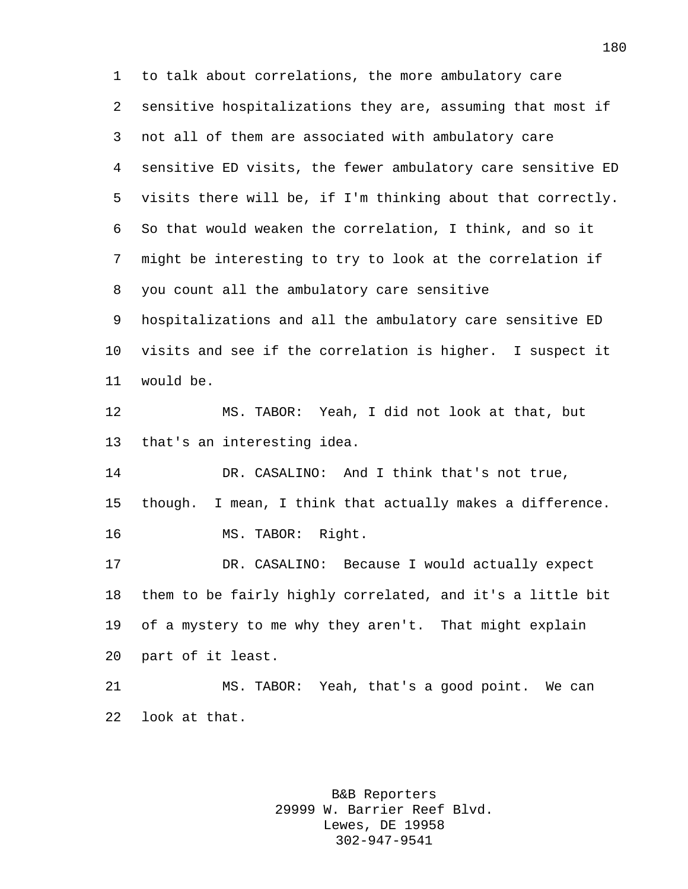to talk about correlations, the more ambulatory care sensitive hospitalizations they are, assuming that most if not all of them are associated with ambulatory care sensitive ED visits, the fewer ambulatory care sensitive ED visits there will be, if I'm thinking about that correctly. So that would weaken the correlation, I think, and so it might be interesting to try to look at the correlation if you count all the ambulatory care sensitive hospitalizations and all the ambulatory care sensitive ED visits and see if the correlation is higher. I suspect it would be. MS. TABOR: Yeah, I did not look at that, but that's an interesting idea. DR. CASALINO: And I think that's not true, though. I mean, I think that actually makes a difference. MS. TABOR: Right. DR. CASALINO: Because I would actually expect them to be fairly highly correlated, and it's a little bit of a mystery to me why they aren't. That might explain part of it least. MS. TABOR: Yeah, that's a good point. We can look at that.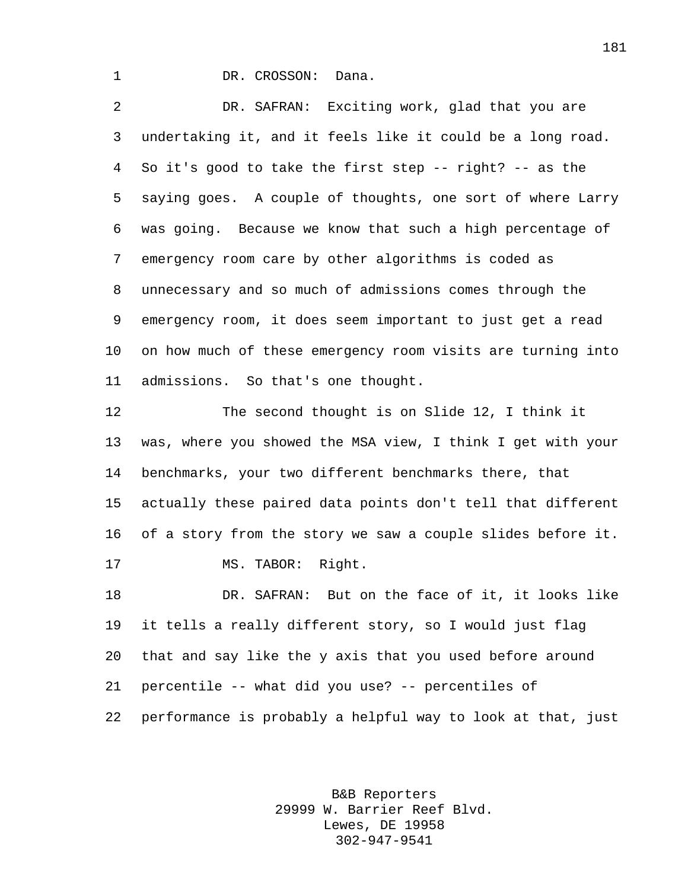1 DR. CROSSON: Dana.

 DR. SAFRAN: Exciting work, glad that you are undertaking it, and it feels like it could be a long road. So it's good to take the first step -- right? -- as the saying goes. A couple of thoughts, one sort of where Larry was going. Because we know that such a high percentage of emergency room care by other algorithms is coded as unnecessary and so much of admissions comes through the emergency room, it does seem important to just get a read on how much of these emergency room visits are turning into admissions. So that's one thought.

 The second thought is on Slide 12, I think it was, where you showed the MSA view, I think I get with your benchmarks, your two different benchmarks there, that actually these paired data points don't tell that different of a story from the story we saw a couple slides before it. 17 MS. TABOR: Right.

 DR. SAFRAN: But on the face of it, it looks like it tells a really different story, so I would just flag that and say like the y axis that you used before around percentile -- what did you use? -- percentiles of performance is probably a helpful way to look at that, just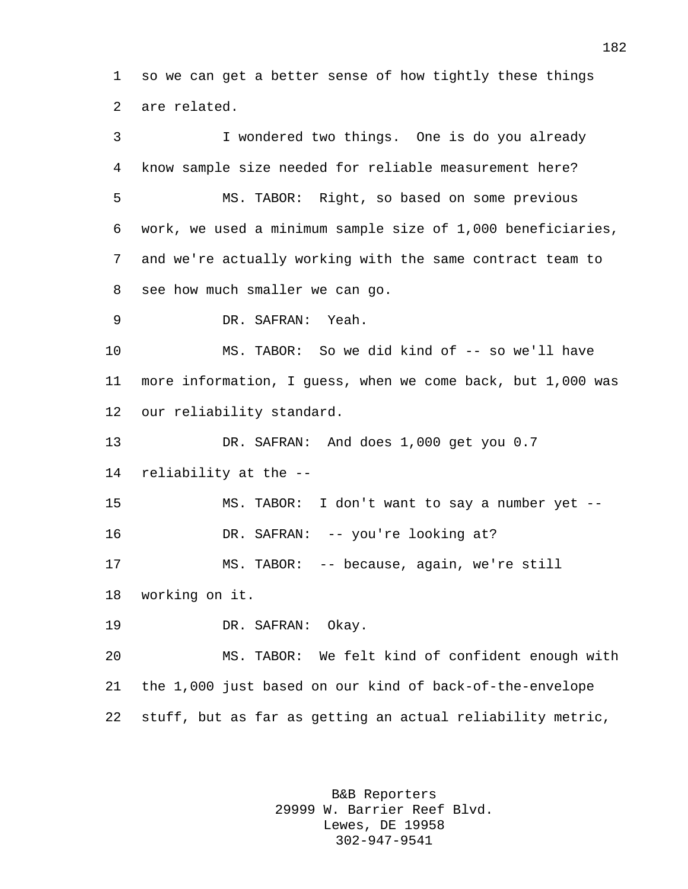so we can get a better sense of how tightly these things are related.

 I wondered two things. One is do you already know sample size needed for reliable measurement here? MS. TABOR: Right, so based on some previous work, we used a minimum sample size of 1,000 beneficiaries, and we're actually working with the same contract team to see how much smaller we can go. DR. SAFRAN: Yeah. MS. TABOR: So we did kind of -- so we'll have more information, I guess, when we come back, but 1,000 was our reliability standard. DR. SAFRAN: And does 1,000 get you 0.7 reliability at the -- MS. TABOR: I don't want to say a number yet -- 16 DR. SAFRAN: -- you're looking at? MS. TABOR: -- because, again, we're still working on it. DR. SAFRAN: Okay. MS. TABOR: We felt kind of confident enough with the 1,000 just based on our kind of back-of-the-envelope stuff, but as far as getting an actual reliability metric,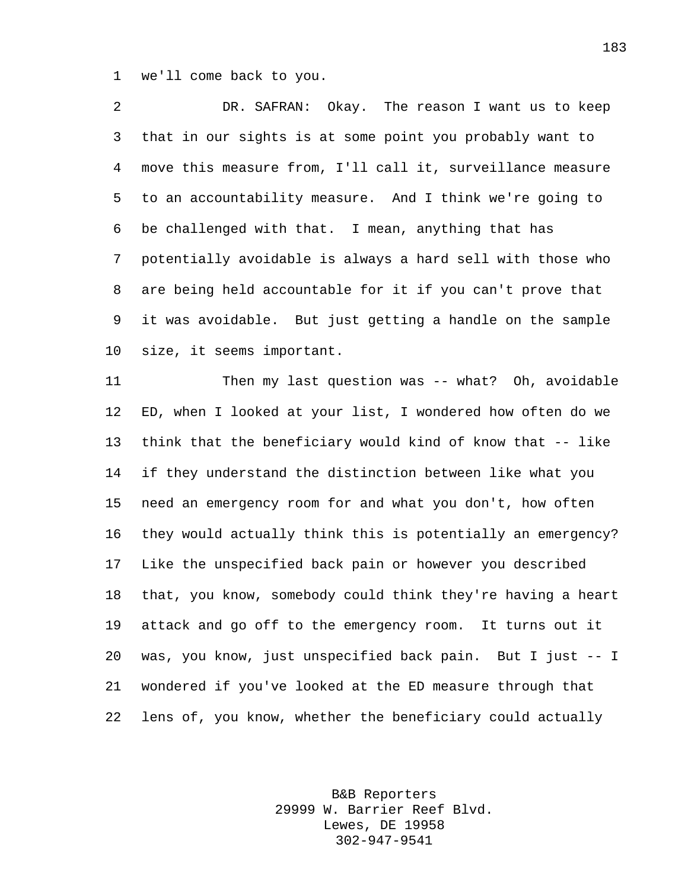we'll come back to you.

 DR. SAFRAN: Okay. The reason I want us to keep that in our sights is at some point you probably want to move this measure from, I'll call it, surveillance measure to an accountability measure. And I think we're going to be challenged with that. I mean, anything that has potentially avoidable is always a hard sell with those who are being held accountable for it if you can't prove that it was avoidable. But just getting a handle on the sample size, it seems important.

 Then my last question was -- what? Oh, avoidable ED, when I looked at your list, I wondered how often do we think that the beneficiary would kind of know that -- like if they understand the distinction between like what you need an emergency room for and what you don't, how often they would actually think this is potentially an emergency? Like the unspecified back pain or however you described that, you know, somebody could think they're having a heart attack and go off to the emergency room. It turns out it was, you know, just unspecified back pain. But I just -- I wondered if you've looked at the ED measure through that lens of, you know, whether the beneficiary could actually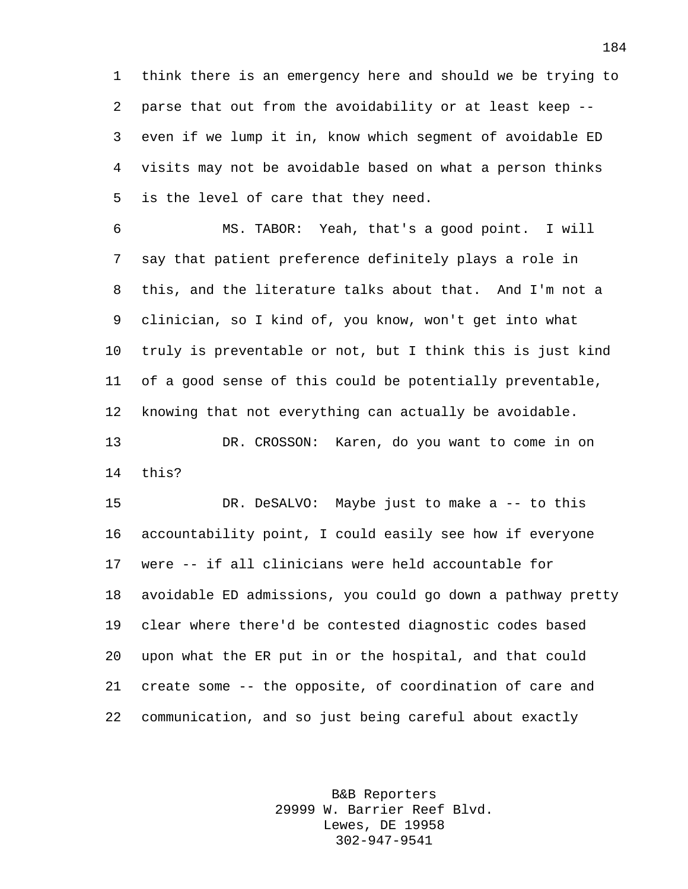think there is an emergency here and should we be trying to parse that out from the avoidability or at least keep -- even if we lump it in, know which segment of avoidable ED visits may not be avoidable based on what a person thinks is the level of care that they need.

 MS. TABOR: Yeah, that's a good point. I will say that patient preference definitely plays a role in this, and the literature talks about that. And I'm not a clinician, so I kind of, you know, won't get into what truly is preventable or not, but I think this is just kind of a good sense of this could be potentially preventable, knowing that not everything can actually be avoidable. DR. CROSSON: Karen, do you want to come in on this?

 DR. DeSALVO: Maybe just to make a -- to this accountability point, I could easily see how if everyone were -- if all clinicians were held accountable for avoidable ED admissions, you could go down a pathway pretty clear where there'd be contested diagnostic codes based upon what the ER put in or the hospital, and that could create some -- the opposite, of coordination of care and communication, and so just being careful about exactly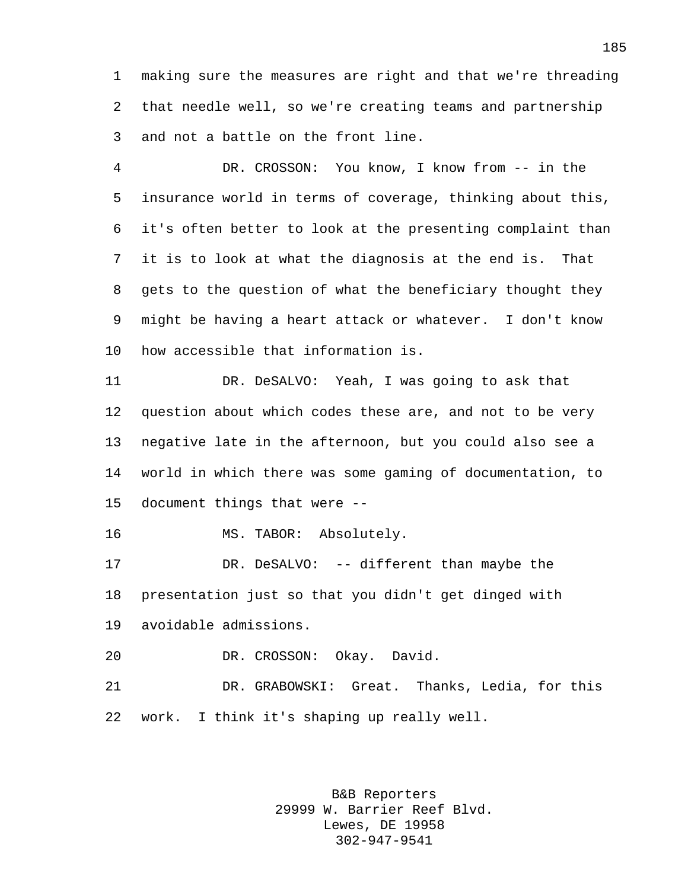making sure the measures are right and that we're threading that needle well, so we're creating teams and partnership and not a battle on the front line.

 DR. CROSSON: You know, I know from -- in the insurance world in terms of coverage, thinking about this, it's often better to look at the presenting complaint than it is to look at what the diagnosis at the end is. That gets to the question of what the beneficiary thought they might be having a heart attack or whatever. I don't know how accessible that information is.

 DR. DeSALVO: Yeah, I was going to ask that question about which codes these are, and not to be very negative late in the afternoon, but you could also see a world in which there was some gaming of documentation, to document things that were --

MS. TABOR: Absolutely.

 DR. DeSALVO: -- different than maybe the presentation just so that you didn't get dinged with avoidable admissions.

DR. CROSSON: Okay. David.

 DR. GRABOWSKI: Great. Thanks, Ledia, for this work. I think it's shaping up really well.

> B&B Reporters 29999 W. Barrier Reef Blvd. Lewes, DE 19958 302-947-9541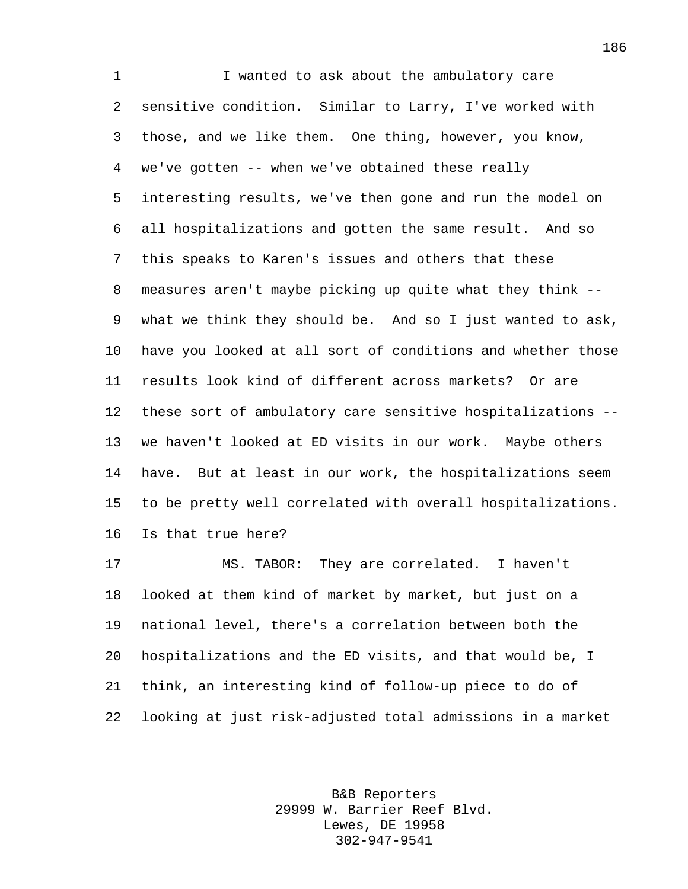1 I wanted to ask about the ambulatory care sensitive condition. Similar to Larry, I've worked with those, and we like them. One thing, however, you know, we've gotten -- when we've obtained these really interesting results, we've then gone and run the model on all hospitalizations and gotten the same result. And so this speaks to Karen's issues and others that these measures aren't maybe picking up quite what they think -- what we think they should be. And so I just wanted to ask, have you looked at all sort of conditions and whether those results look kind of different across markets? Or are these sort of ambulatory care sensitive hospitalizations -- we haven't looked at ED visits in our work. Maybe others have. But at least in our work, the hospitalizations seem to be pretty well correlated with overall hospitalizations. Is that true here?

 MS. TABOR: They are correlated. I haven't looked at them kind of market by market, but just on a national level, there's a correlation between both the hospitalizations and the ED visits, and that would be, I think, an interesting kind of follow-up piece to do of looking at just risk-adjusted total admissions in a market

> B&B Reporters 29999 W. Barrier Reef Blvd. Lewes, DE 19958 302-947-9541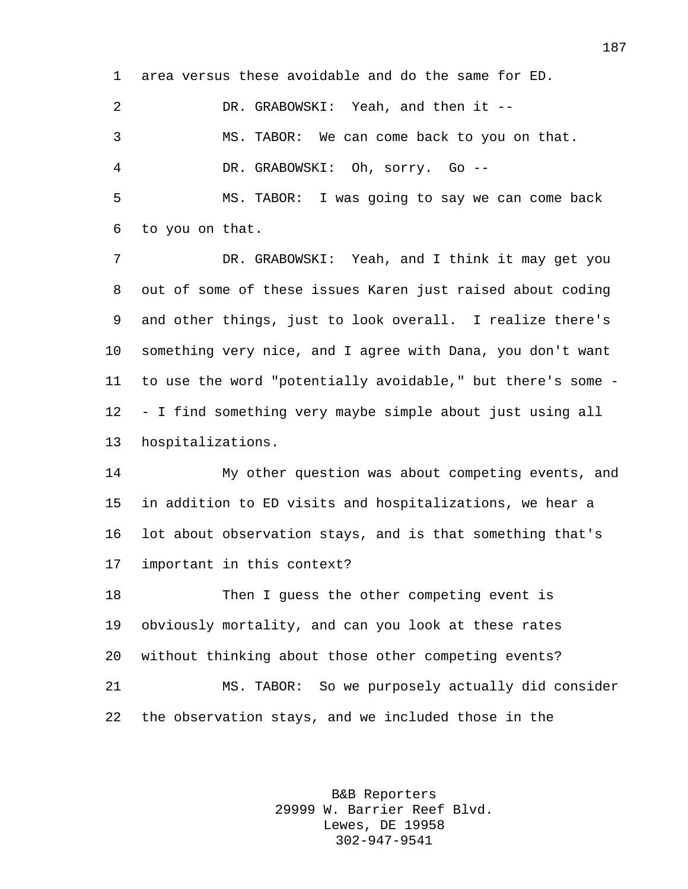area versus these avoidable and do the same for ED. DR. GRABOWSKI: Yeah, and then it --

 MS. TABOR: We can come back to you on that. DR. GRABOWSKI: Oh, sorry. Go --

 MS. TABOR: I was going to say we can come back to you on that.

 DR. GRABOWSKI: Yeah, and I think it may get you out of some of these issues Karen just raised about coding and other things, just to look overall. I realize there's something very nice, and I agree with Dana, you don't want to use the word "potentially avoidable," but there's some - - I find something very maybe simple about just using all hospitalizations.

 My other question was about competing events, and in addition to ED visits and hospitalizations, we hear a lot about observation stays, and is that something that's important in this context?

 Then I guess the other competing event is obviously mortality, and can you look at these rates without thinking about those other competing events? MS. TABOR: So we purposely actually did consider the observation stays, and we included those in the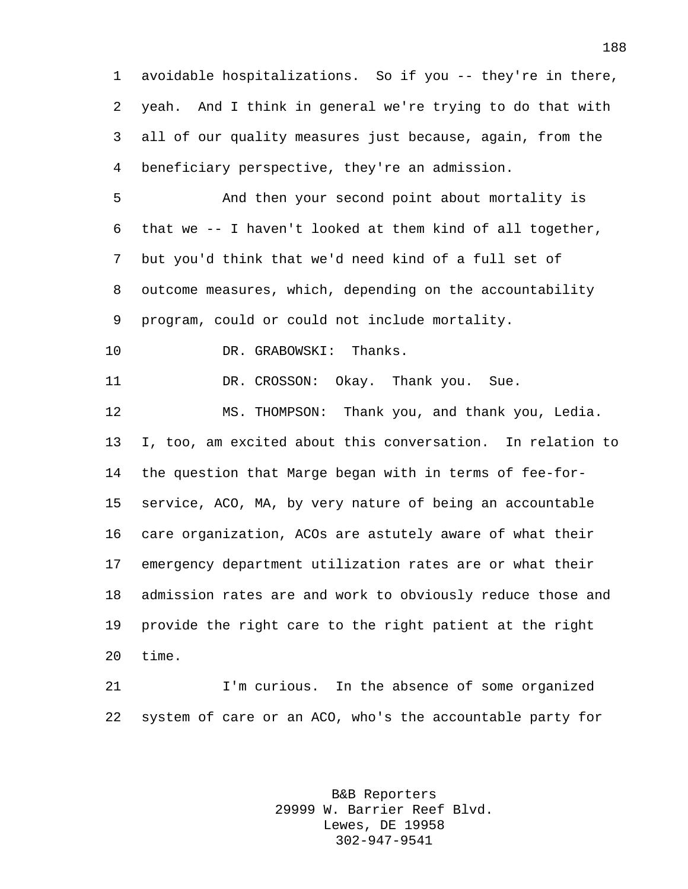avoidable hospitalizations. So if you -- they're in there, yeah. And I think in general we're trying to do that with all of our quality measures just because, again, from the beneficiary perspective, they're an admission.

 And then your second point about mortality is that we -- I haven't looked at them kind of all together, but you'd think that we'd need kind of a full set of outcome measures, which, depending on the accountability program, could or could not include mortality.

10 DR. GRABOWSKI: Thanks.

11 DR. CROSSON: Okay. Thank you. Sue.

 MS. THOMPSON: Thank you, and thank you, Ledia. I, too, am excited about this conversation. In relation to the question that Marge began with in terms of fee-for- service, ACO, MA, by very nature of being an accountable care organization, ACOs are astutely aware of what their emergency department utilization rates are or what their admission rates are and work to obviously reduce those and provide the right care to the right patient at the right time.

 I'm curious. In the absence of some organized system of care or an ACO, who's the accountable party for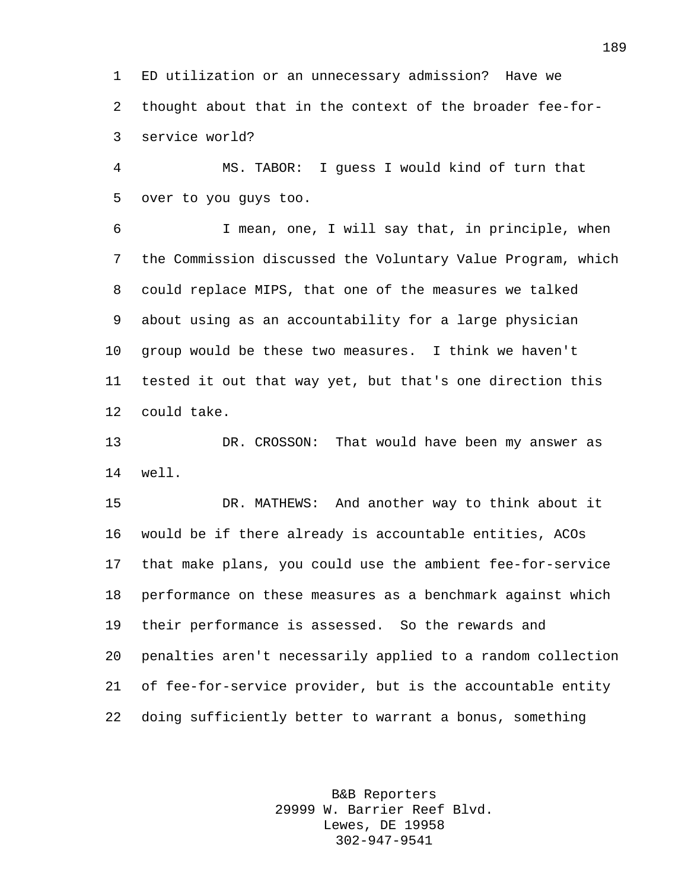ED utilization or an unnecessary admission? Have we thought about that in the context of the broader fee-for-service world?

 MS. TABOR: I guess I would kind of turn that over to you guys too.

 I mean, one, I will say that, in principle, when the Commission discussed the Voluntary Value Program, which could replace MIPS, that one of the measures we talked about using as an accountability for a large physician group would be these two measures. I think we haven't tested it out that way yet, but that's one direction this could take.

 DR. CROSSON: That would have been my answer as well.

 DR. MATHEWS: And another way to think about it would be if there already is accountable entities, ACOs that make plans, you could use the ambient fee-for-service performance on these measures as a benchmark against which their performance is assessed. So the rewards and penalties aren't necessarily applied to a random collection of fee-for-service provider, but is the accountable entity doing sufficiently better to warrant a bonus, something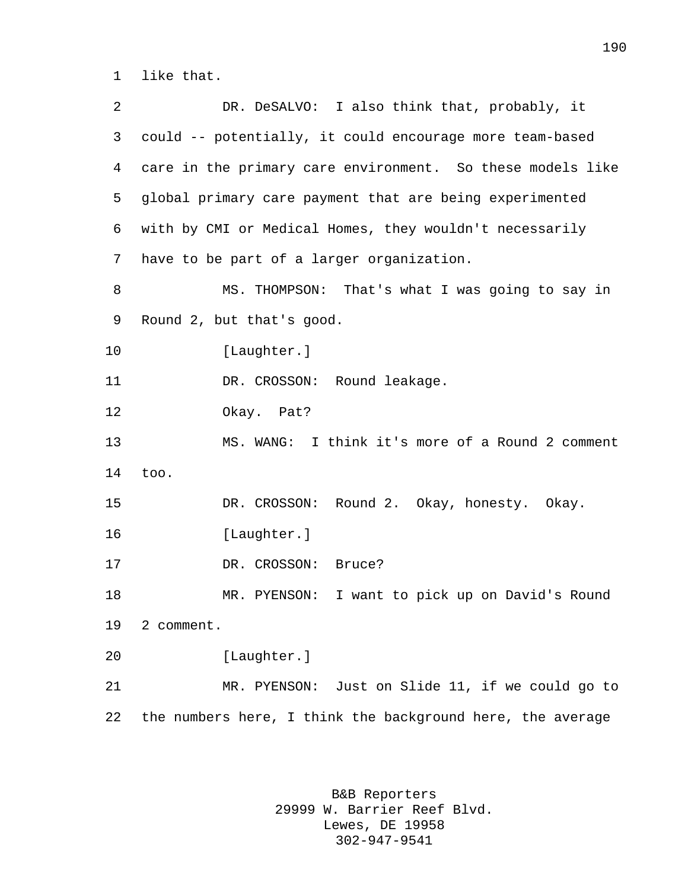like that.

| 2  | DR. DeSALVO: I also think that, probably, it               |
|----|------------------------------------------------------------|
| 3  | could -- potentially, it could encourage more team-based   |
| 4  | care in the primary care environment. So these models like |
| 5  | global primary care payment that are being experimented    |
| 6  | with by CMI or Medical Homes, they wouldn't necessarily    |
| 7  | have to be part of a larger organization.                  |
| 8  | MS. THOMPSON: That's what I was going to say in            |
| 9  | Round 2, but that's good.                                  |
| 10 | [Laughter.]                                                |
| 11 | DR. CROSSON: Round leakage.                                |
| 12 | Okay. Pat?                                                 |
| 13 | MS. WANG: I think it's more of a Round 2 comment           |
| 14 | too.                                                       |
| 15 | DR. CROSSON: Round 2. Okay, honesty. Okay.                 |
| 16 | [Laughter.]                                                |
| 17 | DR. CROSSON:<br>Bruce?                                     |
| 18 | I want to pick up on David's Round<br>MR. PYENSON:         |
| 19 | 2 comment.                                                 |
| 20 | [Laughter.]                                                |
| 21 | MR. PYENSON: Just on Slide 11, if we could go to           |
| 22 | the numbers here, I think the background here, the average |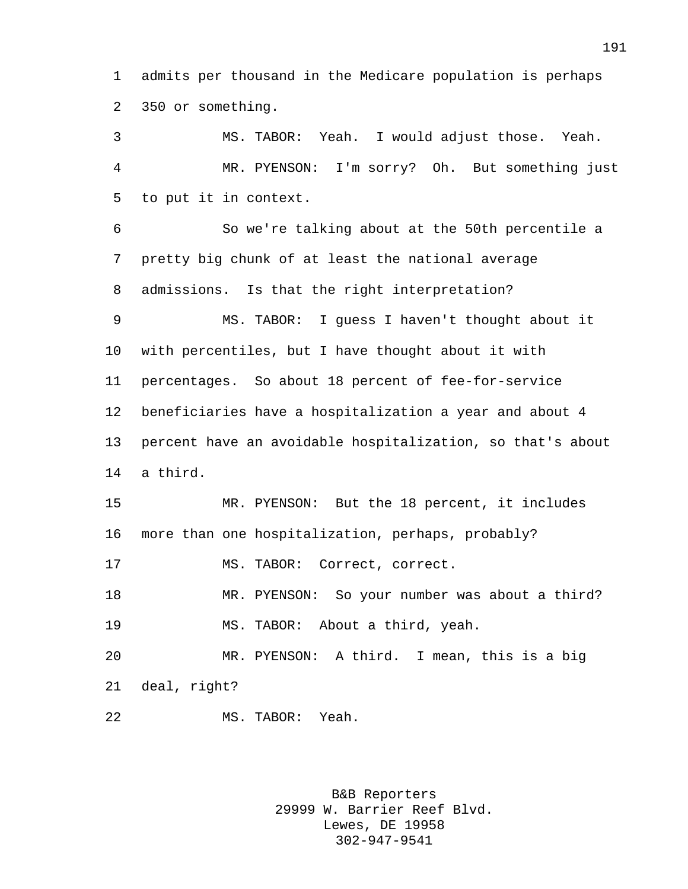admits per thousand in the Medicare population is perhaps 350 or something.

 MS. TABOR: Yeah. I would adjust those. Yeah. MR. PYENSON: I'm sorry? Oh. But something just to put it in context.

 So we're talking about at the 50th percentile a pretty big chunk of at least the national average admissions. Is that the right interpretation?

 MS. TABOR: I guess I haven't thought about it with percentiles, but I have thought about it with percentages. So about 18 percent of fee-for-service beneficiaries have a hospitalization a year and about 4 percent have an avoidable hospitalization, so that's about a third.

 MR. PYENSON: But the 18 percent, it includes more than one hospitalization, perhaps, probably?

MS. TABOR: Correct, correct.

 MR. PYENSON: So your number was about a third? MS. TABOR: About a third, yeah.

 MR. PYENSON: A third. I mean, this is a big deal, right?

MS. TABOR: Yeah.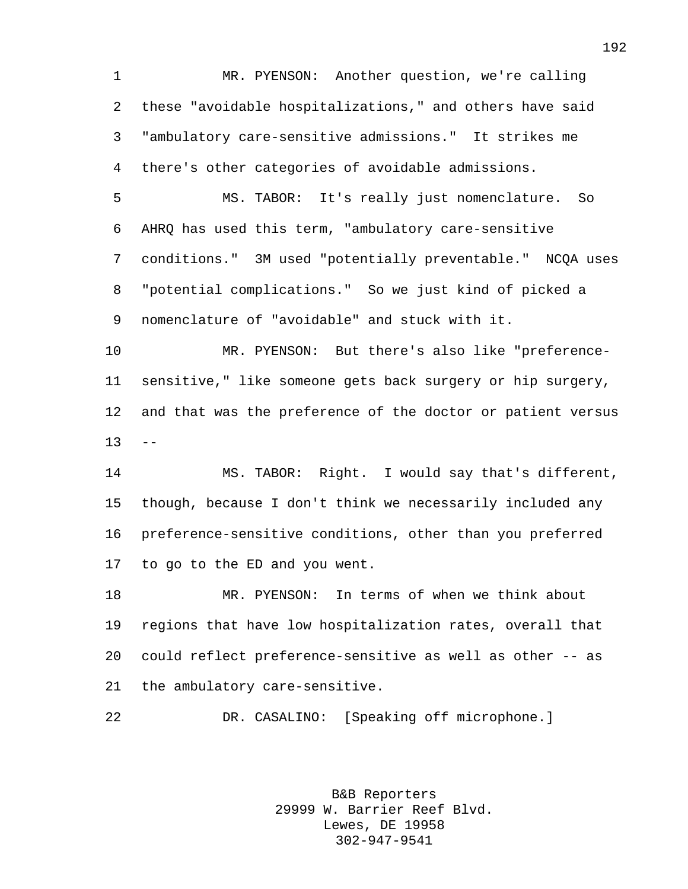MR. PYENSON: Another question, we're calling these "avoidable hospitalizations," and others have said "ambulatory care-sensitive admissions." It strikes me there's other categories of avoidable admissions.

 MS. TABOR: It's really just nomenclature. So AHRQ has used this term, "ambulatory care-sensitive conditions." 3M used "potentially preventable." NCQA uses "potential complications." So we just kind of picked a nomenclature of "avoidable" and stuck with it.

 MR. PYENSON: But there's also like "preference- sensitive," like someone gets back surgery or hip surgery, and that was the preference of the doctor or patient versus  $13 - -$ 

 MS. TABOR: Right. I would say that's different, though, because I don't think we necessarily included any preference-sensitive conditions, other than you preferred to go to the ED and you went.

 MR. PYENSON: In terms of when we think about regions that have low hospitalization rates, overall that could reflect preference-sensitive as well as other -- as the ambulatory care-sensitive.

DR. CASALINO: [Speaking off microphone.]

B&B Reporters 29999 W. Barrier Reef Blvd. Lewes, DE 19958 302-947-9541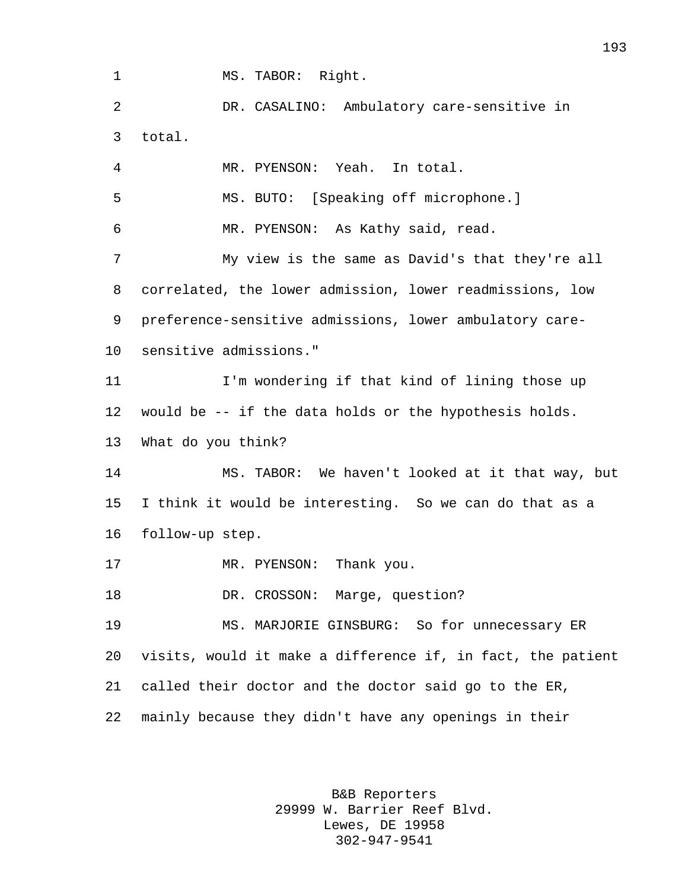1 MS. TABOR: Right.

 DR. CASALINO: Ambulatory care-sensitive in total. MR. PYENSON: Yeah. In total. MS. BUTO: [Speaking off microphone.] MR. PYENSON: As Kathy said, read. My view is the same as David's that they're all correlated, the lower admission, lower readmissions, low

preference-sensitive admissions, lower ambulatory care-

sensitive admissions."

 I'm wondering if that kind of lining those up would be -- if the data holds or the hypothesis holds. What do you think?

 MS. TABOR: We haven't looked at it that way, but I think it would be interesting. So we can do that as a follow-up step.

17 MR. PYENSON: Thank you.

18 DR. CROSSON: Marge, question?

 MS. MARJORIE GINSBURG: So for unnecessary ER visits, would it make a difference if, in fact, the patient called their doctor and the doctor said go to the ER, mainly because they didn't have any openings in their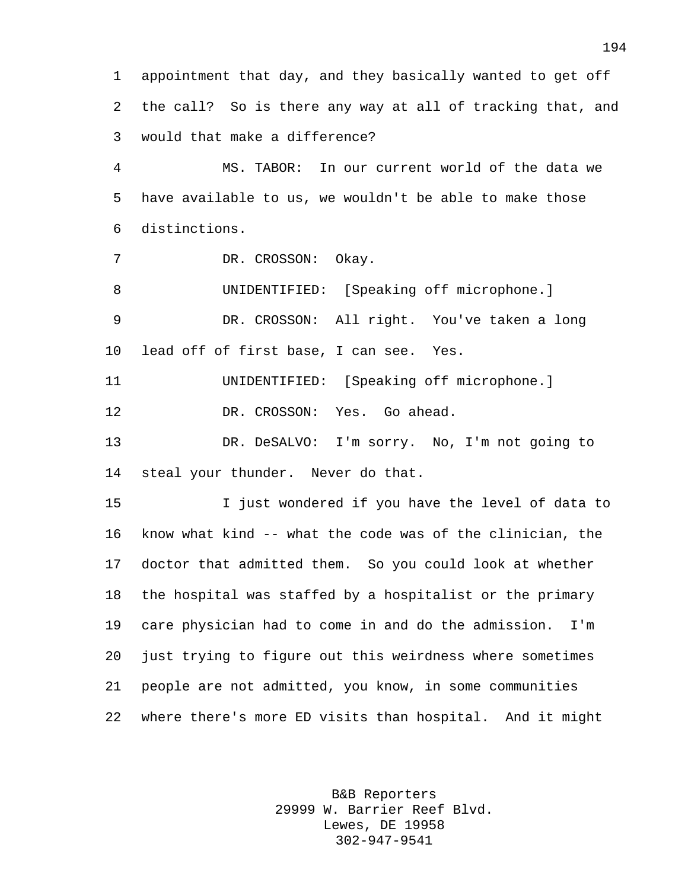appointment that day, and they basically wanted to get off the call? So is there any way at all of tracking that, and would that make a difference?

 MS. TABOR: In our current world of the data we have available to us, we wouldn't be able to make those distinctions.

DR. CROSSON: Okay.

 UNIDENTIFIED: [Speaking off microphone.] DR. CROSSON: All right. You've taken a long

lead off of first base, I can see. Yes.

UNIDENTIFIED: [Speaking off microphone.]

DR. CROSSON: Yes. Go ahead.

 DR. DeSALVO: I'm sorry. No, I'm not going to steal your thunder. Never do that.

 I just wondered if you have the level of data to know what kind -- what the code was of the clinician, the doctor that admitted them. So you could look at whether the hospital was staffed by a hospitalist or the primary care physician had to come in and do the admission. I'm just trying to figure out this weirdness where sometimes people are not admitted, you know, in some communities where there's more ED visits than hospital. And it might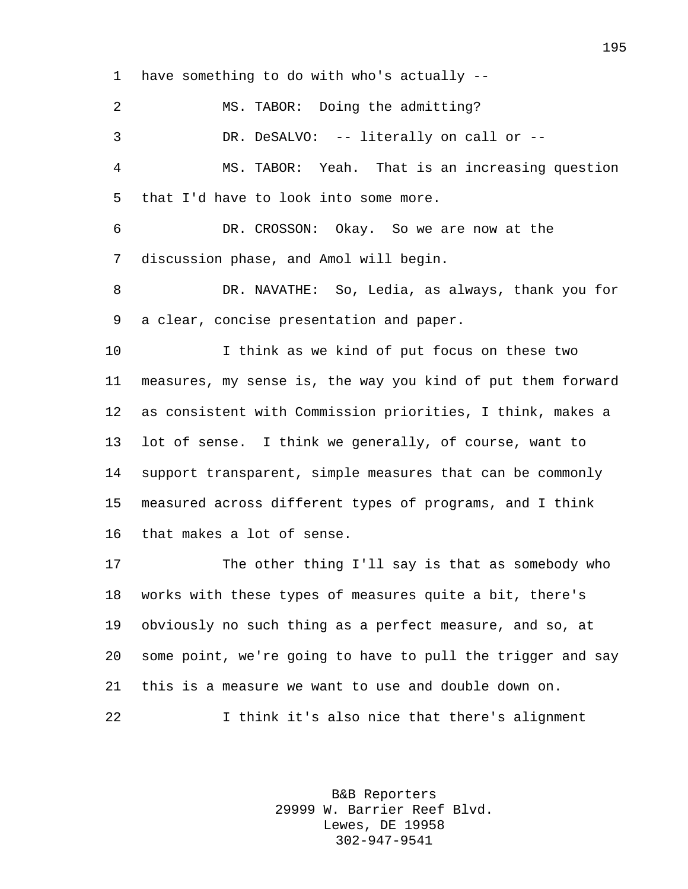have something to do with who's actually -- 2 MS. TABOR: Doing the admitting? DR. DeSALVO: -- literally on call or -- MS. TABOR: Yeah. That is an increasing question that I'd have to look into some more. DR. CROSSON: Okay. So we are now at the discussion phase, and Amol will begin. DR. NAVATHE: So, Ledia, as always, thank you for a clear, concise presentation and paper. I think as we kind of put focus on these two measures, my sense is, the way you kind of put them forward as consistent with Commission priorities, I think, makes a lot of sense. I think we generally, of course, want to support transparent, simple measures that can be commonly measured across different types of programs, and I think that makes a lot of sense. The other thing I'll say is that as somebody who

 works with these types of measures quite a bit, there's obviously no such thing as a perfect measure, and so, at some point, we're going to have to pull the trigger and say this is a measure we want to use and double down on. I think it's also nice that there's alignment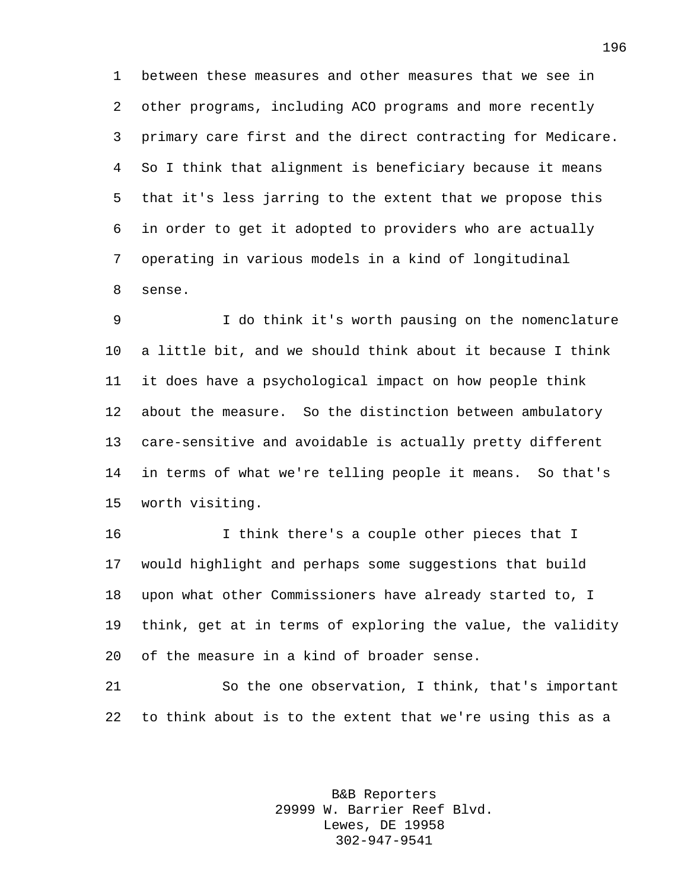between these measures and other measures that we see in other programs, including ACO programs and more recently primary care first and the direct contracting for Medicare. So I think that alignment is beneficiary because it means that it's less jarring to the extent that we propose this in order to get it adopted to providers who are actually operating in various models in a kind of longitudinal sense.

 I do think it's worth pausing on the nomenclature a little bit, and we should think about it because I think it does have a psychological impact on how people think about the measure. So the distinction between ambulatory care-sensitive and avoidable is actually pretty different in terms of what we're telling people it means. So that's worth visiting.

 I think there's a couple other pieces that I would highlight and perhaps some suggestions that build upon what other Commissioners have already started to, I think, get at in terms of exploring the value, the validity of the measure in a kind of broader sense.

 So the one observation, I think, that's important to think about is to the extent that we're using this as a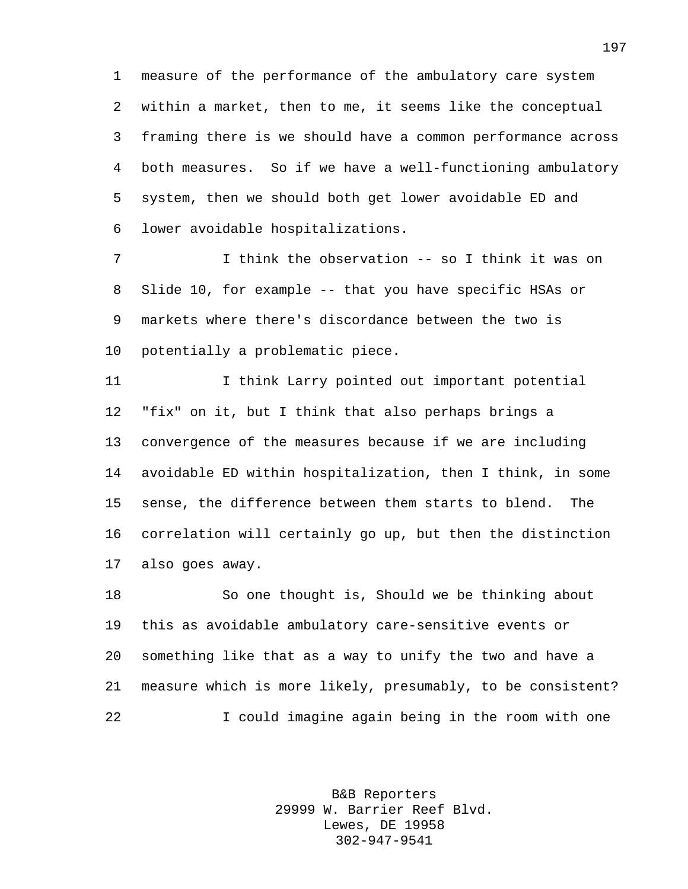measure of the performance of the ambulatory care system within a market, then to me, it seems like the conceptual framing there is we should have a common performance across both measures. So if we have a well-functioning ambulatory system, then we should both get lower avoidable ED and lower avoidable hospitalizations.

 I think the observation -- so I think it was on Slide 10, for example -- that you have specific HSAs or markets where there's discordance between the two is potentially a problematic piece.

 I think Larry pointed out important potential "fix" on it, but I think that also perhaps brings a convergence of the measures because if we are including avoidable ED within hospitalization, then I think, in some sense, the difference between them starts to blend. The correlation will certainly go up, but then the distinction also goes away.

 So one thought is, Should we be thinking about this as avoidable ambulatory care-sensitive events or something like that as a way to unify the two and have a measure which is more likely, presumably, to be consistent? I could imagine again being in the room with one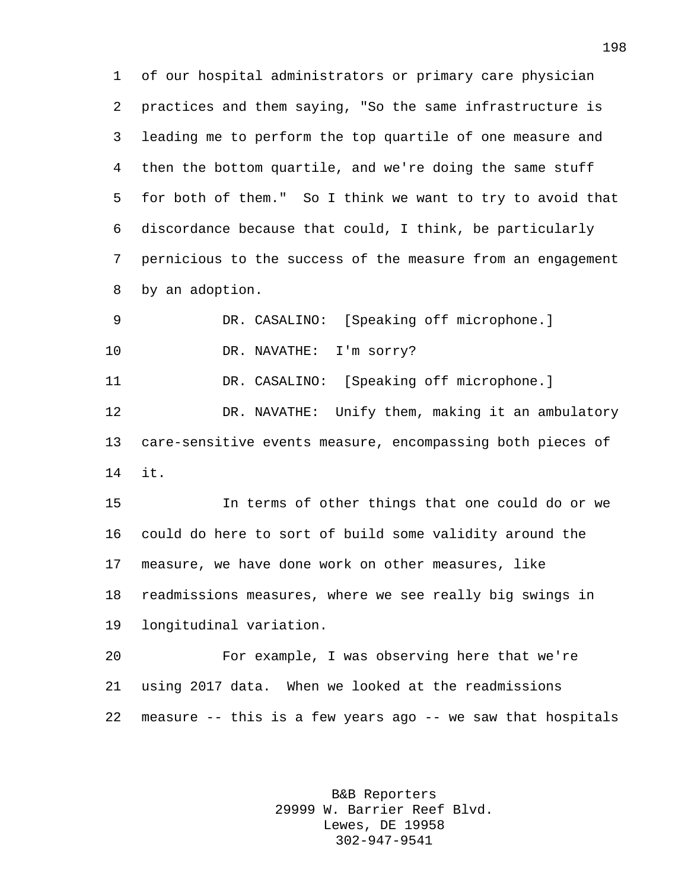of our hospital administrators or primary care physician practices and them saying, "So the same infrastructure is leading me to perform the top quartile of one measure and then the bottom quartile, and we're doing the same stuff for both of them." So I think we want to try to avoid that discordance because that could, I think, be particularly pernicious to the success of the measure from an engagement by an adoption.

DR. CASALINO: [Speaking off microphone.]

10 DR. NAVATHE: I'm sorry?

DR. CASALINO: [Speaking off microphone.]

 DR. NAVATHE: Unify them, making it an ambulatory care-sensitive events measure, encompassing both pieces of it.

 In terms of other things that one could do or we could do here to sort of build some validity around the measure, we have done work on other measures, like readmissions measures, where we see really big swings in longitudinal variation.

 For example, I was observing here that we're using 2017 data. When we looked at the readmissions measure -- this is a few years ago -- we saw that hospitals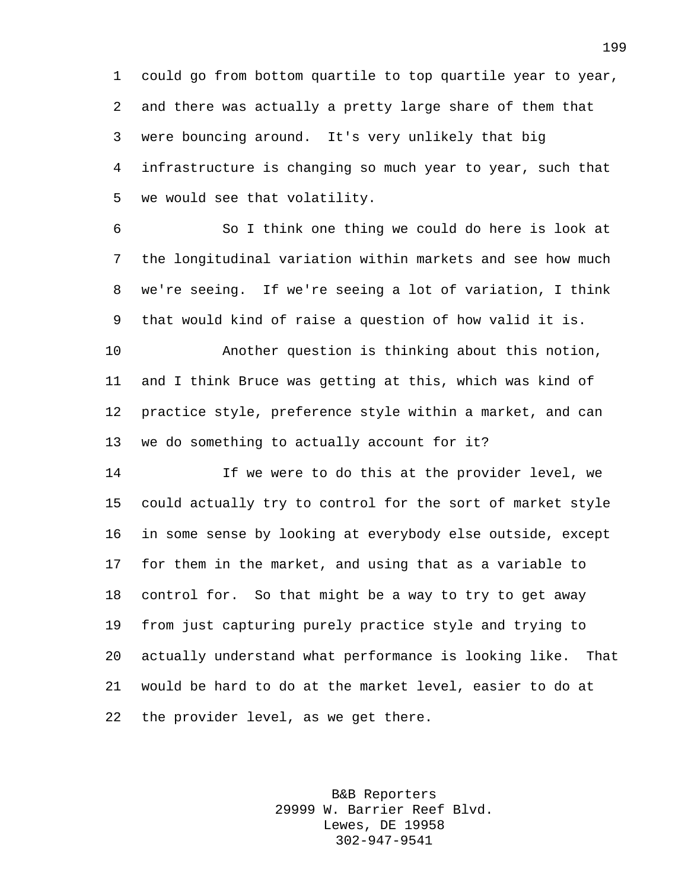could go from bottom quartile to top quartile year to year, and there was actually a pretty large share of them that were bouncing around. It's very unlikely that big infrastructure is changing so much year to year, such that we would see that volatility.

 So I think one thing we could do here is look at the longitudinal variation within markets and see how much we're seeing. If we're seeing a lot of variation, I think that would kind of raise a question of how valid it is.

 Another question is thinking about this notion, and I think Bruce was getting at this, which was kind of practice style, preference style within a market, and can we do something to actually account for it?

 If we were to do this at the provider level, we could actually try to control for the sort of market style in some sense by looking at everybody else outside, except for them in the market, and using that as a variable to control for. So that might be a way to try to get away from just capturing purely practice style and trying to actually understand what performance is looking like. That would be hard to do at the market level, easier to do at the provider level, as we get there.

> B&B Reporters 29999 W. Barrier Reef Blvd. Lewes, DE 19958 302-947-9541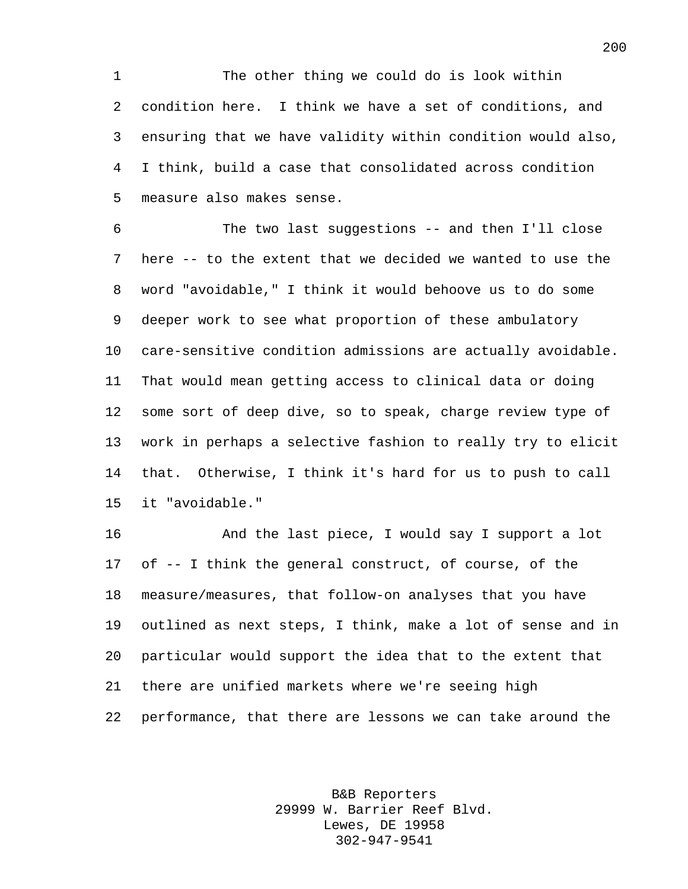The other thing we could do is look within condition here. I think we have a set of conditions, and ensuring that we have validity within condition would also, I think, build a case that consolidated across condition measure also makes sense.

 The two last suggestions -- and then I'll close here -- to the extent that we decided we wanted to use the word "avoidable," I think it would behoove us to do some deeper work to see what proportion of these ambulatory care-sensitive condition admissions are actually avoidable. That would mean getting access to clinical data or doing some sort of deep dive, so to speak, charge review type of work in perhaps a selective fashion to really try to elicit that. Otherwise, I think it's hard for us to push to call it "avoidable."

 And the last piece, I would say I support a lot of -- I think the general construct, of course, of the measure/measures, that follow-on analyses that you have outlined as next steps, I think, make a lot of sense and in particular would support the idea that to the extent that there are unified markets where we're seeing high performance, that there are lessons we can take around the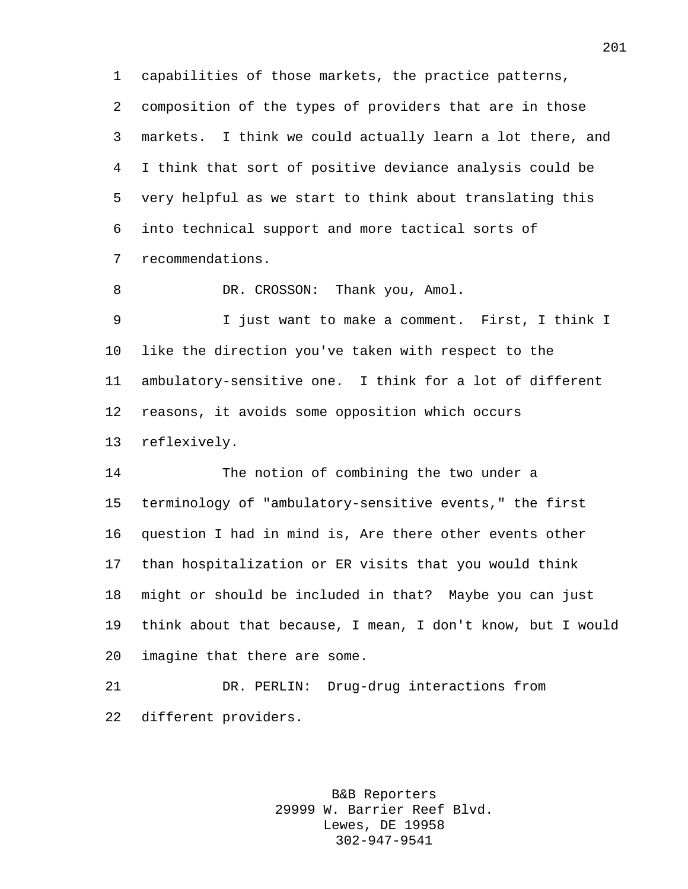capabilities of those markets, the practice patterns, composition of the types of providers that are in those markets. I think we could actually learn a lot there, and I think that sort of positive deviance analysis could be very helpful as we start to think about translating this into technical support and more tactical sorts of recommendations.

8 DR. CROSSON: Thank you, Amol.

 I just want to make a comment. First, I think I like the direction you've taken with respect to the ambulatory-sensitive one. I think for a lot of different reasons, it avoids some opposition which occurs reflexively.

 The notion of combining the two under a terminology of "ambulatory-sensitive events," the first question I had in mind is, Are there other events other than hospitalization or ER visits that you would think might or should be included in that? Maybe you can just think about that because, I mean, I don't know, but I would imagine that there are some.

 DR. PERLIN: Drug-drug interactions from different providers.

> B&B Reporters 29999 W. Barrier Reef Blvd. Lewes, DE 19958 302-947-9541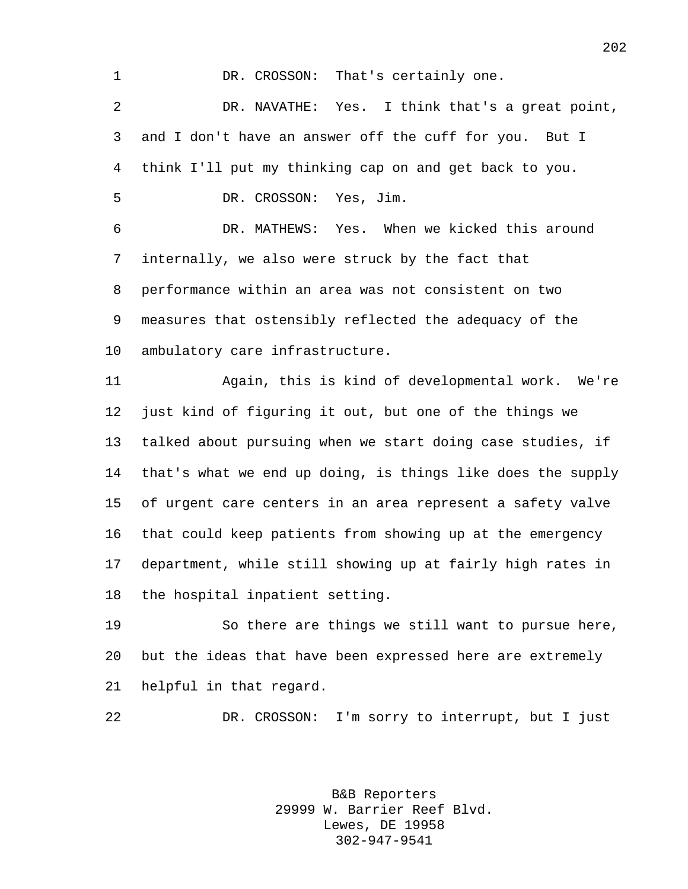1 DR. CROSSON: That's certainly one. DR. NAVATHE: Yes. I think that's a great point, and I don't have an answer off the cuff for you. But I think I'll put my thinking cap on and get back to you.

DR. CROSSON: Yes, Jim.

 DR. MATHEWS: Yes. When we kicked this around internally, we also were struck by the fact that performance within an area was not consistent on two measures that ostensibly reflected the adequacy of the ambulatory care infrastructure.

 Again, this is kind of developmental work. We're just kind of figuring it out, but one of the things we talked about pursuing when we start doing case studies, if that's what we end up doing, is things like does the supply of urgent care centers in an area represent a safety valve that could keep patients from showing up at the emergency department, while still showing up at fairly high rates in the hospital inpatient setting.

 So there are things we still want to pursue here, but the ideas that have been expressed here are extremely helpful in that regard.

DR. CROSSON: I'm sorry to interrupt, but I just

B&B Reporters 29999 W. Barrier Reef Blvd. Lewes, DE 19958 302-947-9541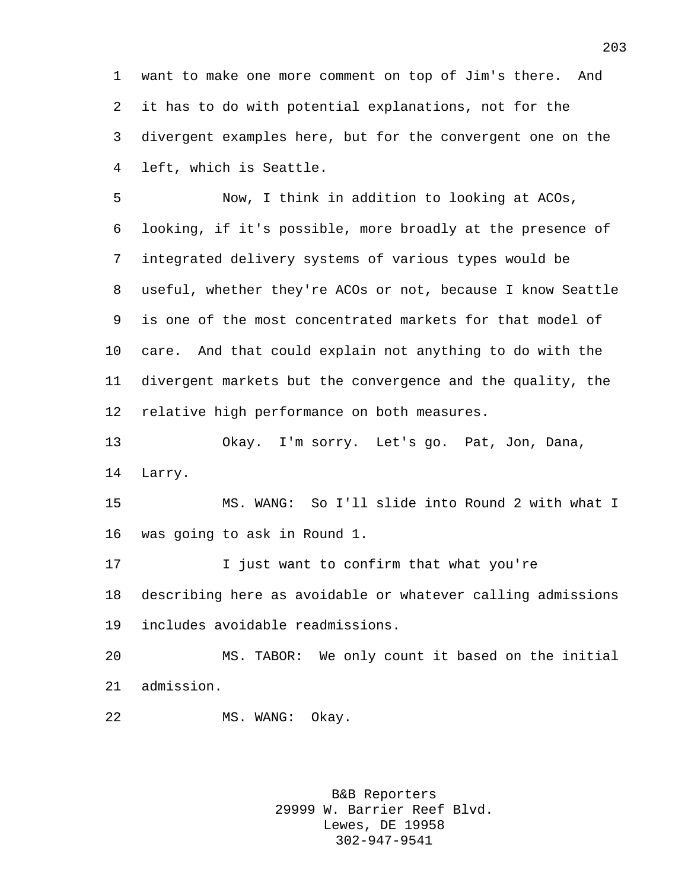want to make one more comment on top of Jim's there. And it has to do with potential explanations, not for the divergent examples here, but for the convergent one on the left, which is Seattle.

 Now, I think in addition to looking at ACOs, looking, if it's possible, more broadly at the presence of integrated delivery systems of various types would be useful, whether they're ACOs or not, because I know Seattle is one of the most concentrated markets for that model of care. And that could explain not anything to do with the divergent markets but the convergence and the quality, the relative high performance on both measures.

 Okay. I'm sorry. Let's go. Pat, Jon, Dana, Larry.

 MS. WANG: So I'll slide into Round 2 with what I was going to ask in Round 1.

 I just want to confirm that what you're describing here as avoidable or whatever calling admissions includes avoidable readmissions.

 MS. TABOR: We only count it based on the initial admission.

22 MS. WANG: Okay.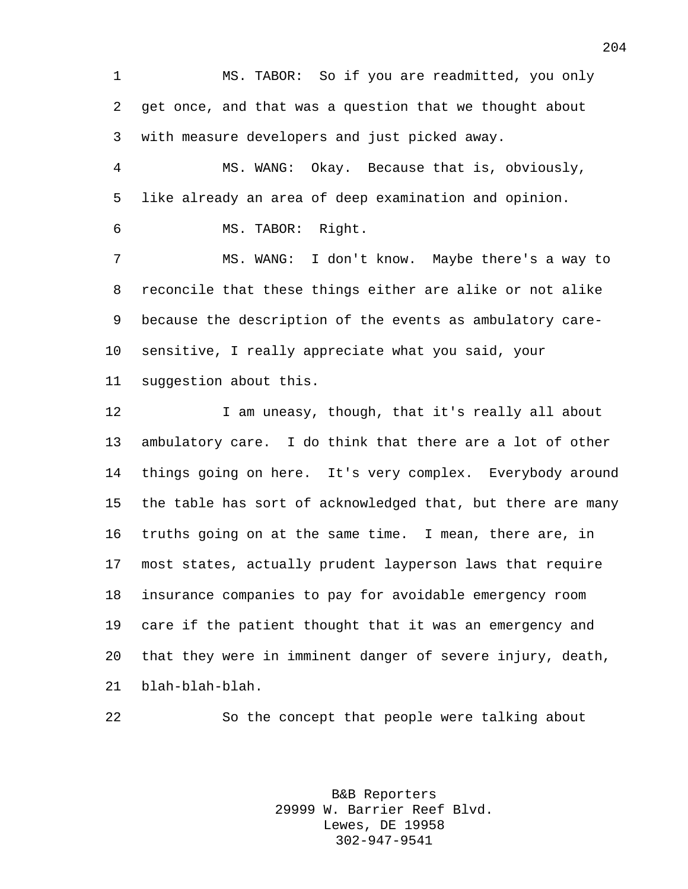MS. TABOR: So if you are readmitted, you only get once, and that was a question that we thought about with measure developers and just picked away.

 MS. WANG: Okay. Because that is, obviously, like already an area of deep examination and opinion.

MS. TABOR: Right.

 MS. WANG: I don't know. Maybe there's a way to reconcile that these things either are alike or not alike because the description of the events as ambulatory care- sensitive, I really appreciate what you said, your suggestion about this.

12 I am uneasy, though, that it's really all about ambulatory care. I do think that there are a lot of other things going on here. It's very complex. Everybody around the table has sort of acknowledged that, but there are many truths going on at the same time. I mean, there are, in most states, actually prudent layperson laws that require insurance companies to pay for avoidable emergency room care if the patient thought that it was an emergency and that they were in imminent danger of severe injury, death, blah-blah-blah.

So the concept that people were talking about

B&B Reporters 29999 W. Barrier Reef Blvd. Lewes, DE 19958 302-947-9541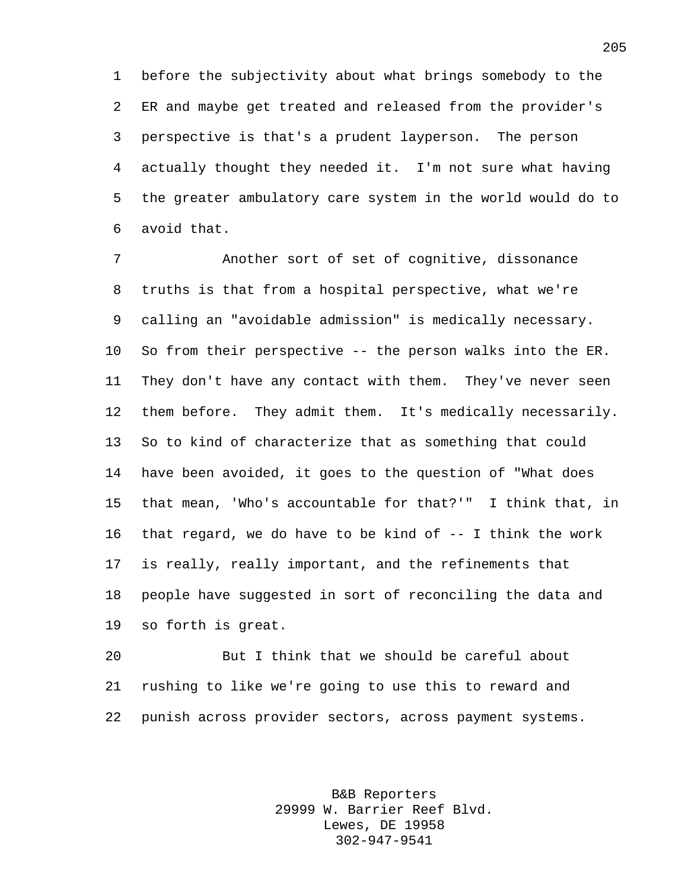before the subjectivity about what brings somebody to the ER and maybe get treated and released from the provider's perspective is that's a prudent layperson. The person actually thought they needed it. I'm not sure what having the greater ambulatory care system in the world would do to avoid that.

 Another sort of set of cognitive, dissonance truths is that from a hospital perspective, what we're calling an "avoidable admission" is medically necessary. So from their perspective -- the person walks into the ER. They don't have any contact with them. They've never seen them before. They admit them. It's medically necessarily. So to kind of characterize that as something that could have been avoided, it goes to the question of "What does that mean, 'Who's accountable for that?'" I think that, in 16 that regard, we do have to be kind of  $-$ - I think the work is really, really important, and the refinements that people have suggested in sort of reconciling the data and so forth is great.

 But I think that we should be careful about rushing to like we're going to use this to reward and punish across provider sectors, across payment systems.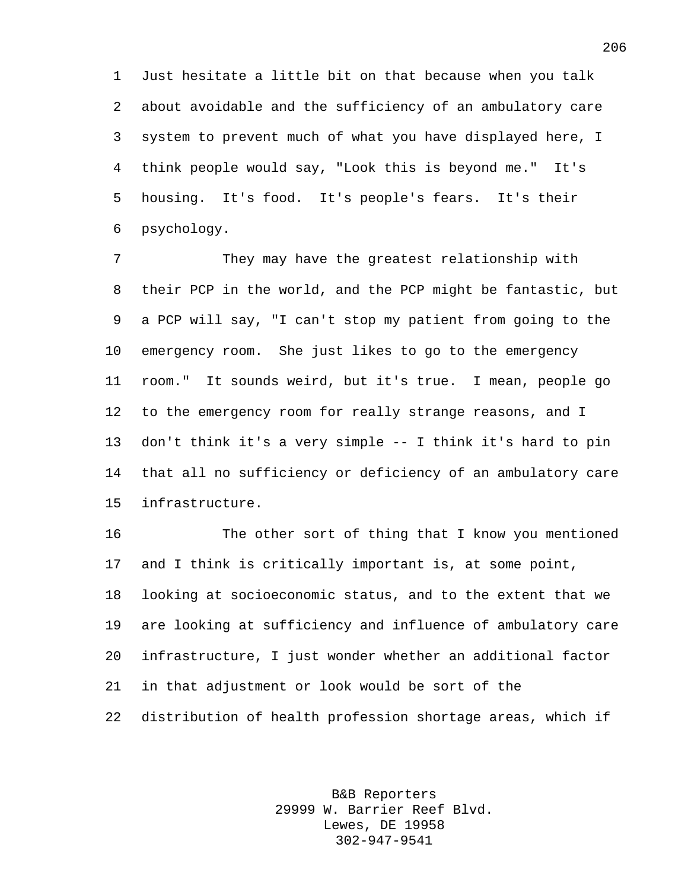Just hesitate a little bit on that because when you talk about avoidable and the sufficiency of an ambulatory care system to prevent much of what you have displayed here, I think people would say, "Look this is beyond me." It's housing. It's food. It's people's fears. It's their psychology.

 They may have the greatest relationship with their PCP in the world, and the PCP might be fantastic, but a PCP will say, "I can't stop my patient from going to the emergency room. She just likes to go to the emergency room." It sounds weird, but it's true. I mean, people go to the emergency room for really strange reasons, and I don't think it's a very simple -- I think it's hard to pin that all no sufficiency or deficiency of an ambulatory care infrastructure.

 The other sort of thing that I know you mentioned and I think is critically important is, at some point, looking at socioeconomic status, and to the extent that we are looking at sufficiency and influence of ambulatory care infrastructure, I just wonder whether an additional factor in that adjustment or look would be sort of the distribution of health profession shortage areas, which if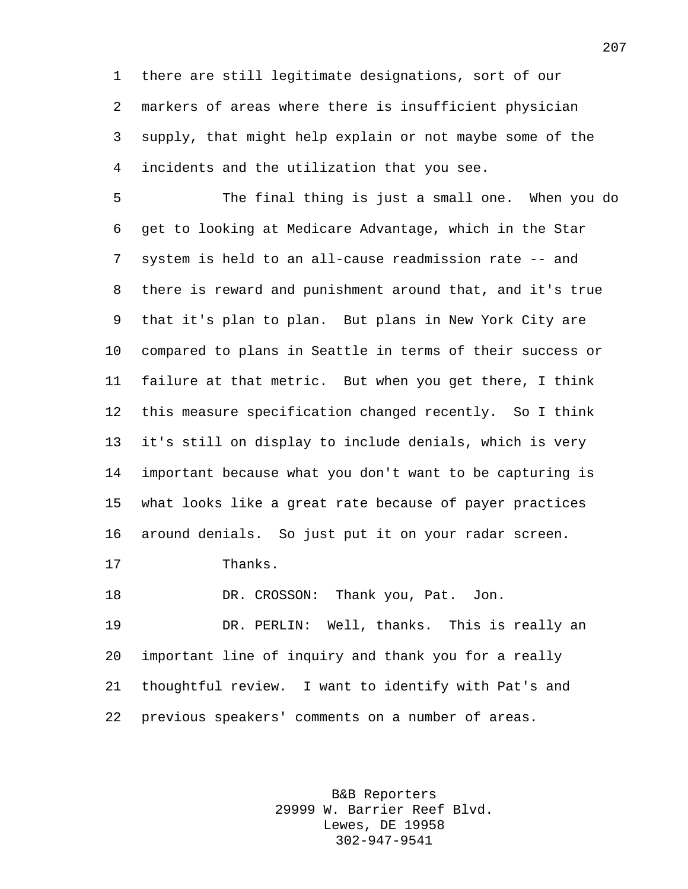there are still legitimate designations, sort of our markers of areas where there is insufficient physician supply, that might help explain or not maybe some of the incidents and the utilization that you see.

 The final thing is just a small one. When you do get to looking at Medicare Advantage, which in the Star system is held to an all-cause readmission rate -- and there is reward and punishment around that, and it's true that it's plan to plan. But plans in New York City are compared to plans in Seattle in terms of their success or failure at that metric. But when you get there, I think this measure specification changed recently. So I think it's still on display to include denials, which is very important because what you don't want to be capturing is what looks like a great rate because of payer practices around denials. So just put it on your radar screen.

Thanks.

18 DR. CROSSON: Thank you, Pat. Jon.

 DR. PERLIN: Well, thanks. This is really an important line of inquiry and thank you for a really thoughtful review. I want to identify with Pat's and previous speakers' comments on a number of areas.

> B&B Reporters 29999 W. Barrier Reef Blvd. Lewes, DE 19958 302-947-9541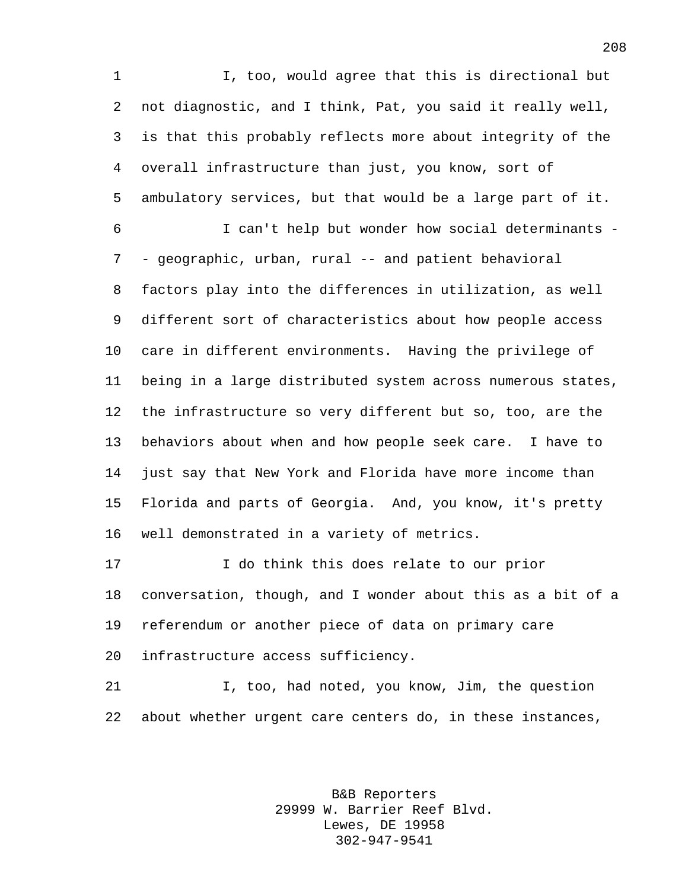I, too, would agree that this is directional but not diagnostic, and I think, Pat, you said it really well, is that this probably reflects more about integrity of the overall infrastructure than just, you know, sort of ambulatory services, but that would be a large part of it. I can't help but wonder how social determinants - - geographic, urban, rural -- and patient behavioral factors play into the differences in utilization, as well different sort of characteristics about how people access care in different environments. Having the privilege of being in a large distributed system across numerous states, the infrastructure so very different but so, too, are the behaviors about when and how people seek care. I have to just say that New York and Florida have more income than Florida and parts of Georgia. And, you know, it's pretty well demonstrated in a variety of metrics.

 I do think this does relate to our prior conversation, though, and I wonder about this as a bit of a referendum or another piece of data on primary care infrastructure access sufficiency.

 I, too, had noted, you know, Jim, the question about whether urgent care centers do, in these instances,

> B&B Reporters 29999 W. Barrier Reef Blvd. Lewes, DE 19958 302-947-9541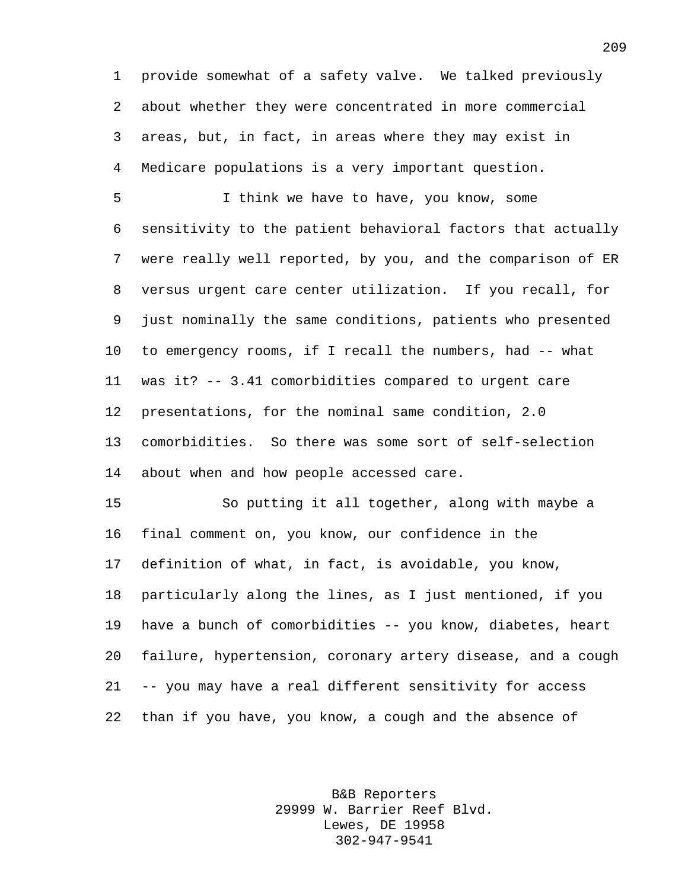provide somewhat of a safety valve. We talked previously about whether they were concentrated in more commercial areas, but, in fact, in areas where they may exist in Medicare populations is a very important question.

 I think we have to have, you know, some sensitivity to the patient behavioral factors that actually were really well reported, by you, and the comparison of ER versus urgent care center utilization. If you recall, for just nominally the same conditions, patients who presented to emergency rooms, if I recall the numbers, had -- what was it? -- 3.41 comorbidities compared to urgent care presentations, for the nominal same condition, 2.0 comorbidities. So there was some sort of self-selection about when and how people accessed care.

 So putting it all together, along with maybe a final comment on, you know, our confidence in the definition of what, in fact, is avoidable, you know, particularly along the lines, as I just mentioned, if you have a bunch of comorbidities -- you know, diabetes, heart failure, hypertension, coronary artery disease, and a cough -- you may have a real different sensitivity for access than if you have, you know, a cough and the absence of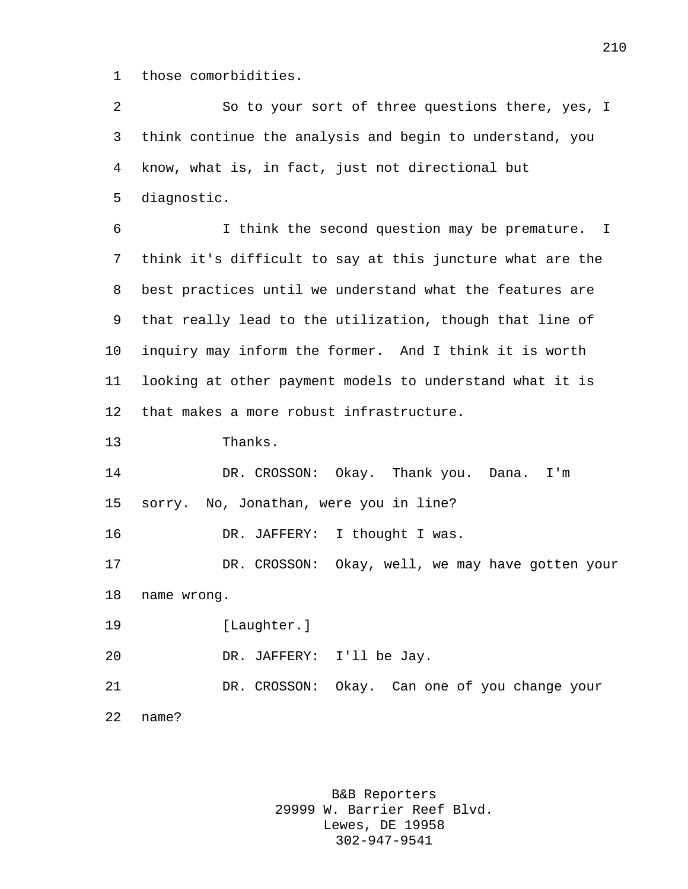those comorbidities.

 So to your sort of three questions there, yes, I think continue the analysis and begin to understand, you know, what is, in fact, just not directional but diagnostic. I think the second question may be premature. I think it's difficult to say at this juncture what are the best practices until we understand what the features are that really lead to the utilization, though that line of inquiry may inform the former. And I think it is worth looking at other payment models to understand what it is that makes a more robust infrastructure. Thanks. DR. CROSSON: Okay. Thank you. Dana. I'm sorry. No, Jonathan, were you in line? DR. JAFFERY: I thought I was. DR. CROSSON: Okay, well, we may have gotten your name wrong. [Laughter.] DR. JAFFERY: I'll be Jay. DR. CROSSON: Okay. Can one of you change your name?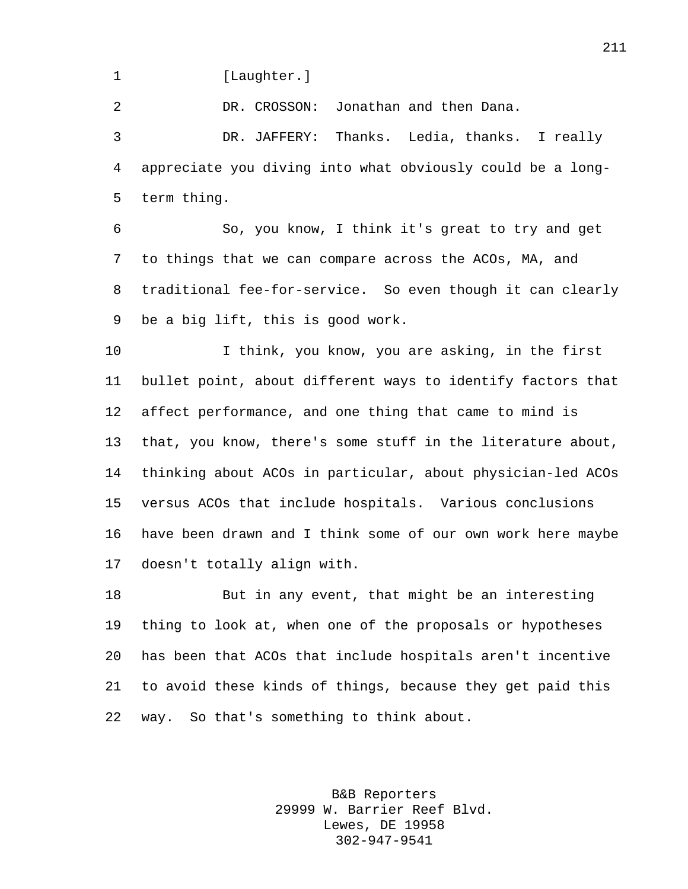1 [Laughter.]

DR. CROSSON: Jonathan and then Dana.

 DR. JAFFERY: Thanks. Ledia, thanks. I really appreciate you diving into what obviously could be a long-term thing.

 So, you know, I think it's great to try and get to things that we can compare across the ACOs, MA, and traditional fee-for-service. So even though it can clearly be a big lift, this is good work.

 I think, you know, you are asking, in the first bullet point, about different ways to identify factors that affect performance, and one thing that came to mind is that, you know, there's some stuff in the literature about, thinking about ACOs in particular, about physician-led ACOs versus ACOs that include hospitals. Various conclusions have been drawn and I think some of our own work here maybe doesn't totally align with.

 But in any event, that might be an interesting thing to look at, when one of the proposals or hypotheses has been that ACOs that include hospitals aren't incentive to avoid these kinds of things, because they get paid this way. So that's something to think about.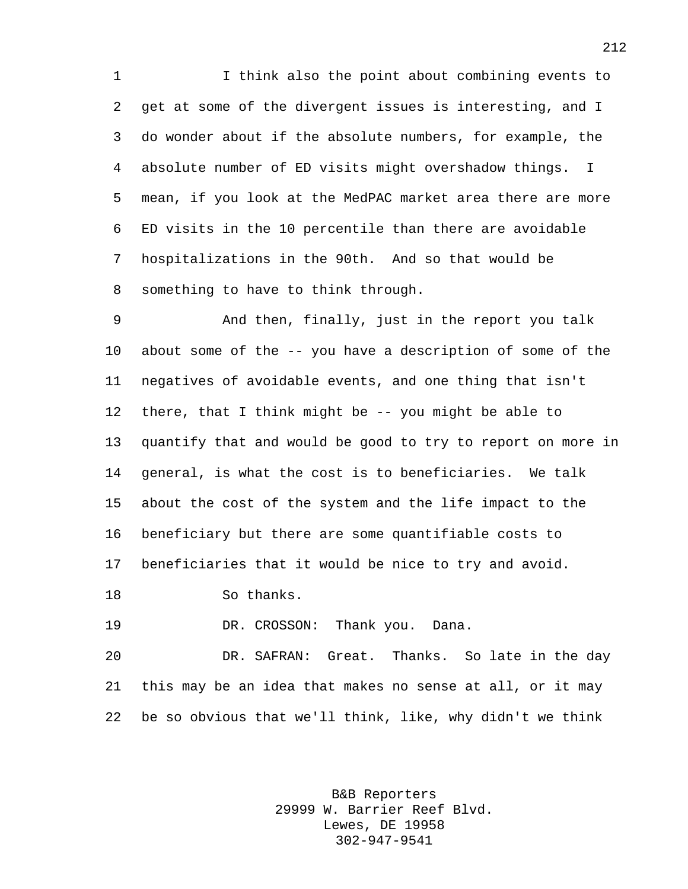I think also the point about combining events to get at some of the divergent issues is interesting, and I do wonder about if the absolute numbers, for example, the absolute number of ED visits might overshadow things. I mean, if you look at the MedPAC market area there are more ED visits in the 10 percentile than there are avoidable hospitalizations in the 90th. And so that would be something to have to think through.

 And then, finally, just in the report you talk about some of the -- you have a description of some of the negatives of avoidable events, and one thing that isn't there, that I think might be -- you might be able to quantify that and would be good to try to report on more in general, is what the cost is to beneficiaries. We talk about the cost of the system and the life impact to the beneficiary but there are some quantifiable costs to beneficiaries that it would be nice to try and avoid.

So thanks.

DR. CROSSON: Thank you. Dana.

 DR. SAFRAN: Great. Thanks. So late in the day this may be an idea that makes no sense at all, or it may be so obvious that we'll think, like, why didn't we think

> B&B Reporters 29999 W. Barrier Reef Blvd. Lewes, DE 19958 302-947-9541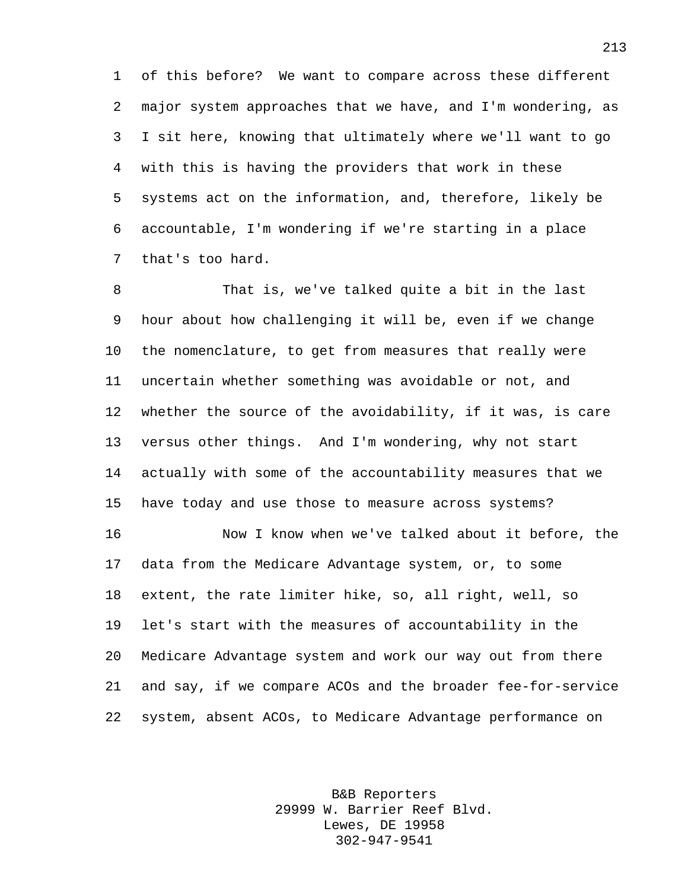of this before? We want to compare across these different major system approaches that we have, and I'm wondering, as I sit here, knowing that ultimately where we'll want to go with this is having the providers that work in these systems act on the information, and, therefore, likely be accountable, I'm wondering if we're starting in a place that's too hard.

 That is, we've talked quite a bit in the last hour about how challenging it will be, even if we change the nomenclature, to get from measures that really were uncertain whether something was avoidable or not, and whether the source of the avoidability, if it was, is care versus other things. And I'm wondering, why not start actually with some of the accountability measures that we have today and use those to measure across systems?

 Now I know when we've talked about it before, the data from the Medicare Advantage system, or, to some extent, the rate limiter hike, so, all right, well, so let's start with the measures of accountability in the Medicare Advantage system and work our way out from there and say, if we compare ACOs and the broader fee-for-service system, absent ACOs, to Medicare Advantage performance on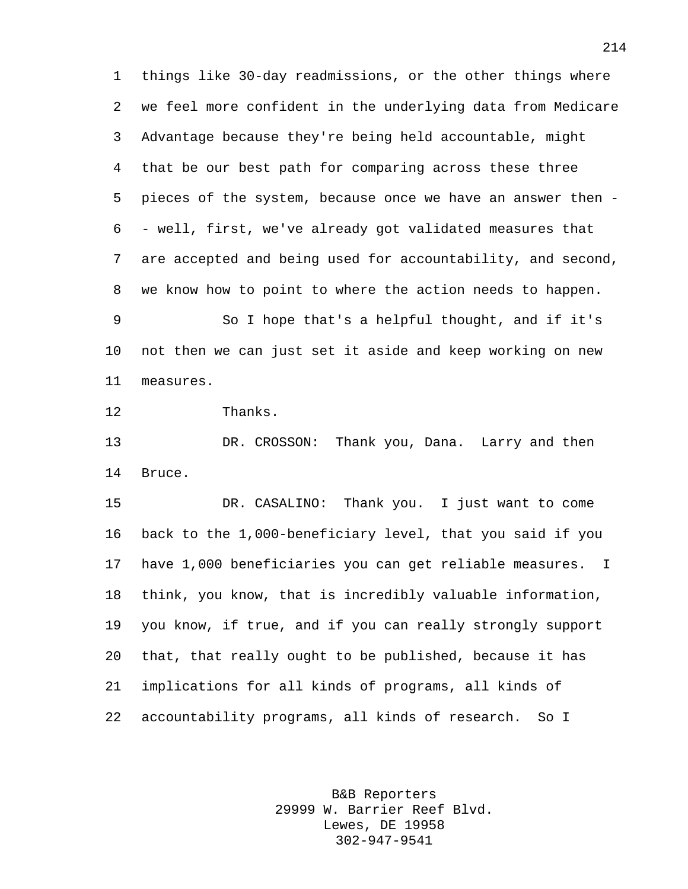things like 30-day readmissions, or the other things where we feel more confident in the underlying data from Medicare Advantage because they're being held accountable, might that be our best path for comparing across these three pieces of the system, because once we have an answer then - - well, first, we've already got validated measures that are accepted and being used for accountability, and second, we know how to point to where the action needs to happen.

 So I hope that's a helpful thought, and if it's not then we can just set it aside and keep working on new measures.

Thanks.

 DR. CROSSON: Thank you, Dana. Larry and then Bruce.

 DR. CASALINO: Thank you. I just want to come back to the 1,000-beneficiary level, that you said if you have 1,000 beneficiaries you can get reliable measures. I think, you know, that is incredibly valuable information, you know, if true, and if you can really strongly support that, that really ought to be published, because it has implications for all kinds of programs, all kinds of accountability programs, all kinds of research. So I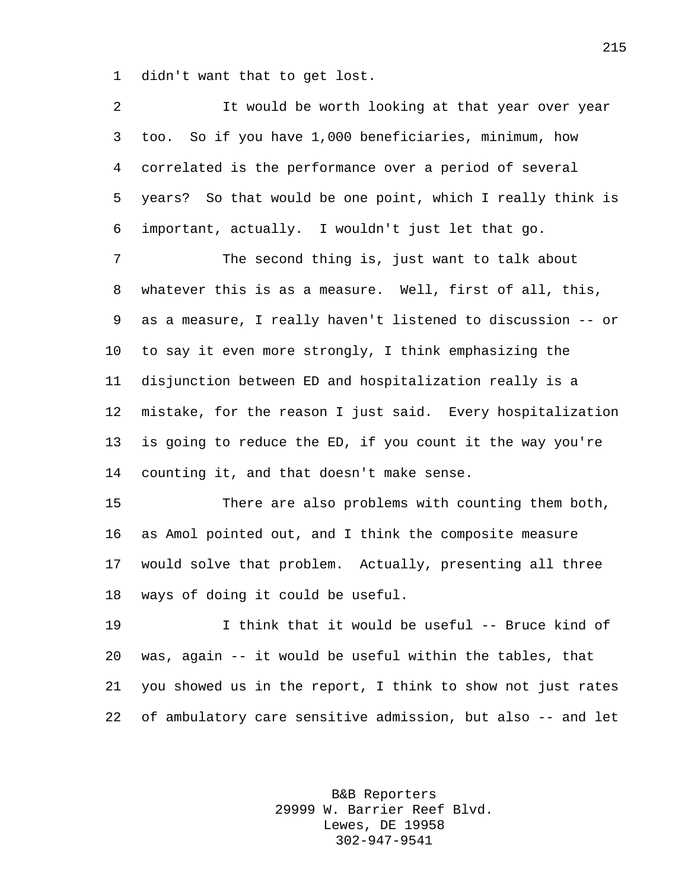didn't want that to get lost.

 It would be worth looking at that year over year too. So if you have 1,000 beneficiaries, minimum, how correlated is the performance over a period of several years? So that would be one point, which I really think is important, actually. I wouldn't just let that go. The second thing is, just want to talk about whatever this is as a measure. Well, first of all, this, as a measure, I really haven't listened to discussion -- or to say it even more strongly, I think emphasizing the disjunction between ED and hospitalization really is a mistake, for the reason I just said. Every hospitalization is going to reduce the ED, if you count it the way you're counting it, and that doesn't make sense. There are also problems with counting them both, as Amol pointed out, and I think the composite measure would solve that problem. Actually, presenting all three ways of doing it could be useful.

 I think that it would be useful -- Bruce kind of was, again -- it would be useful within the tables, that you showed us in the report, I think to show not just rates of ambulatory care sensitive admission, but also -- and let

> B&B Reporters 29999 W. Barrier Reef Blvd. Lewes, DE 19958 302-947-9541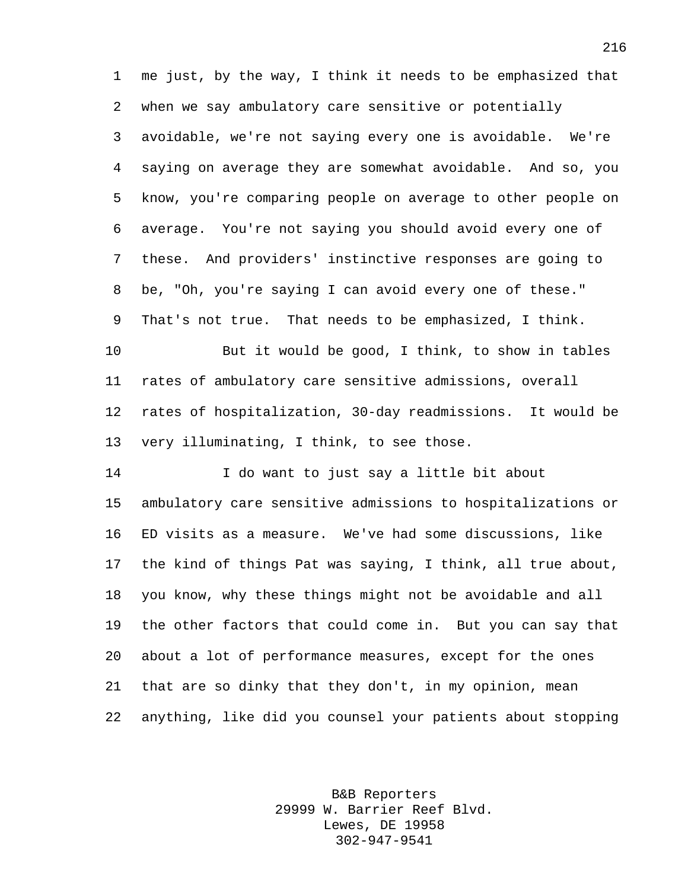me just, by the way, I think it needs to be emphasized that when we say ambulatory care sensitive or potentially avoidable, we're not saying every one is avoidable. We're saying on average they are somewhat avoidable. And so, you know, you're comparing people on average to other people on average. You're not saying you should avoid every one of these. And providers' instinctive responses are going to be, "Oh, you're saying I can avoid every one of these." That's not true. That needs to be emphasized, I think. But it would be good, I think, to show in tables

 rates of ambulatory care sensitive admissions, overall rates of hospitalization, 30-day readmissions. It would be very illuminating, I think, to see those.

 I do want to just say a little bit about ambulatory care sensitive admissions to hospitalizations or ED visits as a measure. We've had some discussions, like the kind of things Pat was saying, I think, all true about, you know, why these things might not be avoidable and all the other factors that could come in. But you can say that about a lot of performance measures, except for the ones that are so dinky that they don't, in my opinion, mean anything, like did you counsel your patients about stopping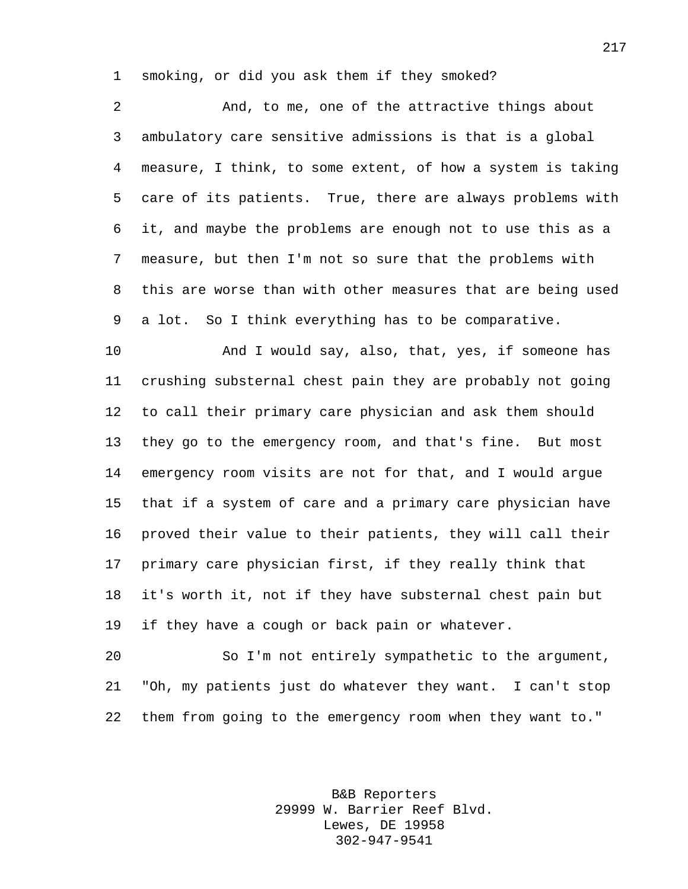smoking, or did you ask them if they smoked?

 And, to me, one of the attractive things about ambulatory care sensitive admissions is that is a global measure, I think, to some extent, of how a system is taking care of its patients. True, there are always problems with it, and maybe the problems are enough not to use this as a measure, but then I'm not so sure that the problems with this are worse than with other measures that are being used a lot. So I think everything has to be comparative.

 And I would say, also, that, yes, if someone has crushing substernal chest pain they are probably not going to call their primary care physician and ask them should they go to the emergency room, and that's fine. But most emergency room visits are not for that, and I would argue that if a system of care and a primary care physician have proved their value to their patients, they will call their primary care physician first, if they really think that it's worth it, not if they have substernal chest pain but if they have a cough or back pain or whatever.

 So I'm not entirely sympathetic to the argument, "Oh, my patients just do whatever they want. I can't stop them from going to the emergency room when they want to."

> B&B Reporters 29999 W. Barrier Reef Blvd. Lewes, DE 19958 302-947-9541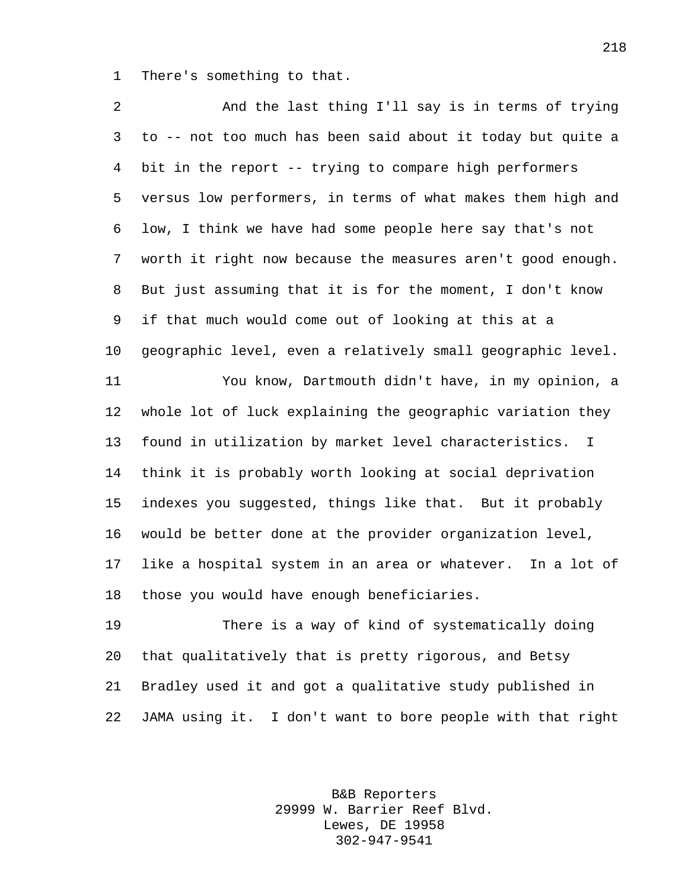There's something to that.

 And the last thing I'll say is in terms of trying to -- not too much has been said about it today but quite a bit in the report -- trying to compare high performers versus low performers, in terms of what makes them high and low, I think we have had some people here say that's not worth it right now because the measures aren't good enough. But just assuming that it is for the moment, I don't know if that much would come out of looking at this at a geographic level, even a relatively small geographic level. You know, Dartmouth didn't have, in my opinion, a whole lot of luck explaining the geographic variation they found in utilization by market level characteristics. I think it is probably worth looking at social deprivation indexes you suggested, things like that. But it probably would be better done at the provider organization level, like a hospital system in an area or whatever. In a lot of those you would have enough beneficiaries. There is a way of kind of systematically doing

 that qualitatively that is pretty rigorous, and Betsy Bradley used it and got a qualitative study published in JAMA using it. I don't want to bore people with that right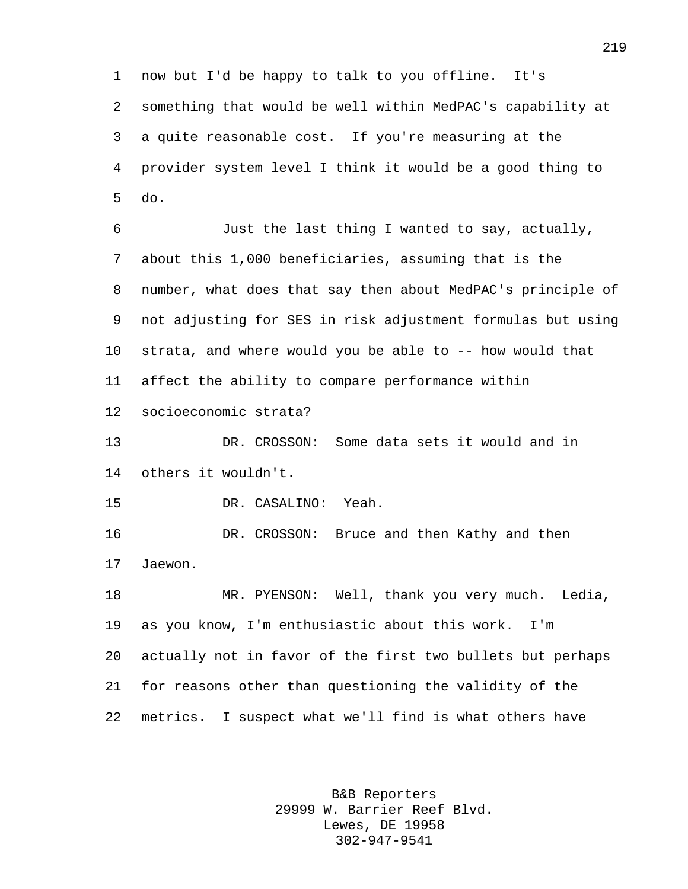now but I'd be happy to talk to you offline. It's something that would be well within MedPAC's capability at a quite reasonable cost. If you're measuring at the provider system level I think it would be a good thing to do.

 Just the last thing I wanted to say, actually, about this 1,000 beneficiaries, assuming that is the number, what does that say then about MedPAC's principle of not adjusting for SES in risk adjustment formulas but using strata, and where would you be able to -- how would that affect the ability to compare performance within socioeconomic strata?

 DR. CROSSON: Some data sets it would and in others it wouldn't.

DR. CASALINO: Yeah.

 DR. CROSSON: Bruce and then Kathy and then Jaewon.

 MR. PYENSON: Well, thank you very much. Ledia, as you know, I'm enthusiastic about this work. I'm actually not in favor of the first two bullets but perhaps for reasons other than questioning the validity of the metrics. I suspect what we'll find is what others have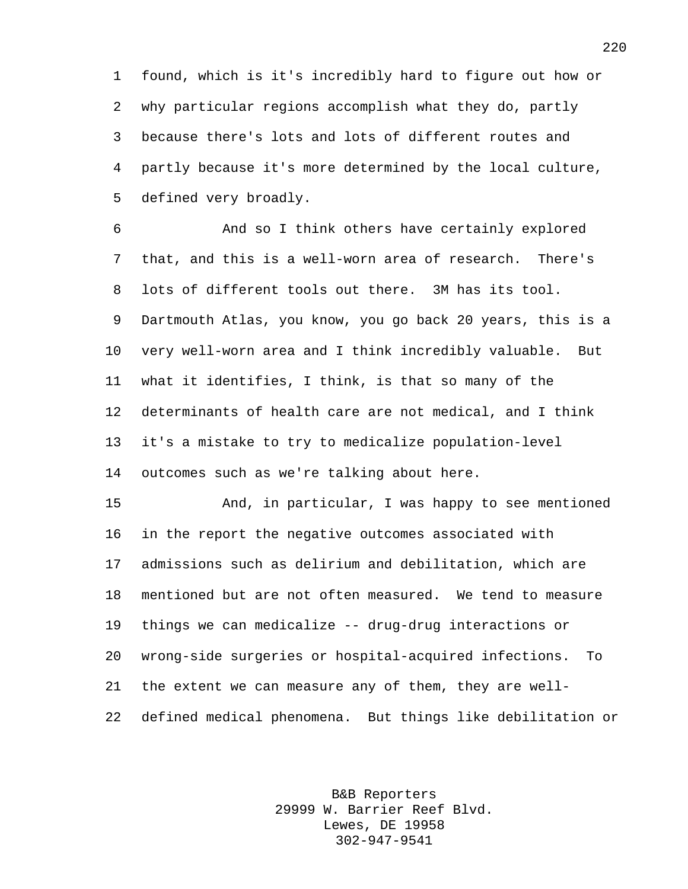found, which is it's incredibly hard to figure out how or why particular regions accomplish what they do, partly because there's lots and lots of different routes and partly because it's more determined by the local culture, defined very broadly.

 And so I think others have certainly explored that, and this is a well-worn area of research. There's lots of different tools out there. 3M has its tool. Dartmouth Atlas, you know, you go back 20 years, this is a very well-worn area and I think incredibly valuable. But what it identifies, I think, is that so many of the determinants of health care are not medical, and I think it's a mistake to try to medicalize population-level outcomes such as we're talking about here.

 And, in particular, I was happy to see mentioned in the report the negative outcomes associated with admissions such as delirium and debilitation, which are mentioned but are not often measured. We tend to measure things we can medicalize -- drug-drug interactions or wrong-side surgeries or hospital-acquired infections. To the extent we can measure any of them, they are well-defined medical phenomena. But things like debilitation or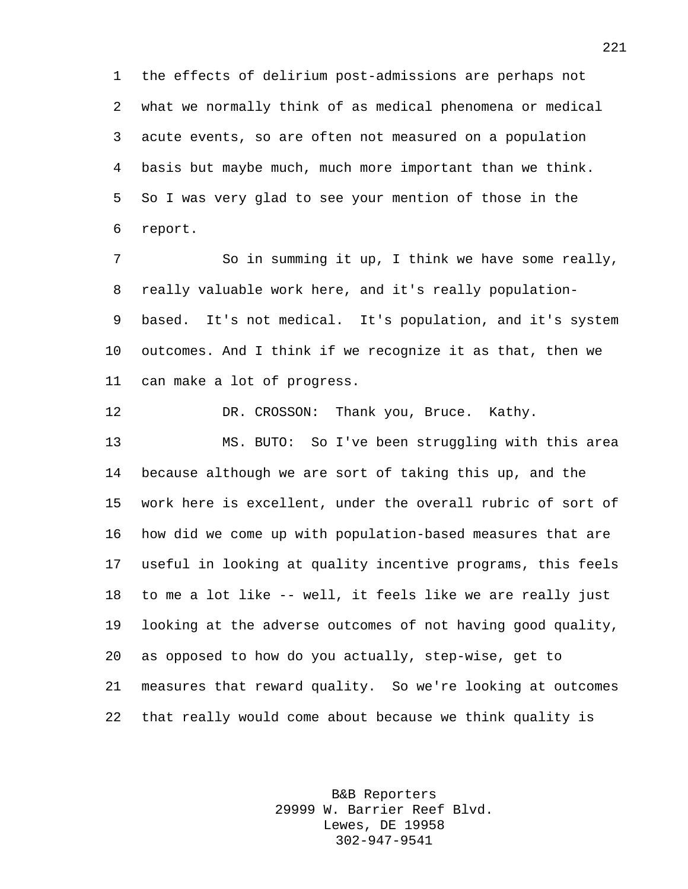the effects of delirium post-admissions are perhaps not what we normally think of as medical phenomena or medical acute events, so are often not measured on a population basis but maybe much, much more important than we think. So I was very glad to see your mention of those in the report.

 So in summing it up, I think we have some really, really valuable work here, and it's really population- based. It's not medical. It's population, and it's system outcomes. And I think if we recognize it as that, then we can make a lot of progress.

DR. CROSSON: Thank you, Bruce. Kathy.

 MS. BUTO: So I've been struggling with this area because although we are sort of taking this up, and the work here is excellent, under the overall rubric of sort of how did we come up with population-based measures that are useful in looking at quality incentive programs, this feels to me a lot like -- well, it feels like we are really just looking at the adverse outcomes of not having good quality, as opposed to how do you actually, step-wise, get to measures that reward quality. So we're looking at outcomes that really would come about because we think quality is

> B&B Reporters 29999 W. Barrier Reef Blvd. Lewes, DE 19958 302-947-9541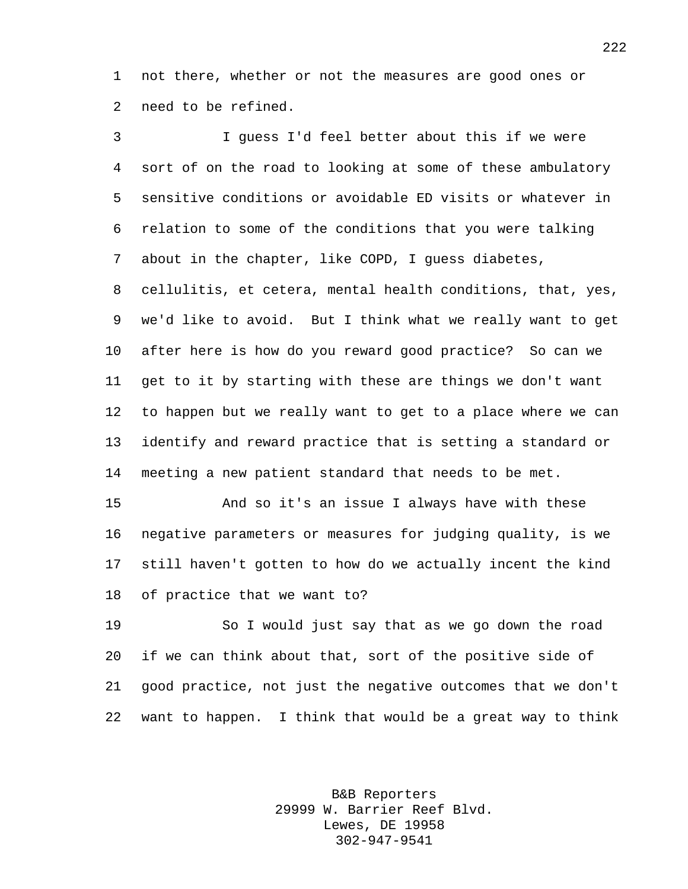not there, whether or not the measures are good ones or need to be refined.

 I guess I'd feel better about this if we were sort of on the road to looking at some of these ambulatory sensitive conditions or avoidable ED visits or whatever in relation to some of the conditions that you were talking about in the chapter, like COPD, I guess diabetes, cellulitis, et cetera, mental health conditions, that, yes, we'd like to avoid. But I think what we really want to get after here is how do you reward good practice? So can we get to it by starting with these are things we don't want to happen but we really want to get to a place where we can identify and reward practice that is setting a standard or meeting a new patient standard that needs to be met.

 And so it's an issue I always have with these negative parameters or measures for judging quality, is we still haven't gotten to how do we actually incent the kind of practice that we want to?

 So I would just say that as we go down the road if we can think about that, sort of the positive side of good practice, not just the negative outcomes that we don't want to happen. I think that would be a great way to think

> B&B Reporters 29999 W. Barrier Reef Blvd. Lewes, DE 19958 302-947-9541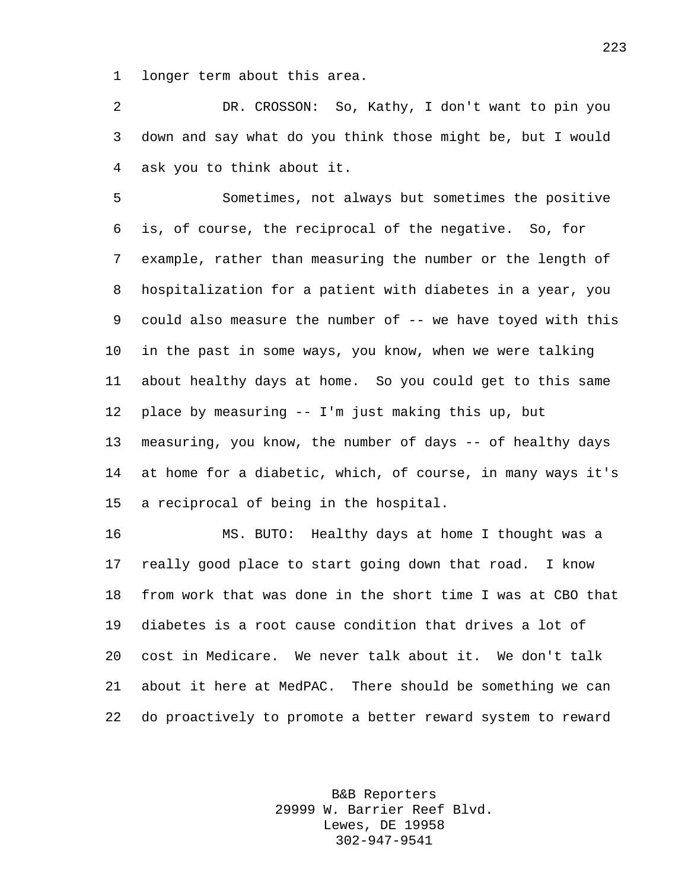longer term about this area.

 DR. CROSSON: So, Kathy, I don't want to pin you down and say what do you think those might be, but I would ask you to think about it.

 Sometimes, not always but sometimes the positive is, of course, the reciprocal of the negative. So, for example, rather than measuring the number or the length of hospitalization for a patient with diabetes in a year, you 9 could also measure the number of -- we have toyed with this in the past in some ways, you know, when we were talking about healthy days at home. So you could get to this same place by measuring -- I'm just making this up, but measuring, you know, the number of days -- of healthy days at home for a diabetic, which, of course, in many ways it's a reciprocal of being in the hospital.

 MS. BUTO: Healthy days at home I thought was a really good place to start going down that road. I know from work that was done in the short time I was at CBO that diabetes is a root cause condition that drives a lot of cost in Medicare. We never talk about it. We don't talk about it here at MedPAC. There should be something we can do proactively to promote a better reward system to reward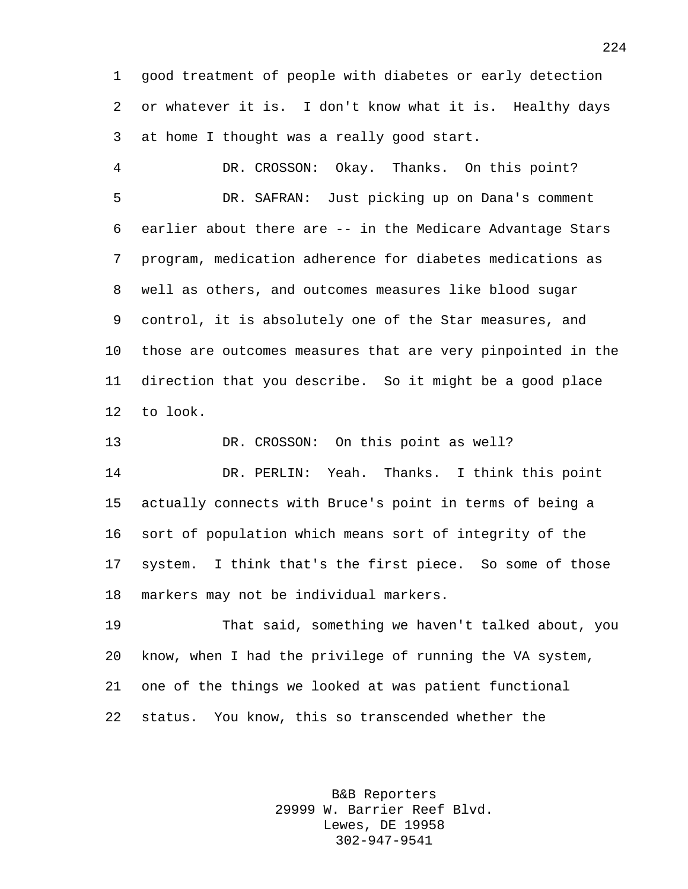good treatment of people with diabetes or early detection or whatever it is. I don't know what it is. Healthy days at home I thought was a really good start.

 DR. CROSSON: Okay. Thanks. On this point? DR. SAFRAN: Just picking up on Dana's comment earlier about there are -- in the Medicare Advantage Stars program, medication adherence for diabetes medications as well as others, and outcomes measures like blood sugar control, it is absolutely one of the Star measures, and those are outcomes measures that are very pinpointed in the direction that you describe. So it might be a good place to look.

 DR. CROSSON: On this point as well? DR. PERLIN: Yeah. Thanks. I think this point actually connects with Bruce's point in terms of being a sort of population which means sort of integrity of the system. I think that's the first piece. So some of those markers may not be individual markers.

 That said, something we haven't talked about, you know, when I had the privilege of running the VA system, one of the things we looked at was patient functional status. You know, this so transcended whether the

> B&B Reporters 29999 W. Barrier Reef Blvd. Lewes, DE 19958 302-947-9541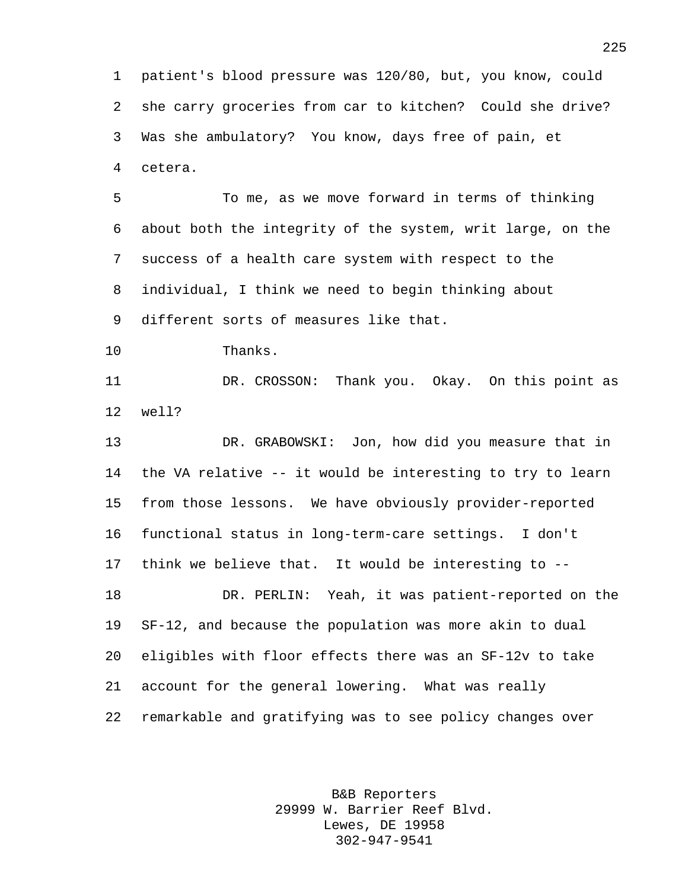patient's blood pressure was 120/80, but, you know, could she carry groceries from car to kitchen? Could she drive? Was she ambulatory? You know, days free of pain, et cetera.

 To me, as we move forward in terms of thinking about both the integrity of the system, writ large, on the success of a health care system with respect to the individual, I think we need to begin thinking about different sorts of measures like that.

Thanks.

 DR. CROSSON: Thank you. Okay. On this point as well?

 DR. GRABOWSKI: Jon, how did you measure that in the VA relative -- it would be interesting to try to learn from those lessons. We have obviously provider-reported functional status in long-term-care settings. I don't think we believe that. It would be interesting to -- DR. PERLIN: Yeah, it was patient-reported on the SF-12, and because the population was more akin to dual eligibles with floor effects there was an SF-12v to take account for the general lowering. What was really remarkable and gratifying was to see policy changes over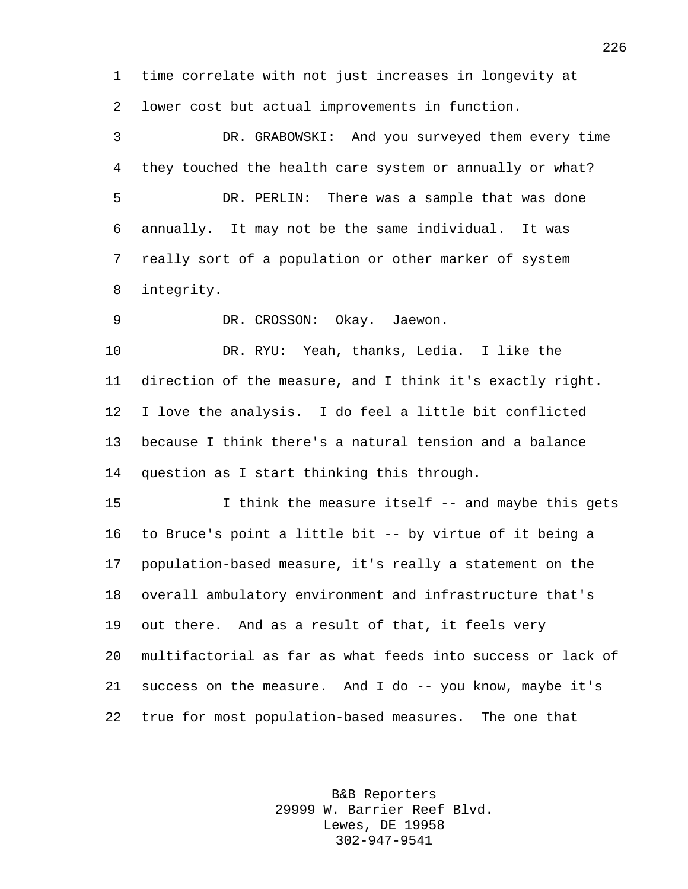time correlate with not just increases in longevity at lower cost but actual improvements in function.

 DR. GRABOWSKI: And you surveyed them every time they touched the health care system or annually or what? DR. PERLIN: There was a sample that was done annually. It may not be the same individual. It was really sort of a population or other marker of system integrity.

DR. CROSSON: Okay. Jaewon.

 DR. RYU: Yeah, thanks, Ledia. I like the direction of the measure, and I think it's exactly right. I love the analysis. I do feel a little bit conflicted because I think there's a natural tension and a balance question as I start thinking this through.

 I think the measure itself -- and maybe this gets to Bruce's point a little bit -- by virtue of it being a population-based measure, it's really a statement on the overall ambulatory environment and infrastructure that's out there. And as a result of that, it feels very multifactorial as far as what feeds into success or lack of success on the measure. And I do -- you know, maybe it's true for most population-based measures. The one that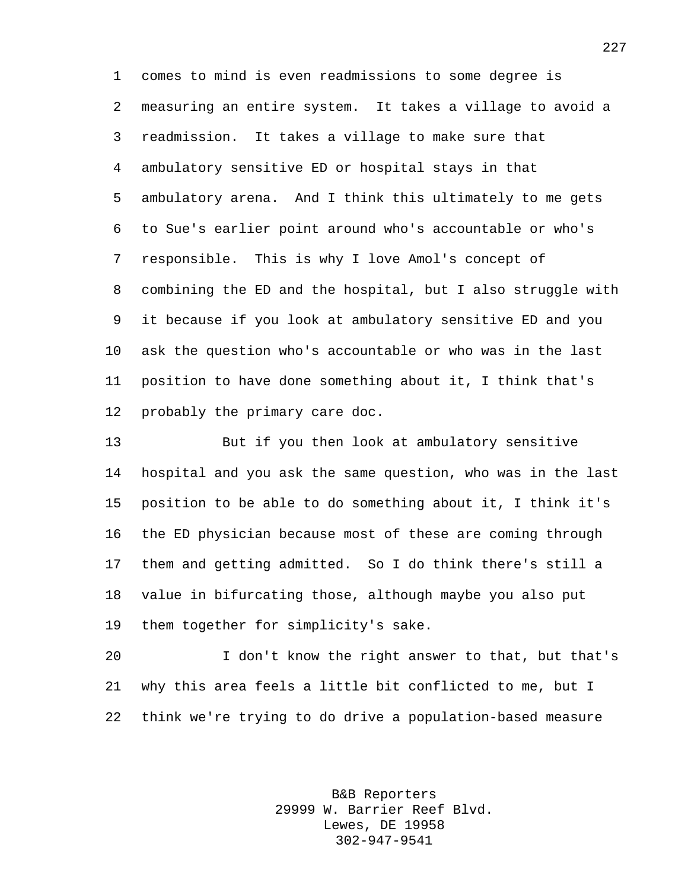comes to mind is even readmissions to some degree is measuring an entire system. It takes a village to avoid a readmission. It takes a village to make sure that ambulatory sensitive ED or hospital stays in that ambulatory arena. And I think this ultimately to me gets to Sue's earlier point around who's accountable or who's responsible. This is why I love Amol's concept of combining the ED and the hospital, but I also struggle with it because if you look at ambulatory sensitive ED and you ask the question who's accountable or who was in the last position to have done something about it, I think that's probably the primary care doc.

 But if you then look at ambulatory sensitive hospital and you ask the same question, who was in the last position to be able to do something about it, I think it's the ED physician because most of these are coming through them and getting admitted. So I do think there's still a value in bifurcating those, although maybe you also put them together for simplicity's sake.

 I don't know the right answer to that, but that's why this area feels a little bit conflicted to me, but I think we're trying to do drive a population-based measure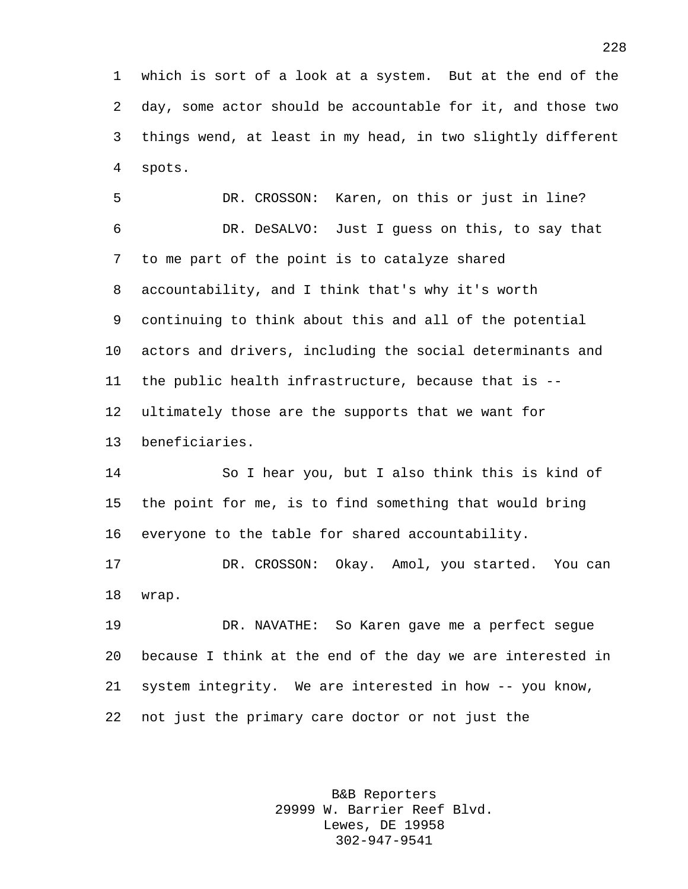which is sort of a look at a system. But at the end of the day, some actor should be accountable for it, and those two things wend, at least in my head, in two slightly different spots.

 DR. CROSSON: Karen, on this or just in line? DR. DeSALVO: Just I guess on this, to say that to me part of the point is to catalyze shared accountability, and I think that's why it's worth continuing to think about this and all of the potential actors and drivers, including the social determinants and the public health infrastructure, because that is -- ultimately those are the supports that we want for beneficiaries.

 So I hear you, but I also think this is kind of the point for me, is to find something that would bring everyone to the table for shared accountability.

 DR. CROSSON: Okay. Amol, you started. You can wrap.

 DR. NAVATHE: So Karen gave me a perfect segue because I think at the end of the day we are interested in system integrity. We are interested in how -- you know, not just the primary care doctor or not just the

> B&B Reporters 29999 W. Barrier Reef Blvd. Lewes, DE 19958 302-947-9541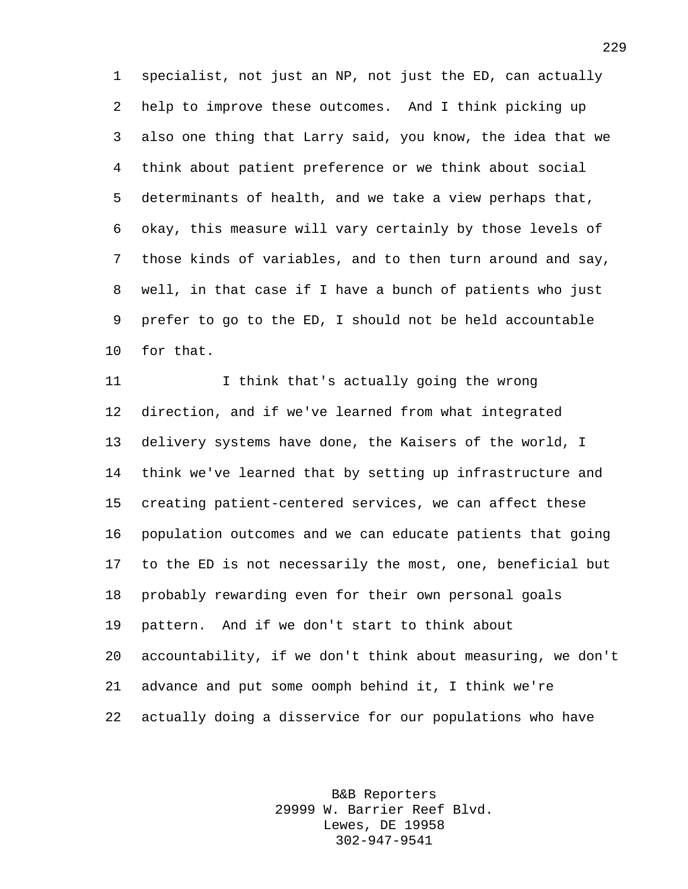specialist, not just an NP, not just the ED, can actually help to improve these outcomes. And I think picking up also one thing that Larry said, you know, the idea that we think about patient preference or we think about social determinants of health, and we take a view perhaps that, okay, this measure will vary certainly by those levels of those kinds of variables, and to then turn around and say, well, in that case if I have a bunch of patients who just prefer to go to the ED, I should not be held accountable for that.

 I think that's actually going the wrong direction, and if we've learned from what integrated delivery systems have done, the Kaisers of the world, I think we've learned that by setting up infrastructure and creating patient-centered services, we can affect these population outcomes and we can educate patients that going to the ED is not necessarily the most, one, beneficial but probably rewarding even for their own personal goals pattern. And if we don't start to think about accountability, if we don't think about measuring, we don't advance and put some oomph behind it, I think we're actually doing a disservice for our populations who have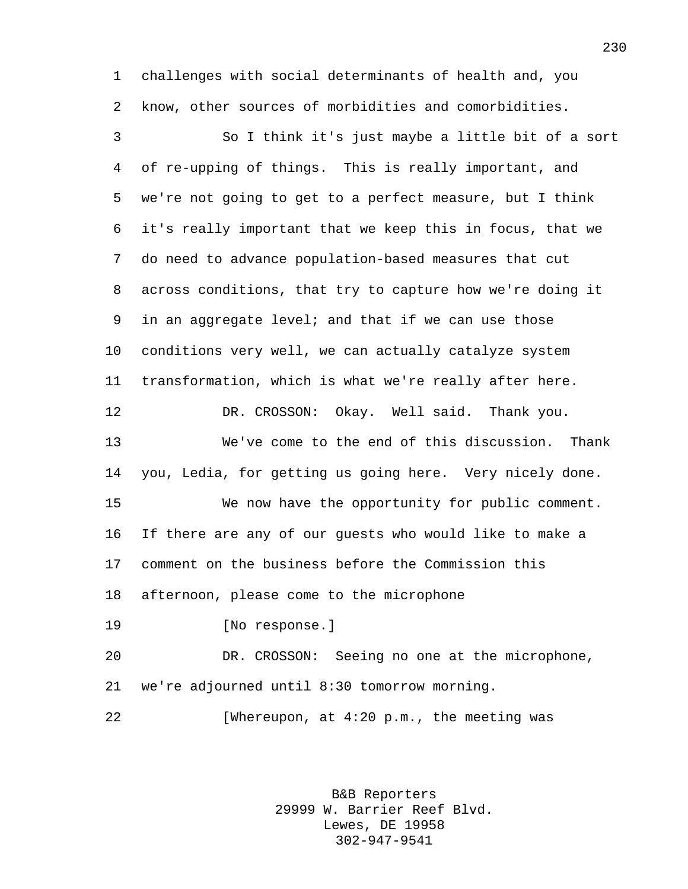challenges with social determinants of health and, you know, other sources of morbidities and comorbidities.

 So I think it's just maybe a little bit of a sort of re-upping of things. This is really important, and we're not going to get to a perfect measure, but I think it's really important that we keep this in focus, that we do need to advance population-based measures that cut across conditions, that try to capture how we're doing it in an aggregate level; and that if we can use those conditions very well, we can actually catalyze system transformation, which is what we're really after here. DR. CROSSON: Okay. Well said. Thank you. We've come to the end of this discussion. Thank you, Ledia, for getting us going here. Very nicely done. We now have the opportunity for public comment. If there are any of our guests who would like to make a comment on the business before the Commission this afternoon, please come to the microphone [No response.] DR. CROSSON: Seeing no one at the microphone, we're adjourned until 8:30 tomorrow morning.

22 [Whereupon, at 4:20 p.m., the meeting was

B&B Reporters 29999 W. Barrier Reef Blvd. Lewes, DE 19958 302-947-9541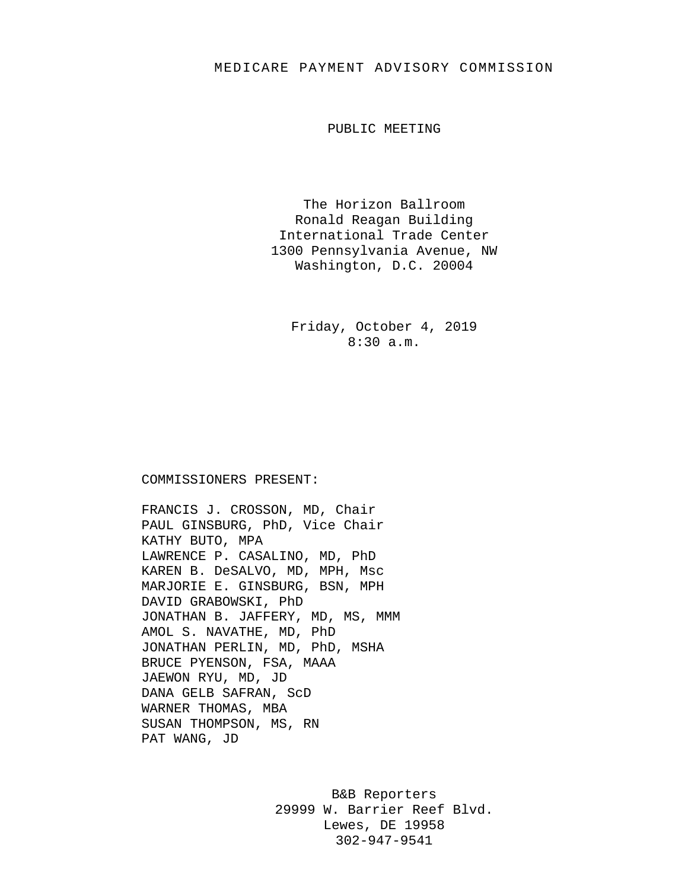## MEDICARE PAYMENT ADVISORY COMMISSION

PUBLIC MEETING

The Horizon Ballroom Ronald Reagan Building International Trade Center 1300 Pennsylvania Avenue, NW Washington, D.C. 20004

Friday, October 4, 2019 8:30 a.m.

COMMISSIONERS PRESENT:

FRANCIS J. CROSSON, MD, Chair PAUL GINSBURG, PhD, Vice Chair KATHY BUTO, MPA LAWRENCE P. CASALINO, MD, PhD KAREN B. DeSALVO, MD, MPH, Msc MARJORIE E. GINSBURG, BSN, MPH DAVID GRABOWSKI, PhD JONATHAN B. JAFFERY, MD, MS, MMM AMOL S. NAVATHE, MD, PhD JONATHAN PERLIN, MD, PhD, MSHA BRUCE PYENSON, FSA, MAAA JAEWON RYU, MD, JD DANA GELB SAFRAN, ScD WARNER THOMAS, MBA SUSAN THOMPSON, MS, RN PAT WANG, JD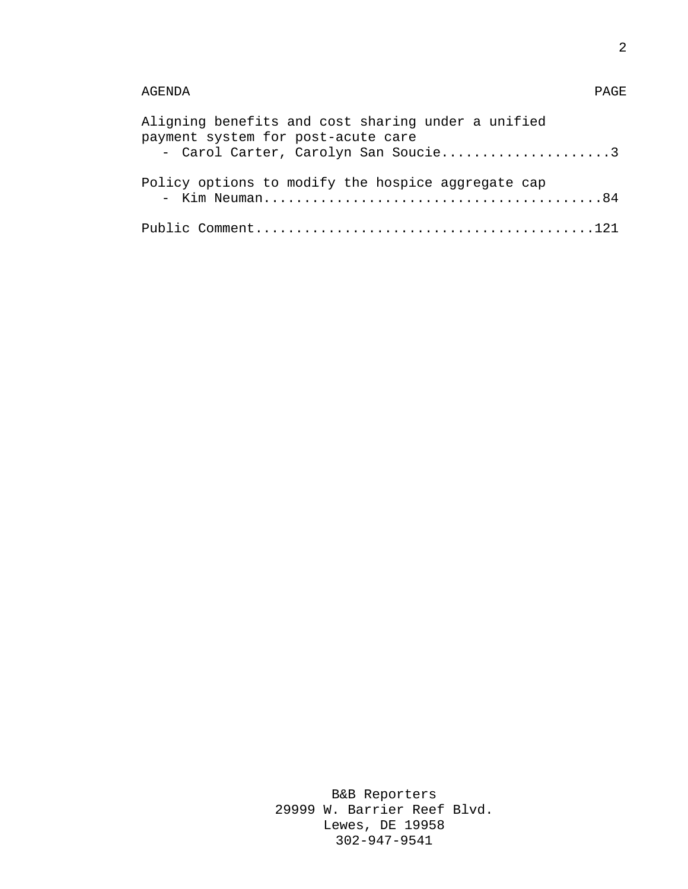## AGENDA PAGE

| Aligning benefits and cost sharing under a unified                        |  |
|---------------------------------------------------------------------------|--|
| payment system for post-acute care<br>- Carol Carter, Carolyn San Soucie3 |  |
|                                                                           |  |
| Policy options to modify the hospice aggregate cap                        |  |
|                                                                           |  |
|                                                                           |  |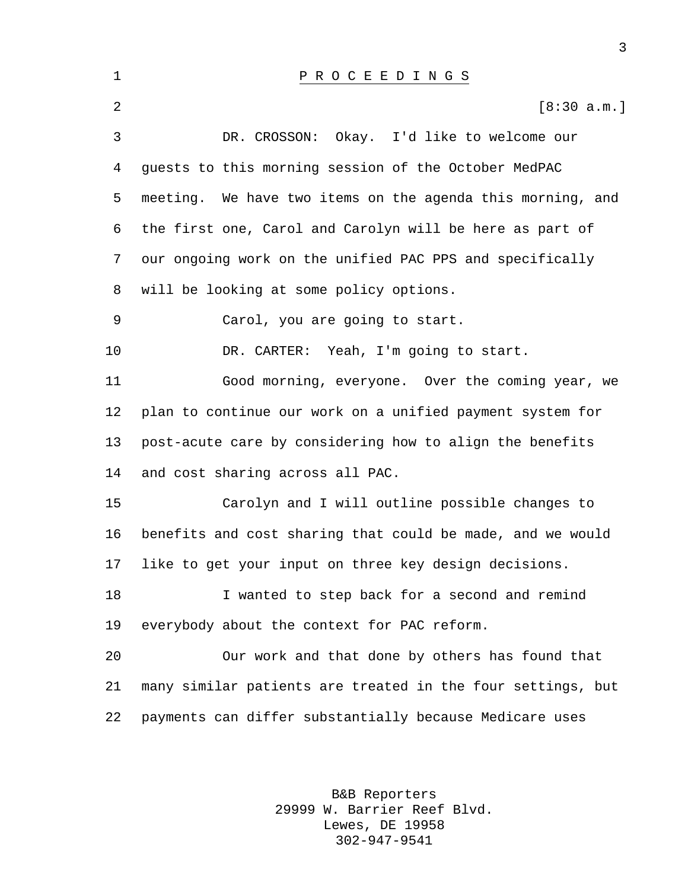| 1  | PROCEEDINGS                                                 |
|----|-------------------------------------------------------------|
| 2  | [8:30 a.m.]                                                 |
| 3  | Okay. I'd like to welcome our<br>DR. CROSSON:               |
| 4  | guests to this morning session of the October MedPAC        |
| 5  | meeting. We have two items on the agenda this morning, and  |
| 6  | the first one, Carol and Carolyn will be here as part of    |
| 7  | our ongoing work on the unified PAC PPS and specifically    |
| 8  | will be looking at some policy options.                     |
| 9  | Carol, you are going to start.                              |
| 10 | DR. CARTER: Yeah, I'm going to start.                       |
| 11 | Good morning, everyone. Over the coming year, we            |
| 12 | plan to continue our work on a unified payment system for   |
| 13 | post-acute care by considering how to align the benefits    |
| 14 | and cost sharing across all PAC.                            |
| 15 | Carolyn and I will outline possible changes to              |
| 16 | benefits and cost sharing that could be made, and we would  |
| 17 | like to get your input on three key design decisions.       |
| 18 | I wanted to step back for a second and remind               |
| 19 | everybody about the context for PAC reform.                 |
| 20 | Our work and that done by others has found that             |
| 21 | many similar patients are treated in the four settings, but |
| 22 | payments can differ substantially because Medicare uses     |

B&B Reporters 29999 W. Barrier Reef Blvd. Lewes, DE 19958 302-947-9541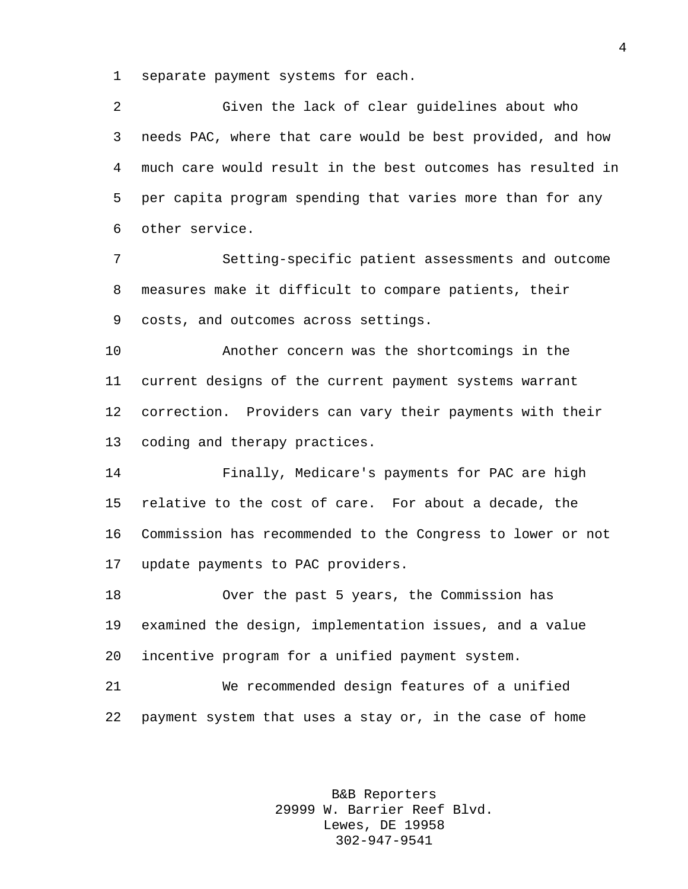separate payment systems for each.

 Given the lack of clear guidelines about who needs PAC, where that care would be best provided, and how much care would result in the best outcomes has resulted in per capita program spending that varies more than for any other service.

 Setting-specific patient assessments and outcome measures make it difficult to compare patients, their costs, and outcomes across settings.

 Another concern was the shortcomings in the current designs of the current payment systems warrant correction. Providers can vary their payments with their coding and therapy practices.

 Finally, Medicare's payments for PAC are high relative to the cost of care. For about a decade, the Commission has recommended to the Congress to lower or not update payments to PAC providers.

 Over the past 5 years, the Commission has examined the design, implementation issues, and a value incentive program for a unified payment system.

 We recommended design features of a unified payment system that uses a stay or, in the case of home

> B&B Reporters 29999 W. Barrier Reef Blvd. Lewes, DE 19958 302-947-9541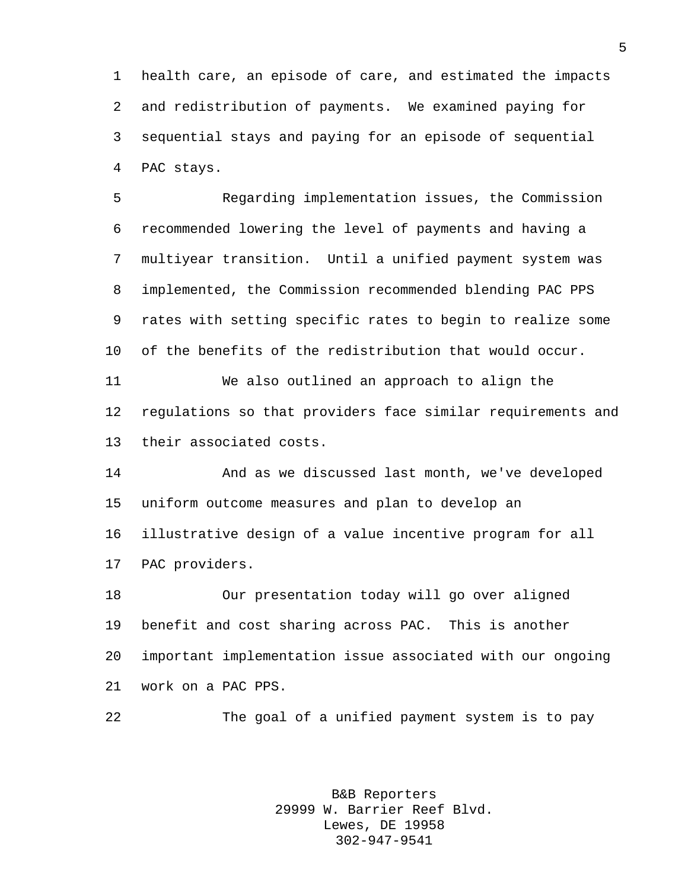health care, an episode of care, and estimated the impacts and redistribution of payments. We examined paying for sequential stays and paying for an episode of sequential PAC stays.

 Regarding implementation issues, the Commission recommended lowering the level of payments and having a multiyear transition. Until a unified payment system was implemented, the Commission recommended blending PAC PPS rates with setting specific rates to begin to realize some of the benefits of the redistribution that would occur. We also outlined an approach to align the

 regulations so that providers face similar requirements and their associated costs.

 And as we discussed last month, we've developed uniform outcome measures and plan to develop an illustrative design of a value incentive program for all PAC providers.

 Our presentation today will go over aligned benefit and cost sharing across PAC. This is another important implementation issue associated with our ongoing work on a PAC PPS.

The goal of a unified payment system is to pay

B&B Reporters 29999 W. Barrier Reef Blvd. Lewes, DE 19958 302-947-9541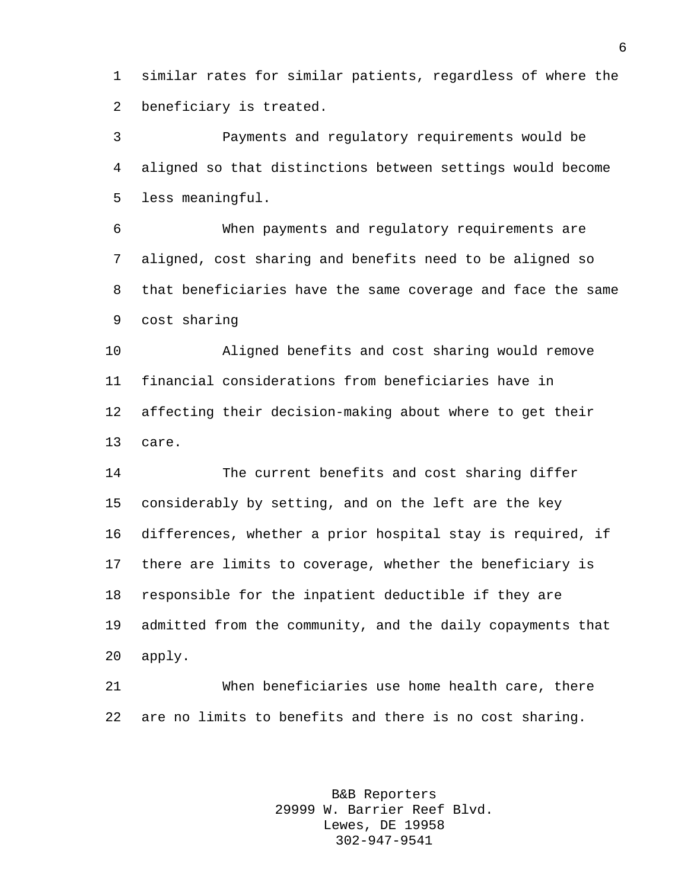similar rates for similar patients, regardless of where the beneficiary is treated.

 Payments and regulatory requirements would be aligned so that distinctions between settings would become less meaningful.

 When payments and regulatory requirements are aligned, cost sharing and benefits need to be aligned so that beneficiaries have the same coverage and face the same cost sharing

 Aligned benefits and cost sharing would remove financial considerations from beneficiaries have in affecting their decision-making about where to get their care.

 The current benefits and cost sharing differ considerably by setting, and on the left are the key differences, whether a prior hospital stay is required, if there are limits to coverage, whether the beneficiary is responsible for the inpatient deductible if they are admitted from the community, and the daily copayments that apply.

 When beneficiaries use home health care, there are no limits to benefits and there is no cost sharing.

> B&B Reporters 29999 W. Barrier Reef Blvd. Lewes, DE 19958 302-947-9541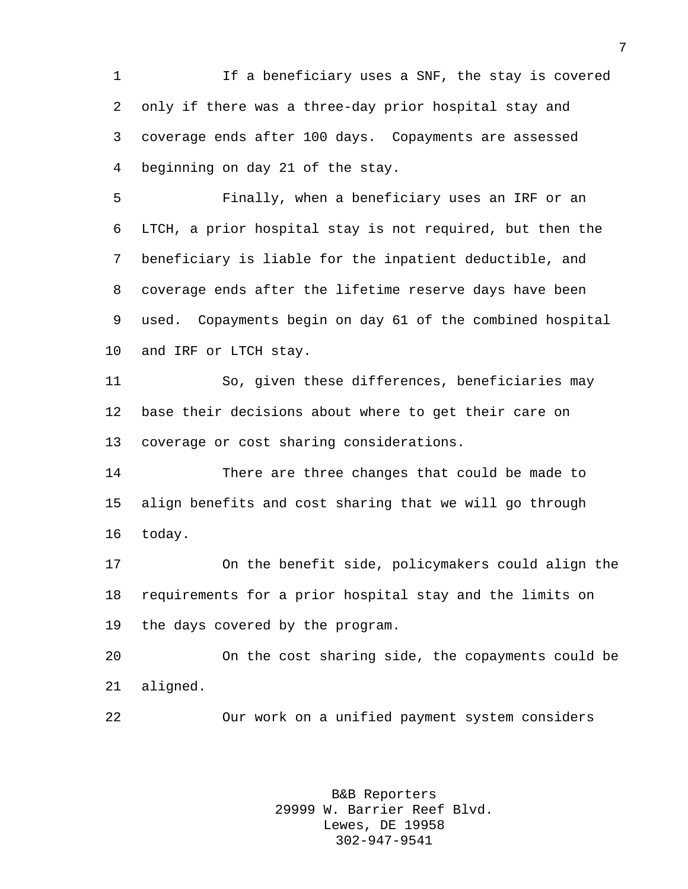If a beneficiary uses a SNF, the stay is covered only if there was a three-day prior hospital stay and coverage ends after 100 days. Copayments are assessed beginning on day 21 of the stay.

 Finally, when a beneficiary uses an IRF or an LTCH, a prior hospital stay is not required, but then the beneficiary is liable for the inpatient deductible, and coverage ends after the lifetime reserve days have been used. Copayments begin on day 61 of the combined hospital and IRF or LTCH stay.

 So, given these differences, beneficiaries may base their decisions about where to get their care on coverage or cost sharing considerations.

 There are three changes that could be made to align benefits and cost sharing that we will go through today.

 On the benefit side, policymakers could align the requirements for a prior hospital stay and the limits on the days covered by the program.

 On the cost sharing side, the copayments could be aligned.

Our work on a unified payment system considers

B&B Reporters 29999 W. Barrier Reef Blvd. Lewes, DE 19958 302-947-9541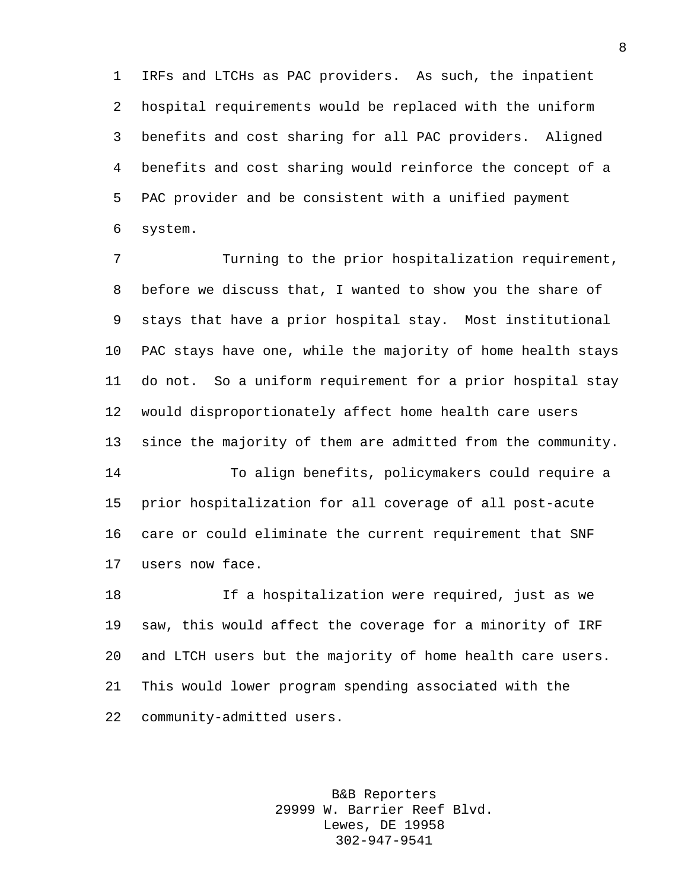IRFs and LTCHs as PAC providers. As such, the inpatient hospital requirements would be replaced with the uniform benefits and cost sharing for all PAC providers. Aligned benefits and cost sharing would reinforce the concept of a PAC provider and be consistent with a unified payment system.

 Turning to the prior hospitalization requirement, before we discuss that, I wanted to show you the share of stays that have a prior hospital stay. Most institutional PAC stays have one, while the majority of home health stays do not. So a uniform requirement for a prior hospital stay would disproportionately affect home health care users since the majority of them are admitted from the community. To align benefits, policymakers could require a prior hospitalization for all coverage of all post-acute care or could eliminate the current requirement that SNF

users now face.

 If a hospitalization were required, just as we saw, this would affect the coverage for a minority of IRF and LTCH users but the majority of home health care users. This would lower program spending associated with the community-admitted users.

> B&B Reporters 29999 W. Barrier Reef Blvd. Lewes, DE 19958 302-947-9541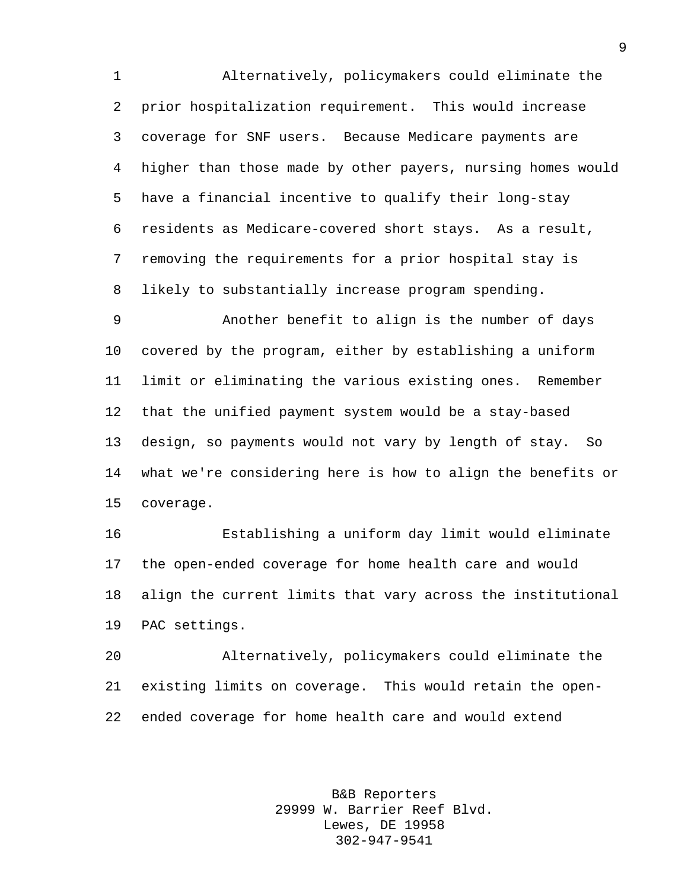Alternatively, policymakers could eliminate the prior hospitalization requirement. This would increase coverage for SNF users. Because Medicare payments are higher than those made by other payers, nursing homes would have a financial incentive to qualify their long-stay residents as Medicare-covered short stays. As a result, removing the requirements for a prior hospital stay is likely to substantially increase program spending.

 Another benefit to align is the number of days covered by the program, either by establishing a uniform limit or eliminating the various existing ones. Remember that the unified payment system would be a stay-based design, so payments would not vary by length of stay. So what we're considering here is how to align the benefits or coverage.

 Establishing a uniform day limit would eliminate the open-ended coverage for home health care and would align the current limits that vary across the institutional PAC settings.

 Alternatively, policymakers could eliminate the existing limits on coverage. This would retain the open-ended coverage for home health care and would extend

> B&B Reporters 29999 W. Barrier Reef Blvd. Lewes, DE 19958 302-947-9541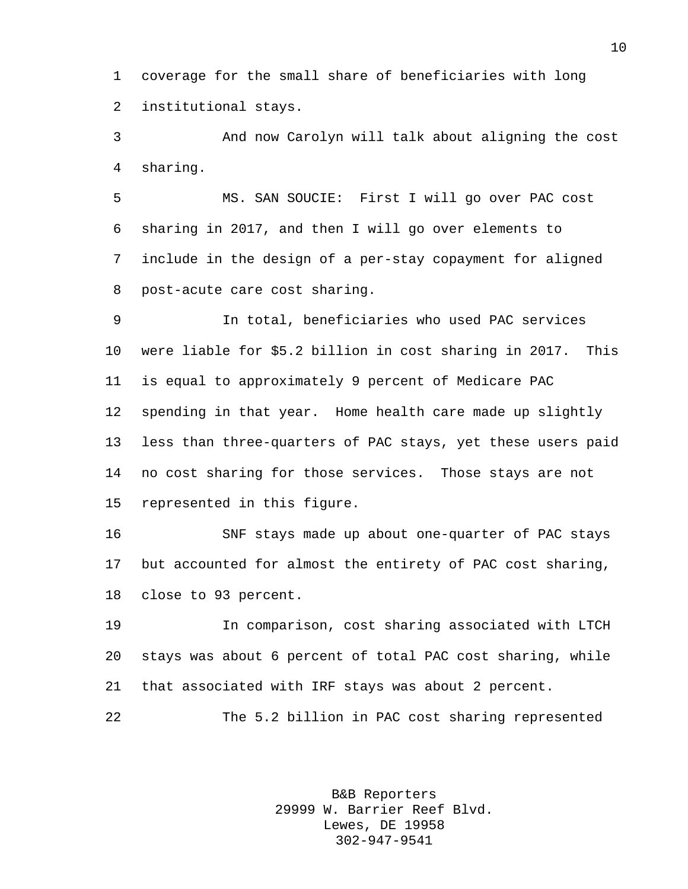coverage for the small share of beneficiaries with long institutional stays.

 And now Carolyn will talk about aligning the cost sharing.

 MS. SAN SOUCIE: First I will go over PAC cost sharing in 2017, and then I will go over elements to include in the design of a per-stay copayment for aligned post-acute care cost sharing.

 In total, beneficiaries who used PAC services were liable for \$5.2 billion in cost sharing in 2017. This is equal to approximately 9 percent of Medicare PAC spending in that year. Home health care made up slightly less than three-quarters of PAC stays, yet these users paid no cost sharing for those services. Those stays are not represented in this figure.

 SNF stays made up about one-quarter of PAC stays but accounted for almost the entirety of PAC cost sharing, close to 93 percent.

 In comparison, cost sharing associated with LTCH stays was about 6 percent of total PAC cost sharing, while that associated with IRF stays was about 2 percent.

The 5.2 billion in PAC cost sharing represented

B&B Reporters 29999 W. Barrier Reef Blvd. Lewes, DE 19958 302-947-9541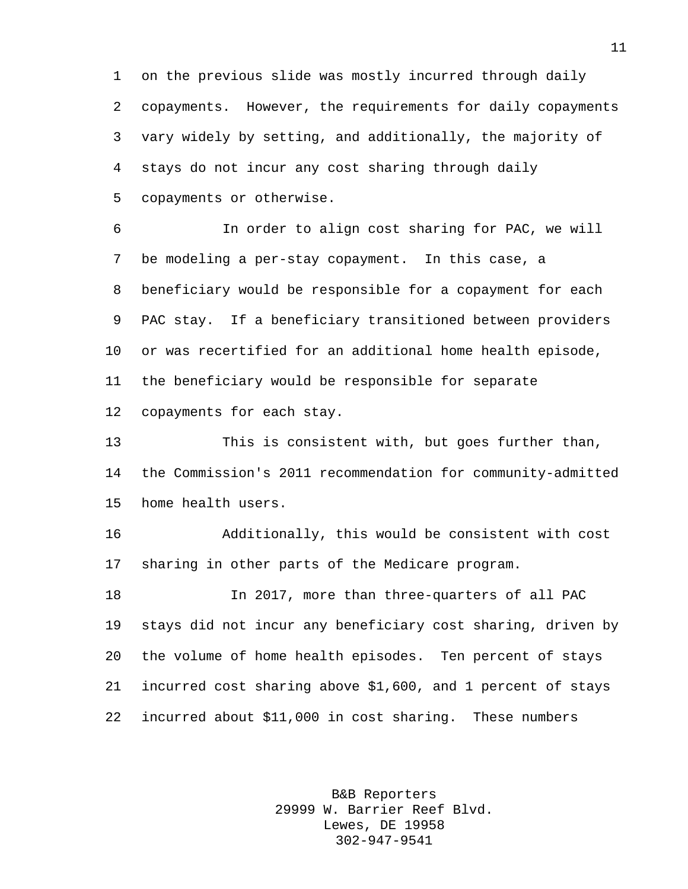on the previous slide was mostly incurred through daily copayments. However, the requirements for daily copayments vary widely by setting, and additionally, the majority of stays do not incur any cost sharing through daily copayments or otherwise.

 In order to align cost sharing for PAC, we will be modeling a per-stay copayment. In this case, a beneficiary would be responsible for a copayment for each PAC stay. If a beneficiary transitioned between providers or was recertified for an additional home health episode, the beneficiary would be responsible for separate copayments for each stay.

 This is consistent with, but goes further than, the Commission's 2011 recommendation for community-admitted home health users.

 Additionally, this would be consistent with cost sharing in other parts of the Medicare program.

 In 2017, more than three-quarters of all PAC stays did not incur any beneficiary cost sharing, driven by the volume of home health episodes. Ten percent of stays incurred cost sharing above \$1,600, and 1 percent of stays incurred about \$11,000 in cost sharing. These numbers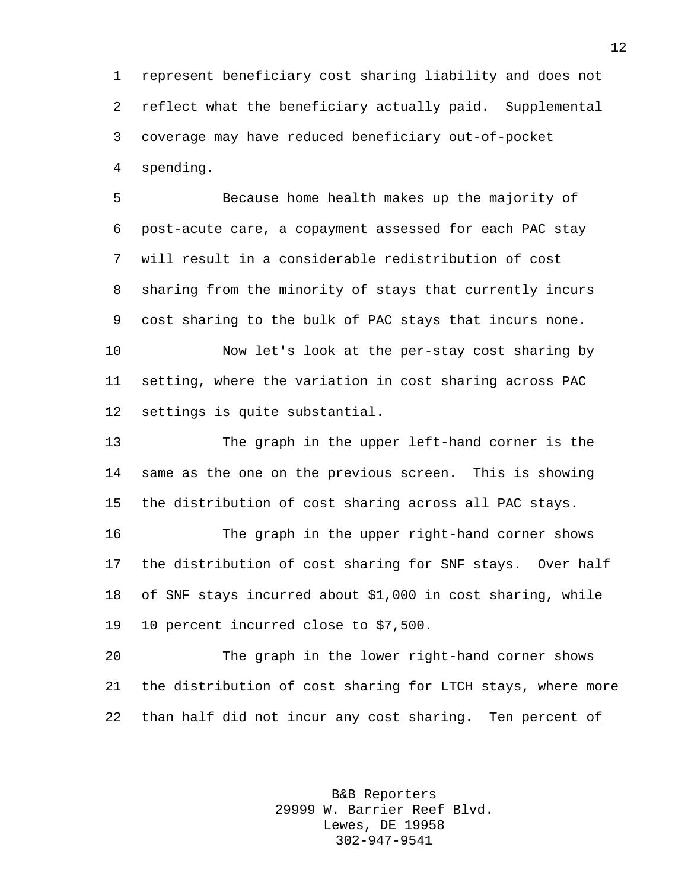represent beneficiary cost sharing liability and does not reflect what the beneficiary actually paid. Supplemental coverage may have reduced beneficiary out-of-pocket spending.

 Because home health makes up the majority of post-acute care, a copayment assessed for each PAC stay will result in a considerable redistribution of cost sharing from the minority of stays that currently incurs cost sharing to the bulk of PAC stays that incurs none.

 Now let's look at the per-stay cost sharing by setting, where the variation in cost sharing across PAC settings is quite substantial.

 The graph in the upper left-hand corner is the same as the one on the previous screen. This is showing the distribution of cost sharing across all PAC stays.

 The graph in the upper right-hand corner shows the distribution of cost sharing for SNF stays. Over half of SNF stays incurred about \$1,000 in cost sharing, while 10 percent incurred close to \$7,500.

 The graph in the lower right-hand corner shows the distribution of cost sharing for LTCH stays, where more than half did not incur any cost sharing. Ten percent of

> B&B Reporters 29999 W. Barrier Reef Blvd. Lewes, DE 19958 302-947-9541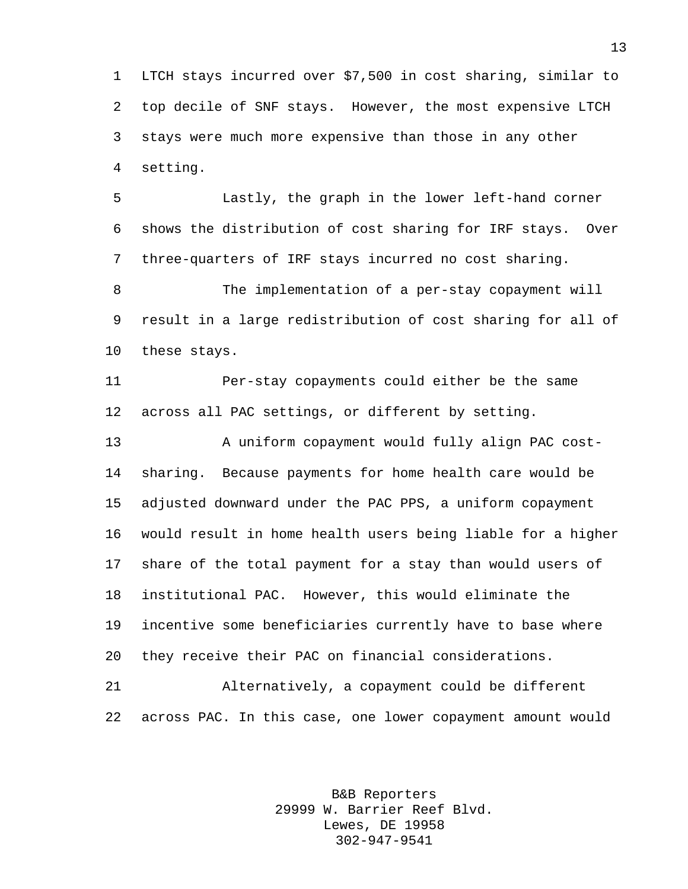LTCH stays incurred over \$7,500 in cost sharing, similar to top decile of SNF stays. However, the most expensive LTCH stays were much more expensive than those in any other setting.

 Lastly, the graph in the lower left-hand corner shows the distribution of cost sharing for IRF stays. Over three-quarters of IRF stays incurred no cost sharing.

 The implementation of a per-stay copayment will result in a large redistribution of cost sharing for all of these stays.

 Per-stay copayments could either be the same across all PAC settings, or different by setting.

 A uniform copayment would fully align PAC cost- sharing. Because payments for home health care would be adjusted downward under the PAC PPS, a uniform copayment would result in home health users being liable for a higher share of the total payment for a stay than would users of institutional PAC. However, this would eliminate the incentive some beneficiaries currently have to base where they receive their PAC on financial considerations.

 Alternatively, a copayment could be different across PAC. In this case, one lower copayment amount would

> B&B Reporters 29999 W. Barrier Reef Blvd. Lewes, DE 19958 302-947-9541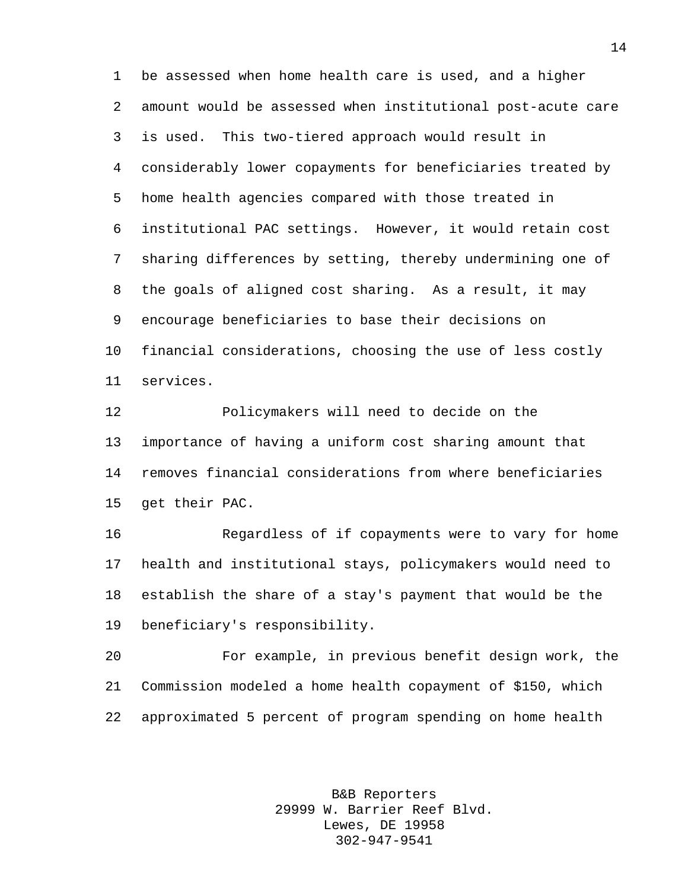be assessed when home health care is used, and a higher amount would be assessed when institutional post-acute care is used. This two-tiered approach would result in considerably lower copayments for beneficiaries treated by home health agencies compared with those treated in institutional PAC settings. However, it would retain cost sharing differences by setting, thereby undermining one of the goals of aligned cost sharing. As a result, it may encourage beneficiaries to base their decisions on financial considerations, choosing the use of less costly services.

 Policymakers will need to decide on the importance of having a uniform cost sharing amount that removes financial considerations from where beneficiaries get their PAC.

 Regardless of if copayments were to vary for home health and institutional stays, policymakers would need to establish the share of a stay's payment that would be the beneficiary's responsibility.

 For example, in previous benefit design work, the Commission modeled a home health copayment of \$150, which approximated 5 percent of program spending on home health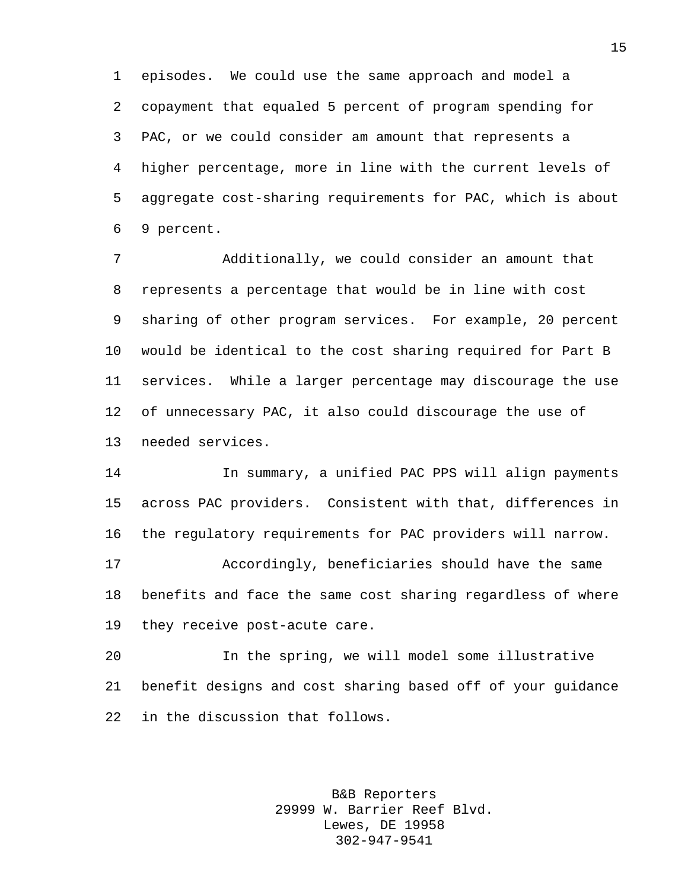episodes. We could use the same approach and model a copayment that equaled 5 percent of program spending for PAC, or we could consider am amount that represents a higher percentage, more in line with the current levels of aggregate cost-sharing requirements for PAC, which is about 9 percent.

 Additionally, we could consider an amount that represents a percentage that would be in line with cost sharing of other program services. For example, 20 percent would be identical to the cost sharing required for Part B services. While a larger percentage may discourage the use of unnecessary PAC, it also could discourage the use of needed services.

 In summary, a unified PAC PPS will align payments across PAC providers. Consistent with that, differences in the regulatory requirements for PAC providers will narrow.

 Accordingly, beneficiaries should have the same benefits and face the same cost sharing regardless of where they receive post-acute care.

 In the spring, we will model some illustrative benefit designs and cost sharing based off of your guidance in the discussion that follows.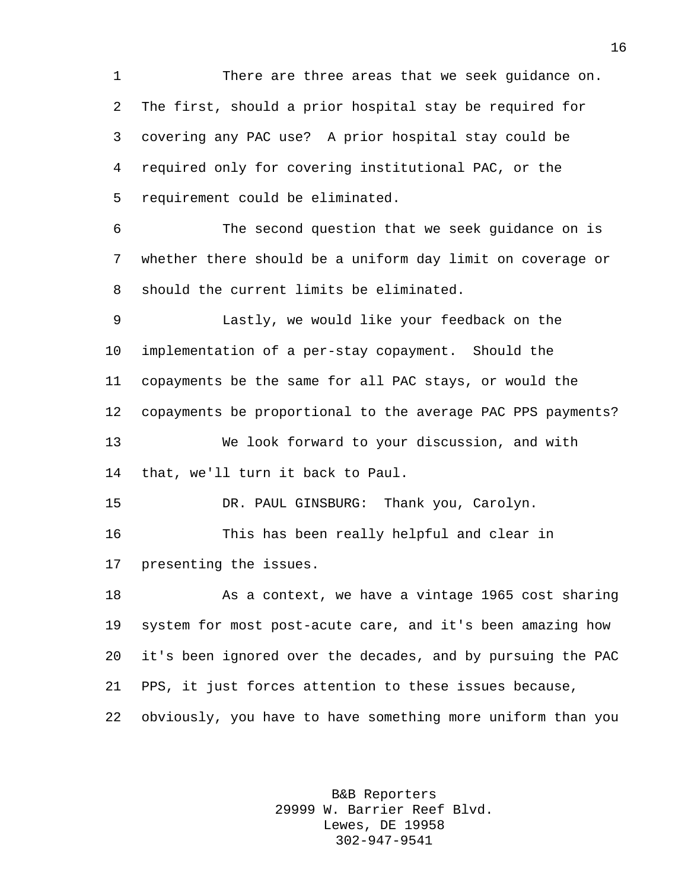There are three areas that we seek guidance on. The first, should a prior hospital stay be required for covering any PAC use? A prior hospital stay could be required only for covering institutional PAC, or the requirement could be eliminated.

 The second question that we seek guidance on is whether there should be a uniform day limit on coverage or should the current limits be eliminated.

 Lastly, we would like your feedback on the implementation of a per-stay copayment. Should the copayments be the same for all PAC stays, or would the copayments be proportional to the average PAC PPS payments? We look forward to your discussion, and with that, we'll turn it back to Paul.

 DR. PAUL GINSBURG: Thank you, Carolyn. This has been really helpful and clear in presenting the issues.

 As a context, we have a vintage 1965 cost sharing system for most post-acute care, and it's been amazing how it's been ignored over the decades, and by pursuing the PAC PPS, it just forces attention to these issues because, obviously, you have to have something more uniform than you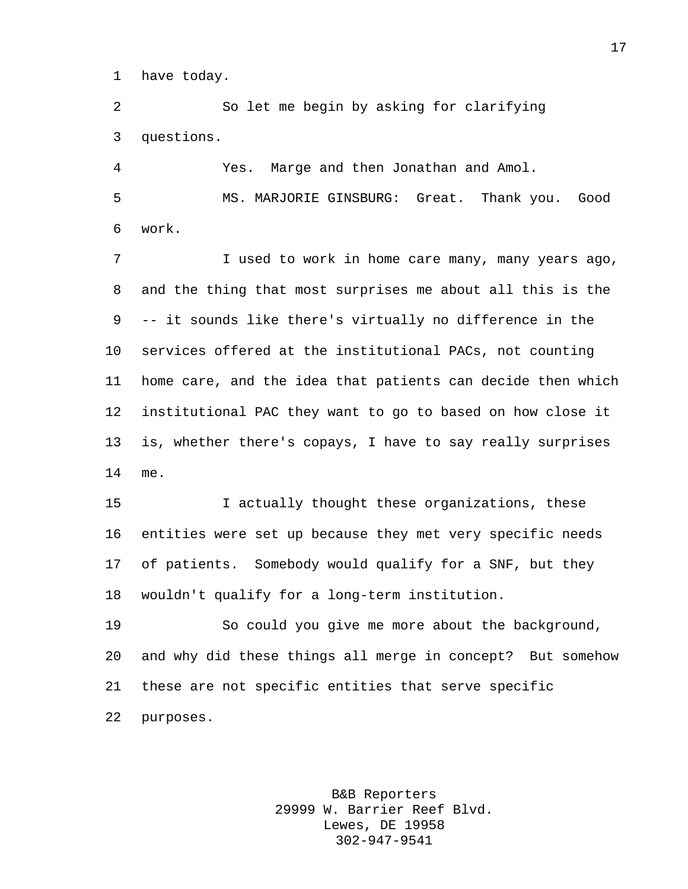have today.

 So let me begin by asking for clarifying questions.

 Yes. Marge and then Jonathan and Amol. MS. MARJORIE GINSBURG: Great. Thank you. Good work.

7 I used to work in home care many, many years ago, and the thing that most surprises me about all this is the -- it sounds like there's virtually no difference in the services offered at the institutional PACs, not counting home care, and the idea that patients can decide then which institutional PAC they want to go to based on how close it is, whether there's copays, I have to say really surprises me.

 I actually thought these organizations, these entities were set up because they met very specific needs of patients. Somebody would qualify for a SNF, but they wouldn't qualify for a long-term institution.

 So could you give me more about the background, and why did these things all merge in concept? But somehow these are not specific entities that serve specific purposes.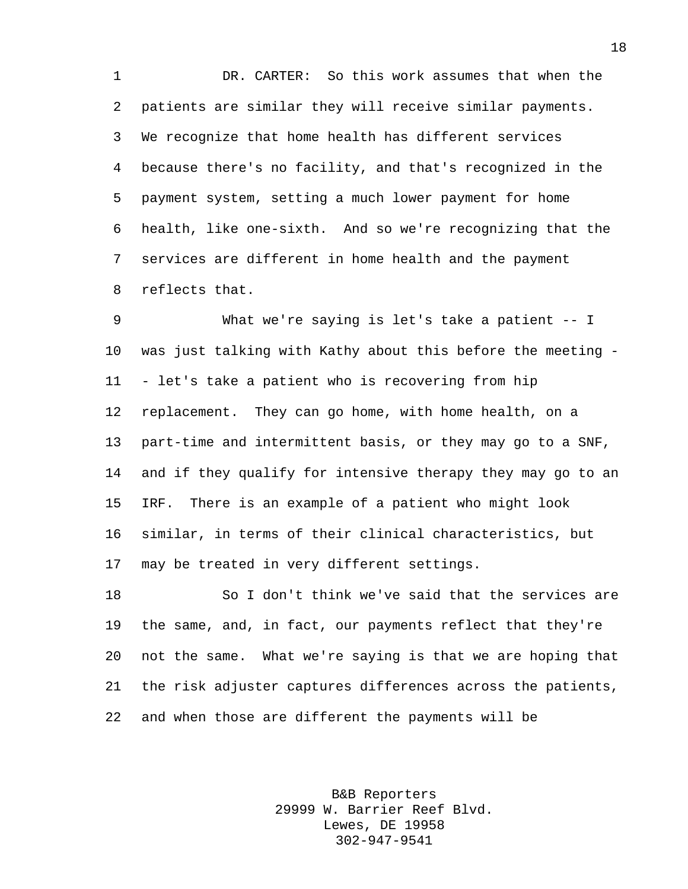DR. CARTER: So this work assumes that when the patients are similar they will receive similar payments. We recognize that home health has different services because there's no facility, and that's recognized in the payment system, setting a much lower payment for home health, like one-sixth. And so we're recognizing that the services are different in home health and the payment reflects that.

 What we're saying is let's take a patient -- I was just talking with Kathy about this before the meeting - - let's take a patient who is recovering from hip replacement. They can go home, with home health, on a part-time and intermittent basis, or they may go to a SNF, and if they qualify for intensive therapy they may go to an IRF. There is an example of a patient who might look similar, in terms of their clinical characteristics, but may be treated in very different settings.

 So I don't think we've said that the services are the same, and, in fact, our payments reflect that they're not the same. What we're saying is that we are hoping that the risk adjuster captures differences across the patients, and when those are different the payments will be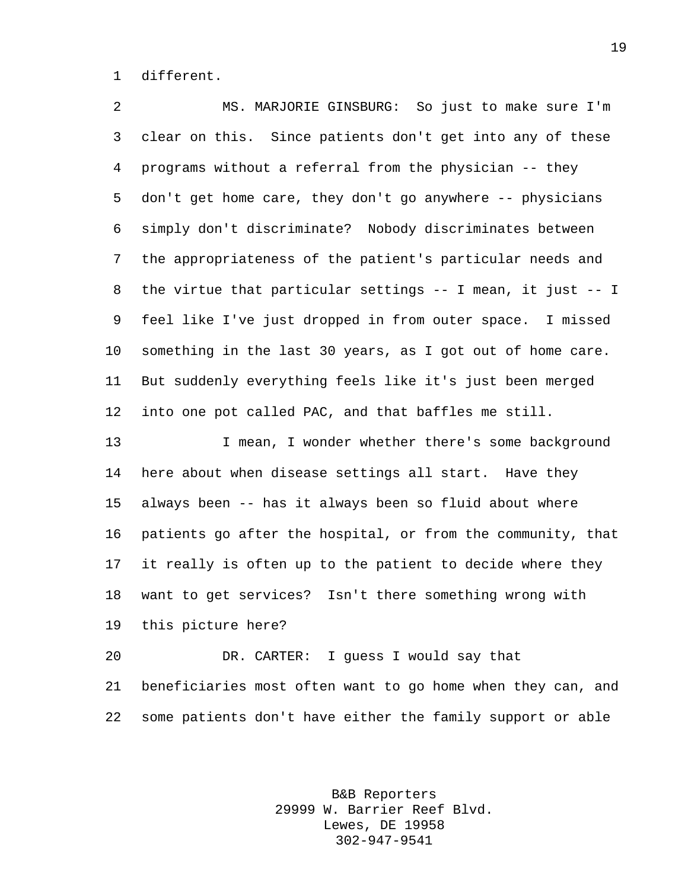different.

 MS. MARJORIE GINSBURG: So just to make sure I'm clear on this. Since patients don't get into any of these programs without a referral from the physician -- they don't get home care, they don't go anywhere -- physicians simply don't discriminate? Nobody discriminates between the appropriateness of the patient's particular needs and the virtue that particular settings -- I mean, it just -- I feel like I've just dropped in from outer space. I missed something in the last 30 years, as I got out of home care. But suddenly everything feels like it's just been merged into one pot called PAC, and that baffles me still.

13 I mean, I wonder whether there's some background here about when disease settings all start. Have they always been -- has it always been so fluid about where patients go after the hospital, or from the community, that it really is often up to the patient to decide where they want to get services? Isn't there something wrong with this picture here?

 DR. CARTER: I guess I would say that beneficiaries most often want to go home when they can, and some patients don't have either the family support or able

> B&B Reporters 29999 W. Barrier Reef Blvd. Lewes, DE 19958 302-947-9541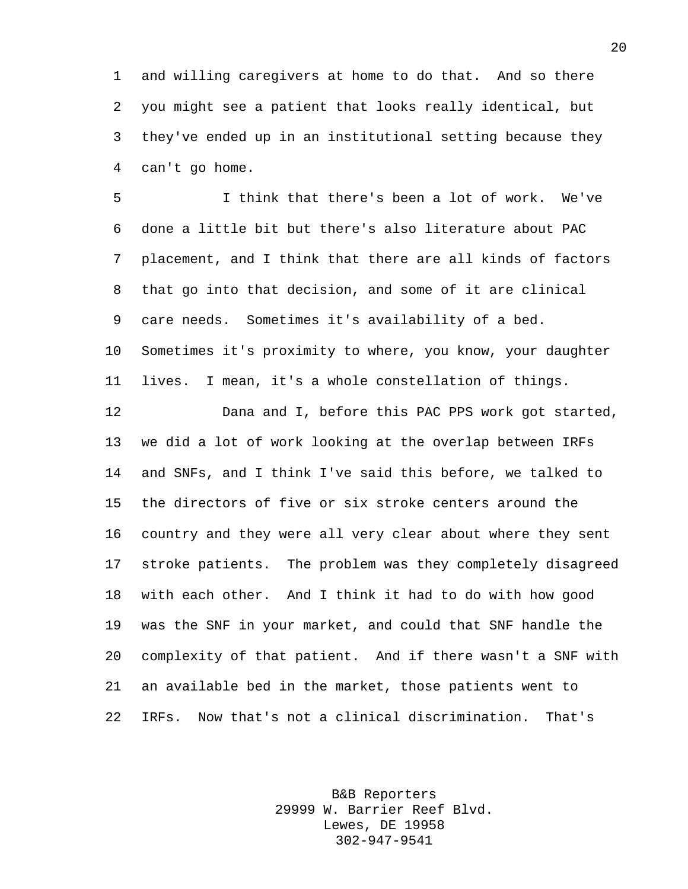and willing caregivers at home to do that. And so there you might see a patient that looks really identical, but they've ended up in an institutional setting because they can't go home.

 I think that there's been a lot of work. We've done a little bit but there's also literature about PAC placement, and I think that there are all kinds of factors that go into that decision, and some of it are clinical care needs. Sometimes it's availability of a bed. Sometimes it's proximity to where, you know, your daughter lives. I mean, it's a whole constellation of things.

 Dana and I, before this PAC PPS work got started, we did a lot of work looking at the overlap between IRFs and SNFs, and I think I've said this before, we talked to the directors of five or six stroke centers around the country and they were all very clear about where they sent stroke patients. The problem was they completely disagreed with each other. And I think it had to do with how good was the SNF in your market, and could that SNF handle the complexity of that patient. And if there wasn't a SNF with an available bed in the market, those patients went to IRFs. Now that's not a clinical discrimination. That's

> B&B Reporters 29999 W. Barrier Reef Blvd. Lewes, DE 19958 302-947-9541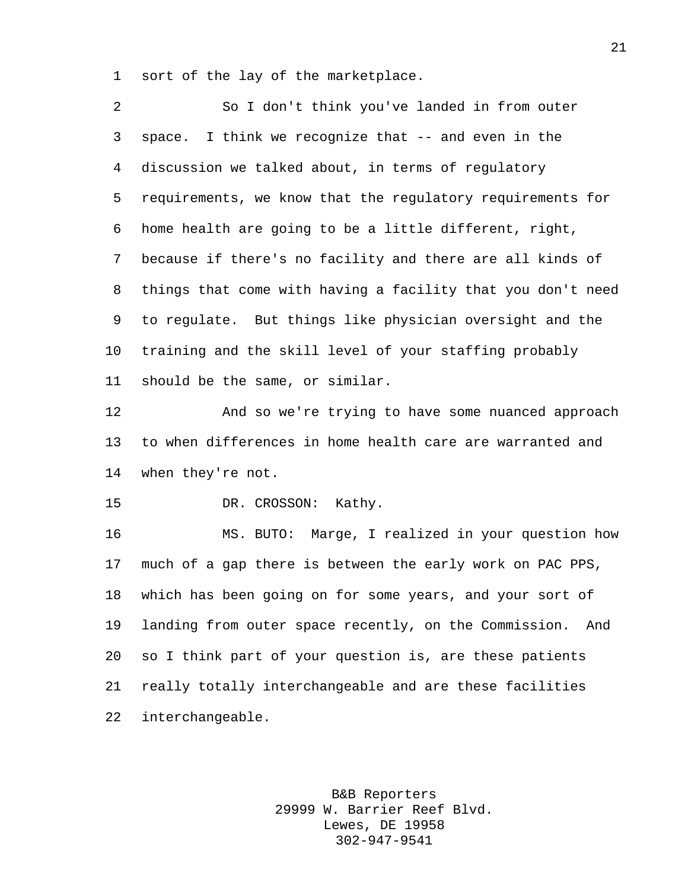sort of the lay of the marketplace.

 So I don't think you've landed in from outer space. I think we recognize that -- and even in the discussion we talked about, in terms of regulatory requirements, we know that the regulatory requirements for home health are going to be a little different, right, because if there's no facility and there are all kinds of things that come with having a facility that you don't need to regulate. But things like physician oversight and the training and the skill level of your staffing probably should be the same, or similar. And so we're trying to have some nuanced approach

 to when differences in home health care are warranted and when they're not.

DR. CROSSON: Kathy.

 MS. BUTO: Marge, I realized in your question how much of a gap there is between the early work on PAC PPS, which has been going on for some years, and your sort of landing from outer space recently, on the Commission. And so I think part of your question is, are these patients really totally interchangeable and are these facilities interchangeable.

> B&B Reporters 29999 W. Barrier Reef Blvd. Lewes, DE 19958 302-947-9541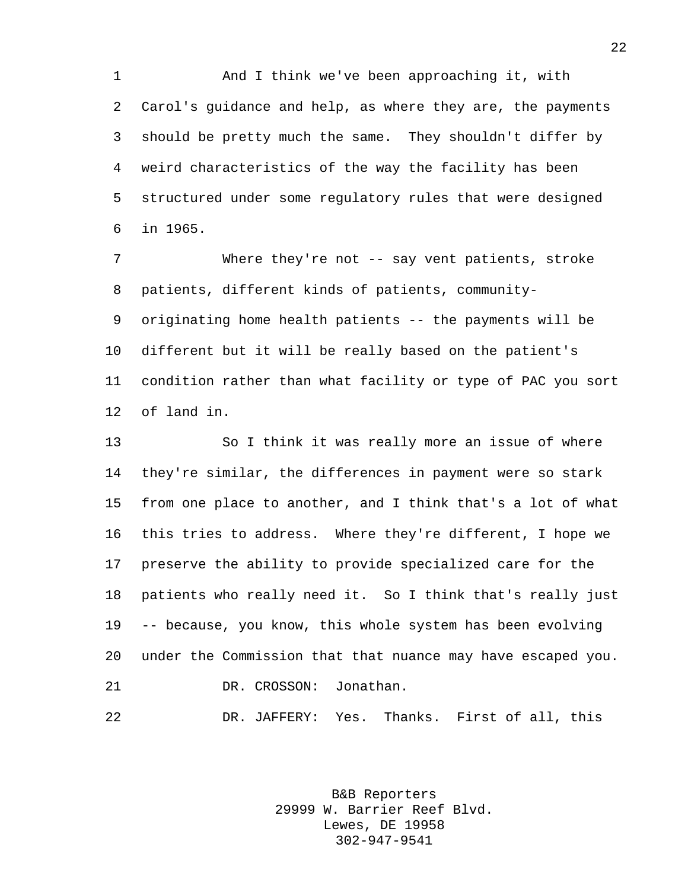And I think we've been approaching it, with Carol's guidance and help, as where they are, the payments should be pretty much the same. They shouldn't differ by weird characteristics of the way the facility has been structured under some regulatory rules that were designed in 1965.

 Where they're not -- say vent patients, stroke patients, different kinds of patients, community- originating home health patients -- the payments will be different but it will be really based on the patient's condition rather than what facility or type of PAC you sort of land in.

 So I think it was really more an issue of where they're similar, the differences in payment were so stark from one place to another, and I think that's a lot of what this tries to address. Where they're different, I hope we preserve the ability to provide specialized care for the patients who really need it. So I think that's really just -- because, you know, this whole system has been evolving under the Commission that that nuance may have escaped you. DR. CROSSON: Jonathan.

DR. JAFFERY: Yes. Thanks. First of all, this

B&B Reporters 29999 W. Barrier Reef Blvd. Lewes, DE 19958 302-947-9541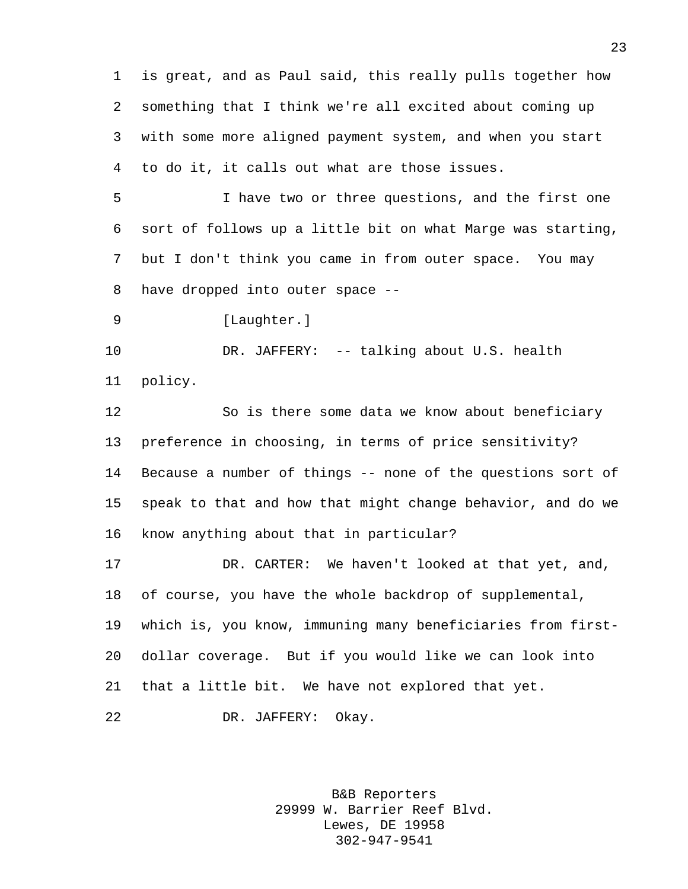is great, and as Paul said, this really pulls together how something that I think we're all excited about coming up with some more aligned payment system, and when you start to do it, it calls out what are those issues.

 I have two or three questions, and the first one sort of follows up a little bit on what Marge was starting, but I don't think you came in from outer space. You may have dropped into outer space --

9 [Laughter.]

 DR. JAFFERY: -- talking about U.S. health policy.

 So is there some data we know about beneficiary preference in choosing, in terms of price sensitivity? Because a number of things -- none of the questions sort of speak to that and how that might change behavior, and do we know anything about that in particular?

 DR. CARTER: We haven't looked at that yet, and, of course, you have the whole backdrop of supplemental, which is, you know, immuning many beneficiaries from first- dollar coverage. But if you would like we can look into that a little bit. We have not explored that yet. DR. JAFFERY: Okay.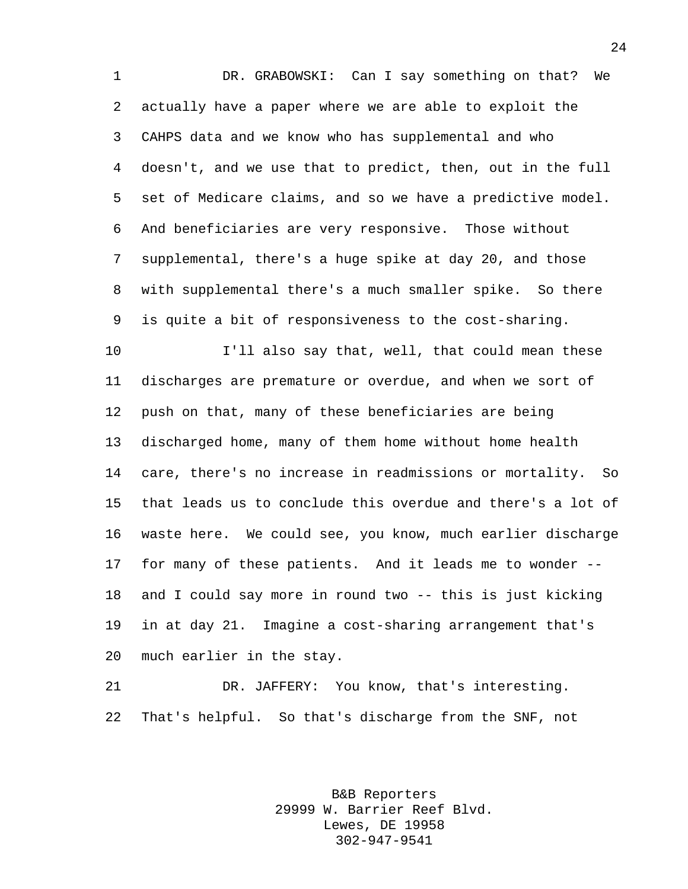DR. GRABOWSKI: Can I say something on that? We actually have a paper where we are able to exploit the CAHPS data and we know who has supplemental and who doesn't, and we use that to predict, then, out in the full set of Medicare claims, and so we have a predictive model. And beneficiaries are very responsive. Those without supplemental, there's a huge spike at day 20, and those with supplemental there's a much smaller spike. So there is quite a bit of responsiveness to the cost-sharing.

 I'll also say that, well, that could mean these discharges are premature or overdue, and when we sort of push on that, many of these beneficiaries are being discharged home, many of them home without home health care, there's no increase in readmissions or mortality. So that leads us to conclude this overdue and there's a lot of waste here. We could see, you know, much earlier discharge for many of these patients. And it leads me to wonder -- and I could say more in round two -- this is just kicking in at day 21. Imagine a cost-sharing arrangement that's much earlier in the stay.

 DR. JAFFERY: You know, that's interesting. That's helpful. So that's discharge from the SNF, not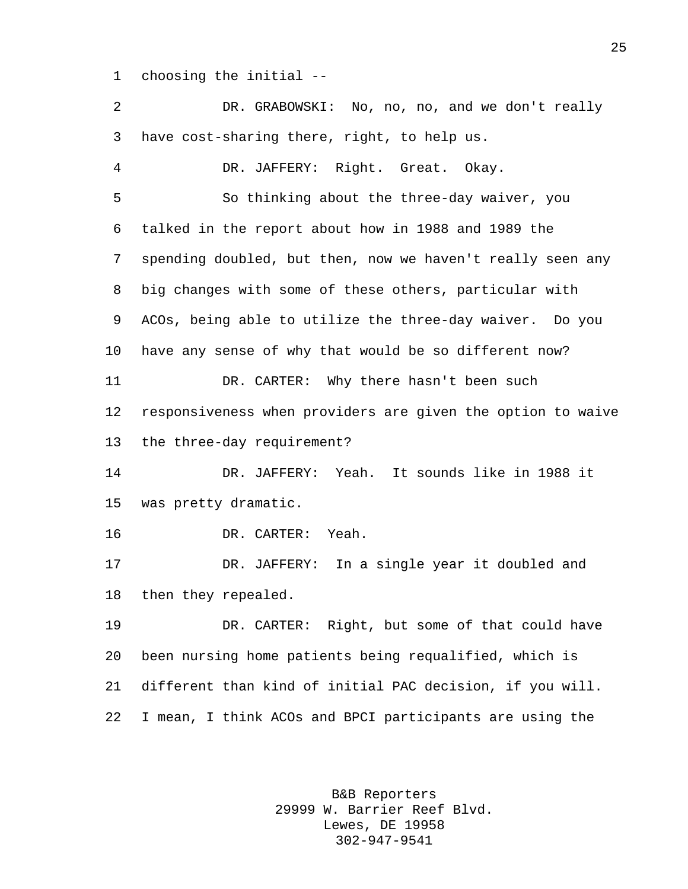choosing the initial --

| 2       | DR. GRABOWSKI: No, no, no, and we don't really              |
|---------|-------------------------------------------------------------|
| 3       | have cost-sharing there, right, to help us.                 |
| 4       | DR. JAFFERY: Right. Great. Okay.                            |
| 5       | So thinking about the three-day waiver, you                 |
| 6       | talked in the report about how in 1988 and 1989 the         |
| 7       | spending doubled, but then, now we haven't really seen any  |
| 8       | big changes with some of these others, particular with      |
| 9       | ACOs, being able to utilize the three-day waiver. Do you    |
| $10 \,$ | have any sense of why that would be so different now?       |
| 11      | DR. CARTER: Why there hasn't been such                      |
| 12      | responsiveness when providers are given the option to waive |
| 13      | the three-day requirement?                                  |
| 14      | DR. JAFFERY: Yeah. It sounds like in 1988 it                |
| 15      | was pretty dramatic.                                        |
| 16      | DR. CARTER:<br>Yeah.                                        |
| 17      | DR. JAFFERY: In a single year it doubled and                |
| 18      | then they repealed.                                         |
| 19      | DR. CARTER: Right, but some of that could have              |
| 20      | been nursing home patients being requalified, which is      |
| 21      | different than kind of initial PAC decision, if you will.   |
| 22      | I mean, I think ACOs and BPCI participants are using the    |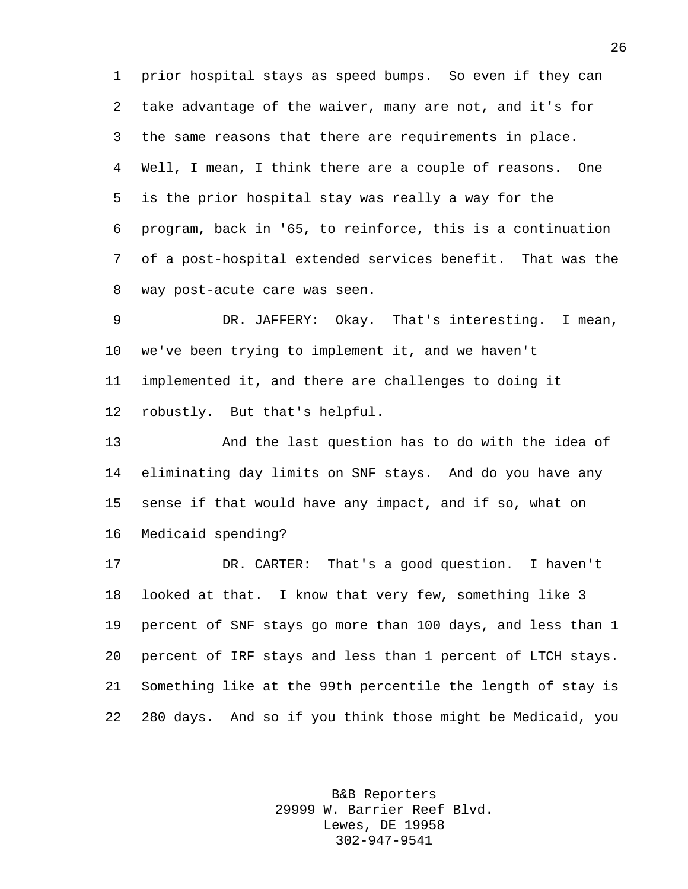prior hospital stays as speed bumps. So even if they can take advantage of the waiver, many are not, and it's for the same reasons that there are requirements in place. Well, I mean, I think there are a couple of reasons. One is the prior hospital stay was really a way for the program, back in '65, to reinforce, this is a continuation of a post-hospital extended services benefit. That was the way post-acute care was seen.

 DR. JAFFERY: Okay. That's interesting. I mean, we've been trying to implement it, and we haven't implemented it, and there are challenges to doing it robustly. But that's helpful.

 And the last question has to do with the idea of eliminating day limits on SNF stays. And do you have any sense if that would have any impact, and if so, what on Medicaid spending?

 DR. CARTER: That's a good question. I haven't looked at that. I know that very few, something like 3 percent of SNF stays go more than 100 days, and less than 1 percent of IRF stays and less than 1 percent of LTCH stays. Something like at the 99th percentile the length of stay is 280 days. And so if you think those might be Medicaid, you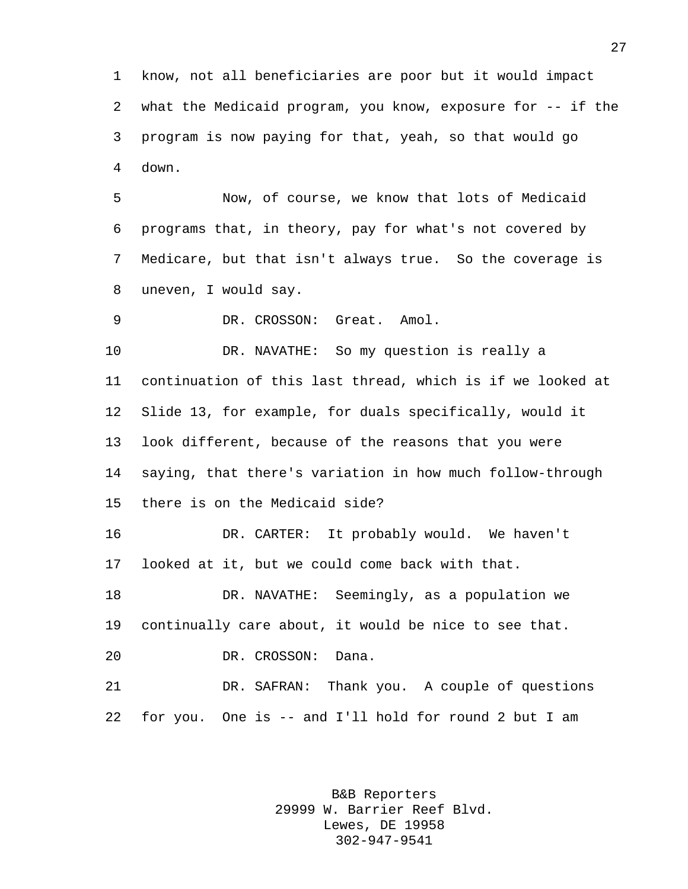know, not all beneficiaries are poor but it would impact what the Medicaid program, you know, exposure for -- if the program is now paying for that, yeah, so that would go down.

 Now, of course, we know that lots of Medicaid programs that, in theory, pay for what's not covered by Medicare, but that isn't always true. So the coverage is uneven, I would say.

DR. CROSSON: Great. Amol.

 DR. NAVATHE: So my question is really a continuation of this last thread, which is if we looked at Slide 13, for example, for duals specifically, would it look different, because of the reasons that you were saying, that there's variation in how much follow-through there is on the Medicaid side?

 DR. CARTER: It probably would. We haven't looked at it, but we could come back with that.

 DR. NAVATHE: Seemingly, as a population we continually care about, it would be nice to see that. DR. CROSSON: Dana.

 DR. SAFRAN: Thank you. A couple of questions for you. One is -- and I'll hold for round 2 but I am

> B&B Reporters 29999 W. Barrier Reef Blvd. Lewes, DE 19958 302-947-9541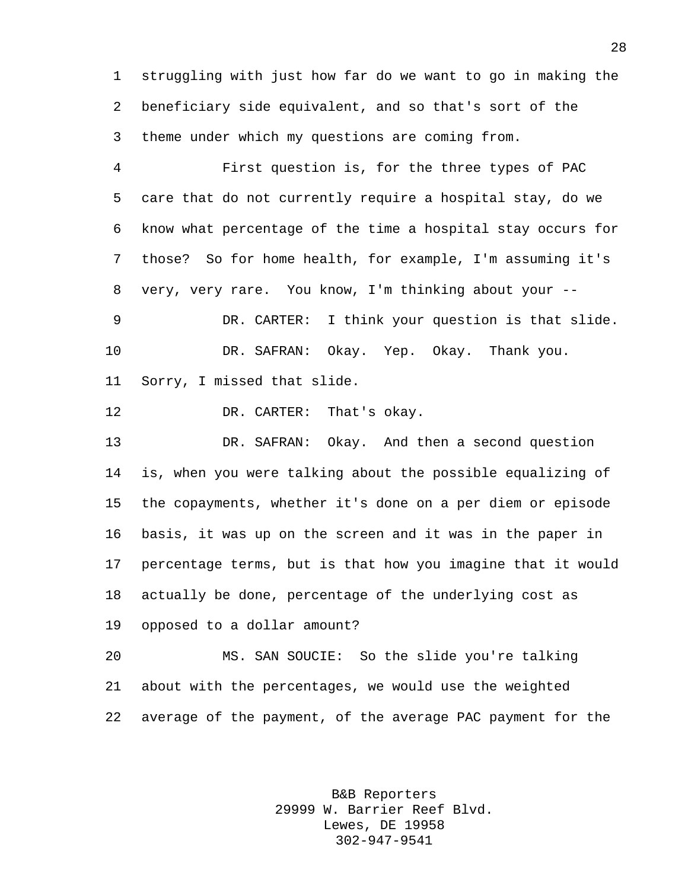struggling with just how far do we want to go in making the beneficiary side equivalent, and so that's sort of the theme under which my questions are coming from.

 First question is, for the three types of PAC care that do not currently require a hospital stay, do we know what percentage of the time a hospital stay occurs for those? So for home health, for example, I'm assuming it's very, very rare. You know, I'm thinking about your -- DR. CARTER: I think your question is that slide. DR. SAFRAN: Okay. Yep. Okay. Thank you. Sorry, I missed that slide.

12 DR. CARTER: That's okay.

 DR. SAFRAN: Okay. And then a second question is, when you were talking about the possible equalizing of the copayments, whether it's done on a per diem or episode basis, it was up on the screen and it was in the paper in percentage terms, but is that how you imagine that it would actually be done, percentage of the underlying cost as opposed to a dollar amount?

 MS. SAN SOUCIE: So the slide you're talking about with the percentages, we would use the weighted average of the payment, of the average PAC payment for the

> B&B Reporters 29999 W. Barrier Reef Blvd. Lewes, DE 19958 302-947-9541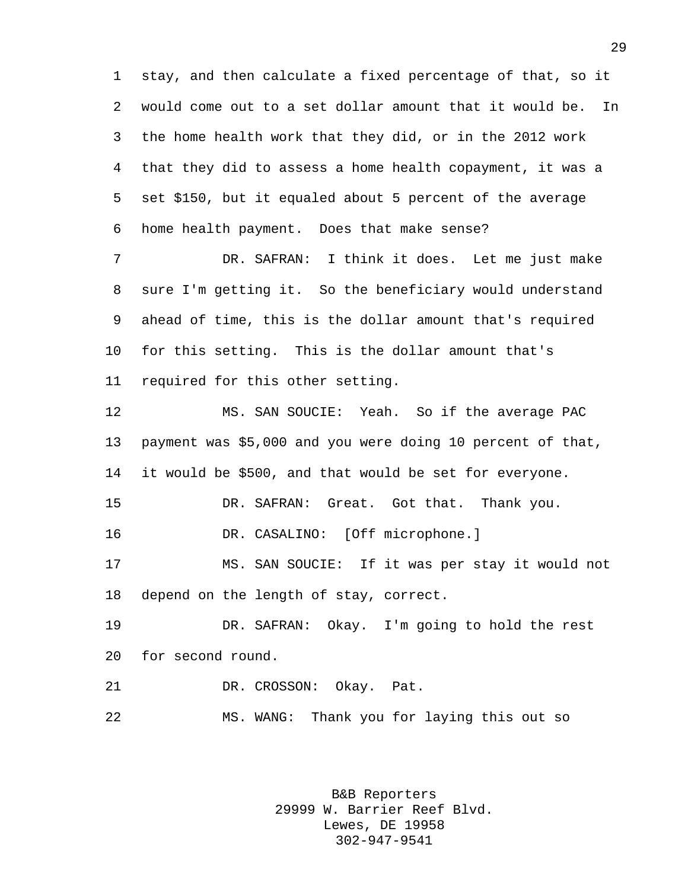stay, and then calculate a fixed percentage of that, so it would come out to a set dollar amount that it would be. In the home health work that they did, or in the 2012 work that they did to assess a home health copayment, it was a set \$150, but it equaled about 5 percent of the average home health payment. Does that make sense?

 DR. SAFRAN: I think it does. Let me just make sure I'm getting it. So the beneficiary would understand ahead of time, this is the dollar amount that's required for this setting. This is the dollar amount that's required for this other setting.

 MS. SAN SOUCIE: Yeah. So if the average PAC payment was \$5,000 and you were doing 10 percent of that, it would be \$500, and that would be set for everyone. DR. SAFRAN: Great. Got that. Thank you. DR. CASALINO: [Off microphone.] MS. SAN SOUCIE: If it was per stay it would not depend on the length of stay, correct. DR. SAFRAN: Okay. I'm going to hold the rest for second round.

DR. CROSSON: Okay. Pat.

MS. WANG: Thank you for laying this out so

B&B Reporters 29999 W. Barrier Reef Blvd. Lewes, DE 19958 302-947-9541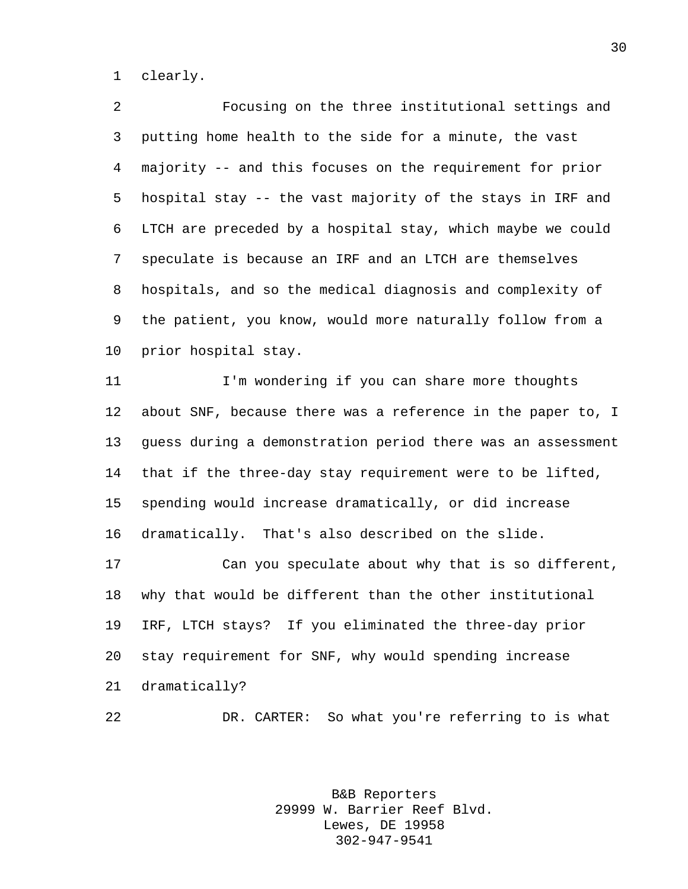clearly.

 Focusing on the three institutional settings and putting home health to the side for a minute, the vast majority -- and this focuses on the requirement for prior hospital stay -- the vast majority of the stays in IRF and LTCH are preceded by a hospital stay, which maybe we could speculate is because an IRF and an LTCH are themselves hospitals, and so the medical diagnosis and complexity of the patient, you know, would more naturally follow from a prior hospital stay.

 I'm wondering if you can share more thoughts about SNF, because there was a reference in the paper to, I guess during a demonstration period there was an assessment that if the three-day stay requirement were to be lifted, spending would increase dramatically, or did increase dramatically. That's also described on the slide.

 Can you speculate about why that is so different, why that would be different than the other institutional IRF, LTCH stays? If you eliminated the three-day prior stay requirement for SNF, why would spending increase dramatically?

DR. CARTER: So what you're referring to is what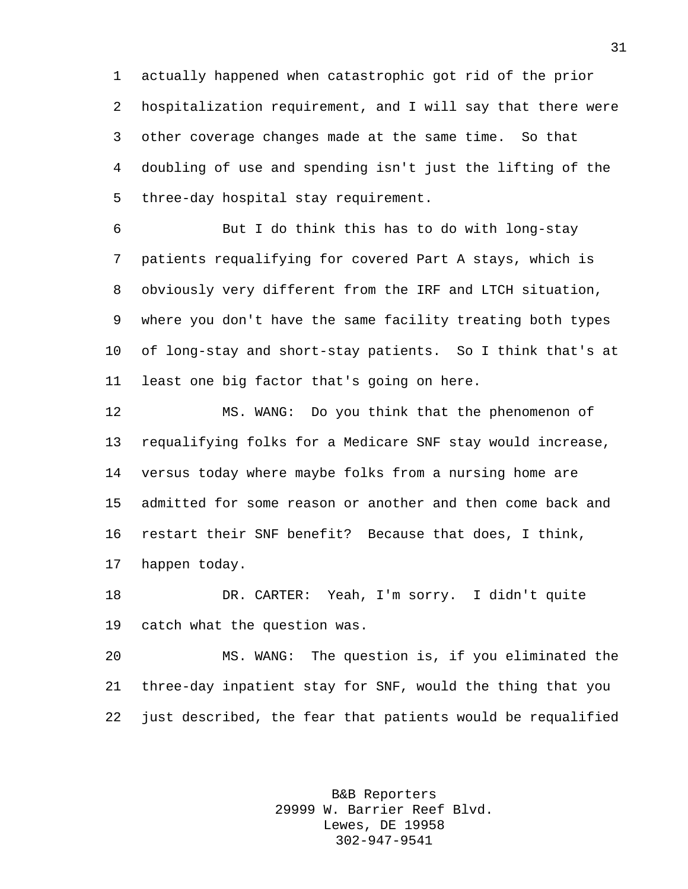actually happened when catastrophic got rid of the prior hospitalization requirement, and I will say that there were other coverage changes made at the same time. So that doubling of use and spending isn't just the lifting of the three-day hospital stay requirement.

 But I do think this has to do with long-stay patients requalifying for covered Part A stays, which is obviously very different from the IRF and LTCH situation, where you don't have the same facility treating both types of long-stay and short-stay patients. So I think that's at least one big factor that's going on here.

 MS. WANG: Do you think that the phenomenon of requalifying folks for a Medicare SNF stay would increase, versus today where maybe folks from a nursing home are admitted for some reason or another and then come back and restart their SNF benefit? Because that does, I think, happen today.

 DR. CARTER: Yeah, I'm sorry. I didn't quite catch what the question was.

 MS. WANG: The question is, if you eliminated the three-day inpatient stay for SNF, would the thing that you just described, the fear that patients would be requalified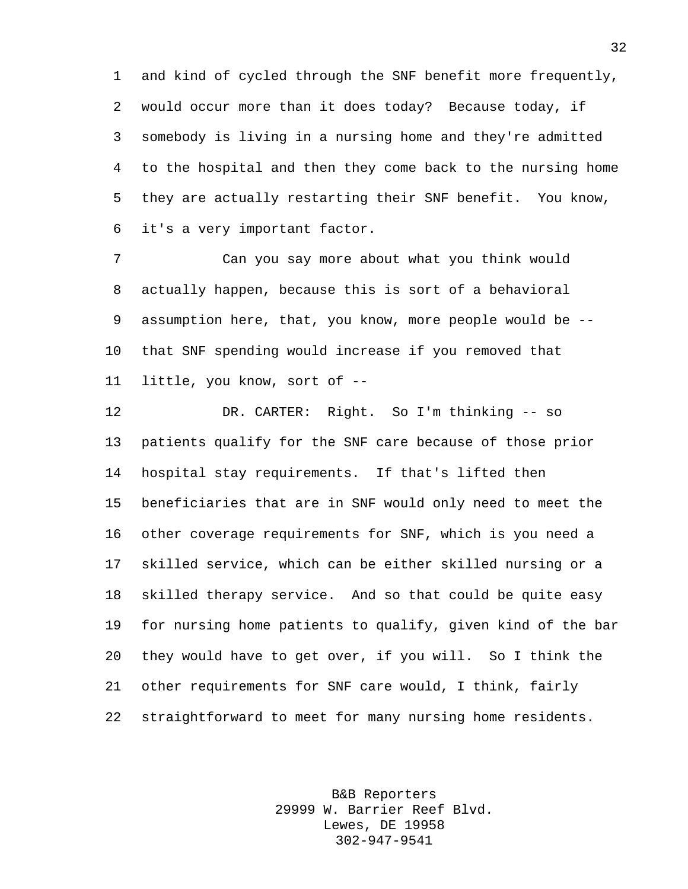and kind of cycled through the SNF benefit more frequently, would occur more than it does today? Because today, if somebody is living in a nursing home and they're admitted to the hospital and then they come back to the nursing home they are actually restarting their SNF benefit. You know, it's a very important factor.

 Can you say more about what you think would actually happen, because this is sort of a behavioral assumption here, that, you know, more people would be -- that SNF spending would increase if you removed that little, you know, sort of --

 DR. CARTER: Right. So I'm thinking -- so patients qualify for the SNF care because of those prior hospital stay requirements. If that's lifted then beneficiaries that are in SNF would only need to meet the other coverage requirements for SNF, which is you need a skilled service, which can be either skilled nursing or a skilled therapy service. And so that could be quite easy for nursing home patients to qualify, given kind of the bar they would have to get over, if you will. So I think the other requirements for SNF care would, I think, fairly straightforward to meet for many nursing home residents.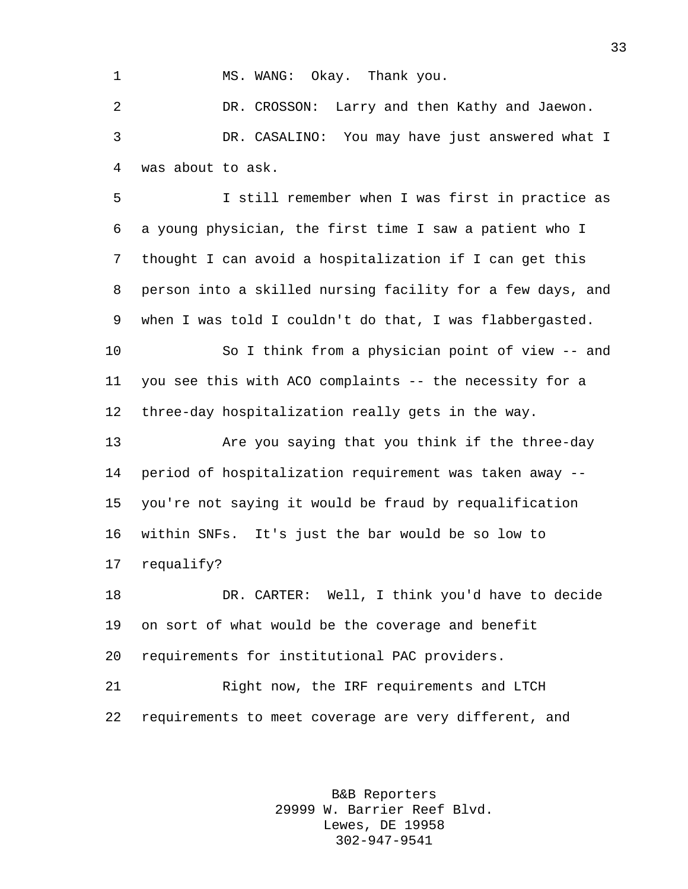## 1 MS. WANG: Okay. Thank you.

 DR. CROSSON: Larry and then Kathy and Jaewon. DR. CASALINO: You may have just answered what I was about to ask.

 I still remember when I was first in practice as a young physician, the first time I saw a patient who I thought I can avoid a hospitalization if I can get this person into a skilled nursing facility for a few days, and when I was told I couldn't do that, I was flabbergasted.

 So I think from a physician point of view -- and you see this with ACO complaints -- the necessity for a three-day hospitalization really gets in the way.

 Are you saying that you think if the three-day period of hospitalization requirement was taken away -- you're not saying it would be fraud by requalification within SNFs. It's just the bar would be so low to requalify?

 DR. CARTER: Well, I think you'd have to decide on sort of what would be the coverage and benefit requirements for institutional PAC providers.

 Right now, the IRF requirements and LTCH requirements to meet coverage are very different, and

> B&B Reporters 29999 W. Barrier Reef Blvd. Lewes, DE 19958 302-947-9541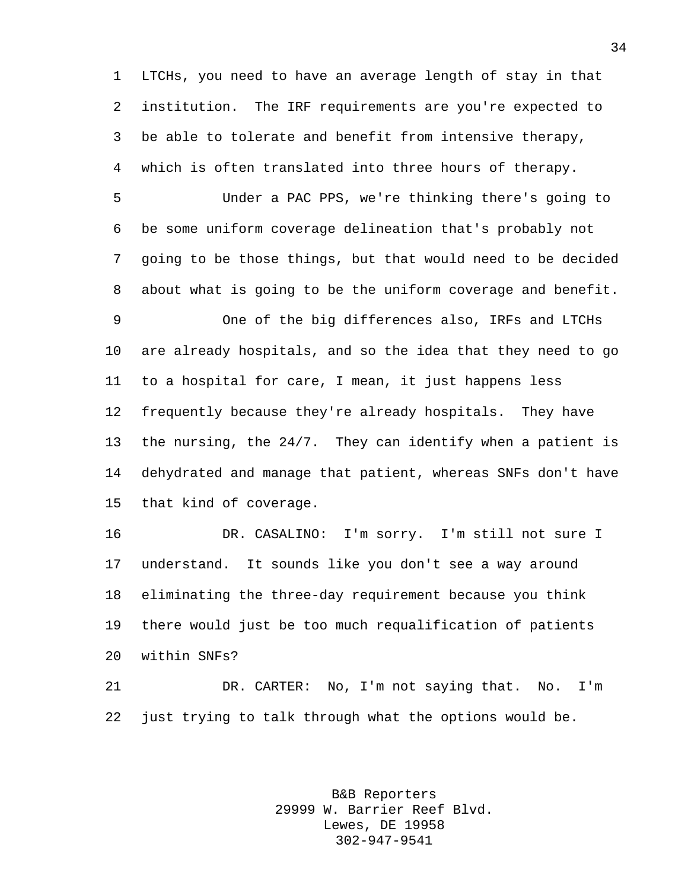LTCHs, you need to have an average length of stay in that institution. The IRF requirements are you're expected to be able to tolerate and benefit from intensive therapy, which is often translated into three hours of therapy.

 Under a PAC PPS, we're thinking there's going to be some uniform coverage delineation that's probably not going to be those things, but that would need to be decided about what is going to be the uniform coverage and benefit.

 One of the big differences also, IRFs and LTCHs are already hospitals, and so the idea that they need to go to a hospital for care, I mean, it just happens less frequently because they're already hospitals. They have the nursing, the 24/7. They can identify when a patient is dehydrated and manage that patient, whereas SNFs don't have that kind of coverage.

 DR. CASALINO: I'm sorry. I'm still not sure I understand. It sounds like you don't see a way around eliminating the three-day requirement because you think there would just be too much requalification of patients within SNFs?

 DR. CARTER: No, I'm not saying that. No. I'm just trying to talk through what the options would be.

> B&B Reporters 29999 W. Barrier Reef Blvd. Lewes, DE 19958 302-947-9541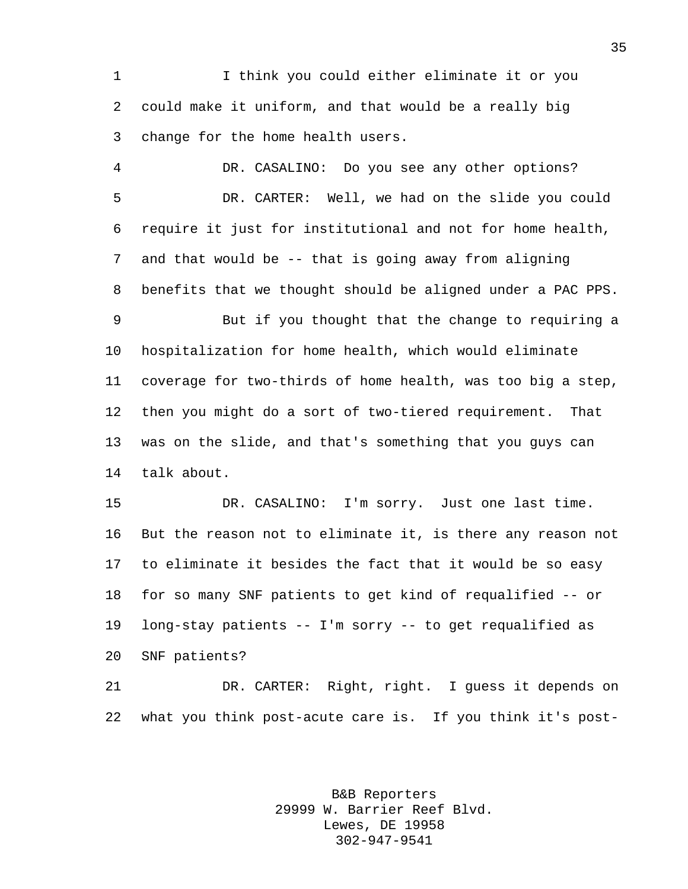I think you could either eliminate it or you could make it uniform, and that would be a really big change for the home health users.

 DR. CASALINO: Do you see any other options? DR. CARTER: Well, we had on the slide you could require it just for institutional and not for home health, and that would be -- that is going away from aligning benefits that we thought should be aligned under a PAC PPS.

 But if you thought that the change to requiring a hospitalization for home health, which would eliminate coverage for two-thirds of home health, was too big a step, then you might do a sort of two-tiered requirement. That was on the slide, and that's something that you guys can talk about.

 DR. CASALINO: I'm sorry. Just one last time. But the reason not to eliminate it, is there any reason not to eliminate it besides the fact that it would be so easy for so many SNF patients to get kind of requalified -- or long-stay patients -- I'm sorry -- to get requalified as SNF patients?

 DR. CARTER: Right, right. I guess it depends on what you think post-acute care is. If you think it's post-

> B&B Reporters 29999 W. Barrier Reef Blvd. Lewes, DE 19958 302-947-9541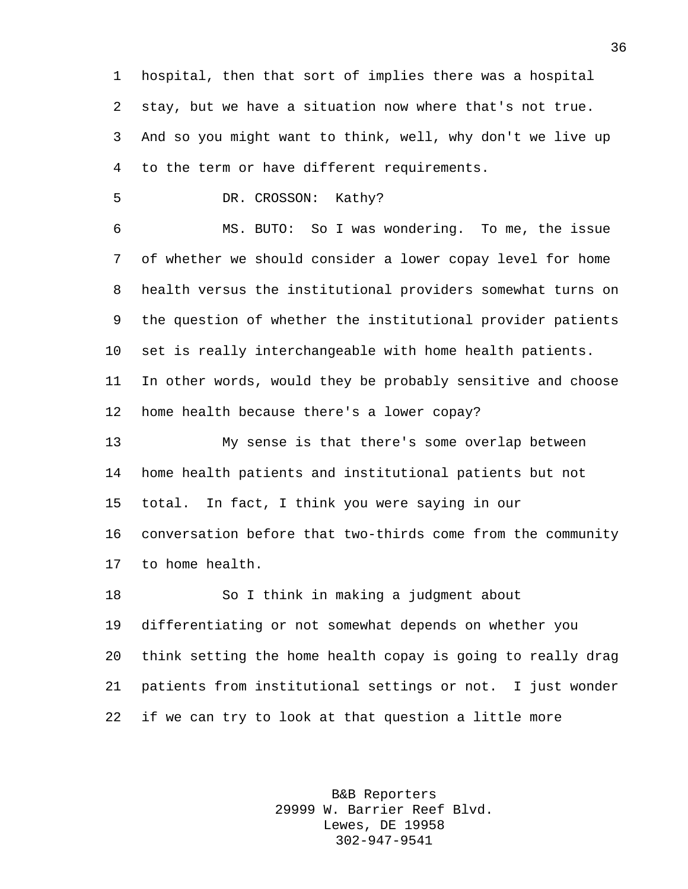hospital, then that sort of implies there was a hospital stay, but we have a situation now where that's not true. And so you might want to think, well, why don't we live up to the term or have different requirements.

DR. CROSSON: Kathy?

 MS. BUTO: So I was wondering. To me, the issue of whether we should consider a lower copay level for home health versus the institutional providers somewhat turns on the question of whether the institutional provider patients set is really interchangeable with home health patients. In other words, would they be probably sensitive and choose home health because there's a lower copay?

 My sense is that there's some overlap between home health patients and institutional patients but not total. In fact, I think you were saying in our conversation before that two-thirds come from the community to home health.

 So I think in making a judgment about differentiating or not somewhat depends on whether you think setting the home health copay is going to really drag patients from institutional settings or not. I just wonder if we can try to look at that question a little more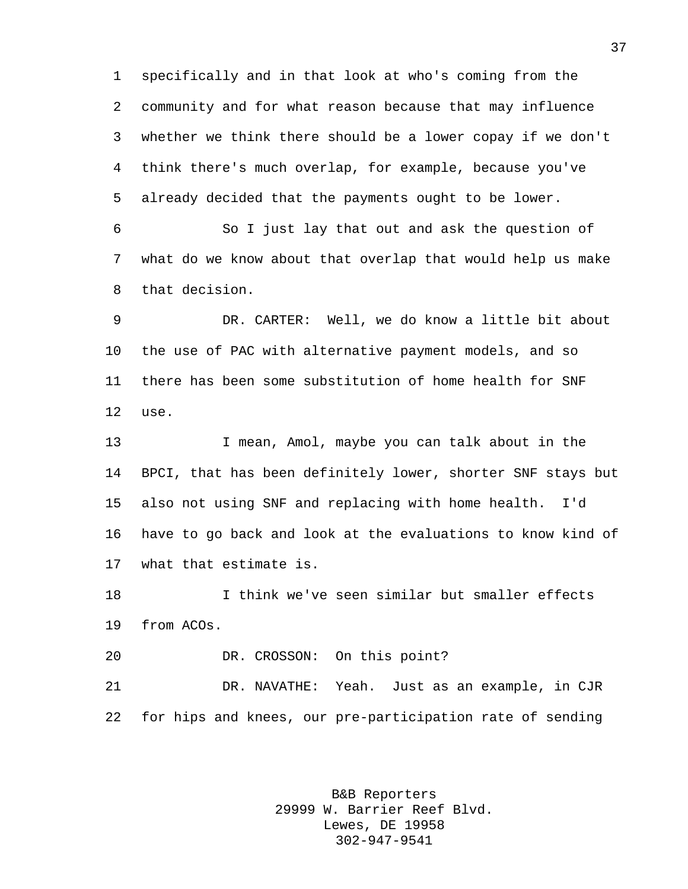specifically and in that look at who's coming from the community and for what reason because that may influence whether we think there should be a lower copay if we don't think there's much overlap, for example, because you've already decided that the payments ought to be lower.

 So I just lay that out and ask the question of what do we know about that overlap that would help us make that decision.

 DR. CARTER: Well, we do know a little bit about the use of PAC with alternative payment models, and so there has been some substitution of home health for SNF use.

 I mean, Amol, maybe you can talk about in the BPCI, that has been definitely lower, shorter SNF stays but also not using SNF and replacing with home health. I'd have to go back and look at the evaluations to know kind of what that estimate is.

 I think we've seen similar but smaller effects from ACOs.

DR. CROSSON: On this point?

 DR. NAVATHE: Yeah. Just as an example, in CJR for hips and knees, our pre-participation rate of sending

> B&B Reporters 29999 W. Barrier Reef Blvd. Lewes, DE 19958 302-947-9541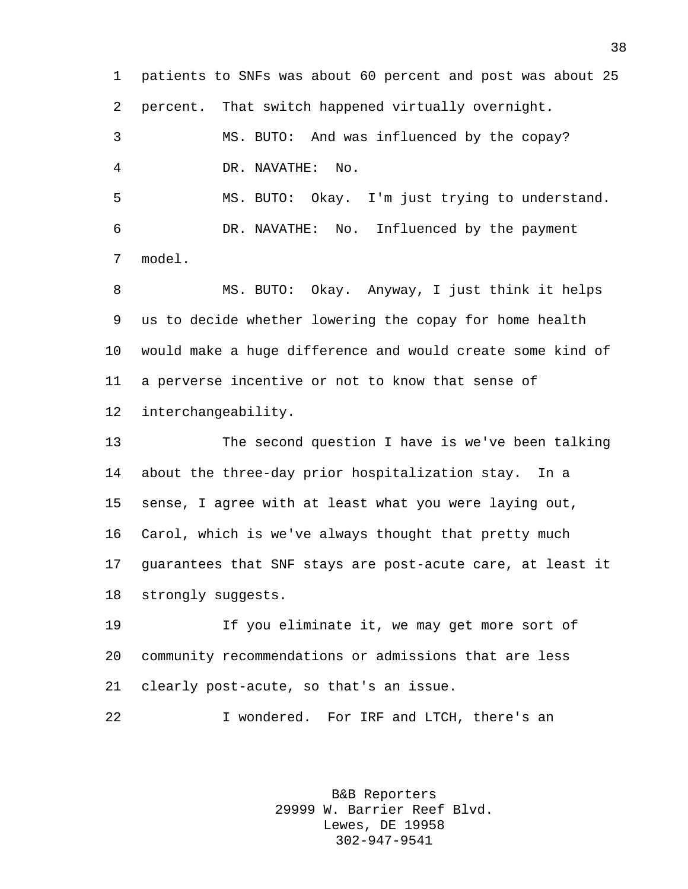patients to SNFs was about 60 percent and post was about 25 percent. That switch happened virtually overnight. MS. BUTO: And was influenced by the copay? DR. NAVATHE: No. MS. BUTO: Okay. I'm just trying to understand. DR. NAVATHE: No. Influenced by the payment model. MS. BUTO: Okay. Anyway, I just think it helps us to decide whether lowering the copay for home health would make a huge difference and would create some kind of a perverse incentive or not to know that sense of interchangeability. The second question I have is we've been talking about the three-day prior hospitalization stay. In a sense, I agree with at least what you were laying out, Carol, which is we've always thought that pretty much guarantees that SNF stays are post-acute care, at least it strongly suggests. If you eliminate it, we may get more sort of community recommendations or admissions that are less clearly post-acute, so that's an issue. I wondered. For IRF and LTCH, there's an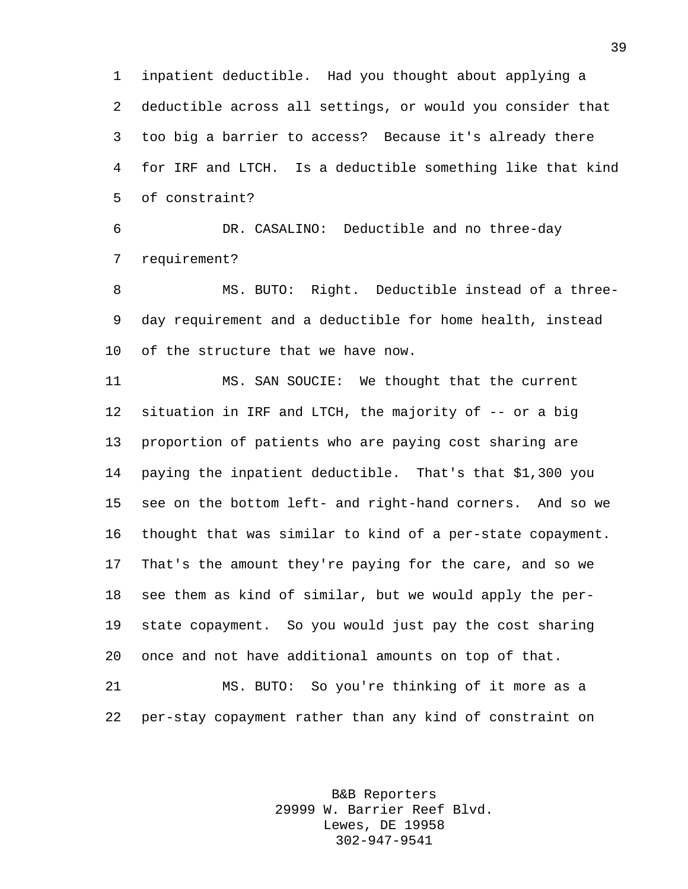inpatient deductible. Had you thought about applying a deductible across all settings, or would you consider that too big a barrier to access? Because it's already there for IRF and LTCH. Is a deductible something like that kind of constraint?

 DR. CASALINO: Deductible and no three-day requirement?

 MS. BUTO: Right. Deductible instead of a three- day requirement and a deductible for home health, instead of the structure that we have now.

 MS. SAN SOUCIE: We thought that the current situation in IRF and LTCH, the majority of -- or a big proportion of patients who are paying cost sharing are paying the inpatient deductible. That's that \$1,300 you see on the bottom left- and right-hand corners. And so we thought that was similar to kind of a per-state copayment. That's the amount they're paying for the care, and so we see them as kind of similar, but we would apply the per- state copayment. So you would just pay the cost sharing once and not have additional amounts on top of that.

 MS. BUTO: So you're thinking of it more as a per-stay copayment rather than any kind of constraint on

> B&B Reporters 29999 W. Barrier Reef Blvd. Lewes, DE 19958 302-947-9541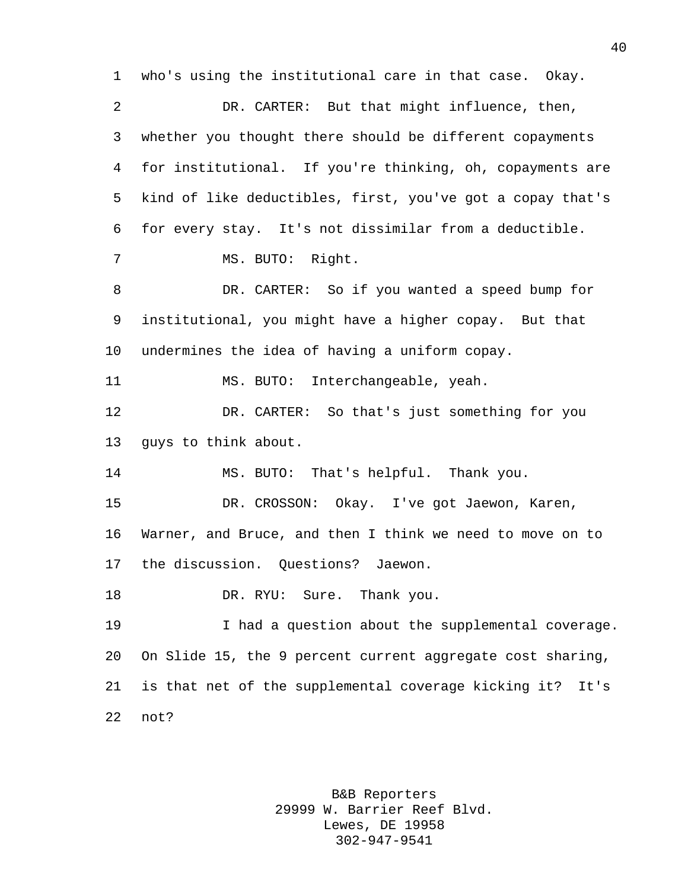who's using the institutional care in that case. Okay. DR. CARTER: But that might influence, then, whether you thought there should be different copayments for institutional. If you're thinking, oh, copayments are kind of like deductibles, first, you've got a copay that's for every stay. It's not dissimilar from a deductible. MS. BUTO: Right. DR. CARTER: So if you wanted a speed bump for institutional, you might have a higher copay. But that undermines the idea of having a uniform copay. MS. BUTO: Interchangeable, yeah. DR. CARTER: So that's just something for you guys to think about. MS. BUTO: That's helpful. Thank you. DR. CROSSON: Okay. I've got Jaewon, Karen, Warner, and Bruce, and then I think we need to move on to the discussion. Questions? Jaewon. 18 DR. RYU: Sure. Thank you. I had a question about the supplemental coverage. On Slide 15, the 9 percent current aggregate cost sharing, is that net of the supplemental coverage kicking it? It's not?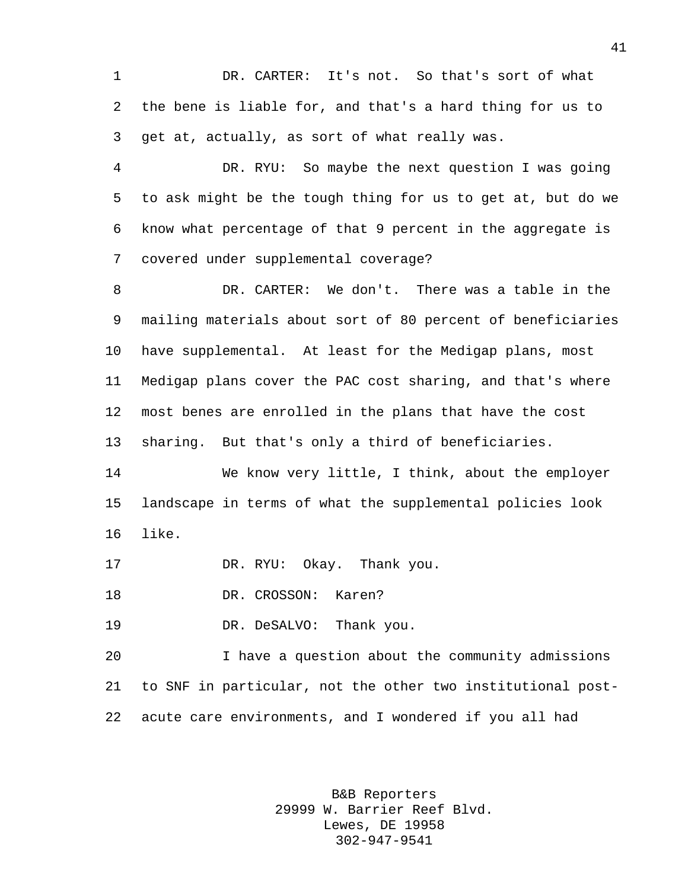DR. CARTER: It's not. So that's sort of what the bene is liable for, and that's a hard thing for us to get at, actually, as sort of what really was.

 DR. RYU: So maybe the next question I was going to ask might be the tough thing for us to get at, but do we know what percentage of that 9 percent in the aggregate is covered under supplemental coverage?

 DR. CARTER: We don't. There was a table in the mailing materials about sort of 80 percent of beneficiaries have supplemental. At least for the Medigap plans, most Medigap plans cover the PAC cost sharing, and that's where most benes are enrolled in the plans that have the cost sharing. But that's only a third of beneficiaries.

 We know very little, I think, about the employer landscape in terms of what the supplemental policies look like.

DR. RYU: Okay. Thank you.

DR. CROSSON: Karen?

DR. DeSALVO: Thank you.

 I have a question about the community admissions to SNF in particular, not the other two institutional post-acute care environments, and I wondered if you all had

> B&B Reporters 29999 W. Barrier Reef Blvd. Lewes, DE 19958 302-947-9541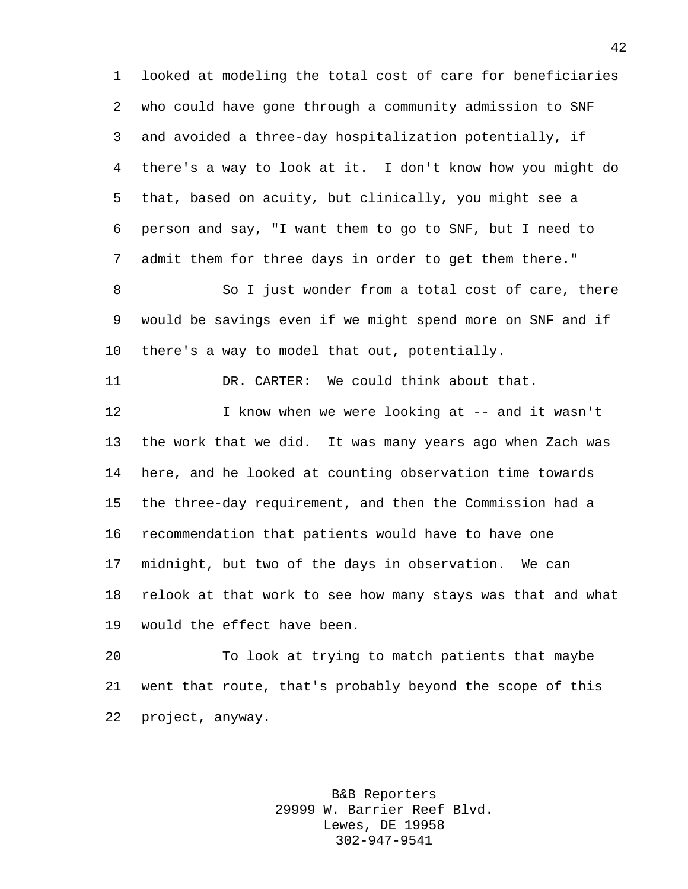looked at modeling the total cost of care for beneficiaries who could have gone through a community admission to SNF and avoided a three-day hospitalization potentially, if there's a way to look at it. I don't know how you might do that, based on acuity, but clinically, you might see a person and say, "I want them to go to SNF, but I need to admit them for three days in order to get them there."

8 So I just wonder from a total cost of care, there would be savings even if we might spend more on SNF and if there's a way to model that out, potentially.

DR. CARTER: We could think about that.

 I know when we were looking at -- and it wasn't the work that we did. It was many years ago when Zach was here, and he looked at counting observation time towards the three-day requirement, and then the Commission had a recommendation that patients would have to have one midnight, but two of the days in observation. We can relook at that work to see how many stays was that and what would the effect have been.

 To look at trying to match patients that maybe went that route, that's probably beyond the scope of this project, anyway.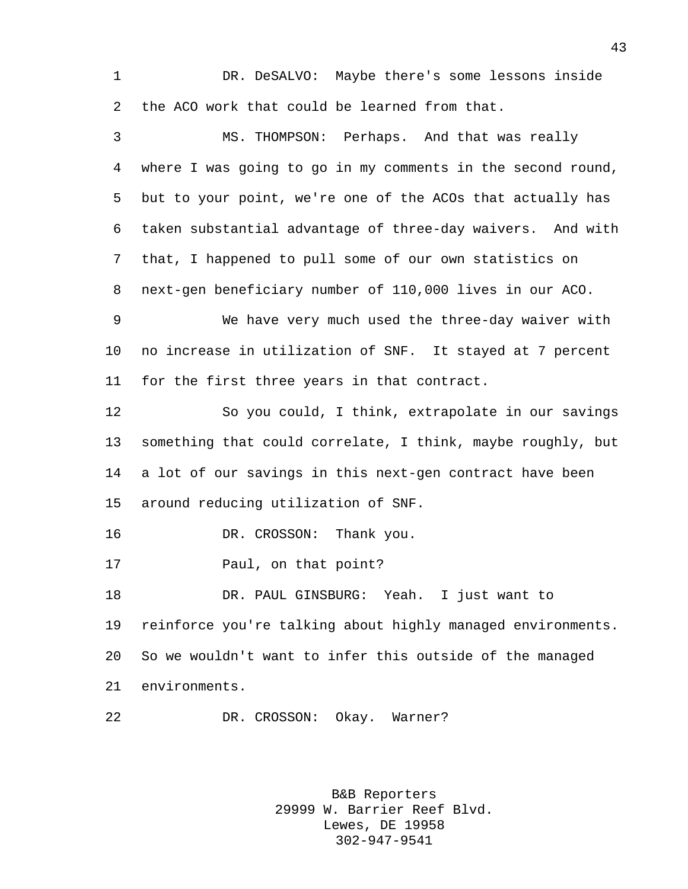DR. DeSALVO: Maybe there's some lessons inside the ACO work that could be learned from that.

 MS. THOMPSON: Perhaps. And that was really where I was going to go in my comments in the second round, but to your point, we're one of the ACOs that actually has taken substantial advantage of three-day waivers. And with that, I happened to pull some of our own statistics on next-gen beneficiary number of 110,000 lives in our ACO.

 We have very much used the three-day waiver with no increase in utilization of SNF. It stayed at 7 percent for the first three years in that contract.

 So you could, I think, extrapolate in our savings something that could correlate, I think, maybe roughly, but a lot of our savings in this next-gen contract have been around reducing utilization of SNF.

DR. CROSSON: Thank you.

Paul, on that point?

 DR. PAUL GINSBURG: Yeah. I just want to reinforce you're talking about highly managed environments. So we wouldn't want to infer this outside of the managed environments.

DR. CROSSON: Okay. Warner?

B&B Reporters 29999 W. Barrier Reef Blvd. Lewes, DE 19958 302-947-9541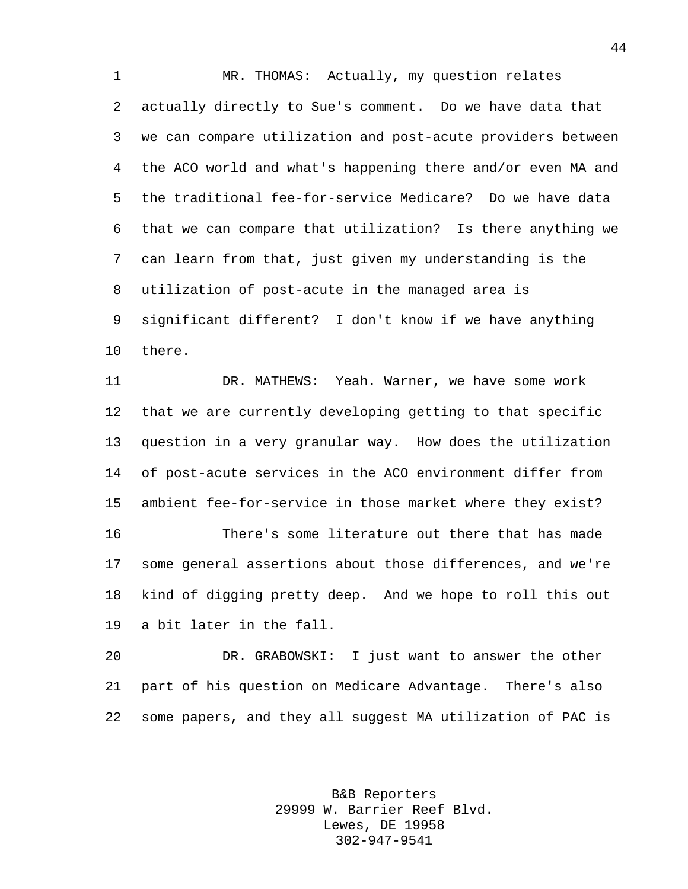MR. THOMAS: Actually, my question relates actually directly to Sue's comment. Do we have data that we can compare utilization and post-acute providers between the ACO world and what's happening there and/or even MA and the traditional fee-for-service Medicare? Do we have data that we can compare that utilization? Is there anything we can learn from that, just given my understanding is the utilization of post-acute in the managed area is significant different? I don't know if we have anything there.

 DR. MATHEWS: Yeah. Warner, we have some work that we are currently developing getting to that specific question in a very granular way. How does the utilization of post-acute services in the ACO environment differ from ambient fee-for-service in those market where they exist? There's some literature out there that has made some general assertions about those differences, and we're kind of digging pretty deep. And we hope to roll this out

a bit later in the fall.

 DR. GRABOWSKI: I just want to answer the other part of his question on Medicare Advantage. There's also some papers, and they all suggest MA utilization of PAC is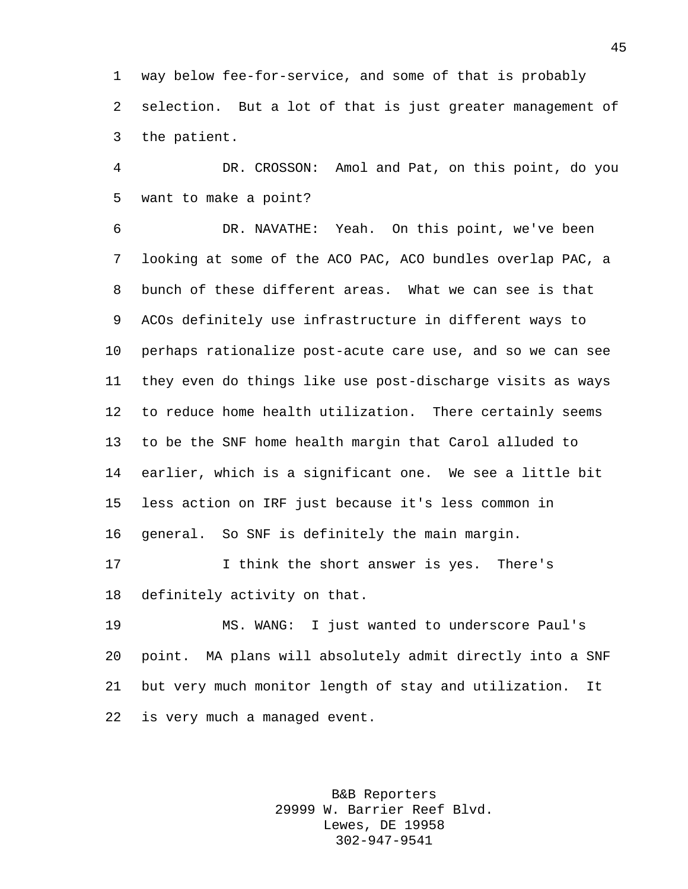way below fee-for-service, and some of that is probably selection. But a lot of that is just greater management of the patient.

 DR. CROSSON: Amol and Pat, on this point, do you want to make a point?

 DR. NAVATHE: Yeah. On this point, we've been looking at some of the ACO PAC, ACO bundles overlap PAC, a bunch of these different areas. What we can see is that ACOs definitely use infrastructure in different ways to perhaps rationalize post-acute care use, and so we can see they even do things like use post-discharge visits as ways to reduce home health utilization. There certainly seems to be the SNF home health margin that Carol alluded to earlier, which is a significant one. We see a little bit less action on IRF just because it's less common in general. So SNF is definitely the main margin.

 I think the short answer is yes. There's definitely activity on that.

 MS. WANG: I just wanted to underscore Paul's point. MA plans will absolutely admit directly into a SNF but very much monitor length of stay and utilization. It is very much a managed event.

> B&B Reporters 29999 W. Barrier Reef Blvd. Lewes, DE 19958 302-947-9541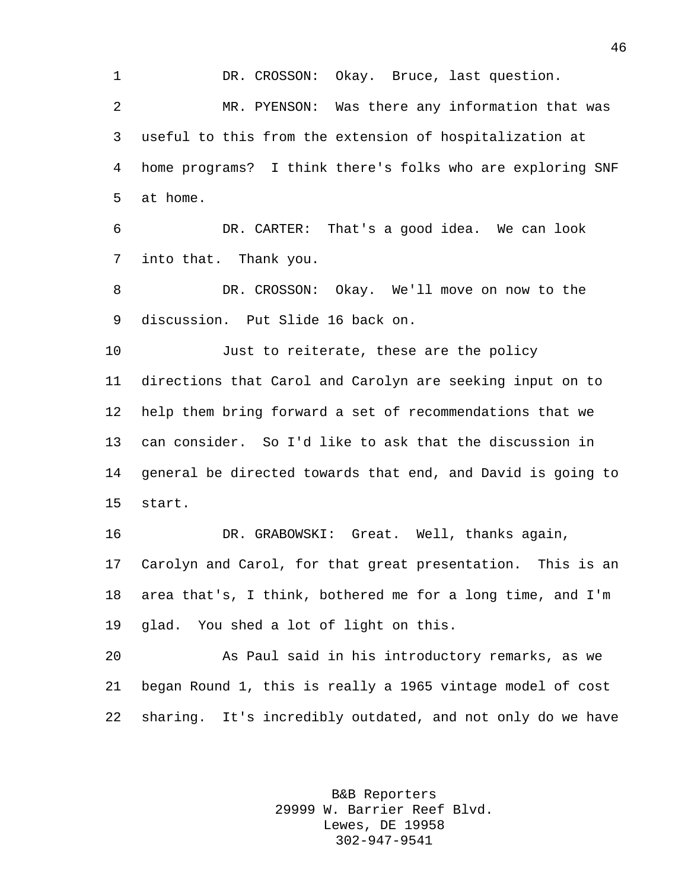DR. CROSSON: Okay. Bruce, last question. MR. PYENSON: Was there any information that was useful to this from the extension of hospitalization at home programs? I think there's folks who are exploring SNF at home. DR. CARTER: That's a good idea. We can look into that. Thank you. DR. CROSSON: Okay. We'll move on now to the discussion. Put Slide 16 back on. Just to reiterate, these are the policy directions that Carol and Carolyn are seeking input on to help them bring forward a set of recommendations that we can consider. So I'd like to ask that the discussion in general be directed towards that end, and David is going to start. DR. GRABOWSKI: Great. Well, thanks again, Carolyn and Carol, for that great presentation. This is an area that's, I think, bothered me for a long time, and I'm glad. You shed a lot of light on this. As Paul said in his introductory remarks, as we began Round 1, this is really a 1965 vintage model of cost sharing. It's incredibly outdated, and not only do we have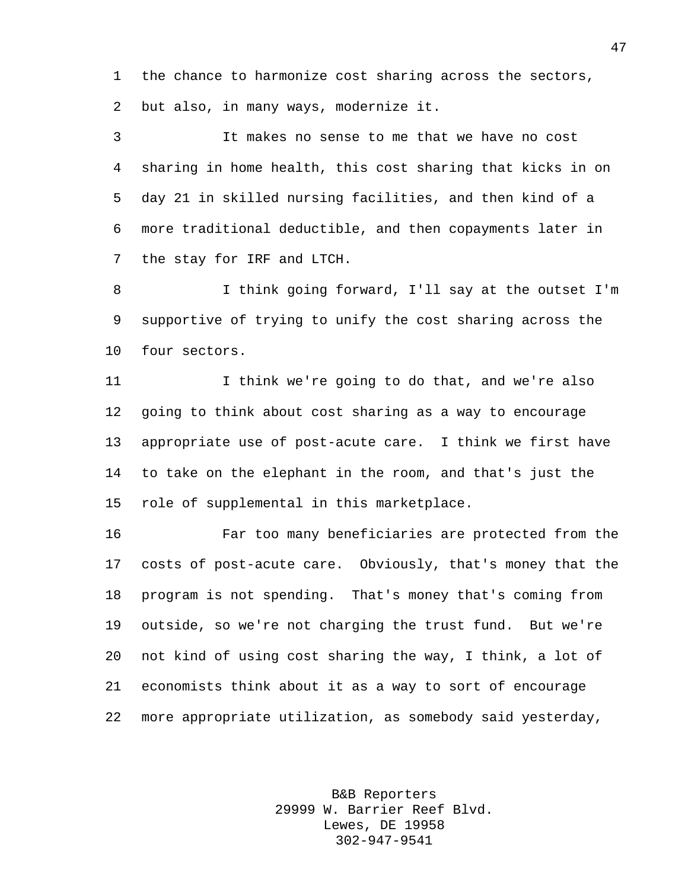the chance to harmonize cost sharing across the sectors, but also, in many ways, modernize it.

 It makes no sense to me that we have no cost sharing in home health, this cost sharing that kicks in on day 21 in skilled nursing facilities, and then kind of a more traditional deductible, and then copayments later in the stay for IRF and LTCH.

 I think going forward, I'll say at the outset I'm supportive of trying to unify the cost sharing across the four sectors.

 I think we're going to do that, and we're also going to think about cost sharing as a way to encourage appropriate use of post-acute care. I think we first have to take on the elephant in the room, and that's just the role of supplemental in this marketplace.

 Far too many beneficiaries are protected from the costs of post-acute care. Obviously, that's money that the program is not spending. That's money that's coming from outside, so we're not charging the trust fund. But we're not kind of using cost sharing the way, I think, a lot of economists think about it as a way to sort of encourage more appropriate utilization, as somebody said yesterday,

> B&B Reporters 29999 W. Barrier Reef Blvd. Lewes, DE 19958 302-947-9541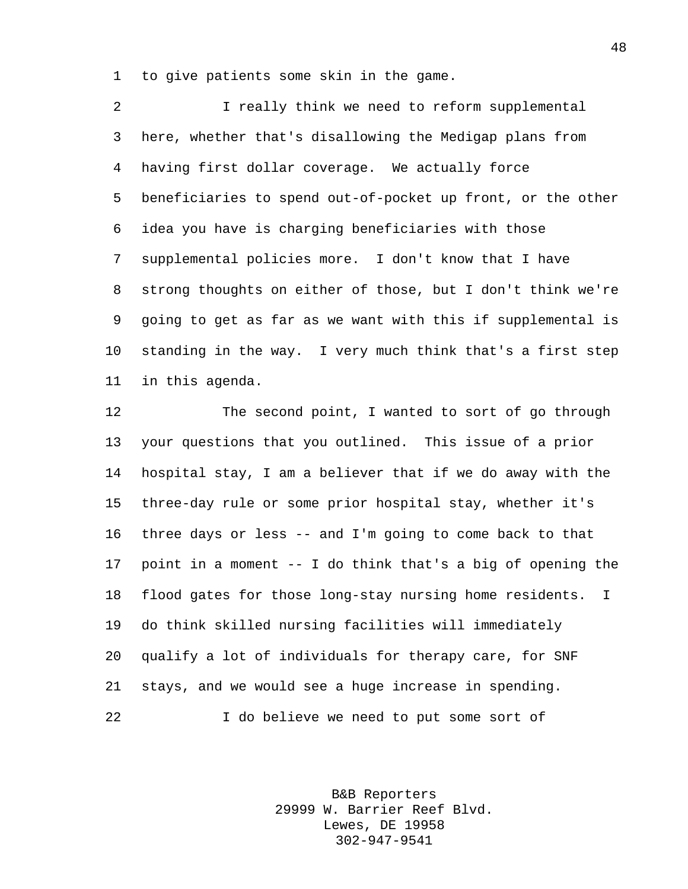to give patients some skin in the game.

 I really think we need to reform supplemental here, whether that's disallowing the Medigap plans from having first dollar coverage. We actually force beneficiaries to spend out-of-pocket up front, or the other idea you have is charging beneficiaries with those supplemental policies more. I don't know that I have strong thoughts on either of those, but I don't think we're going to get as far as we want with this if supplemental is standing in the way. I very much think that's a first step in this agenda.

 The second point, I wanted to sort of go through your questions that you outlined. This issue of a prior hospital stay, I am a believer that if we do away with the three-day rule or some prior hospital stay, whether it's three days or less -- and I'm going to come back to that point in a moment -- I do think that's a big of opening the flood gates for those long-stay nursing home residents. I do think skilled nursing facilities will immediately qualify a lot of individuals for therapy care, for SNF stays, and we would see a huge increase in spending. I do believe we need to put some sort of

> B&B Reporters 29999 W. Barrier Reef Blvd. Lewes, DE 19958 302-947-9541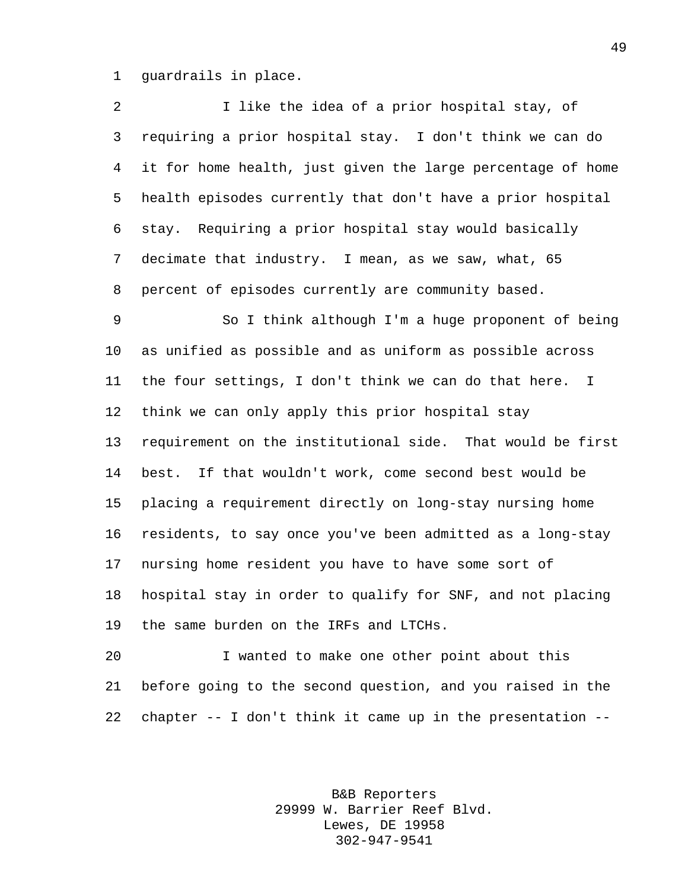guardrails in place.

| 2  | I like the idea of a prior hospital stay, of                |
|----|-------------------------------------------------------------|
| 3  | requiring a prior hospital stay. I don't think we can do    |
| 4  | it for home health, just given the large percentage of home |
| 5  | health episodes currently that don't have a prior hospital  |
| 6  | stay. Requiring a prior hospital stay would basically       |
| 7  | decimate that industry. I mean, as we saw, what, 65         |
| 8  | percent of episodes currently are community based.          |
| 9  | So I think although I'm a huge proponent of being           |
| 10 | as unified as possible and as uniform as possible across    |
| 11 | the four settings, I don't think we can do that here.<br>I  |
| 12 | think we can only apply this prior hospital stay            |
| 13 | requirement on the institutional side. That would be first  |
| 14 | best. If that wouldn't work, come second best would be      |
| 15 | placing a requirement directly on long-stay nursing home    |
| 16 | residents, to say once you've been admitted as a long-stay  |
| 17 | nursing home resident you have to have some sort of         |
| 18 | hospital stay in order to qualify for SNF, and not placing  |
| 19 | the same burden on the IRFs and LTCHs.                      |
| 20 | I wanted to make one other point about this                 |

 before going to the second question, and you raised in the chapter -- I don't think it came up in the presentation --

> B&B Reporters 29999 W. Barrier Reef Blvd. Lewes, DE 19958 302-947-9541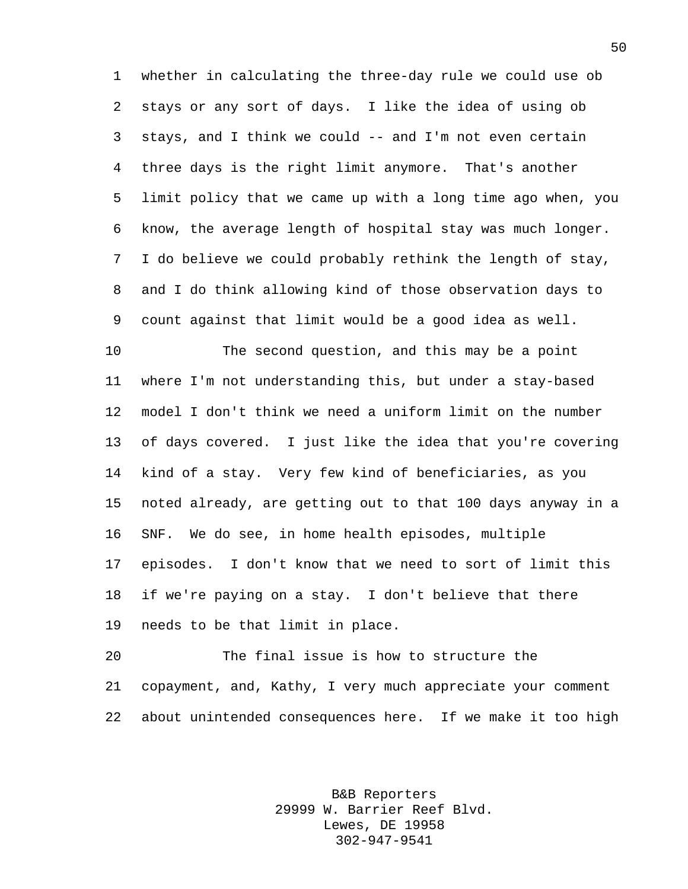whether in calculating the three-day rule we could use ob stays or any sort of days. I like the idea of using ob stays, and I think we could -- and I'm not even certain three days is the right limit anymore. That's another limit policy that we came up with a long time ago when, you know, the average length of hospital stay was much longer. I do believe we could probably rethink the length of stay, and I do think allowing kind of those observation days to count against that limit would be a good idea as well.

 The second question, and this may be a point where I'm not understanding this, but under a stay-based model I don't think we need a uniform limit on the number of days covered. I just like the idea that you're covering kind of a stay. Very few kind of beneficiaries, as you noted already, are getting out to that 100 days anyway in a SNF. We do see, in home health episodes, multiple episodes. I don't know that we need to sort of limit this if we're paying on a stay. I don't believe that there needs to be that limit in place.

 The final issue is how to structure the copayment, and, Kathy, I very much appreciate your comment about unintended consequences here. If we make it too high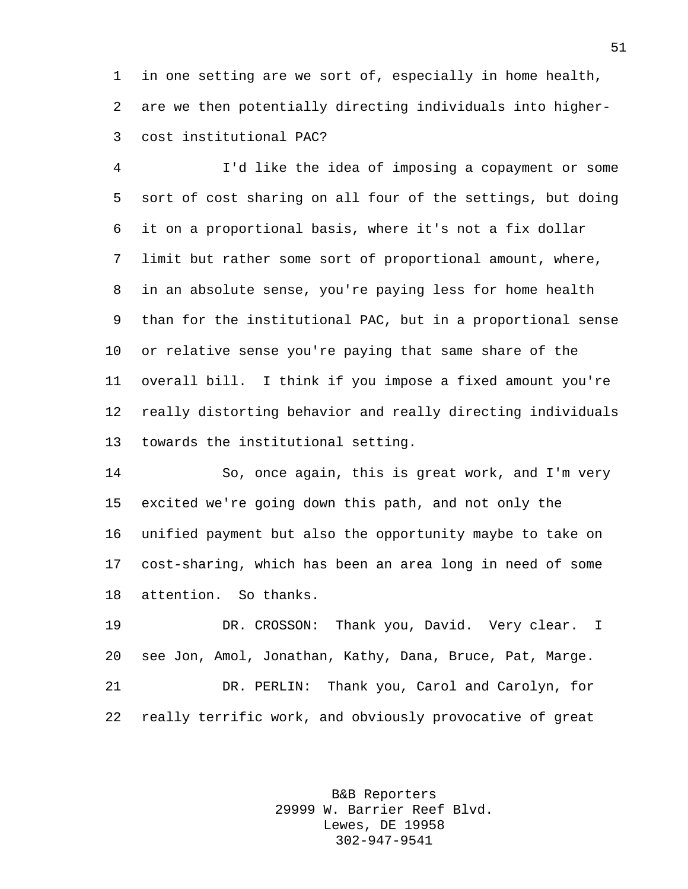in one setting are we sort of, especially in home health, are we then potentially directing individuals into higher-cost institutional PAC?

 I'd like the idea of imposing a copayment or some sort of cost sharing on all four of the settings, but doing it on a proportional basis, where it's not a fix dollar limit but rather some sort of proportional amount, where, in an absolute sense, you're paying less for home health than for the institutional PAC, but in a proportional sense or relative sense you're paying that same share of the overall bill. I think if you impose a fixed amount you're really distorting behavior and really directing individuals towards the institutional setting.

 So, once again, this is great work, and I'm very excited we're going down this path, and not only the unified payment but also the opportunity maybe to take on cost-sharing, which has been an area long in need of some attention. So thanks.

 DR. CROSSON: Thank you, David. Very clear. I see Jon, Amol, Jonathan, Kathy, Dana, Bruce, Pat, Marge. DR. PERLIN: Thank you, Carol and Carolyn, for really terrific work, and obviously provocative of great

> B&B Reporters 29999 W. Barrier Reef Blvd. Lewes, DE 19958 302-947-9541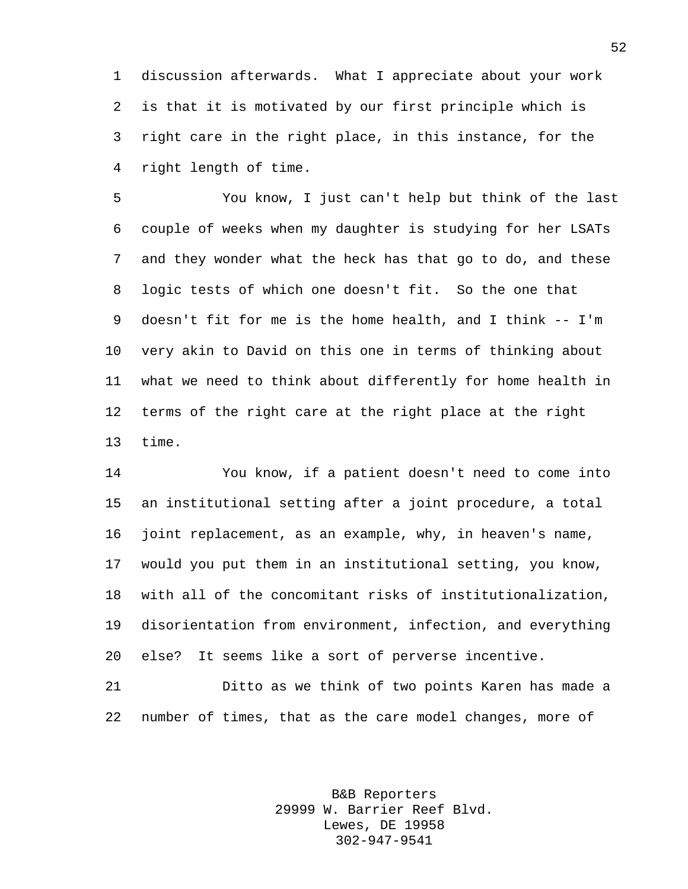discussion afterwards. What I appreciate about your work is that it is motivated by our first principle which is right care in the right place, in this instance, for the right length of time.

 You know, I just can't help but think of the last couple of weeks when my daughter is studying for her LSATs and they wonder what the heck has that go to do, and these logic tests of which one doesn't fit. So the one that doesn't fit for me is the home health, and I think -- I'm very akin to David on this one in terms of thinking about what we need to think about differently for home health in terms of the right care at the right place at the right time.

 You know, if a patient doesn't need to come into an institutional setting after a joint procedure, a total joint replacement, as an example, why, in heaven's name, would you put them in an institutional setting, you know, with all of the concomitant risks of institutionalization, disorientation from environment, infection, and everything else? It seems like a sort of perverse incentive.

 Ditto as we think of two points Karen has made a number of times, that as the care model changes, more of

> B&B Reporters 29999 W. Barrier Reef Blvd. Lewes, DE 19958 302-947-9541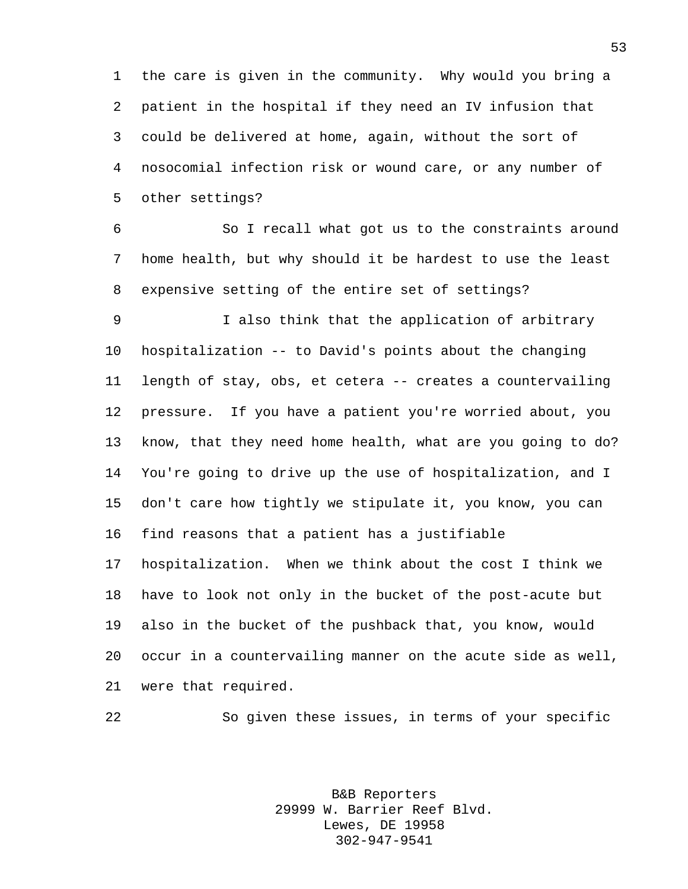the care is given in the community. Why would you bring a patient in the hospital if they need an IV infusion that could be delivered at home, again, without the sort of nosocomial infection risk or wound care, or any number of other settings?

 So I recall what got us to the constraints around home health, but why should it be hardest to use the least expensive setting of the entire set of settings?

 I also think that the application of arbitrary hospitalization -- to David's points about the changing length of stay, obs, et cetera -- creates a countervailing pressure. If you have a patient you're worried about, you know, that they need home health, what are you going to do? You're going to drive up the use of hospitalization, and I don't care how tightly we stipulate it, you know, you can find reasons that a patient has a justifiable hospitalization. When we think about the cost I think we have to look not only in the bucket of the post-acute but also in the bucket of the pushback that, you know, would occur in a countervailing manner on the acute side as well, were that required.

So given these issues, in terms of your specific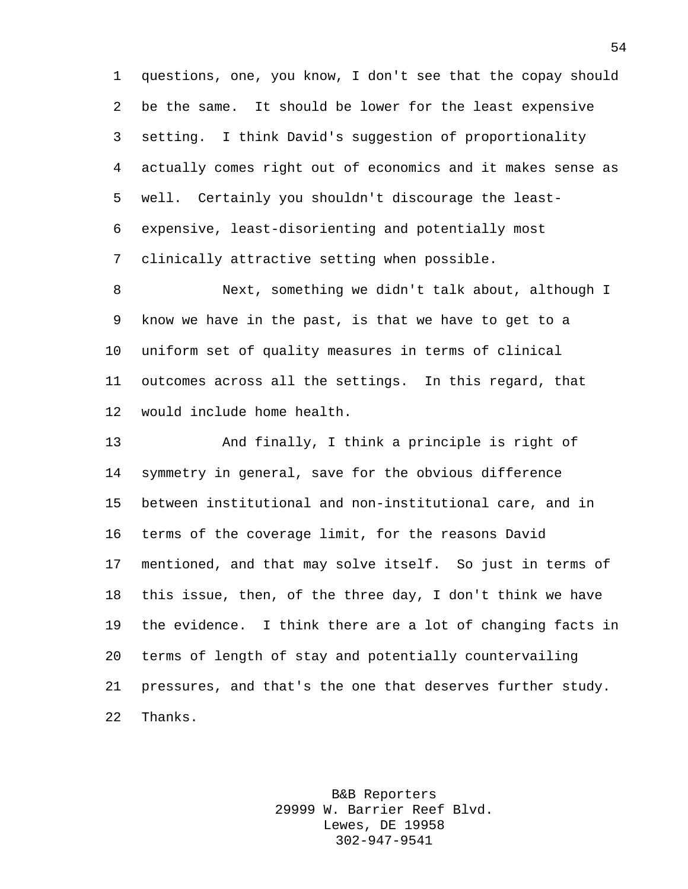questions, one, you know, I don't see that the copay should be the same. It should be lower for the least expensive setting. I think David's suggestion of proportionality actually comes right out of economics and it makes sense as well. Certainly you shouldn't discourage the least- expensive, least-disorienting and potentially most clinically attractive setting when possible.

 Next, something we didn't talk about, although I know we have in the past, is that we have to get to a uniform set of quality measures in terms of clinical outcomes across all the settings. In this regard, that would include home health.

 And finally, I think a principle is right of symmetry in general, save for the obvious difference between institutional and non-institutional care, and in terms of the coverage limit, for the reasons David mentioned, and that may solve itself. So just in terms of this issue, then, of the three day, I don't think we have the evidence. I think there are a lot of changing facts in terms of length of stay and potentially countervailing pressures, and that's the one that deserves further study. Thanks.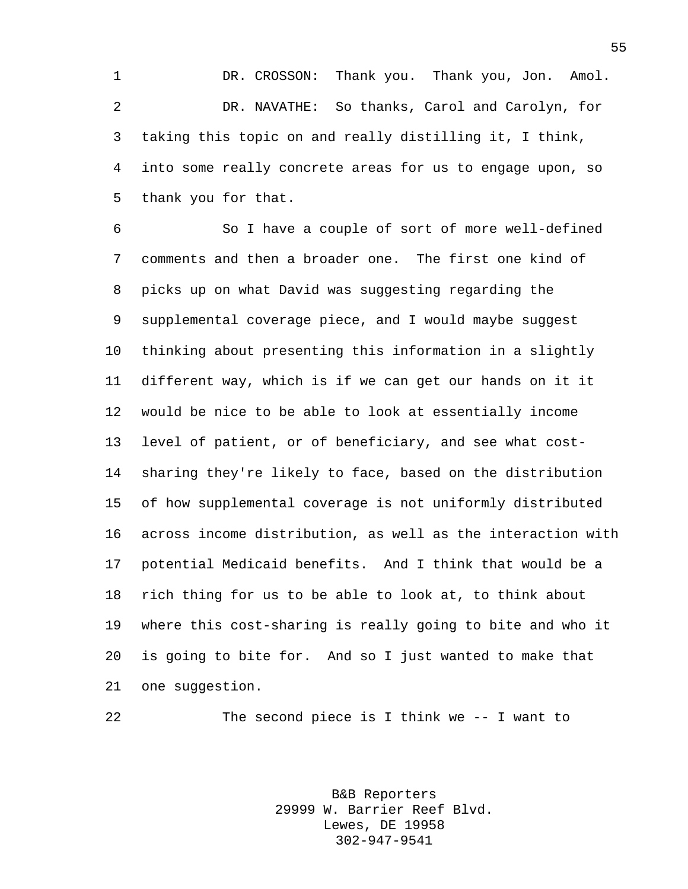DR. CROSSON: Thank you. Thank you, Jon. Amol. DR. NAVATHE: So thanks, Carol and Carolyn, for taking this topic on and really distilling it, I think, into some really concrete areas for us to engage upon, so thank you for that.

 So I have a couple of sort of more well-defined comments and then a broader one. The first one kind of picks up on what David was suggesting regarding the supplemental coverage piece, and I would maybe suggest thinking about presenting this information in a slightly different way, which is if we can get our hands on it it would be nice to be able to look at essentially income level of patient, or of beneficiary, and see what cost- sharing they're likely to face, based on the distribution of how supplemental coverage is not uniformly distributed across income distribution, as well as the interaction with potential Medicaid benefits. And I think that would be a rich thing for us to be able to look at, to think about where this cost-sharing is really going to bite and who it is going to bite for. And so I just wanted to make that one suggestion.

The second piece is I think we -- I want to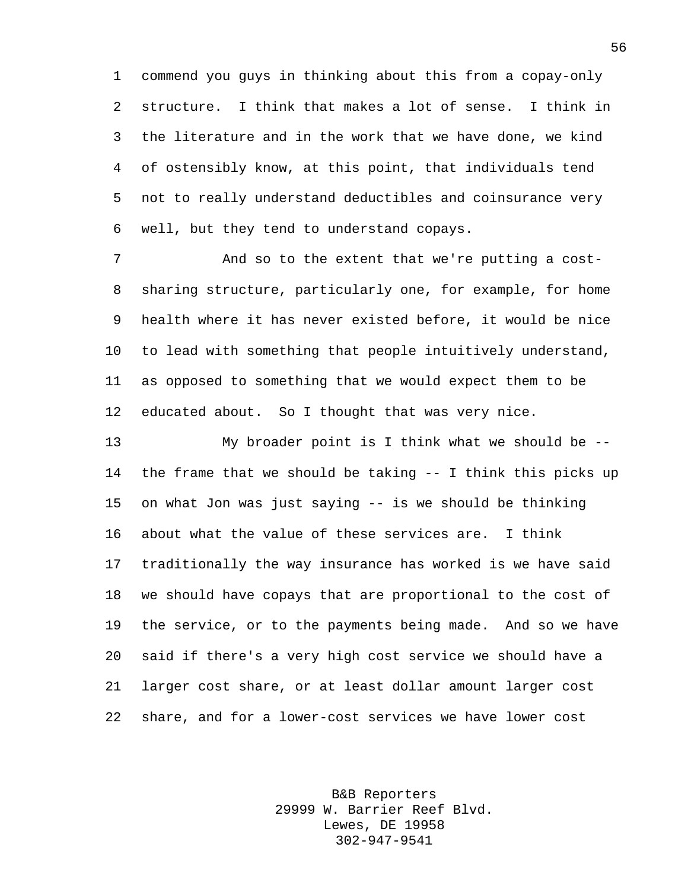commend you guys in thinking about this from a copay-only structure. I think that makes a lot of sense. I think in the literature and in the work that we have done, we kind of ostensibly know, at this point, that individuals tend not to really understand deductibles and coinsurance very well, but they tend to understand copays.

7 And so to the extent that we're putting a cost- sharing structure, particularly one, for example, for home health where it has never existed before, it would be nice to lead with something that people intuitively understand, as opposed to something that we would expect them to be educated about. So I thought that was very nice.

 My broader point is I think what we should be -- the frame that we should be taking -- I think this picks up on what Jon was just saying -- is we should be thinking about what the value of these services are. I think traditionally the way insurance has worked is we have said we should have copays that are proportional to the cost of the service, or to the payments being made. And so we have said if there's a very high cost service we should have a larger cost share, or at least dollar amount larger cost share, and for a lower-cost services we have lower cost

> B&B Reporters 29999 W. Barrier Reef Blvd. Lewes, DE 19958 302-947-9541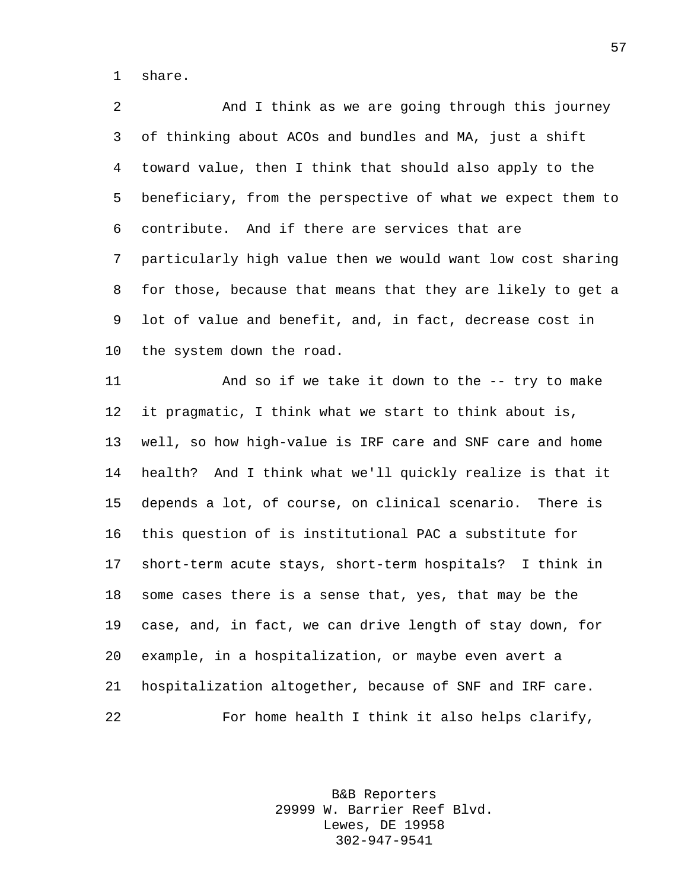share.

 And I think as we are going through this journey of thinking about ACOs and bundles and MA, just a shift toward value, then I think that should also apply to the beneficiary, from the perspective of what we expect them to contribute. And if there are services that are particularly high value then we would want low cost sharing for those, because that means that they are likely to get a lot of value and benefit, and, in fact, decrease cost in the system down the road.

 And so if we take it down to the -- try to make it pragmatic, I think what we start to think about is, well, so how high-value is IRF care and SNF care and home health? And I think what we'll quickly realize is that it depends a lot, of course, on clinical scenario. There is this question of is institutional PAC a substitute for short-term acute stays, short-term hospitals? I think in some cases there is a sense that, yes, that may be the case, and, in fact, we can drive length of stay down, for example, in a hospitalization, or maybe even avert a hospitalization altogether, because of SNF and IRF care. For home health I think it also helps clarify,

> B&B Reporters 29999 W. Barrier Reef Blvd. Lewes, DE 19958 302-947-9541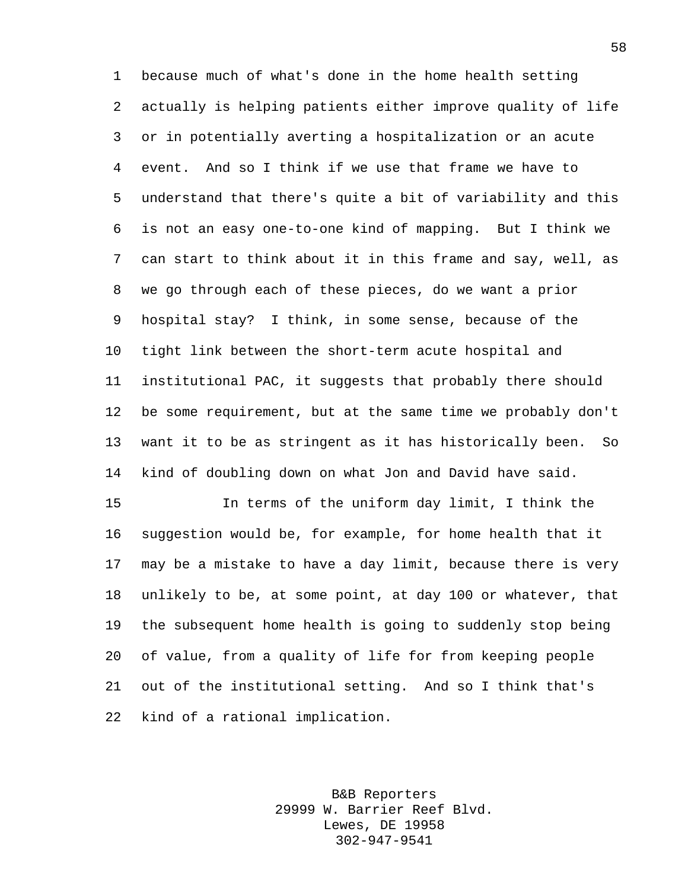because much of what's done in the home health setting actually is helping patients either improve quality of life or in potentially averting a hospitalization or an acute event. And so I think if we use that frame we have to understand that there's quite a bit of variability and this is not an easy one-to-one kind of mapping. But I think we can start to think about it in this frame and say, well, as we go through each of these pieces, do we want a prior hospital stay? I think, in some sense, because of the tight link between the short-term acute hospital and institutional PAC, it suggests that probably there should be some requirement, but at the same time we probably don't want it to be as stringent as it has historically been. So kind of doubling down on what Jon and David have said.

 In terms of the uniform day limit, I think the suggestion would be, for example, for home health that it may be a mistake to have a day limit, because there is very unlikely to be, at some point, at day 100 or whatever, that the subsequent home health is going to suddenly stop being of value, from a quality of life for from keeping people out of the institutional setting. And so I think that's kind of a rational implication.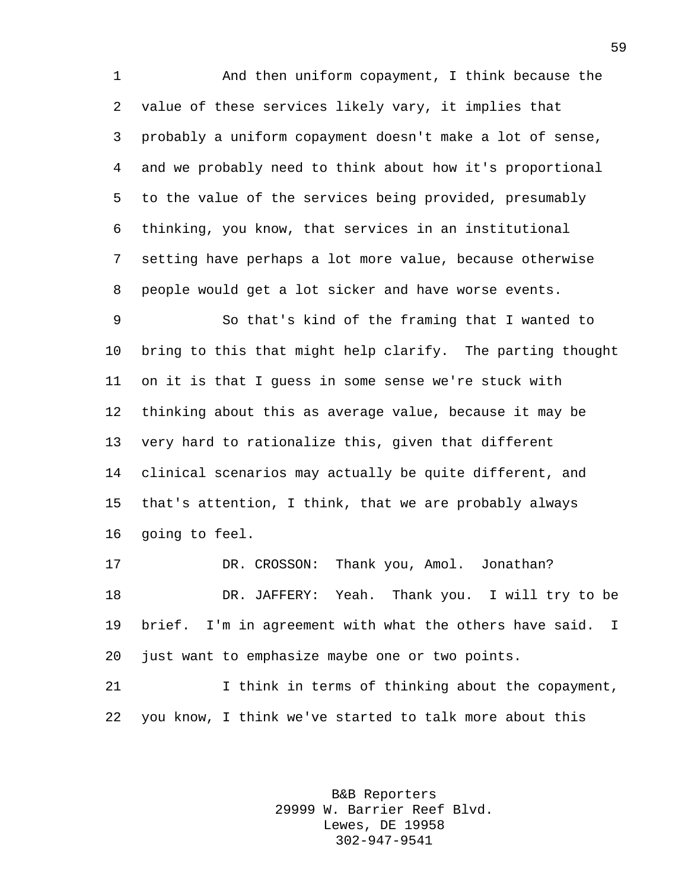And then uniform copayment, I think because the value of these services likely vary, it implies that probably a uniform copayment doesn't make a lot of sense, and we probably need to think about how it's proportional to the value of the services being provided, presumably thinking, you know, that services in an institutional setting have perhaps a lot more value, because otherwise people would get a lot sicker and have worse events.

 So that's kind of the framing that I wanted to bring to this that might help clarify. The parting thought on it is that I guess in some sense we're stuck with thinking about this as average value, because it may be very hard to rationalize this, given that different clinical scenarios may actually be quite different, and that's attention, I think, that we are probably always going to feel.

 DR. CROSSON: Thank you, Amol. Jonathan? DR. JAFFERY: Yeah. Thank you. I will try to be brief. I'm in agreement with what the others have said. I just want to emphasize maybe one or two points.

 I think in terms of thinking about the copayment, you know, I think we've started to talk more about this

> B&B Reporters 29999 W. Barrier Reef Blvd. Lewes, DE 19958 302-947-9541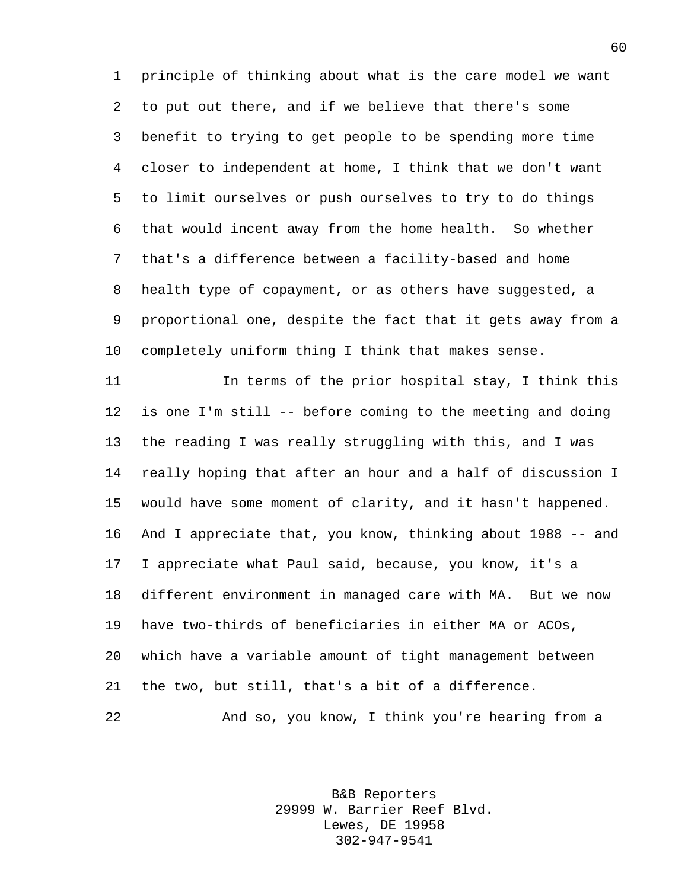principle of thinking about what is the care model we want to put out there, and if we believe that there's some benefit to trying to get people to be spending more time closer to independent at home, I think that we don't want to limit ourselves or push ourselves to try to do things that would incent away from the home health. So whether that's a difference between a facility-based and home health type of copayment, or as others have suggested, a proportional one, despite the fact that it gets away from a completely uniform thing I think that makes sense.

 In terms of the prior hospital stay, I think this is one I'm still -- before coming to the meeting and doing the reading I was really struggling with this, and I was really hoping that after an hour and a half of discussion I would have some moment of clarity, and it hasn't happened. And I appreciate that, you know, thinking about 1988 -- and I appreciate what Paul said, because, you know, it's a different environment in managed care with MA. But we now have two-thirds of beneficiaries in either MA or ACOs, which have a variable amount of tight management between the two, but still, that's a bit of a difference. And so, you know, I think you're hearing from a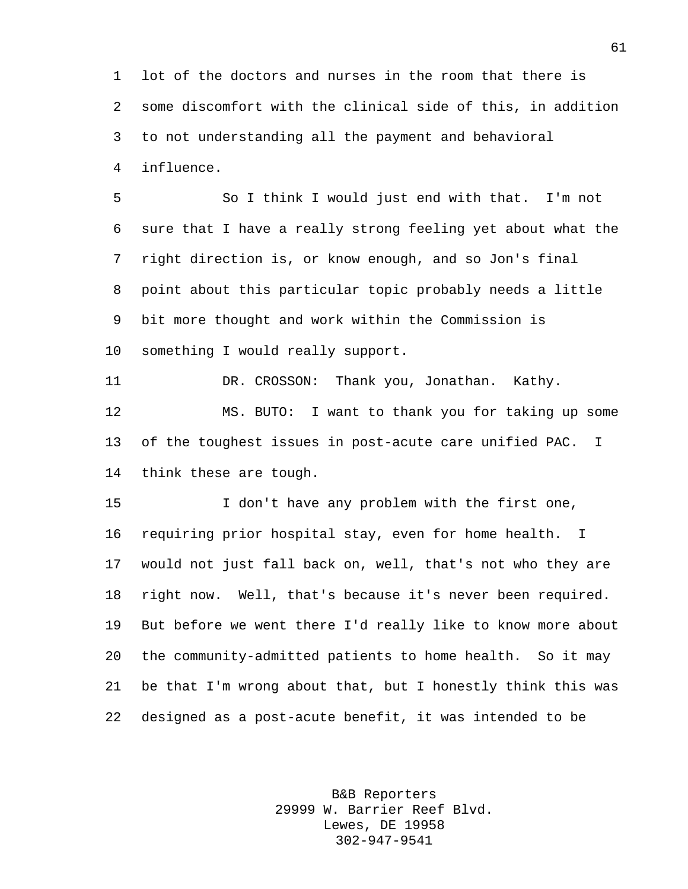lot of the doctors and nurses in the room that there is some discomfort with the clinical side of this, in addition to not understanding all the payment and behavioral influence.

 So I think I would just end with that. I'm not sure that I have a really strong feeling yet about what the right direction is, or know enough, and so Jon's final point about this particular topic probably needs a little bit more thought and work within the Commission is something I would really support.

 DR. CROSSON: Thank you, Jonathan. Kathy. MS. BUTO: I want to thank you for taking up some of the toughest issues in post-acute care unified PAC. I think these are tough.

 I don't have any problem with the first one, requiring prior hospital stay, even for home health. I would not just fall back on, well, that's not who they are right now. Well, that's because it's never been required. But before we went there I'd really like to know more about the community-admitted patients to home health. So it may be that I'm wrong about that, but I honestly think this was designed as a post-acute benefit, it was intended to be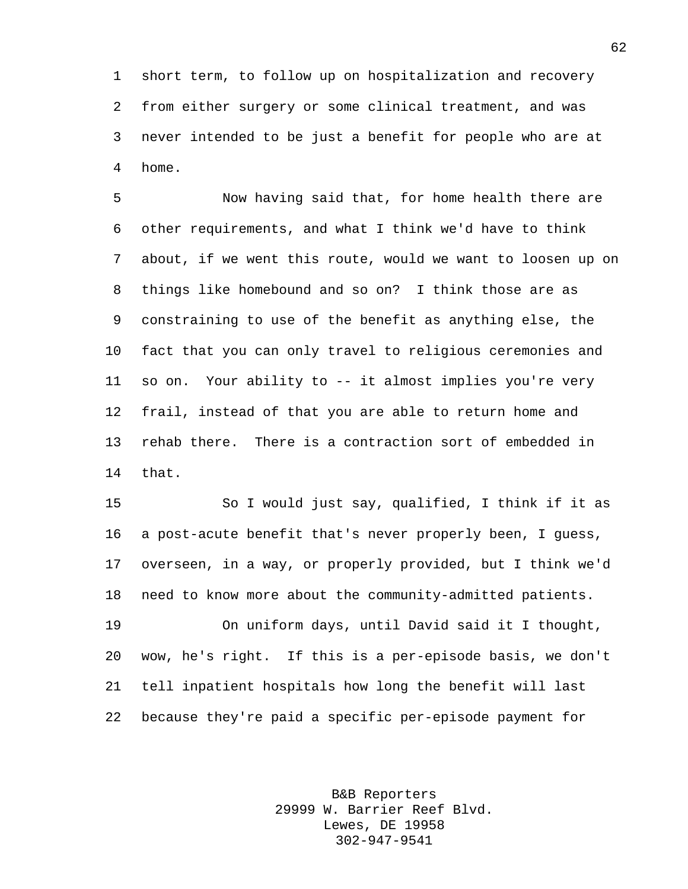short term, to follow up on hospitalization and recovery from either surgery or some clinical treatment, and was never intended to be just a benefit for people who are at home.

 Now having said that, for home health there are other requirements, and what I think we'd have to think about, if we went this route, would we want to loosen up on things like homebound and so on? I think those are as constraining to use of the benefit as anything else, the fact that you can only travel to religious ceremonies and so on. Your ability to -- it almost implies you're very frail, instead of that you are able to return home and rehab there. There is a contraction sort of embedded in that.

 So I would just say, qualified, I think if it as a post-acute benefit that's never properly been, I guess, overseen, in a way, or properly provided, but I think we'd need to know more about the community-admitted patients.

 On uniform days, until David said it I thought, wow, he's right. If this is a per-episode basis, we don't tell inpatient hospitals how long the benefit will last because they're paid a specific per-episode payment for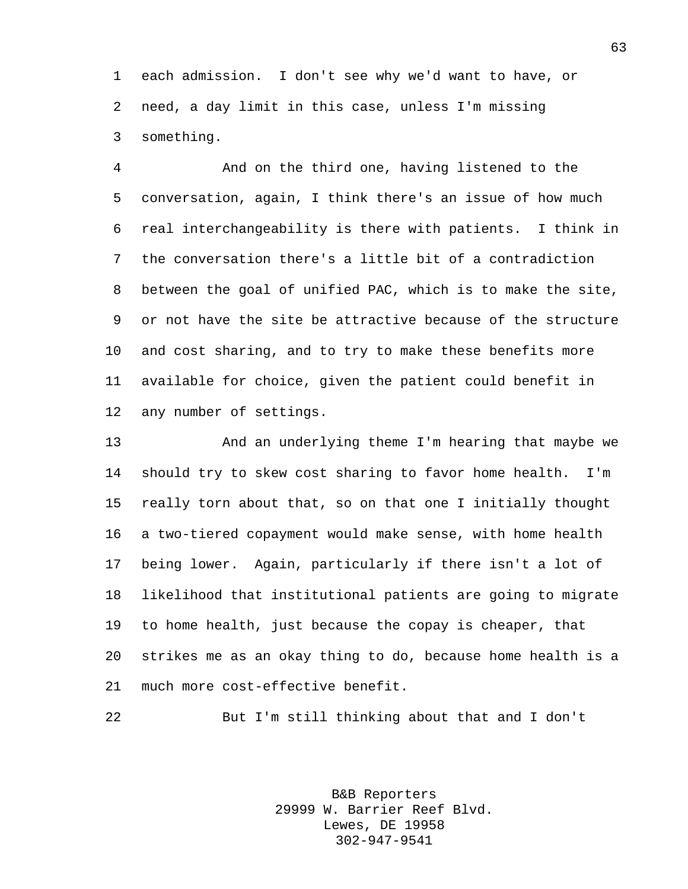each admission. I don't see why we'd want to have, or need, a day limit in this case, unless I'm missing something.

 And on the third one, having listened to the conversation, again, I think there's an issue of how much real interchangeability is there with patients. I think in the conversation there's a little bit of a contradiction between the goal of unified PAC, which is to make the site, or not have the site be attractive because of the structure and cost sharing, and to try to make these benefits more available for choice, given the patient could benefit in any number of settings.

 And an underlying theme I'm hearing that maybe we should try to skew cost sharing to favor home health. I'm really torn about that, so on that one I initially thought a two-tiered copayment would make sense, with home health being lower. Again, particularly if there isn't a lot of likelihood that institutional patients are going to migrate to home health, just because the copay is cheaper, that strikes me as an okay thing to do, because home health is a much more cost-effective benefit.

But I'm still thinking about that and I don't

B&B Reporters 29999 W. Barrier Reef Blvd. Lewes, DE 19958 302-947-9541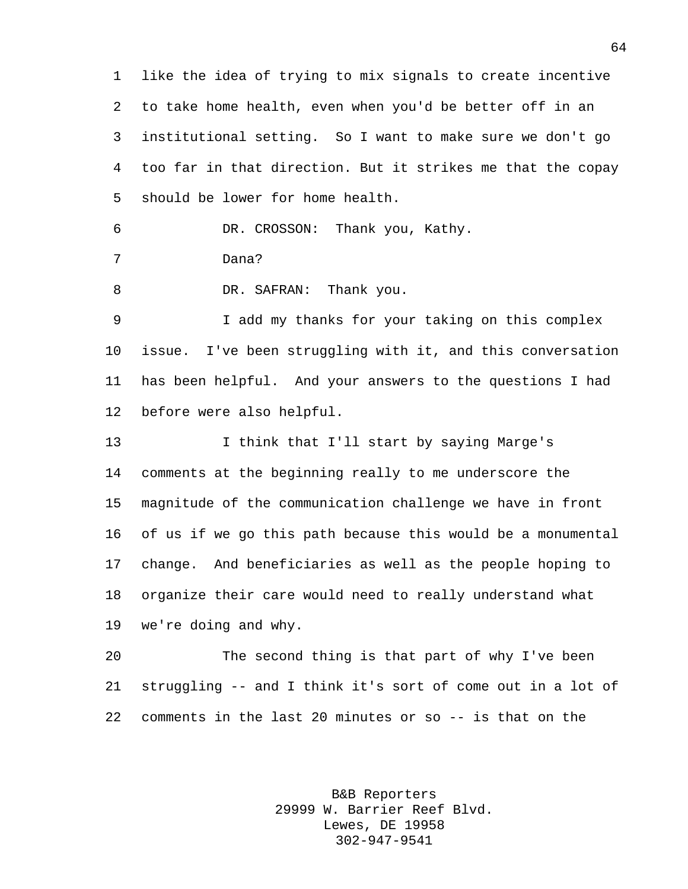like the idea of trying to mix signals to create incentive to take home health, even when you'd be better off in an institutional setting. So I want to make sure we don't go too far in that direction. But it strikes me that the copay should be lower for home health.

DR. CROSSON: Thank you, Kathy.

Dana?

8 DR. SAFRAN: Thank you.

 I add my thanks for your taking on this complex issue. I've been struggling with it, and this conversation has been helpful. And your answers to the questions I had before were also helpful.

 I think that I'll start by saying Marge's comments at the beginning really to me underscore the magnitude of the communication challenge we have in front of us if we go this path because this would be a monumental change. And beneficiaries as well as the people hoping to organize their care would need to really understand what we're doing and why.

 The second thing is that part of why I've been struggling -- and I think it's sort of come out in a lot of comments in the last 20 minutes or so -- is that on the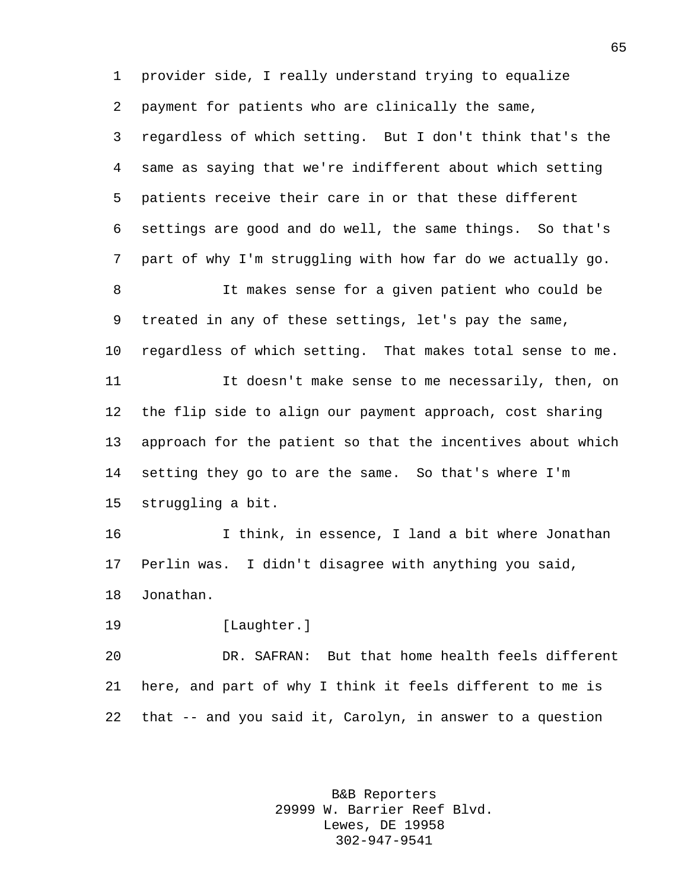provider side, I really understand trying to equalize payment for patients who are clinically the same, regardless of which setting. But I don't think that's the same as saying that we're indifferent about which setting patients receive their care in or that these different settings are good and do well, the same things. So that's part of why I'm struggling with how far do we actually go. It makes sense for a given patient who could be treated in any of these settings, let's pay the same, regardless of which setting. That makes total sense to me. It doesn't make sense to me necessarily, then, on the flip side to align our payment approach, cost sharing approach for the patient so that the incentives about which setting they go to are the same. So that's where I'm struggling a bit. I think, in essence, I land a bit where Jonathan Perlin was. I didn't disagree with anything you said, Jonathan. [Laughter.] DR. SAFRAN: But that home health feels different

 here, and part of why I think it feels different to me is that -- and you said it, Carolyn, in answer to a question

> B&B Reporters 29999 W. Barrier Reef Blvd. Lewes, DE 19958 302-947-9541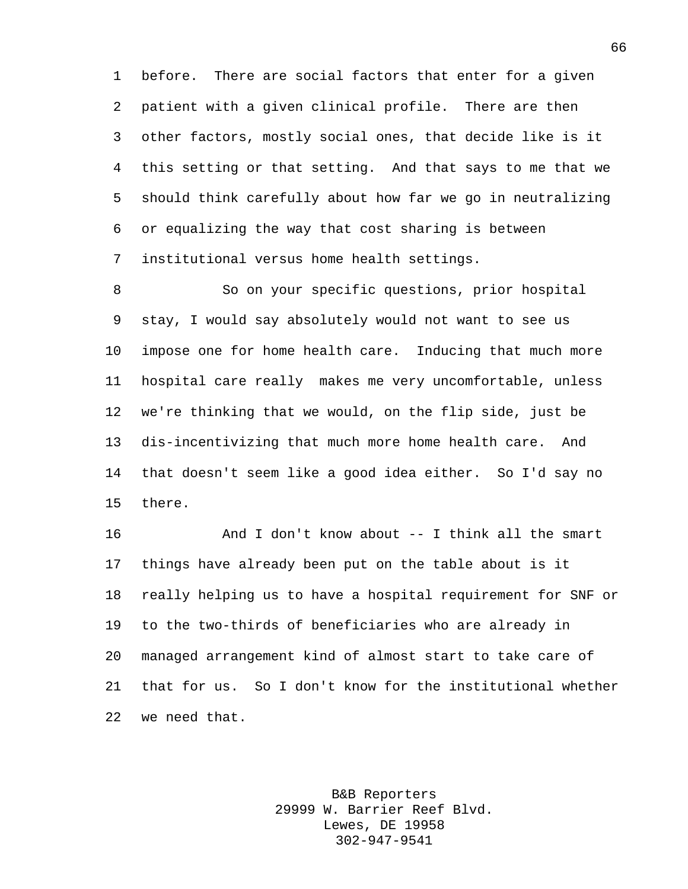before. There are social factors that enter for a given patient with a given clinical profile. There are then other factors, mostly social ones, that decide like is it this setting or that setting. And that says to me that we should think carefully about how far we go in neutralizing or equalizing the way that cost sharing is between institutional versus home health settings.

 So on your specific questions, prior hospital stay, I would say absolutely would not want to see us impose one for home health care. Inducing that much more hospital care really makes me very uncomfortable, unless we're thinking that we would, on the flip side, just be dis-incentivizing that much more home health care. And that doesn't seem like a good idea either. So I'd say no there.

 And I don't know about -- I think all the smart things have already been put on the table about is it really helping us to have a hospital requirement for SNF or to the two-thirds of beneficiaries who are already in managed arrangement kind of almost start to take care of that for us. So I don't know for the institutional whether we need that.

> B&B Reporters 29999 W. Barrier Reef Blvd. Lewes, DE 19958 302-947-9541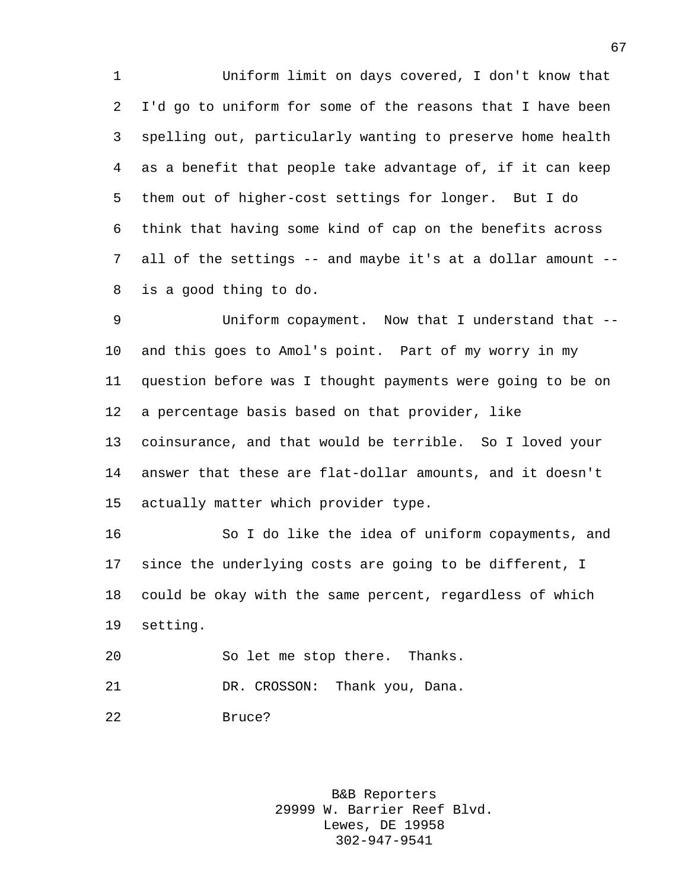Uniform limit on days covered, I don't know that I'd go to uniform for some of the reasons that I have been spelling out, particularly wanting to preserve home health as a benefit that people take advantage of, if it can keep them out of higher-cost settings for longer. But I do think that having some kind of cap on the benefits across all of the settings -- and maybe it's at a dollar amount -- is a good thing to do.

 Uniform copayment. Now that I understand that -- and this goes to Amol's point. Part of my worry in my question before was I thought payments were going to be on a percentage basis based on that provider, like coinsurance, and that would be terrible. So I loved your answer that these are flat-dollar amounts, and it doesn't actually matter which provider type.

 So I do like the idea of uniform copayments, and since the underlying costs are going to be different, I could be okay with the same percent, regardless of which setting.

So let me stop there. Thanks.

21 DR. CROSSON: Thank you, Dana.

Bruce?

B&B Reporters 29999 W. Barrier Reef Blvd. Lewes, DE 19958 302-947-9541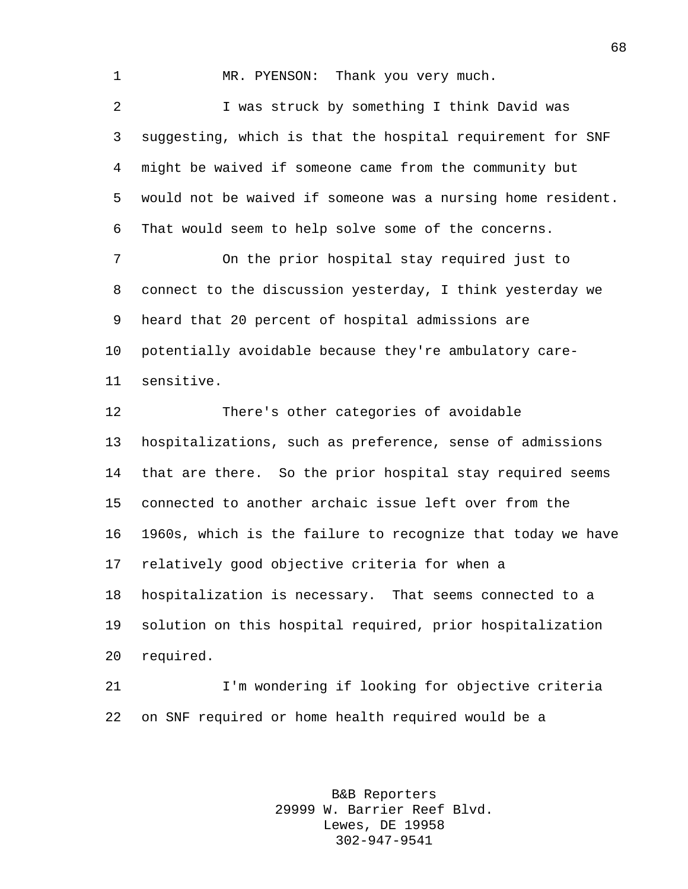MR. PYENSON: Thank you very much. I was struck by something I think David was suggesting, which is that the hospital requirement for SNF might be waived if someone came from the community but would not be waived if someone was a nursing home resident. That would seem to help solve some of the concerns. On the prior hospital stay required just to connect to the discussion yesterday, I think yesterday we heard that 20 percent of hospital admissions are potentially avoidable because they're ambulatory care- sensitive. There's other categories of avoidable hospitalizations, such as preference, sense of admissions that are there. So the prior hospital stay required seems connected to another archaic issue left over from the 1960s, which is the failure to recognize that today we have

 hospitalization is necessary. That seems connected to a solution on this hospital required, prior hospitalization required.

relatively good objective criteria for when a

 I'm wondering if looking for objective criteria on SNF required or home health required would be a

> B&B Reporters 29999 W. Barrier Reef Blvd. Lewes, DE 19958 302-947-9541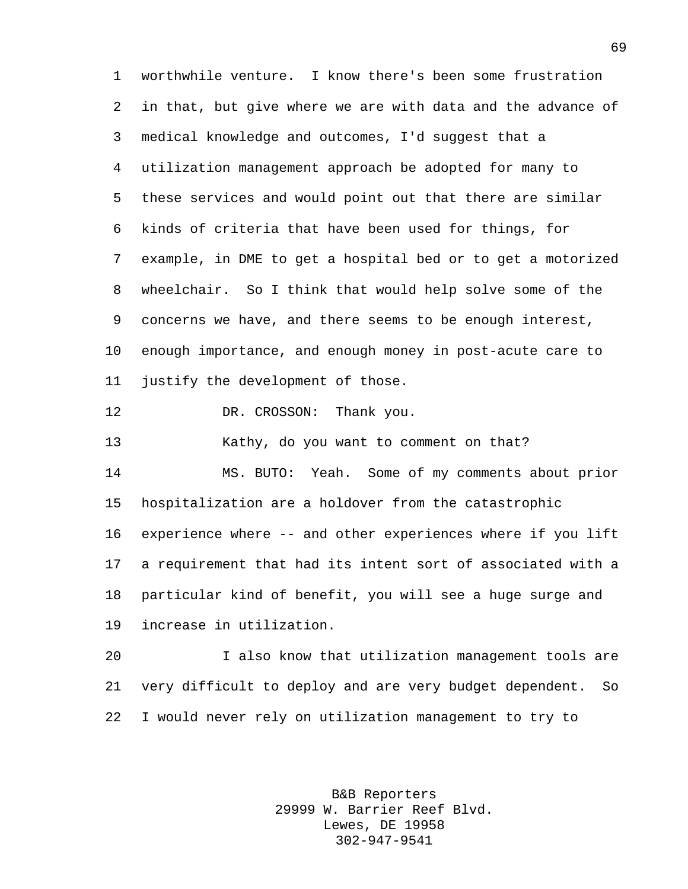worthwhile venture. I know there's been some frustration in that, but give where we are with data and the advance of medical knowledge and outcomes, I'd suggest that a utilization management approach be adopted for many to these services and would point out that there are similar kinds of criteria that have been used for things, for example, in DME to get a hospital bed or to get a motorized wheelchair. So I think that would help solve some of the concerns we have, and there seems to be enough interest, enough importance, and enough money in post-acute care to justify the development of those.

12 DR. CROSSON: Thank you.

Kathy, do you want to comment on that?

 MS. BUTO: Yeah. Some of my comments about prior hospitalization are a holdover from the catastrophic experience where -- and other experiences where if you lift a requirement that had its intent sort of associated with a particular kind of benefit, you will see a huge surge and increase in utilization.

 I also know that utilization management tools are very difficult to deploy and are very budget dependent. So I would never rely on utilization management to try to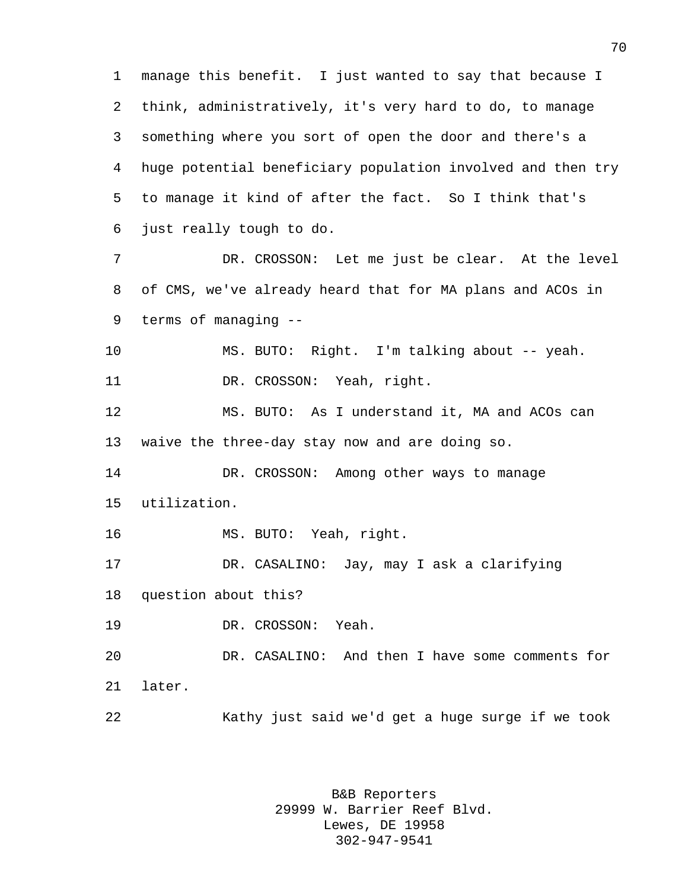manage this benefit. I just wanted to say that because I think, administratively, it's very hard to do, to manage something where you sort of open the door and there's a huge potential beneficiary population involved and then try to manage it kind of after the fact. So I think that's just really tough to do.

 DR. CROSSON: Let me just be clear. At the level of CMS, we've already heard that for MA plans and ACOs in terms of managing --

 MS. BUTO: Right. I'm talking about -- yeah. 11 DR. CROSSON: Yeah, right.

 MS. BUTO: As I understand it, MA and ACOs can waive the three-day stay now and are doing so.

 DR. CROSSON: Among other ways to manage utilization.

MS. BUTO: Yeah, right.

DR. CASALINO: Jay, may I ask a clarifying

question about this?

DR. CROSSON: Yeah.

 DR. CASALINO: And then I have some comments for later.

Kathy just said we'd get a huge surge if we took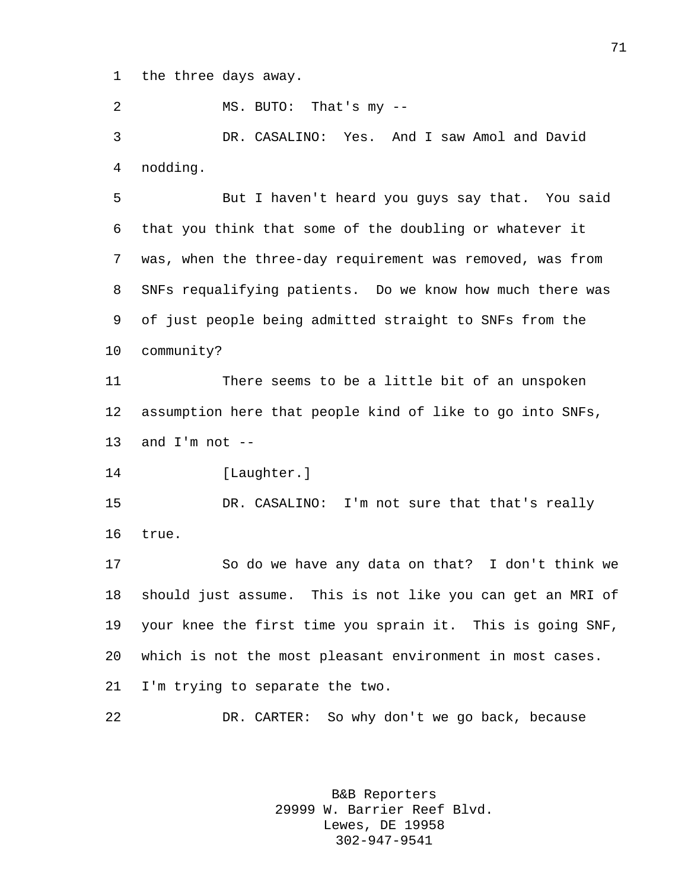the three days away.

MS. BUTO: That's my --

 DR. CASALINO: Yes. And I saw Amol and David nodding.

 But I haven't heard you guys say that. You said that you think that some of the doubling or whatever it was, when the three-day requirement was removed, was from SNFs requalifying patients. Do we know how much there was of just people being admitted straight to SNFs from the community?

 There seems to be a little bit of an unspoken assumption here that people kind of like to go into SNFs, 13 and  $I'm$  not  $-$ 

14 [Laughter.]

 DR. CASALINO: I'm not sure that that's really true.

 So do we have any data on that? I don't think we should just assume. This is not like you can get an MRI of your knee the first time you sprain it. This is going SNF, which is not the most pleasant environment in most cases. I'm trying to separate the two.

DR. CARTER: So why don't we go back, because

B&B Reporters 29999 W. Barrier Reef Blvd. Lewes, DE 19958 302-947-9541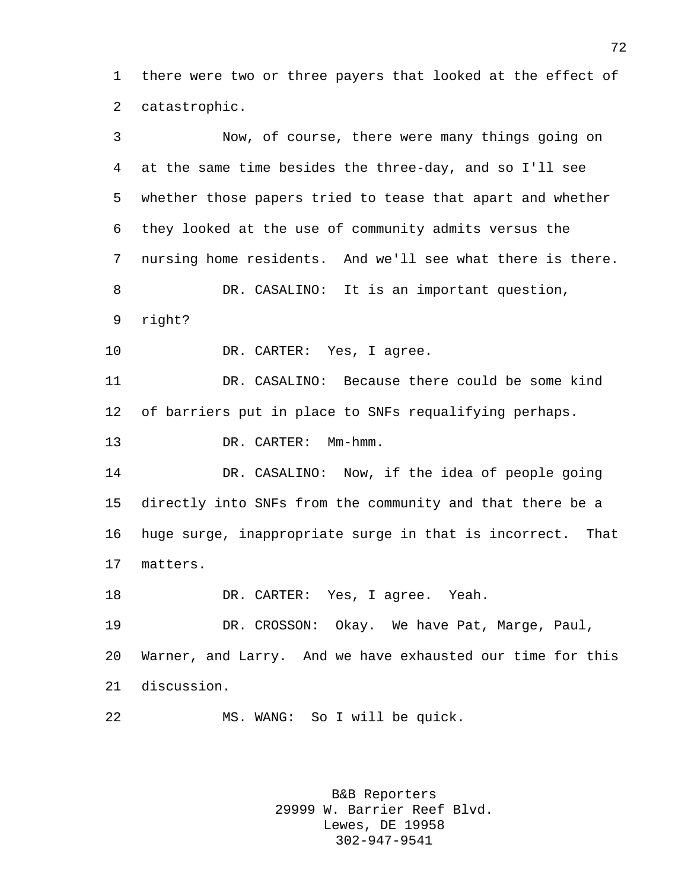there were two or three payers that looked at the effect of catastrophic.

 Now, of course, there were many things going on at the same time besides the three-day, and so I'll see whether those papers tried to tease that apart and whether they looked at the use of community admits versus the nursing home residents. And we'll see what there is there. DR. CASALINO: It is an important question, right? 10 DR. CARTER: Yes, I agree. DR. CASALINO: Because there could be some kind of barriers put in place to SNFs requalifying perhaps. 13 DR. CARTER: Mm-hmm. DR. CASALINO: Now, if the idea of people going directly into SNFs from the community and that there be a huge surge, inappropriate surge in that is incorrect. That matters. DR. CARTER: Yes, I agree. Yeah. DR. CROSSON: Okay. We have Pat, Marge, Paul, Warner, and Larry. And we have exhausted our time for this discussion. MS. WANG: So I will be quick.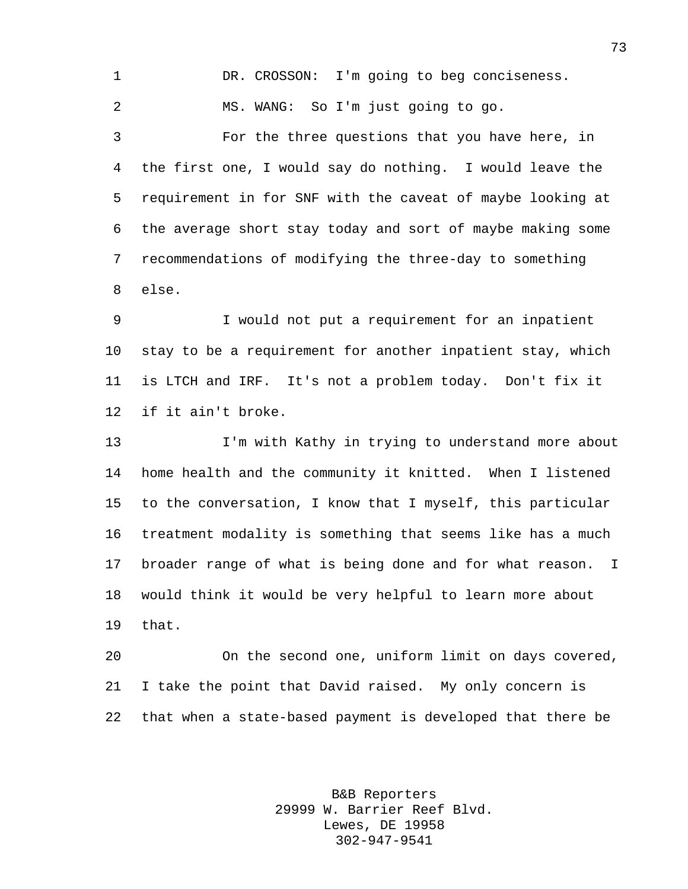DR. CROSSON: I'm going to beg conciseness. MS. WANG: So I'm just going to go. For the three questions that you have here, in the first one, I would say do nothing. I would leave the requirement in for SNF with the caveat of maybe looking at the average short stay today and sort of maybe making some recommendations of modifying the three-day to something else.

 I would not put a requirement for an inpatient stay to be a requirement for another inpatient stay, which is LTCH and IRF. It's not a problem today. Don't fix it if it ain't broke.

 I'm with Kathy in trying to understand more about home health and the community it knitted. When I listened to the conversation, I know that I myself, this particular treatment modality is something that seems like has a much broader range of what is being done and for what reason. I would think it would be very helpful to learn more about that.

 On the second one, uniform limit on days covered, I take the point that David raised. My only concern is that when a state-based payment is developed that there be

> B&B Reporters 29999 W. Barrier Reef Blvd. Lewes, DE 19958 302-947-9541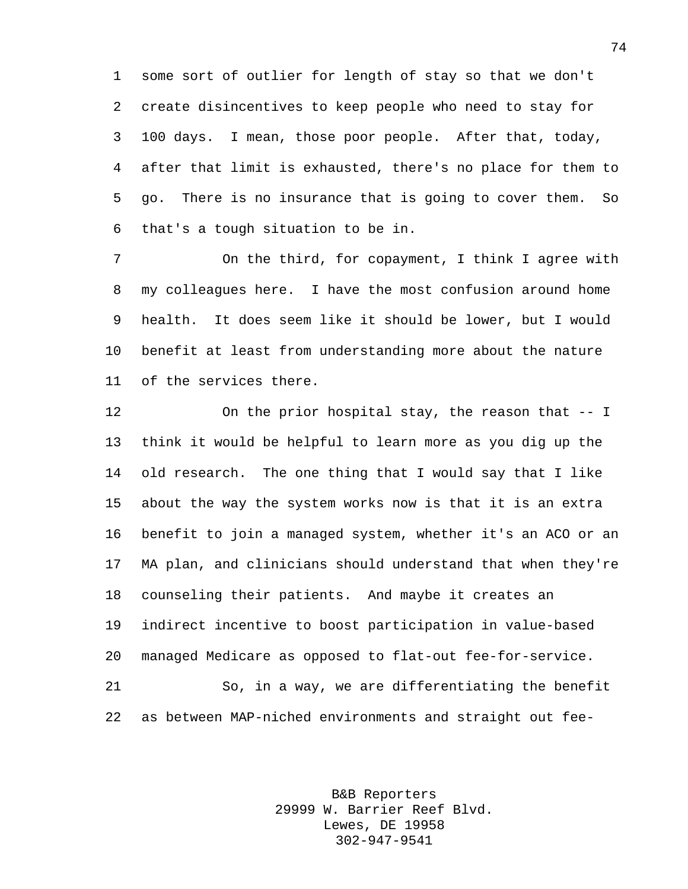some sort of outlier for length of stay so that we don't create disincentives to keep people who need to stay for 100 days. I mean, those poor people. After that, today, after that limit is exhausted, there's no place for them to go. There is no insurance that is going to cover them. So that's a tough situation to be in.

 On the third, for copayment, I think I agree with my colleagues here. I have the most confusion around home health. It does seem like it should be lower, but I would benefit at least from understanding more about the nature of the services there.

 On the prior hospital stay, the reason that -- I think it would be helpful to learn more as you dig up the old research. The one thing that I would say that I like about the way the system works now is that it is an extra benefit to join a managed system, whether it's an ACO or an MA plan, and clinicians should understand that when they're counseling their patients. And maybe it creates an indirect incentive to boost participation in value-based managed Medicare as opposed to flat-out fee-for-service. So, in a way, we are differentiating the benefit as between MAP-niched environments and straight out fee-

> B&B Reporters 29999 W. Barrier Reef Blvd. Lewes, DE 19958 302-947-9541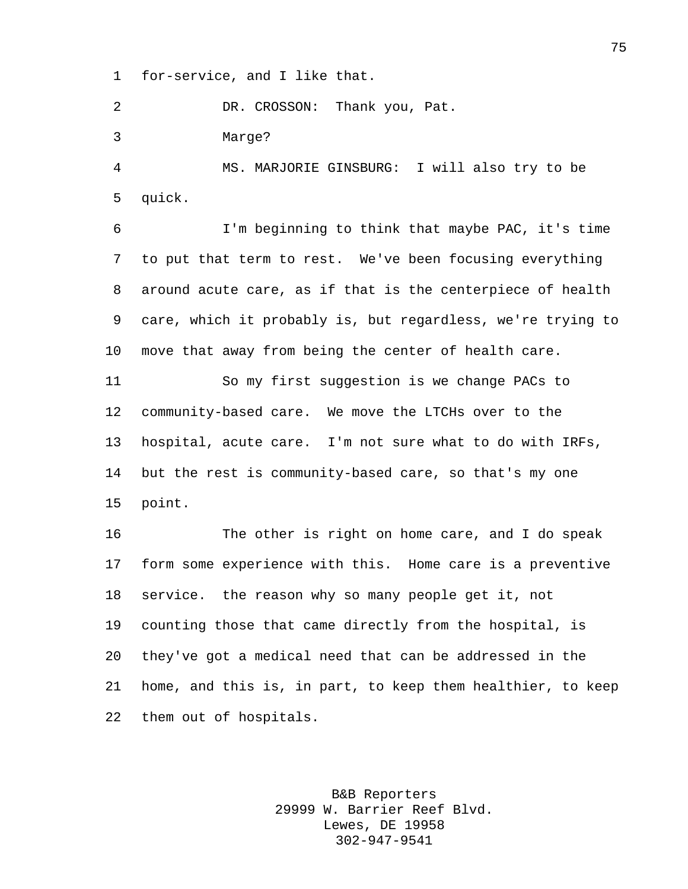for-service, and I like that.

DR. CROSSON: Thank you, Pat.

Marge?

 MS. MARJORIE GINSBURG: I will also try to be quick.

 I'm beginning to think that maybe PAC, it's time to put that term to rest. We've been focusing everything around acute care, as if that is the centerpiece of health care, which it probably is, but regardless, we're trying to move that away from being the center of health care.

 So my first suggestion is we change PACs to community-based care. We move the LTCHs over to the hospital, acute care. I'm not sure what to do with IRFs, but the rest is community-based care, so that's my one point.

 The other is right on home care, and I do speak form some experience with this. Home care is a preventive service. the reason why so many people get it, not counting those that came directly from the hospital, is they've got a medical need that can be addressed in the home, and this is, in part, to keep them healthier, to keep them out of hospitals.

> B&B Reporters 29999 W. Barrier Reef Blvd. Lewes, DE 19958 302-947-9541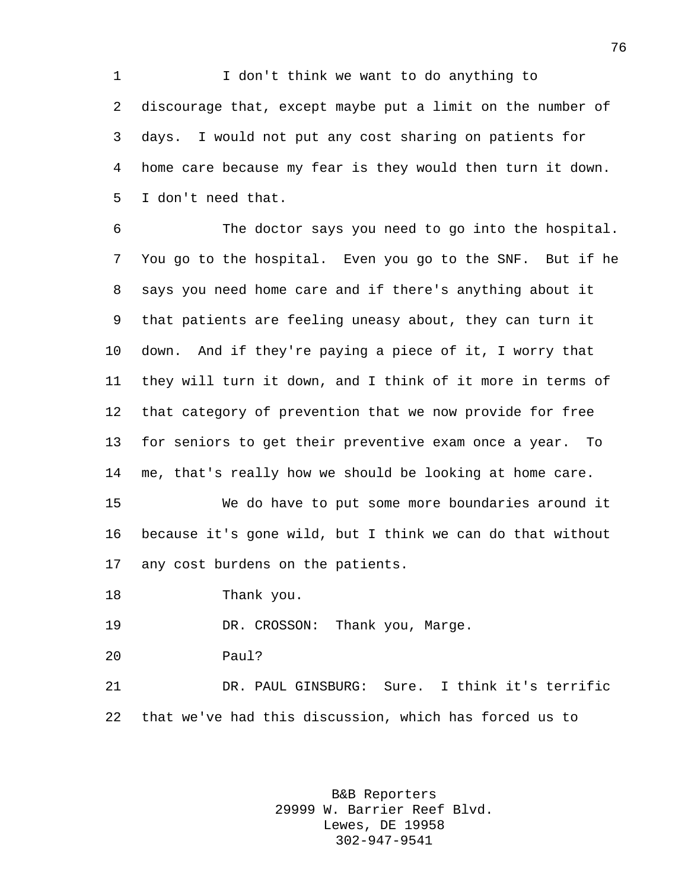I don't think we want to do anything to discourage that, except maybe put a limit on the number of days. I would not put any cost sharing on patients for home care because my fear is they would then turn it down. I don't need that.

 The doctor says you need to go into the hospital. You go to the hospital. Even you go to the SNF. But if he says you need home care and if there's anything about it that patients are feeling uneasy about, they can turn it down. And if they're paying a piece of it, I worry that they will turn it down, and I think of it more in terms of that category of prevention that we now provide for free for seniors to get their preventive exam once a year. To me, that's really how we should be looking at home care.

 We do have to put some more boundaries around it because it's gone wild, but I think we can do that without any cost burdens on the patients.

Thank you.

DR. CROSSON: Thank you, Marge.

Paul?

 DR. PAUL GINSBURG: Sure. I think it's terrific that we've had this discussion, which has forced us to

> B&B Reporters 29999 W. Barrier Reef Blvd. Lewes, DE 19958 302-947-9541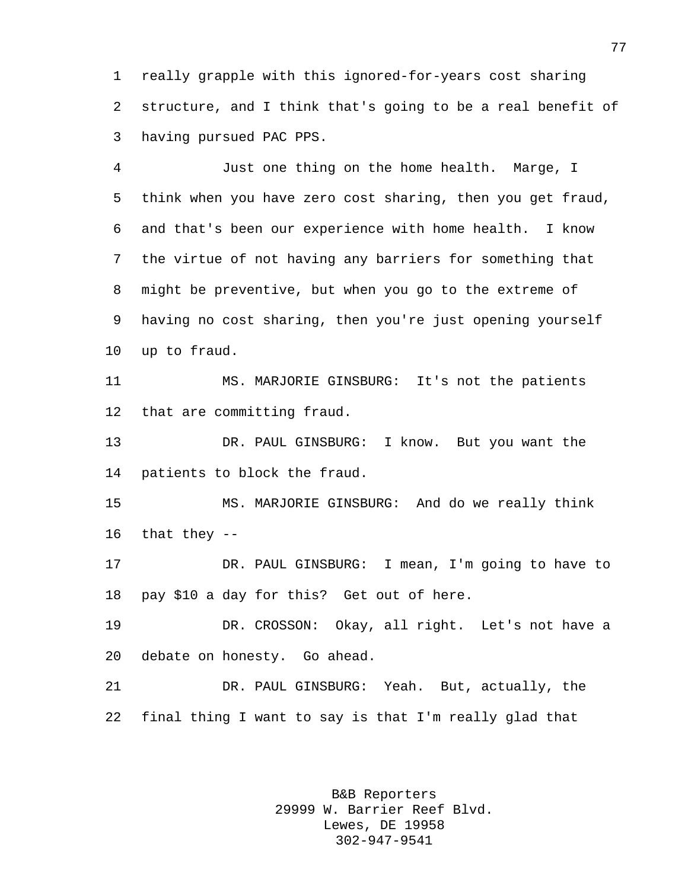really grapple with this ignored-for-years cost sharing structure, and I think that's going to be a real benefit of having pursued PAC PPS.

 Just one thing on the home health. Marge, I think when you have zero cost sharing, then you get fraud, and that's been our experience with home health. I know the virtue of not having any barriers for something that might be preventive, but when you go to the extreme of having no cost sharing, then you're just opening yourself up to fraud.

 MS. MARJORIE GINSBURG: It's not the patients that are committing fraud.

 DR. PAUL GINSBURG: I know. But you want the patients to block the fraud.

 MS. MARJORIE GINSBURG: And do we really think that they --

 DR. PAUL GINSBURG: I mean, I'm going to have to pay \$10 a day for this? Get out of here.

 DR. CROSSON: Okay, all right. Let's not have a debate on honesty. Go ahead.

 DR. PAUL GINSBURG: Yeah. But, actually, the final thing I want to say is that I'm really glad that

> B&B Reporters 29999 W. Barrier Reef Blvd. Lewes, DE 19958 302-947-9541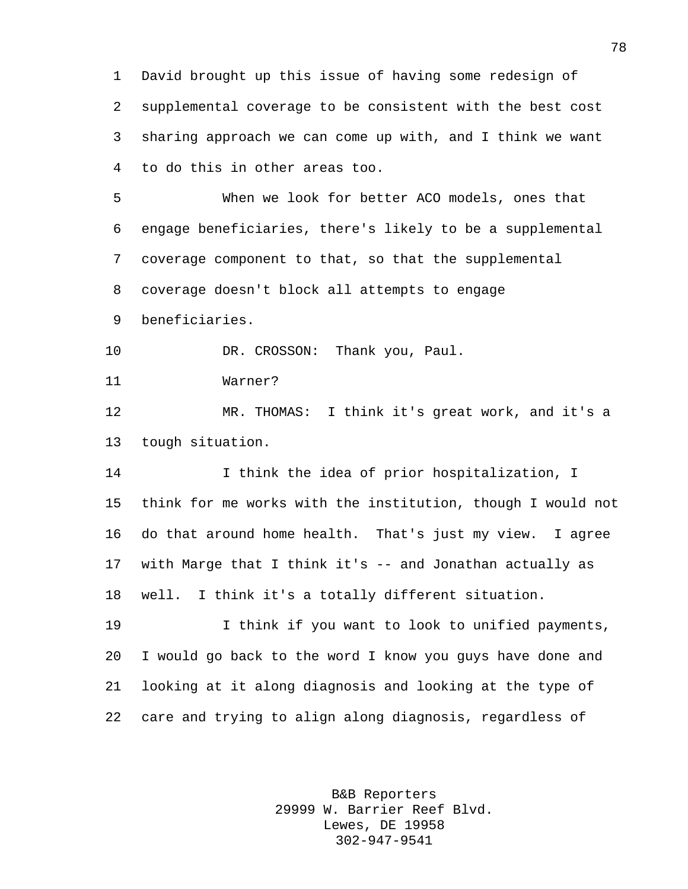David brought up this issue of having some redesign of supplemental coverage to be consistent with the best cost sharing approach we can come up with, and I think we want to do this in other areas too.

 When we look for better ACO models, ones that engage beneficiaries, there's likely to be a supplemental coverage component to that, so that the supplemental coverage doesn't block all attempts to engage beneficiaries.

10 DR. CROSSON: Thank you, Paul.

Warner?

 MR. THOMAS: I think it's great work, and it's a tough situation.

 I think the idea of prior hospitalization, I think for me works with the institution, though I would not do that around home health. That's just my view. I agree with Marge that I think it's -- and Jonathan actually as well. I think it's a totally different situation.

 I think if you want to look to unified payments, I would go back to the word I know you guys have done and looking at it along diagnosis and looking at the type of care and trying to align along diagnosis, regardless of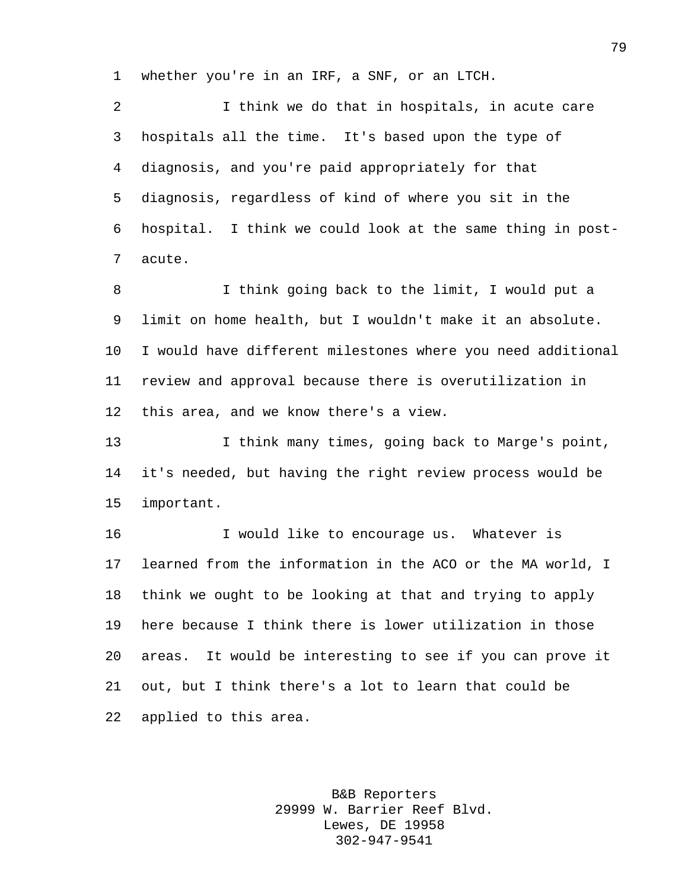whether you're in an IRF, a SNF, or an LTCH.

 I think we do that in hospitals, in acute care hospitals all the time. It's based upon the type of diagnosis, and you're paid appropriately for that diagnosis, regardless of kind of where you sit in the hospital. I think we could look at the same thing in post-acute.

 I think going back to the limit, I would put a limit on home health, but I wouldn't make it an absolute. I would have different milestones where you need additional review and approval because there is overutilization in this area, and we know there's a view.

 I think many times, going back to Marge's point, it's needed, but having the right review process would be important.

 I would like to encourage us. Whatever is learned from the information in the ACO or the MA world, I think we ought to be looking at that and trying to apply here because I think there is lower utilization in those areas. It would be interesting to see if you can prove it out, but I think there's a lot to learn that could be applied to this area.

> B&B Reporters 29999 W. Barrier Reef Blvd. Lewes, DE 19958 302-947-9541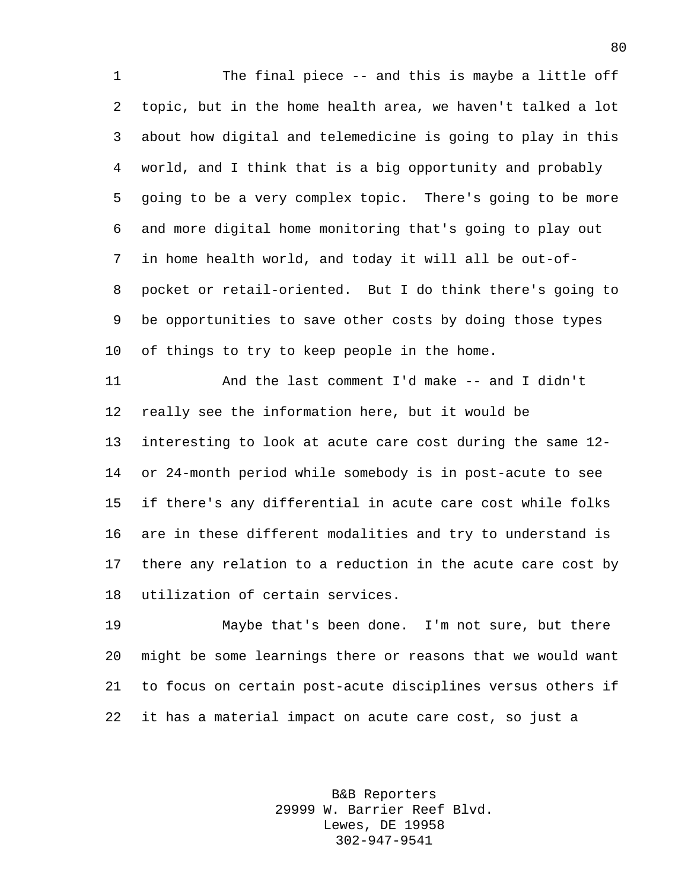1 The final piece -- and this is maybe a little off topic, but in the home health area, we haven't talked a lot about how digital and telemedicine is going to play in this world, and I think that is a big opportunity and probably going to be a very complex topic. There's going to be more and more digital home monitoring that's going to play out in home health world, and today it will all be out-of- pocket or retail-oriented. But I do think there's going to be opportunities to save other costs by doing those types of things to try to keep people in the home.

 And the last comment I'd make -- and I didn't really see the information here, but it would be interesting to look at acute care cost during the same 12- or 24-month period while somebody is in post-acute to see if there's any differential in acute care cost while folks are in these different modalities and try to understand is there any relation to a reduction in the acute care cost by utilization of certain services.

 Maybe that's been done. I'm not sure, but there might be some learnings there or reasons that we would want to focus on certain post-acute disciplines versus others if it has a material impact on acute care cost, so just a

> B&B Reporters 29999 W. Barrier Reef Blvd. Lewes, DE 19958 302-947-9541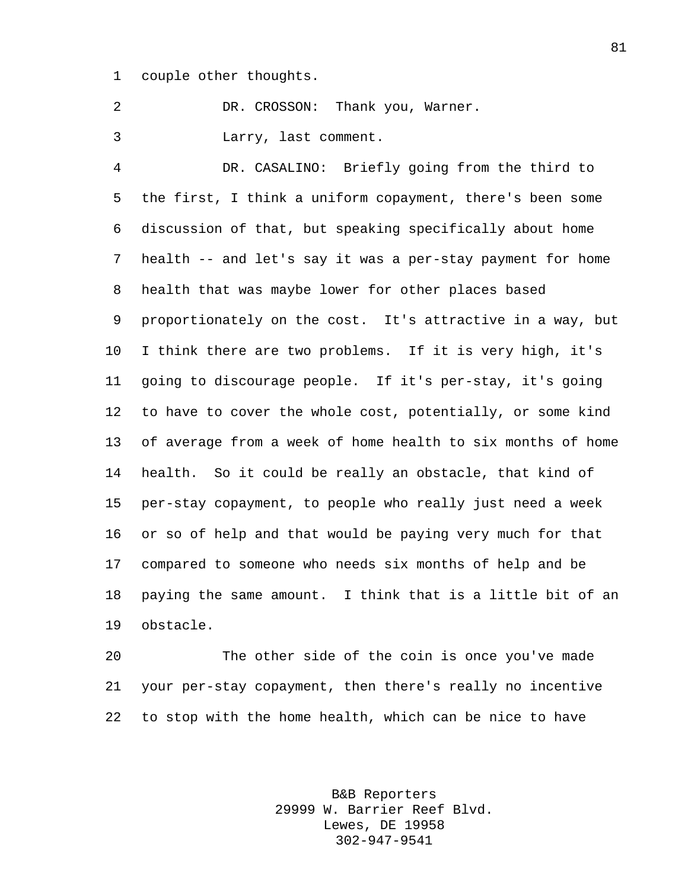couple other thoughts.

DR. CROSSON: Thank you, Warner.

Larry, last comment.

 DR. CASALINO: Briefly going from the third to the first, I think a uniform copayment, there's been some discussion of that, but speaking specifically about home health -- and let's say it was a per-stay payment for home health that was maybe lower for other places based proportionately on the cost. It's attractive in a way, but I think there are two problems. If it is very high, it's going to discourage people. If it's per-stay, it's going to have to cover the whole cost, potentially, or some kind of average from a week of home health to six months of home health. So it could be really an obstacle, that kind of per-stay copayment, to people who really just need a week or so of help and that would be paying very much for that compared to someone who needs six months of help and be paying the same amount. I think that is a little bit of an obstacle.

 The other side of the coin is once you've made your per-stay copayment, then there's really no incentive to stop with the home health, which can be nice to have

> B&B Reporters 29999 W. Barrier Reef Blvd. Lewes, DE 19958 302-947-9541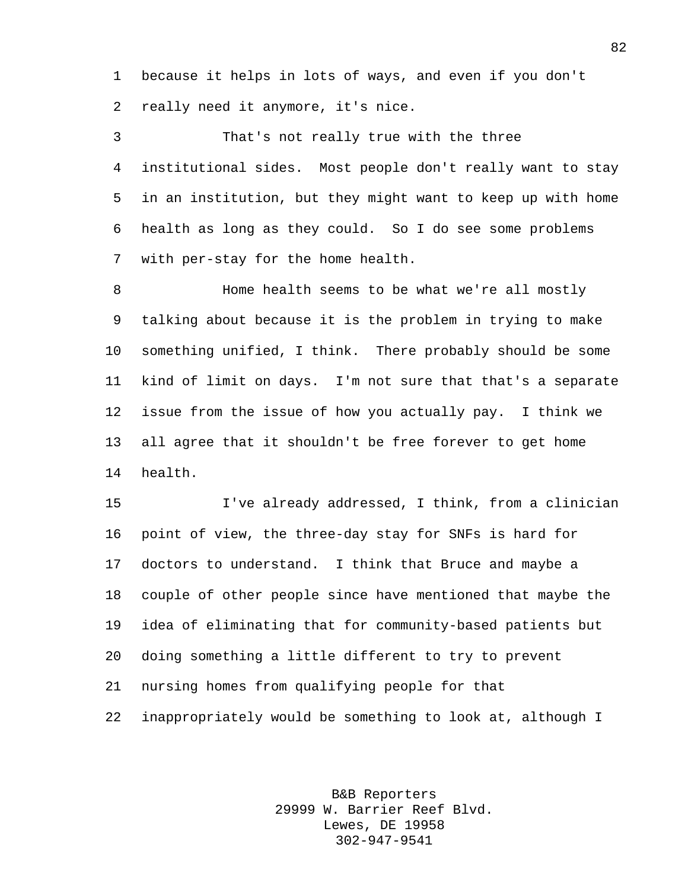because it helps in lots of ways, and even if you don't really need it anymore, it's nice.

 That's not really true with the three institutional sides. Most people don't really want to stay in an institution, but they might want to keep up with home health as long as they could. So I do see some problems with per-stay for the home health.

8 Home health seems to be what we're all mostly talking about because it is the problem in trying to make something unified, I think. There probably should be some kind of limit on days. I'm not sure that that's a separate issue from the issue of how you actually pay. I think we all agree that it shouldn't be free forever to get home health.

 I've already addressed, I think, from a clinician point of view, the three-day stay for SNFs is hard for doctors to understand. I think that Bruce and maybe a couple of other people since have mentioned that maybe the idea of eliminating that for community-based patients but doing something a little different to try to prevent nursing homes from qualifying people for that inappropriately would be something to look at, although I

> B&B Reporters 29999 W. Barrier Reef Blvd. Lewes, DE 19958 302-947-9541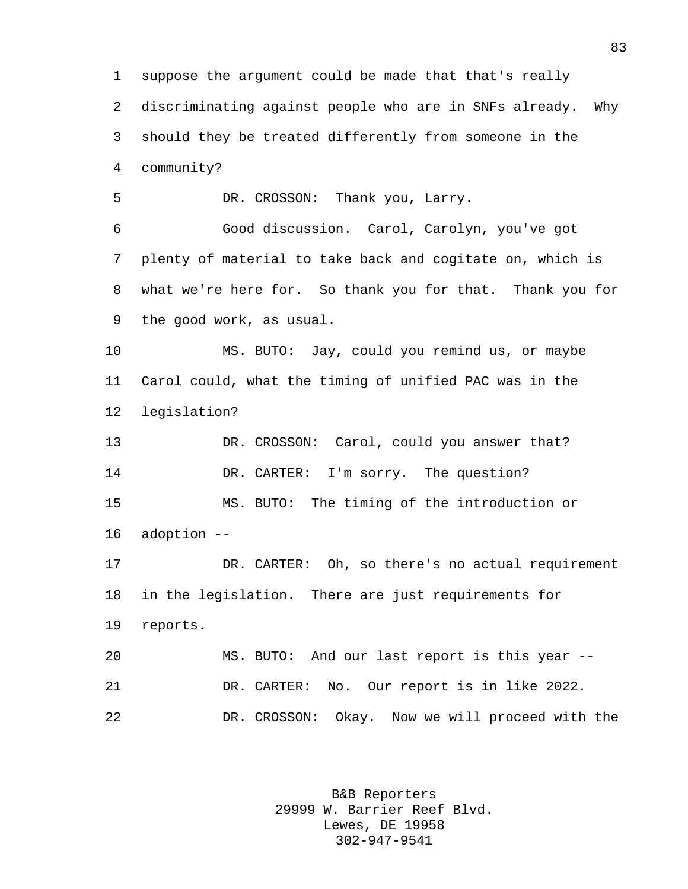suppose the argument could be made that that's really discriminating against people who are in SNFs already. Why should they be treated differently from someone in the community? DR. CROSSON: Thank you, Larry. Good discussion. Carol, Carolyn, you've got plenty of material to take back and cogitate on, which is what we're here for. So thank you for that. Thank you for the good work, as usual. MS. BUTO: Jay, could you remind us, or maybe Carol could, what the timing of unified PAC was in the legislation? DR. CROSSON: Carol, could you answer that? 14 DR. CARTER: I'm sorry. The question? MS. BUTO: The timing of the introduction or adoption -- DR. CARTER: Oh, so there's no actual requirement in the legislation. There are just requirements for reports. MS. BUTO: And our last report is this year -- DR. CARTER: No. Our report is in like 2022. DR. CROSSON: Okay. Now we will proceed with the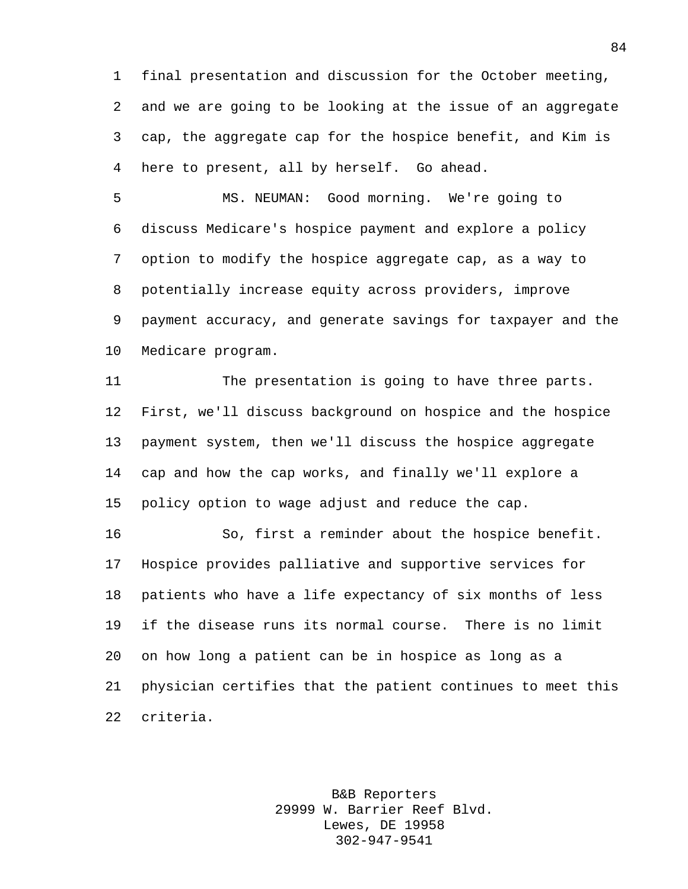final presentation and discussion for the October meeting, and we are going to be looking at the issue of an aggregate cap, the aggregate cap for the hospice benefit, and Kim is here to present, all by herself. Go ahead.

 MS. NEUMAN: Good morning. We're going to discuss Medicare's hospice payment and explore a policy option to modify the hospice aggregate cap, as a way to potentially increase equity across providers, improve payment accuracy, and generate savings for taxpayer and the Medicare program.

 The presentation is going to have three parts. First, we'll discuss background on hospice and the hospice payment system, then we'll discuss the hospice aggregate cap and how the cap works, and finally we'll explore a policy option to wage adjust and reduce the cap.

 So, first a reminder about the hospice benefit. Hospice provides palliative and supportive services for patients who have a life expectancy of six months of less if the disease runs its normal course. There is no limit on how long a patient can be in hospice as long as a physician certifies that the patient continues to meet this criteria.

> B&B Reporters 29999 W. Barrier Reef Blvd. Lewes, DE 19958 302-947-9541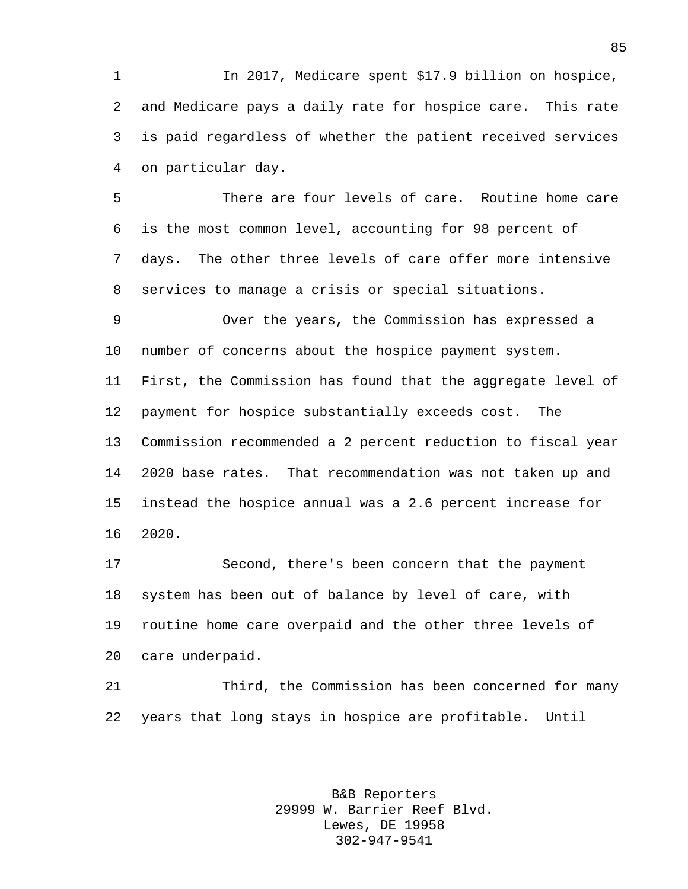In 2017, Medicare spent \$17.9 billion on hospice, and Medicare pays a daily rate for hospice care. This rate is paid regardless of whether the patient received services on particular day.

 There are four levels of care. Routine home care is the most common level, accounting for 98 percent of days. The other three levels of care offer more intensive services to manage a crisis or special situations.

 Over the years, the Commission has expressed a number of concerns about the hospice payment system. First, the Commission has found that the aggregate level of payment for hospice substantially exceeds cost. The Commission recommended a 2 percent reduction to fiscal year 2020 base rates. That recommendation was not taken up and instead the hospice annual was a 2.6 percent increase for 2020.

 Second, there's been concern that the payment system has been out of balance by level of care, with routine home care overpaid and the other three levels of care underpaid.

 Third, the Commission has been concerned for many years that long stays in hospice are profitable. Until

> B&B Reporters 29999 W. Barrier Reef Blvd. Lewes, DE 19958 302-947-9541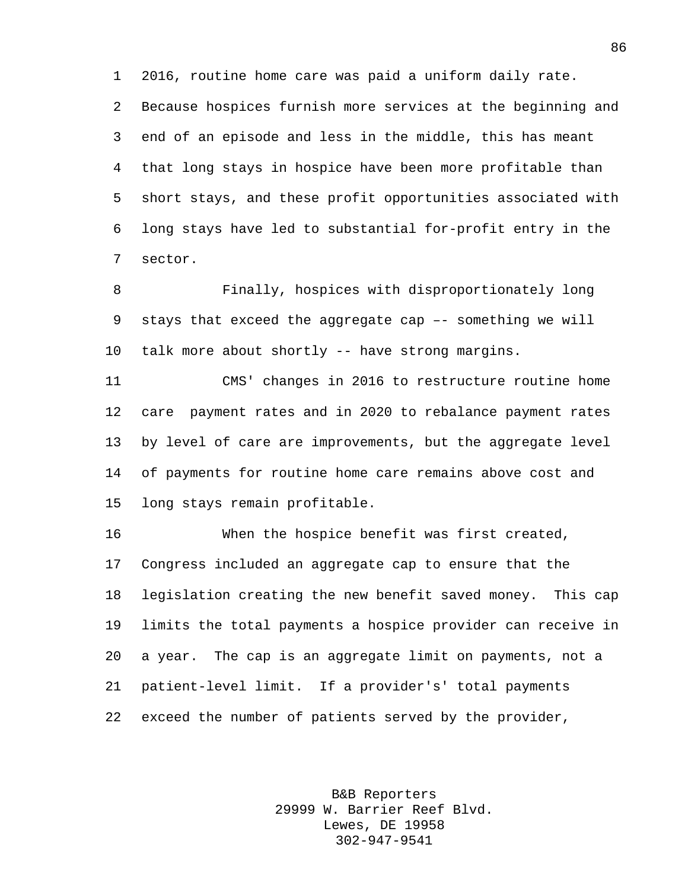2016, routine home care was paid a uniform daily rate.

 Because hospices furnish more services at the beginning and end of an episode and less in the middle, this has meant that long stays in hospice have been more profitable than short stays, and these profit opportunities associated with long stays have led to substantial for-profit entry in the sector.

 Finally, hospices with disproportionately long stays that exceed the aggregate cap –- something we will talk more about shortly -- have strong margins.

 CMS' changes in 2016 to restructure routine home care payment rates and in 2020 to rebalance payment rates by level of care are improvements, but the aggregate level of payments for routine home care remains above cost and long stays remain profitable.

 When the hospice benefit was first created, Congress included an aggregate cap to ensure that the legislation creating the new benefit saved money. This cap limits the total payments a hospice provider can receive in a year. The cap is an aggregate limit on payments, not a patient-level limit. If a provider's' total payments exceed the number of patients served by the provider,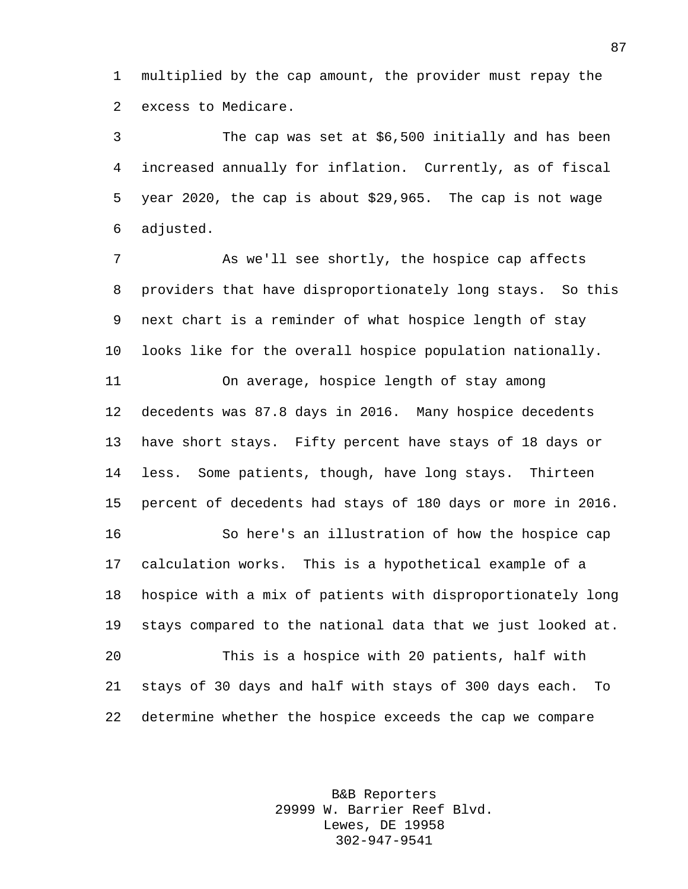multiplied by the cap amount, the provider must repay the excess to Medicare.

 The cap was set at \$6,500 initially and has been increased annually for inflation. Currently, as of fiscal year 2020, the cap is about \$29,965. The cap is not wage adjusted.

 As we'll see shortly, the hospice cap affects providers that have disproportionately long stays. So this next chart is a reminder of what hospice length of stay looks like for the overall hospice population nationally.

 On average, hospice length of stay among decedents was 87.8 days in 2016. Many hospice decedents have short stays. Fifty percent have stays of 18 days or less. Some patients, though, have long stays. Thirteen percent of decedents had stays of 180 days or more in 2016. So here's an illustration of how the hospice cap

 calculation works. This is a hypothetical example of a hospice with a mix of patients with disproportionately long stays compared to the national data that we just looked at.

 This is a hospice with 20 patients, half with stays of 30 days and half with stays of 300 days each. To determine whether the hospice exceeds the cap we compare

> B&B Reporters 29999 W. Barrier Reef Blvd. Lewes, DE 19958 302-947-9541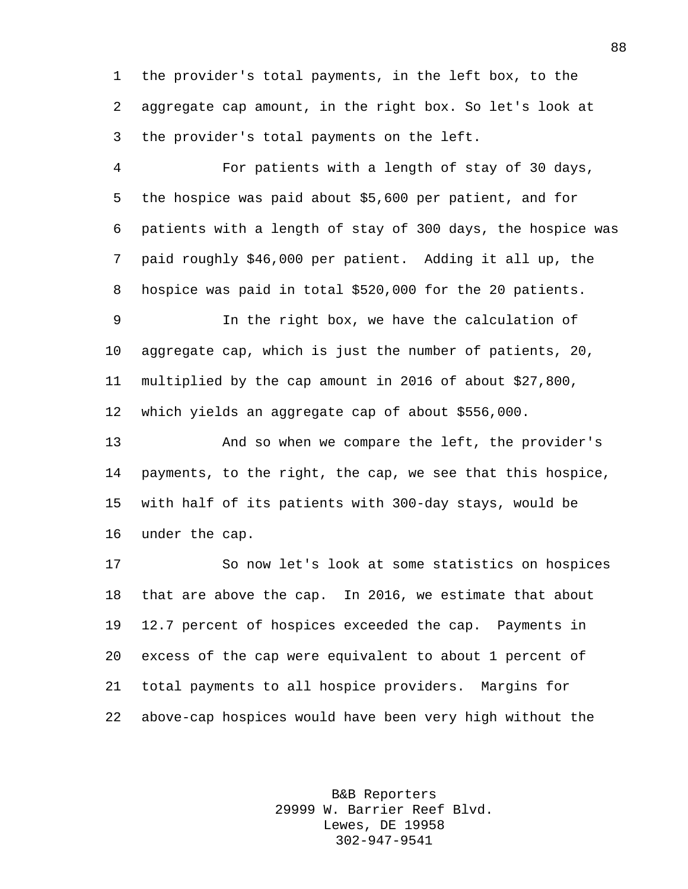the provider's total payments, in the left box, to the aggregate cap amount, in the right box. So let's look at the provider's total payments on the left.

 For patients with a length of stay of 30 days, the hospice was paid about \$5,600 per patient, and for patients with a length of stay of 300 days, the hospice was paid roughly \$46,000 per patient. Adding it all up, the hospice was paid in total \$520,000 for the 20 patients.

 In the right box, we have the calculation of aggregate cap, which is just the number of patients, 20, multiplied by the cap amount in 2016 of about \$27,800, which yields an aggregate cap of about \$556,000.

 And so when we compare the left, the provider's payments, to the right, the cap, we see that this hospice, with half of its patients with 300-day stays, would be under the cap.

 So now let's look at some statistics on hospices that are above the cap. In 2016, we estimate that about 12.7 percent of hospices exceeded the cap. Payments in excess of the cap were equivalent to about 1 percent of total payments to all hospice providers. Margins for above-cap hospices would have been very high without the

> B&B Reporters 29999 W. Barrier Reef Blvd. Lewes, DE 19958 302-947-9541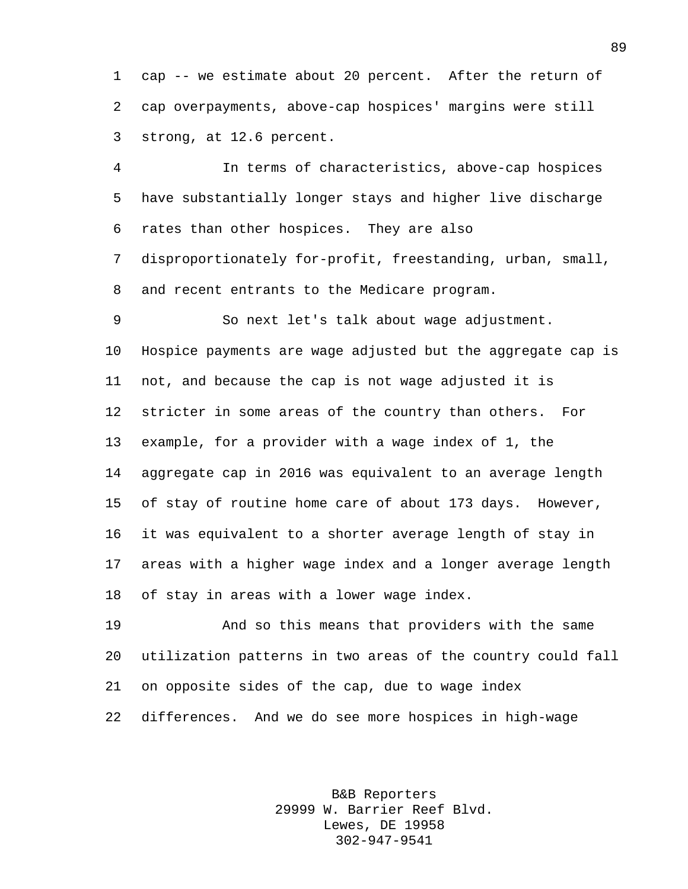cap -- we estimate about 20 percent. After the return of cap overpayments, above-cap hospices' margins were still strong, at 12.6 percent.

 In terms of characteristics, above-cap hospices have substantially longer stays and higher live discharge rates than other hospices. They are also disproportionately for-profit, freestanding, urban, small,

and recent entrants to the Medicare program.

 So next let's talk about wage adjustment. Hospice payments are wage adjusted but the aggregate cap is not, and because the cap is not wage adjusted it is stricter in some areas of the country than others. For example, for a provider with a wage index of 1, the aggregate cap in 2016 was equivalent to an average length of stay of routine home care of about 173 days. However, it was equivalent to a shorter average length of stay in areas with a higher wage index and a longer average length of stay in areas with a lower wage index.

 And so this means that providers with the same utilization patterns in two areas of the country could fall on opposite sides of the cap, due to wage index differences. And we do see more hospices in high-wage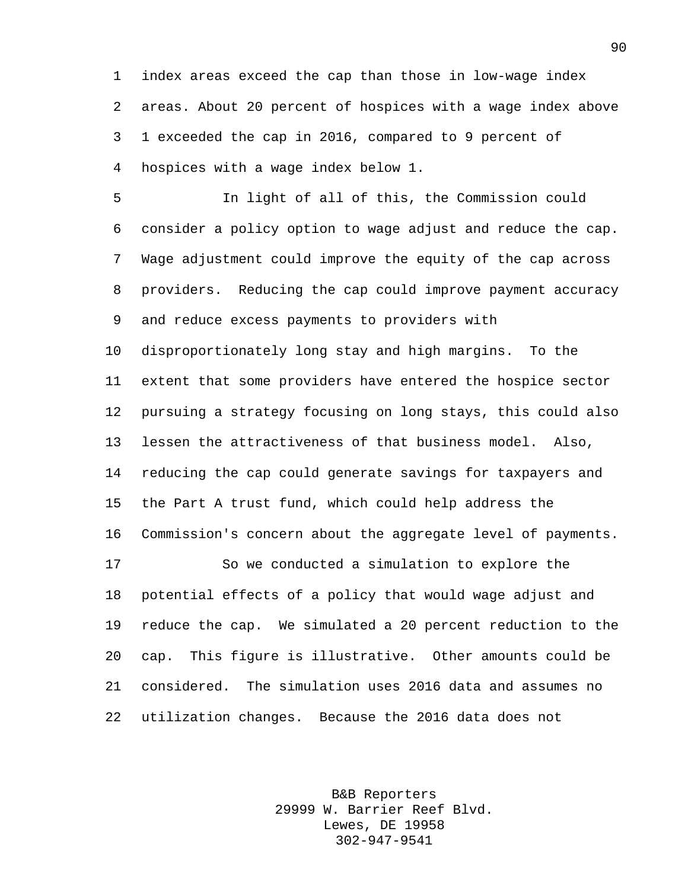index areas exceed the cap than those in low-wage index areas. About 20 percent of hospices with a wage index above 1 exceeded the cap in 2016, compared to 9 percent of hospices with a wage index below 1.

 In light of all of this, the Commission could consider a policy option to wage adjust and reduce the cap. Wage adjustment could improve the equity of the cap across providers. Reducing the cap could improve payment accuracy and reduce excess payments to providers with

 disproportionately long stay and high margins. To the extent that some providers have entered the hospice sector pursuing a strategy focusing on long stays, this could also lessen the attractiveness of that business model. Also, reducing the cap could generate savings for taxpayers and the Part A trust fund, which could help address the Commission's concern about the aggregate level of payments.

 So we conducted a simulation to explore the potential effects of a policy that would wage adjust and reduce the cap. We simulated a 20 percent reduction to the cap. This figure is illustrative. Other amounts could be considered. The simulation uses 2016 data and assumes no utilization changes. Because the 2016 data does not

> B&B Reporters 29999 W. Barrier Reef Blvd. Lewes, DE 19958 302-947-9541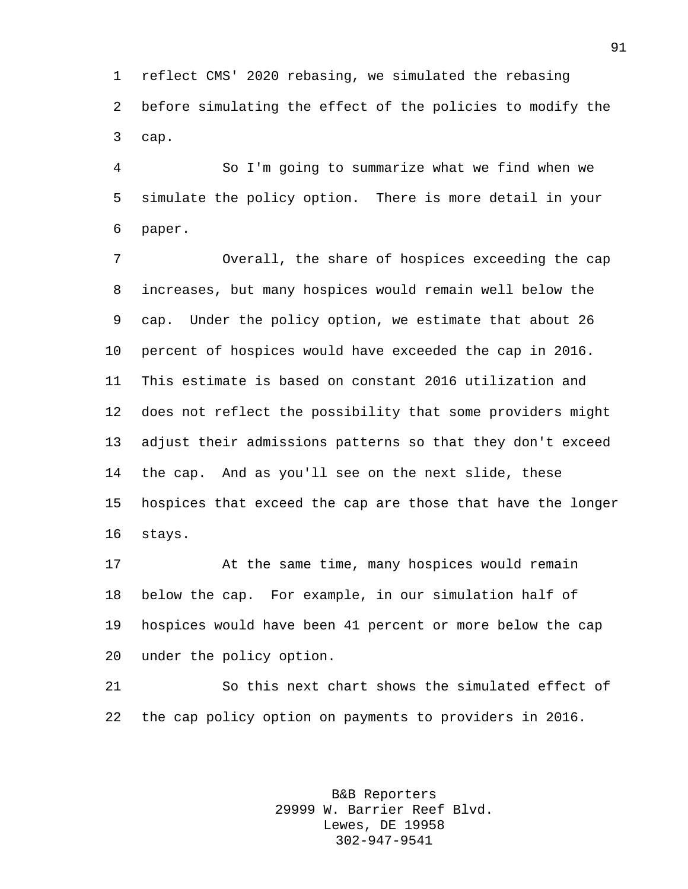reflect CMS' 2020 rebasing, we simulated the rebasing before simulating the effect of the policies to modify the cap.

 So I'm going to summarize what we find when we simulate the policy option. There is more detail in your paper.

 Overall, the share of hospices exceeding the cap increases, but many hospices would remain well below the cap. Under the policy option, we estimate that about 26 percent of hospices would have exceeded the cap in 2016. This estimate is based on constant 2016 utilization and does not reflect the possibility that some providers might adjust their admissions patterns so that they don't exceed the cap. And as you'll see on the next slide, these hospices that exceed the cap are those that have the longer stays.

 At the same time, many hospices would remain below the cap. For example, in our simulation half of hospices would have been 41 percent or more below the cap under the policy option.

 So this next chart shows the simulated effect of the cap policy option on payments to providers in 2016.

> B&B Reporters 29999 W. Barrier Reef Blvd. Lewes, DE 19958 302-947-9541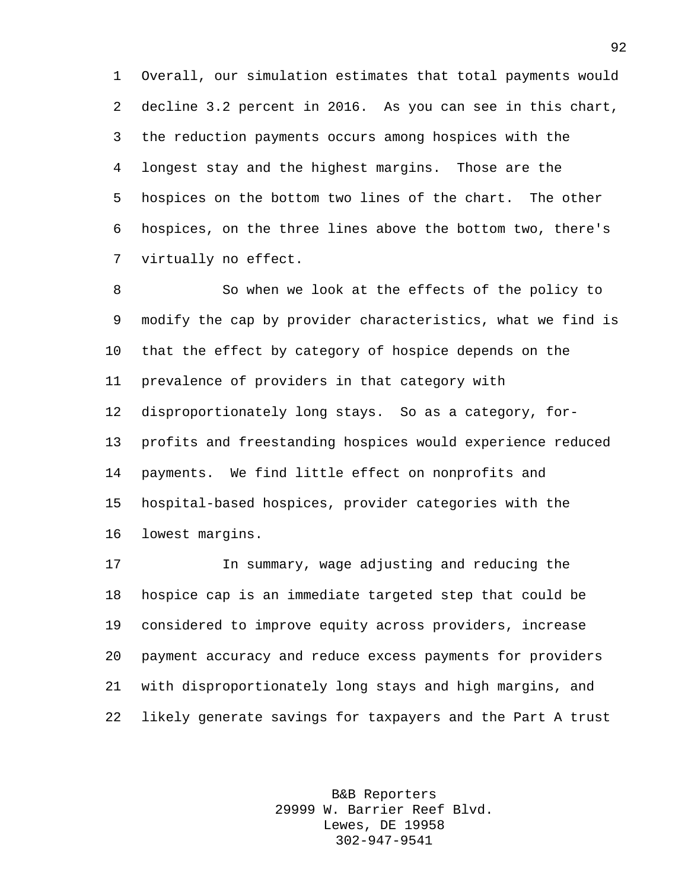Overall, our simulation estimates that total payments would decline 3.2 percent in 2016. As you can see in this chart, the reduction payments occurs among hospices with the longest stay and the highest margins. Those are the hospices on the bottom two lines of the chart. The other hospices, on the three lines above the bottom two, there's virtually no effect.

 So when we look at the effects of the policy to modify the cap by provider characteristics, what we find is that the effect by category of hospice depends on the prevalence of providers in that category with disproportionately long stays. So as a category, for- profits and freestanding hospices would experience reduced payments. We find little effect on nonprofits and hospital-based hospices, provider categories with the lowest margins.

 In summary, wage adjusting and reducing the hospice cap is an immediate targeted step that could be considered to improve equity across providers, increase payment accuracy and reduce excess payments for providers with disproportionately long stays and high margins, and likely generate savings for taxpayers and the Part A trust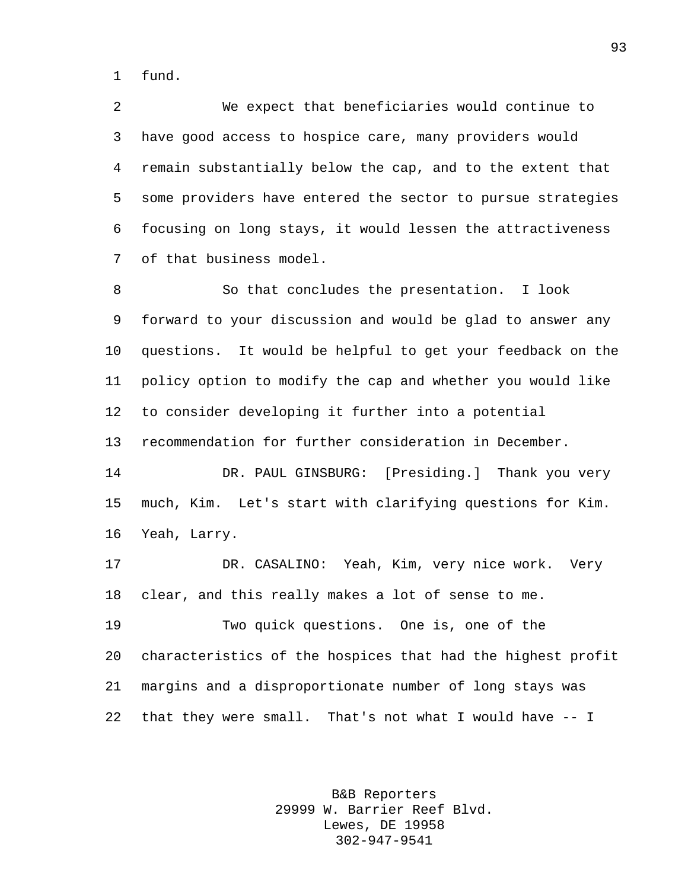fund.

 We expect that beneficiaries would continue to have good access to hospice care, many providers would remain substantially below the cap, and to the extent that some providers have entered the sector to pursue strategies focusing on long stays, it would lessen the attractiveness of that business model.

 So that concludes the presentation. I look forward to your discussion and would be glad to answer any questions. It would be helpful to get your feedback on the policy option to modify the cap and whether you would like to consider developing it further into a potential recommendation for further consideration in December. DR. PAUL GINSBURG: [Presiding.] Thank you very

 much, Kim. Let's start with clarifying questions for Kim. Yeah, Larry.

 DR. CASALINO: Yeah, Kim, very nice work. Very clear, and this really makes a lot of sense to me.

 Two quick questions. One is, one of the characteristics of the hospices that had the highest profit margins and a disproportionate number of long stays was that they were small. That's not what I would have -- I

> B&B Reporters 29999 W. Barrier Reef Blvd. Lewes, DE 19958 302-947-9541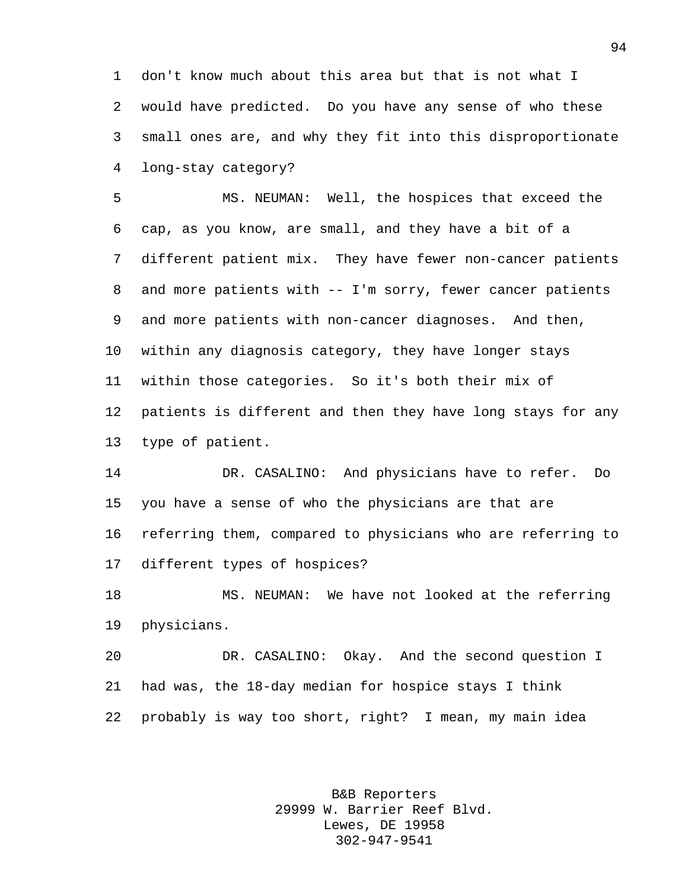don't know much about this area but that is not what I would have predicted. Do you have any sense of who these small ones are, and why they fit into this disproportionate long-stay category?

 MS. NEUMAN: Well, the hospices that exceed the cap, as you know, are small, and they have a bit of a different patient mix. They have fewer non-cancer patients and more patients with -- I'm sorry, fewer cancer patients and more patients with non-cancer diagnoses. And then, within any diagnosis category, they have longer stays within those categories. So it's both their mix of patients is different and then they have long stays for any type of patient.

 DR. CASALINO: And physicians have to refer. Do you have a sense of who the physicians are that are referring them, compared to physicians who are referring to different types of hospices?

 MS. NEUMAN: We have not looked at the referring physicians.

 DR. CASALINO: Okay. And the second question I had was, the 18-day median for hospice stays I think probably is way too short, right? I mean, my main idea

> B&B Reporters 29999 W. Barrier Reef Blvd. Lewes, DE 19958 302-947-9541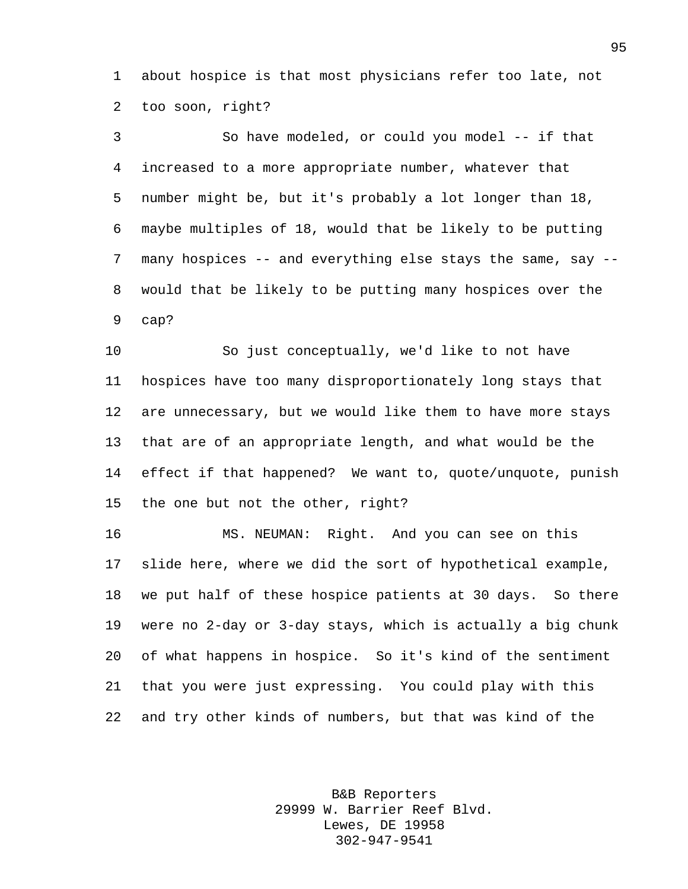about hospice is that most physicians refer too late, not too soon, right?

 So have modeled, or could you model -- if that increased to a more appropriate number, whatever that number might be, but it's probably a lot longer than 18, maybe multiples of 18, would that be likely to be putting many hospices -- and everything else stays the same, say -- would that be likely to be putting many hospices over the cap?

 So just conceptually, we'd like to not have hospices have too many disproportionately long stays that are unnecessary, but we would like them to have more stays that are of an appropriate length, and what would be the effect if that happened? We want to, quote/unquote, punish the one but not the other, right?

 MS. NEUMAN: Right. And you can see on this slide here, where we did the sort of hypothetical example, we put half of these hospice patients at 30 days. So there were no 2-day or 3-day stays, which is actually a big chunk of what happens in hospice. So it's kind of the sentiment that you were just expressing. You could play with this and try other kinds of numbers, but that was kind of the

> B&B Reporters 29999 W. Barrier Reef Blvd. Lewes, DE 19958 302-947-9541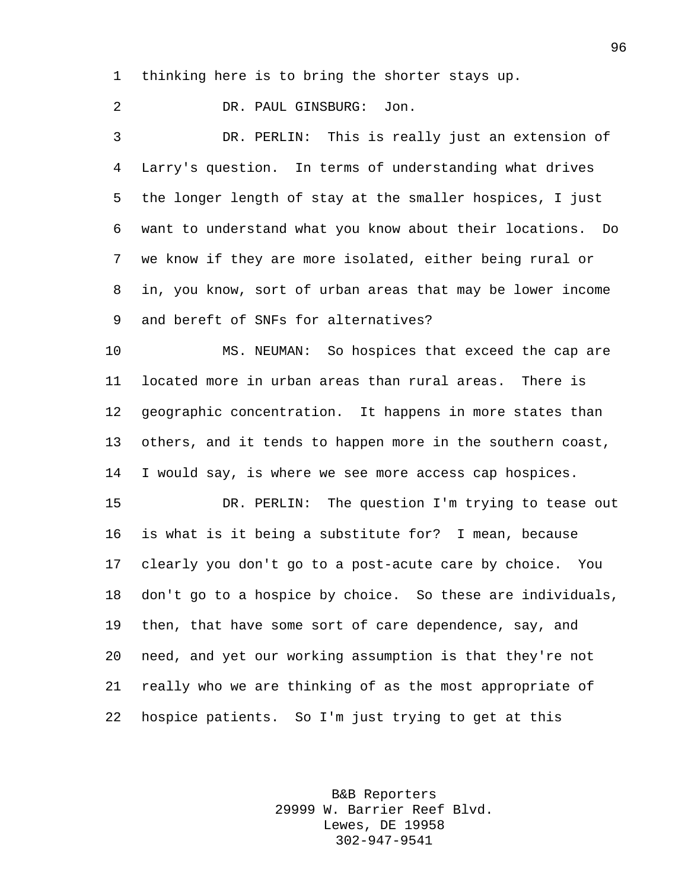thinking here is to bring the shorter stays up.

 DR. PAUL GINSBURG: Jon. DR. PERLIN: This is really just an extension of Larry's question. In terms of understanding what drives the longer length of stay at the smaller hospices, I just want to understand what you know about their locations. Do we know if they are more isolated, either being rural or in, you know, sort of urban areas that may be lower income and bereft of SNFs for alternatives?

 MS. NEUMAN: So hospices that exceed the cap are located more in urban areas than rural areas. There is geographic concentration. It happens in more states than others, and it tends to happen more in the southern coast, I would say, is where we see more access cap hospices.

15 DR. PERLIN: The question I'm trying to tease out is what is it being a substitute for? I mean, because clearly you don't go to a post-acute care by choice. You don't go to a hospice by choice. So these are individuals, then, that have some sort of care dependence, say, and need, and yet our working assumption is that they're not really who we are thinking of as the most appropriate of hospice patients. So I'm just trying to get at this

> B&B Reporters 29999 W. Barrier Reef Blvd. Lewes, DE 19958 302-947-9541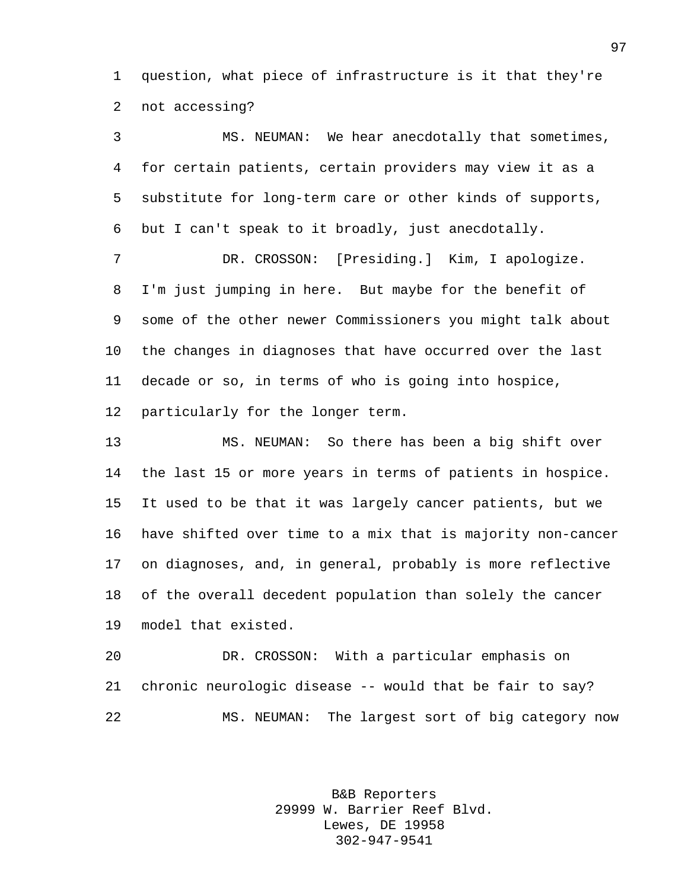question, what piece of infrastructure is it that they're not accessing?

 MS. NEUMAN: We hear anecdotally that sometimes, for certain patients, certain providers may view it as a substitute for long-term care or other kinds of supports, but I can't speak to it broadly, just anecdotally.

 DR. CROSSON: [Presiding.] Kim, I apologize. I'm just jumping in here. But maybe for the benefit of some of the other newer Commissioners you might talk about the changes in diagnoses that have occurred over the last decade or so, in terms of who is going into hospice, particularly for the longer term.

 MS. NEUMAN: So there has been a big shift over the last 15 or more years in terms of patients in hospice. It used to be that it was largely cancer patients, but we have shifted over time to a mix that is majority non-cancer on diagnoses, and, in general, probably is more reflective of the overall decedent population than solely the cancer model that existed.

 DR. CROSSON: With a particular emphasis on chronic neurologic disease -- would that be fair to say? MS. NEUMAN: The largest sort of big category now

> B&B Reporters 29999 W. Barrier Reef Blvd. Lewes, DE 19958 302-947-9541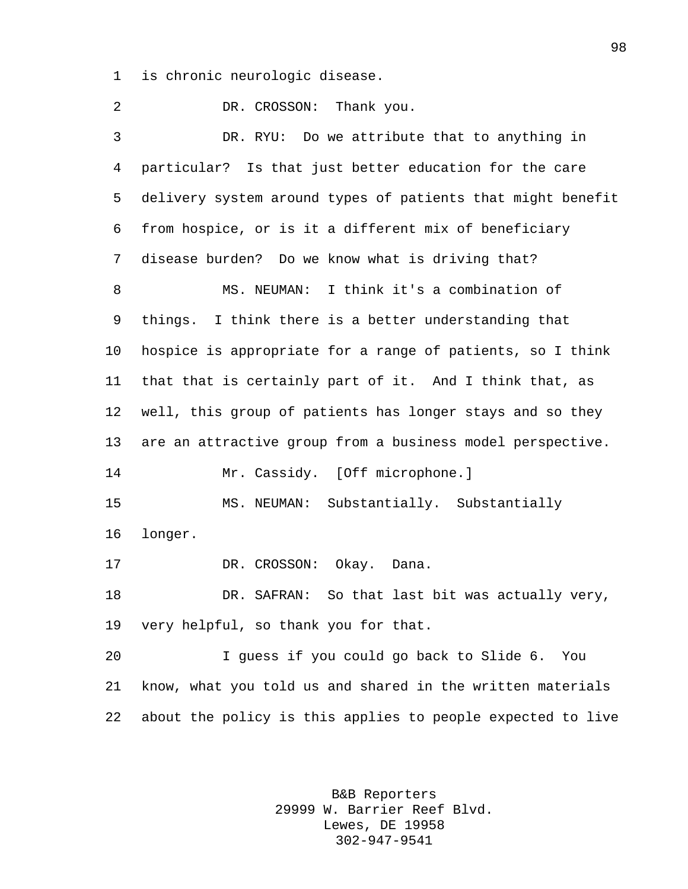is chronic neurologic disease.

2 DR. CROSSON: Thank you. DR. RYU: Do we attribute that to anything in particular? Is that just better education for the care delivery system around types of patients that might benefit from hospice, or is it a different mix of beneficiary disease burden? Do we know what is driving that? MS. NEUMAN: I think it's a combination of things. I think there is a better understanding that hospice is appropriate for a range of patients, so I think that that is certainly part of it. And I think that, as well, this group of patients has longer stays and so they are an attractive group from a business model perspective. 14 Mr. Cassidy. [Off microphone.] MS. NEUMAN: Substantially. Substantially longer. 17 DR. CROSSON: Okay. Dana. DR. SAFRAN: So that last bit was actually very, very helpful, so thank you for that. I guess if you could go back to Slide 6. You know, what you told us and shared in the written materials about the policy is this applies to people expected to live

> B&B Reporters 29999 W. Barrier Reef Blvd. Lewes, DE 19958 302-947-9541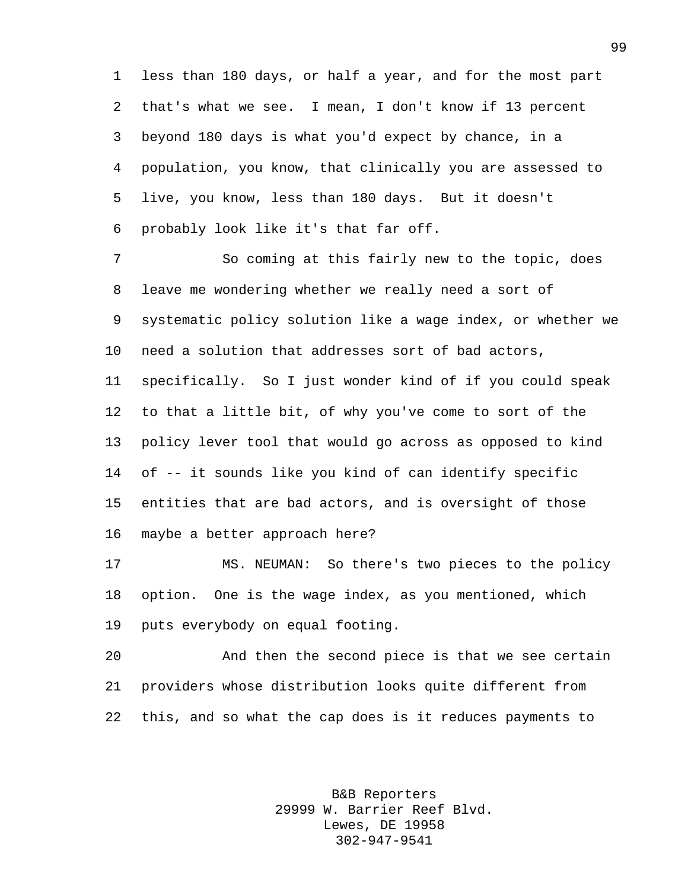less than 180 days, or half a year, and for the most part that's what we see. I mean, I don't know if 13 percent beyond 180 days is what you'd expect by chance, in a population, you know, that clinically you are assessed to live, you know, less than 180 days. But it doesn't probably look like it's that far off.

 So coming at this fairly new to the topic, does leave me wondering whether we really need a sort of systematic policy solution like a wage index, or whether we need a solution that addresses sort of bad actors, specifically. So I just wonder kind of if you could speak to that a little bit, of why you've come to sort of the policy lever tool that would go across as opposed to kind of -- it sounds like you kind of can identify specific entities that are bad actors, and is oversight of those maybe a better approach here?

 MS. NEUMAN: So there's two pieces to the policy option. One is the wage index, as you mentioned, which puts everybody on equal footing.

 And then the second piece is that we see certain providers whose distribution looks quite different from this, and so what the cap does is it reduces payments to

> B&B Reporters 29999 W. Barrier Reef Blvd. Lewes, DE 19958 302-947-9541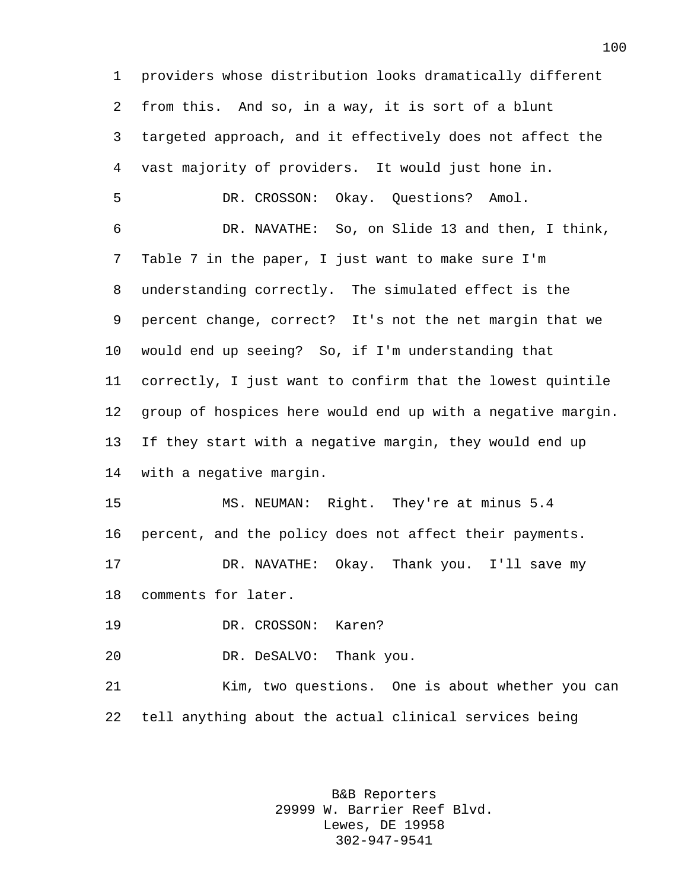providers whose distribution looks dramatically different from this. And so, in a way, it is sort of a blunt targeted approach, and it effectively does not affect the vast majority of providers. It would just hone in. DR. CROSSON: Okay. Questions? Amol. DR. NAVATHE: So, on Slide 13 and then, I think, Table 7 in the paper, I just want to make sure I'm understanding correctly. The simulated effect is the percent change, correct? It's not the net margin that we would end up seeing? So, if I'm understanding that correctly, I just want to confirm that the lowest quintile group of hospices here would end up with a negative margin. If they start with a negative margin, they would end up with a negative margin. MS. NEUMAN: Right. They're at minus 5.4 percent, and the policy does not affect their payments. DR. NAVATHE: Okay. Thank you. I'll save my comments for later. DR. CROSSON: Karen? DR. DeSALVO: Thank you. Kim, two questions. One is about whether you can tell anything about the actual clinical services being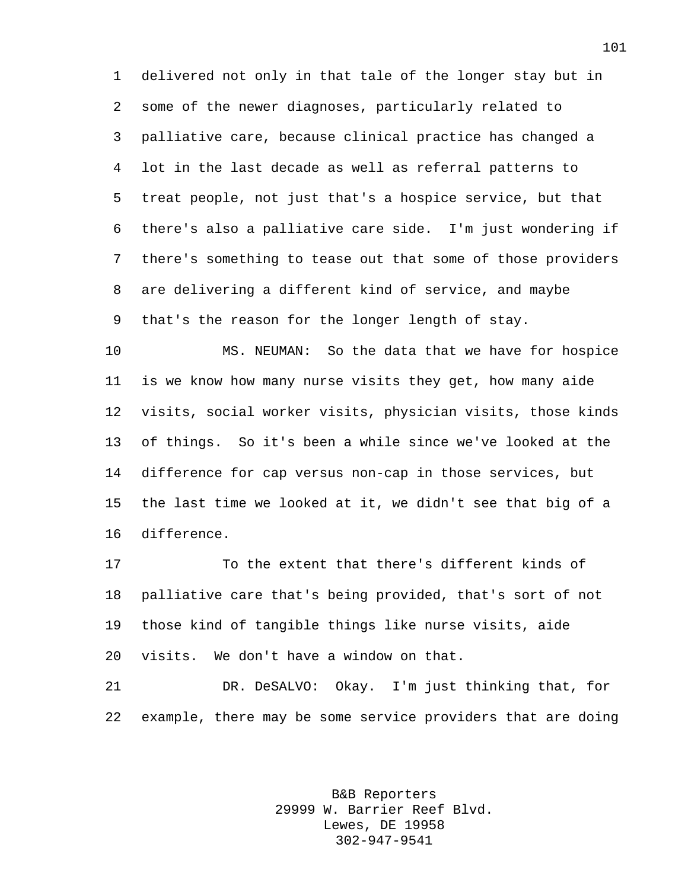delivered not only in that tale of the longer stay but in some of the newer diagnoses, particularly related to palliative care, because clinical practice has changed a lot in the last decade as well as referral patterns to treat people, not just that's a hospice service, but that there's also a palliative care side. I'm just wondering if there's something to tease out that some of those providers are delivering a different kind of service, and maybe that's the reason for the longer length of stay.

 MS. NEUMAN: So the data that we have for hospice is we know how many nurse visits they get, how many aide visits, social worker visits, physician visits, those kinds of things. So it's been a while since we've looked at the difference for cap versus non-cap in those services, but the last time we looked at it, we didn't see that big of a difference.

 To the extent that there's different kinds of palliative care that's being provided, that's sort of not those kind of tangible things like nurse visits, aide visits. We don't have a window on that.

 DR. DeSALVO: Okay. I'm just thinking that, for example, there may be some service providers that are doing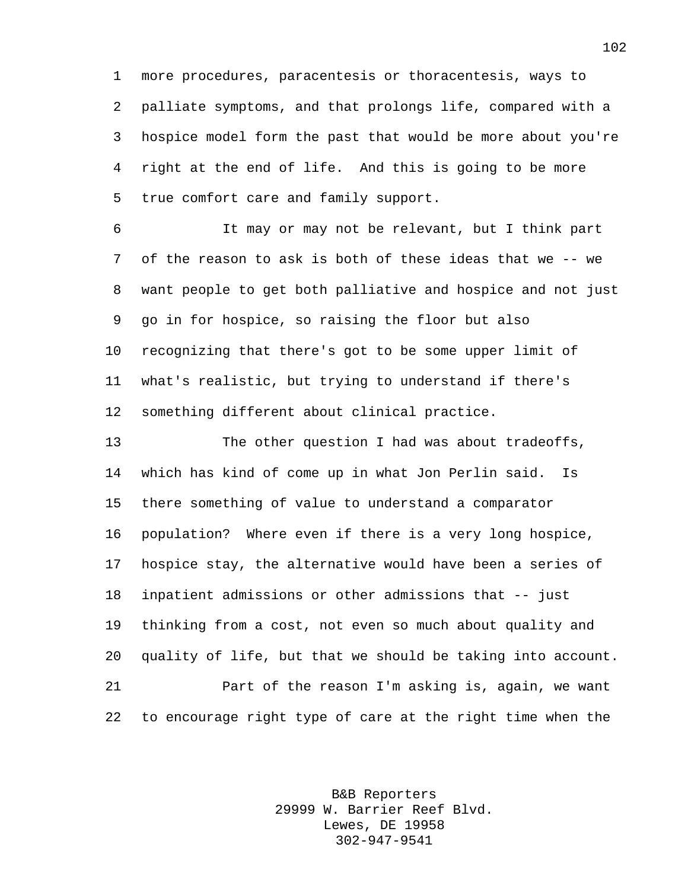more procedures, paracentesis or thoracentesis, ways to palliate symptoms, and that prolongs life, compared with a hospice model form the past that would be more about you're right at the end of life. And this is going to be more true comfort care and family support.

 It may or may not be relevant, but I think part of the reason to ask is both of these ideas that we -- we want people to get both palliative and hospice and not just go in for hospice, so raising the floor but also recognizing that there's got to be some upper limit of what's realistic, but trying to understand if there's something different about clinical practice.

 The other question I had was about tradeoffs, which has kind of come up in what Jon Perlin said. Is there something of value to understand a comparator population? Where even if there is a very long hospice, hospice stay, the alternative would have been a series of inpatient admissions or other admissions that -- just thinking from a cost, not even so much about quality and quality of life, but that we should be taking into account. Part of the reason I'm asking is, again, we want to encourage right type of care at the right time when the

> B&B Reporters 29999 W. Barrier Reef Blvd. Lewes, DE 19958 302-947-9541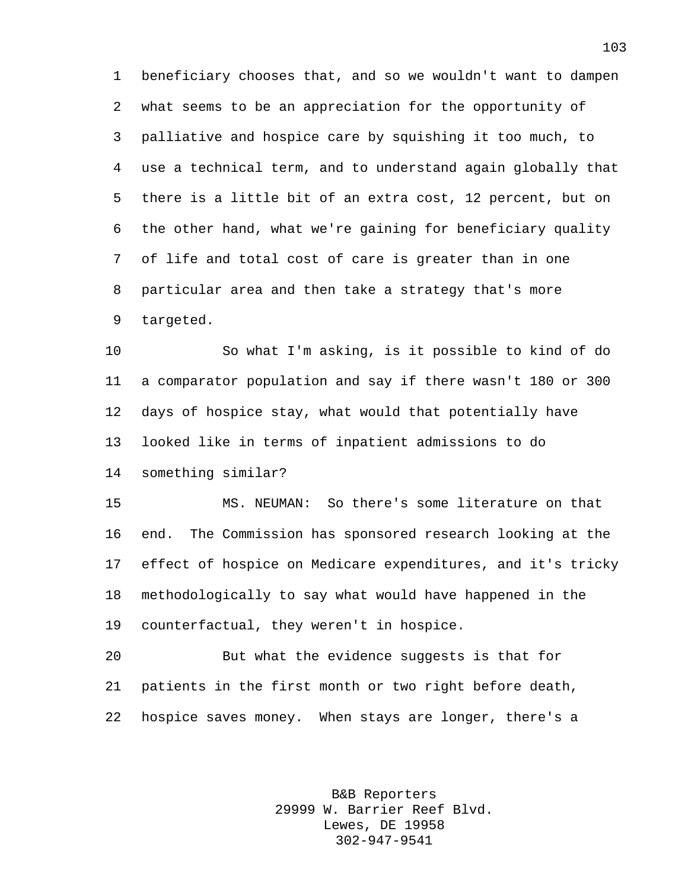beneficiary chooses that, and so we wouldn't want to dampen what seems to be an appreciation for the opportunity of palliative and hospice care by squishing it too much, to use a technical term, and to understand again globally that there is a little bit of an extra cost, 12 percent, but on the other hand, what we're gaining for beneficiary quality of life and total cost of care is greater than in one particular area and then take a strategy that's more targeted.

 So what I'm asking, is it possible to kind of do a comparator population and say if there wasn't 180 or 300 days of hospice stay, what would that potentially have looked like in terms of inpatient admissions to do something similar?

 MS. NEUMAN: So there's some literature on that end. The Commission has sponsored research looking at the effect of hospice on Medicare expenditures, and it's tricky methodologically to say what would have happened in the counterfactual, they weren't in hospice.

 But what the evidence suggests is that for patients in the first month or two right before death, hospice saves money. When stays are longer, there's a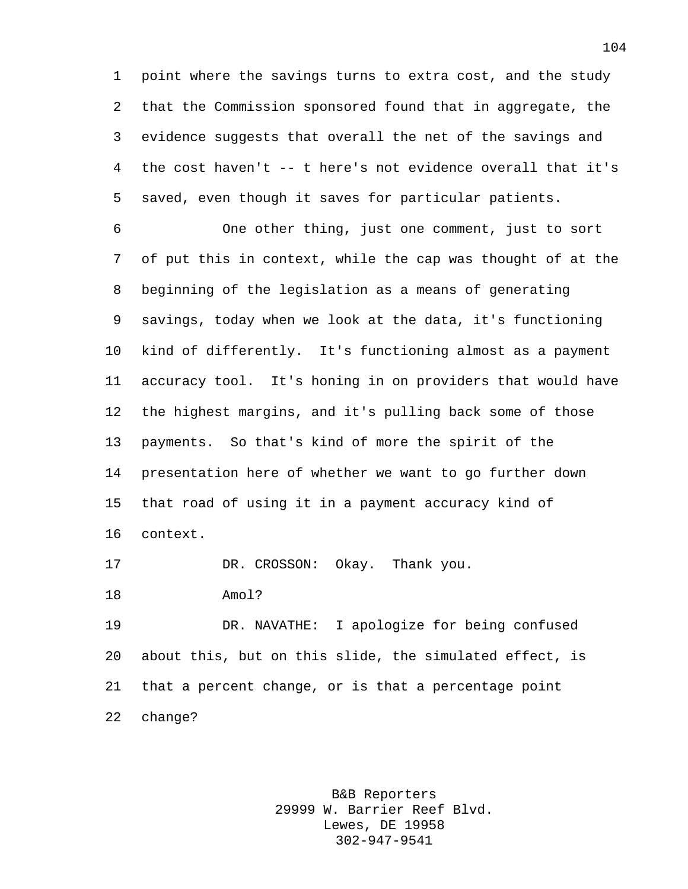point where the savings turns to extra cost, and the study that the Commission sponsored found that in aggregate, the evidence suggests that overall the net of the savings and the cost haven't -- t here's not evidence overall that it's saved, even though it saves for particular patients.

 One other thing, just one comment, just to sort of put this in context, while the cap was thought of at the beginning of the legislation as a means of generating savings, today when we look at the data, it's functioning kind of differently. It's functioning almost as a payment accuracy tool. It's honing in on providers that would have the highest margins, and it's pulling back some of those payments. So that's kind of more the spirit of the presentation here of whether we want to go further down that road of using it in a payment accuracy kind of context.

DR. CROSSON: Okay. Thank you.

Amol?

 DR. NAVATHE: I apologize for being confused about this, but on this slide, the simulated effect, is that a percent change, or is that a percentage point change?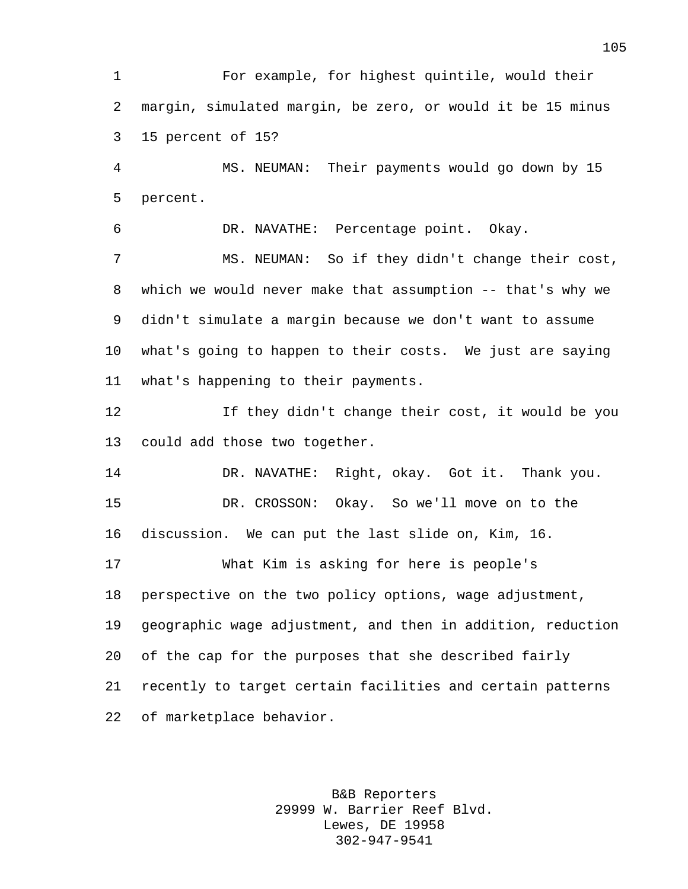For example, for highest quintile, would their margin, simulated margin, be zero, or would it be 15 minus 15 percent of 15?

 MS. NEUMAN: Their payments would go down by 15 percent.

DR. NAVATHE: Percentage point. Okay.

 MS. NEUMAN: So if they didn't change their cost, which we would never make that assumption -- that's why we didn't simulate a margin because we don't want to assume what's going to happen to their costs. We just are saying what's happening to their payments.

 If they didn't change their cost, it would be you could add those two together.

 DR. NAVATHE: Right, okay. Got it. Thank you. DR. CROSSON: Okay. So we'll move on to the discussion. We can put the last slide on, Kim, 16.

 What Kim is asking for here is people's perspective on the two policy options, wage adjustment, geographic wage adjustment, and then in addition, reduction of the cap for the purposes that she described fairly recently to target certain facilities and certain patterns of marketplace behavior.

> B&B Reporters 29999 W. Barrier Reef Blvd. Lewes, DE 19958 302-947-9541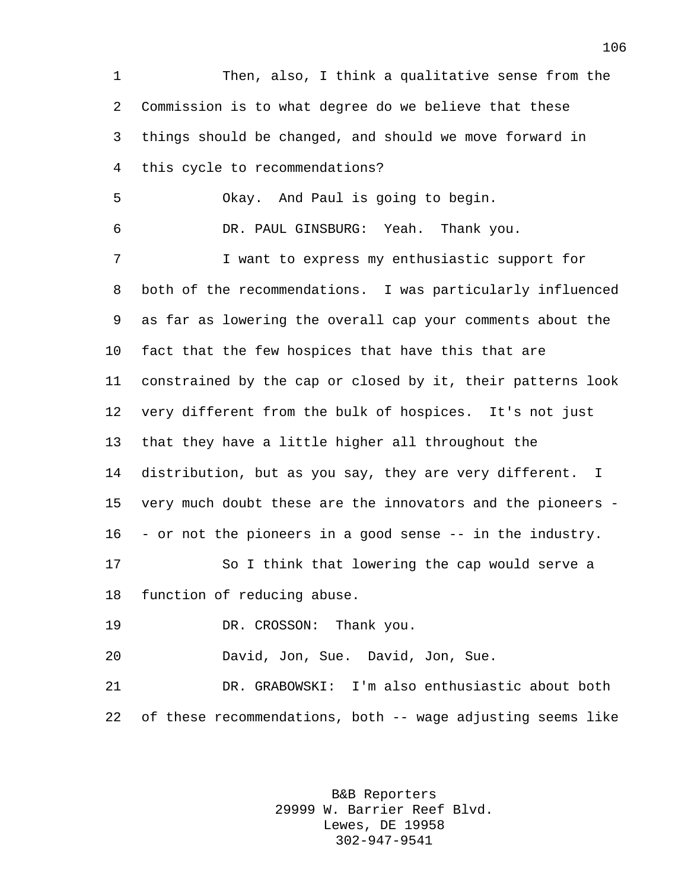Then, also, I think a qualitative sense from the Commission is to what degree do we believe that these things should be changed, and should we move forward in this cycle to recommendations? Okay. And Paul is going to begin. DR. PAUL GINSBURG: Yeah. Thank you. I want to express my enthusiastic support for both of the recommendations. I was particularly influenced as far as lowering the overall cap your comments about the fact that the few hospices that have this that are constrained by the cap or closed by it, their patterns look very different from the bulk of hospices. It's not just that they have a little higher all throughout the distribution, but as you say, they are very different. I very much doubt these are the innovators and the pioneers - - or not the pioneers in a good sense -- in the industry. So I think that lowering the cap would serve a function of reducing abuse. DR. CROSSON: Thank you. David, Jon, Sue. David, Jon, Sue. DR. GRABOWSKI: I'm also enthusiastic about both of these recommendations, both -- wage adjusting seems like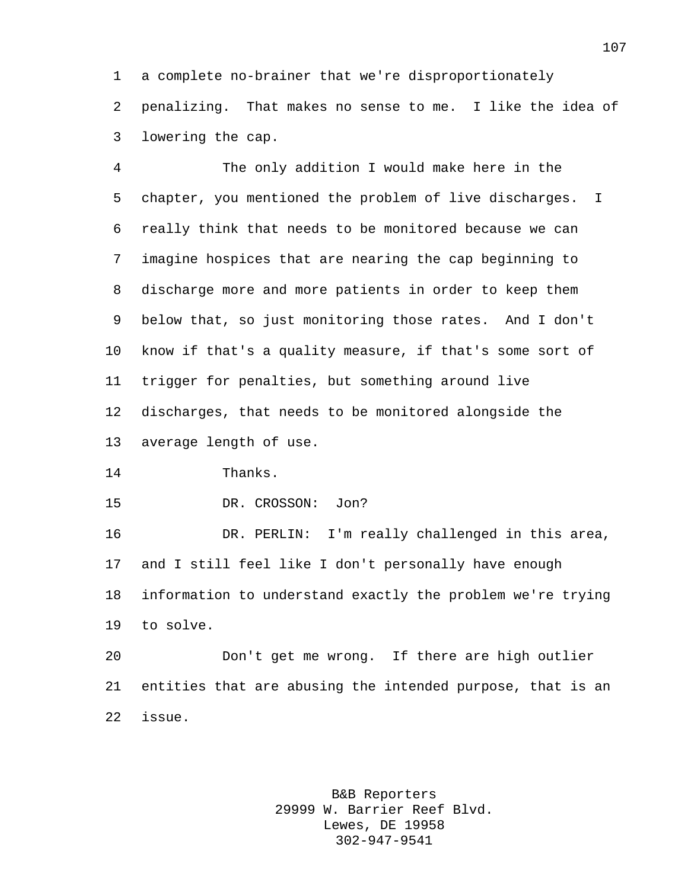a complete no-brainer that we're disproportionately penalizing. That makes no sense to me. I like the idea of lowering the cap.

 The only addition I would make here in the chapter, you mentioned the problem of live discharges. I really think that needs to be monitored because we can imagine hospices that are nearing the cap beginning to discharge more and more patients in order to keep them below that, so just monitoring those rates. And I don't know if that's a quality measure, if that's some sort of trigger for penalties, but something around live discharges, that needs to be monitored alongside the average length of use.

Thanks.

DR. CROSSON: Jon?

 DR. PERLIN: I'm really challenged in this area, and I still feel like I don't personally have enough information to understand exactly the problem we're trying to solve.

 Don't get me wrong. If there are high outlier entities that are abusing the intended purpose, that is an issue.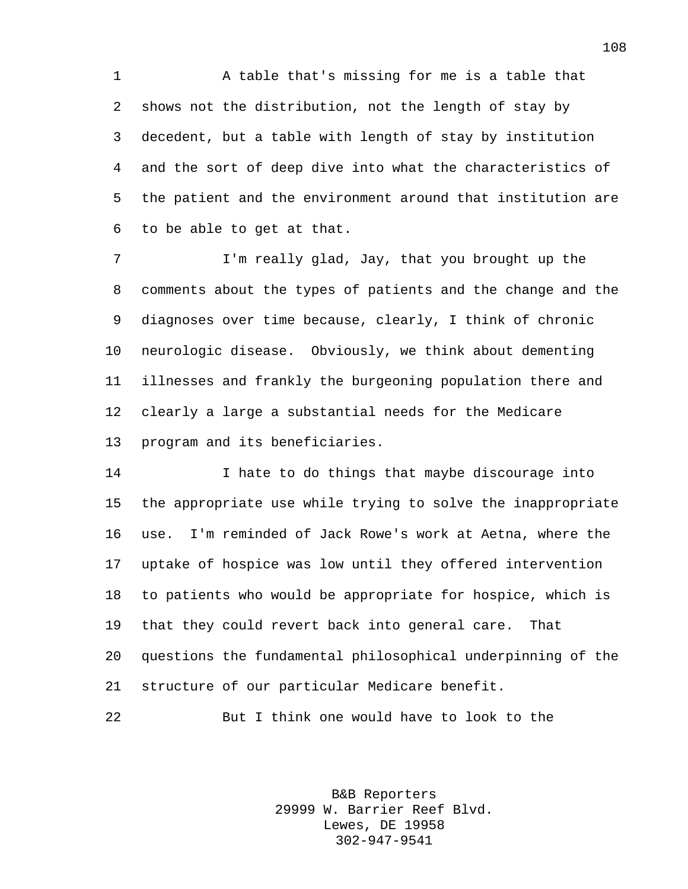A table that's missing for me is a table that shows not the distribution, not the length of stay by decedent, but a table with length of stay by institution and the sort of deep dive into what the characteristics of the patient and the environment around that institution are to be able to get at that.

 I'm really glad, Jay, that you brought up the comments about the types of patients and the change and the diagnoses over time because, clearly, I think of chronic neurologic disease. Obviously, we think about dementing illnesses and frankly the burgeoning population there and clearly a large a substantial needs for the Medicare program and its beneficiaries.

 I hate to do things that maybe discourage into the appropriate use while trying to solve the inappropriate use. I'm reminded of Jack Rowe's work at Aetna, where the uptake of hospice was low until they offered intervention to patients who would be appropriate for hospice, which is that they could revert back into general care. That questions the fundamental philosophical underpinning of the structure of our particular Medicare benefit.

But I think one would have to look to the

B&B Reporters 29999 W. Barrier Reef Blvd. Lewes, DE 19958 302-947-9541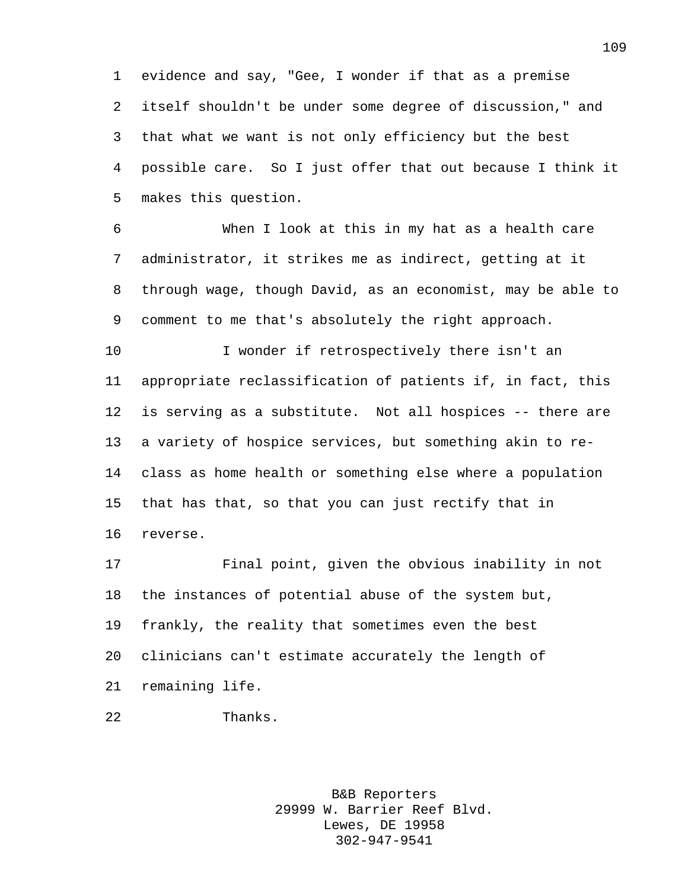evidence and say, "Gee, I wonder if that as a premise itself shouldn't be under some degree of discussion," and that what we want is not only efficiency but the best possible care. So I just offer that out because I think it makes this question.

 When I look at this in my hat as a health care administrator, it strikes me as indirect, getting at it through wage, though David, as an economist, may be able to comment to me that's absolutely the right approach.

10 I wonder if retrospectively there isn't an appropriate reclassification of patients if, in fact, this is serving as a substitute. Not all hospices -- there are a variety of hospice services, but something akin to re- class as home health or something else where a population that has that, so that you can just rectify that in reverse.

 Final point, given the obvious inability in not the instances of potential abuse of the system but, frankly, the reality that sometimes even the best clinicians can't estimate accurately the length of remaining life.

```
22 Thanks.
```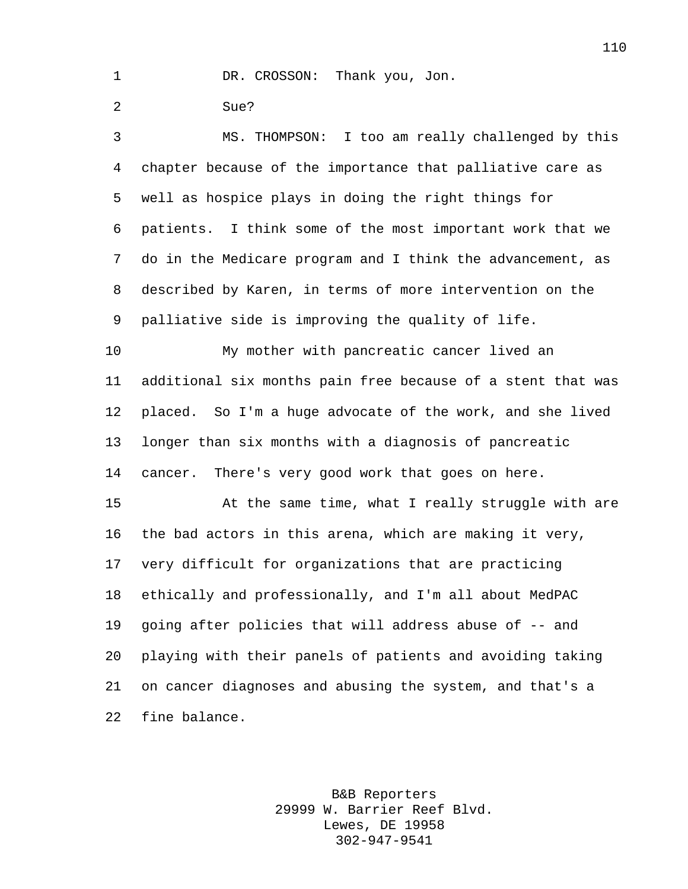DR. CROSSON: Thank you, Jon.

Sue?

 MS. THOMPSON: I too am really challenged by this chapter because of the importance that palliative care as well as hospice plays in doing the right things for patients. I think some of the most important work that we do in the Medicare program and I think the advancement, as described by Karen, in terms of more intervention on the palliative side is improving the quality of life.

 My mother with pancreatic cancer lived an additional six months pain free because of a stent that was placed. So I'm a huge advocate of the work, and she lived longer than six months with a diagnosis of pancreatic cancer. There's very good work that goes on here.

 At the same time, what I really struggle with are the bad actors in this arena, which are making it very, very difficult for organizations that are practicing ethically and professionally, and I'm all about MedPAC going after policies that will address abuse of -- and playing with their panels of patients and avoiding taking on cancer diagnoses and abusing the system, and that's a fine balance.

> B&B Reporters 29999 W. Barrier Reef Blvd. Lewes, DE 19958 302-947-9541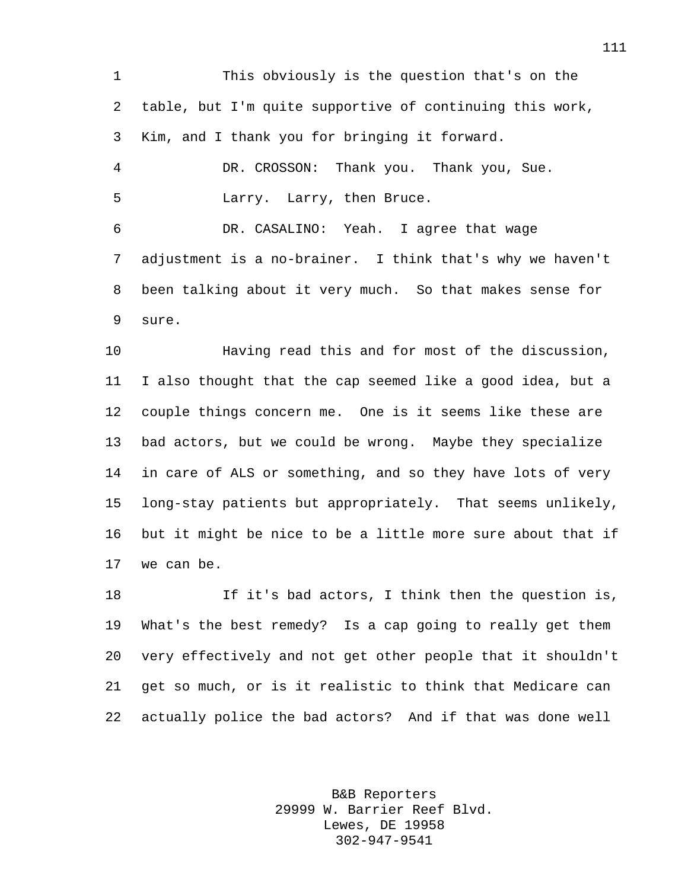This obviously is the question that's on the table, but I'm quite supportive of continuing this work, Kim, and I thank you for bringing it forward. DR. CROSSON: Thank you. Thank you, Sue. Larry. Larry, then Bruce. DR. CASALINO: Yeah. I agree that wage adjustment is a no-brainer. I think that's why we haven't been talking about it very much. So that makes sense for sure. Having read this and for most of the discussion, I also thought that the cap seemed like a good idea, but a couple things concern me. One is it seems like these are

 bad actors, but we could be wrong. Maybe they specialize in care of ALS or something, and so they have lots of very long-stay patients but appropriately. That seems unlikely, but it might be nice to be a little more sure about that if we can be.

 If it's bad actors, I think then the question is, What's the best remedy? Is a cap going to really get them very effectively and not get other people that it shouldn't get so much, or is it realistic to think that Medicare can actually police the bad actors? And if that was done well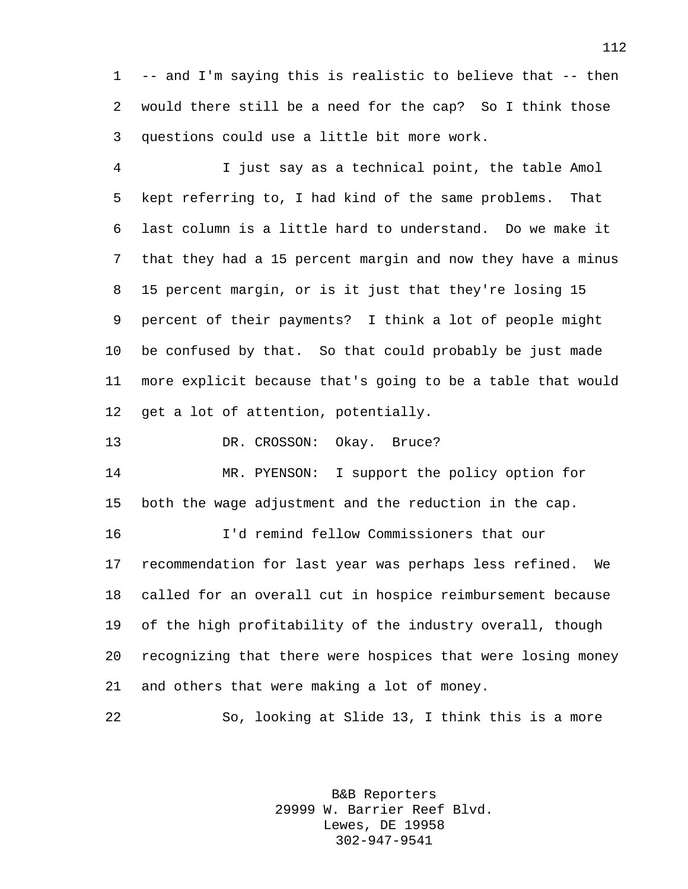-- and I'm saying this is realistic to believe that -- then would there still be a need for the cap? So I think those questions could use a little bit more work.

 I just say as a technical point, the table Amol kept referring to, I had kind of the same problems. That last column is a little hard to understand. Do we make it that they had a 15 percent margin and now they have a minus 15 percent margin, or is it just that they're losing 15 percent of their payments? I think a lot of people might be confused by that. So that could probably be just made more explicit because that's going to be a table that would get a lot of attention, potentially.

13 DR. CROSSON: Okay. Bruce?

 MR. PYENSON: I support the policy option for both the wage adjustment and the reduction in the cap.

 I'd remind fellow Commissioners that our recommendation for last year was perhaps less refined. We called for an overall cut in hospice reimbursement because of the high profitability of the industry overall, though recognizing that there were hospices that were losing money and others that were making a lot of money.

So, looking at Slide 13, I think this is a more

B&B Reporters 29999 W. Barrier Reef Blvd. Lewes, DE 19958 302-947-9541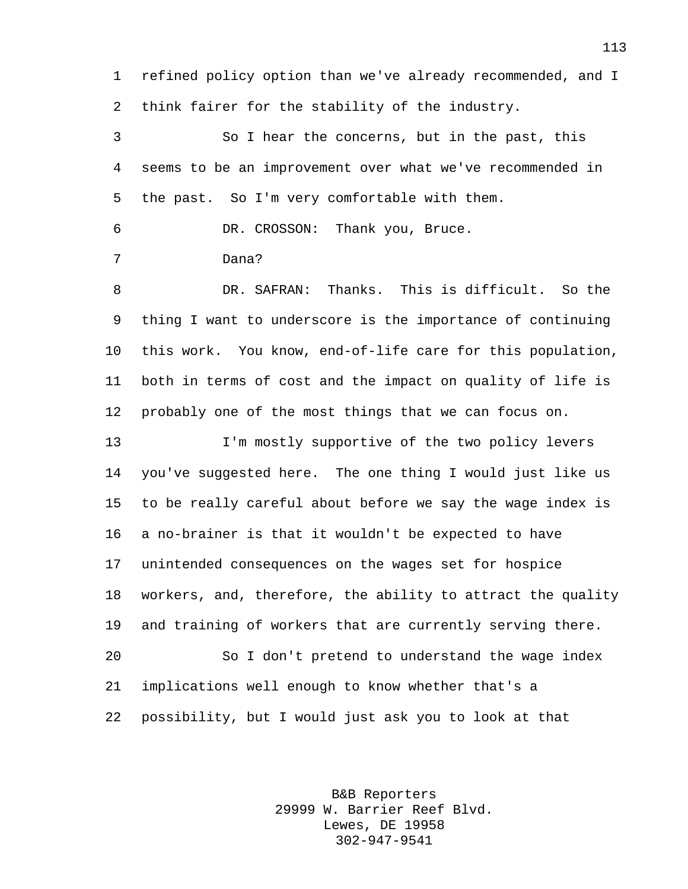refined policy option than we've already recommended, and I think fairer for the stability of the industry.

 So I hear the concerns, but in the past, this seems to be an improvement over what we've recommended in the past. So I'm very comfortable with them.

DR. CROSSON: Thank you, Bruce.

Dana?

 DR. SAFRAN: Thanks. This is difficult. So the thing I want to underscore is the importance of continuing this work. You know, end-of-life care for this population, both in terms of cost and the impact on quality of life is probably one of the most things that we can focus on.

 I'm mostly supportive of the two policy levers you've suggested here. The one thing I would just like us to be really careful about before we say the wage index is a no-brainer is that it wouldn't be expected to have unintended consequences on the wages set for hospice workers, and, therefore, the ability to attract the quality and training of workers that are currently serving there. So I don't pretend to understand the wage index implications well enough to know whether that's a possibility, but I would just ask you to look at that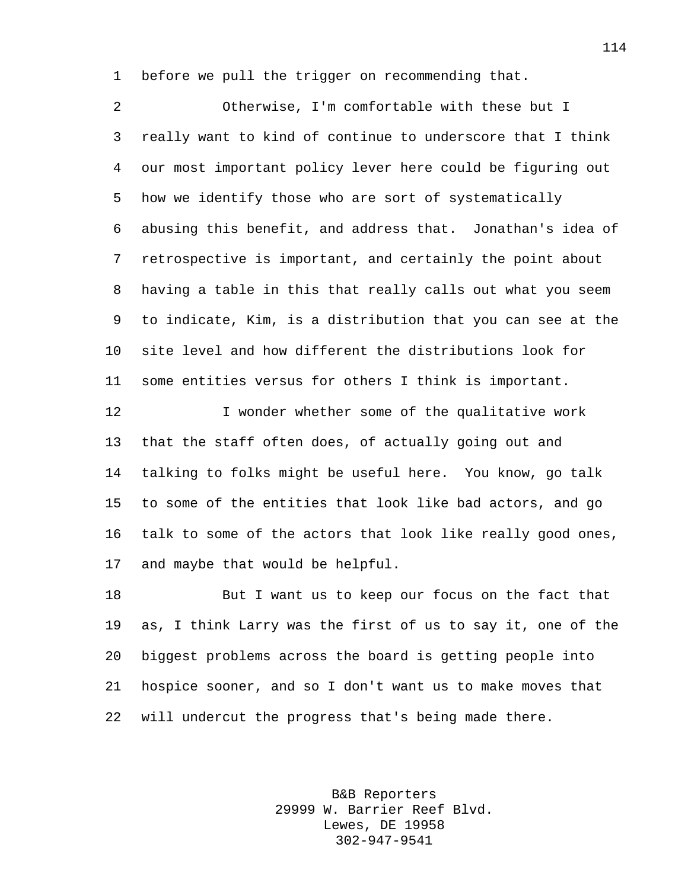before we pull the trigger on recommending that.

 Otherwise, I'm comfortable with these but I really want to kind of continue to underscore that I think our most important policy lever here could be figuring out how we identify those who are sort of systematically abusing this benefit, and address that. Jonathan's idea of retrospective is important, and certainly the point about having a table in this that really calls out what you seem to indicate, Kim, is a distribution that you can see at the site level and how different the distributions look for some entities versus for others I think is important.

 I wonder whether some of the qualitative work that the staff often does, of actually going out and talking to folks might be useful here. You know, go talk to some of the entities that look like bad actors, and go talk to some of the actors that look like really good ones, and maybe that would be helpful.

 But I want us to keep our focus on the fact that as, I think Larry was the first of us to say it, one of the biggest problems across the board is getting people into hospice sooner, and so I don't want us to make moves that will undercut the progress that's being made there.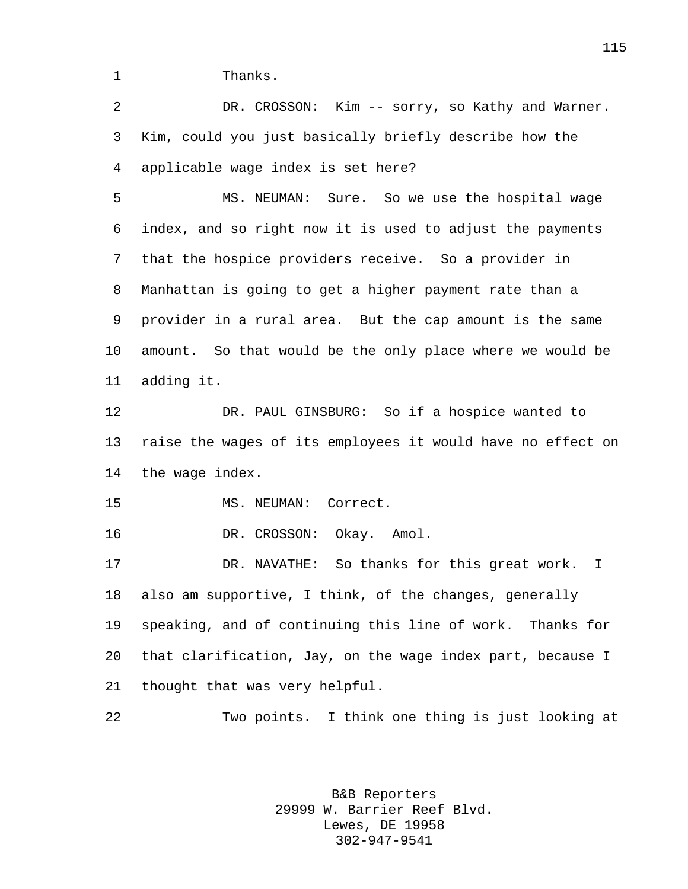1 Thanks.

 DR. CROSSON: Kim -- sorry, so Kathy and Warner. Kim, could you just basically briefly describe how the applicable wage index is set here?

 MS. NEUMAN: Sure. So we use the hospital wage index, and so right now it is used to adjust the payments that the hospice providers receive. So a provider in Manhattan is going to get a higher payment rate than a provider in a rural area. But the cap amount is the same amount. So that would be the only place where we would be adding it.

 DR. PAUL GINSBURG: So if a hospice wanted to raise the wages of its employees it would have no effect on the wage index.

MS. NEUMAN: Correct.

DR. CROSSON: Okay. Amol.

 DR. NAVATHE: So thanks for this great work. I also am supportive, I think, of the changes, generally speaking, and of continuing this line of work. Thanks for that clarification, Jay, on the wage index part, because I thought that was very helpful.

Two points. I think one thing is just looking at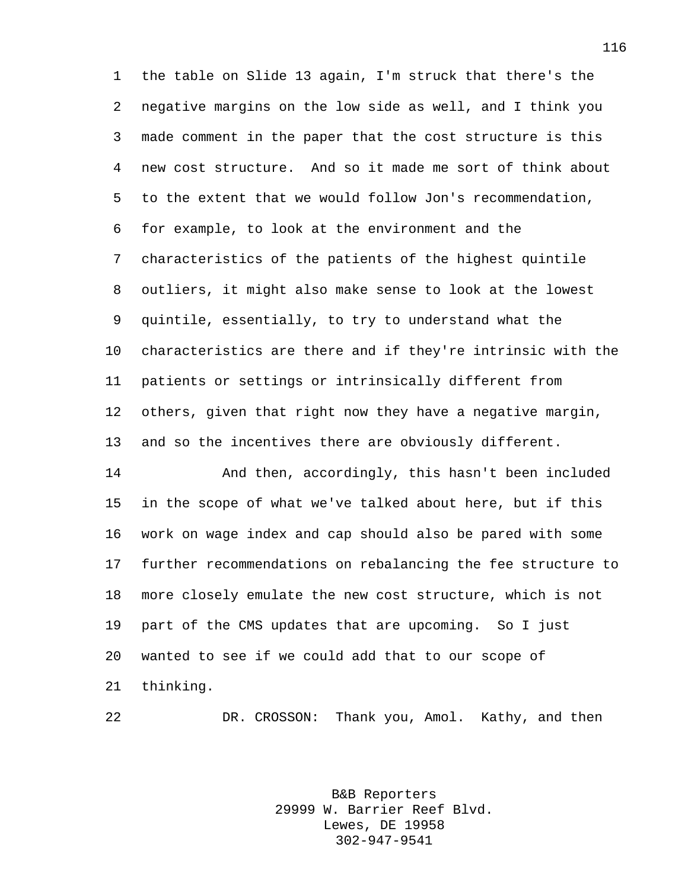the table on Slide 13 again, I'm struck that there's the negative margins on the low side as well, and I think you made comment in the paper that the cost structure is this new cost structure. And so it made me sort of think about to the extent that we would follow Jon's recommendation, for example, to look at the environment and the characteristics of the patients of the highest quintile outliers, it might also make sense to look at the lowest quintile, essentially, to try to understand what the characteristics are there and if they're intrinsic with the patients or settings or intrinsically different from others, given that right now they have a negative margin, and so the incentives there are obviously different.

 And then, accordingly, this hasn't been included in the scope of what we've talked about here, but if this work on wage index and cap should also be pared with some further recommendations on rebalancing the fee structure to more closely emulate the new cost structure, which is not part of the CMS updates that are upcoming. So I just wanted to see if we could add that to our scope of thinking.

DR. CROSSON: Thank you, Amol. Kathy, and then

B&B Reporters 29999 W. Barrier Reef Blvd. Lewes, DE 19958 302-947-9541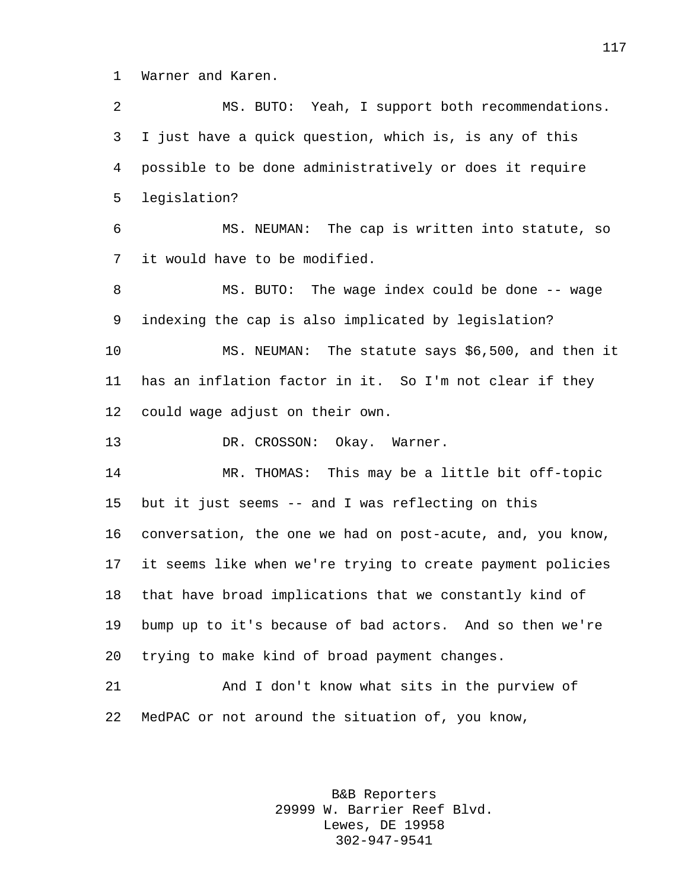Warner and Karen.

 MS. BUTO: Yeah, I support both recommendations. I just have a quick question, which is, is any of this possible to be done administratively or does it require legislation? MS. NEUMAN: The cap is written into statute, so it would have to be modified. 8 MS. BUTO: The wage index could be done -- wage indexing the cap is also implicated by legislation? MS. NEUMAN: The statute says \$6,500, and then it has an inflation factor in it. So I'm not clear if they could wage adjust on their own. 13 DR. CROSSON: Okay. Warner. MR. THOMAS: This may be a little bit off-topic but it just seems -- and I was reflecting on this conversation, the one we had on post-acute, and, you know, it seems like when we're trying to create payment policies that have broad implications that we constantly kind of bump up to it's because of bad actors. And so then we're trying to make kind of broad payment changes.

 And I don't know what sits in the purview of MedPAC or not around the situation of, you know,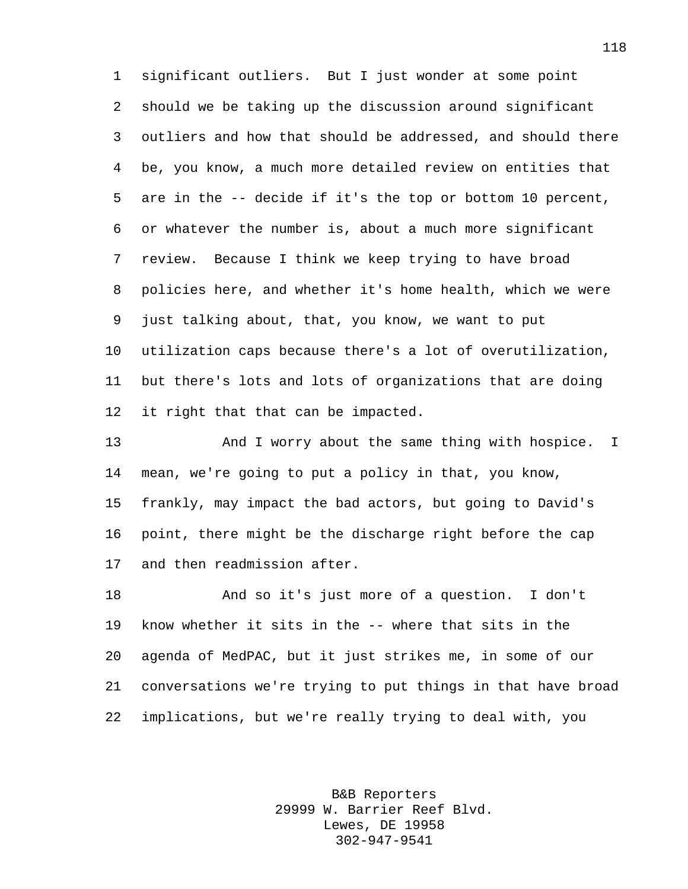significant outliers. But I just wonder at some point should we be taking up the discussion around significant outliers and how that should be addressed, and should there be, you know, a much more detailed review on entities that are in the -- decide if it's the top or bottom 10 percent, or whatever the number is, about a much more significant review. Because I think we keep trying to have broad policies here, and whether it's home health, which we were just talking about, that, you know, we want to put utilization caps because there's a lot of overutilization, but there's lots and lots of organizations that are doing it right that that can be impacted.

 And I worry about the same thing with hospice. I mean, we're going to put a policy in that, you know, frankly, may impact the bad actors, but going to David's point, there might be the discharge right before the cap and then readmission after.

 And so it's just more of a question. I don't know whether it sits in the -- where that sits in the agenda of MedPAC, but it just strikes me, in some of our conversations we're trying to put things in that have broad implications, but we're really trying to deal with, you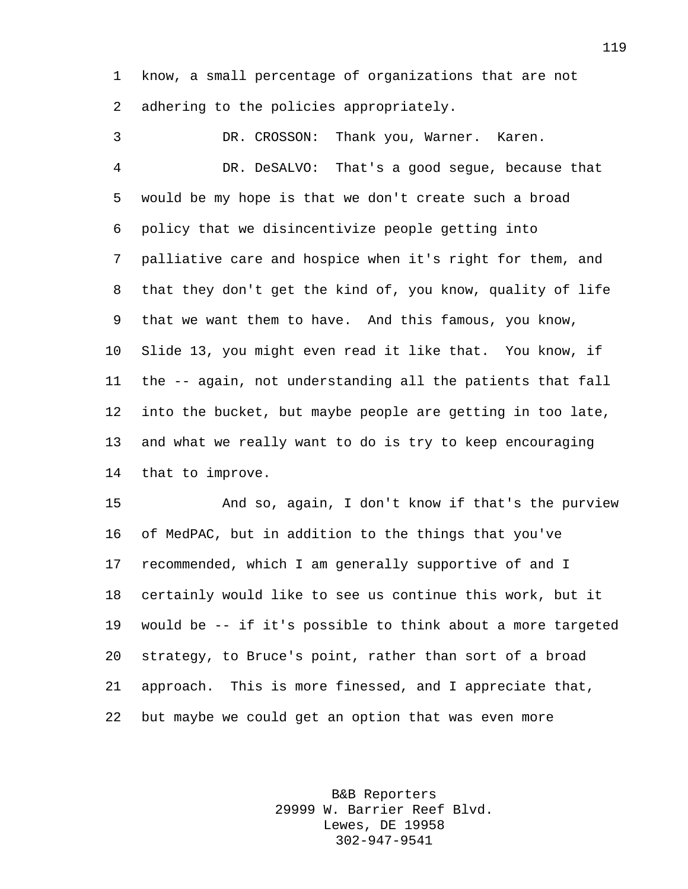know, a small percentage of organizations that are not adhering to the policies appropriately.

 DR. CROSSON: Thank you, Warner. Karen. DR. DeSALVO: That's a good segue, because that would be my hope is that we don't create such a broad policy that we disincentivize people getting into palliative care and hospice when it's right for them, and that they don't get the kind of, you know, quality of life that we want them to have. And this famous, you know, Slide 13, you might even read it like that. You know, if the -- again, not understanding all the patients that fall into the bucket, but maybe people are getting in too late, and what we really want to do is try to keep encouraging that to improve.

 And so, again, I don't know if that's the purview of MedPAC, but in addition to the things that you've recommended, which I am generally supportive of and I certainly would like to see us continue this work, but it would be -- if it's possible to think about a more targeted strategy, to Bruce's point, rather than sort of a broad approach. This is more finessed, and I appreciate that, but maybe we could get an option that was even more

> B&B Reporters 29999 W. Barrier Reef Blvd. Lewes, DE 19958 302-947-9541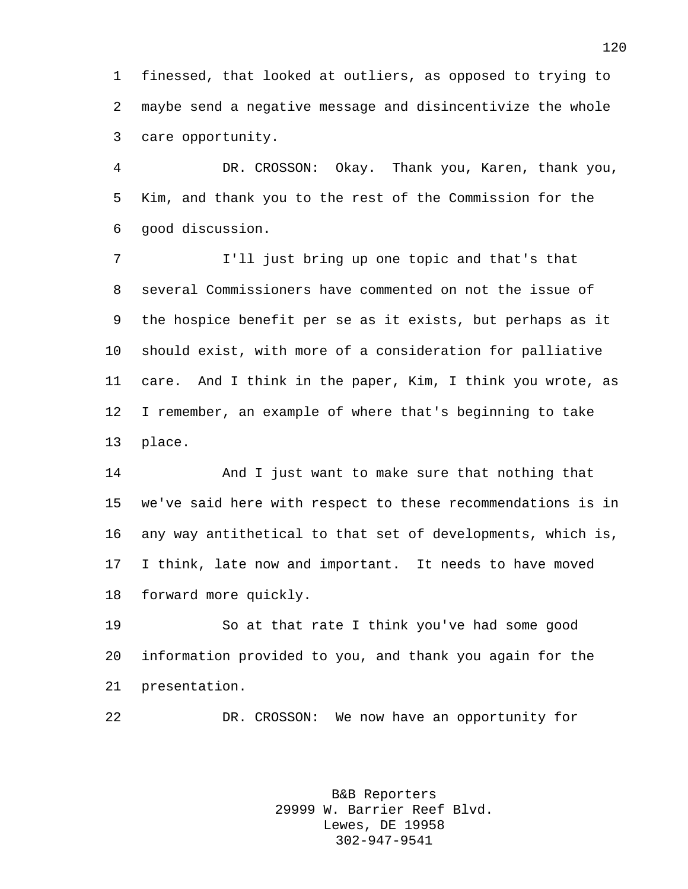finessed, that looked at outliers, as opposed to trying to maybe send a negative message and disincentivize the whole care opportunity.

 DR. CROSSON: Okay. Thank you, Karen, thank you, Kim, and thank you to the rest of the Commission for the good discussion.

 I'll just bring up one topic and that's that several Commissioners have commented on not the issue of the hospice benefit per se as it exists, but perhaps as it should exist, with more of a consideration for palliative care. And I think in the paper, Kim, I think you wrote, as I remember, an example of where that's beginning to take place.

 And I just want to make sure that nothing that we've said here with respect to these recommendations is in any way antithetical to that set of developments, which is, I think, late now and important. It needs to have moved forward more quickly.

 So at that rate I think you've had some good information provided to you, and thank you again for the presentation.

DR. CROSSON: We now have an opportunity for

B&B Reporters 29999 W. Barrier Reef Blvd. Lewes, DE 19958 302-947-9541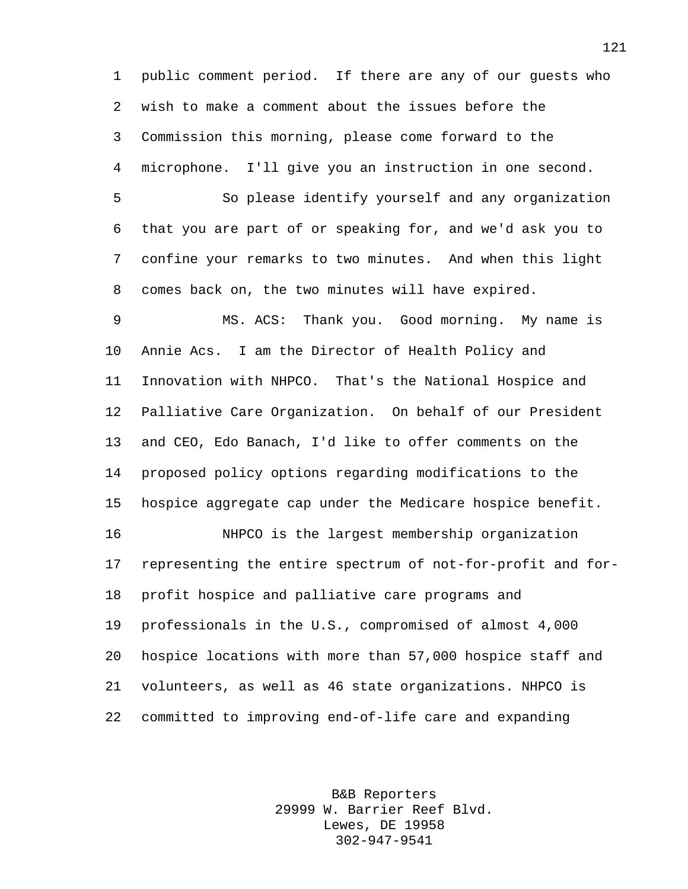public comment period. If there are any of our guests who wish to make a comment about the issues before the Commission this morning, please come forward to the microphone. I'll give you an instruction in one second.

 So please identify yourself and any organization that you are part of or speaking for, and we'd ask you to confine your remarks to two minutes. And when this light comes back on, the two minutes will have expired.

 MS. ACS: Thank you. Good morning. My name is Annie Acs. I am the Director of Health Policy and Innovation with NHPCO. That's the National Hospice and Palliative Care Organization. On behalf of our President and CEO, Edo Banach, I'd like to offer comments on the proposed policy options regarding modifications to the hospice aggregate cap under the Medicare hospice benefit.

 NHPCO is the largest membership organization representing the entire spectrum of not-for-profit and for- profit hospice and palliative care programs and professionals in the U.S., compromised of almost 4,000 hospice locations with more than 57,000 hospice staff and volunteers, as well as 46 state organizations. NHPCO is committed to improving end-of-life care and expanding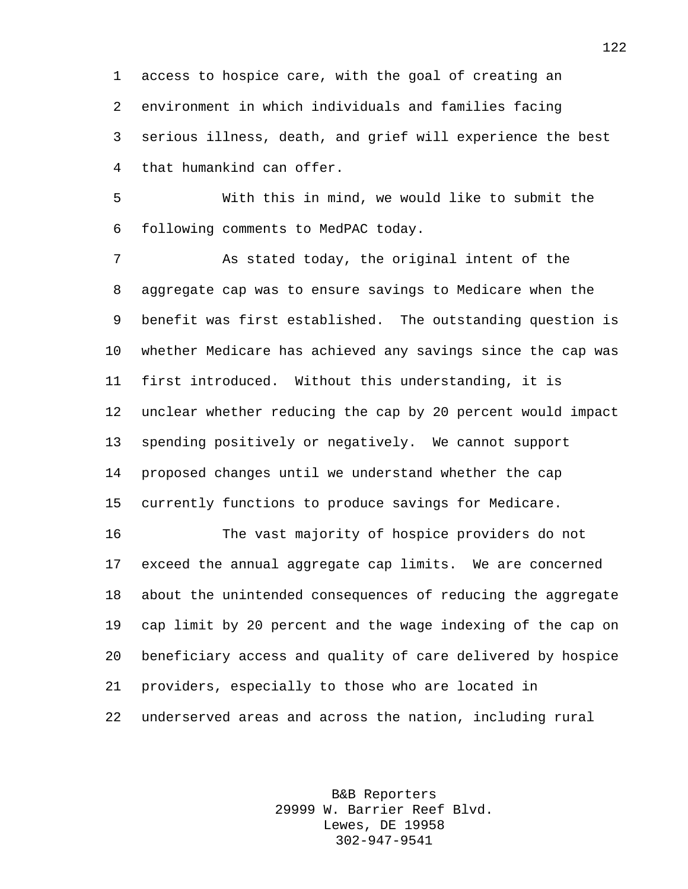access to hospice care, with the goal of creating an environment in which individuals and families facing serious illness, death, and grief will experience the best that humankind can offer.

 With this in mind, we would like to submit the following comments to MedPAC today.

 As stated today, the original intent of the aggregate cap was to ensure savings to Medicare when the benefit was first established. The outstanding question is whether Medicare has achieved any savings since the cap was first introduced. Without this understanding, it is unclear whether reducing the cap by 20 percent would impact spending positively or negatively. We cannot support proposed changes until we understand whether the cap currently functions to produce savings for Medicare.

 The vast majority of hospice providers do not exceed the annual aggregate cap limits. We are concerned about the unintended consequences of reducing the aggregate cap limit by 20 percent and the wage indexing of the cap on beneficiary access and quality of care delivered by hospice providers, especially to those who are located in underserved areas and across the nation, including rural